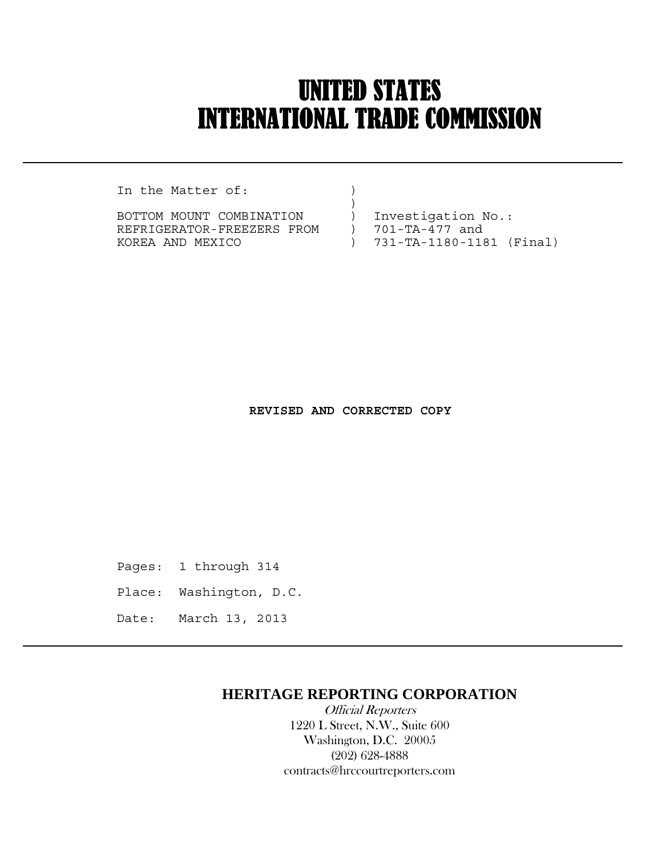# UNITED STATES INTERNATIONAL TRADE COMMISSION

In the Matter of:  $)$ 

 $\overline{a}$ 

BOTTOM MOUNT COMBINATION ) Investigation No.: REFRIGERATOR-FREEZERS FROM ) 701-TA-477 and KOREA AND MEXICO ) 731-TA-1180-1181 (Final)

 **REVISED AND CORRECTED COPY**

Pages: 1 through 314

Place: Washington, D.C.

Date: March 13, 2013

## **HERITAGE REPORTING CORPORATION**

 Official Reporters 1220 L Street, N.W., Suite 600 Washington, D.C. 20005 (202) 628-4888 contracts@hrccourtreporters.com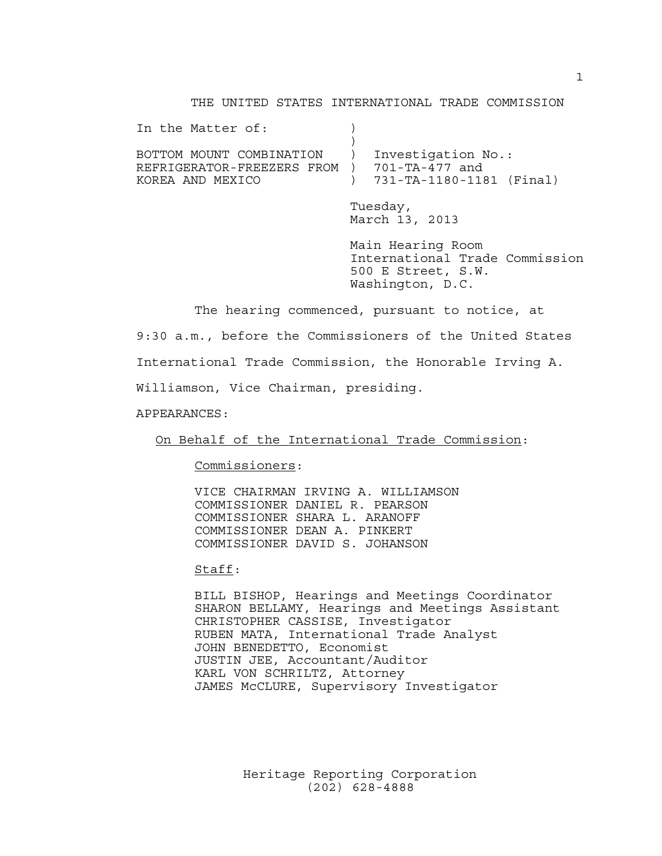#### THE UNITED STATES INTERNATIONAL TRADE COMMISSION

In the Matter of:  $)$ BOTTOM MOUNT COMBINATION ) Investigation No.: REFRIGERATOR-FREEZERS FROM ) 701-TA-477 and KOREA AND MEXICO ) 731-TA-1180-1181 (Final) Tuesday,

> March 13, 2013 Main Hearing Room

 International Trade Commission 500 E Street, S.W. Washington, D.C.

The hearing commenced, pursuant to notice, at

9:30 a.m., before the Commissioners of the United States

International Trade Commission, the Honorable Irving A.

Williamson, Vice Chairman, presiding.

APPEARANCES:

On Behalf of the International Trade Commission:

Commissioners:

 VICE CHAIRMAN IRVING A. WILLIAMSON COMMISSIONER DANIEL R. PEARSON COMMISSIONER SHARA L. ARANOFF COMMISSIONER DEAN A. PINKERT COMMISSIONER DAVID S. JOHANSON

Staff:

 BILL BISHOP, Hearings and Meetings Coordinator SHARON BELLAMY, Hearings and Meetings Assistant CHRISTOPHER CASSISE, Investigator RUBEN MATA, International Trade Analyst JOHN BENEDETTO, Economist JUSTIN JEE, Accountant/Auditor KARL VON SCHRILTZ, Attorney JAMES McCLURE, Supervisory Investigator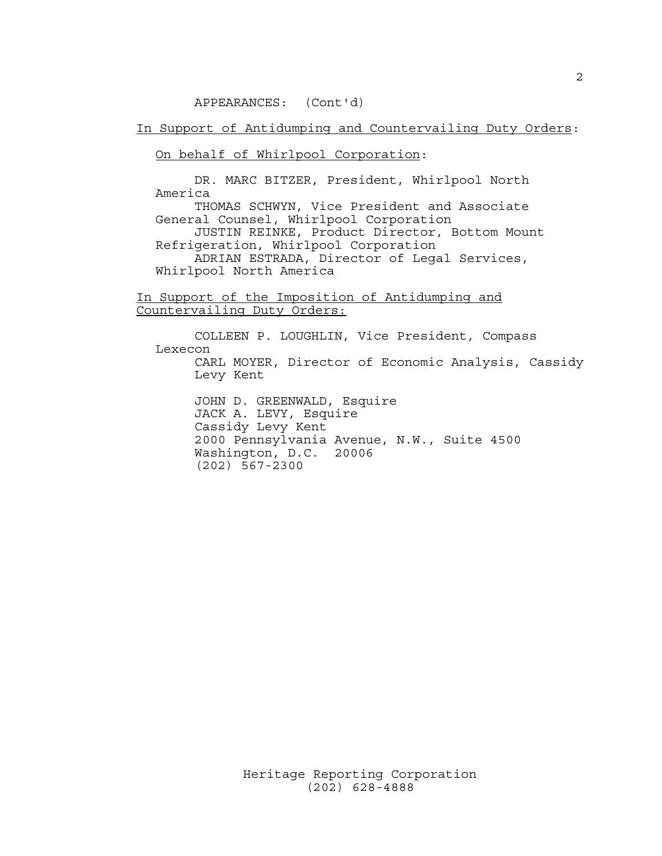In Support of Antidumping and Countervailing Duty Orders:

On behalf of Whirlpool Corporation:

 DR. MARC BITZER, President, Whirlpool North America

 THOMAS SCHWYN, Vice President and Associate General Counsel, Whirlpool Corporation JUSTIN REINKE, Product Director, Bottom Mount

 Refrigeration, Whirlpool Corporation ADRIAN ESTRADA, Director of Legal Services,

Whirlpool North America

In Support of the Imposition of Antidumping and Countervailing Duty Orders:

 COLLEEN P. LOUGHLIN, Vice President, Compass Lexecon CARL MOYER, Director of Economic Analysis, Cassidy Levy Kent

 JOHN D. GREENWALD, Esquire JACK A. LEVY, Esquire Cassidy Levy Kent 2000 Pennsylvania Avenue, N.W., Suite 4500 Washington, D.C. 20006 (202) 567-2300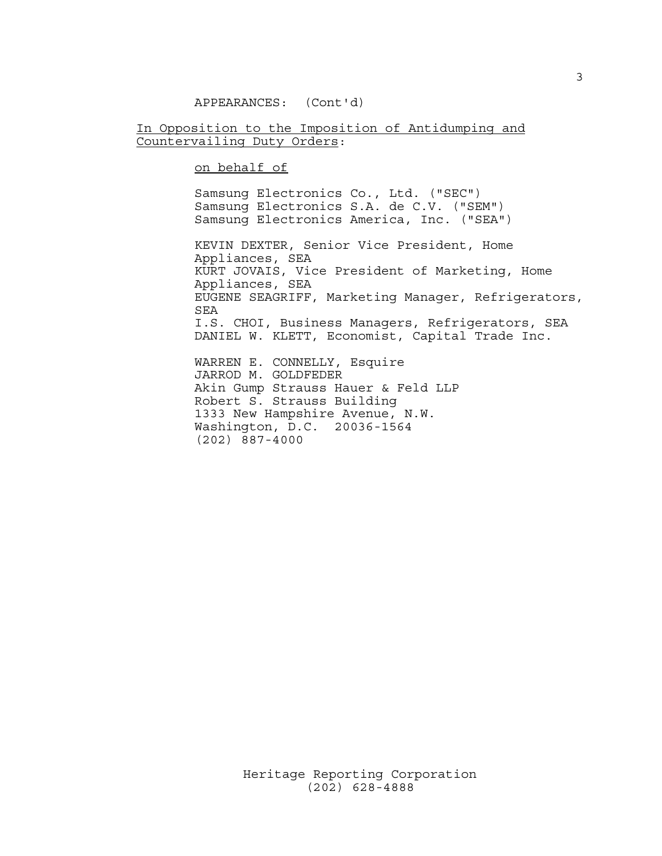In Opposition to the Imposition of Antidumping and Countervailing Duty Orders:

on behalf of

 Samsung Electronics Co., Ltd. ("SEC") Samsung Electronics S.A. de C.V. ("SEM") Samsung Electronics America, Inc. ("SEA")

 KEVIN DEXTER, Senior Vice President, Home Appliances, SEA KURT JOVAIS, Vice President of Marketing, Home Appliances, SEA EUGENE SEAGRIFF, Marketing Manager, Refrigerators, SEA I.S. CHOI, Business Managers, Refrigerators, SEA DANIEL W. KLETT, Economist, Capital Trade Inc. WARREN E. CONNELLY, Esquire JARROD M. GOLDFEDER

 Akin Gump Strauss Hauer & Feld LLP Robert S. Strauss Building 1333 New Hampshire Avenue, N.W. Washington, D.C. 20036-1564 (202) 887-4000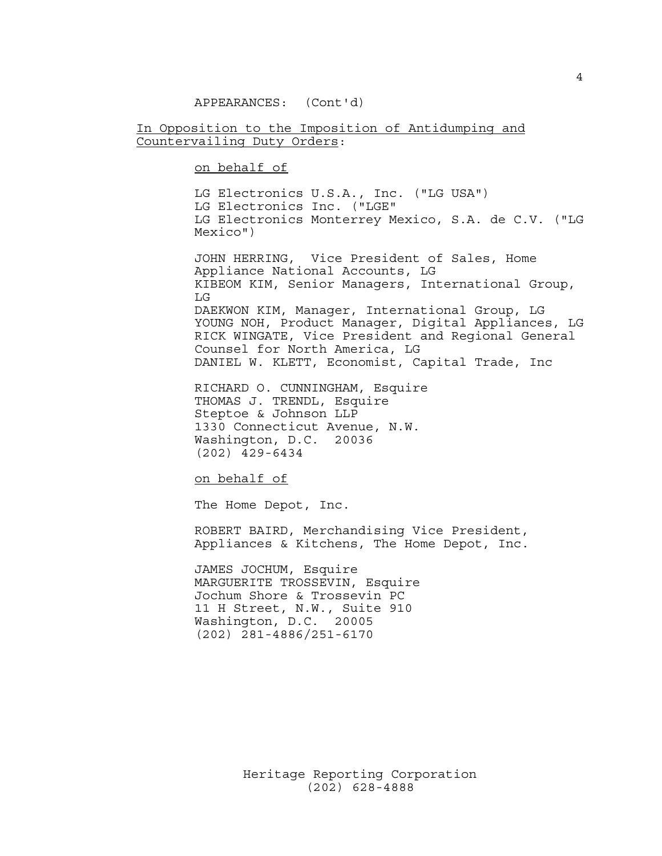In Opposition to the Imposition of Antidumping and Countervailing Duty Orders:

on behalf of

 LG Electronics U.S.A., Inc. ("LG USA") LG Electronics Inc. ("LGE" LG Electronics Monterrey Mexico, S.A. de C.V. ("LG Mexico")

 JOHN HERRING, Vice President of Sales, Home Appliance National Accounts, LG KIBEOM KIM, Senior Managers, International Group, LG DAEKWON KIM, Manager, International Group, LG YOUNG NOH, Product Manager, Digital Appliances, LG RICK WINGATE, Vice President and Regional General Counsel for North America, LG DANIEL W. KLETT, Economist, Capital Trade, Inc

 RICHARD O. CUNNINGHAM, Esquire THOMAS J. TRENDL, Esquire Steptoe & Johnson LLP 1330 Connecticut Avenue, N.W. Washington, D.C. 20036 (202) 429-6434

on behalf of

The Home Depot, Inc.

 ROBERT BAIRD, Merchandising Vice President, Appliances & Kitchens, The Home Depot, Inc.

 JAMES JOCHUM, Esquire MARGUERITE TROSSEVIN, Esquire Jochum Shore & Trossevin PC 11 H Street, N.W., Suite 910 Washington, D.C. 20005 (202) 281-4886/251-6170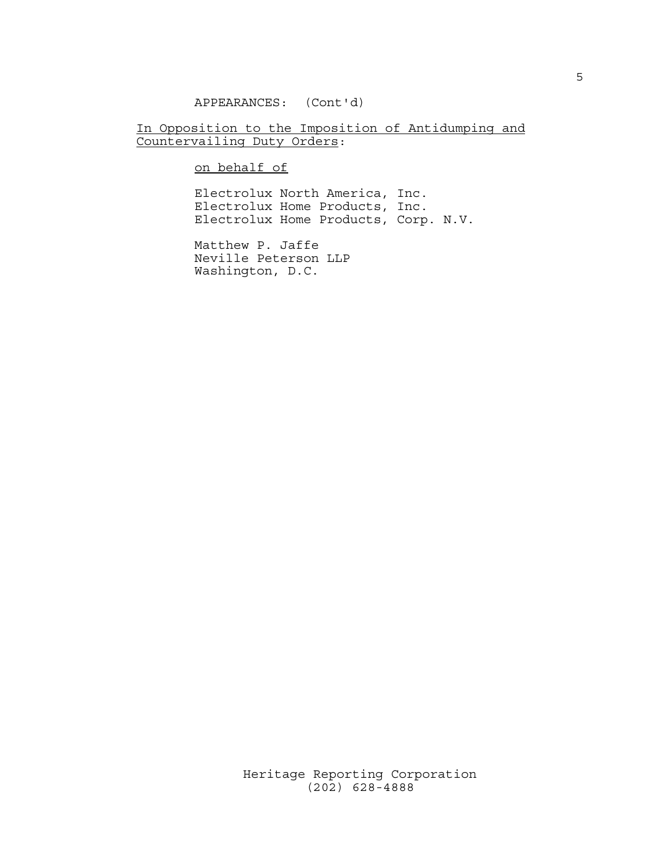### In Opposition to the Imposition of Antidumping and Countervailing Duty Orders:

on behalf of

 Electrolux North America, Inc. Electrolux Home Products, Inc. Electrolux Home Products, Corp. N.V.

 Matthew P. Jaffe Neville Peterson LLP Washington, D.C.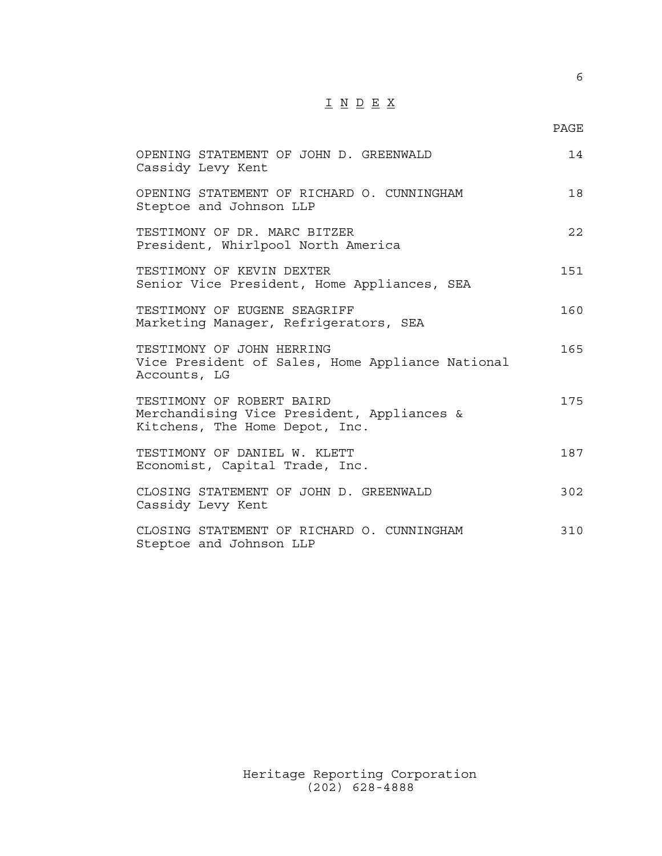## I N D E X

#### en de la provincia de la provincia de la provincia de la provincia de la provincia de la provincia de la provi

| OPENING STATEMENT OF JOHN D. GREENWALD<br>Cassidy Levy Kent                                               | 14  |
|-----------------------------------------------------------------------------------------------------------|-----|
| OPENING STATEMENT OF RICHARD O. CUNNINGHAM<br>Steptoe and Johnson LLP                                     | 18  |
| TESTIMONY OF DR. MARC BITZER<br>President, Whirlpool North America                                        | 22  |
| TESTIMONY OF KEVIN DEXTER<br>Senior Vice President, Home Appliances, SEA                                  | 151 |
| TESTIMONY OF EUGENE SEAGRIFF<br>Marketing Manager, Refrigerators, SEA                                     | 160 |
| TESTIMONY OF JOHN HERRING<br>Vice President of Sales, Home Appliance National<br>Accounts, LG             | 165 |
| TESTIMONY OF ROBERT BAIRD<br>Merchandising Vice President, Appliances &<br>Kitchens, The Home Depot, Inc. | 175 |
| TESTIMONY OF DANIEL W. KLETT<br>Economist, Capital Trade, Inc.                                            | 187 |
| CLOSING STATEMENT OF JOHN D. GREENWALD<br>Cassidy Levy Kent                                               | 302 |
| CLOSING STATEMENT OF RICHARD O. CUNNINGHAM<br>Steptoe and Johnson LLP                                     | 310 |

 Heritage Reporting Corporation (202) 628-4888

6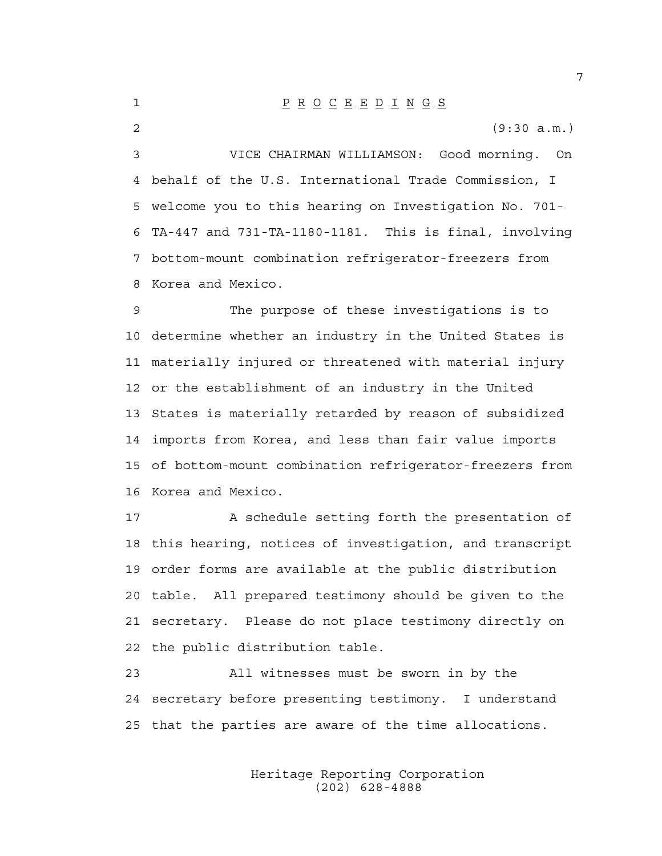| $\mathbf{1}$ | $\underline{P} \underline{R} \underline{O} \underline{C} \underline{E} \underline{E} \underline{D} \underline{I} \underline{N} \underline{G} \underline{S}$ |
|--------------|-------------------------------------------------------------------------------------------------------------------------------------------------------------|
| 2            | (9:30 a.m.)                                                                                                                                                 |
| 3            | VICE CHAIRMAN WILLIAMSON: Good morning. On                                                                                                                  |
|              | 4 behalf of the U.S. International Trade Commission, I                                                                                                      |
|              | 5 welcome you to this hearing on Investigation No. 701-                                                                                                     |
|              | 6 TA-447 and 731-TA-1180-1181. This is final, involving                                                                                                     |
|              | 7 bottom-mount combination refrigerator-freezers from                                                                                                       |
|              | 8 Korea and Mexico.                                                                                                                                         |

9 The purpose of these investigations is to 10 determine whether an industry in the United States is 11 materially injured or threatened with material injury 12 or the establishment of an industry in the United 13 States is materially retarded by reason of subsidized 14 imports from Korea, and less than fair value imports 15 of bottom-mount combination refrigerator-freezers from 16 Korea and Mexico.

17 A schedule setting forth the presentation of 18 this hearing, notices of investigation, and transcript 19 order forms are available at the public distribution 20 table. All prepared testimony should be given to the 21 secretary. Please do not place testimony directly on 22 the public distribution table.

23 All witnesses must be sworn in by the 24 secretary before presenting testimony. I understand 25 that the parties are aware of the time allocations.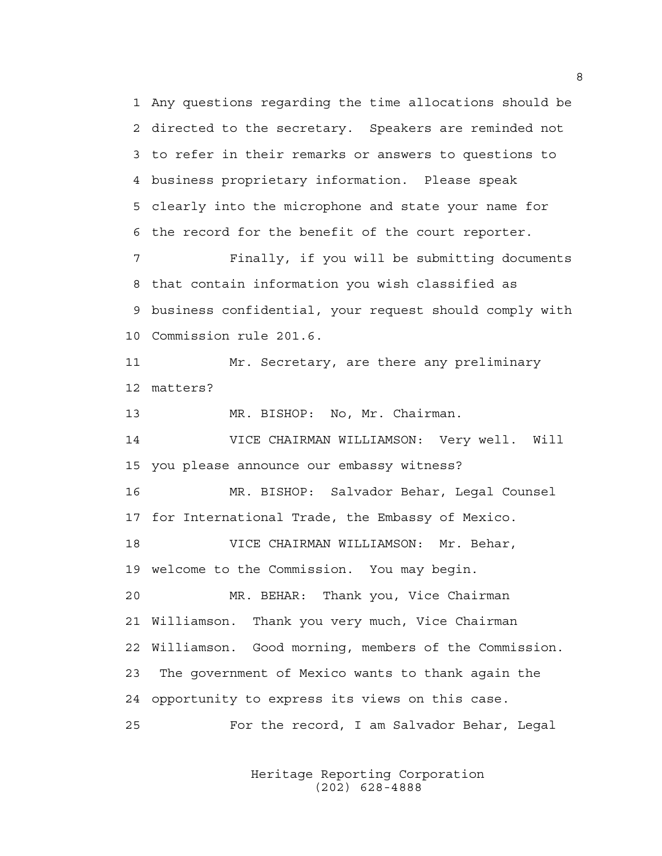1 Any questions regarding the time allocations should be 2 directed to the secretary. Speakers are reminded not 3 to refer in their remarks or answers to questions to 4 business proprietary information. Please speak 5 clearly into the microphone and state your name for 6 the record for the benefit of the court reporter.

7 Finally, if you will be submitting documents 8 that contain information you wish classified as 9 business confidential, your request should comply with 10 Commission rule 201.6.

11 Mr. Secretary, are there any preliminary 12 matters?

13 MR. BISHOP: No, Mr. Chairman.

14 VICE CHAIRMAN WILLIAMSON: Very well. Will 15 you please announce our embassy witness?

16 MR. BISHOP: Salvador Behar, Legal Counsel 17 for International Trade, the Embassy of Mexico.

18 VICE CHAIRMAN WILLIAMSON: Mr. Behar,

19 welcome to the Commission. You may begin.

20 MR. BEHAR: Thank you, Vice Chairman 21 Williamson. Thank you very much, Vice Chairman 22 Williamson. Good morning, members of the Commission. 23 The government of Mexico wants to thank again the 24 opportunity to express its views on this case. 25 For the record, I am Salvador Behar, Legal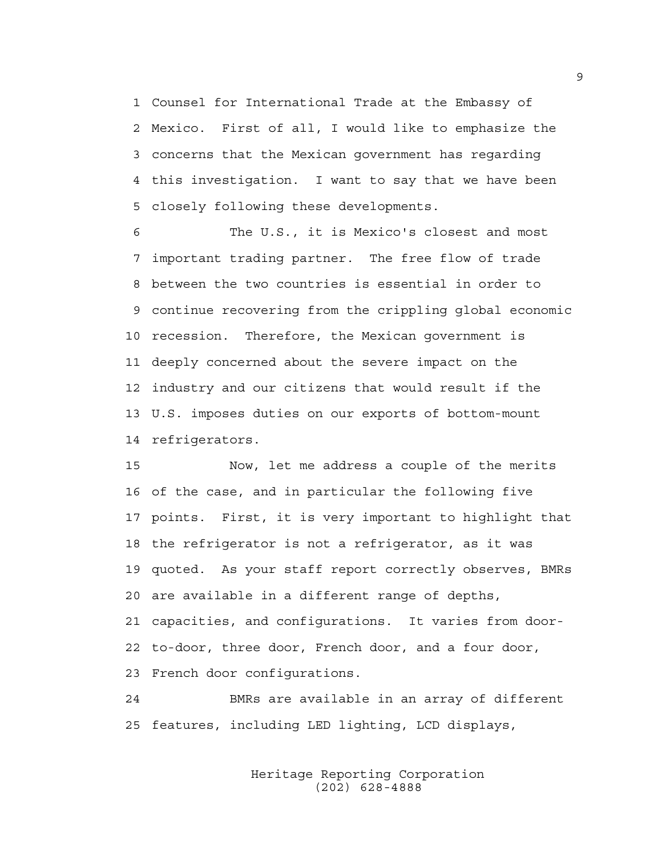1 Counsel for International Trade at the Embassy of 2 Mexico. First of all, I would like to emphasize the 3 concerns that the Mexican government has regarding 4 this investigation. I want to say that we have been 5 closely following these developments.

6 The U.S., it is Mexico's closest and most 7 important trading partner. The free flow of trade 8 between the two countries is essential in order to 9 continue recovering from the crippling global economic 10 recession. Therefore, the Mexican government is 11 deeply concerned about the severe impact on the 12 industry and our citizens that would result if the 13 U.S. imposes duties on our exports of bottom-mount 14 refrigerators.

15 Now, let me address a couple of the merits 16 of the case, and in particular the following five 17 points. First, it is very important to highlight that 18 the refrigerator is not a refrigerator, as it was 19 quoted. As your staff report correctly observes, BMRs 20 are available in a different range of depths, 21 capacities, and configurations. It varies from door-22 to-door, three door, French door, and a four door, 23 French door configurations.

24 BMRs are available in an array of different 25 features, including LED lighting, LCD displays,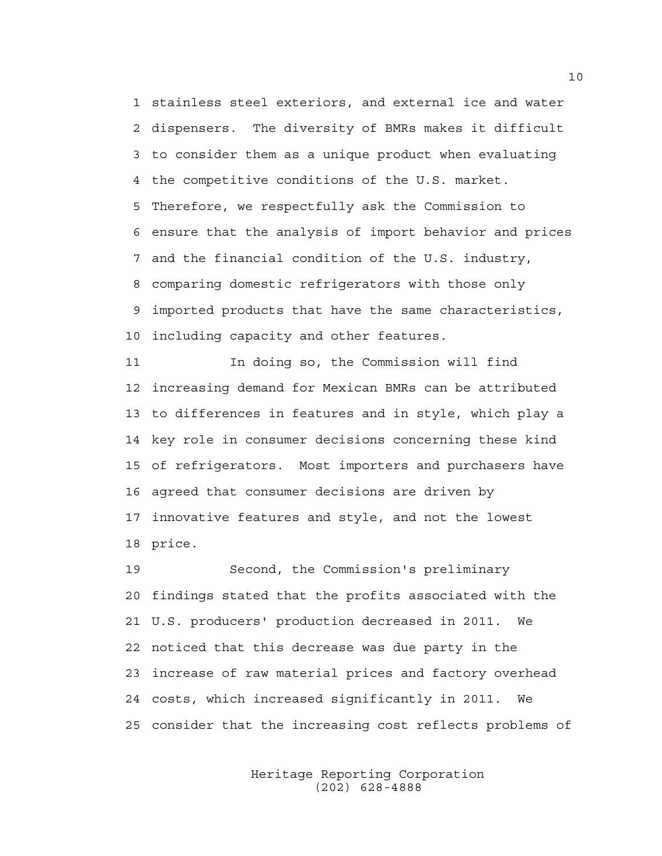1 stainless steel exteriors, and external ice and water 2 dispensers. The diversity of BMRs makes it difficult 3 to consider them as a unique product when evaluating 4 the competitive conditions of the U.S. market. 5 Therefore, we respectfully ask the Commission to 6 ensure that the analysis of import behavior and prices 7 and the financial condition of the U.S. industry, 8 comparing domestic refrigerators with those only 9 imported products that have the same characteristics, 10 including capacity and other features.

11 In doing so, the Commission will find 12 increasing demand for Mexican BMRs can be attributed 13 to differences in features and in style, which play a 14 key role in consumer decisions concerning these kind 15 of refrigerators. Most importers and purchasers have 16 agreed that consumer decisions are driven by 17 innovative features and style, and not the lowest 18 price.

19 Second, the Commission's preliminary 20 findings stated that the profits associated with the 21 U.S. producers' production decreased in 2011. We 22 noticed that this decrease was due party in the 23 increase of raw material prices and factory overhead 24 costs, which increased significantly in 2011. We 25 consider that the increasing cost reflects problems of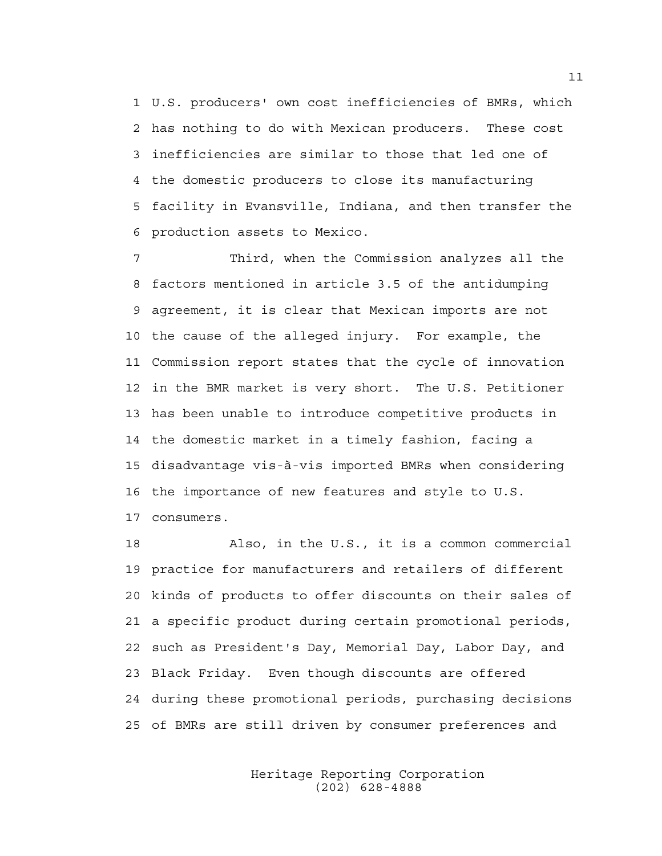1 U.S. producers' own cost inefficiencies of BMRs, which 2 has nothing to do with Mexican producers. These cost 3 inefficiencies are similar to those that led one of 4 the domestic producers to close its manufacturing 5 facility in Evansville, Indiana, and then transfer the 6 production assets to Mexico.

7 Third, when the Commission analyzes all the 8 factors mentioned in article 3.5 of the antidumping 9 agreement, it is clear that Mexican imports are not 10 the cause of the alleged injury. For example, the 11 Commission report states that the cycle of innovation 12 in the BMR market is very short. The U.S. Petitioner 13 has been unable to introduce competitive products in 14 the domestic market in a timely fashion, facing a 15 disadvantage vis-à-vis imported BMRs when considering 16 the importance of new features and style to U.S. 17 consumers.

18 Also, in the U.S., it is a common commercial 19 practice for manufacturers and retailers of different 20 kinds of products to offer discounts on their sales of 21 a specific product during certain promotional periods, 22 such as President's Day, Memorial Day, Labor Day, and 23 Black Friday. Even though discounts are offered 24 during these promotional periods, purchasing decisions 25 of BMRs are still driven by consumer preferences and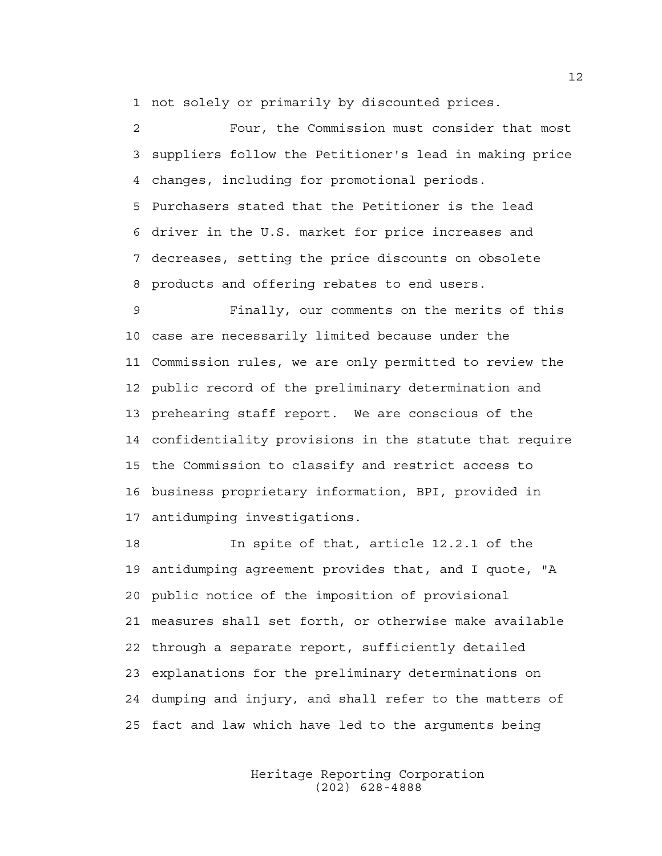1 not solely or primarily by discounted prices.

2 Four, the Commission must consider that most 3 suppliers follow the Petitioner's lead in making price 4 changes, including for promotional periods. 5 Purchasers stated that the Petitioner is the lead 6 driver in the U.S. market for price increases and 7 decreases, setting the price discounts on obsolete 8 products and offering rebates to end users.

9 Finally, our comments on the merits of this 10 case are necessarily limited because under the 11 Commission rules, we are only permitted to review the 12 public record of the preliminary determination and 13 prehearing staff report. We are conscious of the 14 confidentiality provisions in the statute that require 15 the Commission to classify and restrict access to 16 business proprietary information, BPI, provided in 17 antidumping investigations.

18 In spite of that, article 12.2.1 of the 19 antidumping agreement provides that, and I quote, "A 20 public notice of the imposition of provisional 21 measures shall set forth, or otherwise make available 22 through a separate report, sufficiently detailed 23 explanations for the preliminary determinations on 24 dumping and injury, and shall refer to the matters of 25 fact and law which have led to the arguments being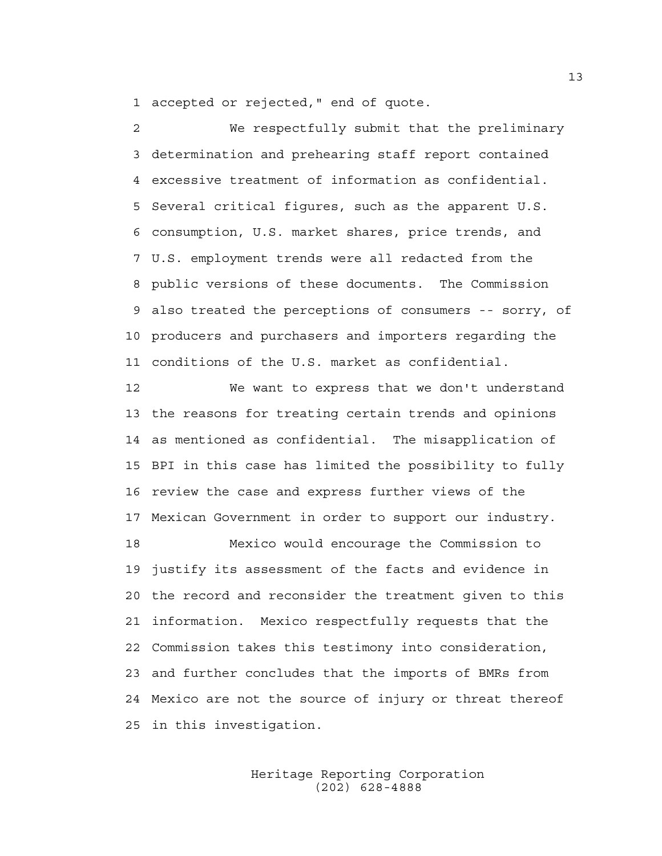1 accepted or rejected," end of quote.

2 We respectfully submit that the preliminary 3 determination and prehearing staff report contained 4 excessive treatment of information as confidential. 5 Several critical figures, such as the apparent U.S. 6 consumption, U.S. market shares, price trends, and 7 U.S. employment trends were all redacted from the 8 public versions of these documents. The Commission 9 also treated the perceptions of consumers -- sorry, of 10 producers and purchasers and importers regarding the 11 conditions of the U.S. market as confidential.

12 We want to express that we don't understand 13 the reasons for treating certain trends and opinions 14 as mentioned as confidential. The misapplication of 15 BPI in this case has limited the possibility to fully 16 review the case and express further views of the 17 Mexican Government in order to support our industry.

18 Mexico would encourage the Commission to 19 justify its assessment of the facts and evidence in 20 the record and reconsider the treatment given to this 21 information. Mexico respectfully requests that the 22 Commission takes this testimony into consideration, 23 and further concludes that the imports of BMRs from 24 Mexico are not the source of injury or threat thereof 25 in this investigation.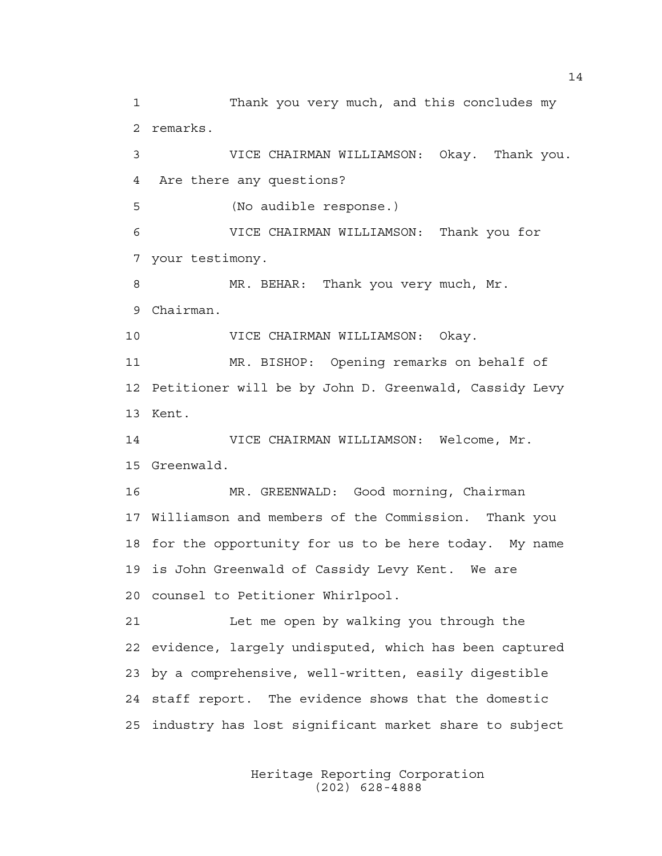1 Thank you very much, and this concludes my 2 remarks. 3 VICE CHAIRMAN WILLIAMSON: Okay. Thank you. 4 Are there any questions? 5 (No audible response.) 6 VICE CHAIRMAN WILLIAMSON: Thank you for 7 your testimony. 8 MR. BEHAR: Thank you very much, Mr. 9 Chairman. 10 VICE CHAIRMAN WILLIAMSON: Okay. 11 MR. BISHOP: Opening remarks on behalf of 12 Petitioner will be by John D. Greenwald, Cassidy Levy 13 Kent. 14 VICE CHAIRMAN WILLIAMSON: Welcome, Mr. 15 Greenwald. 16 MR. GREENWALD: Good morning, Chairman 17 Williamson and members of the Commission. Thank you 18 for the opportunity for us to be here today. My name 19 is John Greenwald of Cassidy Levy Kent. We are 20 counsel to Petitioner Whirlpool. 21 Let me open by walking you through the 22 evidence, largely undisputed, which has been captured 23 by a comprehensive, well-written, easily digestible 24 staff report. The evidence shows that the domestic 25 industry has lost significant market share to subject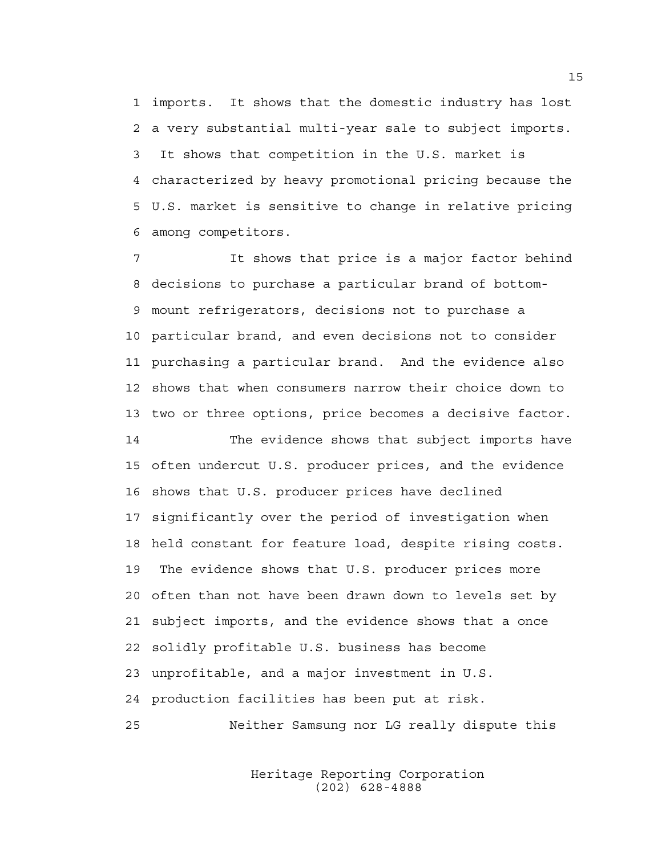1 imports. It shows that the domestic industry has lost 2 a very substantial multi-year sale to subject imports. 3 It shows that competition in the U.S. market is 4 characterized by heavy promotional pricing because the 5 U.S. market is sensitive to change in relative pricing 6 among competitors.

7 It shows that price is a major factor behind 8 decisions to purchase a particular brand of bottom-9 mount refrigerators, decisions not to purchase a 10 particular brand, and even decisions not to consider 11 purchasing a particular brand. And the evidence also 12 shows that when consumers narrow their choice down to 13 two or three options, price becomes a decisive factor.

14 The evidence shows that subject imports have 15 often undercut U.S. producer prices, and the evidence 16 shows that U.S. producer prices have declined 17 significantly over the period of investigation when 18 held constant for feature load, despite rising costs. 19 The evidence shows that U.S. producer prices more 20 often than not have been drawn down to levels set by 21 subject imports, and the evidence shows that a once 22 solidly profitable U.S. business has become 23 unprofitable, and a major investment in U.S. 24 production facilities has been put at risk. 25 Neither Samsung nor LG really dispute this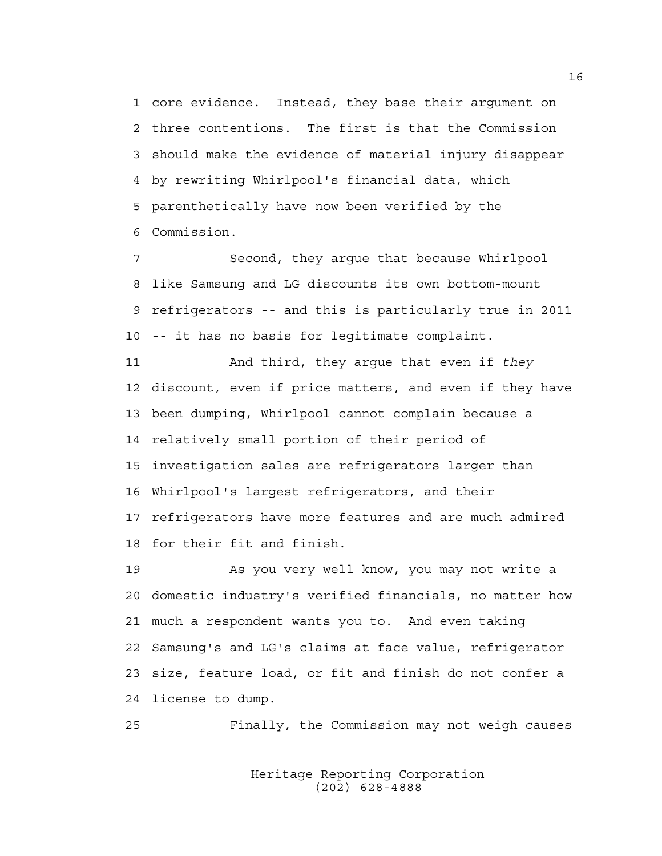1 core evidence. Instead, they base their argument on 2 three contentions. The first is that the Commission 3 should make the evidence of material injury disappear 4 by rewriting Whirlpool's financial data, which 5 parenthetically have now been verified by the 6 Commission.

7 Second, they argue that because Whirlpool 8 like Samsung and LG discounts its own bottom-mount 9 refrigerators -- and this is particularly true in 2011 10 -- it has no basis for legitimate complaint.

11 And third, they argue that even if *they* 12 discount, even if price matters, and even if they have 13 been dumping, Whirlpool cannot complain because a 14 relatively small portion of their period of 15 investigation sales are refrigerators larger than 16 Whirlpool's largest refrigerators, and their 17 refrigerators have more features and are much admired 18 for their fit and finish.

19 As you very well know, you may not write a 20 domestic industry's verified financials, no matter how 21 much a respondent wants you to. And even taking 22 Samsung's and LG's claims at face value, refrigerator 23 size, feature load, or fit and finish do not confer a 24 license to dump.

25 Finally, the Commission may not weigh causes

 Heritage Reporting Corporation (202) 628-4888

16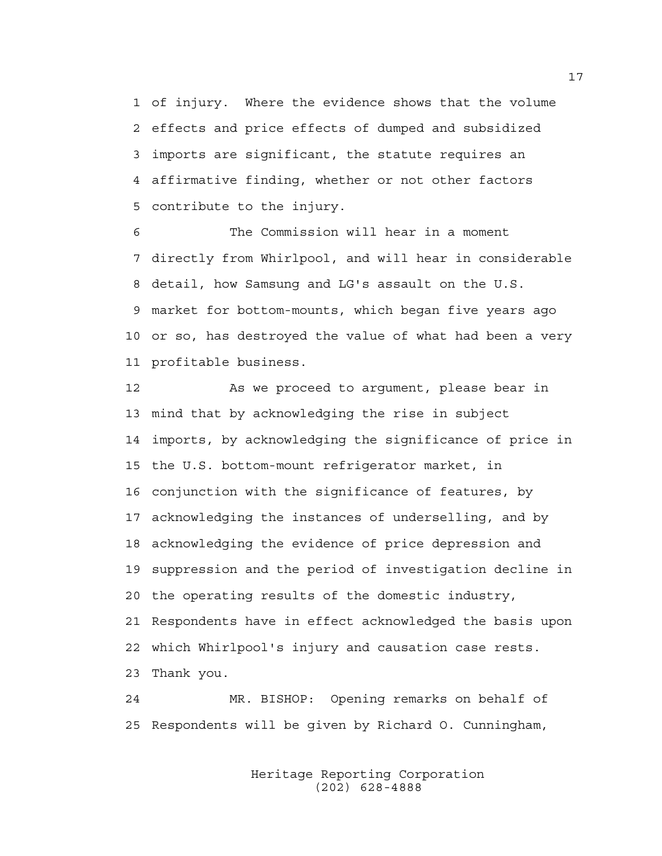1 of injury. Where the evidence shows that the volume 2 effects and price effects of dumped and subsidized 3 imports are significant, the statute requires an 4 affirmative finding, whether or not other factors 5 contribute to the injury.

6 The Commission will hear in a moment 7 directly from Whirlpool, and will hear in considerable 8 detail, how Samsung and LG's assault on the U.S. 9 market for bottom-mounts, which began five years ago 10 or so, has destroyed the value of what had been a very 11 profitable business.

12 As we proceed to argument, please bear in 13 mind that by acknowledging the rise in subject 14 imports, by acknowledging the significance of price in 15 the U.S. bottom-mount refrigerator market, in 16 conjunction with the significance of features, by 17 acknowledging the instances of underselling, and by 18 acknowledging the evidence of price depression and 19 suppression and the period of investigation decline in 20 the operating results of the domestic industry, 21 Respondents have in effect acknowledged the basis upon 22 which Whirlpool's injury and causation case rests. 23 Thank you.

24 MR. BISHOP: Opening remarks on behalf of 25 Respondents will be given by Richard O. Cunningham,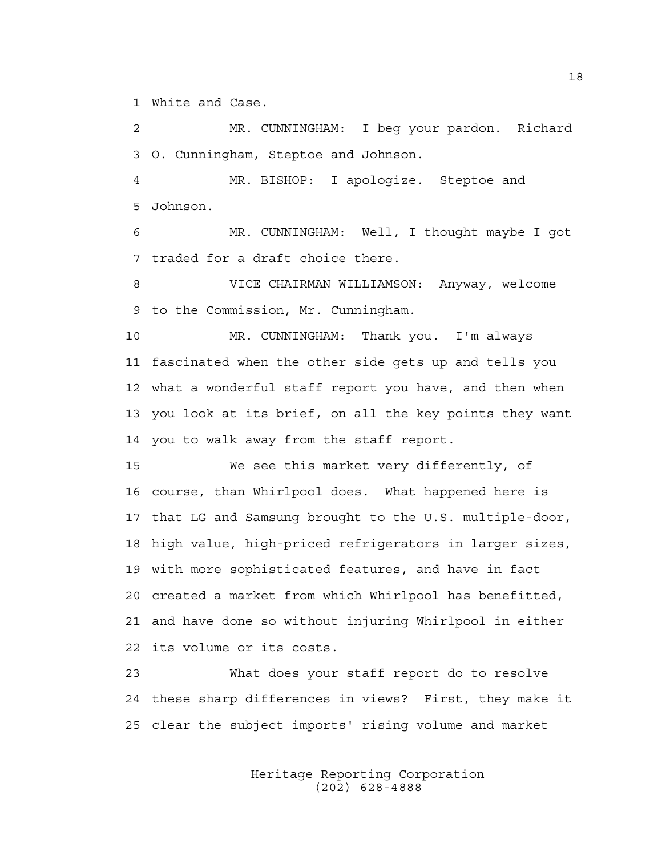1 White and Case.

2 MR. CUNNINGHAM: I beg your pardon. Richard 3 O. Cunningham, Steptoe and Johnson.

4 MR. BISHOP: I apologize. Steptoe and 5 Johnson.

6 MR. CUNNINGHAM: Well, I thought maybe I got 7 traded for a draft choice there.

8 VICE CHAIRMAN WILLIAMSON: Anyway, welcome 9 to the Commission, Mr. Cunningham.

10 MR. CUNNINGHAM: Thank you. I'm always 11 fascinated when the other side gets up and tells you 12 what a wonderful staff report you have, and then when 13 you look at its brief, on all the key points they want 14 you to walk away from the staff report.

15 We see this market very differently, of 16 course, than Whirlpool does. What happened here is 17 that LG and Samsung brought to the U.S. multiple-door, 18 high value, high-priced refrigerators in larger sizes, 19 with more sophisticated features, and have in fact 20 created a market from which Whirlpool has benefitted, 21 and have done so without injuring Whirlpool in either 22 its volume or its costs.

23 What does your staff report do to resolve 24 these sharp differences in views? First, they make it 25 clear the subject imports' rising volume and market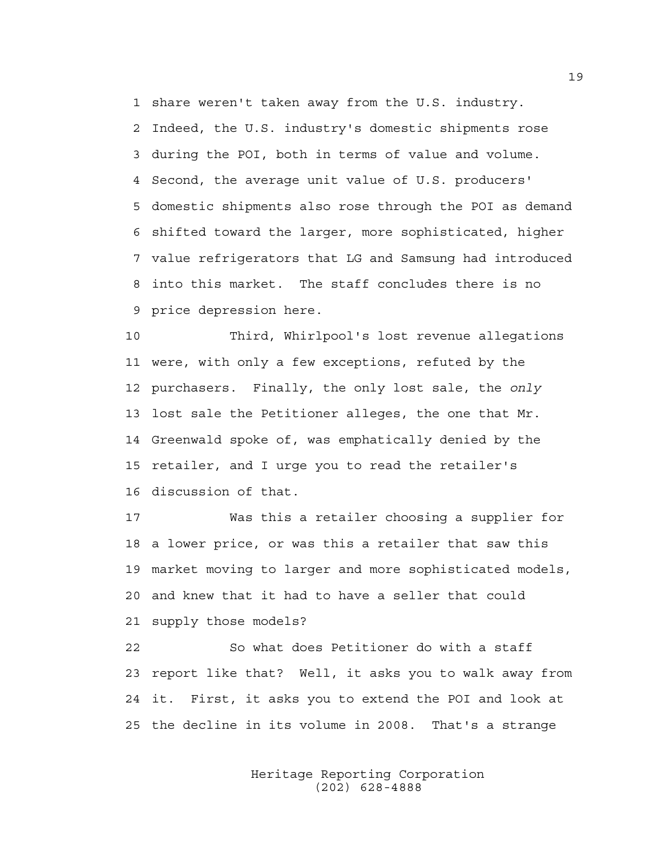1 share weren't taken away from the U.S. industry. 2 Indeed, the U.S. industry's domestic shipments rose 3 during the POI, both in terms of value and volume. 4 Second, the average unit value of U.S. producers' 5 domestic shipments also rose through the POI as demand 6 shifted toward the larger, more sophisticated, higher 7 value refrigerators that LG and Samsung had introduced 8 into this market. The staff concludes there is no 9 price depression here.

10 Third, Whirlpool's lost revenue allegations 11 were, with only a few exceptions, refuted by the 12 purchasers. Finally, the only lost sale, the *only* 13 lost sale the Petitioner alleges, the one that Mr. 14 Greenwald spoke of, was emphatically denied by the 15 retailer, and I urge you to read the retailer's 16 discussion of that.

17 Was this a retailer choosing a supplier for 18 a lower price, or was this a retailer that saw this 19 market moving to larger and more sophisticated models, 20 and knew that it had to have a seller that could 21 supply those models?

22 So what does Petitioner do with a staff 23 report like that? Well, it asks you to walk away from 24 it. First, it asks you to extend the POI and look at 25 the decline in its volume in 2008. That's a strange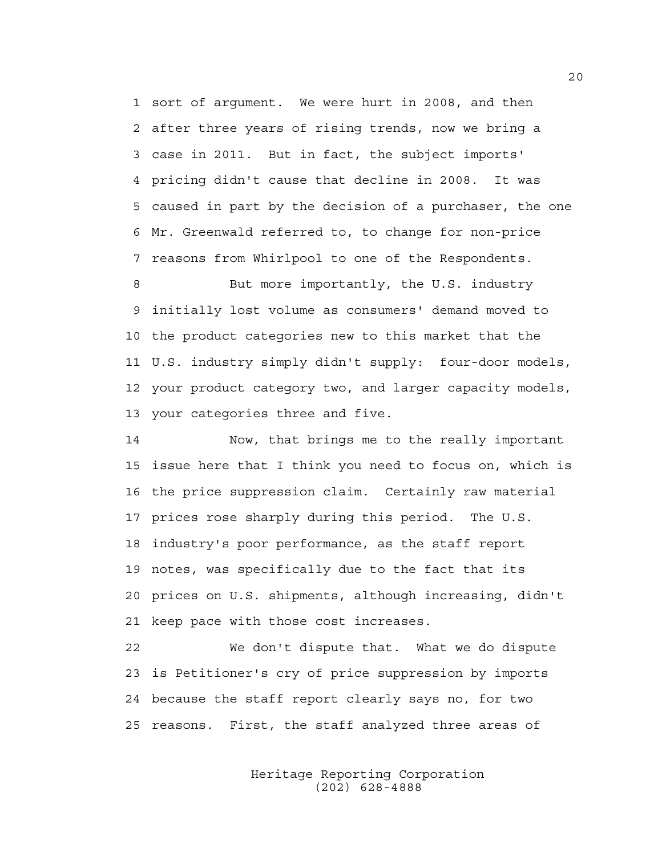1 sort of argument. We were hurt in 2008, and then 2 after three years of rising trends, now we bring a 3 case in 2011. But in fact, the subject imports' 4 pricing didn't cause that decline in 2008. It was 5 caused in part by the decision of a purchaser, the one 6 Mr. Greenwald referred to, to change for non-price 7 reasons from Whirlpool to one of the Respondents.

8 But more importantly, the U.S. industry 9 initially lost volume as consumers' demand moved to 10 the product categories new to this market that the 11 U.S. industry simply didn't supply: four-door models, 12 your product category two, and larger capacity models, 13 your categories three and five.

14 Now, that brings me to the really important 15 issue here that I think you need to focus on, which is 16 the price suppression claim. Certainly raw material 17 prices rose sharply during this period. The U.S. 18 industry's poor performance, as the staff report 19 notes, was specifically due to the fact that its 20 prices on U.S. shipments, although increasing, didn't 21 keep pace with those cost increases.

22 We don't dispute that. What we do dispute 23 is Petitioner's cry of price suppression by imports 24 because the staff report clearly says no, for two 25 reasons. First, the staff analyzed three areas of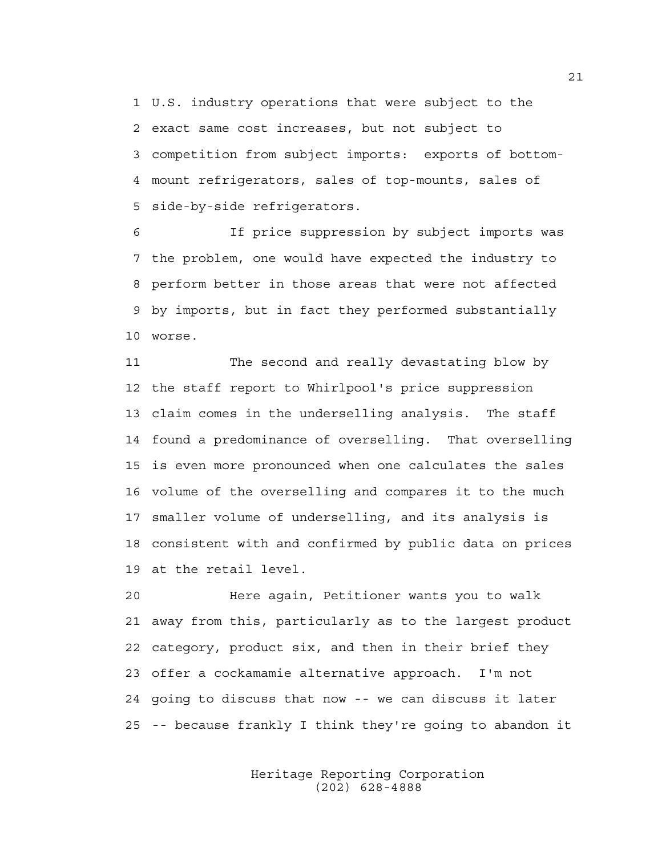1 U.S. industry operations that were subject to the 2 exact same cost increases, but not subject to 3 competition from subject imports: exports of bottom-4 mount refrigerators, sales of top-mounts, sales of 5 side-by-side refrigerators.

6 If price suppression by subject imports was 7 the problem, one would have expected the industry to 8 perform better in those areas that were not affected 9 by imports, but in fact they performed substantially 10 worse.

11 The second and really devastating blow by 12 the staff report to Whirlpool's price suppression 13 claim comes in the underselling analysis. The staff 14 found a predominance of overselling. That overselling 15 is even more pronounced when one calculates the sales 16 volume of the overselling and compares it to the much 17 smaller volume of underselling, and its analysis is 18 consistent with and confirmed by public data on prices 19 at the retail level.

20 Here again, Petitioner wants you to walk 21 away from this, particularly as to the largest product 22 category, product six, and then in their brief they 23 offer a cockamamie alternative approach. I'm not 24 going to discuss that now -- we can discuss it later 25 -- because frankly I think they're going to abandon it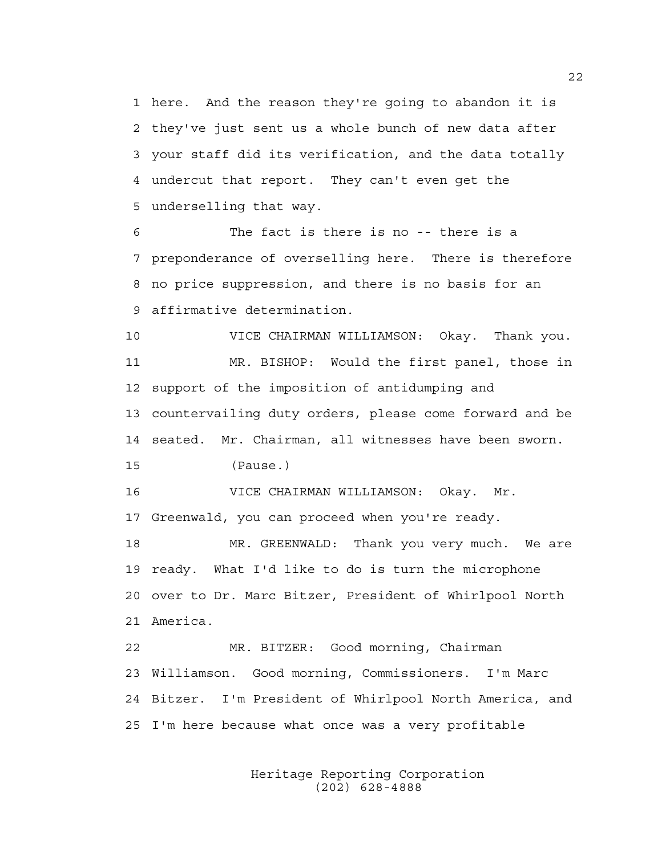1 here. And the reason they're going to abandon it is 2 they've just sent us a whole bunch of new data after 3 your staff did its verification, and the data totally 4 undercut that report. They can't even get the 5 underselling that way.

6 The fact is there is no -- there is a 7 preponderance of overselling here. There is therefore 8 no price suppression, and there is no basis for an 9 affirmative determination.

10 VICE CHAIRMAN WILLIAMSON: Okay. Thank you. 11 MR. BISHOP: Would the first panel, those in 12 support of the imposition of antidumping and 13 countervailing duty orders, please come forward and be 14 seated. Mr. Chairman, all witnesses have been sworn. 15 (Pause.)

16 VICE CHAIRMAN WILLIAMSON: Okay. Mr. 17 Greenwald, you can proceed when you're ready.

18 MR. GREENWALD: Thank you very much. We are 19 ready. What I'd like to do is turn the microphone 20 over to Dr. Marc Bitzer, President of Whirlpool North 21 America.

22 MR. BITZER: Good morning, Chairman 23 Williamson. Good morning, Commissioners. I'm Marc 24 Bitzer. I'm President of Whirlpool North America, and 25 I'm here because what once was a very profitable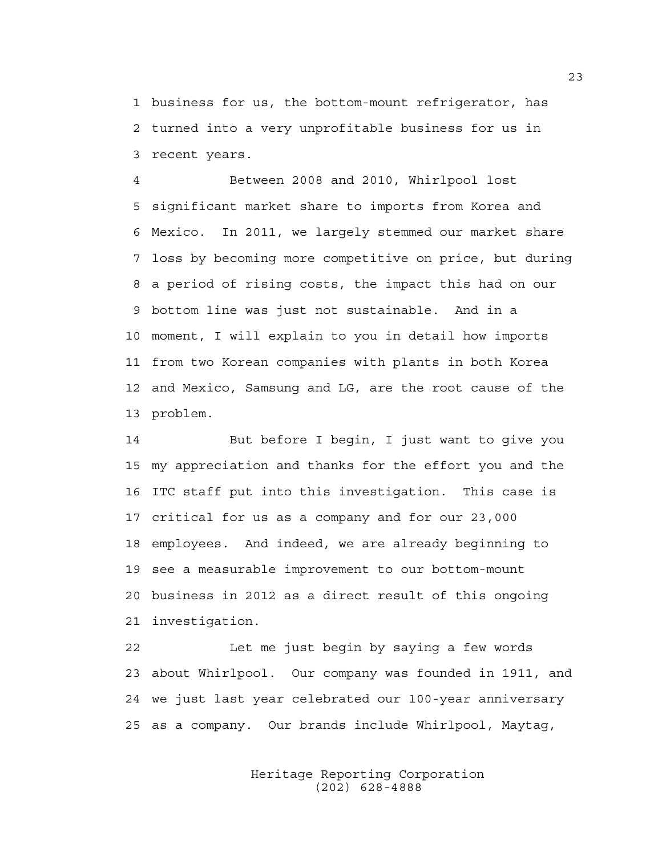1 business for us, the bottom-mount refrigerator, has 2 turned into a very unprofitable business for us in 3 recent years.

4 Between 2008 and 2010, Whirlpool lost 5 significant market share to imports from Korea and 6 Mexico. In 2011, we largely stemmed our market share 7 loss by becoming more competitive on price, but during 8 a period of rising costs, the impact this had on our 9 bottom line was just not sustainable. And in a 10 moment, I will explain to you in detail how imports 11 from two Korean companies with plants in both Korea 12 and Mexico, Samsung and LG, are the root cause of the 13 problem.

14 But before I begin, I just want to give you 15 my appreciation and thanks for the effort you and the 16 ITC staff put into this investigation. This case is 17 critical for us as a company and for our 23,000 18 employees. And indeed, we are already beginning to 19 see a measurable improvement to our bottom-mount 20 business in 2012 as a direct result of this ongoing 21 investigation.

22 Let me just begin by saying a few words 23 about Whirlpool. Our company was founded in 1911, and 24 we just last year celebrated our 100-year anniversary 25 as a company. Our brands include Whirlpool, Maytag,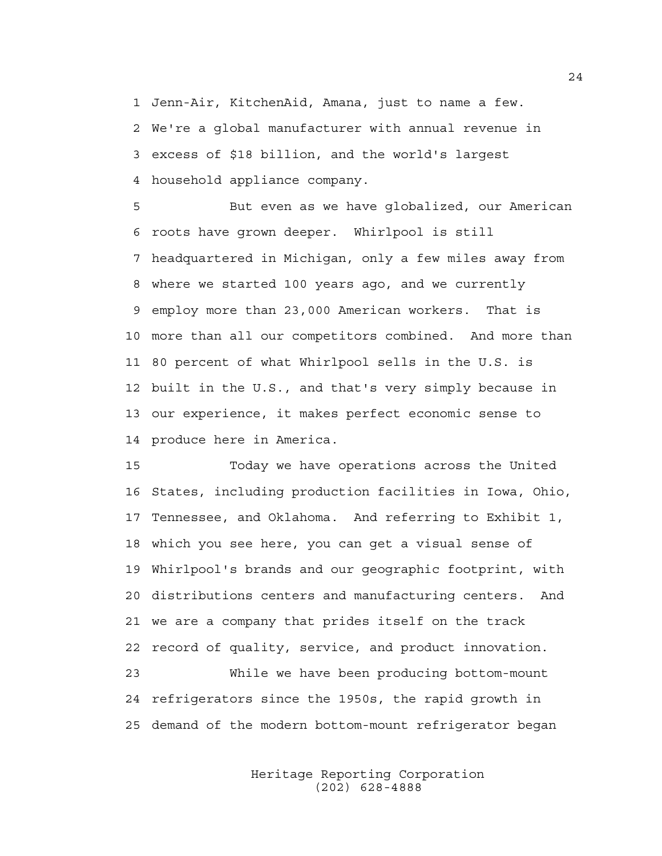1 Jenn-Air, KitchenAid, Amana, just to name a few. 2 We're a global manufacturer with annual revenue in 3 excess of \$18 billion, and the world's largest 4 household appliance company.

5 But even as we have globalized, our American 6 roots have grown deeper. Whirlpool is still 7 headquartered in Michigan, only a few miles away from 8 where we started 100 years ago, and we currently 9 employ more than 23,000 American workers. That is 10 more than all our competitors combined. And more than 11 80 percent of what Whirlpool sells in the U.S. is 12 built in the U.S., and that's very simply because in 13 our experience, it makes perfect economic sense to 14 produce here in America.

15 Today we have operations across the United 16 States, including production facilities in Iowa, Ohio, 17 Tennessee, and Oklahoma. And referring to Exhibit 1, 18 which you see here, you can get a visual sense of 19 Whirlpool's brands and our geographic footprint, with 20 distributions centers and manufacturing centers. And 21 we are a company that prides itself on the track 22 record of quality, service, and product innovation. 23 While we have been producing bottom-mount 24 refrigerators since the 1950s, the rapid growth in 25 demand of the modern bottom-mount refrigerator began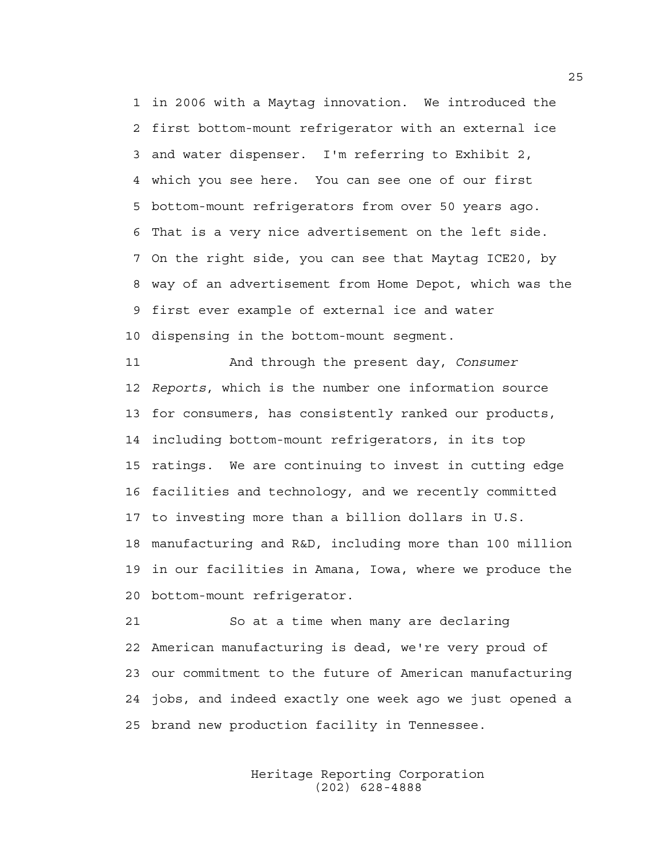1 in 2006 with a Maytag innovation. We introduced the 2 first bottom-mount refrigerator with an external ice 3 and water dispenser. I'm referring to Exhibit 2, 4 which you see here. You can see one of our first 5 bottom-mount refrigerators from over 50 years ago. 6 That is a very nice advertisement on the left side. 7 On the right side, you can see that Maytag ICE20, by 8 way of an advertisement from Home Depot, which was the 9 first ever example of external ice and water 10 dispensing in the bottom-mount segment.

11 And through the present day, *Consumer*  12 *Reports*, which is the number one information source 13 for consumers, has consistently ranked our products, 14 including bottom-mount refrigerators, in its top 15 ratings. We are continuing to invest in cutting edge 16 facilities and technology, and we recently committed 17 to investing more than a billion dollars in U.S. 18 manufacturing and R&D, including more than 100 million 19 in our facilities in Amana, Iowa, where we produce the 20 bottom-mount refrigerator.

21 So at a time when many are declaring 22 American manufacturing is dead, we're very proud of 23 our commitment to the future of American manufacturing 24 jobs, and indeed exactly one week ago we just opened a 25 brand new production facility in Tennessee.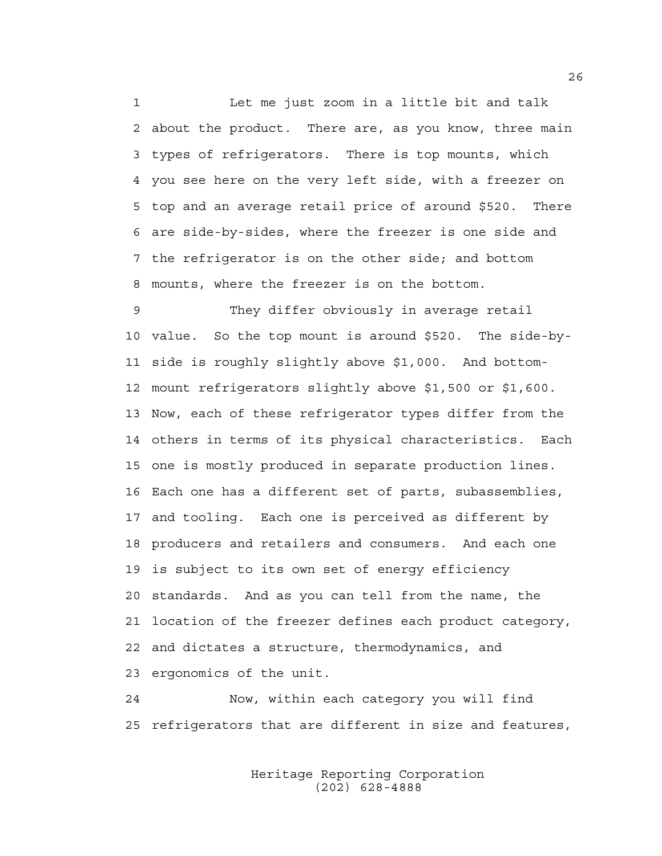1 Let me just zoom in a little bit and talk 2 about the product. There are, as you know, three main 3 types of refrigerators. There is top mounts, which 4 you see here on the very left side, with a freezer on 5 top and an average retail price of around \$520. There 6 are side-by-sides, where the freezer is one side and 7 the refrigerator is on the other side; and bottom 8 mounts, where the freezer is on the bottom.

9 They differ obviously in average retail 10 value. So the top mount is around \$520. The side-by-11 side is roughly slightly above \$1,000. And bottom-12 mount refrigerators slightly above \$1,500 or \$1,600. 13 Now, each of these refrigerator types differ from the 14 others in terms of its physical characteristics. Each 15 one is mostly produced in separate production lines. 16 Each one has a different set of parts, subassemblies, 17 and tooling. Each one is perceived as different by 18 producers and retailers and consumers. And each one 19 is subject to its own set of energy efficiency 20 standards. And as you can tell from the name, the 21 location of the freezer defines each product category, 22 and dictates a structure, thermodynamics, and 23 ergonomics of the unit.

24 Now, within each category you will find 25 refrigerators that are different in size and features,

> Heritage Reporting Corporation (202) 628-4888

26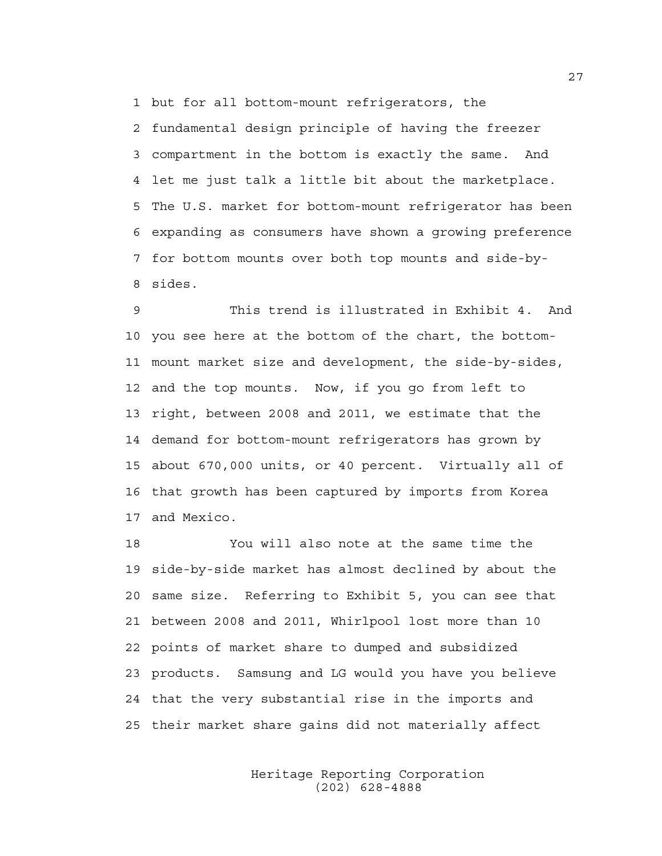1 but for all bottom-mount refrigerators, the

2 fundamental design principle of having the freezer 3 compartment in the bottom is exactly the same. And 4 let me just talk a little bit about the marketplace. 5 The U.S. market for bottom-mount refrigerator has been 6 expanding as consumers have shown a growing preference 7 for bottom mounts over both top mounts and side-by-8 sides.

9 This trend is illustrated in Exhibit 4. And 10 you see here at the bottom of the chart, the bottom-11 mount market size and development, the side-by-sides, 12 and the top mounts. Now, if you go from left to 13 right, between 2008 and 2011, we estimate that the 14 demand for bottom-mount refrigerators has grown by 15 about 670,000 units, or 40 percent. Virtually all of 16 that growth has been captured by imports from Korea 17 and Mexico.

18 You will also note at the same time the 19 side-by-side market has almost declined by about the 20 same size. Referring to Exhibit 5, you can see that 21 between 2008 and 2011, Whirlpool lost more than 10 22 points of market share to dumped and subsidized 23 products. Samsung and LG would you have you believe 24 that the very substantial rise in the imports and 25 their market share gains did not materially affect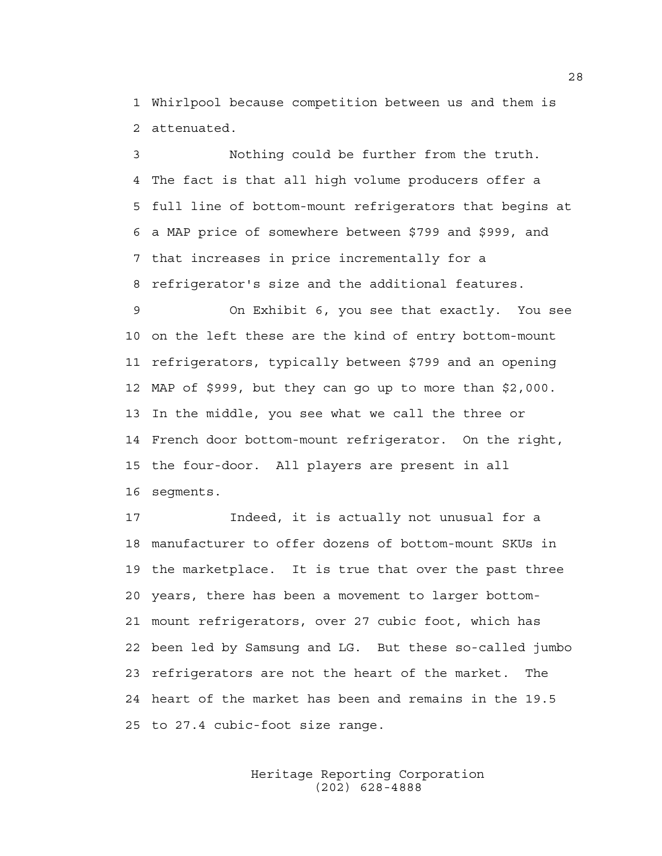1 Whirlpool because competition between us and them is 2 attenuated.

3 Nothing could be further from the truth. 4 The fact is that all high volume producers offer a 5 full line of bottom-mount refrigerators that begins at 6 a MAP price of somewhere between \$799 and \$999, and 7 that increases in price incrementally for a 8 refrigerator's size and the additional features.

9 On Exhibit 6, you see that exactly. You see 10 on the left these are the kind of entry bottom-mount 11 refrigerators, typically between \$799 and an opening 12 MAP of \$999, but they can go up to more than \$2,000. 13 In the middle, you see what we call the three or 14 French door bottom-mount refrigerator. On the right, 15 the four-door. All players are present in all 16 segments.

17 Indeed, it is actually not unusual for a 18 manufacturer to offer dozens of bottom-mount SKUs in 19 the marketplace. It is true that over the past three 20 years, there has been a movement to larger bottom-21 mount refrigerators, over 27 cubic foot, which has 22 been led by Samsung and LG. But these so-called jumbo 23 refrigerators are not the heart of the market. The 24 heart of the market has been and remains in the 19.5 25 to 27.4 cubic-foot size range.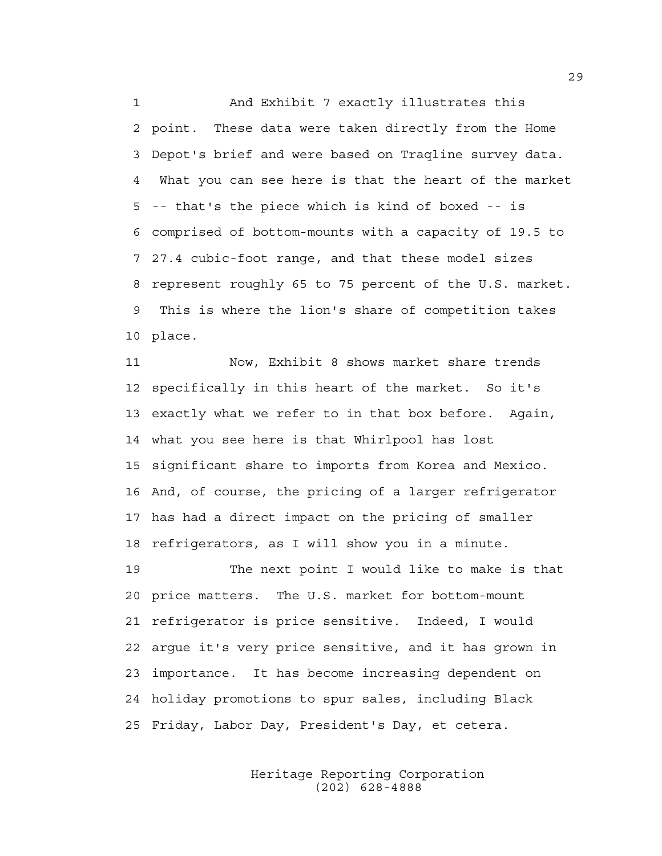1 And Exhibit 7 exactly illustrates this 2 point. These data were taken directly from the Home 3 Depot's brief and were based on Traqline survey data. 4 What you can see here is that the heart of the market 5 -- that's the piece which is kind of boxed -- is 6 comprised of bottom-mounts with a capacity of 19.5 to 7 27.4 cubic-foot range, and that these model sizes 8 represent roughly 65 to 75 percent of the U.S. market. 9 This is where the lion's share of competition takes 10 place.

11 Now, Exhibit 8 shows market share trends 12 specifically in this heart of the market. So it's 13 exactly what we refer to in that box before. Again, 14 what you see here is that Whirlpool has lost 15 significant share to imports from Korea and Mexico. 16 And, of course, the pricing of a larger refrigerator 17 has had a direct impact on the pricing of smaller 18 refrigerators, as I will show you in a minute.

19 The next point I would like to make is that 20 price matters. The U.S. market for bottom-mount 21 refrigerator is price sensitive. Indeed, I would 22 argue it's very price sensitive, and it has grown in 23 importance. It has become increasing dependent on 24 holiday promotions to spur sales, including Black 25 Friday, Labor Day, President's Day, et cetera.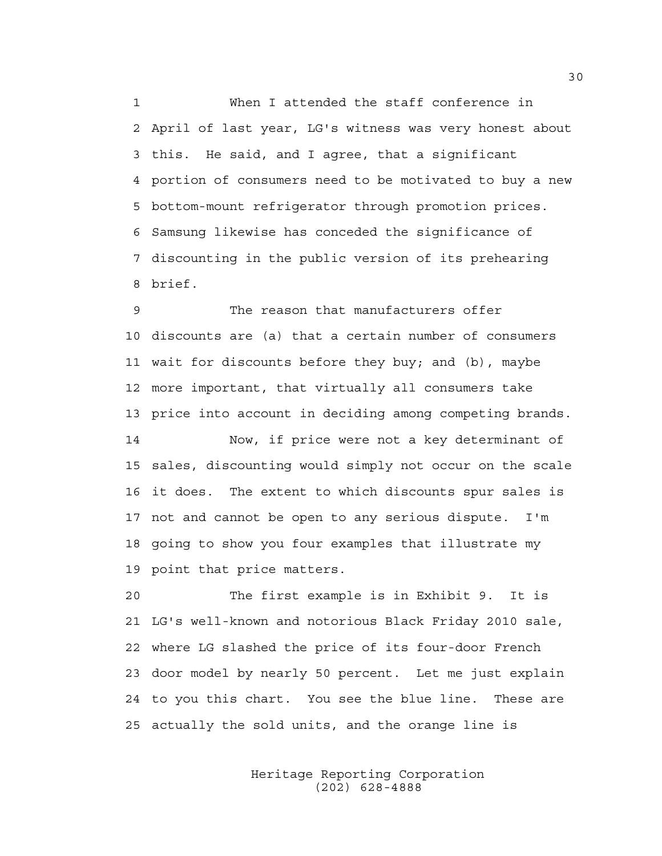1 When I attended the staff conference in 2 April of last year, LG's witness was very honest about 3 this. He said, and I agree, that a significant 4 portion of consumers need to be motivated to buy a new 5 bottom-mount refrigerator through promotion prices. 6 Samsung likewise has conceded the significance of 7 discounting in the public version of its prehearing 8 brief.

9 The reason that manufacturers offer 10 discounts are (a) that a certain number of consumers 11 wait for discounts before they buy; and (b), maybe 12 more important, that virtually all consumers take 13 price into account in deciding among competing brands.

14 Now, if price were not a key determinant of 15 sales, discounting would simply not occur on the scale 16 it does. The extent to which discounts spur sales is 17 not and cannot be open to any serious dispute. I'm 18 going to show you four examples that illustrate my 19 point that price matters.

20 The first example is in Exhibit 9. It is 21 LG's well-known and notorious Black Friday 2010 sale, 22 where LG slashed the price of its four-door French 23 door model by nearly 50 percent. Let me just explain 24 to you this chart. You see the blue line. These are 25 actually the sold units, and the orange line is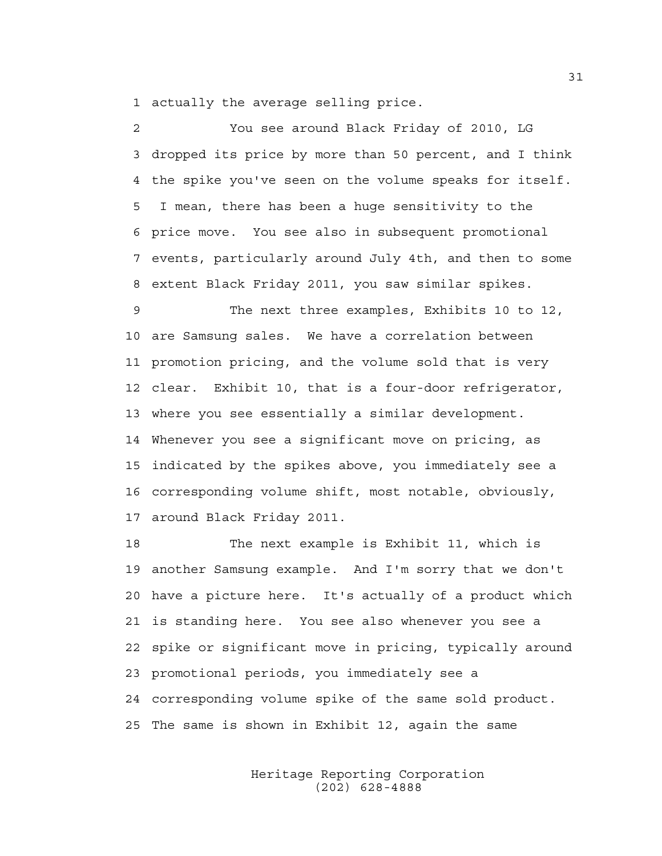1 actually the average selling price.

2 You see around Black Friday of 2010, LG 3 dropped its price by more than 50 percent, and I think 4 the spike you've seen on the volume speaks for itself. 5 I mean, there has been a huge sensitivity to the 6 price move. You see also in subsequent promotional 7 events, particularly around July 4th, and then to some 8 extent Black Friday 2011, you saw similar spikes.

9 The next three examples, Exhibits 10 to 12, 10 are Samsung sales. We have a correlation between 11 promotion pricing, and the volume sold that is very 12 clear. Exhibit 10, that is a four-door refrigerator, 13 where you see essentially a similar development. 14 Whenever you see a significant move on pricing, as 15 indicated by the spikes above, you immediately see a 16 corresponding volume shift, most notable, obviously, 17 around Black Friday 2011.

18 The next example is Exhibit 11, which is 19 another Samsung example. And I'm sorry that we don't 20 have a picture here. It's actually of a product which 21 is standing here. You see also whenever you see a 22 spike or significant move in pricing, typically around 23 promotional periods, you immediately see a 24 corresponding volume spike of the same sold product. 25 The same is shown in Exhibit 12, again the same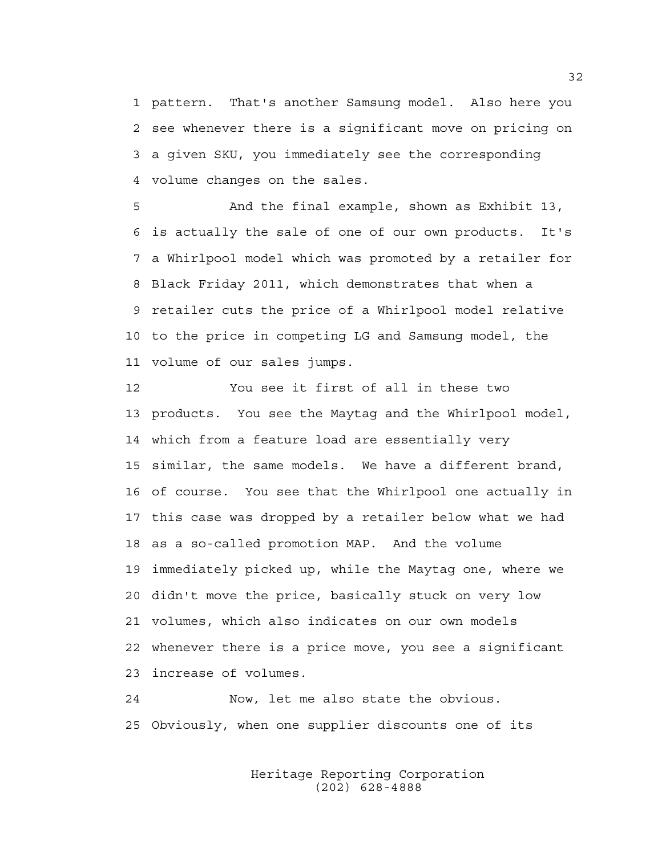1 pattern. That's another Samsung model. Also here you 2 see whenever there is a significant move on pricing on 3 a given SKU, you immediately see the corresponding 4 volume changes on the sales.

5 And the final example, shown as Exhibit 13, 6 is actually the sale of one of our own products. It's 7 a Whirlpool model which was promoted by a retailer for 8 Black Friday 2011, which demonstrates that when a 9 retailer cuts the price of a Whirlpool model relative 10 to the price in competing LG and Samsung model, the 11 volume of our sales jumps.

12 You see it first of all in these two 13 products. You see the Maytag and the Whirlpool model, 14 which from a feature load are essentially very 15 similar, the same models. We have a different brand, 16 of course. You see that the Whirlpool one actually in 17 this case was dropped by a retailer below what we had 18 as a so-called promotion MAP. And the volume 19 immediately picked up, while the Maytag one, where we 20 didn't move the price, basically stuck on very low 21 volumes, which also indicates on our own models 22 whenever there is a price move, you see a significant 23 increase of volumes.

24 Now, let me also state the obvious. 25 Obviously, when one supplier discounts one of its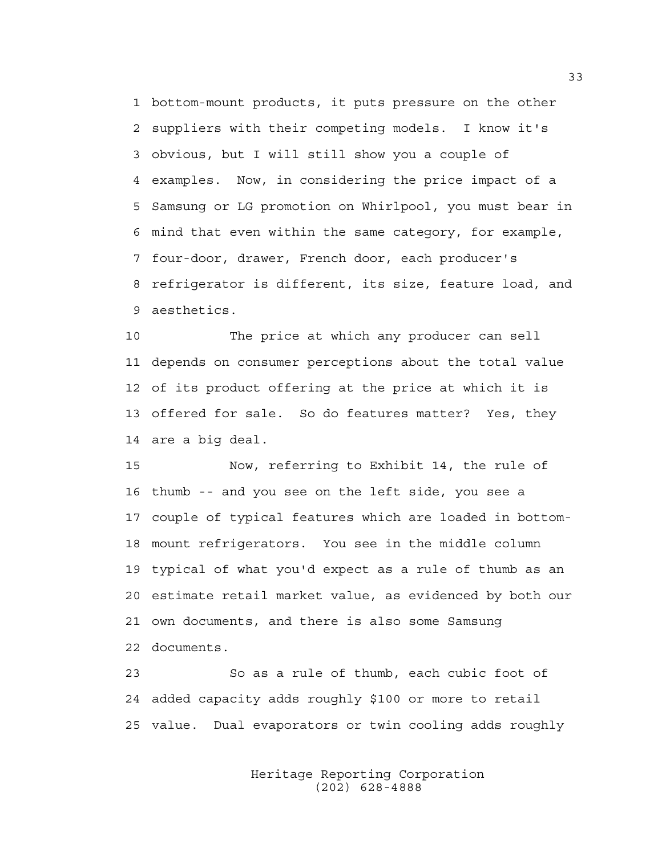1 bottom-mount products, it puts pressure on the other 2 suppliers with their competing models. I know it's 3 obvious, but I will still show you a couple of 4 examples. Now, in considering the price impact of a 5 Samsung or LG promotion on Whirlpool, you must bear in 6 mind that even within the same category, for example, 7 four-door, drawer, French door, each producer's 8 refrigerator is different, its size, feature load, and 9 aesthetics.

10 The price at which any producer can sell 11 depends on consumer perceptions about the total value 12 of its product offering at the price at which it is 13 offered for sale. So do features matter? Yes, they 14 are a big deal.

15 Now, referring to Exhibit 14, the rule of 16 thumb -- and you see on the left side, you see a 17 couple of typical features which are loaded in bottom-18 mount refrigerators. You see in the middle column 19 typical of what you'd expect as a rule of thumb as an 20 estimate retail market value, as evidenced by both our 21 own documents, and there is also some Samsung 22 documents.

23 So as a rule of thumb, each cubic foot of 24 added capacity adds roughly \$100 or more to retail 25 value. Dual evaporators or twin cooling adds roughly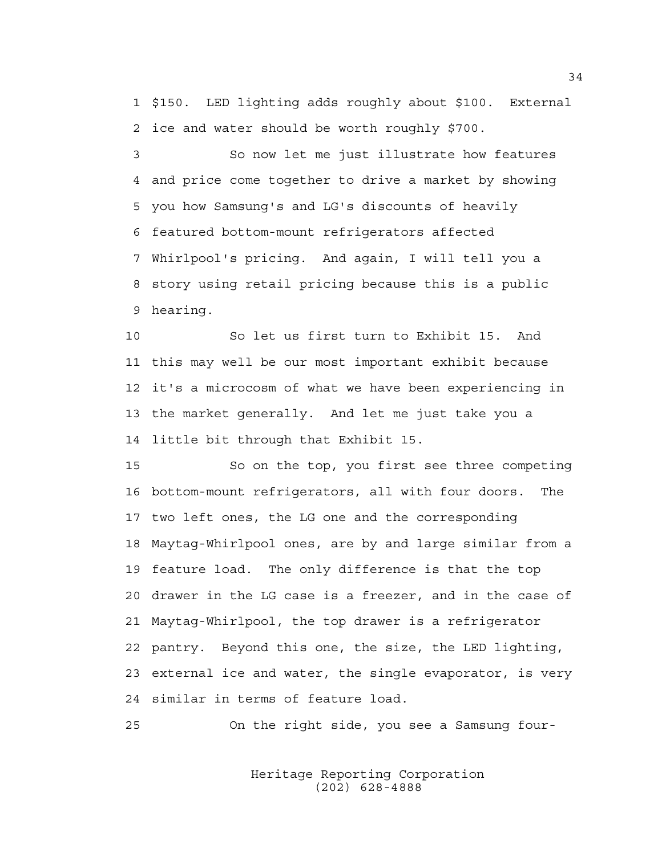1 \$150. LED lighting adds roughly about \$100. External 2 ice and water should be worth roughly \$700.

3 So now let me just illustrate how features 4 and price come together to drive a market by showing 5 you how Samsung's and LG's discounts of heavily 6 featured bottom-mount refrigerators affected 7 Whirlpool's pricing. And again, I will tell you a 8 story using retail pricing because this is a public 9 hearing.

10 So let us first turn to Exhibit 15. And 11 this may well be our most important exhibit because 12 it's a microcosm of what we have been experiencing in 13 the market generally. And let me just take you a 14 little bit through that Exhibit 15.

15 So on the top, you first see three competing 16 bottom-mount refrigerators, all with four doors. The 17 two left ones, the LG one and the corresponding 18 Maytag-Whirlpool ones, are by and large similar from a 19 feature load. The only difference is that the top 20 drawer in the LG case is a freezer, and in the case of 21 Maytag-Whirlpool, the top drawer is a refrigerator 22 pantry. Beyond this one, the size, the LED lighting, 23 external ice and water, the single evaporator, is very 24 similar in terms of feature load.

25 On the right side, you see a Samsung four-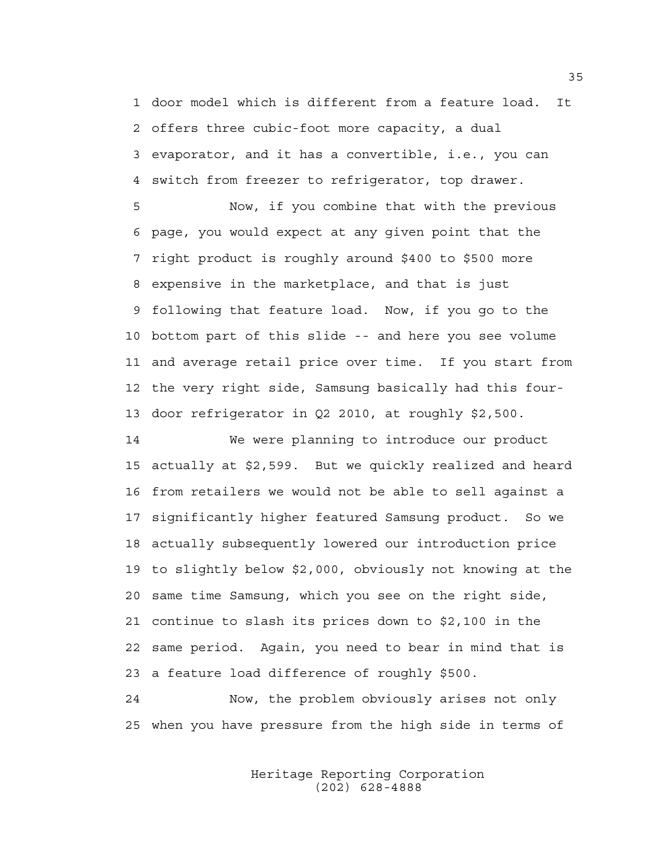1 door model which is different from a feature load. It 2 offers three cubic-foot more capacity, a dual 3 evaporator, and it has a convertible, i.e., you can 4 switch from freezer to refrigerator, top drawer.

5 Now, if you combine that with the previous 6 page, you would expect at any given point that the 7 right product is roughly around \$400 to \$500 more 8 expensive in the marketplace, and that is just 9 following that feature load. Now, if you go to the 10 bottom part of this slide -- and here you see volume 11 and average retail price over time. If you start from 12 the very right side, Samsung basically had this four-13 door refrigerator in Q2 2010, at roughly \$2,500.

14 We were planning to introduce our product 15 actually at \$2,599. But we quickly realized and heard 16 from retailers we would not be able to sell against a 17 significantly higher featured Samsung product. So we 18 actually subsequently lowered our introduction price 19 to slightly below \$2,000, obviously not knowing at the 20 same time Samsung, which you see on the right side, 21 continue to slash its prices down to \$2,100 in the 22 same period. Again, you need to bear in mind that is 23 a feature load difference of roughly \$500.

24 Now, the problem obviously arises not only 25 when you have pressure from the high side in terms of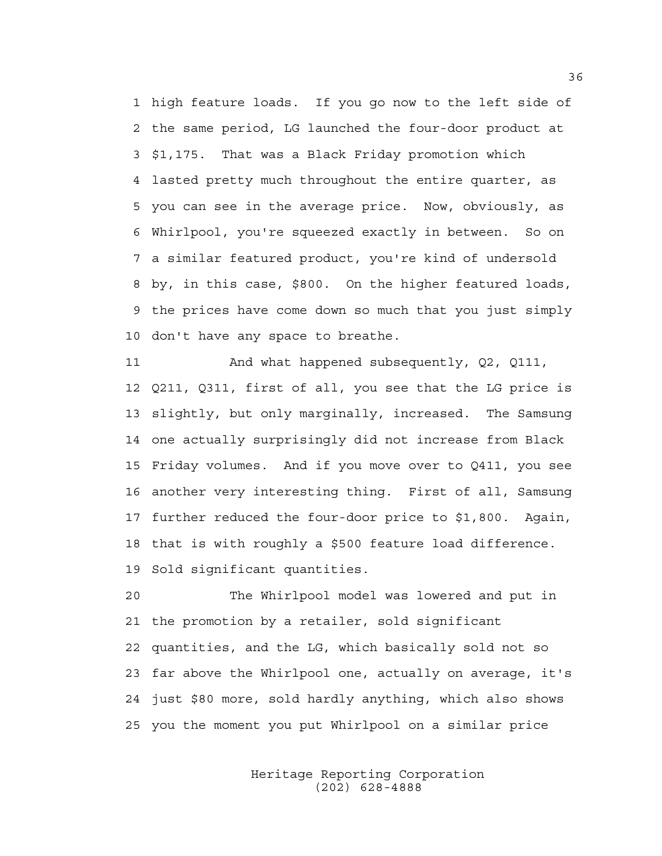1 high feature loads. If you go now to the left side of 2 the same period, LG launched the four-door product at 3 \$1,175. That was a Black Friday promotion which 4 lasted pretty much throughout the entire quarter, as 5 you can see in the average price. Now, obviously, as 6 Whirlpool, you're squeezed exactly in between. So on 7 a similar featured product, you're kind of undersold 8 by, in this case, \$800. On the higher featured loads, 9 the prices have come down so much that you just simply 10 don't have any space to breathe.

11 And what happened subsequently, Q2, Q111, 12 Q211, Q311, first of all, you see that the LG price is 13 slightly, but only marginally, increased. The Samsung 14 one actually surprisingly did not increase from Black 15 Friday volumes. And if you move over to Q411, you see 16 another very interesting thing. First of all, Samsung 17 further reduced the four-door price to \$1,800. Again, 18 that is with roughly a \$500 feature load difference. 19 Sold significant quantities.

20 The Whirlpool model was lowered and put in 21 the promotion by a retailer, sold significant 22 quantities, and the LG, which basically sold not so 23 far above the Whirlpool one, actually on average, it's 24 just \$80 more, sold hardly anything, which also shows 25 you the moment you put Whirlpool on a similar price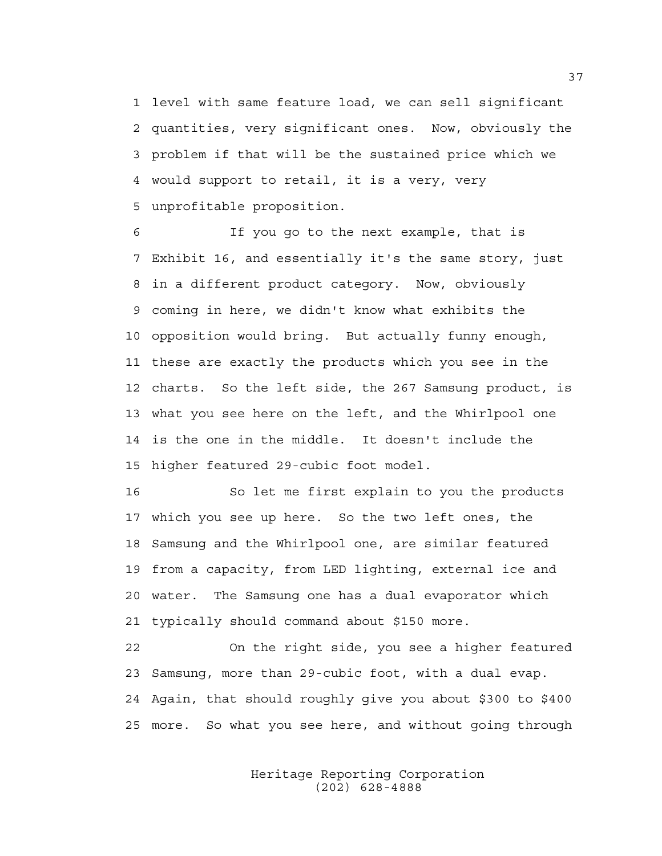1 level with same feature load, we can sell significant 2 quantities, very significant ones. Now, obviously the 3 problem if that will be the sustained price which we 4 would support to retail, it is a very, very 5 unprofitable proposition.

6 If you go to the next example, that is 7 Exhibit 16, and essentially it's the same story, just 8 in a different product category. Now, obviously 9 coming in here, we didn't know what exhibits the 10 opposition would bring. But actually funny enough, 11 these are exactly the products which you see in the 12 charts. So the left side, the 267 Samsung product, is 13 what you see here on the left, and the Whirlpool one 14 is the one in the middle. It doesn't include the 15 higher featured 29-cubic foot model.

16 So let me first explain to you the products 17 which you see up here. So the two left ones, the 18 Samsung and the Whirlpool one, are similar featured 19 from a capacity, from LED lighting, external ice and 20 water. The Samsung one has a dual evaporator which 21 typically should command about \$150 more.

22 On the right side, you see a higher featured 23 Samsung, more than 29-cubic foot, with a dual evap. 24 Again, that should roughly give you about \$300 to \$400 25 more. So what you see here, and without going through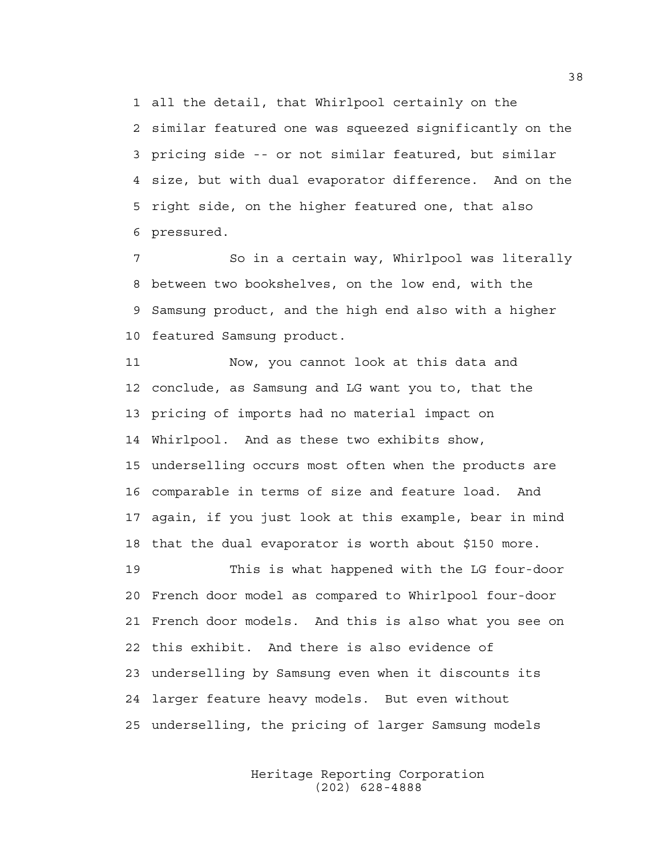1 all the detail, that Whirlpool certainly on the 2 similar featured one was squeezed significantly on the 3 pricing side -- or not similar featured, but similar 4 size, but with dual evaporator difference. And on the 5 right side, on the higher featured one, that also 6 pressured.

7 So in a certain way, Whirlpool was literally 8 between two bookshelves, on the low end, with the 9 Samsung product, and the high end also with a higher 10 featured Samsung product.

11 Now, you cannot look at this data and 12 conclude, as Samsung and LG want you to, that the 13 pricing of imports had no material impact on 14 Whirlpool. And as these two exhibits show, 15 underselling occurs most often when the products are 16 comparable in terms of size and feature load. And 17 again, if you just look at this example, bear in mind 18 that the dual evaporator is worth about \$150 more.

19 This is what happened with the LG four-door 20 French door model as compared to Whirlpool four-door 21 French door models. And this is also what you see on 22 this exhibit. And there is also evidence of 23 underselling by Samsung even when it discounts its 24 larger feature heavy models. But even without 25 underselling, the pricing of larger Samsung models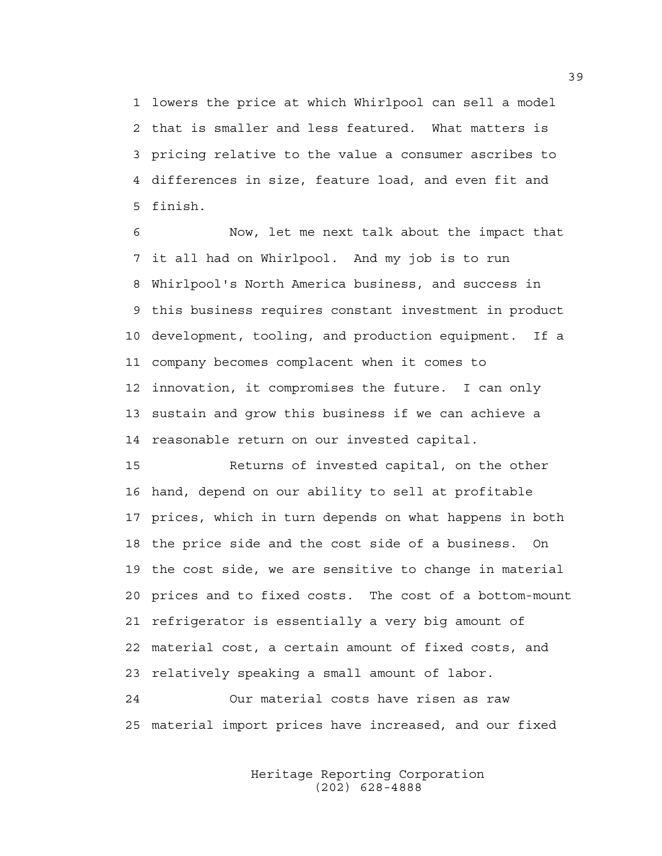1 lowers the price at which Whirlpool can sell a model 2 that is smaller and less featured. What matters is 3 pricing relative to the value a consumer ascribes to 4 differences in size, feature load, and even fit and 5 finish.

6 Now, let me next talk about the impact that 7 it all had on Whirlpool. And my job is to run 8 Whirlpool's North America business, and success in 9 this business requires constant investment in product 10 development, tooling, and production equipment. If a 11 company becomes complacent when it comes to 12 innovation, it compromises the future. I can only 13 sustain and grow this business if we can achieve a 14 reasonable return on our invested capital.

15 Returns of invested capital, on the other 16 hand, depend on our ability to sell at profitable 17 prices, which in turn depends on what happens in both 18 the price side and the cost side of a business. On 19 the cost side, we are sensitive to change in material 20 prices and to fixed costs. The cost of a bottom-mount 21 refrigerator is essentially a very big amount of 22 material cost, a certain amount of fixed costs, and 23 relatively speaking a small amount of labor. 24 Our material costs have risen as raw

25 material import prices have increased, and our fixed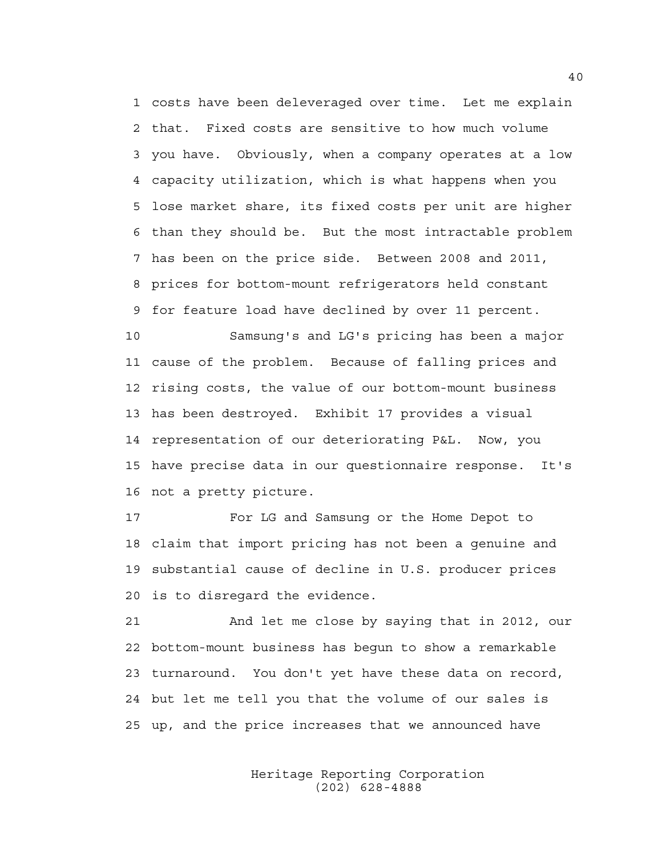1 costs have been deleveraged over time. Let me explain 2 that. Fixed costs are sensitive to how much volume 3 you have. Obviously, when a company operates at a low 4 capacity utilization, which is what happens when you 5 lose market share, its fixed costs per unit are higher 6 than they should be. But the most intractable problem 7 has been on the price side. Between 2008 and 2011, 8 prices for bottom-mount refrigerators held constant 9 for feature load have declined by over 11 percent.

10 Samsung's and LG's pricing has been a major 11 cause of the problem. Because of falling prices and 12 rising costs, the value of our bottom-mount business 13 has been destroyed. Exhibit 17 provides a visual 14 representation of our deteriorating P&L. Now, you 15 have precise data in our questionnaire response. It's 16 not a pretty picture.

17 For LG and Samsung or the Home Depot to 18 claim that import pricing has not been a genuine and 19 substantial cause of decline in U.S. producer prices 20 is to disregard the evidence.

21 And let me close by saying that in 2012, our 22 bottom-mount business has begun to show a remarkable 23 turnaround. You don't yet have these data on record, 24 but let me tell you that the volume of our sales is 25 up, and the price increases that we announced have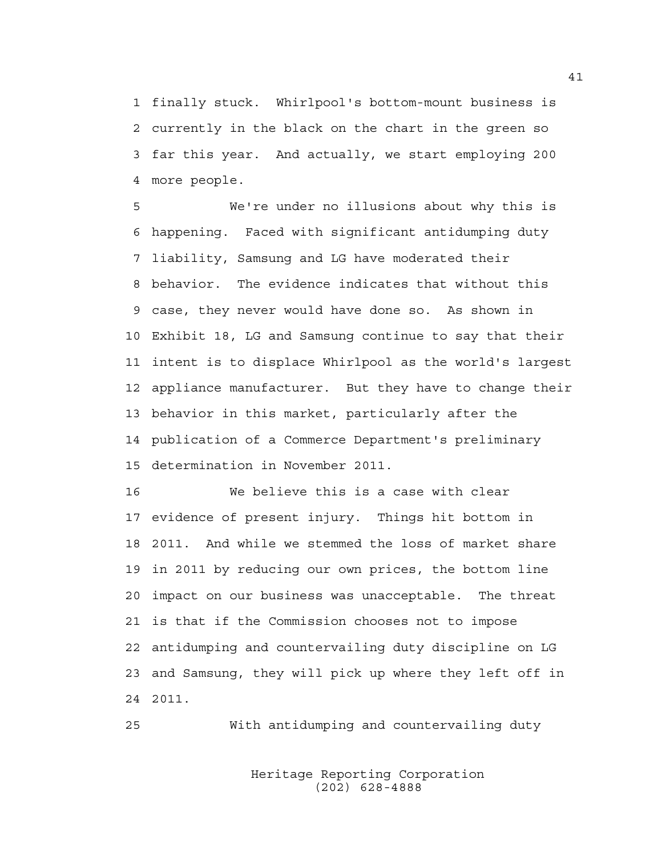1 finally stuck. Whirlpool's bottom-mount business is 2 currently in the black on the chart in the green so 3 far this year. And actually, we start employing 200 4 more people.

5 We're under no illusions about why this is 6 happening. Faced with significant antidumping duty 7 liability, Samsung and LG have moderated their 8 behavior. The evidence indicates that without this 9 case, they never would have done so. As shown in 10 Exhibit 18, LG and Samsung continue to say that their 11 intent is to displace Whirlpool as the world's largest 12 appliance manufacturer. But they have to change their 13 behavior in this market, particularly after the 14 publication of a Commerce Department's preliminary 15 determination in November 2011.

16 We believe this is a case with clear 17 evidence of present injury. Things hit bottom in 18 2011. And while we stemmed the loss of market share 19 in 2011 by reducing our own prices, the bottom line 20 impact on our business was unacceptable. The threat 21 is that if the Commission chooses not to impose 22 antidumping and countervailing duty discipline on LG 23 and Samsung, they will pick up where they left off in 24 2011.

25 With antidumping and countervailing duty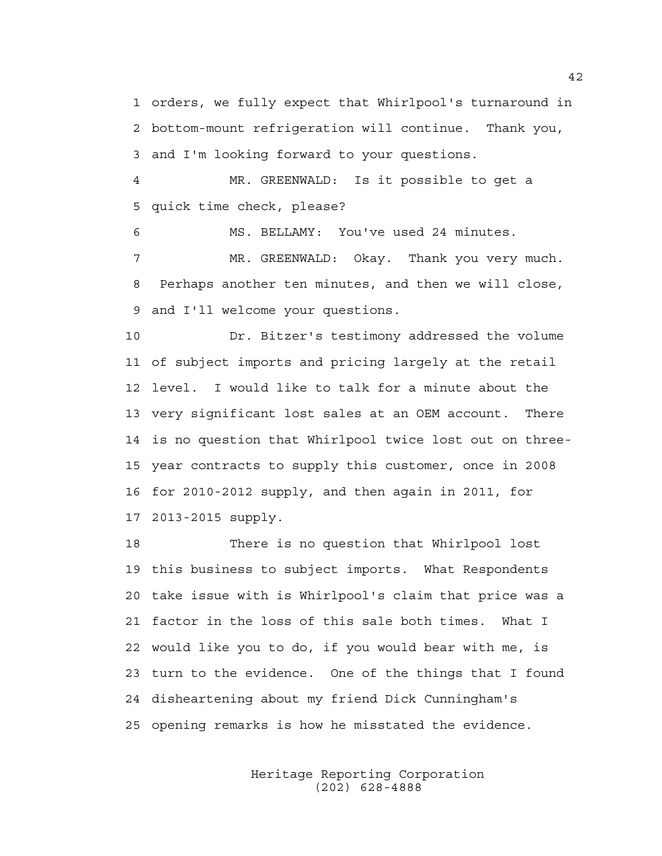1 orders, we fully expect that Whirlpool's turnaround in 2 bottom-mount refrigeration will continue. Thank you, 3 and I'm looking forward to your questions.

4 MR. GREENWALD: Is it possible to get a 5 quick time check, please?

6 MS. BELLAMY: You've used 24 minutes. 7 MR. GREENWALD: Okay. Thank you very much. 8 Perhaps another ten minutes, and then we will close, 9 and I'll welcome your questions.

10 Dr. Bitzer's testimony addressed the volume 11 of subject imports and pricing largely at the retail 12 level. I would like to talk for a minute about the 13 very significant lost sales at an OEM account. There 14 is no question that Whirlpool twice lost out on three-15 year contracts to supply this customer, once in 2008 16 for 2010-2012 supply, and then again in 2011, for 17 2013-2015 supply.

18 There is no question that Whirlpool lost 19 this business to subject imports. What Respondents 20 take issue with is Whirlpool's claim that price was a 21 factor in the loss of this sale both times. What I 22 would like you to do, if you would bear with me, is 23 turn to the evidence. One of the things that I found 24 disheartening about my friend Dick Cunningham's 25 opening remarks is how he misstated the evidence.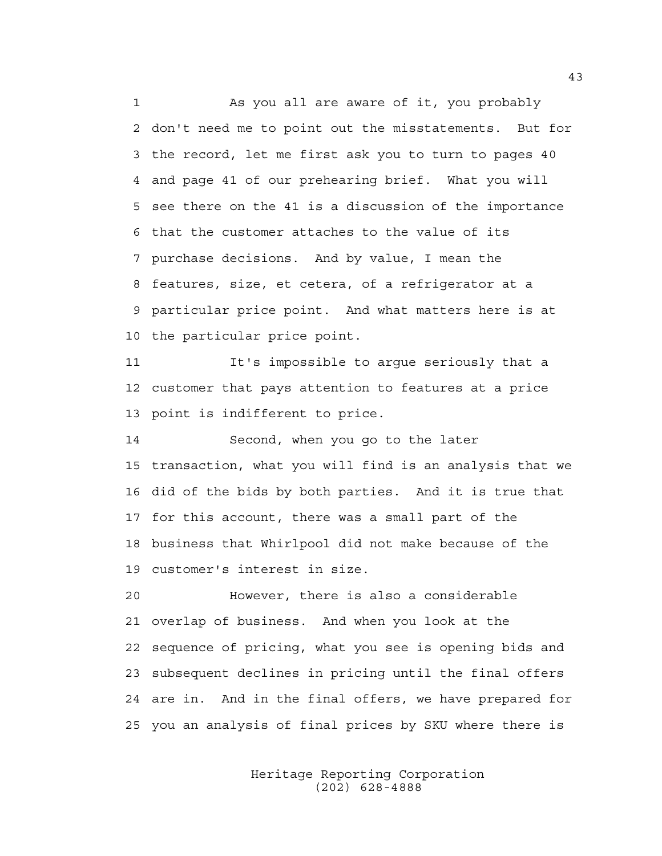1 As you all are aware of it, you probably 2 don't need me to point out the misstatements. But for 3 the record, let me first ask you to turn to pages 40 4 and page 41 of our prehearing brief. What you will 5 see there on the 41 is a discussion of the importance 6 that the customer attaches to the value of its 7 purchase decisions. And by value, I mean the 8 features, size, et cetera, of a refrigerator at a 9 particular price point. And what matters here is at 10 the particular price point.

11 It's impossible to argue seriously that a 12 customer that pays attention to features at a price 13 point is indifferent to price.

14 Second, when you go to the later 15 transaction, what you will find is an analysis that we 16 did of the bids by both parties. And it is true that 17 for this account, there was a small part of the 18 business that Whirlpool did not make because of the 19 customer's interest in size.

20 However, there is also a considerable 21 overlap of business. And when you look at the 22 sequence of pricing, what you see is opening bids and 23 subsequent declines in pricing until the final offers 24 are in. And in the final offers, we have prepared for 25 you an analysis of final prices by SKU where there is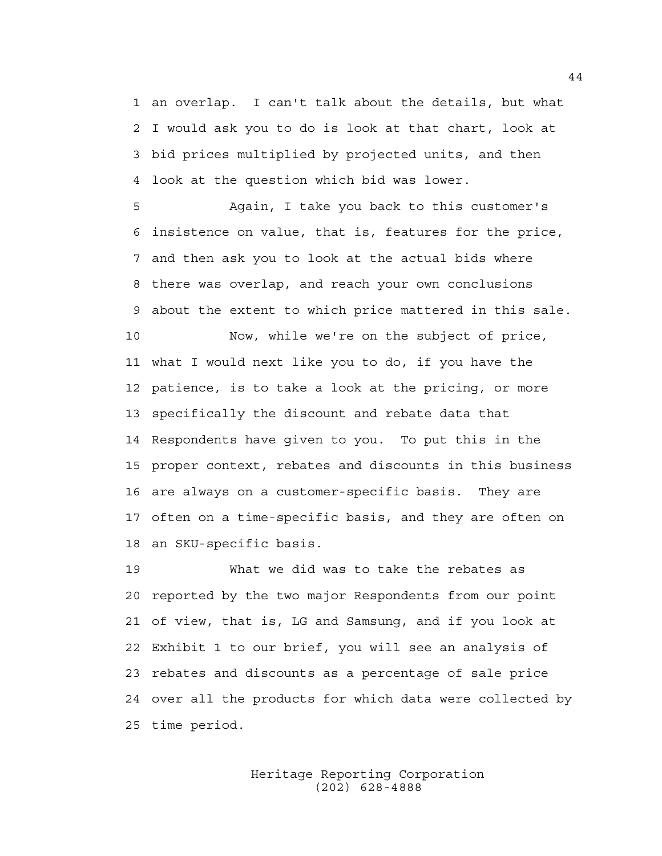1 an overlap. I can't talk about the details, but what 2 I would ask you to do is look at that chart, look at 3 bid prices multiplied by projected units, and then 4 look at the question which bid was lower.

5 Again, I take you back to this customer's 6 insistence on value, that is, features for the price, 7 and then ask you to look at the actual bids where 8 there was overlap, and reach your own conclusions 9 about the extent to which price mattered in this sale.

10 Now, while we're on the subject of price, 11 what I would next like you to do, if you have the 12 patience, is to take a look at the pricing, or more 13 specifically the discount and rebate data that 14 Respondents have given to you. To put this in the 15 proper context, rebates and discounts in this business 16 are always on a customer-specific basis. They are 17 often on a time-specific basis, and they are often on 18 an SKU-specific basis.

19 What we did was to take the rebates as 20 reported by the two major Respondents from our point 21 of view, that is, LG and Samsung, and if you look at 22 Exhibit 1 to our brief, you will see an analysis of 23 rebates and discounts as a percentage of sale price 24 over all the products for which data were collected by 25 time period.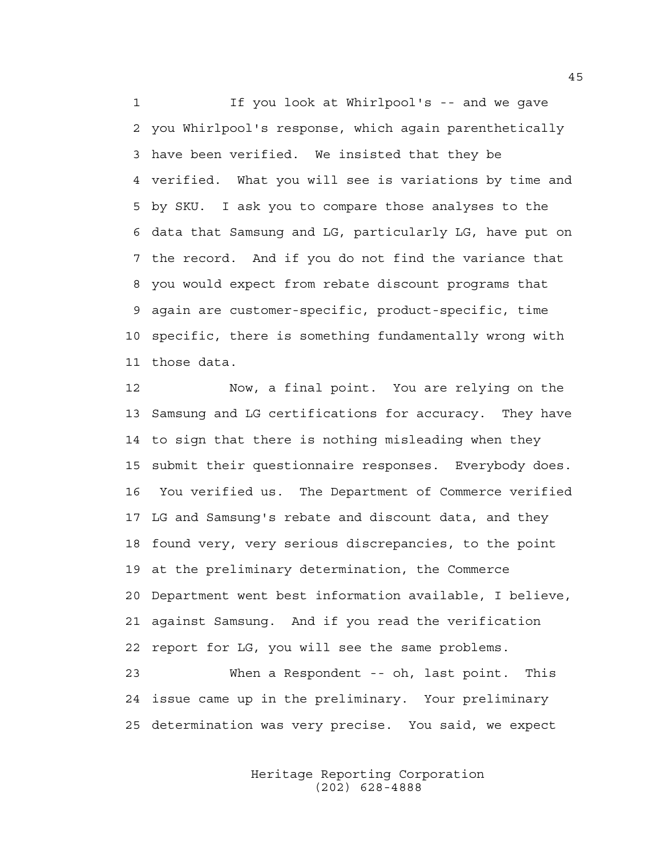1 If you look at Whirlpool's -- and we gave 2 you Whirlpool's response, which again parenthetically 3 have been verified. We insisted that they be 4 verified. What you will see is variations by time and 5 by SKU. I ask you to compare those analyses to the 6 data that Samsung and LG, particularly LG, have put on 7 the record. And if you do not find the variance that 8 you would expect from rebate discount programs that 9 again are customer-specific, product-specific, time 10 specific, there is something fundamentally wrong with 11 those data.

12 Now, a final point. You are relying on the 13 Samsung and LG certifications for accuracy. They have 14 to sign that there is nothing misleading when they 15 submit their questionnaire responses. Everybody does. 16 You verified us. The Department of Commerce verified 17 LG and Samsung's rebate and discount data, and they 18 found very, very serious discrepancies, to the point 19 at the preliminary determination, the Commerce 20 Department went best information available, I believe, 21 against Samsung. And if you read the verification 22 report for LG, you will see the same problems. 23 When a Respondent -- oh, last point. This

24 issue came up in the preliminary. Your preliminary 25 determination was very precise. You said, we expect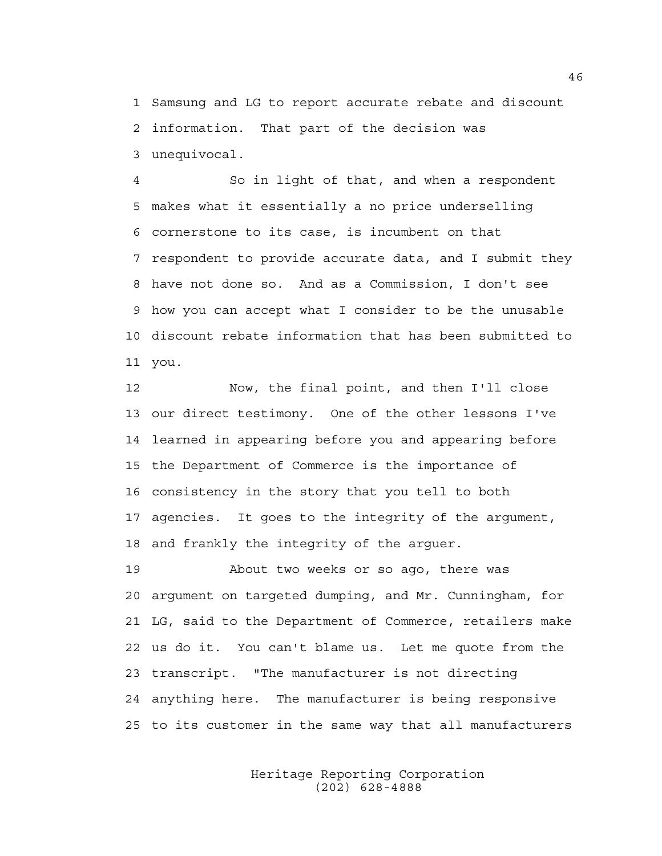1 Samsung and LG to report accurate rebate and discount 2 information. That part of the decision was 3 unequivocal.

4 So in light of that, and when a respondent 5 makes what it essentially a no price underselling 6 cornerstone to its case, is incumbent on that 7 respondent to provide accurate data, and I submit they 8 have not done so. And as a Commission, I don't see 9 how you can accept what I consider to be the unusable 10 discount rebate information that has been submitted to 11 you.

12 Now, the final point, and then I'll close 13 our direct testimony. One of the other lessons I've 14 learned in appearing before you and appearing before 15 the Department of Commerce is the importance of 16 consistency in the story that you tell to both 17 agencies. It goes to the integrity of the argument, 18 and frankly the integrity of the arguer.

19 About two weeks or so ago, there was 20 argument on targeted dumping, and Mr. Cunningham, for 21 LG, said to the Department of Commerce, retailers make 22 us do it. You can't blame us. Let me quote from the 23 transcript. "The manufacturer is not directing 24 anything here. The manufacturer is being responsive 25 to its customer in the same way that all manufacturers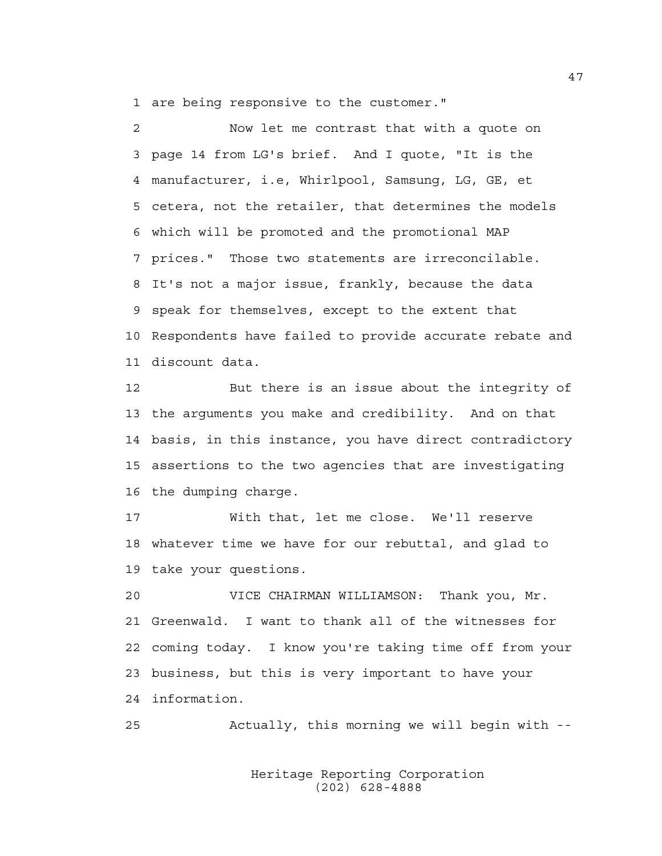1 are being responsive to the customer."

2 Now let me contrast that with a quote on 3 page 14 from LG's brief. And I quote, "It is the 4 manufacturer, i.e, Whirlpool, Samsung, LG, GE, et 5 cetera, not the retailer, that determines the models 6 which will be promoted and the promotional MAP 7 prices." Those two statements are irreconcilable. 8 It's not a major issue, frankly, because the data 9 speak for themselves, except to the extent that 10 Respondents have failed to provide accurate rebate and 11 discount data.

12 But there is an issue about the integrity of 13 the arguments you make and credibility. And on that 14 basis, in this instance, you have direct contradictory 15 assertions to the two agencies that are investigating 16 the dumping charge.

17 With that, let me close. We'll reserve 18 whatever time we have for our rebuttal, and glad to 19 take your questions.

20 VICE CHAIRMAN WILLIAMSON: Thank you, Mr. 21 Greenwald. I want to thank all of the witnesses for 22 coming today. I know you're taking time off from your 23 business, but this is very important to have your 24 information.

25 Actually, this morning we will begin with --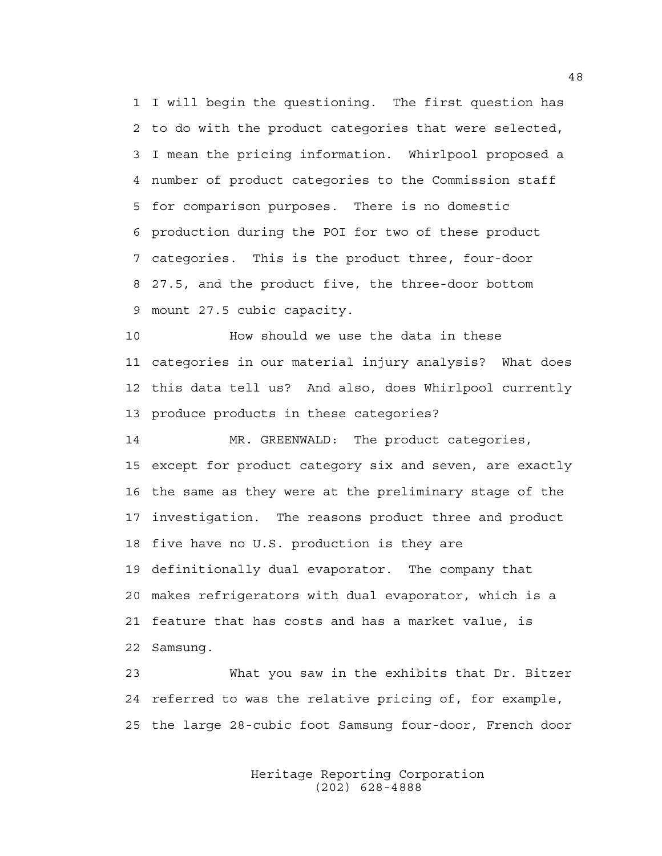1 I will begin the questioning. The first question has 2 to do with the product categories that were selected, 3 I mean the pricing information. Whirlpool proposed a 4 number of product categories to the Commission staff 5 for comparison purposes. There is no domestic 6 production during the POI for two of these product 7 categories. This is the product three, four-door 8 27.5, and the product five, the three-door bottom 9 mount 27.5 cubic capacity.

10 How should we use the data in these 11 categories in our material injury analysis? What does 12 this data tell us? And also, does Whirlpool currently 13 produce products in these categories?

14 MR. GREENWALD: The product categories, 15 except for product category six and seven, are exactly 16 the same as they were at the preliminary stage of the 17 investigation. The reasons product three and product 18 five have no U.S. production is they are 19 definitionally dual evaporator. The company that 20 makes refrigerators with dual evaporator, which is a 21 feature that has costs and has a market value, is 22 Samsung.

23 What you saw in the exhibits that Dr. Bitzer 24 referred to was the relative pricing of, for example, 25 the large 28-cubic foot Samsung four-door, French door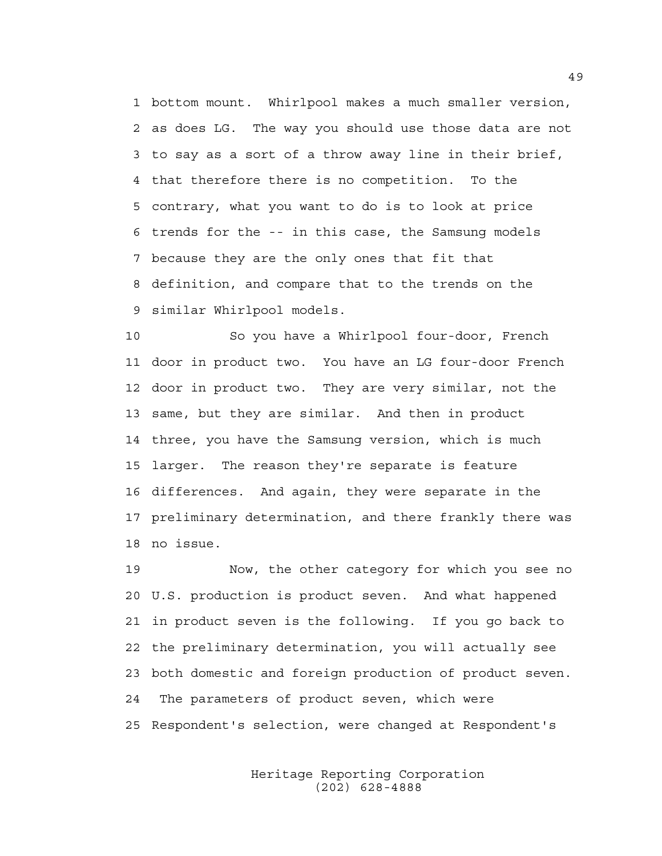1 bottom mount. Whirlpool makes a much smaller version, 2 as does LG. The way you should use those data are not 3 to say as a sort of a throw away line in their brief, 4 that therefore there is no competition. To the 5 contrary, what you want to do is to look at price 6 trends for the -- in this case, the Samsung models 7 because they are the only ones that fit that 8 definition, and compare that to the trends on the 9 similar Whirlpool models.

10 So you have a Whirlpool four-door, French 11 door in product two. You have an LG four-door French 12 door in product two. They are very similar, not the 13 same, but they are similar. And then in product 14 three, you have the Samsung version, which is much 15 larger. The reason they're separate is feature 16 differences. And again, they were separate in the 17 preliminary determination, and there frankly there was 18 no issue.

19 Now, the other category for which you see no 20 U.S. production is product seven. And what happened 21 in product seven is the following. If you go back to 22 the preliminary determination, you will actually see 23 both domestic and foreign production of product seven. 24 The parameters of product seven, which were 25 Respondent's selection, were changed at Respondent's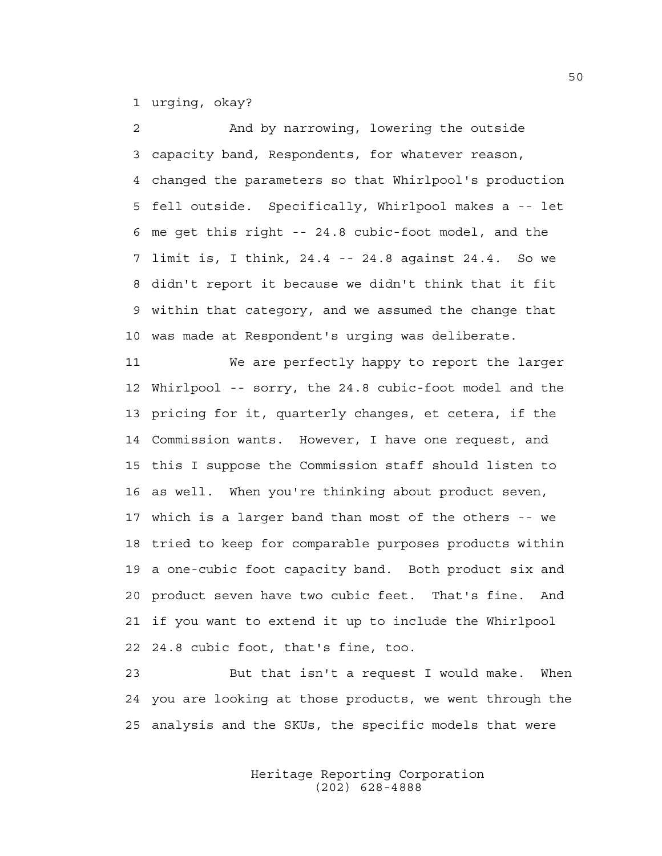1 urging, okay?

2 And by narrowing, lowering the outside 3 capacity band, Respondents, for whatever reason, 4 changed the parameters so that Whirlpool's production 5 fell outside. Specifically, Whirlpool makes a -- let 6 me get this right -- 24.8 cubic-foot model, and the 7 limit is, I think, 24.4 -- 24.8 against 24.4. So we 8 didn't report it because we didn't think that it fit 9 within that category, and we assumed the change that 10 was made at Respondent's urging was deliberate.

11 We are perfectly happy to report the larger 12 Whirlpool -- sorry, the 24.8 cubic-foot model and the 13 pricing for it, quarterly changes, et cetera, if the 14 Commission wants. However, I have one request, and 15 this I suppose the Commission staff should listen to 16 as well. When you're thinking about product seven, 17 which is a larger band than most of the others -- we 18 tried to keep for comparable purposes products within 19 a one-cubic foot capacity band. Both product six and 20 product seven have two cubic feet. That's fine. And 21 if you want to extend it up to include the Whirlpool 22 24.8 cubic foot, that's fine, too.

23 But that isn't a request I would make. When 24 you are looking at those products, we went through the 25 analysis and the SKUs, the specific models that were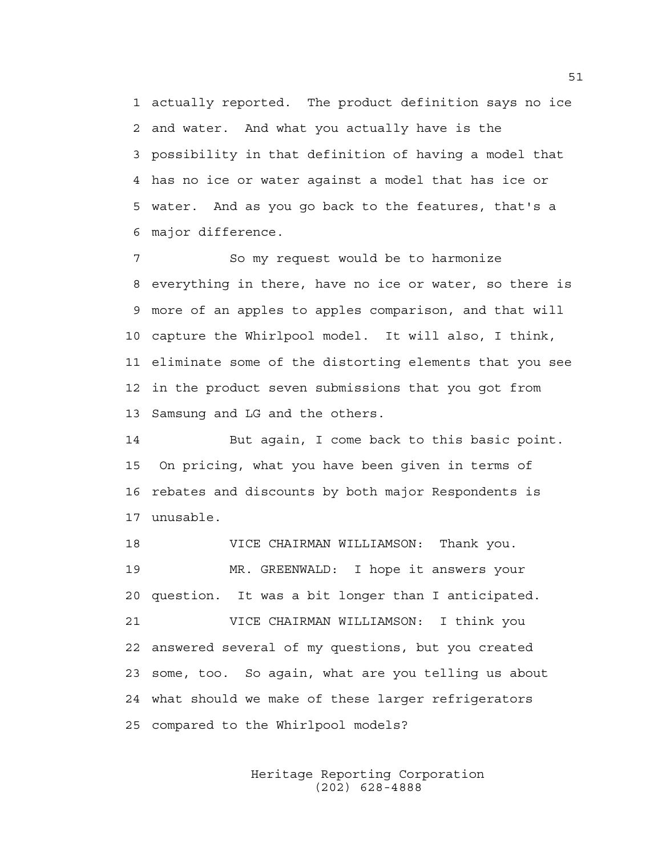1 actually reported. The product definition says no ice 2 and water. And what you actually have is the 3 possibility in that definition of having a model that 4 has no ice or water against a model that has ice or 5 water. And as you go back to the features, that's a 6 major difference.

7 So my request would be to harmonize 8 everything in there, have no ice or water, so there is 9 more of an apples to apples comparison, and that will 10 capture the Whirlpool model. It will also, I think, 11 eliminate some of the distorting elements that you see 12 in the product seven submissions that you got from 13 Samsung and LG and the others.

14 But again, I come back to this basic point. 15 On pricing, what you have been given in terms of 16 rebates and discounts by both major Respondents is 17 unusable.

18 VICE CHAIRMAN WILLIAMSON: Thank you. 19 MR. GREENWALD: I hope it answers your 20 question. It was a bit longer than I anticipated. 21 VICE CHAIRMAN WILLIAMSON: I think you 22 answered several of my questions, but you created 23 some, too. So again, what are you telling us about 24 what should we make of these larger refrigerators 25 compared to the Whirlpool models?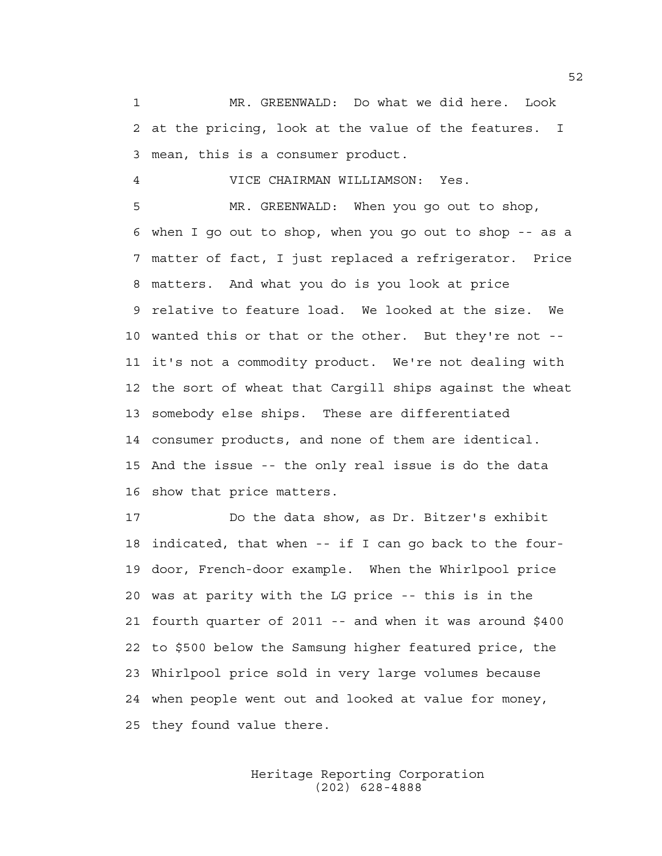1 MR. GREENWALD: Do what we did here. Look 2 at the pricing, look at the value of the features. I 3 mean, this is a consumer product.

4 VICE CHAIRMAN WILLIAMSON: Yes.

5 MR. GREENWALD: When you go out to shop, 6 when I go out to shop, when you go out to shop -- as a 7 matter of fact, I just replaced a refrigerator. Price 8 matters. And what you do is you look at price 9 relative to feature load. We looked at the size. We 10 wanted this or that or the other. But they're not -- 11 it's not a commodity product. We're not dealing with 12 the sort of wheat that Cargill ships against the wheat 13 somebody else ships. These are differentiated 14 consumer products, and none of them are identical. 15 And the issue -- the only real issue is do the data 16 show that price matters.

17 Do the data show, as Dr. Bitzer's exhibit 18 indicated, that when -- if I can go back to the four-19 door, French-door example. When the Whirlpool price 20 was at parity with the LG price -- this is in the 21 fourth quarter of 2011 -- and when it was around \$400 22 to \$500 below the Samsung higher featured price, the 23 Whirlpool price sold in very large volumes because 24 when people went out and looked at value for money, 25 they found value there.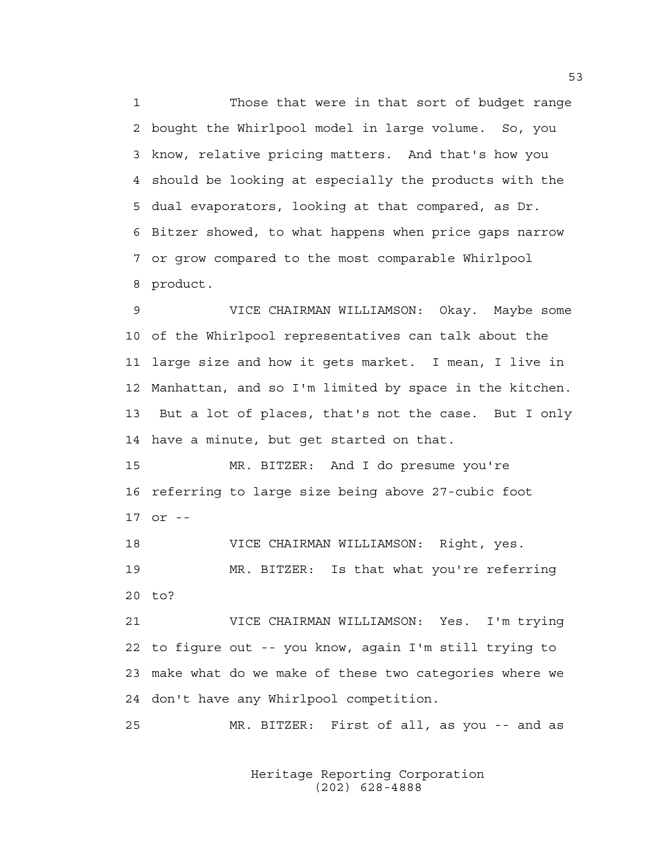1 Those that were in that sort of budget range 2 bought the Whirlpool model in large volume. So, you 3 know, relative pricing matters. And that's how you 4 should be looking at especially the products with the 5 dual evaporators, looking at that compared, as Dr. 6 Bitzer showed, to what happens when price gaps narrow 7 or grow compared to the most comparable Whirlpool 8 product.

9 VICE CHAIRMAN WILLIAMSON: Okay. Maybe some 10 of the Whirlpool representatives can talk about the 11 large size and how it gets market. I mean, I live in 12 Manhattan, and so I'm limited by space in the kitchen. 13 But a lot of places, that's not the case. But I only 14 have a minute, but get started on that.

15 MR. BITZER: And I do presume you're 16 referring to large size being above 27-cubic foot 17 or --

18 VICE CHAIRMAN WILLIAMSON: Right, yes. 19 MR. BITZER: Is that what you're referring 20 to?

21 VICE CHAIRMAN WILLIAMSON: Yes. I'm trying 22 to figure out -- you know, again I'm still trying to 23 make what do we make of these two categories where we 24 don't have any Whirlpool competition.

25 MR. BITZER: First of all, as you -- and as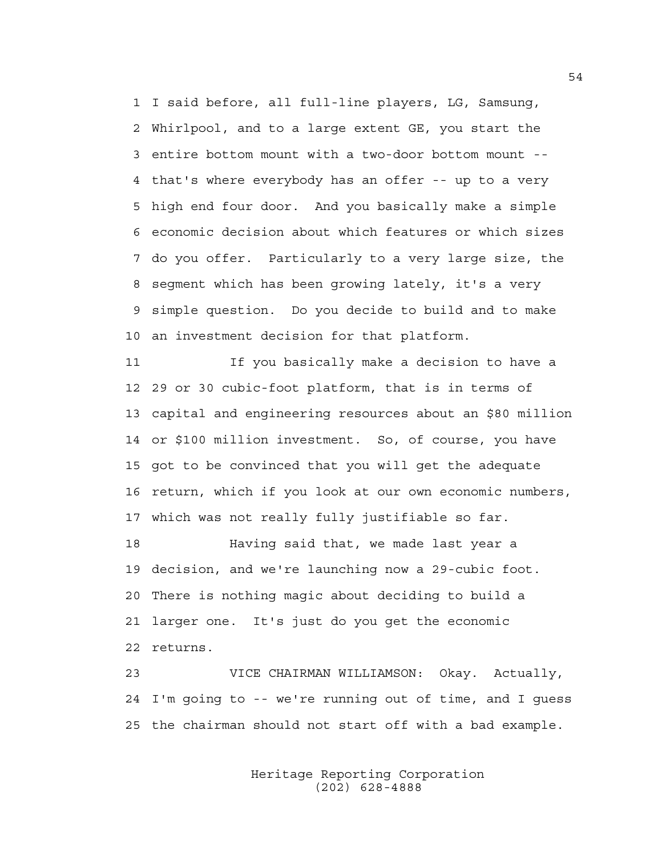1 I said before, all full-line players, LG, Samsung, 2 Whirlpool, and to a large extent GE, you start the 3 entire bottom mount with a two-door bottom mount -- 4 that's where everybody has an offer -- up to a very 5 high end four door. And you basically make a simple 6 economic decision about which features or which sizes 7 do you offer. Particularly to a very large size, the 8 segment which has been growing lately, it's a very 9 simple question. Do you decide to build and to make 10 an investment decision for that platform.

11 If you basically make a decision to have a 12 29 or 30 cubic-foot platform, that is in terms of 13 capital and engineering resources about an \$80 million 14 or \$100 million investment. So, of course, you have 15 got to be convinced that you will get the adequate 16 return, which if you look at our own economic numbers, 17 which was not really fully justifiable so far.

18 Having said that, we made last year a 19 decision, and we're launching now a 29-cubic foot. 20 There is nothing magic about deciding to build a 21 larger one. It's just do you get the economic 22 returns.

23 VICE CHAIRMAN WILLIAMSON: Okay. Actually, 24 I'm going to -- we're running out of time, and I guess 25 the chairman should not start off with a bad example.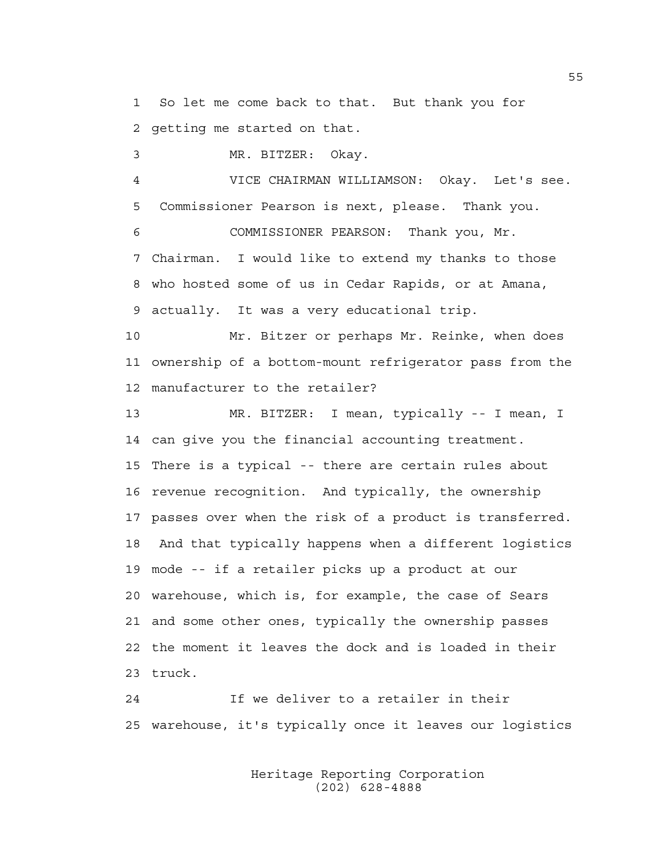1 So let me come back to that. But thank you for 2 getting me started on that.

3 MR. BITZER: Okay.

4 VICE CHAIRMAN WILLIAMSON: Okay. Let's see. 5 Commissioner Pearson is next, please. Thank you.

6 COMMISSIONER PEARSON: Thank you, Mr. 7 Chairman. I would like to extend my thanks to those 8 who hosted some of us in Cedar Rapids, or at Amana, 9 actually. It was a very educational trip.

10 Mr. Bitzer or perhaps Mr. Reinke, when does 11 ownership of a bottom-mount refrigerator pass from the 12 manufacturer to the retailer?

13 MR. BITZER: I mean, typically -- I mean, I 14 can give you the financial accounting treatment. 15 There is a typical -- there are certain rules about 16 revenue recognition. And typically, the ownership 17 passes over when the risk of a product is transferred. 18 And that typically happens when a different logistics 19 mode -- if a retailer picks up a product at our 20 warehouse, which is, for example, the case of Sears 21 and some other ones, typically the ownership passes 22 the moment it leaves the dock and is loaded in their 23 truck.

24 If we deliver to a retailer in their 25 warehouse, it's typically once it leaves our logistics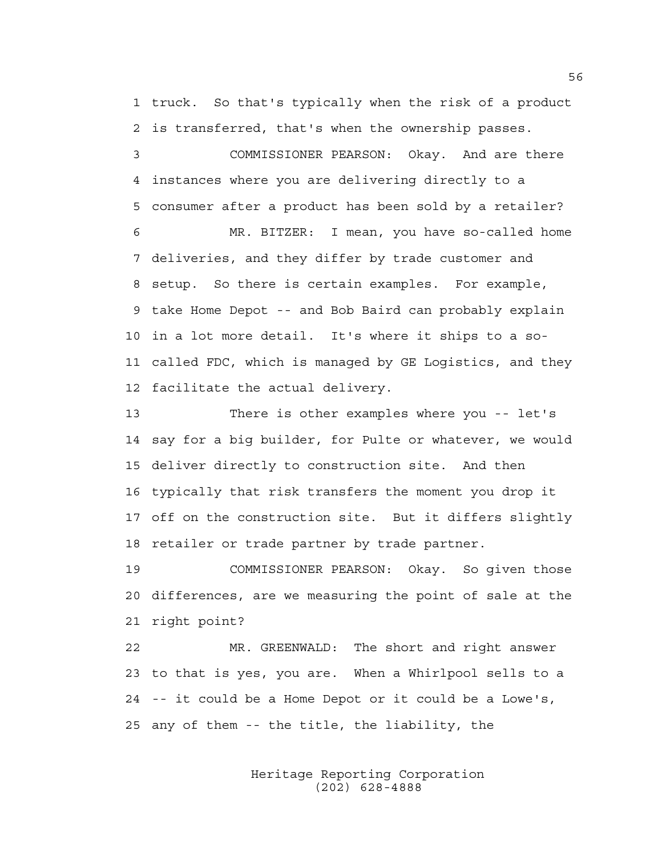1 truck. So that's typically when the risk of a product 2 is transferred, that's when the ownership passes.

3 COMMISSIONER PEARSON: Okay. And are there 4 instances where you are delivering directly to a 5 consumer after a product has been sold by a retailer?

6 MR. BITZER: I mean, you have so-called home 7 deliveries, and they differ by trade customer and 8 setup. So there is certain examples. For example, 9 take Home Depot -- and Bob Baird can probably explain 10 in a lot more detail. It's where it ships to a so-11 called FDC, which is managed by GE Logistics, and they 12 facilitate the actual delivery.

13 There is other examples where you -- let's 14 say for a big builder, for Pulte or whatever, we would 15 deliver directly to construction site. And then 16 typically that risk transfers the moment you drop it 17 off on the construction site. But it differs slightly 18 retailer or trade partner by trade partner.

19 COMMISSIONER PEARSON: Okay. So given those 20 differences, are we measuring the point of sale at the 21 right point?

22 MR. GREENWALD: The short and right answer 23 to that is yes, you are. When a Whirlpool sells to a 24 -- it could be a Home Depot or it could be a Lowe's, 25 any of them -- the title, the liability, the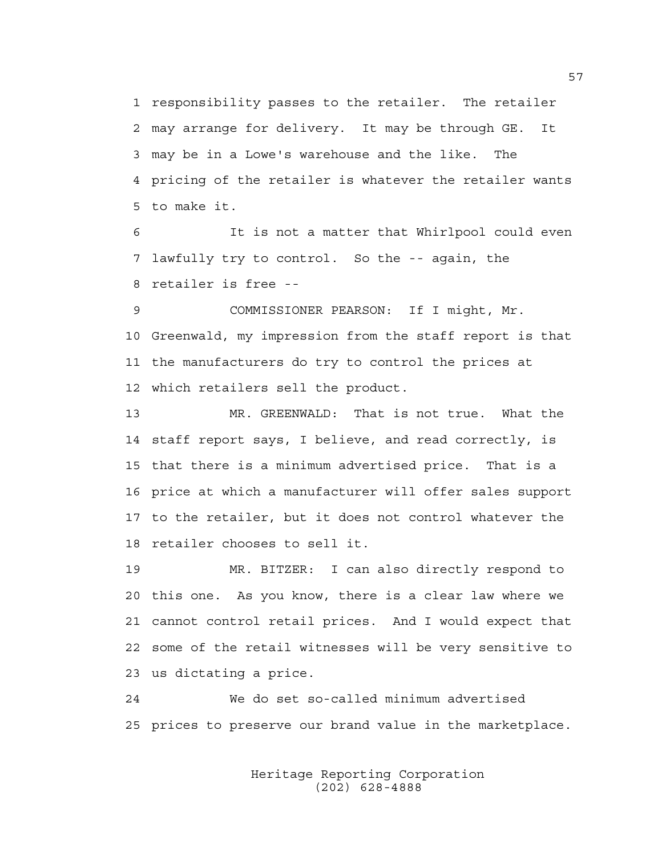1 responsibility passes to the retailer. The retailer 2 may arrange for delivery. It may be through GE. It 3 may be in a Lowe's warehouse and the like. The 4 pricing of the retailer is whatever the retailer wants 5 to make it.

6 It is not a matter that Whirlpool could even 7 lawfully try to control. So the -- again, the 8 retailer is free --

9 COMMISSIONER PEARSON: If I might, Mr. 10 Greenwald, my impression from the staff report is that 11 the manufacturers do try to control the prices at 12 which retailers sell the product.

13 MR. GREENWALD: That is not true. What the 14 staff report says, I believe, and read correctly, is 15 that there is a minimum advertised price. That is a 16 price at which a manufacturer will offer sales support 17 to the retailer, but it does not control whatever the 18 retailer chooses to sell it.

19 MR. BITZER: I can also directly respond to 20 this one. As you know, there is a clear law where we 21 cannot control retail prices. And I would expect that 22 some of the retail witnesses will be very sensitive to 23 us dictating a price.

24 We do set so-called minimum advertised 25 prices to preserve our brand value in the marketplace.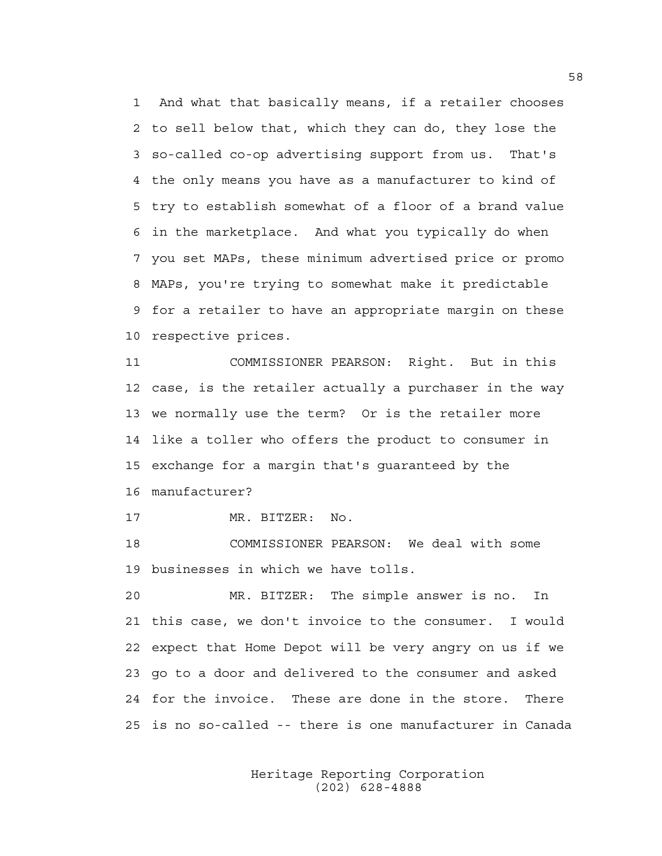1 And what that basically means, if a retailer chooses 2 to sell below that, which they can do, they lose the 3 so-called co-op advertising support from us. That's 4 the only means you have as a manufacturer to kind of 5 try to establish somewhat of a floor of a brand value 6 in the marketplace. And what you typically do when 7 you set MAPs, these minimum advertised price or promo 8 MAPs, you're trying to somewhat make it predictable 9 for a retailer to have an appropriate margin on these 10 respective prices.

11 COMMISSIONER PEARSON: Right. But in this 12 case, is the retailer actually a purchaser in the way 13 we normally use the term? Or is the retailer more 14 like a toller who offers the product to consumer in 15 exchange for a margin that's guaranteed by the 16 manufacturer?

17 MR. BITZER: No.

18 COMMISSIONER PEARSON: We deal with some 19 businesses in which we have tolls.

20 MR. BITZER: The simple answer is no. In 21 this case, we don't invoice to the consumer. I would 22 expect that Home Depot will be very angry on us if we 23 go to a door and delivered to the consumer and asked 24 for the invoice. These are done in the store. There 25 is no so-called -- there is one manufacturer in Canada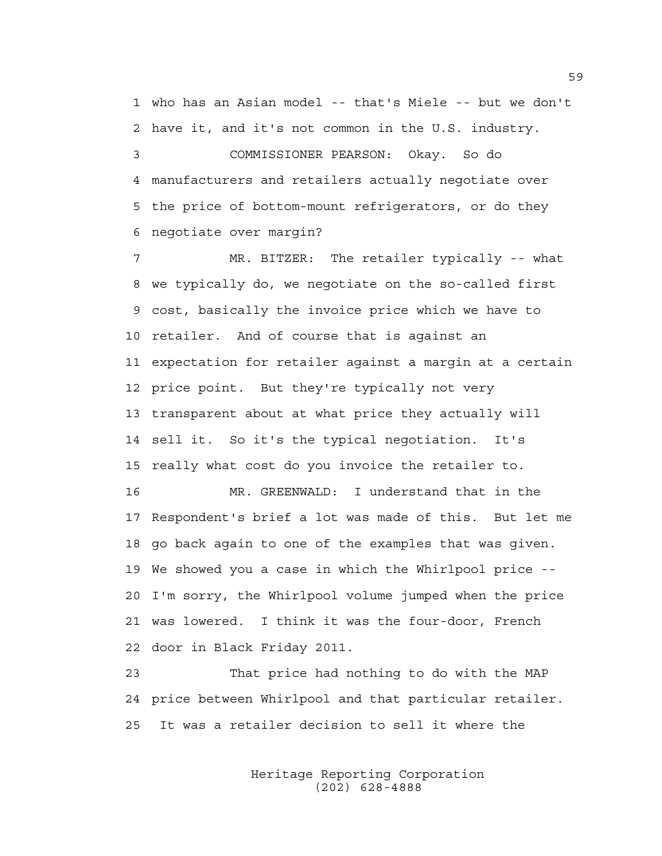1 who has an Asian model -- that's Miele -- but we don't 2 have it, and it's not common in the U.S. industry.

3 COMMISSIONER PEARSON: Okay. So do 4 manufacturers and retailers actually negotiate over 5 the price of bottom-mount refrigerators, or do they 6 negotiate over margin?

7 MR. BITZER: The retailer typically -- what 8 we typically do, we negotiate on the so-called first 9 cost, basically the invoice price which we have to 10 retailer. And of course that is against an 11 expectation for retailer against a margin at a certain 12 price point. But they're typically not very 13 transparent about at what price they actually will 14 sell it. So it's the typical negotiation. It's 15 really what cost do you invoice the retailer to. 16 MR. GREENWALD: I understand that in the

17 Respondent's brief a lot was made of this. But let me 18 go back again to one of the examples that was given. 19 We showed you a case in which the Whirlpool price -- 20 I'm sorry, the Whirlpool volume jumped when the price 21 was lowered. I think it was the four-door, French 22 door in Black Friday 2011.

23 That price had nothing to do with the MAP 24 price between Whirlpool and that particular retailer. 25 It was a retailer decision to sell it where the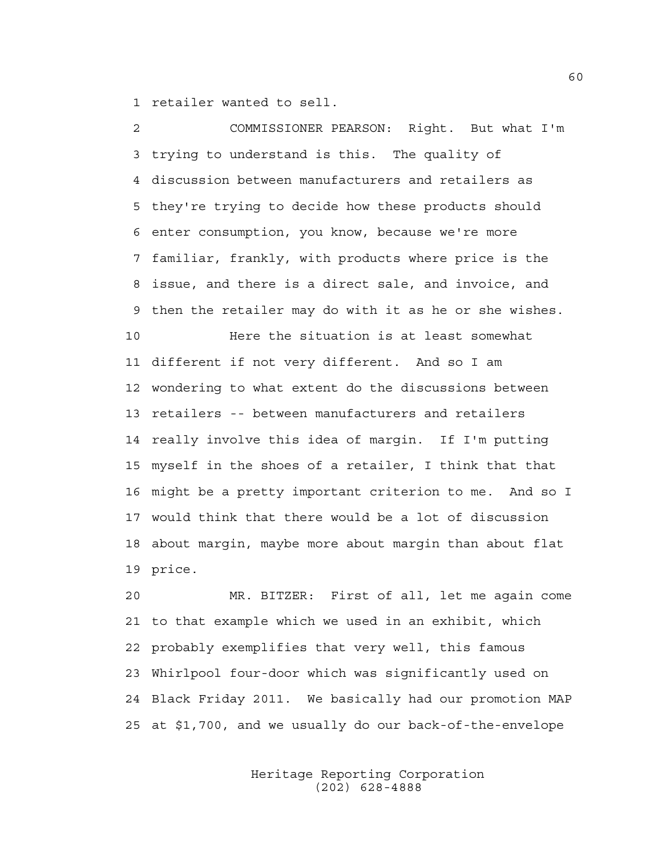1 retailer wanted to sell.

2 COMMISSIONER PEARSON: Right. But what I'm 3 trying to understand is this. The quality of 4 discussion between manufacturers and retailers as 5 they're trying to decide how these products should 6 enter consumption, you know, because we're more 7 familiar, frankly, with products where price is the 8 issue, and there is a direct sale, and invoice, and 9 then the retailer may do with it as he or she wishes. 10 Here the situation is at least somewhat 11 different if not very different. And so I am 12 wondering to what extent do the discussions between 13 retailers -- between manufacturers and retailers 14 really involve this idea of margin. If I'm putting 15 myself in the shoes of a retailer, I think that that 16 might be a pretty important criterion to me. And so I 17 would think that there would be a lot of discussion 18 about margin, maybe more about margin than about flat 19 price.

20 MR. BITZER: First of all, let me again come 21 to that example which we used in an exhibit, which 22 probably exemplifies that very well, this famous 23 Whirlpool four-door which was significantly used on 24 Black Friday 2011. We basically had our promotion MAP 25 at \$1,700, and we usually do our back-of-the-envelope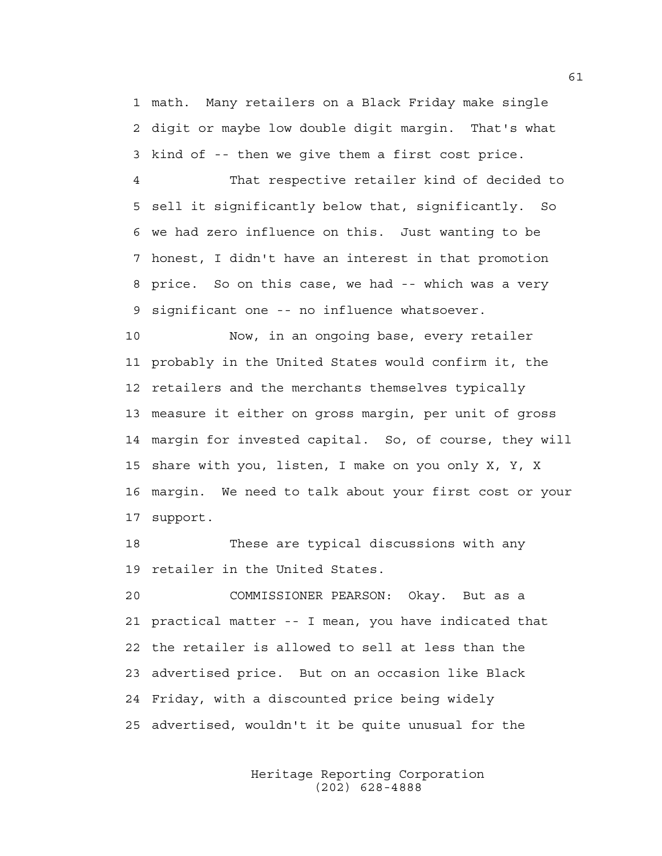1 math. Many retailers on a Black Friday make single 2 digit or maybe low double digit margin. That's what 3 kind of -- then we give them a first cost price.

4 That respective retailer kind of decided to 5 sell it significantly below that, significantly. So 6 we had zero influence on this. Just wanting to be 7 honest, I didn't have an interest in that promotion 8 price. So on this case, we had -- which was a very 9 significant one -- no influence whatsoever.

10 Now, in an ongoing base, every retailer 11 probably in the United States would confirm it, the 12 retailers and the merchants themselves typically 13 measure it either on gross margin, per unit of gross 14 margin for invested capital. So, of course, they will 15 share with you, listen, I make on you only X, Y, X 16 margin. We need to talk about your first cost or your 17 support.

18 These are typical discussions with any 19 retailer in the United States.

20 COMMISSIONER PEARSON: Okay. But as a 21 practical matter -- I mean, you have indicated that 22 the retailer is allowed to sell at less than the 23 advertised price. But on an occasion like Black 24 Friday, with a discounted price being widely 25 advertised, wouldn't it be quite unusual for the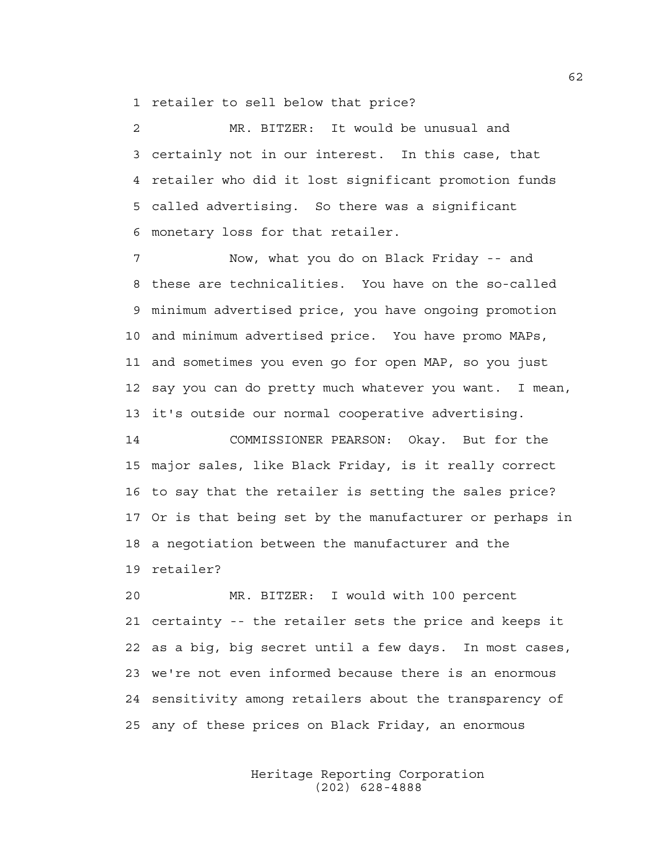1 retailer to sell below that price?

2 MR. BITZER: It would be unusual and 3 certainly not in our interest. In this case, that 4 retailer who did it lost significant promotion funds 5 called advertising. So there was a significant 6 monetary loss for that retailer.

7 Now, what you do on Black Friday -- and 8 these are technicalities. You have on the so-called 9 minimum advertised price, you have ongoing promotion 10 and minimum advertised price. You have promo MAPs, 11 and sometimes you even go for open MAP, so you just 12 say you can do pretty much whatever you want. I mean, 13 it's outside our normal cooperative advertising.

14 COMMISSIONER PEARSON: Okay. But for the 15 major sales, like Black Friday, is it really correct 16 to say that the retailer is setting the sales price? 17 Or is that being set by the manufacturer or perhaps in 18 a negotiation between the manufacturer and the 19 retailer?

20 MR. BITZER: I would with 100 percent 21 certainty -- the retailer sets the price and keeps it 22 as a big, big secret until a few days. In most cases, 23 we're not even informed because there is an enormous 24 sensitivity among retailers about the transparency of 25 any of these prices on Black Friday, an enormous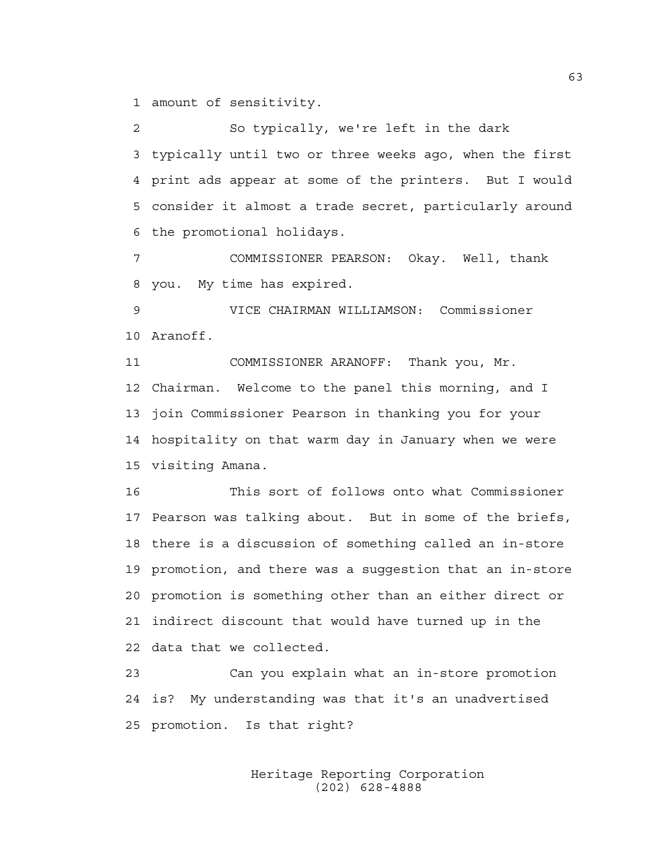1 amount of sensitivity.

2 So typically, we're left in the dark 3 typically until two or three weeks ago, when the first 4 print ads appear at some of the printers. But I would 5 consider it almost a trade secret, particularly around 6 the promotional holidays.

7 COMMISSIONER PEARSON: Okay. Well, thank 8 you. My time has expired.

9 VICE CHAIRMAN WILLIAMSON: Commissioner 10 Aranoff.

11 COMMISSIONER ARANOFF: Thank you, Mr. 12 Chairman. Welcome to the panel this morning, and I 13 join Commissioner Pearson in thanking you for your 14 hospitality on that warm day in January when we were 15 visiting Amana.

16 This sort of follows onto what Commissioner 17 Pearson was talking about. But in some of the briefs, 18 there is a discussion of something called an in-store 19 promotion, and there was a suggestion that an in-store 20 promotion is something other than an either direct or 21 indirect discount that would have turned up in the 22 data that we collected.

23 Can you explain what an in-store promotion 24 is? My understanding was that it's an unadvertised 25 promotion. Is that right?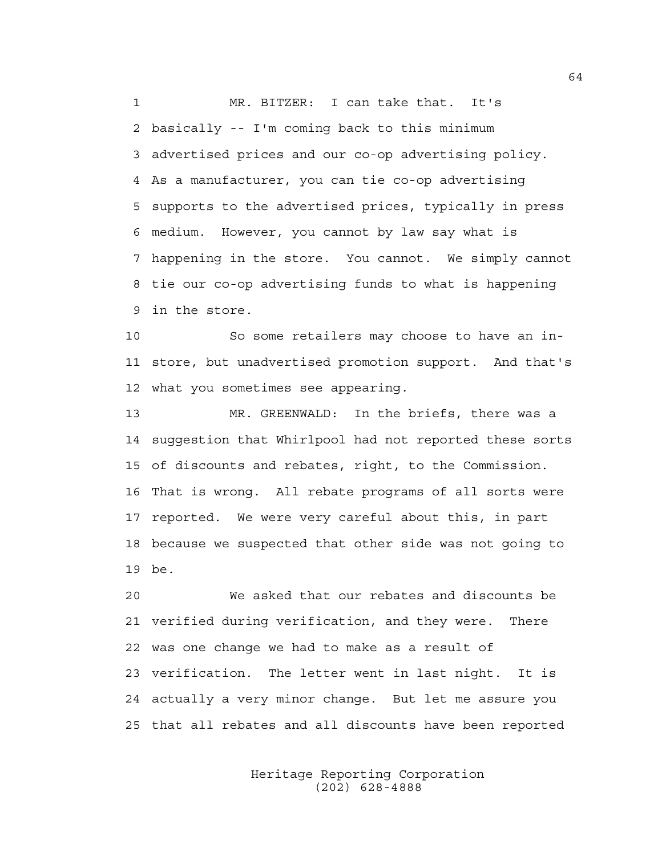1 MR. BITZER: I can take that. It's 2 basically -- I'm coming back to this minimum 3 advertised prices and our co-op advertising policy. 4 As a manufacturer, you can tie co-op advertising 5 supports to the advertised prices, typically in press 6 medium. However, you cannot by law say what is 7 happening in the store. You cannot. We simply cannot 8 tie our co-op advertising funds to what is happening 9 in the store.

10 So some retailers may choose to have an in-11 store, but unadvertised promotion support. And that's 12 what you sometimes see appearing.

13 MR. GREENWALD: In the briefs, there was a 14 suggestion that Whirlpool had not reported these sorts 15 of discounts and rebates, right, to the Commission. 16 That is wrong. All rebate programs of all sorts were 17 reported. We were very careful about this, in part 18 because we suspected that other side was not going to 19 be.

20 We asked that our rebates and discounts be 21 verified during verification, and they were. There 22 was one change we had to make as a result of 23 verification. The letter went in last night. It is 24 actually a very minor change. But let me assure you 25 that all rebates and all discounts have been reported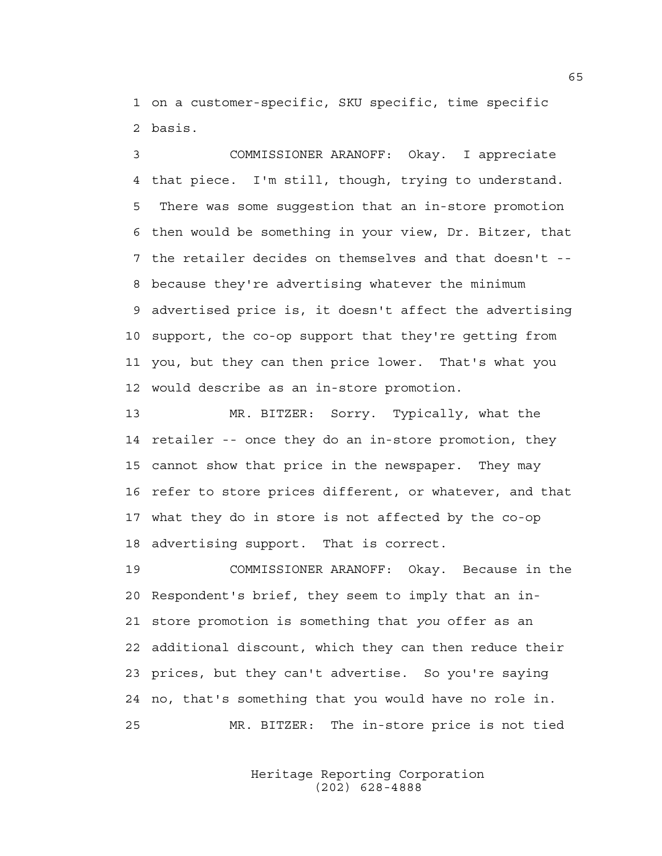1 on a customer-specific, SKU specific, time specific 2 basis.

3 COMMISSIONER ARANOFF: Okay. I appreciate 4 that piece. I'm still, though, trying to understand. 5 There was some suggestion that an in-store promotion 6 then would be something in your view, Dr. Bitzer, that 7 the retailer decides on themselves and that doesn't -- 8 because they're advertising whatever the minimum 9 advertised price is, it doesn't affect the advertising 10 support, the co-op support that they're getting from 11 you, but they can then price lower. That's what you 12 would describe as an in-store promotion.

13 MR. BITZER: Sorry. Typically, what the 14 retailer -- once they do an in-store promotion, they 15 cannot show that price in the newspaper. They may 16 refer to store prices different, or whatever, and that 17 what they do in store is not affected by the co-op 18 advertising support. That is correct.

19 COMMISSIONER ARANOFF: Okay. Because in the 20 Respondent's brief, they seem to imply that an in-21 store promotion is something that *you* offer as an 22 additional discount, which they can then reduce their 23 prices, but they can't advertise. So you're saying 24 no, that's something that you would have no role in. 25 MR. BITZER: The in-store price is not tied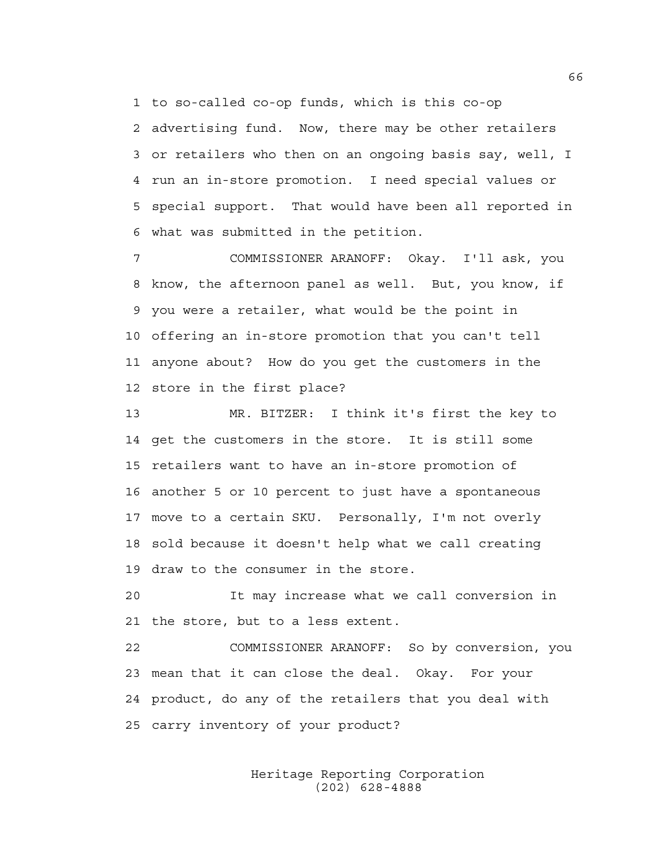1 to so-called co-op funds, which is this co-op

2 advertising fund. Now, there may be other retailers 3 or retailers who then on an ongoing basis say, well, I 4 run an in-store promotion. I need special values or 5 special support. That would have been all reported in 6 what was submitted in the petition.

7 COMMISSIONER ARANOFF: Okay. I'll ask, you 8 know, the afternoon panel as well. But, you know, if 9 you were a retailer, what would be the point in 10 offering an in-store promotion that you can't tell 11 anyone about? How do you get the customers in the 12 store in the first place?

13 MR. BITZER: I think it's first the key to 14 get the customers in the store. It is still some 15 retailers want to have an in-store promotion of 16 another 5 or 10 percent to just have a spontaneous 17 move to a certain SKU. Personally, I'm not overly 18 sold because it doesn't help what we call creating 19 draw to the consumer in the store.

20 It may increase what we call conversion in 21 the store, but to a less extent.

22 COMMISSIONER ARANOFF: So by conversion, you 23 mean that it can close the deal. Okay. For your 24 product, do any of the retailers that you deal with 25 carry inventory of your product?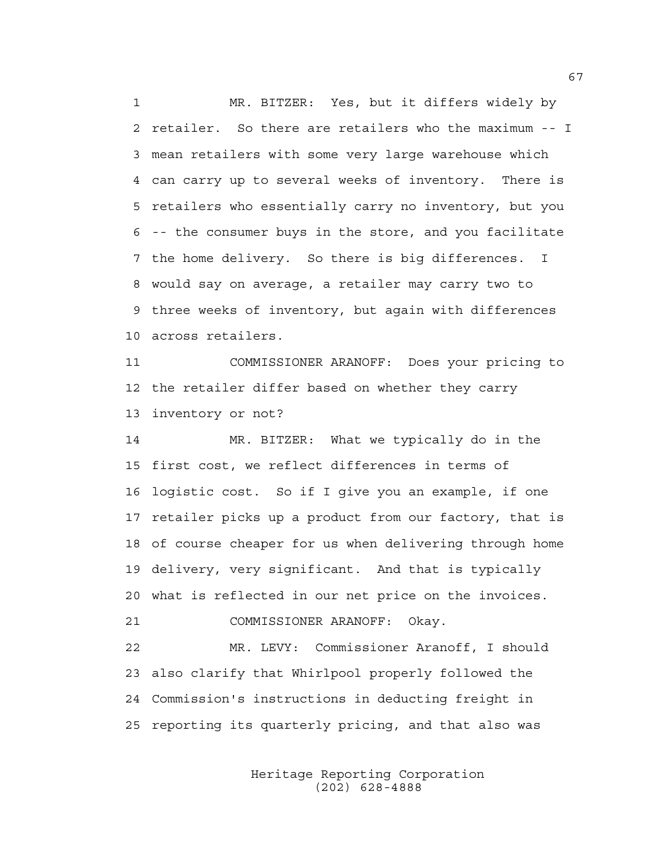1 MR. BITZER: Yes, but it differs widely by 2 retailer. So there are retailers who the maximum -- I 3 mean retailers with some very large warehouse which 4 can carry up to several weeks of inventory. There is 5 retailers who essentially carry no inventory, but you 6 -- the consumer buys in the store, and you facilitate 7 the home delivery. So there is big differences. I 8 would say on average, a retailer may carry two to 9 three weeks of inventory, but again with differences 10 across retailers.

11 COMMISSIONER ARANOFF: Does your pricing to 12 the retailer differ based on whether they carry 13 inventory or not?

14 MR. BITZER: What we typically do in the 15 first cost, we reflect differences in terms of 16 logistic cost. So if I give you an example, if one 17 retailer picks up a product from our factory, that is 18 of course cheaper for us when delivering through home 19 delivery, very significant. And that is typically 20 what is reflected in our net price on the invoices.

21 COMMISSIONER ARANOFF: Okay.

22 MR. LEVY: Commissioner Aranoff, I should 23 also clarify that Whirlpool properly followed the 24 Commission's instructions in deducting freight in 25 reporting its quarterly pricing, and that also was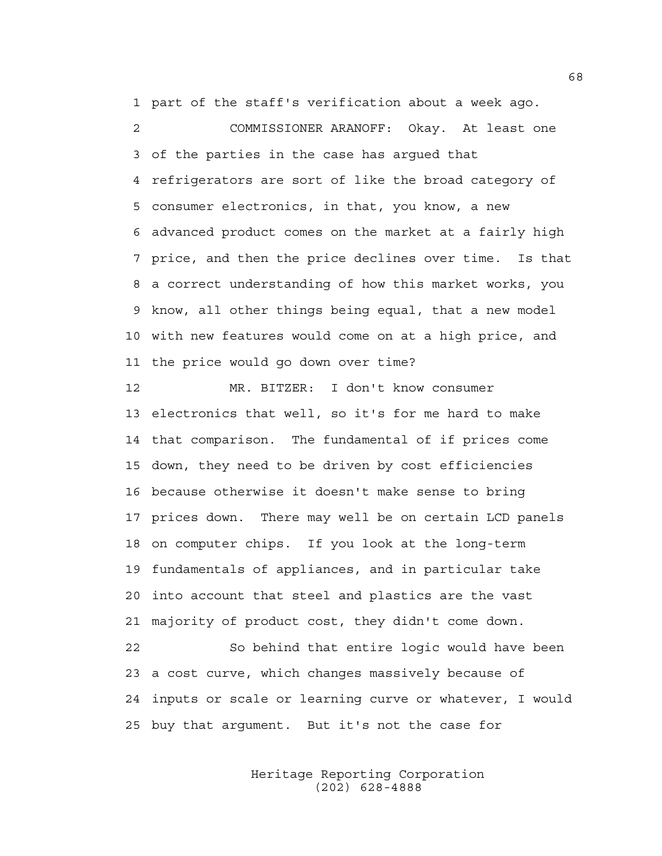1 part of the staff's verification about a week ago.

2 COMMISSIONER ARANOFF: Okay. At least one 3 of the parties in the case has argued that 4 refrigerators are sort of like the broad category of 5 consumer electronics, in that, you know, a new 6 advanced product comes on the market at a fairly high 7 price, and then the price declines over time. Is that 8 a correct understanding of how this market works, you 9 know, all other things being equal, that a new model 10 with new features would come on at a high price, and 11 the price would go down over time?

12 MR. BITZER: I don't know consumer 13 electronics that well, so it's for me hard to make 14 that comparison. The fundamental of if prices come 15 down, they need to be driven by cost efficiencies 16 because otherwise it doesn't make sense to bring 17 prices down. There may well be on certain LCD panels 18 on computer chips. If you look at the long-term 19 fundamentals of appliances, and in particular take 20 into account that steel and plastics are the vast 21 majority of product cost, they didn't come down. 22 So behind that entire logic would have been 23 a cost curve, which changes massively because of 24 inputs or scale or learning curve or whatever, I would 25 buy that argument. But it's not the case for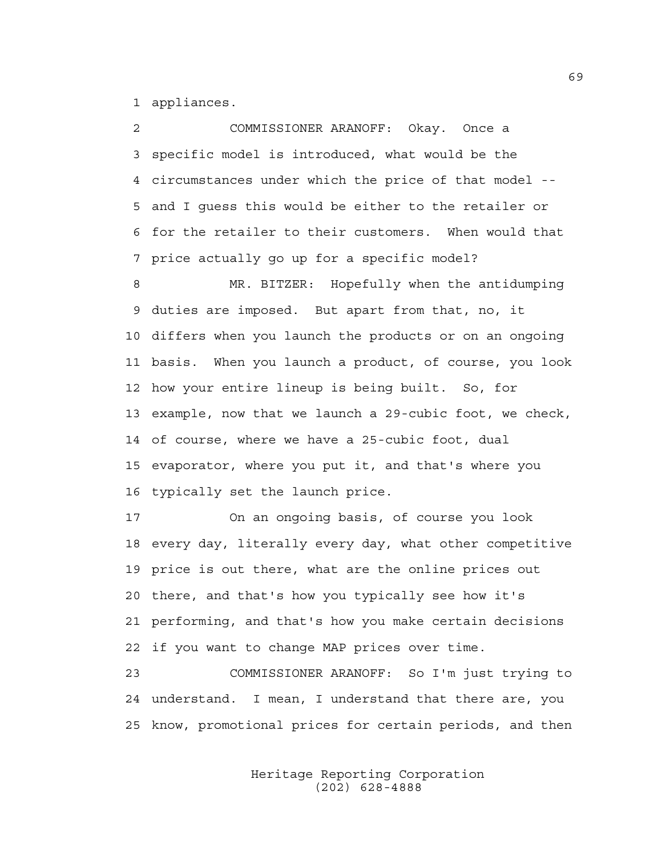1 appliances.

2 COMMISSIONER ARANOFF: Okay. Once a 3 specific model is introduced, what would be the 4 circumstances under which the price of that model -- 5 and I guess this would be either to the retailer or 6 for the retailer to their customers. When would that 7 price actually go up for a specific model?

8 MR. BITZER: Hopefully when the antidumping 9 duties are imposed. But apart from that, no, it 10 differs when you launch the products or on an ongoing 11 basis. When you launch a product, of course, you look 12 how your entire lineup is being built. So, for 13 example, now that we launch a 29-cubic foot, we check, 14 of course, where we have a 25-cubic foot, dual 15 evaporator, where you put it, and that's where you 16 typically set the launch price.

17 On an ongoing basis, of course you look 18 every day, literally every day, what other competitive 19 price is out there, what are the online prices out 20 there, and that's how you typically see how it's 21 performing, and that's how you make certain decisions 22 if you want to change MAP prices over time.

23 COMMISSIONER ARANOFF: So I'm just trying to 24 understand. I mean, I understand that there are, you 25 know, promotional prices for certain periods, and then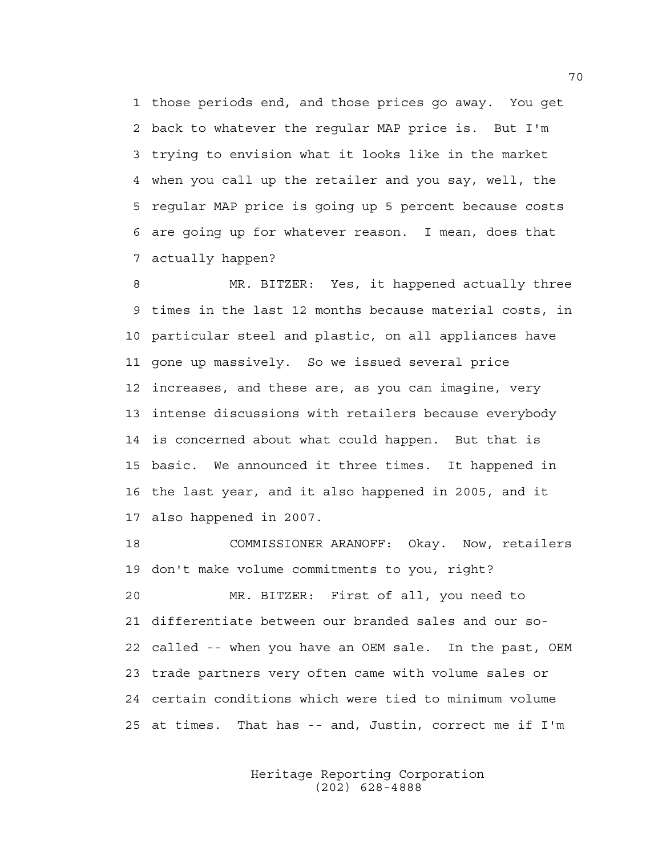1 those periods end, and those prices go away. You get 2 back to whatever the regular MAP price is. But I'm 3 trying to envision what it looks like in the market 4 when you call up the retailer and you say, well, the 5 regular MAP price is going up 5 percent because costs 6 are going up for whatever reason. I mean, does that 7 actually happen?

8 MR. BITZER: Yes, it happened actually three 9 times in the last 12 months because material costs, in 10 particular steel and plastic, on all appliances have 11 gone up massively. So we issued several price 12 increases, and these are, as you can imagine, very 13 intense discussions with retailers because everybody 14 is concerned about what could happen. But that is 15 basic. We announced it three times. It happened in 16 the last year, and it also happened in 2005, and it 17 also happened in 2007.

18 COMMISSIONER ARANOFF: Okay. Now, retailers 19 don't make volume commitments to you, right?

20 MR. BITZER: First of all, you need to 21 differentiate between our branded sales and our so-22 called -- when you have an OEM sale. In the past, OEM 23 trade partners very often came with volume sales or 24 certain conditions which were tied to minimum volume 25 at times. That has -- and, Justin, correct me if I'm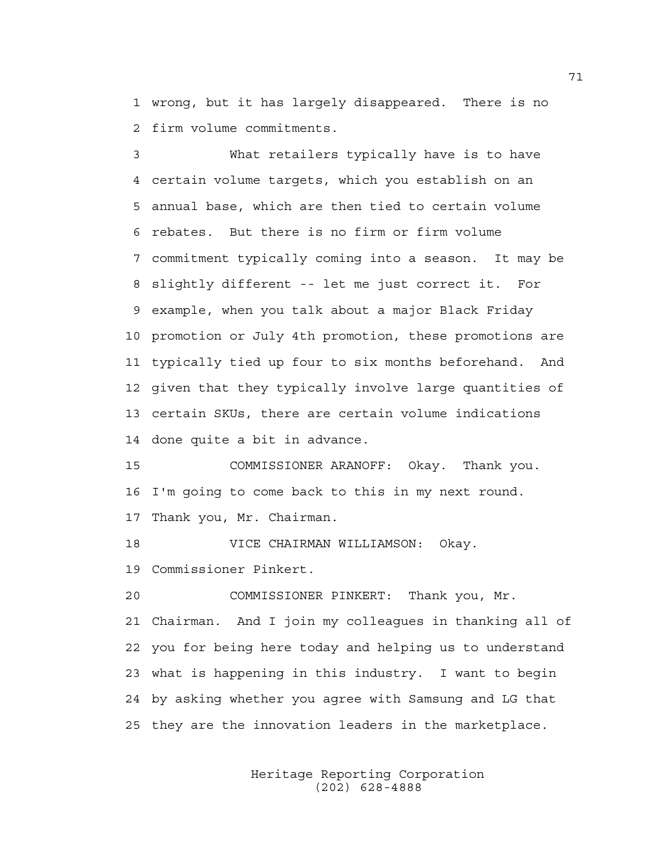1 wrong, but it has largely disappeared. There is no 2 firm volume commitments.

3 What retailers typically have is to have 4 certain volume targets, which you establish on an 5 annual base, which are then tied to certain volume 6 rebates. But there is no firm or firm volume 7 commitment typically coming into a season. It may be 8 slightly different -- let me just correct it. For 9 example, when you talk about a major Black Friday 10 promotion or July 4th promotion, these promotions are 11 typically tied up four to six months beforehand. And 12 given that they typically involve large quantities of 13 certain SKUs, there are certain volume indications 14 done quite a bit in advance.

15 COMMISSIONER ARANOFF: Okay. Thank you. 16 I'm going to come back to this in my next round. 17 Thank you, Mr. Chairman.

18 VICE CHAIRMAN WILLIAMSON: Okay. 19 Commissioner Pinkert.

20 COMMISSIONER PINKERT: Thank you, Mr. 21 Chairman. And I join my colleagues in thanking all of 22 you for being here today and helping us to understand 23 what is happening in this industry. I want to begin 24 by asking whether you agree with Samsung and LG that 25 they are the innovation leaders in the marketplace.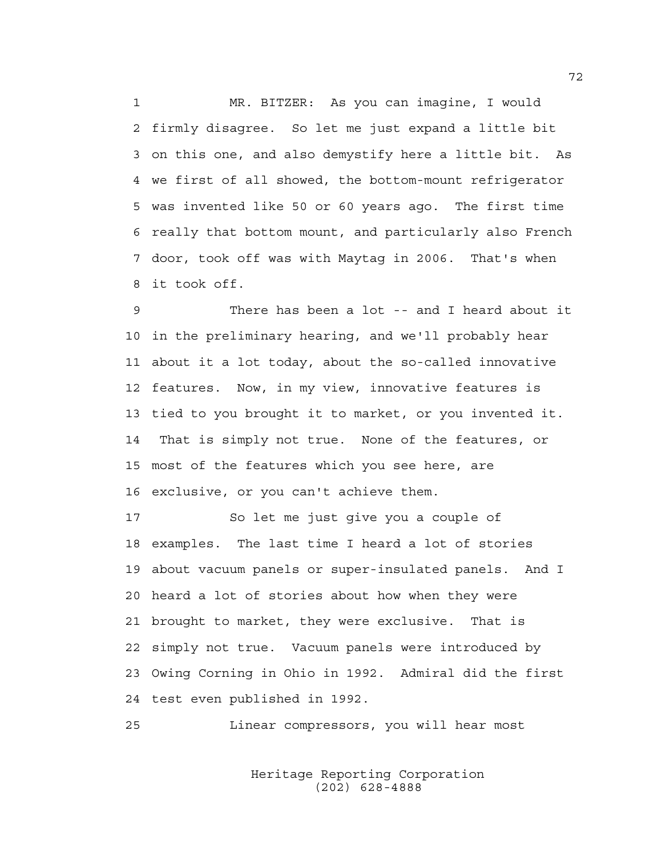1 MR. BITZER: As you can imagine, I would 2 firmly disagree. So let me just expand a little bit 3 on this one, and also demystify here a little bit. As 4 we first of all showed, the bottom-mount refrigerator 5 was invented like 50 or 60 years ago. The first time 6 really that bottom mount, and particularly also French 7 door, took off was with Maytag in 2006. That's when 8 it took off.

9 There has been a lot -- and I heard about it 10 in the preliminary hearing, and we'll probably hear 11 about it a lot today, about the so-called innovative 12 features. Now, in my view, innovative features is 13 tied to you brought it to market, or you invented it. 14 That is simply not true. None of the features, or 15 most of the features which you see here, are 16 exclusive, or you can't achieve them.

17 So let me just give you a couple of 18 examples. The last time I heard a lot of stories 19 about vacuum panels or super-insulated panels. And I 20 heard a lot of stories about how when they were 21 brought to market, they were exclusive. That is 22 simply not true. Vacuum panels were introduced by 23 Owing Corning in Ohio in 1992. Admiral did the first 24 test even published in 1992.

25 Linear compressors, you will hear most

 Heritage Reporting Corporation (202) 628-4888

72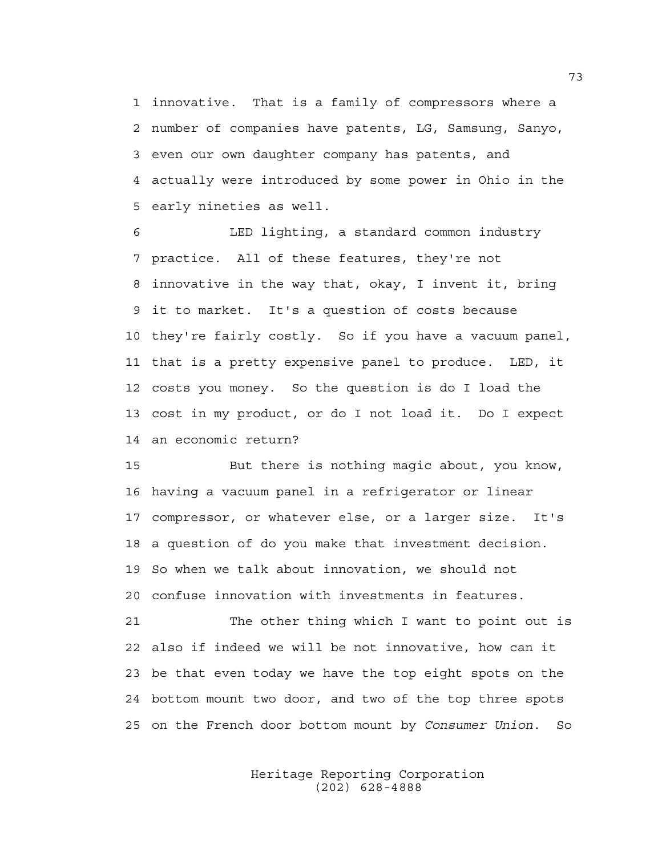1 innovative. That is a family of compressors where a 2 number of companies have patents, LG, Samsung, Sanyo, 3 even our own daughter company has patents, and 4 actually were introduced by some power in Ohio in the 5 early nineties as well.

6 LED lighting, a standard common industry 7 practice. All of these features, they're not 8 innovative in the way that, okay, I invent it, bring 9 it to market. It's a question of costs because 10 they're fairly costly. So if you have a vacuum panel, 11 that is a pretty expensive panel to produce. LED, it 12 costs you money. So the question is do I load the 13 cost in my product, or do I not load it. Do I expect 14 an economic return?

15 But there is nothing magic about, you know, 16 having a vacuum panel in a refrigerator or linear 17 compressor, or whatever else, or a larger size. It's 18 a question of do you make that investment decision. 19 So when we talk about innovation, we should not 20 confuse innovation with investments in features.

21 The other thing which I want to point out is 22 also if indeed we will be not innovative, how can it 23 be that even today we have the top eight spots on the 24 bottom mount two door, and two of the top three spots 25 on the French door bottom mount by *Consumer Union*. So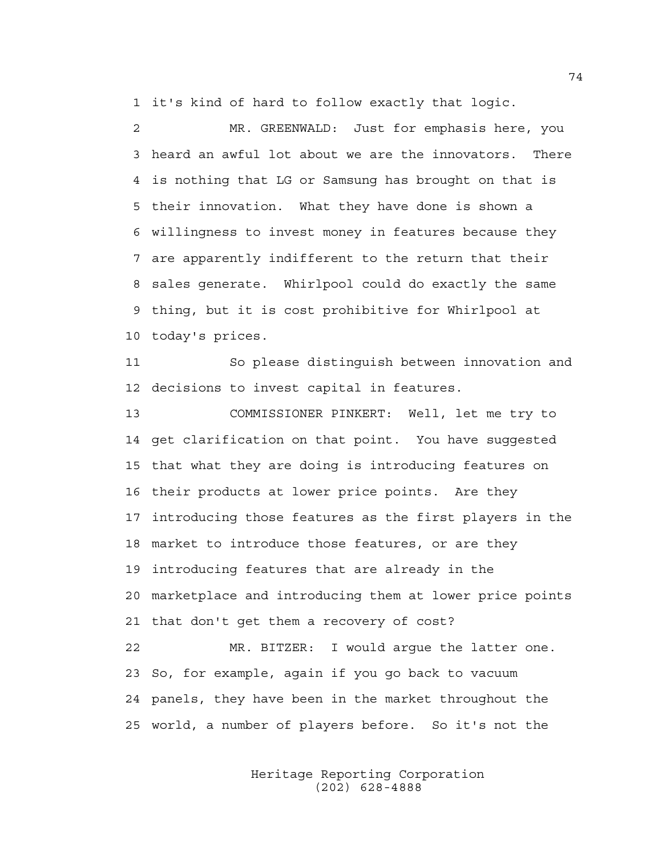1 it's kind of hard to follow exactly that logic.

2 MR. GREENWALD: Just for emphasis here, you 3 heard an awful lot about we are the innovators. There 4 is nothing that LG or Samsung has brought on that is 5 their innovation. What they have done is shown a 6 willingness to invest money in features because they 7 are apparently indifferent to the return that their 8 sales generate. Whirlpool could do exactly the same 9 thing, but it is cost prohibitive for Whirlpool at 10 today's prices.

11 So please distinguish between innovation and 12 decisions to invest capital in features.

13 COMMISSIONER PINKERT: Well, let me try to 14 get clarification on that point. You have suggested 15 that what they are doing is introducing features on 16 their products at lower price points. Are they 17 introducing those features as the first players in the 18 market to introduce those features, or are they 19 introducing features that are already in the 20 marketplace and introducing them at lower price points 21 that don't get them a recovery of cost? 22 MR. BITZER: I would argue the latter one. 23 So, for example, again if you go back to vacuum 24 panels, they have been in the market throughout the

25 world, a number of players before. So it's not the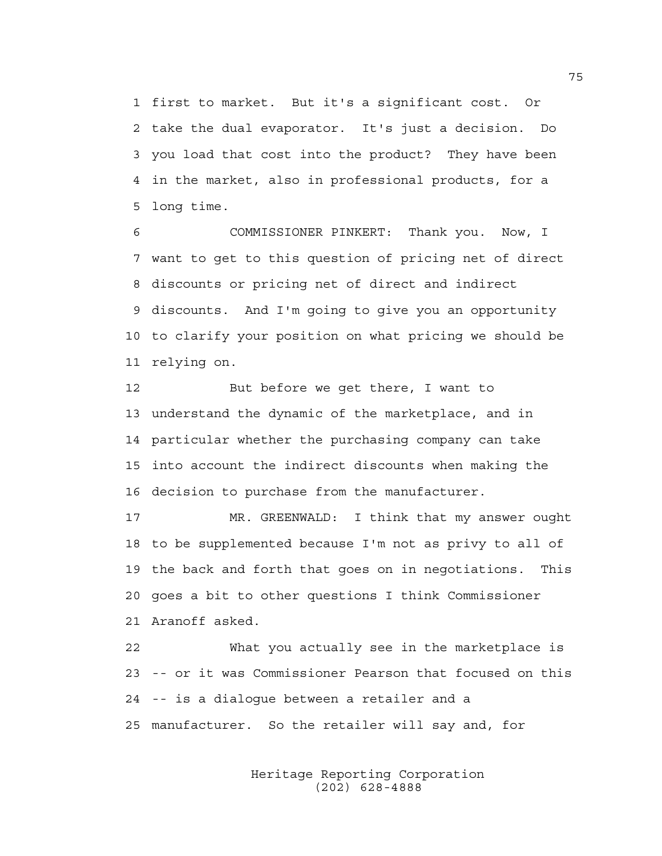1 first to market. But it's a significant cost. Or 2 take the dual evaporator. It's just a decision. Do 3 you load that cost into the product? They have been 4 in the market, also in professional products, for a 5 long time.

6 COMMISSIONER PINKERT: Thank you. Now, I 7 want to get to this question of pricing net of direct 8 discounts or pricing net of direct and indirect 9 discounts. And I'm going to give you an opportunity 10 to clarify your position on what pricing we should be 11 relying on.

12 But before we get there, I want to 13 understand the dynamic of the marketplace, and in 14 particular whether the purchasing company can take 15 into account the indirect discounts when making the 16 decision to purchase from the manufacturer.

17 MR. GREENWALD: I think that my answer ought 18 to be supplemented because I'm not as privy to all of 19 the back and forth that goes on in negotiations. This 20 goes a bit to other questions I think Commissioner 21 Aranoff asked.

22 What you actually see in the marketplace is 23 -- or it was Commissioner Pearson that focused on this 24 -- is a dialogue between a retailer and a 25 manufacturer. So the retailer will say and, for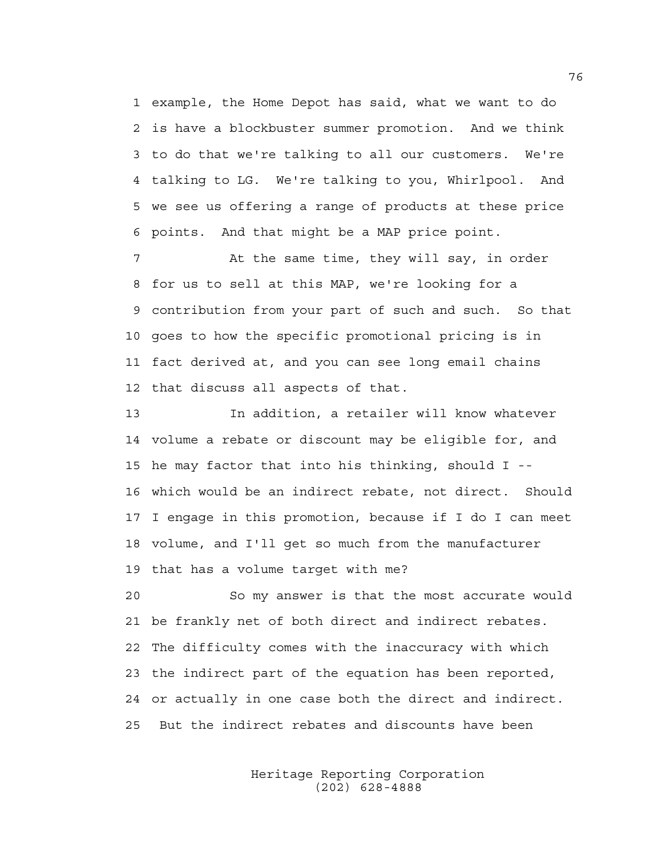1 example, the Home Depot has said, what we want to do 2 is have a blockbuster summer promotion. And we think 3 to do that we're talking to all our customers. We're 4 talking to LG. We're talking to you, Whirlpool. And 5 we see us offering a range of products at these price 6 points. And that might be a MAP price point.

7 At the same time, they will say, in order 8 for us to sell at this MAP, we're looking for a 9 contribution from your part of such and such. So that 10 goes to how the specific promotional pricing is in 11 fact derived at, and you can see long email chains 12 that discuss all aspects of that.

13 In addition, a retailer will know whatever 14 volume a rebate or discount may be eligible for, and 15 he may factor that into his thinking, should I -- 16 which would be an indirect rebate, not direct. Should 17 I engage in this promotion, because if I do I can meet 18 volume, and I'll get so much from the manufacturer 19 that has a volume target with me?

20 So my answer is that the most accurate would 21 be frankly net of both direct and indirect rebates. 22 The difficulty comes with the inaccuracy with which 23 the indirect part of the equation has been reported, 24 or actually in one case both the direct and indirect. 25 But the indirect rebates and discounts have been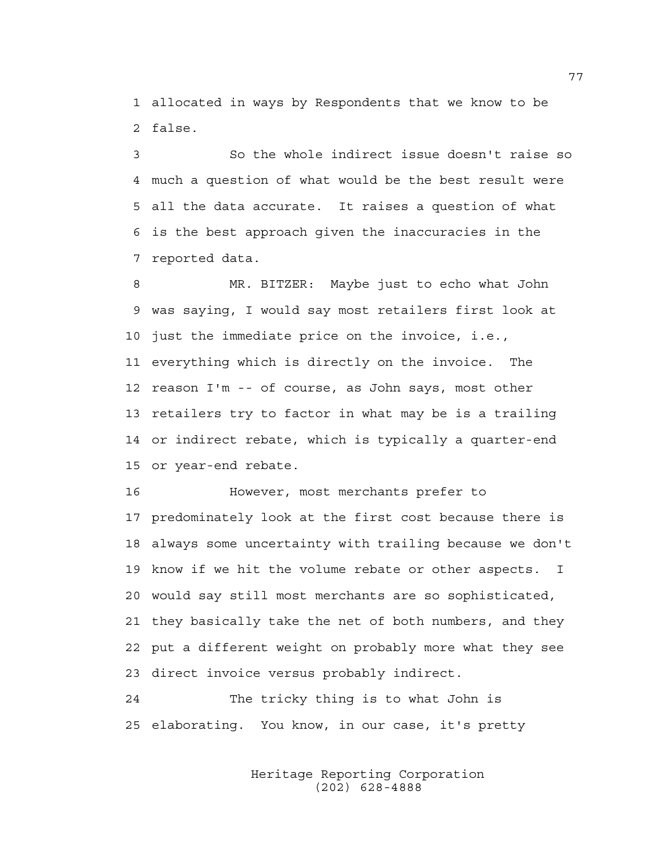1 allocated in ways by Respondents that we know to be 2 false.

3 So the whole indirect issue doesn't raise so 4 much a question of what would be the best result were 5 all the data accurate. It raises a question of what 6 is the best approach given the inaccuracies in the 7 reported data.

8 MR. BITZER: Maybe just to echo what John 9 was saying, I would say most retailers first look at 10 just the immediate price on the invoice, i.e., 11 everything which is directly on the invoice. The 12 reason I'm -- of course, as John says, most other 13 retailers try to factor in what may be is a trailing 14 or indirect rebate, which is typically a quarter-end 15 or year-end rebate.

16 However, most merchants prefer to 17 predominately look at the first cost because there is 18 always some uncertainty with trailing because we don't 19 know if we hit the volume rebate or other aspects. I 20 would say still most merchants are so sophisticated, 21 they basically take the net of both numbers, and they 22 put a different weight on probably more what they see 23 direct invoice versus probably indirect.

24 The tricky thing is to what John is 25 elaborating. You know, in our case, it's pretty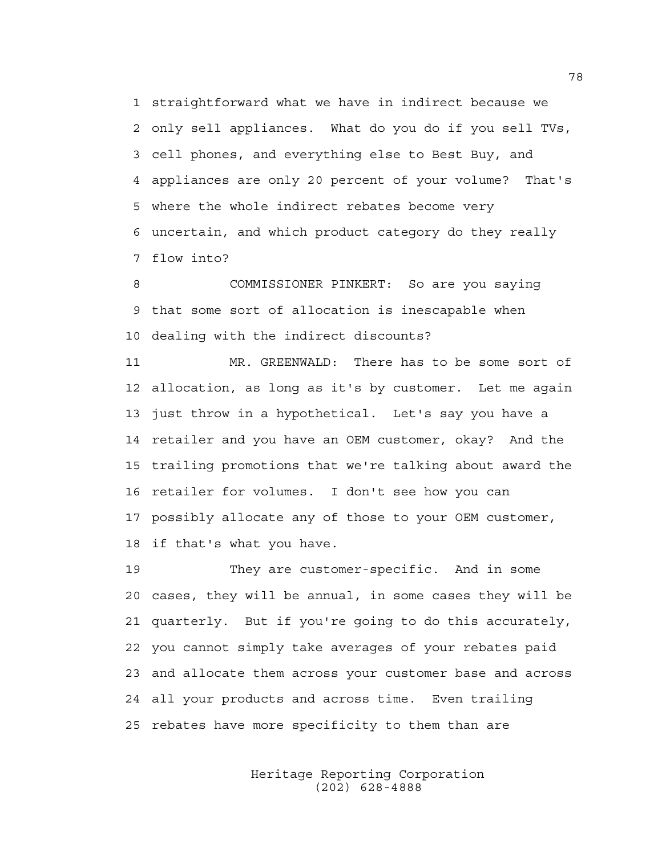1 straightforward what we have in indirect because we 2 only sell appliances. What do you do if you sell TVs, 3 cell phones, and everything else to Best Buy, and 4 appliances are only 20 percent of your volume? That's 5 where the whole indirect rebates become very 6 uncertain, and which product category do they really 7 flow into?

8 COMMISSIONER PINKERT: So are you saying 9 that some sort of allocation is inescapable when 10 dealing with the indirect discounts?

11 MR. GREENWALD: There has to be some sort of 12 allocation, as long as it's by customer. Let me again 13 just throw in a hypothetical. Let's say you have a 14 retailer and you have an OEM customer, okay? And the 15 trailing promotions that we're talking about award the 16 retailer for volumes. I don't see how you can 17 possibly allocate any of those to your OEM customer, 18 if that's what you have.

19 They are customer-specific. And in some 20 cases, they will be annual, in some cases they will be 21 quarterly. But if you're going to do this accurately, 22 you cannot simply take averages of your rebates paid 23 and allocate them across your customer base and across 24 all your products and across time. Even trailing 25 rebates have more specificity to them than are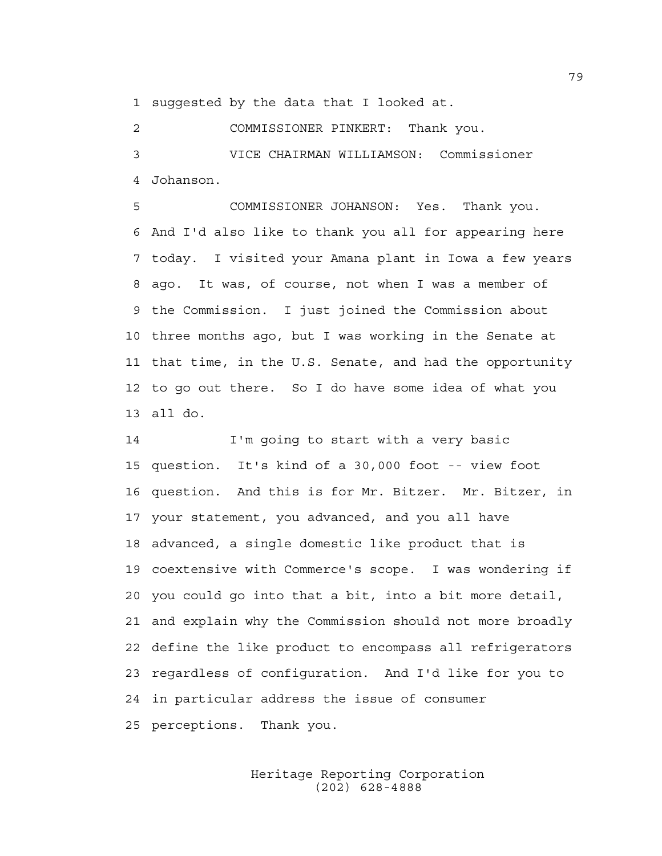1 suggested by the data that I looked at.

2 COMMISSIONER PINKERT: Thank you.

3 VICE CHAIRMAN WILLIAMSON: Commissioner 4 Johanson.

5 COMMISSIONER JOHANSON: Yes. Thank you. 6 And I'd also like to thank you all for appearing here 7 today. I visited your Amana plant in Iowa a few years 8 ago. It was, of course, not when I was a member of 9 the Commission. I just joined the Commission about 10 three months ago, but I was working in the Senate at 11 that time, in the U.S. Senate, and had the opportunity 12 to go out there. So I do have some idea of what you 13 all do.

14 I'm going to start with a very basic 15 question. It's kind of a 30,000 foot -- view foot 16 question. And this is for Mr. Bitzer. Mr. Bitzer, in 17 your statement, you advanced, and you all have 18 advanced, a single domestic like product that is 19 coextensive with Commerce's scope. I was wondering if 20 you could go into that a bit, into a bit more detail, 21 and explain why the Commission should not more broadly 22 define the like product to encompass all refrigerators 23 regardless of configuration. And I'd like for you to 24 in particular address the issue of consumer 25 perceptions. Thank you.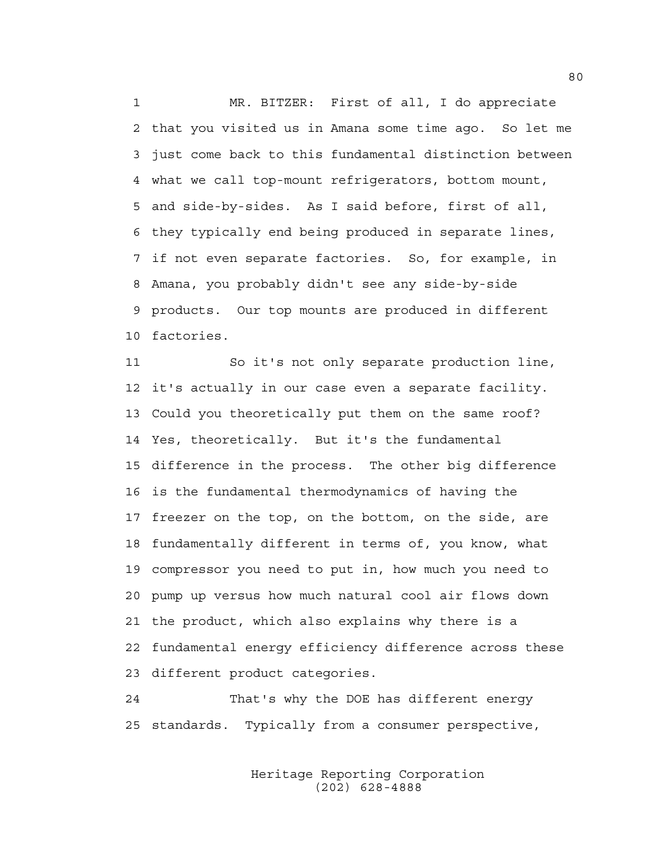1 MR. BITZER: First of all, I do appreciate 2 that you visited us in Amana some time ago. So let me 3 just come back to this fundamental distinction between 4 what we call top-mount refrigerators, bottom mount, 5 and side-by-sides. As I said before, first of all, 6 they typically end being produced in separate lines, 7 if not even separate factories. So, for example, in 8 Amana, you probably didn't see any side-by-side 9 products. Our top mounts are produced in different 10 factories.

11 So it's not only separate production line, 12 it's actually in our case even a separate facility. 13 Could you theoretically put them on the same roof? 14 Yes, theoretically. But it's the fundamental 15 difference in the process. The other big difference 16 is the fundamental thermodynamics of having the 17 freezer on the top, on the bottom, on the side, are 18 fundamentally different in terms of, you know, what 19 compressor you need to put in, how much you need to 20 pump up versus how much natural cool air flows down 21 the product, which also explains why there is a 22 fundamental energy efficiency difference across these 23 different product categories.

24 That's why the DOE has different energy 25 standards. Typically from a consumer perspective,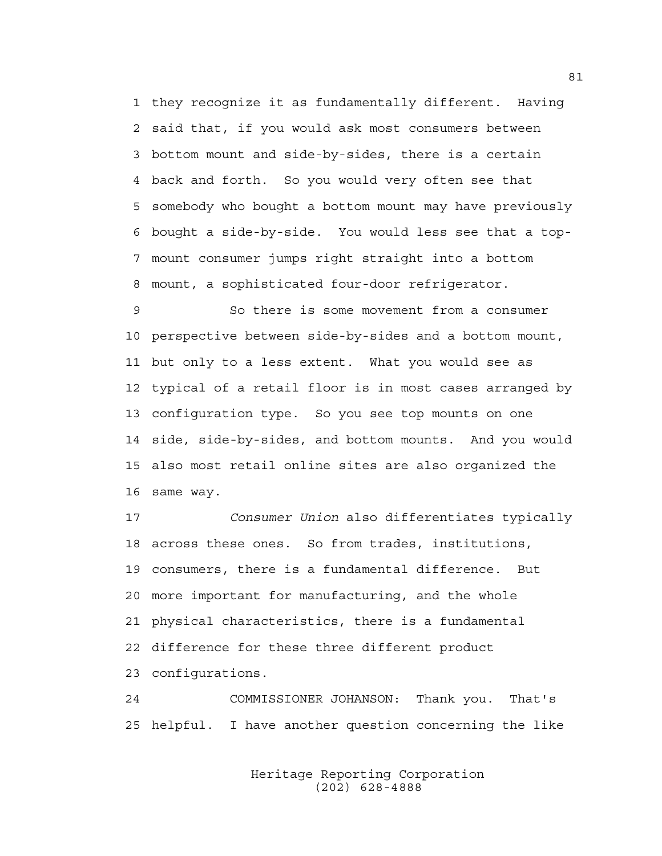1 they recognize it as fundamentally different. Having 2 said that, if you would ask most consumers between 3 bottom mount and side-by-sides, there is a certain 4 back and forth. So you would very often see that 5 somebody who bought a bottom mount may have previously 6 bought a side-by-side. You would less see that a top-7 mount consumer jumps right straight into a bottom 8 mount, a sophisticated four-door refrigerator.

9 So there is some movement from a consumer 10 perspective between side-by-sides and a bottom mount, 11 but only to a less extent. What you would see as 12 typical of a retail floor is in most cases arranged by 13 configuration type. So you see top mounts on one 14 side, side-by-sides, and bottom mounts. And you would 15 also most retail online sites are also organized the 16 same way.

17 *Consumer Union* also differentiates typically 18 across these ones. So from trades, institutions, 19 consumers, there is a fundamental difference. But 20 more important for manufacturing, and the whole 21 physical characteristics, there is a fundamental 22 difference for these three different product 23 configurations.

24 COMMISSIONER JOHANSON: Thank you. That's 25 helpful. I have another question concerning the like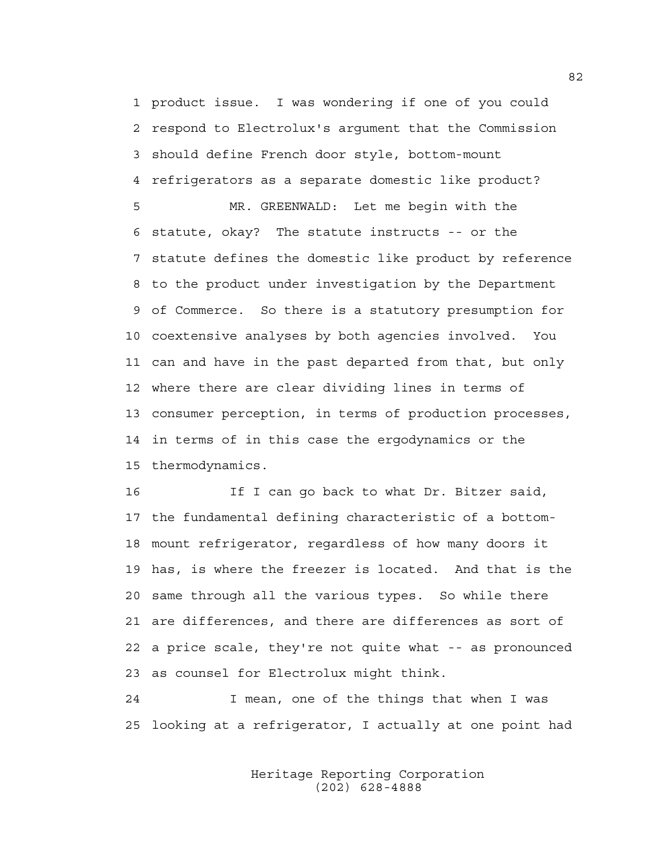1 product issue. I was wondering if one of you could 2 respond to Electrolux's argument that the Commission 3 should define French door style, bottom-mount 4 refrigerators as a separate domestic like product?

5 MR. GREENWALD: Let me begin with the 6 statute, okay? The statute instructs -- or the 7 statute defines the domestic like product by reference 8 to the product under investigation by the Department 9 of Commerce. So there is a statutory presumption for 10 coextensive analyses by both agencies involved. You 11 can and have in the past departed from that, but only 12 where there are clear dividing lines in terms of 13 consumer perception, in terms of production processes, 14 in terms of in this case the ergodynamics or the 15 thermodynamics.

16 16 If I can go back to what Dr. Bitzer said, 17 the fundamental defining characteristic of a bottom-18 mount refrigerator, regardless of how many doors it 19 has, is where the freezer is located. And that is the 20 same through all the various types. So while there 21 are differences, and there are differences as sort of 22 a price scale, they're not quite what -- as pronounced 23 as counsel for Electrolux might think.

24 I mean, one of the things that when I was 25 looking at a refrigerator, I actually at one point had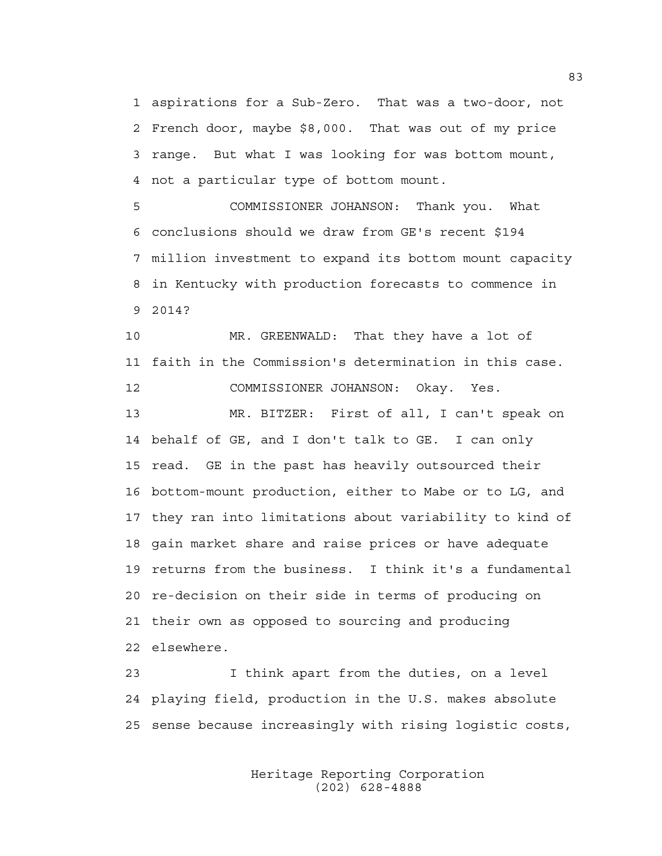1 aspirations for a Sub-Zero. That was a two-door, not 2 French door, maybe \$8,000. That was out of my price 3 range. But what I was looking for was bottom mount, 4 not a particular type of bottom mount.

5 COMMISSIONER JOHANSON: Thank you. What 6 conclusions should we draw from GE's recent \$194 7 million investment to expand its bottom mount capacity 8 in Kentucky with production forecasts to commence in 9 2014?

10 MR. GREENWALD: That they have a lot of 11 faith in the Commission's determination in this case. 12 COMMISSIONER JOHANSON: Okay. Yes. 13 MR. BITZER: First of all, I can't speak on 14 behalf of GE, and I don't talk to GE. I can only 15 read. GE in the past has heavily outsourced their 16 bottom-mount production, either to Mabe or to LG, and 17 they ran into limitations about variability to kind of 18 gain market share and raise prices or have adequate 19 returns from the business. I think it's a fundamental 20 re-decision on their side in terms of producing on 21 their own as opposed to sourcing and producing 22 elsewhere.

23 I think apart from the duties, on a level 24 playing field, production in the U.S. makes absolute 25 sense because increasingly with rising logistic costs,

> Heritage Reporting Corporation (202) 628-4888

83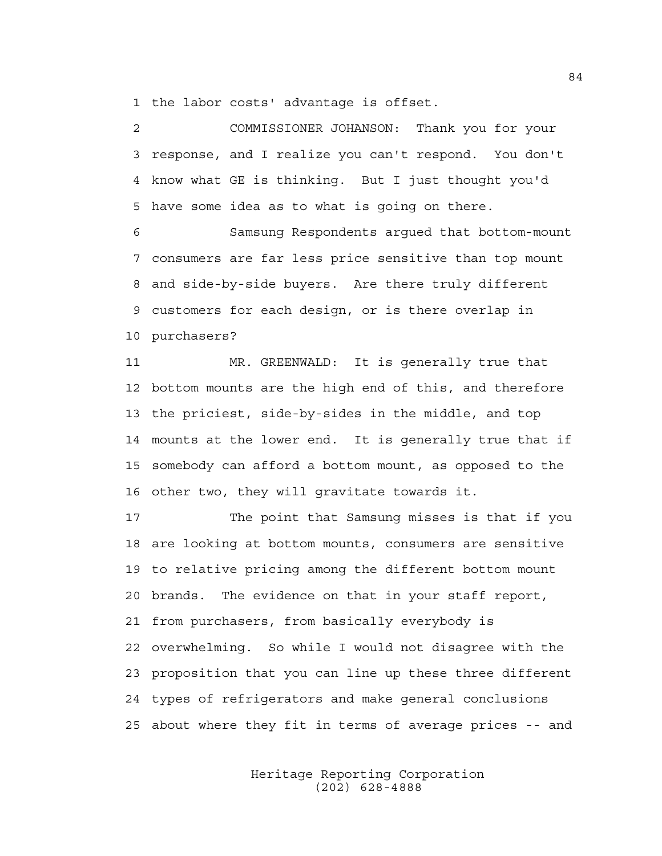1 the labor costs' advantage is offset.

2 COMMISSIONER JOHANSON: Thank you for your 3 response, and I realize you can't respond. You don't 4 know what GE is thinking. But I just thought you'd 5 have some idea as to what is going on there.

6 Samsung Respondents argued that bottom-mount 7 consumers are far less price sensitive than top mount 8 and side-by-side buyers. Are there truly different 9 customers for each design, or is there overlap in 10 purchasers?

11 MR. GREENWALD: It is generally true that 12 bottom mounts are the high end of this, and therefore 13 the priciest, side-by-sides in the middle, and top 14 mounts at the lower end. It is generally true that if 15 somebody can afford a bottom mount, as opposed to the 16 other two, they will gravitate towards it.

17 The point that Samsung misses is that if you 18 are looking at bottom mounts, consumers are sensitive 19 to relative pricing among the different bottom mount 20 brands. The evidence on that in your staff report, 21 from purchasers, from basically everybody is 22 overwhelming. So while I would not disagree with the 23 proposition that you can line up these three different 24 types of refrigerators and make general conclusions 25 about where they fit in terms of average prices -- and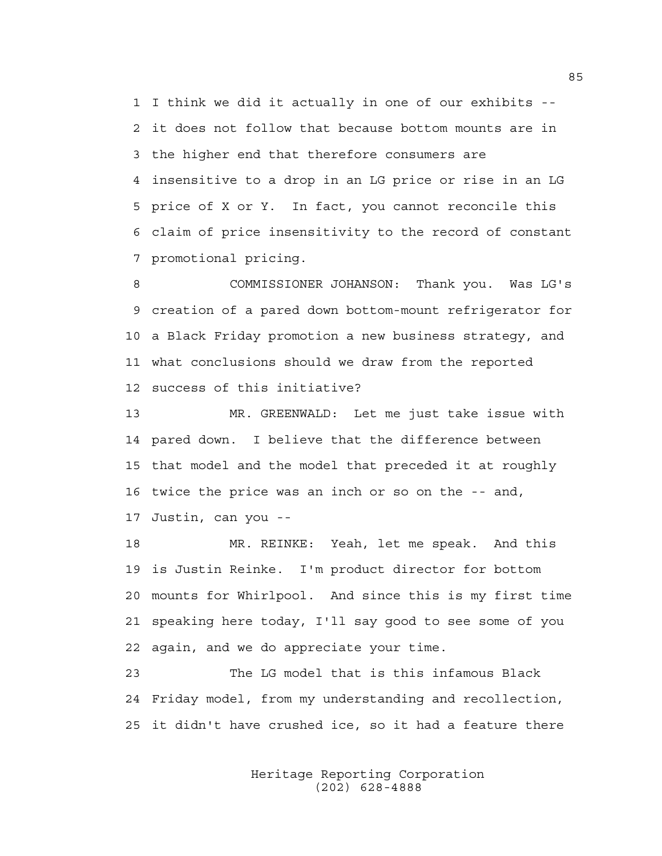1 I think we did it actually in one of our exhibits -- 2 it does not follow that because bottom mounts are in 3 the higher end that therefore consumers are 4 insensitive to a drop in an LG price or rise in an LG 5 price of X or Y. In fact, you cannot reconcile this 6 claim of price insensitivity to the record of constant 7 promotional pricing.

8 COMMISSIONER JOHANSON: Thank you. Was LG's 9 creation of a pared down bottom-mount refrigerator for 10 a Black Friday promotion a new business strategy, and 11 what conclusions should we draw from the reported 12 success of this initiative?

13 MR. GREENWALD: Let me just take issue with 14 pared down. I believe that the difference between 15 that model and the model that preceded it at roughly 16 twice the price was an inch or so on the -- and, 17 Justin, can you --

18 MR. REINKE: Yeah, let me speak. And this 19 is Justin Reinke. I'm product director for bottom 20 mounts for Whirlpool. And since this is my first time 21 speaking here today, I'll say good to see some of you 22 again, and we do appreciate your time.

23 The LG model that is this infamous Black 24 Friday model, from my understanding and recollection, 25 it didn't have crushed ice, so it had a feature there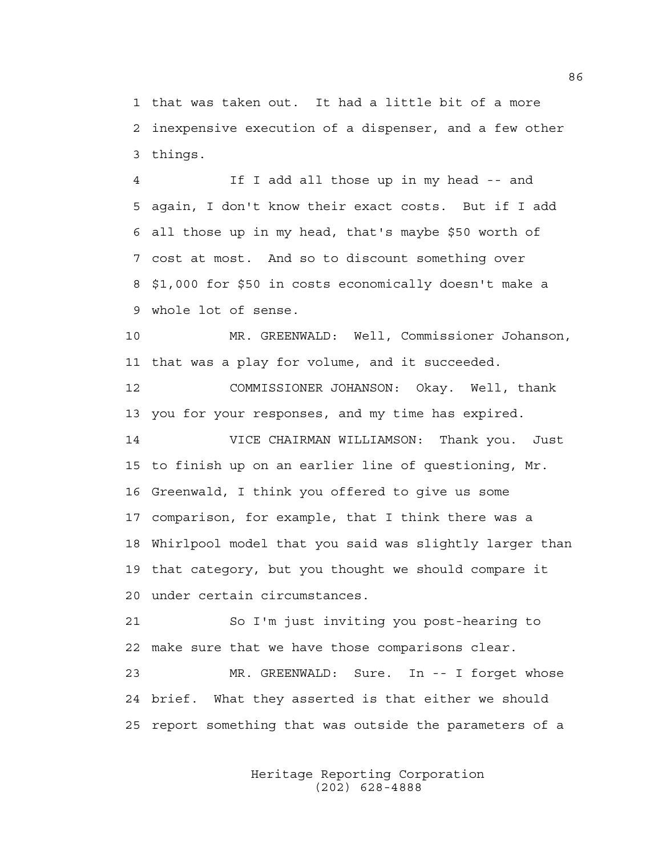1 that was taken out. It had a little bit of a more 2 inexpensive execution of a dispenser, and a few other 3 things.

4 If I add all those up in my head -- and 5 again, I don't know their exact costs. But if I add 6 all those up in my head, that's maybe \$50 worth of 7 cost at most. And so to discount something over 8 \$1,000 for \$50 in costs economically doesn't make a 9 whole lot of sense.

10 MR. GREENWALD: Well, Commissioner Johanson, 11 that was a play for volume, and it succeeded.

12 COMMISSIONER JOHANSON: Okay. Well, thank 13 you for your responses, and my time has expired.

14 VICE CHAIRMAN WILLIAMSON: Thank you. Just 15 to finish up on an earlier line of questioning, Mr. 16 Greenwald, I think you offered to give us some 17 comparison, for example, that I think there was a 18 Whirlpool model that you said was slightly larger than 19 that category, but you thought we should compare it 20 under certain circumstances.

21 So I'm just inviting you post-hearing to 22 make sure that we have those comparisons clear.

23 MR. GREENWALD: Sure. In -- I forget whose 24 brief. What they asserted is that either we should 25 report something that was outside the parameters of a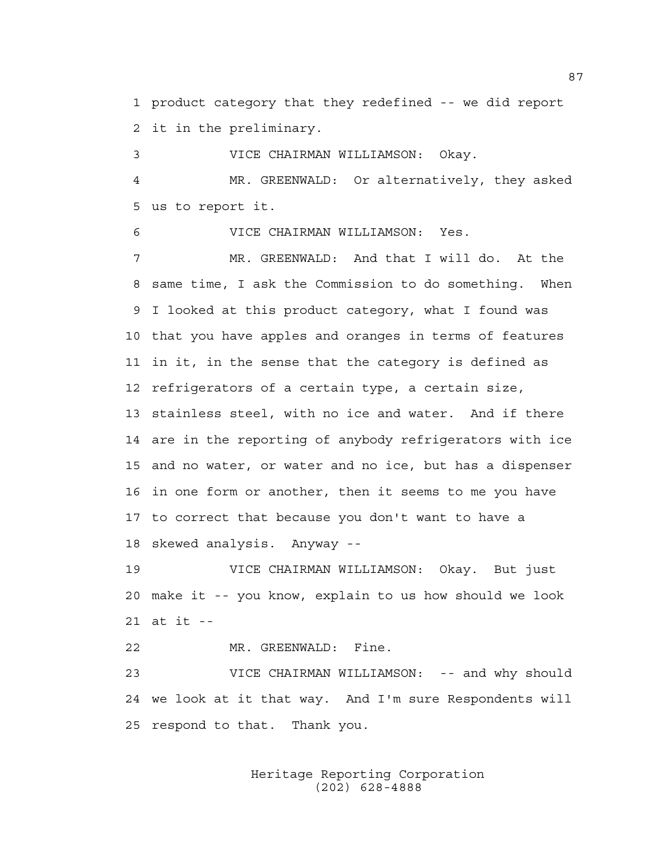1 product category that they redefined -- we did report 2 it in the preliminary.

3 VICE CHAIRMAN WILLIAMSON: Okay. 4 MR. GREENWALD: Or alternatively, they asked 5 us to report it.

6 VICE CHAIRMAN WILLIAMSON: Yes.

7 MR. GREENWALD: And that I will do. At the 8 same time, I ask the Commission to do something. When 9 I looked at this product category, what I found was 10 that you have apples and oranges in terms of features 11 in it, in the sense that the category is defined as 12 refrigerators of a certain type, a certain size, 13 stainless steel, with no ice and water. And if there 14 are in the reporting of anybody refrigerators with ice 15 and no water, or water and no ice, but has a dispenser 16 in one form or another, then it seems to me you have 17 to correct that because you don't want to have a 18 skewed analysis. Anyway --

19 VICE CHAIRMAN WILLIAMSON: Okay. But just 20 make it -- you know, explain to us how should we look 21 at it --

22 MR. GREENWALD: Fine. 23 VICE CHAIRMAN WILLIAMSON: -- and why should 24 we look at it that way. And I'm sure Respondents will 25 respond to that. Thank you.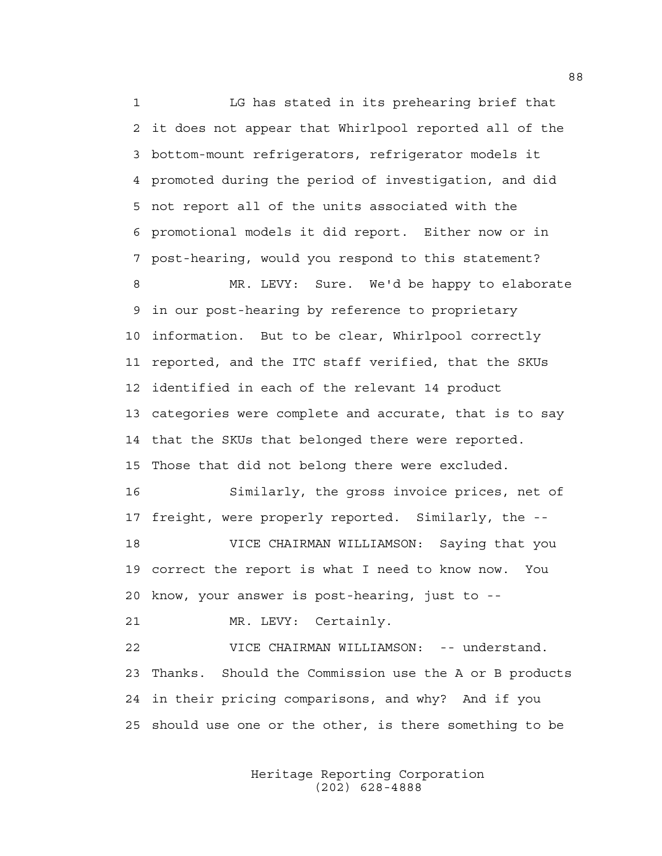1 LG has stated in its prehearing brief that 2 it does not appear that Whirlpool reported all of the 3 bottom-mount refrigerators, refrigerator models it 4 promoted during the period of investigation, and did 5 not report all of the units associated with the 6 promotional models it did report. Either now or in 7 post-hearing, would you respond to this statement? 8 MR. LEVY: Sure. We'd be happy to elaborate 9 in our post-hearing by reference to proprietary 10 information. But to be clear, Whirlpool correctly 11 reported, and the ITC staff verified, that the SKUs 12 identified in each of the relevant 14 product 13 categories were complete and accurate, that is to say 14 that the SKUs that belonged there were reported. 15 Those that did not belong there were excluded. 16 Similarly, the gross invoice prices, net of 17 freight, were properly reported. Similarly, the -- 18 VICE CHAIRMAN WILLIAMSON: Saying that you 19 correct the report is what I need to know now. You 20 know, your answer is post-hearing, just to -- 21 MR. LEVY: Certainly. 22 VICE CHAIRMAN WILLIAMSON: -- understand. 23 Thanks. Should the Commission use the A or B products

25 should use one or the other, is there something to be

24 in their pricing comparisons, and why? And if you

 Heritage Reporting Corporation (202) 628-4888

88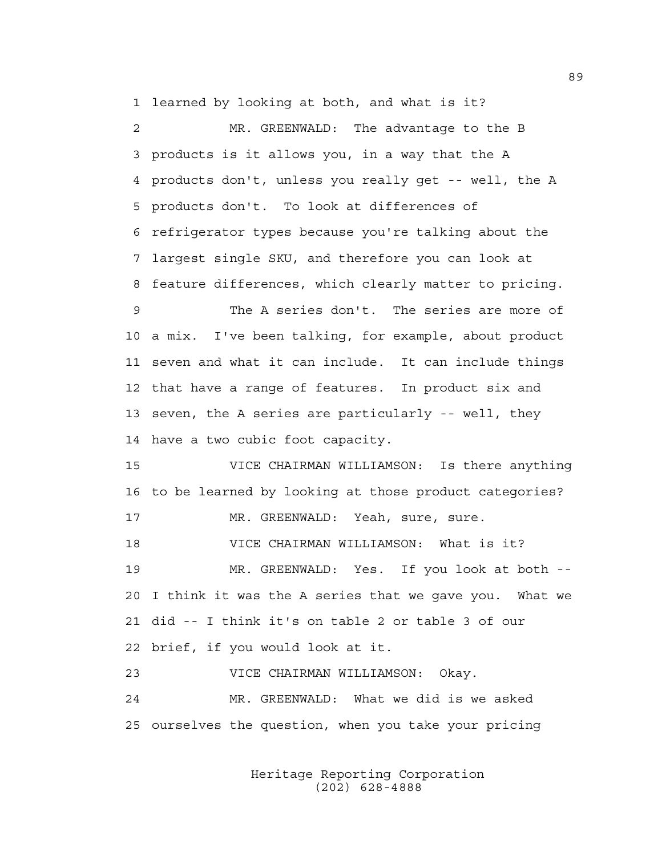1 learned by looking at both, and what is it?

2 MR. GREENWALD: The advantage to the B 3 products is it allows you, in a way that the A 4 products don't, unless you really get -- well, the A 5 products don't. To look at differences of 6 refrigerator types because you're talking about the 7 largest single SKU, and therefore you can look at 8 feature differences, which clearly matter to pricing. 9 The A series don't. The series are more of 10 a mix. I've been talking, for example, about product 11 seven and what it can include. It can include things 12 that have a range of features. In product six and 13 seven, the A series are particularly -- well, they 14 have a two cubic foot capacity. 15 VICE CHAIRMAN WILLIAMSON: Is there anything 16 to be learned by looking at those product categories? 17 MR. GREENWALD: Yeah, sure, sure. 18 VICE CHAIRMAN WILLIAMSON: What is it? 19 MR. GREENWALD: Yes. If you look at both -- 20 I think it was the A series that we gave you. What we 21 did -- I think it's on table 2 or table 3 of our 22 brief, if you would look at it. 23 VICE CHAIRMAN WILLIAMSON: Okay. 24 MR. GREENWALD: What we did is we asked 25 ourselves the question, when you take your pricing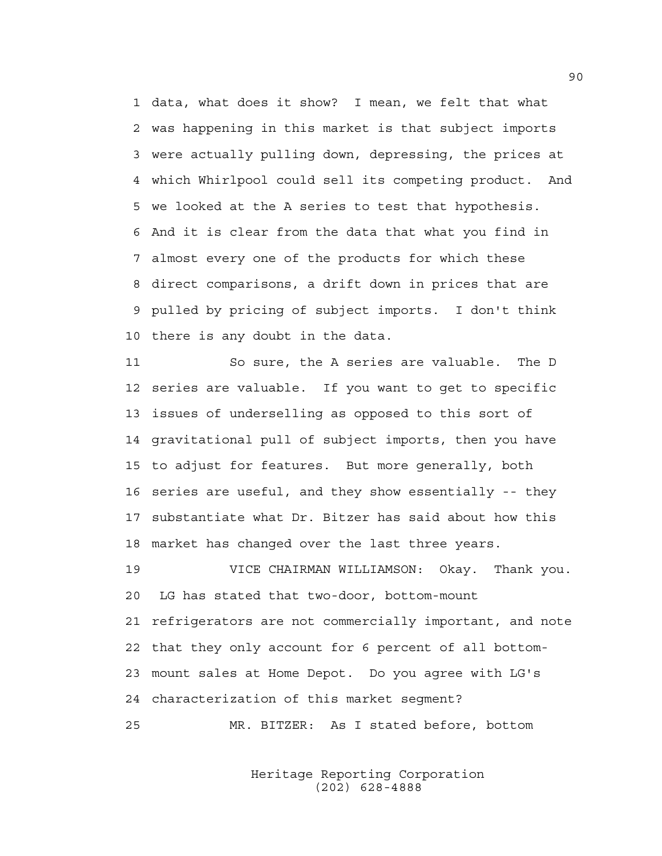1 data, what does it show? I mean, we felt that what 2 was happening in this market is that subject imports 3 were actually pulling down, depressing, the prices at 4 which Whirlpool could sell its competing product. And 5 we looked at the A series to test that hypothesis. 6 And it is clear from the data that what you find in 7 almost every one of the products for which these 8 direct comparisons, a drift down in prices that are 9 pulled by pricing of subject imports. I don't think 10 there is any doubt in the data.

11 So sure, the A series are valuable. The D 12 series are valuable. If you want to get to specific 13 issues of underselling as opposed to this sort of 14 gravitational pull of subject imports, then you have 15 to adjust for features. But more generally, both 16 series are useful, and they show essentially -- they 17 substantiate what Dr. Bitzer has said about how this 18 market has changed over the last three years.

19 VICE CHAIRMAN WILLIAMSON: Okay. Thank you. 20 LG has stated that two-door, bottom-mount 21 refrigerators are not commercially important, and note 22 that they only account for 6 percent of all bottom-23 mount sales at Home Depot. Do you agree with LG's 24 characterization of this market segment?

25 MR. BITZER: As I stated before, bottom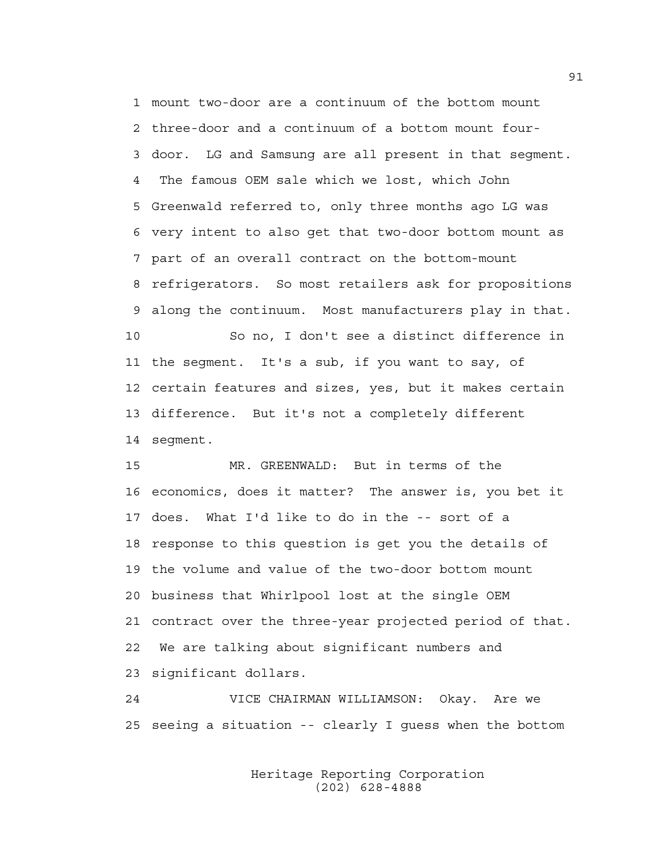1 mount two-door are a continuum of the bottom mount 2 three-door and a continuum of a bottom mount four-3 door. LG and Samsung are all present in that segment. 4 The famous OEM sale which we lost, which John 5 Greenwald referred to, only three months ago LG was 6 very intent to also get that two-door bottom mount as 7 part of an overall contract on the bottom-mount 8 refrigerators. So most retailers ask for propositions 9 along the continuum. Most manufacturers play in that. 10 So no, I don't see a distinct difference in 11 the segment. It's a sub, if you want to say, of 12 certain features and sizes, yes, but it makes certain 13 difference. But it's not a completely different 14 segment.

15 MR. GREENWALD: But in terms of the 16 economics, does it matter? The answer is, you bet it 17 does. What I'd like to do in the -- sort of a 18 response to this question is get you the details of 19 the volume and value of the two-door bottom mount 20 business that Whirlpool lost at the single OEM 21 contract over the three-year projected period of that. 22 We are talking about significant numbers and 23 significant dollars.

24 VICE CHAIRMAN WILLIAMSON: Okay. Are we 25 seeing a situation -- clearly I guess when the bottom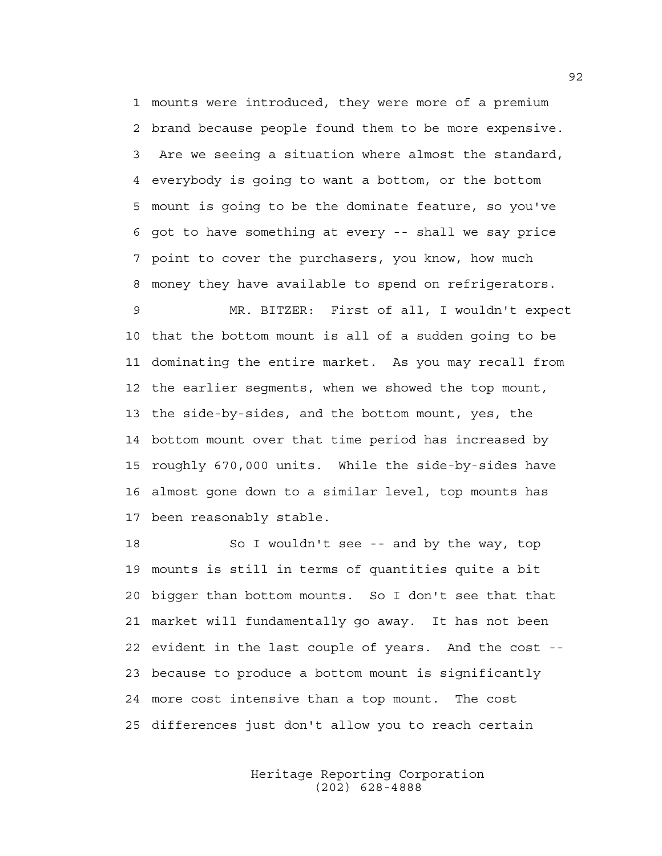1 mounts were introduced, they were more of a premium 2 brand because people found them to be more expensive. 3 Are we seeing a situation where almost the standard, 4 everybody is going to want a bottom, or the bottom 5 mount is going to be the dominate feature, so you've 6 got to have something at every -- shall we say price 7 point to cover the purchasers, you know, how much 8 money they have available to spend on refrigerators.

9 MR. BITZER: First of all, I wouldn't expect 10 that the bottom mount is all of a sudden going to be 11 dominating the entire market. As you may recall from 12 the earlier segments, when we showed the top mount, 13 the side-by-sides, and the bottom mount, yes, the 14 bottom mount over that time period has increased by 15 roughly 670,000 units. While the side-by-sides have 16 almost gone down to a similar level, top mounts has 17 been reasonably stable.

18 So I wouldn't see -- and by the way, top 19 mounts is still in terms of quantities quite a bit 20 bigger than bottom mounts. So I don't see that that 21 market will fundamentally go away. It has not been 22 evident in the last couple of years. And the cost -- 23 because to produce a bottom mount is significantly 24 more cost intensive than a top mount. The cost 25 differences just don't allow you to reach certain

> Heritage Reporting Corporation (202) 628-4888

92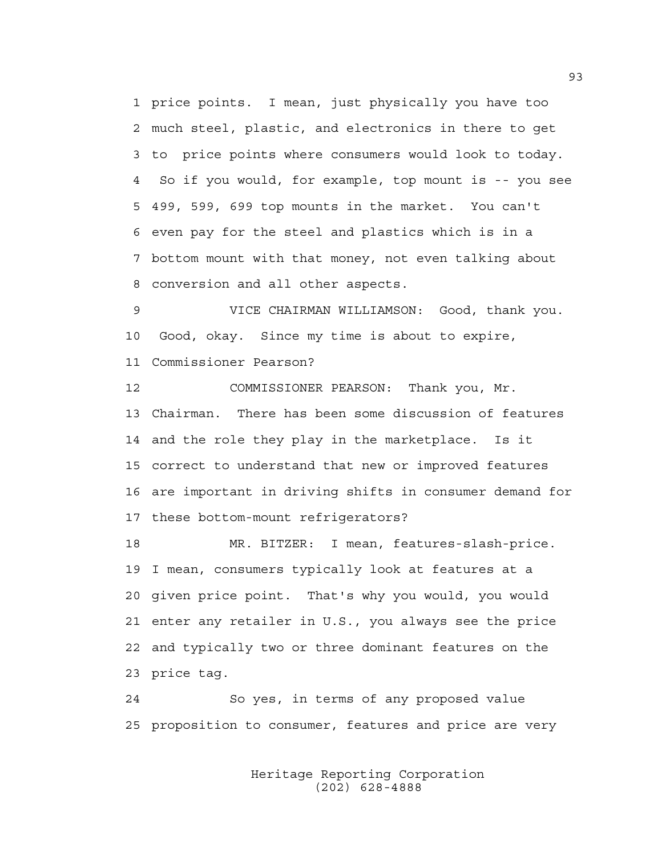1 price points. I mean, just physically you have too 2 much steel, plastic, and electronics in there to get 3 to price points where consumers would look to today. 4 So if you would, for example, top mount is -- you see 5 499, 599, 699 top mounts in the market. You can't 6 even pay for the steel and plastics which is in a 7 bottom mount with that money, not even talking about 8 conversion and all other aspects.

9 VICE CHAIRMAN WILLIAMSON: Good, thank you. 10 Good, okay. Since my time is about to expire, 11 Commissioner Pearson?

12 COMMISSIONER PEARSON: Thank you, Mr. 13 Chairman. There has been some discussion of features 14 and the role they play in the marketplace. Is it 15 correct to understand that new or improved features 16 are important in driving shifts in consumer demand for 17 these bottom-mount refrigerators?

18 MR. BITZER: I mean, features-slash-price. 19 I mean, consumers typically look at features at a 20 given price point. That's why you would, you would 21 enter any retailer in U.S., you always see the price 22 and typically two or three dominant features on the 23 price tag.

24 So yes, in terms of any proposed value 25 proposition to consumer, features and price are very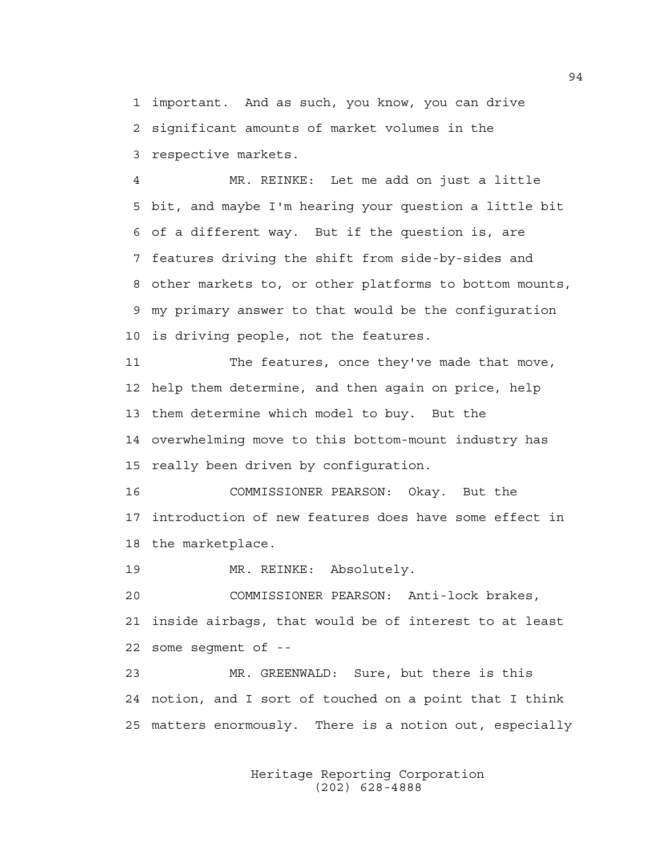1 important. And as such, you know, you can drive 2 significant amounts of market volumes in the 3 respective markets.

4 MR. REINKE: Let me add on just a little 5 bit, and maybe I'm hearing your question a little bit 6 of a different way. But if the question is, are 7 features driving the shift from side-by-sides and 8 other markets to, or other platforms to bottom mounts, 9 my primary answer to that would be the configuration 10 is driving people, not the features.

11 The features, once they've made that move, 12 help them determine, and then again on price, help 13 them determine which model to buy. But the 14 overwhelming move to this bottom-mount industry has 15 really been driven by configuration.

16 COMMISSIONER PEARSON: Okay. But the 17 introduction of new features does have some effect in 18 the marketplace.

19 MR. REINKE: Absolutely.

20 COMMISSIONER PEARSON: Anti-lock brakes, 21 inside airbags, that would be of interest to at least 22 some segment of --

23 MR. GREENWALD: Sure, but there is this 24 notion, and I sort of touched on a point that I think 25 matters enormously. There is a notion out, especially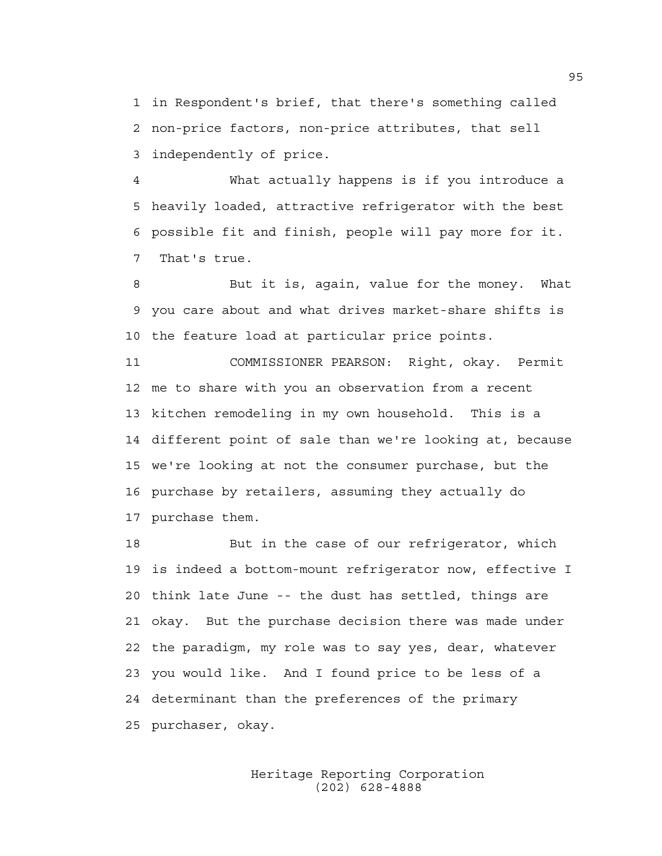1 in Respondent's brief, that there's something called 2 non-price factors, non-price attributes, that sell 3 independently of price.

4 What actually happens is if you introduce a 5 heavily loaded, attractive refrigerator with the best 6 possible fit and finish, people will pay more for it. 7 That's true.

8 But it is, again, value for the money. What 9 you care about and what drives market-share shifts is 10 the feature load at particular price points.

11 COMMISSIONER PEARSON: Right, okay. Permit 12 me to share with you an observation from a recent 13 kitchen remodeling in my own household. This is a 14 different point of sale than we're looking at, because 15 we're looking at not the consumer purchase, but the 16 purchase by retailers, assuming they actually do 17 purchase them.

18 But in the case of our refrigerator, which 19 is indeed a bottom-mount refrigerator now, effective I 20 think late June -- the dust has settled, things are 21 okay. But the purchase decision there was made under 22 the paradigm, my role was to say yes, dear, whatever 23 you would like. And I found price to be less of a 24 determinant than the preferences of the primary 25 purchaser, okay.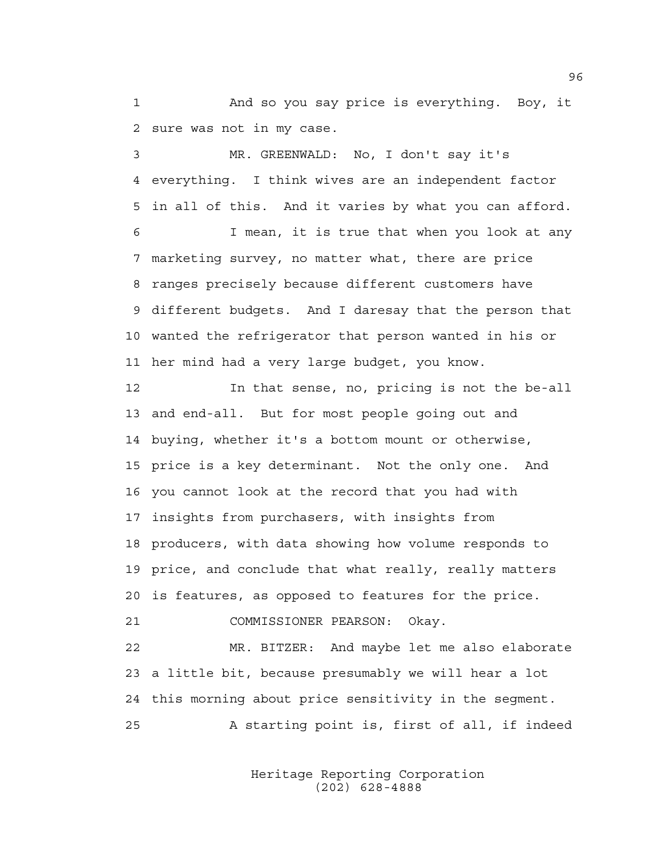1 And so you say price is everything. Boy, it 2 sure was not in my case.

3 MR. GREENWALD: No, I don't say it's 4 everything. I think wives are an independent factor 5 in all of this. And it varies by what you can afford.

6 I mean, it is true that when you look at any 7 marketing survey, no matter what, there are price 8 ranges precisely because different customers have 9 different budgets. And I daresay that the person that 10 wanted the refrigerator that person wanted in his or 11 her mind had a very large budget, you know.

12 In that sense, no, pricing is not the be-all 13 and end-all. But for most people going out and 14 buying, whether it's a bottom mount or otherwise, 15 price is a key determinant. Not the only one. And 16 you cannot look at the record that you had with 17 insights from purchasers, with insights from 18 producers, with data showing how volume responds to 19 price, and conclude that what really, really matters 20 is features, as opposed to features for the price. 21 COMMISSIONER PEARSON: Okay.

22 MR. BITZER: And maybe let me also elaborate 23 a little bit, because presumably we will hear a lot 24 this morning about price sensitivity in the segment. 25 A starting point is, first of all, if indeed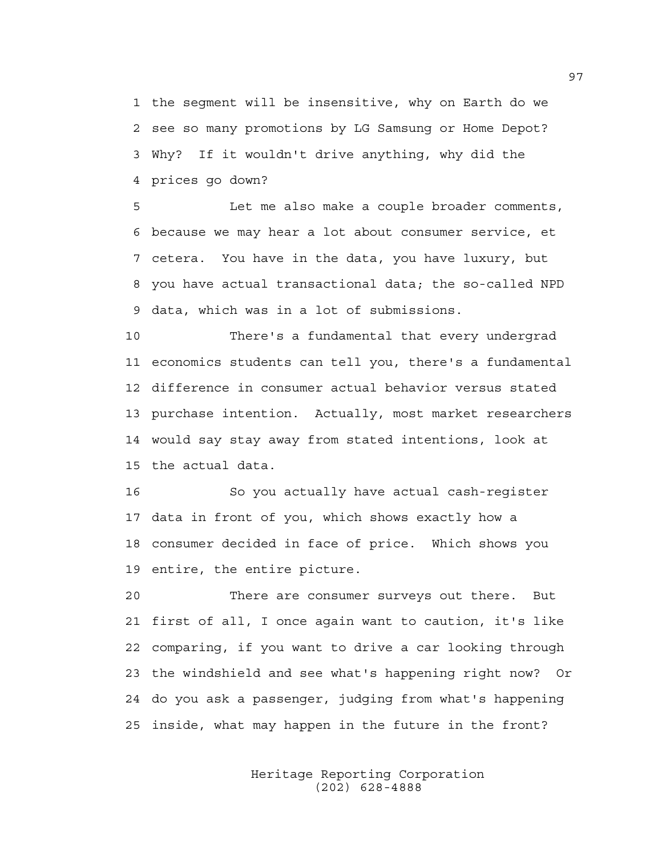1 the segment will be insensitive, why on Earth do we 2 see so many promotions by LG Samsung or Home Depot? 3 Why? If it wouldn't drive anything, why did the 4 prices go down?

5 Let me also make a couple broader comments, 6 because we may hear a lot about consumer service, et 7 cetera. You have in the data, you have luxury, but 8 you have actual transactional data; the so-called NPD 9 data, which was in a lot of submissions.

10 There's a fundamental that every undergrad 11 economics students can tell you, there's a fundamental 12 difference in consumer actual behavior versus stated 13 purchase intention. Actually, most market researchers 14 would say stay away from stated intentions, look at 15 the actual data.

16 So you actually have actual cash-register 17 data in front of you, which shows exactly how a 18 consumer decided in face of price. Which shows you 19 entire, the entire picture.

20 There are consumer surveys out there. But 21 first of all, I once again want to caution, it's like 22 comparing, if you want to drive a car looking through 23 the windshield and see what's happening right now? Or 24 do you ask a passenger, judging from what's happening 25 inside, what may happen in the future in the front?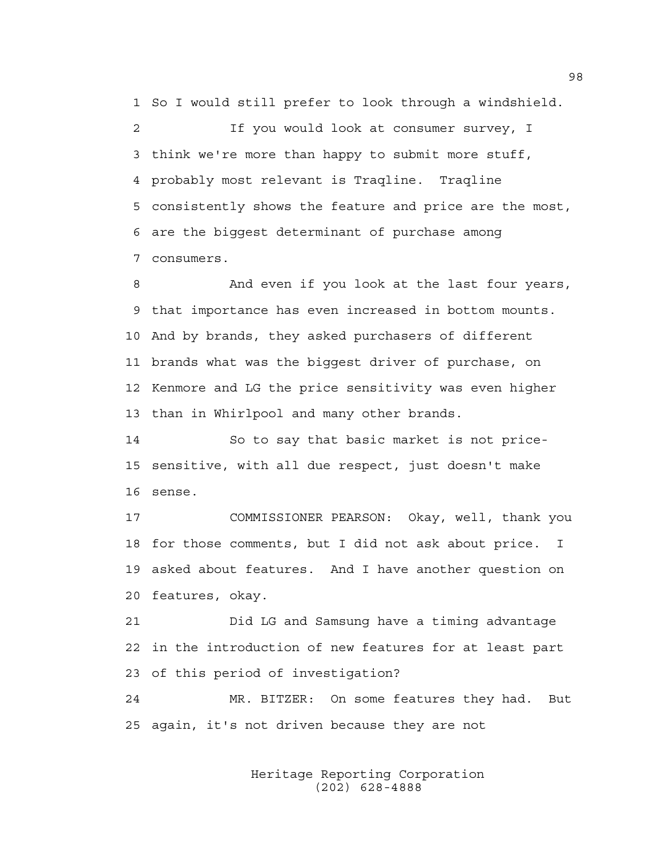1 So I would still prefer to look through a windshield.

2 If you would look at consumer survey, I 3 think we're more than happy to submit more stuff, 4 probably most relevant is Traqline. Traqline 5 consistently shows the feature and price are the most, 6 are the biggest determinant of purchase among 7 consumers.

8 And even if you look at the last four years, 9 that importance has even increased in bottom mounts. 10 And by brands, they asked purchasers of different 11 brands what was the biggest driver of purchase, on 12 Kenmore and LG the price sensitivity was even higher 13 than in Whirlpool and many other brands.

14 So to say that basic market is not price-15 sensitive, with all due respect, just doesn't make 16 sense.

17 COMMISSIONER PEARSON: Okay, well, thank you 18 for those comments, but I did not ask about price. I 19 asked about features. And I have another question on 20 features, okay.

21 Did LG and Samsung have a timing advantage 22 in the introduction of new features for at least part 23 of this period of investigation?

24 MR. BITZER: On some features they had. But 25 again, it's not driven because they are not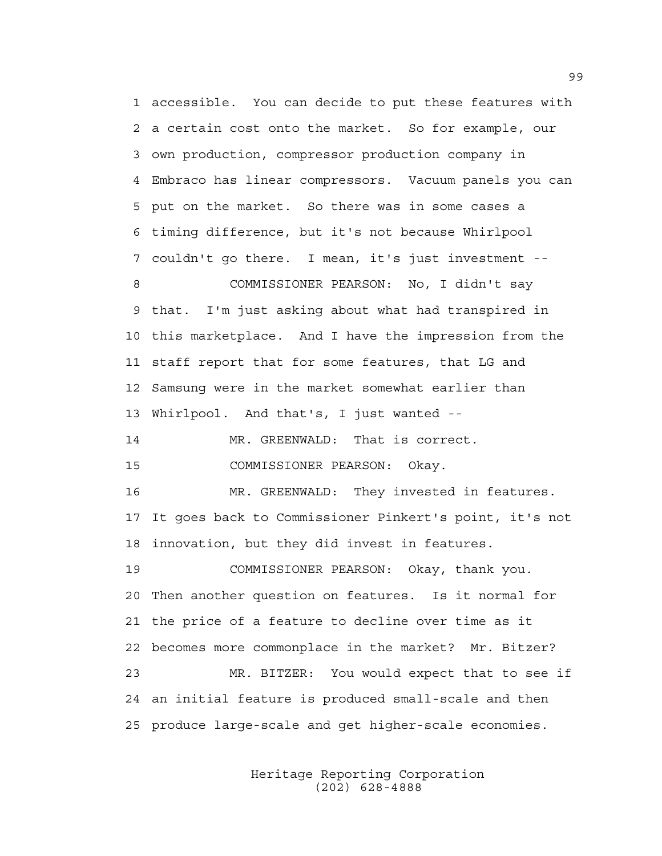1 accessible. You can decide to put these features with 2 a certain cost onto the market. So for example, our 3 own production, compressor production company in 4 Embraco has linear compressors. Vacuum panels you can 5 put on the market. So there was in some cases a 6 timing difference, but it's not because Whirlpool 7 couldn't go there. I mean, it's just investment -- 8 COMMISSIONER PEARSON: No, I didn't say 9 that. I'm just asking about what had transpired in 10 this marketplace. And I have the impression from the 11 staff report that for some features, that LG and 12 Samsung were in the market somewhat earlier than 13 Whirlpool. And that's, I just wanted -- 14 MR. GREENWALD: That is correct. 15 COMMISSIONER PEARSON: Okay. 16 MR. GREENWALD: They invested in features. 17 It goes back to Commissioner Pinkert's point, it's not 18 innovation, but they did invest in features. 19 COMMISSIONER PEARSON: Okay, thank you. 20 Then another question on features. Is it normal for 21 the price of a feature to decline over time as it 22 becomes more commonplace in the market? Mr. Bitzer? 23 MR. BITZER: You would expect that to see if 24 an initial feature is produced small-scale and then

25 produce large-scale and get higher-scale economies.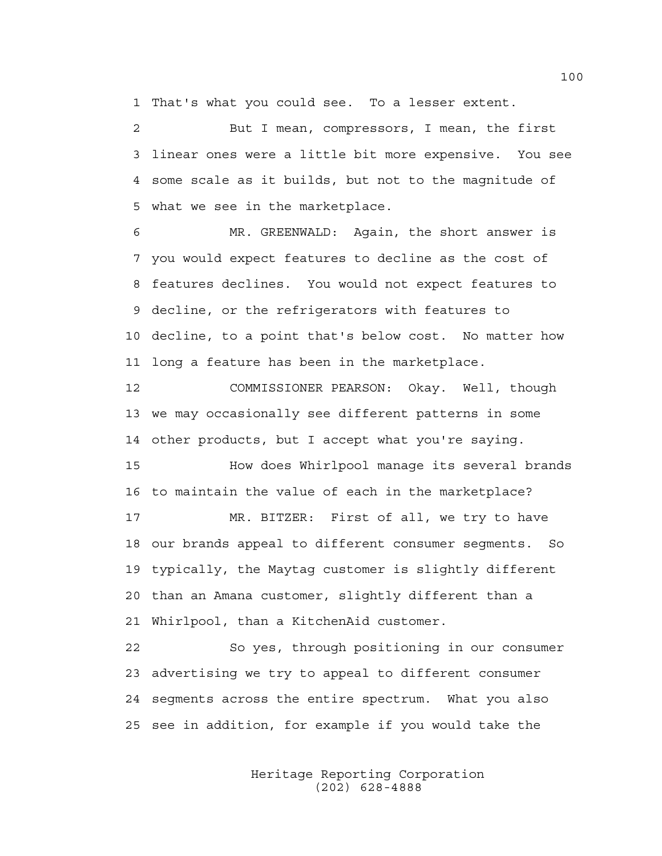1 That's what you could see. To a lesser extent.

2 But I mean, compressors, I mean, the first 3 linear ones were a little bit more expensive. You see 4 some scale as it builds, but not to the magnitude of 5 what we see in the marketplace.

6 MR. GREENWALD: Again, the short answer is 7 you would expect features to decline as the cost of 8 features declines. You would not expect features to 9 decline, or the refrigerators with features to 10 decline, to a point that's below cost. No matter how 11 long a feature has been in the marketplace.

12 COMMISSIONER PEARSON: Okay. Well, though 13 we may occasionally see different patterns in some 14 other products, but I accept what you're saying.

15 How does Whirlpool manage its several brands 16 to maintain the value of each in the marketplace?

17 MR. BITZER: First of all, we try to have 18 our brands appeal to different consumer segments. So 19 typically, the Maytag customer is slightly different 20 than an Amana customer, slightly different than a 21 Whirlpool, than a KitchenAid customer.

22 So yes, through positioning in our consumer 23 advertising we try to appeal to different consumer 24 segments across the entire spectrum. What you also 25 see in addition, for example if you would take the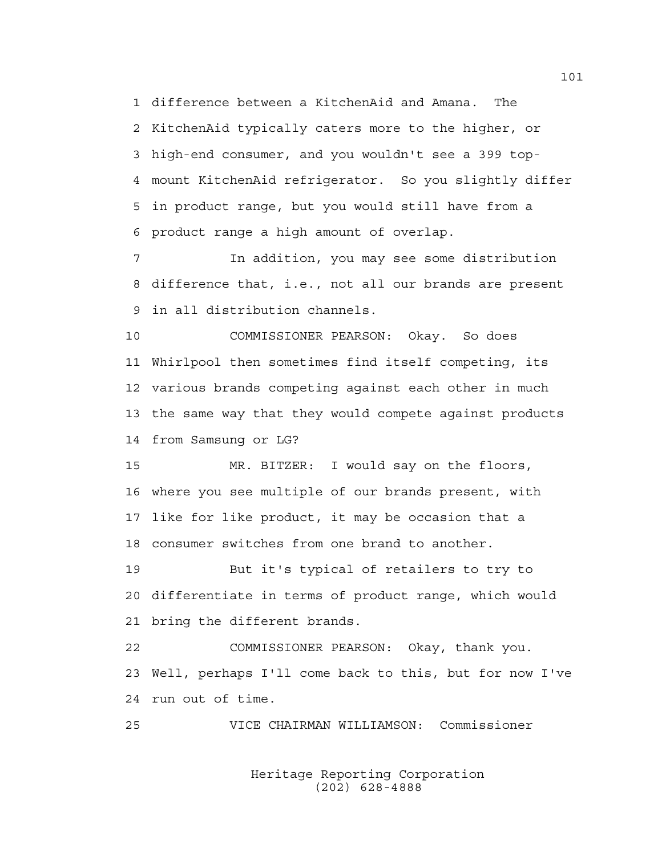1 difference between a KitchenAid and Amana. The 2 KitchenAid typically caters more to the higher, or 3 high-end consumer, and you wouldn't see a 399 top-4 mount KitchenAid refrigerator. So you slightly differ 5 in product range, but you would still have from a 6 product range a high amount of overlap.

7 In addition, you may see some distribution 8 difference that, i.e., not all our brands are present 9 in all distribution channels.

10 COMMISSIONER PEARSON: Okay. So does 11 Whirlpool then sometimes find itself competing, its 12 various brands competing against each other in much 13 the same way that they would compete against products 14 from Samsung or LG?

15 MR. BITZER: I would say on the floors, 16 where you see multiple of our brands present, with 17 like for like product, it may be occasion that a 18 consumer switches from one brand to another.

19 But it's typical of retailers to try to 20 differentiate in terms of product range, which would 21 bring the different brands.

22 COMMISSIONER PEARSON: Okay, thank you. 23 Well, perhaps I'll come back to this, but for now I've 24 run out of time.

25 VICE CHAIRMAN WILLIAMSON: Commissioner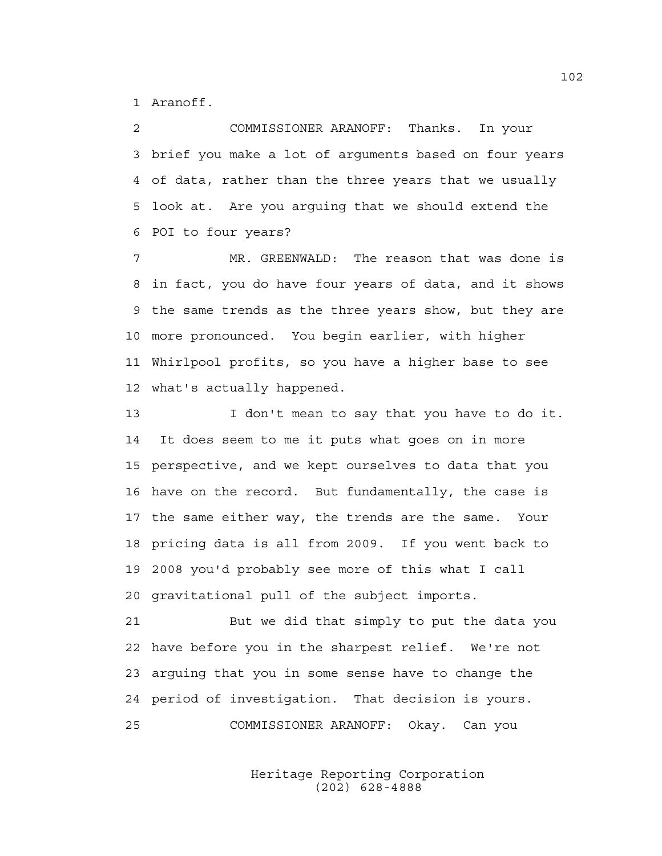1 Aranoff.

2 COMMISSIONER ARANOFF: Thanks. In your 3 brief you make a lot of arguments based on four years 4 of data, rather than the three years that we usually 5 look at. Are you arguing that we should extend the 6 POI to four years?

7 MR. GREENWALD: The reason that was done is 8 in fact, you do have four years of data, and it shows 9 the same trends as the three years show, but they are 10 more pronounced. You begin earlier, with higher 11 Whirlpool profits, so you have a higher base to see 12 what's actually happened.

13 I don't mean to say that you have to do it. 14 It does seem to me it puts what goes on in more 15 perspective, and we kept ourselves to data that you 16 have on the record. But fundamentally, the case is 17 the same either way, the trends are the same. Your 18 pricing data is all from 2009. If you went back to 19 2008 you'd probably see more of this what I call 20 gravitational pull of the subject imports.

21 But we did that simply to put the data you 22 have before you in the sharpest relief. We're not 23 arguing that you in some sense have to change the 24 period of investigation. That decision is yours. 25 COMMISSIONER ARANOFF: Okay. Can you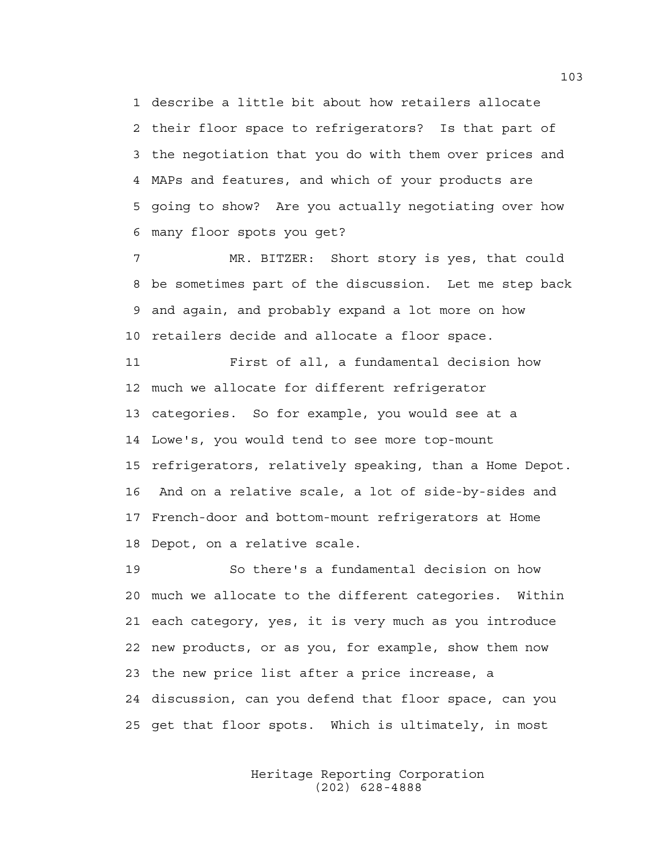1 describe a little bit about how retailers allocate 2 their floor space to refrigerators? Is that part of 3 the negotiation that you do with them over prices and 4 MAPs and features, and which of your products are 5 going to show? Are you actually negotiating over how 6 many floor spots you get?

7 MR. BITZER: Short story is yes, that could 8 be sometimes part of the discussion. Let me step back 9 and again, and probably expand a lot more on how 10 retailers decide and allocate a floor space.

11 First of all, a fundamental decision how 12 much we allocate for different refrigerator 13 categories. So for example, you would see at a 14 Lowe's, you would tend to see more top-mount 15 refrigerators, relatively speaking, than a Home Depot. 16 And on a relative scale, a lot of side-by-sides and 17 French-door and bottom-mount refrigerators at Home 18 Depot, on a relative scale.

19 So there's a fundamental decision on how 20 much we allocate to the different categories. Within 21 each category, yes, it is very much as you introduce 22 new products, or as you, for example, show them now 23 the new price list after a price increase, a 24 discussion, can you defend that floor space, can you 25 get that floor spots. Which is ultimately, in most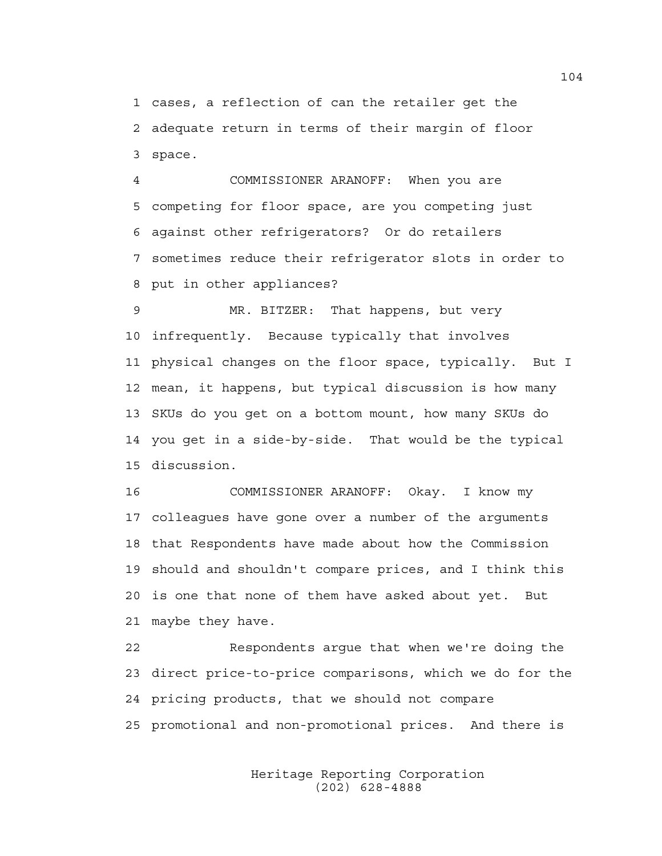1 cases, a reflection of can the retailer get the 2 adequate return in terms of their margin of floor 3 space.

4 COMMISSIONER ARANOFF: When you are 5 competing for floor space, are you competing just 6 against other refrigerators? Or do retailers 7 sometimes reduce their refrigerator slots in order to 8 put in other appliances?

9 MR. BITZER: That happens, but very 10 infrequently. Because typically that involves 11 physical changes on the floor space, typically. But I 12 mean, it happens, but typical discussion is how many 13 SKUs do you get on a bottom mount, how many SKUs do 14 you get in a side-by-side. That would be the typical 15 discussion.

16 COMMISSIONER ARANOFF: Okay. I know my 17 colleagues have gone over a number of the arguments 18 that Respondents have made about how the Commission 19 should and shouldn't compare prices, and I think this 20 is one that none of them have asked about yet. But 21 maybe they have.

22 Respondents argue that when we're doing the 23 direct price-to-price comparisons, which we do for the 24 pricing products, that we should not compare 25 promotional and non-promotional prices. And there is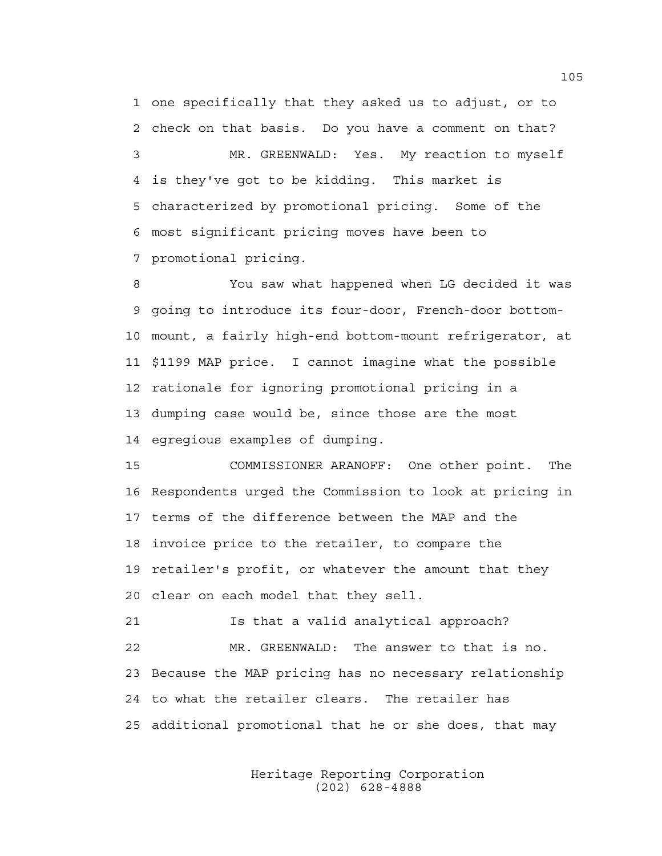1 one specifically that they asked us to adjust, or to 2 check on that basis. Do you have a comment on that? 3 MR. GREENWALD: Yes. My reaction to myself 4 is they've got to be kidding. This market is 5 characterized by promotional pricing. Some of the 6 most significant pricing moves have been to 7 promotional pricing.

8 You saw what happened when LG decided it was 9 going to introduce its four-door, French-door bottom-10 mount, a fairly high-end bottom-mount refrigerator, at 11 \$1199 MAP price. I cannot imagine what the possible 12 rationale for ignoring promotional pricing in a 13 dumping case would be, since those are the most 14 egregious examples of dumping.

15 COMMISSIONER ARANOFF: One other point. The 16 Respondents urged the Commission to look at pricing in 17 terms of the difference between the MAP and the 18 invoice price to the retailer, to compare the 19 retailer's profit, or whatever the amount that they 20 clear on each model that they sell.

21 Is that a valid analytical approach? 22 MR. GREENWALD: The answer to that is no. 23 Because the MAP pricing has no necessary relationship 24 to what the retailer clears. The retailer has 25 additional promotional that he or she does, that may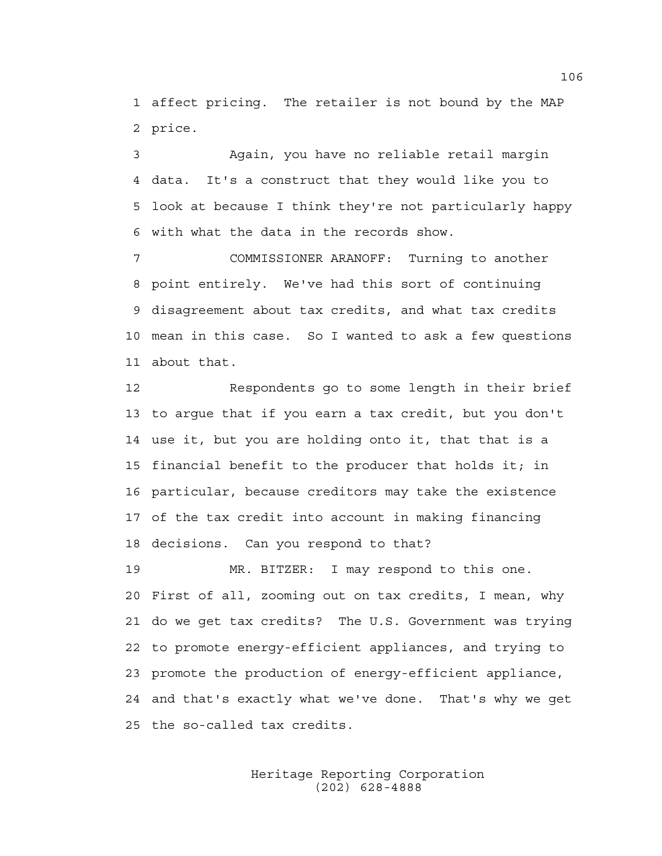1 affect pricing. The retailer is not bound by the MAP 2 price.

3 Again, you have no reliable retail margin 4 data. It's a construct that they would like you to 5 look at because I think they're not particularly happy 6 with what the data in the records show.

7 COMMISSIONER ARANOFF: Turning to another 8 point entirely. We've had this sort of continuing 9 disagreement about tax credits, and what tax credits 10 mean in this case. So I wanted to ask a few questions 11 about that.

12 Respondents go to some length in their brief 13 to argue that if you earn a tax credit, but you don't 14 use it, but you are holding onto it, that that is a 15 financial benefit to the producer that holds it; in 16 particular, because creditors may take the existence 17 of the tax credit into account in making financing 18 decisions. Can you respond to that?

19 MR. BITZER: I may respond to this one. 20 First of all, zooming out on tax credits, I mean, why 21 do we get tax credits? The U.S. Government was trying 22 to promote energy-efficient appliances, and trying to 23 promote the production of energy-efficient appliance, 24 and that's exactly what we've done. That's why we get 25 the so-called tax credits.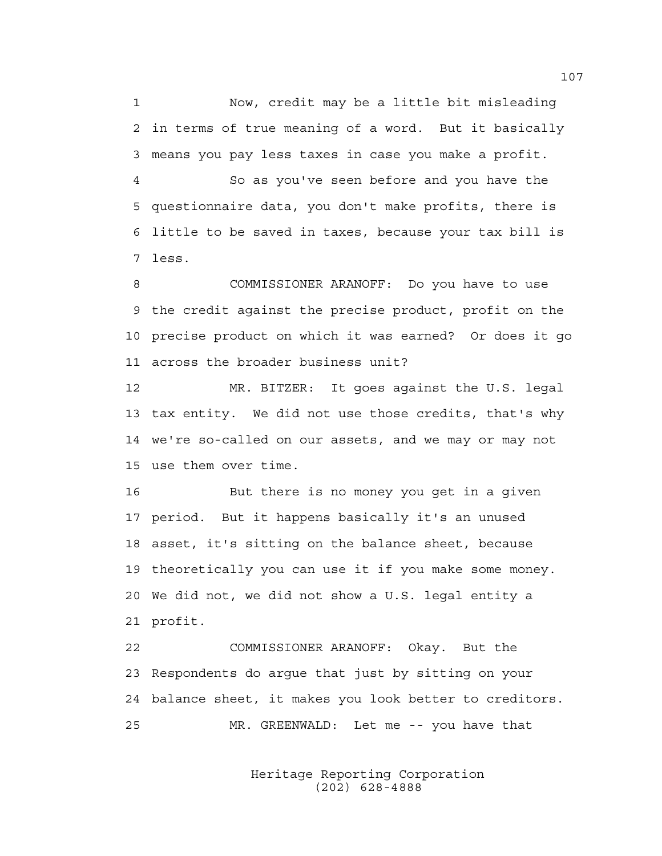1 Now, credit may be a little bit misleading 2 in terms of true meaning of a word. But it basically 3 means you pay less taxes in case you make a profit.

4 So as you've seen before and you have the 5 questionnaire data, you don't make profits, there is 6 little to be saved in taxes, because your tax bill is 7 less.

8 COMMISSIONER ARANOFF: Do you have to use 9 the credit against the precise product, profit on the 10 precise product on which it was earned? Or does it go 11 across the broader business unit?

12 MR. BITZER: It goes against the U.S. legal 13 tax entity. We did not use those credits, that's why 14 we're so-called on our assets, and we may or may not 15 use them over time.

16 But there is no money you get in a given 17 period. But it happens basically it's an unused 18 asset, it's sitting on the balance sheet, because 19 theoretically you can use it if you make some money. 20 We did not, we did not show a U.S. legal entity a 21 profit.

22 COMMISSIONER ARANOFF: Okay. But the 23 Respondents do argue that just by sitting on your 24 balance sheet, it makes you look better to creditors. 25 MR. GREENWALD: Let me -- you have that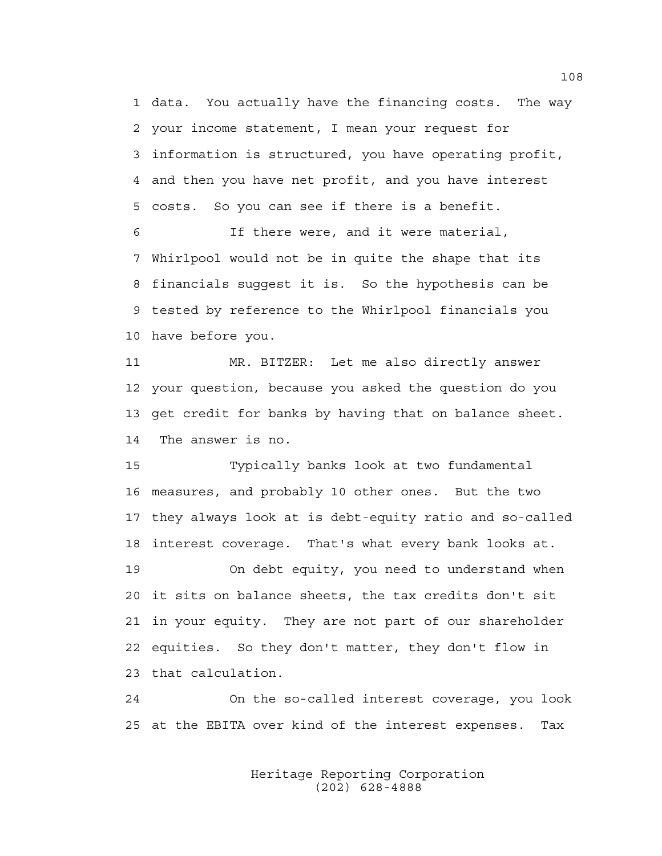1 data. You actually have the financing costs. The way 2 your income statement, I mean your request for 3 information is structured, you have operating profit, 4 and then you have net profit, and you have interest 5 costs. So you can see if there is a benefit.

6 If there were, and it were material, 7 Whirlpool would not be in quite the shape that its 8 financials suggest it is. So the hypothesis can be 9 tested by reference to the Whirlpool financials you 10 have before you.

11 MR. BITZER: Let me also directly answer 12 your question, because you asked the question do you 13 get credit for banks by having that on balance sheet. 14 The answer is no.

15 Typically banks look at two fundamental 16 measures, and probably 10 other ones. But the two 17 they always look at is debt-equity ratio and so-called 18 interest coverage. That's what every bank looks at. 19 On debt equity, you need to understand when

20 it sits on balance sheets, the tax credits don't sit 21 in your equity. They are not part of our shareholder 22 equities. So they don't matter, they don't flow in 23 that calculation.

24 On the so-called interest coverage, you look 25 at the EBITA over kind of the interest expenses. Tax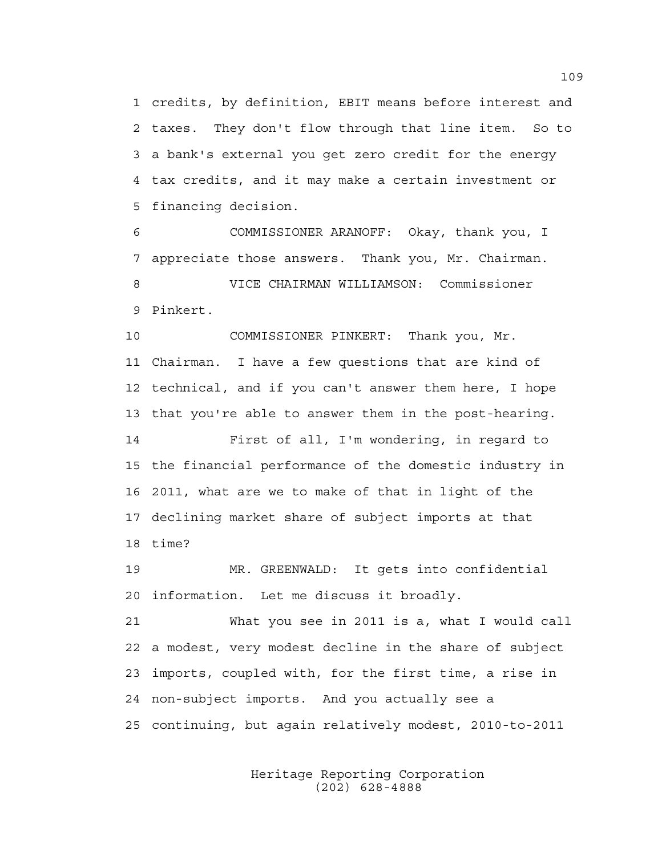1 credits, by definition, EBIT means before interest and 2 taxes. They don't flow through that line item. So to 3 a bank's external you get zero credit for the energy 4 tax credits, and it may make a certain investment or 5 financing decision.

6 COMMISSIONER ARANOFF: Okay, thank you, I 7 appreciate those answers. Thank you, Mr. Chairman. 8 VICE CHAIRMAN WILLIAMSON: Commissioner 9 Pinkert.

10 COMMISSIONER PINKERT: Thank you, Mr. 11 Chairman. I have a few questions that are kind of 12 technical, and if you can't answer them here, I hope 13 that you're able to answer them in the post-hearing.

14 First of all, I'm wondering, in regard to 15 the financial performance of the domestic industry in 16 2011, what are we to make of that in light of the 17 declining market share of subject imports at that 18 time?

19 MR. GREENWALD: It gets into confidential 20 information. Let me discuss it broadly.

21 What you see in 2011 is a, what I would call 22 a modest, very modest decline in the share of subject 23 imports, coupled with, for the first time, a rise in 24 non-subject imports. And you actually see a 25 continuing, but again relatively modest, 2010-to-2011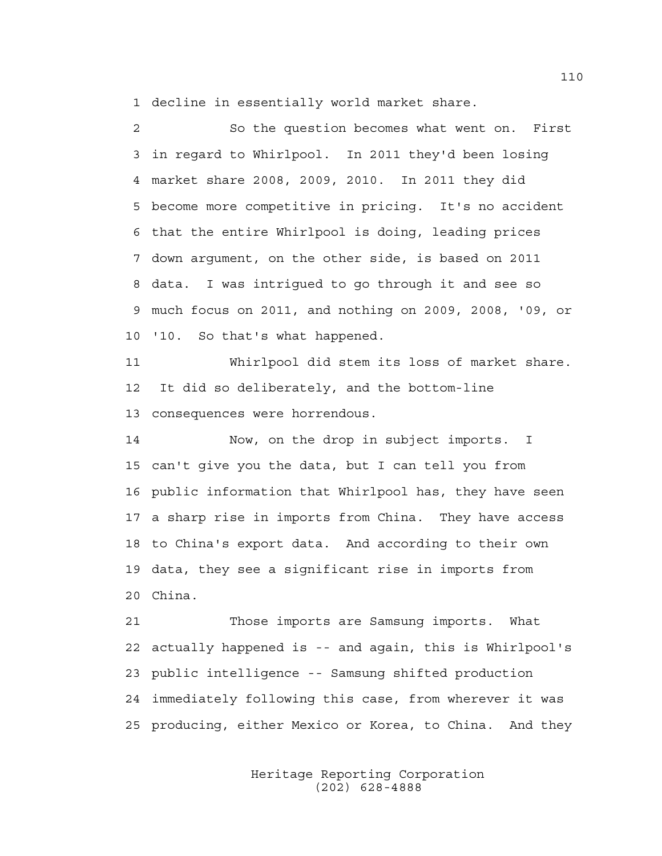1 decline in essentially world market share.

2 So the question becomes what went on. First 3 in regard to Whirlpool. In 2011 they'd been losing 4 market share 2008, 2009, 2010. In 2011 they did 5 become more competitive in pricing. It's no accident 6 that the entire Whirlpool is doing, leading prices 7 down argument, on the other side, is based on 2011 8 data. I was intrigued to go through it and see so 9 much focus on 2011, and nothing on 2009, 2008, '09, or 10 '10. So that's what happened.

11 Whirlpool did stem its loss of market share. 12 It did so deliberately, and the bottom-line 13 consequences were horrendous.

14 Now, on the drop in subject imports. I 15 can't give you the data, but I can tell you from 16 public information that Whirlpool has, they have seen 17 a sharp rise in imports from China. They have access 18 to China's export data. And according to their own 19 data, they see a significant rise in imports from 20 China.

21 Those imports are Samsung imports. What 22 actually happened is -- and again, this is Whirlpool's 23 public intelligence -- Samsung shifted production 24 immediately following this case, from wherever it was 25 producing, either Mexico or Korea, to China. And they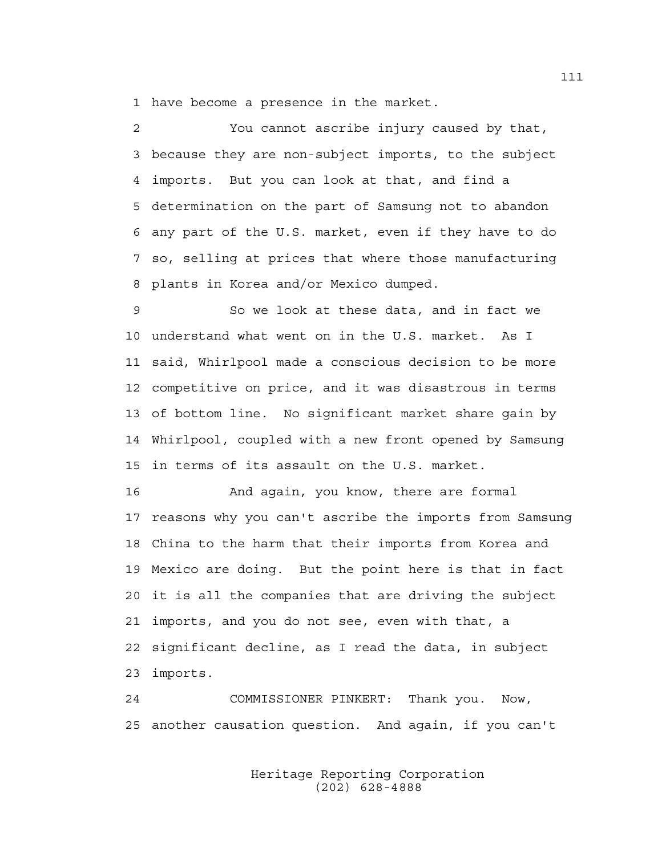1 have become a presence in the market.

2 You cannot ascribe injury caused by that, 3 because they are non-subject imports, to the subject 4 imports. But you can look at that, and find a 5 determination on the part of Samsung not to abandon 6 any part of the U.S. market, even if they have to do 7 so, selling at prices that where those manufacturing 8 plants in Korea and/or Mexico dumped.

9 So we look at these data, and in fact we 10 understand what went on in the U.S. market. As I 11 said, Whirlpool made a conscious decision to be more 12 competitive on price, and it was disastrous in terms 13 of bottom line. No significant market share gain by 14 Whirlpool, coupled with a new front opened by Samsung 15 in terms of its assault on the U.S. market.

16 And again, you know, there are formal 17 reasons why you can't ascribe the imports from Samsung 18 China to the harm that their imports from Korea and 19 Mexico are doing. But the point here is that in fact 20 it is all the companies that are driving the subject 21 imports, and you do not see, even with that, a 22 significant decline, as I read the data, in subject 23 imports.

24 COMMISSIONER PINKERT: Thank you. Now, 25 another causation question. And again, if you can't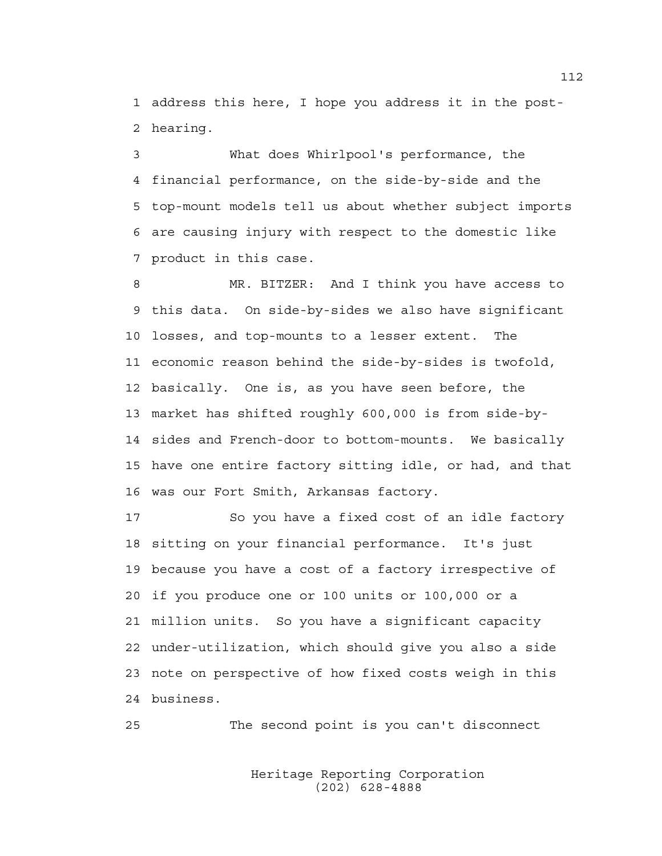1 address this here, I hope you address it in the post-2 hearing.

3 What does Whirlpool's performance, the 4 financial performance, on the side-by-side and the 5 top-mount models tell us about whether subject imports 6 are causing injury with respect to the domestic like 7 product in this case.

8 MR. BITZER: And I think you have access to 9 this data. On side-by-sides we also have significant 10 losses, and top-mounts to a lesser extent. The 11 economic reason behind the side-by-sides is twofold, 12 basically. One is, as you have seen before, the 13 market has shifted roughly 600,000 is from side-by-14 sides and French-door to bottom-mounts. We basically 15 have one entire factory sitting idle, or had, and that 16 was our Fort Smith, Arkansas factory.

17 So you have a fixed cost of an idle factory 18 sitting on your financial performance. It's just 19 because you have a cost of a factory irrespective of 20 if you produce one or 100 units or 100,000 or a 21 million units. So you have a significant capacity 22 under-utilization, which should give you also a side 23 note on perspective of how fixed costs weigh in this 24 business.

25 The second point is you can't disconnect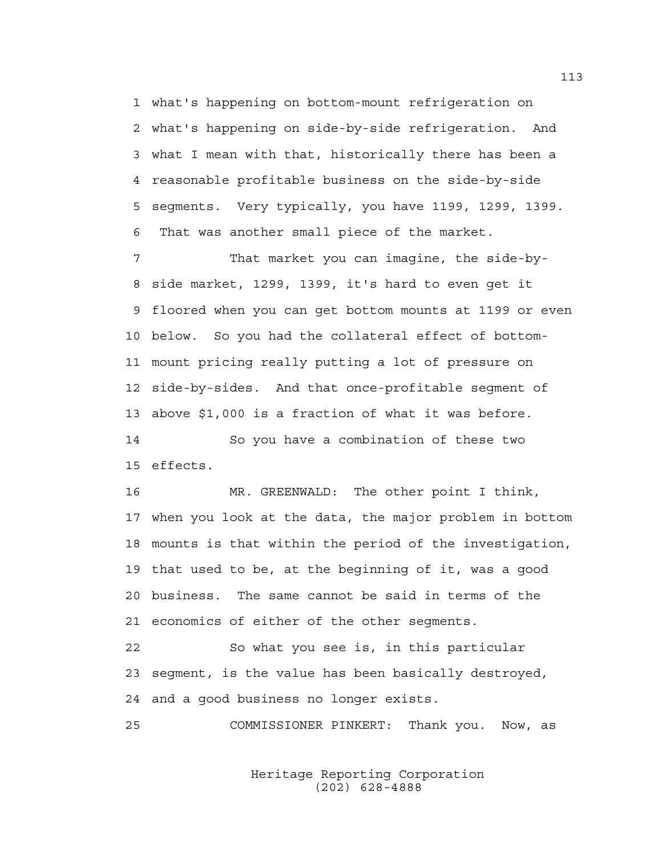1 what's happening on bottom-mount refrigeration on 2 what's happening on side-by-side refrigeration. And 3 what I mean with that, historically there has been a 4 reasonable profitable business on the side-by-side 5 segments. Very typically, you have 1199, 1299, 1399. 6 That was another small piece of the market.

7 That market you can imagine, the side-by-8 side market, 1299, 1399, it's hard to even get it 9 floored when you can get bottom mounts at 1199 or even 10 below. So you had the collateral effect of bottom-11 mount pricing really putting a lot of pressure on 12 side-by-sides. And that once-profitable segment of 13 above \$1,000 is a fraction of what it was before. 14 So you have a combination of these two

15 effects.

16 MR. GREENWALD: The other point I think, 17 when you look at the data, the major problem in bottom 18 mounts is that within the period of the investigation, 19 that used to be, at the beginning of it, was a good 20 business. The same cannot be said in terms of the 21 economics of either of the other segments.

22 So what you see is, in this particular 23 segment, is the value has been basically destroyed, 24 and a good business no longer exists.

25 COMMISSIONER PINKERT: Thank you. Now, as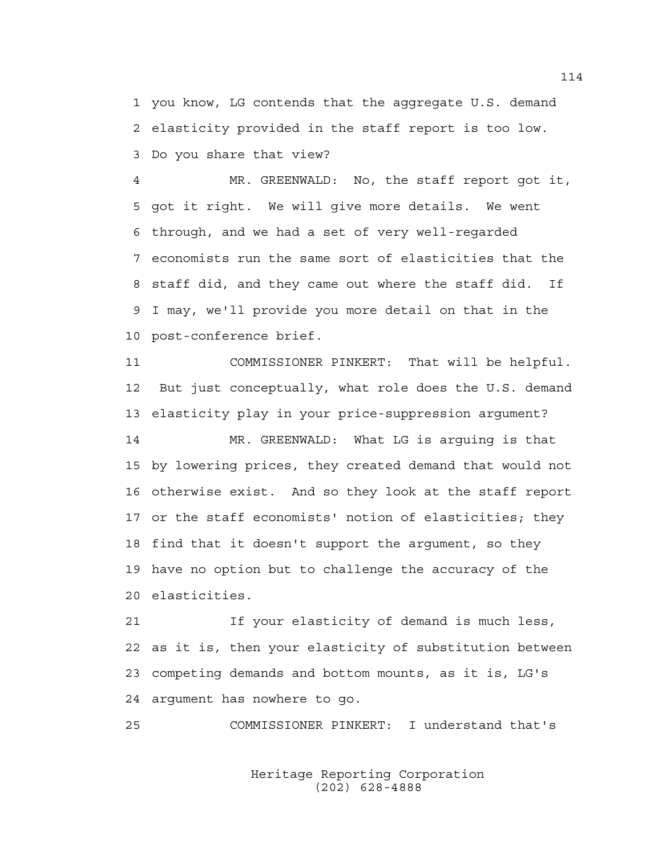1 you know, LG contends that the aggregate U.S. demand 2 elasticity provided in the staff report is too low. 3 Do you share that view?

4 MR. GREENWALD: No, the staff report got it, 5 got it right. We will give more details. We went 6 through, and we had a set of very well-regarded 7 economists run the same sort of elasticities that the 8 staff did, and they came out where the staff did. If 9 I may, we'll provide you more detail on that in the 10 post-conference brief.

11 COMMISSIONER PINKERT: That will be helpful. 12 But just conceptually, what role does the U.S. demand 13 elasticity play in your price-suppression argument?

14 MR. GREENWALD: What LG is arguing is that 15 by lowering prices, they created demand that would not 16 otherwise exist. And so they look at the staff report 17 or the staff economists' notion of elasticities; they 18 find that it doesn't support the argument, so they 19 have no option but to challenge the accuracy of the 20 elasticities.

21 If your elasticity of demand is much less, 22 as it is, then your elasticity of substitution between 23 competing demands and bottom mounts, as it is, LG's 24 argument has nowhere to go.

25 COMMISSIONER PINKERT: I understand that's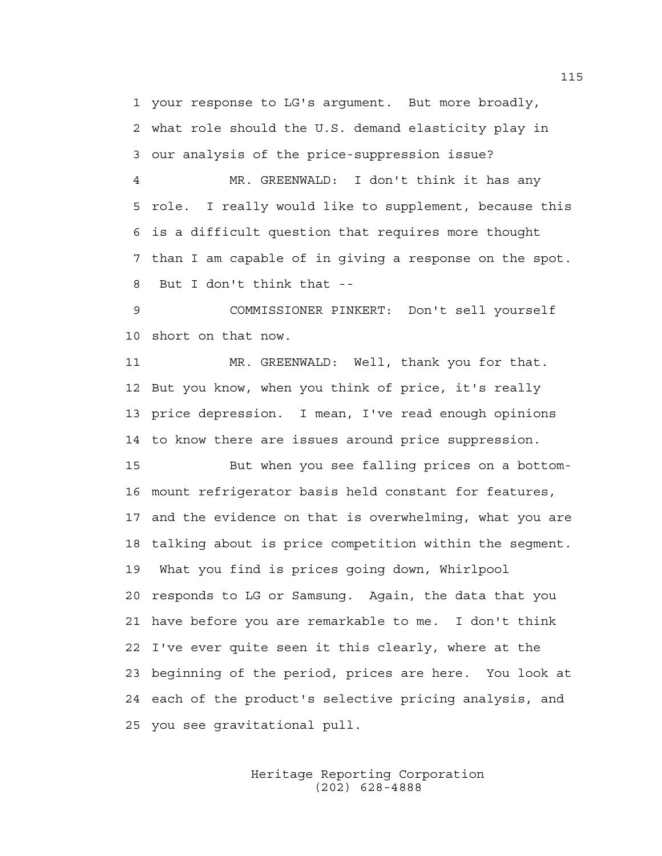1 your response to LG's argument. But more broadly, 2 what role should the U.S. demand elasticity play in 3 our analysis of the price-suppression issue?

4 MR. GREENWALD: I don't think it has any 5 role. I really would like to supplement, because this 6 is a difficult question that requires more thought 7 than I am capable of in giving a response on the spot. 8 But I don't think that --

9 COMMISSIONER PINKERT: Don't sell yourself 10 short on that now.

11 MR. GREENWALD: Well, thank you for that. 12 But you know, when you think of price, it's really 13 price depression. I mean, I've read enough opinions 14 to know there are issues around price suppression.

15 But when you see falling prices on a bottom-16 mount refrigerator basis held constant for features, 17 and the evidence on that is overwhelming, what you are 18 talking about is price competition within the segment. 19 What you find is prices going down, Whirlpool 20 responds to LG or Samsung. Again, the data that you 21 have before you are remarkable to me. I don't think 22 I've ever quite seen it this clearly, where at the 23 beginning of the period, prices are here. You look at 24 each of the product's selective pricing analysis, and 25 you see gravitational pull.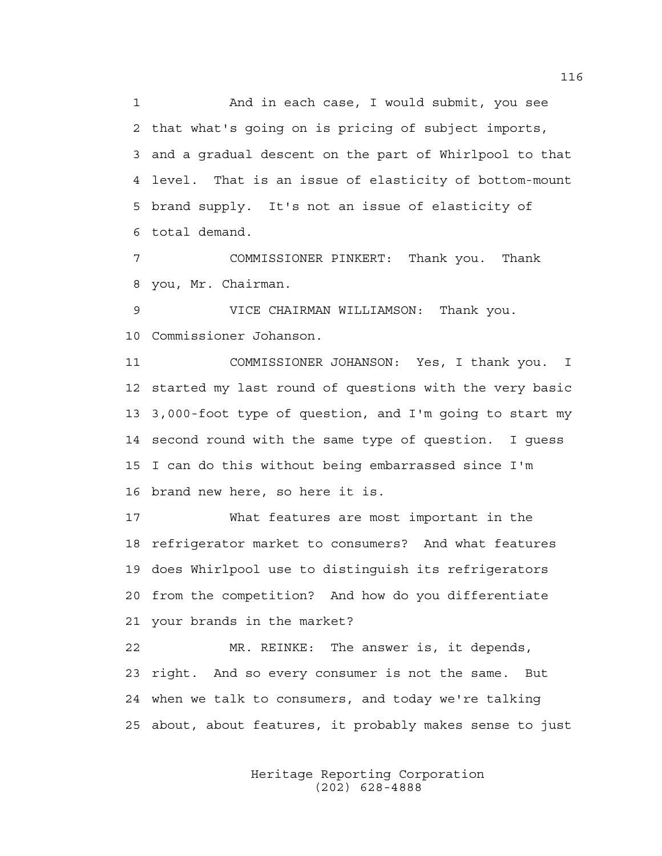1 And in each case, I would submit, you see 2 that what's going on is pricing of subject imports, 3 and a gradual descent on the part of Whirlpool to that 4 level. That is an issue of elasticity of bottom-mount 5 brand supply. It's not an issue of elasticity of 6 total demand.

7 COMMISSIONER PINKERT: Thank you. Thank 8 you, Mr. Chairman.

9 VICE CHAIRMAN WILLIAMSON: Thank you. 10 Commissioner Johanson.

11 COMMISSIONER JOHANSON: Yes, I thank you. I 12 started my last round of questions with the very basic 13 3,000-foot type of question, and I'm going to start my 14 second round with the same type of question. I guess 15 I can do this without being embarrassed since I'm 16 brand new here, so here it is.

17 What features are most important in the 18 refrigerator market to consumers? And what features 19 does Whirlpool use to distinguish its refrigerators 20 from the competition? And how do you differentiate 21 your brands in the market?

22 MR. REINKE: The answer is, it depends, 23 right. And so every consumer is not the same. But 24 when we talk to consumers, and today we're talking 25 about, about features, it probably makes sense to just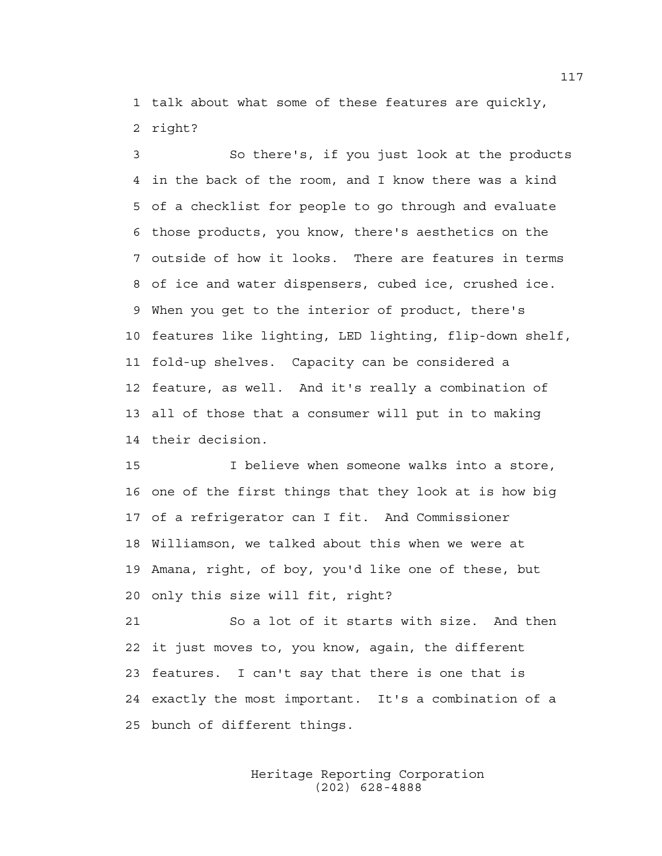1 talk about what some of these features are quickly, 2 right?

3 So there's, if you just look at the products 4 in the back of the room, and I know there was a kind 5 of a checklist for people to go through and evaluate 6 those products, you know, there's aesthetics on the 7 outside of how it looks. There are features in terms 8 of ice and water dispensers, cubed ice, crushed ice. 9 When you get to the interior of product, there's 10 features like lighting, LED lighting, flip-down shelf, 11 fold-up shelves. Capacity can be considered a 12 feature, as well. And it's really a combination of 13 all of those that a consumer will put in to making 14 their decision.

15 I believe when someone walks into a store, 16 one of the first things that they look at is how big 17 of a refrigerator can I fit. And Commissioner 18 Williamson, we talked about this when we were at 19 Amana, right, of boy, you'd like one of these, but 20 only this size will fit, right?

21 So a lot of it starts with size. And then 22 it just moves to, you know, again, the different 23 features. I can't say that there is one that is 24 exactly the most important. It's a combination of a 25 bunch of different things.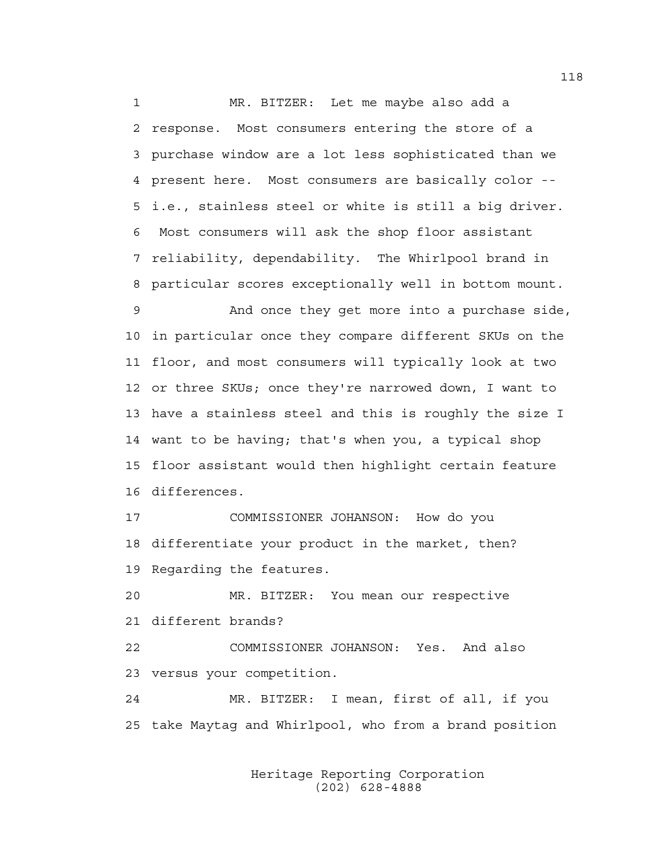1 MR. BITZER: Let me maybe also add a 2 response. Most consumers entering the store of a 3 purchase window are a lot less sophisticated than we 4 present here. Most consumers are basically color -- 5 i.e., stainless steel or white is still a big driver. 6 Most consumers will ask the shop floor assistant 7 reliability, dependability. The Whirlpool brand in 8 particular scores exceptionally well in bottom mount.

9 And once they get more into a purchase side, 10 in particular once they compare different SKUs on the 11 floor, and most consumers will typically look at two 12 or three SKUs; once they're narrowed down, I want to 13 have a stainless steel and this is roughly the size I 14 want to be having; that's when you, a typical shop 15 floor assistant would then highlight certain feature 16 differences.

17 COMMISSIONER JOHANSON: How do you 18 differentiate your product in the market, then? 19 Regarding the features.

20 MR. BITZER: You mean our respective 21 different brands?

22 COMMISSIONER JOHANSON: Yes. And also 23 versus your competition.

24 MR. BITZER: I mean, first of all, if you 25 take Maytag and Whirlpool, who from a brand position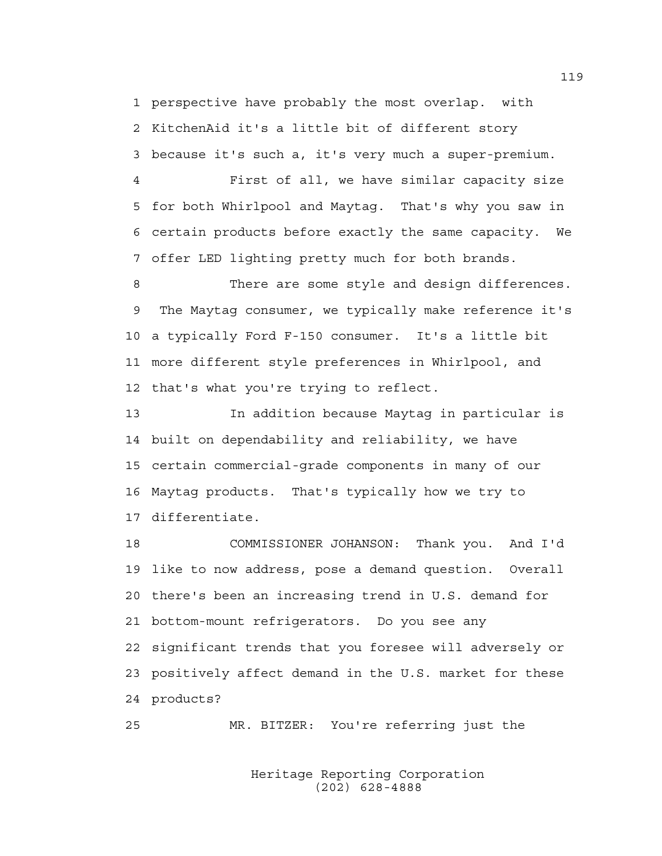1 perspective have probably the most overlap. with 2 KitchenAid it's a little bit of different story 3 because it's such a, it's very much a super-premium.

4 First of all, we have similar capacity size 5 for both Whirlpool and Maytag. That's why you saw in 6 certain products before exactly the same capacity. We 7 offer LED lighting pretty much for both brands.

8 There are some style and design differences. 9 The Maytag consumer, we typically make reference it's 10 a typically Ford F-150 consumer. It's a little bit 11 more different style preferences in Whirlpool, and 12 that's what you're trying to reflect.

13 In addition because Maytag in particular is 14 built on dependability and reliability, we have 15 certain commercial-grade components in many of our 16 Maytag products. That's typically how we try to 17 differentiate.

18 COMMISSIONER JOHANSON: Thank you. And I'd 19 like to now address, pose a demand question. Overall 20 there's been an increasing trend in U.S. demand for 21 bottom-mount refrigerators. Do you see any 22 significant trends that you foresee will adversely or 23 positively affect demand in the U.S. market for these 24 products?

25 MR. BITZER: You're referring just the

 Heritage Reporting Corporation (202) 628-4888

119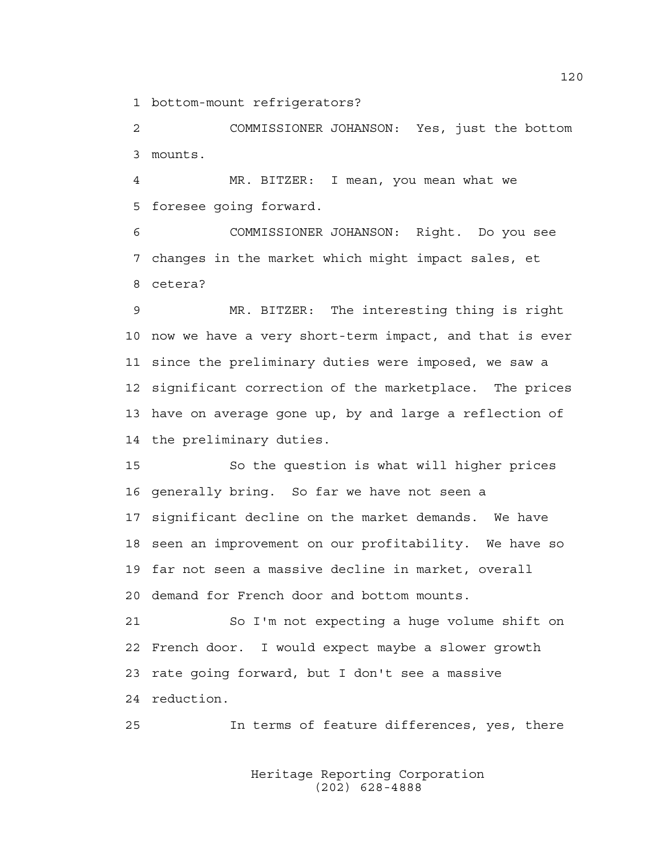1 bottom-mount refrigerators?

2 COMMISSIONER JOHANSON: Yes, just the bottom 3 mounts.

4 MR. BITZER: I mean, you mean what we 5 foresee going forward.

6 COMMISSIONER JOHANSON: Right. Do you see 7 changes in the market which might impact sales, et 8 cetera?

9 MR. BITZER: The interesting thing is right 10 now we have a very short-term impact, and that is ever 11 since the preliminary duties were imposed, we saw a 12 significant correction of the marketplace. The prices 13 have on average gone up, by and large a reflection of 14 the preliminary duties.

15 So the question is what will higher prices 16 generally bring. So far we have not seen a 17 significant decline on the market demands. We have 18 seen an improvement on our profitability. We have so 19 far not seen a massive decline in market, overall 20 demand for French door and bottom mounts.

21 So I'm not expecting a huge volume shift on 22 French door. I would expect maybe a slower growth 23 rate going forward, but I don't see a massive 24 reduction.

25 In terms of feature differences, yes, there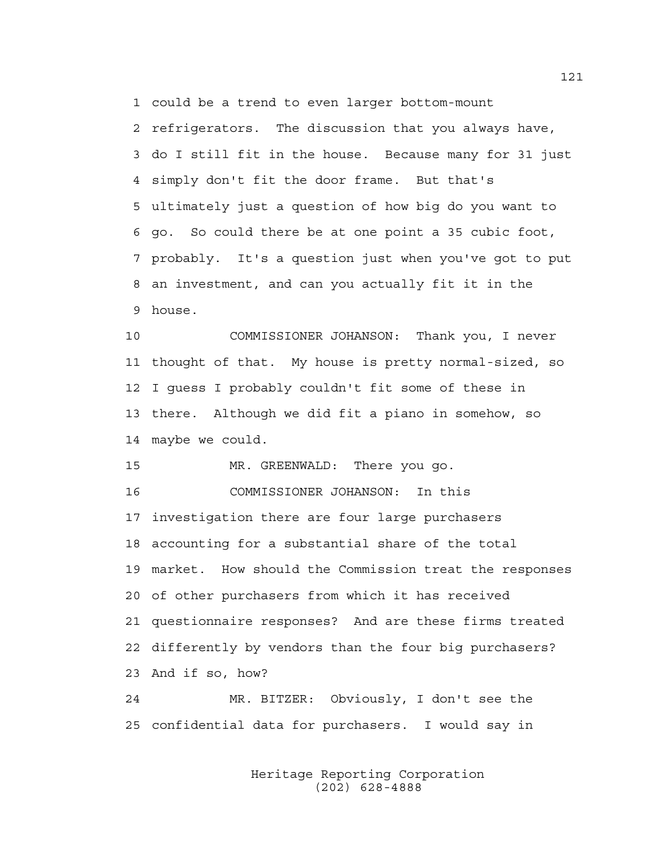1 could be a trend to even larger bottom-mount

2 refrigerators. The discussion that you always have, 3 do I still fit in the house. Because many for 31 just 4 simply don't fit the door frame. But that's 5 ultimately just a question of how big do you want to 6 go. So could there be at one point a 35 cubic foot, 7 probably. It's a question just when you've got to put 8 an investment, and can you actually fit it in the 9 house.

10 COMMISSIONER JOHANSON: Thank you, I never 11 thought of that. My house is pretty normal-sized, so 12 I guess I probably couldn't fit some of these in 13 there. Although we did fit a piano in somehow, so 14 maybe we could.

15 MR. GREENWALD: There you go. 16 COMMISSIONER JOHANSON: In this 17 investigation there are four large purchasers 18 accounting for a substantial share of the total 19 market. How should the Commission treat the responses 20 of other purchasers from which it has received 21 questionnaire responses? And are these firms treated 22 differently by vendors than the four big purchasers? 23 And if so, how?

24 MR. BITZER: Obviously, I don't see the 25 confidential data for purchasers. I would say in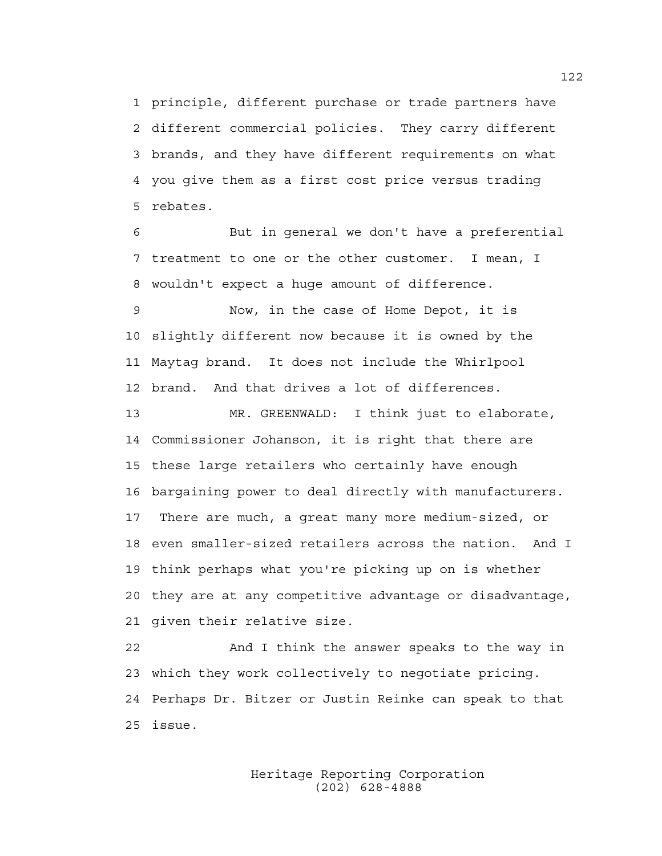1 principle, different purchase or trade partners have 2 different commercial policies. They carry different 3 brands, and they have different requirements on what 4 you give them as a first cost price versus trading 5 rebates.

6 But in general we don't have a preferential 7 treatment to one or the other customer. I mean, I 8 wouldn't expect a huge amount of difference.

9 Now, in the case of Home Depot, it is 10 slightly different now because it is owned by the 11 Maytag brand. It does not include the Whirlpool 12 brand. And that drives a lot of differences.

13 MR. GREENWALD: I think just to elaborate, 14 Commissioner Johanson, it is right that there are 15 these large retailers who certainly have enough 16 bargaining power to deal directly with manufacturers. 17 There are much, a great many more medium-sized, or 18 even smaller-sized retailers across the nation. And I 19 think perhaps what you're picking up on is whether 20 they are at any competitive advantage or disadvantage, 21 given their relative size.

22 And I think the answer speaks to the way in 23 which they work collectively to negotiate pricing. 24 Perhaps Dr. Bitzer or Justin Reinke can speak to that 25 issue.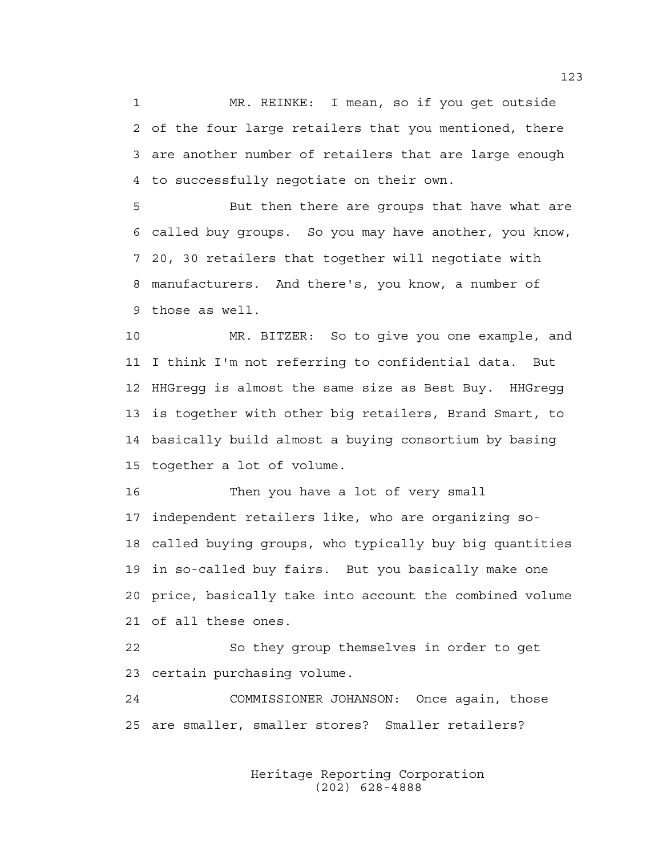1 MR. REINKE: I mean, so if you get outside 2 of the four large retailers that you mentioned, there 3 are another number of retailers that are large enough 4 to successfully negotiate on their own.

5 But then there are groups that have what are 6 called buy groups. So you may have another, you know, 7 20, 30 retailers that together will negotiate with 8 manufacturers. And there's, you know, a number of 9 those as well.

10 MR. BITZER: So to give you one example, and 11 I think I'm not referring to confidential data. But 12 HHGregg is almost the same size as Best Buy. HHGregg 13 is together with other big retailers, Brand Smart, to 14 basically build almost a buying consortium by basing 15 together a lot of volume.

16 Then you have a lot of very small 17 independent retailers like, who are organizing so-18 called buying groups, who typically buy big quantities 19 in so-called buy fairs. But you basically make one 20 price, basically take into account the combined volume 21 of all these ones.

22 So they group themselves in order to get 23 certain purchasing volume.

24 COMMISSIONER JOHANSON: Once again, those 25 are smaller, smaller stores? Smaller retailers?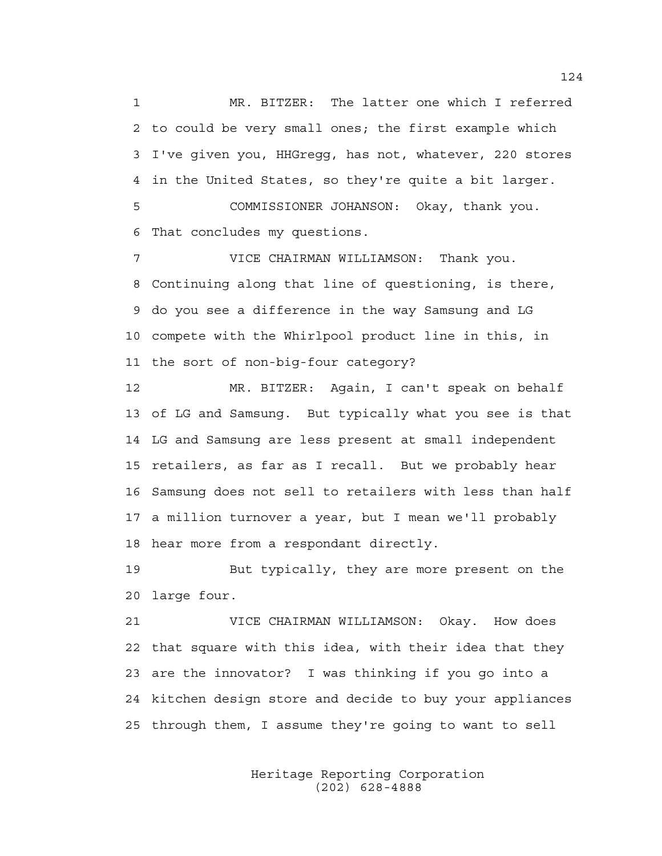1 MR. BITZER: The latter one which I referred 2 to could be very small ones; the first example which 3 I've given you, HHGregg, has not, whatever, 220 stores 4 in the United States, so they're quite a bit larger. 5 COMMISSIONER JOHANSON: Okay, thank you.

6 That concludes my questions.

7 VICE CHAIRMAN WILLIAMSON: Thank you. 8 Continuing along that line of questioning, is there, 9 do you see a difference in the way Samsung and LG 10 compete with the Whirlpool product line in this, in 11 the sort of non-big-four category?

12 MR. BITZER: Again, I can't speak on behalf 13 of LG and Samsung. But typically what you see is that 14 LG and Samsung are less present at small independent 15 retailers, as far as I recall. But we probably hear 16 Samsung does not sell to retailers with less than half 17 a million turnover a year, but I mean we'll probably 18 hear more from a respondant directly.

19 But typically, they are more present on the 20 large four.

21 VICE CHAIRMAN WILLIAMSON: Okay. How does 22 that square with this idea, with their idea that they 23 are the innovator? I was thinking if you go into a 24 kitchen design store and decide to buy your appliances 25 through them, I assume they're going to want to sell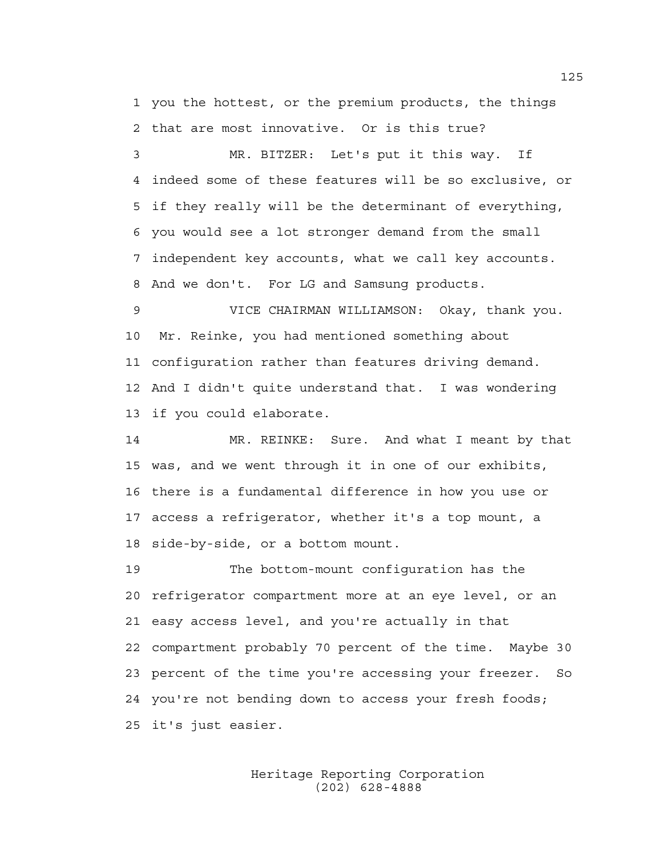1 you the hottest, or the premium products, the things 2 that are most innovative. Or is this true?

3 MR. BITZER: Let's put it this way. If 4 indeed some of these features will be so exclusive, or 5 if they really will be the determinant of everything, 6 you would see a lot stronger demand from the small 7 independent key accounts, what we call key accounts. 8 And we don't. For LG and Samsung products.

9 VICE CHAIRMAN WILLIAMSON: Okay, thank you. 10 Mr. Reinke, you had mentioned something about 11 configuration rather than features driving demand. 12 And I didn't quite understand that. I was wondering 13 if you could elaborate.

14 MR. REINKE: Sure. And what I meant by that 15 was, and we went through it in one of our exhibits, 16 there is a fundamental difference in how you use or 17 access a refrigerator, whether it's a top mount, a 18 side-by-side, or a bottom mount.

19 The bottom-mount configuration has the 20 refrigerator compartment more at an eye level, or an 21 easy access level, and you're actually in that 22 compartment probably 70 percent of the time. Maybe 30 23 percent of the time you're accessing your freezer. So 24 you're not bending down to access your fresh foods; 25 it's just easier.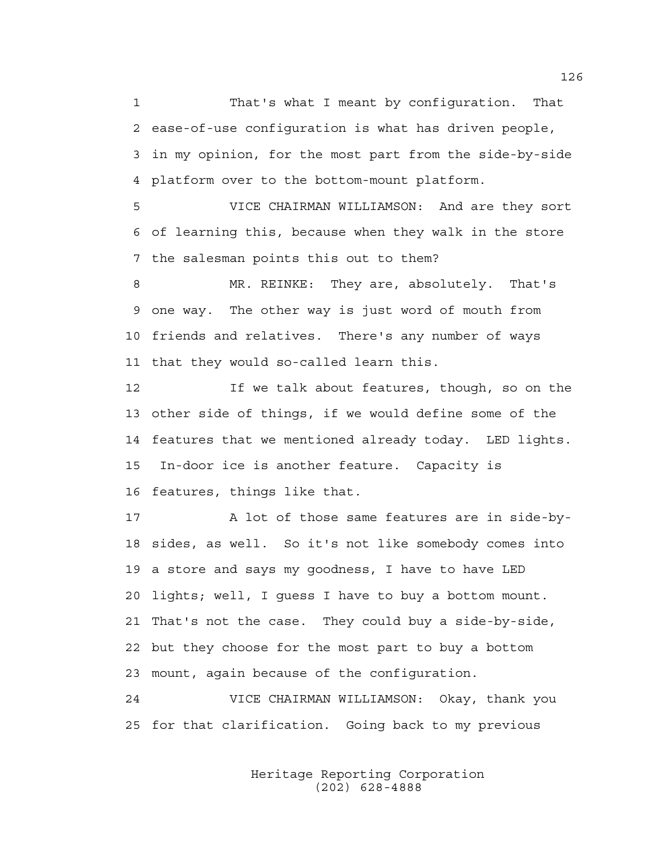1 That's what I meant by configuration. That 2 ease-of-use configuration is what has driven people, 3 in my opinion, for the most part from the side-by-side 4 platform over to the bottom-mount platform.

5 VICE CHAIRMAN WILLIAMSON: And are they sort 6 of learning this, because when they walk in the store 7 the salesman points this out to them?

8 MR. REINKE: They are, absolutely. That's 9 one way. The other way is just word of mouth from 10 friends and relatives. There's any number of ways 11 that they would so-called learn this.

12 If we talk about features, though, so on the 13 other side of things, if we would define some of the 14 features that we mentioned already today. LED lights. 15 In-door ice is another feature. Capacity is 16 features, things like that.

17 A lot of those same features are in side-by-18 sides, as well. So it's not like somebody comes into 19 a store and says my goodness, I have to have LED 20 lights; well, I guess I have to buy a bottom mount. 21 That's not the case. They could buy a side-by-side, 22 but they choose for the most part to buy a bottom 23 mount, again because of the configuration.

24 VICE CHAIRMAN WILLIAMSON: Okay, thank you 25 for that clarification. Going back to my previous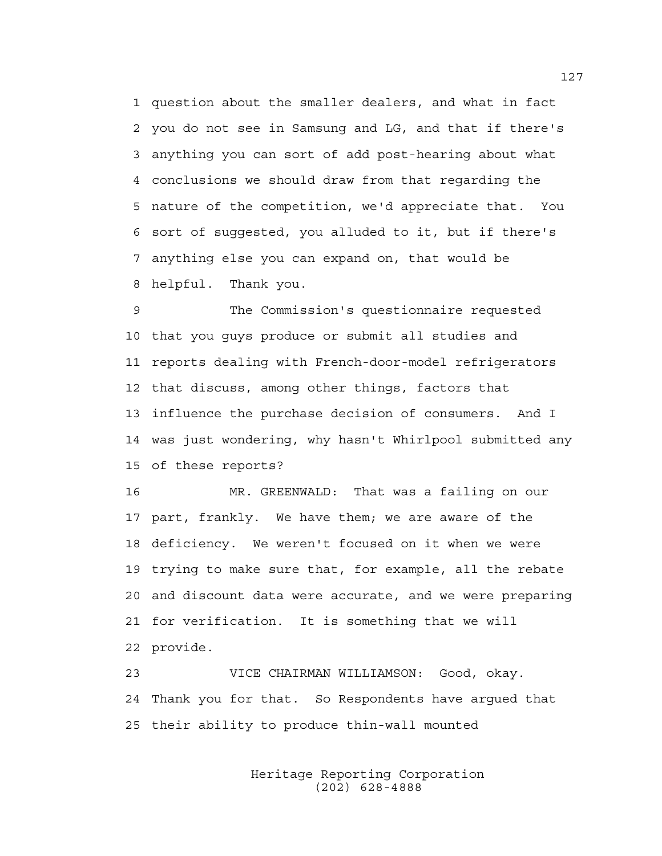1 question about the smaller dealers, and what in fact 2 you do not see in Samsung and LG, and that if there's 3 anything you can sort of add post-hearing about what 4 conclusions we should draw from that regarding the 5 nature of the competition, we'd appreciate that. You 6 sort of suggested, you alluded to it, but if there's 7 anything else you can expand on, that would be 8 helpful. Thank you.

9 The Commission's questionnaire requested 10 that you guys produce or submit all studies and 11 reports dealing with French-door-model refrigerators 12 that discuss, among other things, factors that 13 influence the purchase decision of consumers. And I 14 was just wondering, why hasn't Whirlpool submitted any 15 of these reports?

16 MR. GREENWALD: That was a failing on our 17 part, frankly. We have them; we are aware of the 18 deficiency. We weren't focused on it when we were 19 trying to make sure that, for example, all the rebate 20 and discount data were accurate, and we were preparing 21 for verification. It is something that we will 22 provide.

23 VICE CHAIRMAN WILLIAMSON: Good, okay. 24 Thank you for that. So Respondents have argued that 25 their ability to produce thin-wall mounted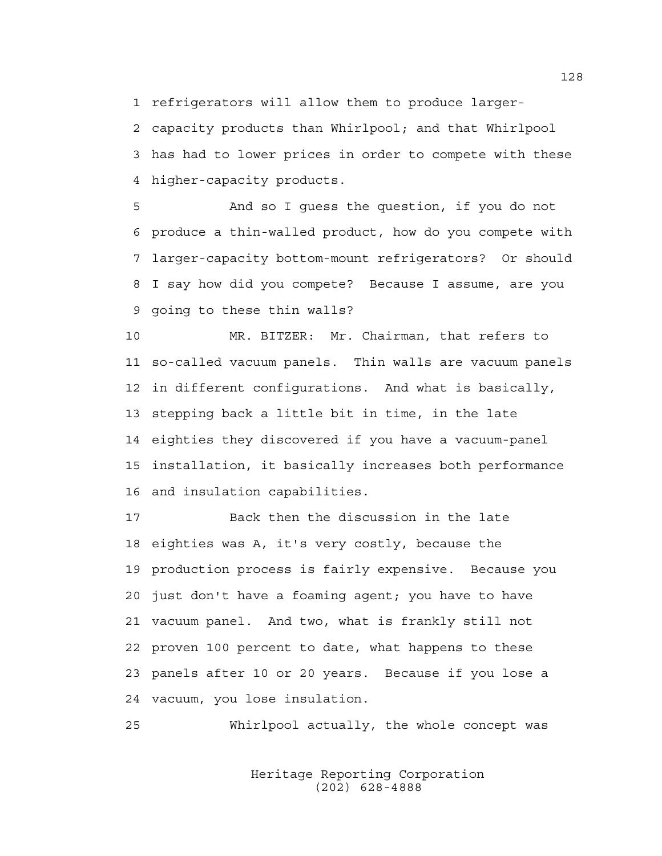1 refrigerators will allow them to produce larger-

2 capacity products than Whirlpool; and that Whirlpool 3 has had to lower prices in order to compete with these 4 higher-capacity products.

5 And so I guess the question, if you do not 6 produce a thin-walled product, how do you compete with 7 larger-capacity bottom-mount refrigerators? Or should 8 I say how did you compete? Because I assume, are you 9 going to these thin walls?

10 MR. BITZER: Mr. Chairman, that refers to 11 so-called vacuum panels. Thin walls are vacuum panels 12 in different configurations. And what is basically, 13 stepping back a little bit in time, in the late 14 eighties they discovered if you have a vacuum-panel 15 installation, it basically increases both performance 16 and insulation capabilities.

17 Back then the discussion in the late 18 eighties was A, it's very costly, because the 19 production process is fairly expensive. Because you 20 just don't have a foaming agent; you have to have 21 vacuum panel. And two, what is frankly still not 22 proven 100 percent to date, what happens to these 23 panels after 10 or 20 years. Because if you lose a 24 vacuum, you lose insulation.

25 Whirlpool actually, the whole concept was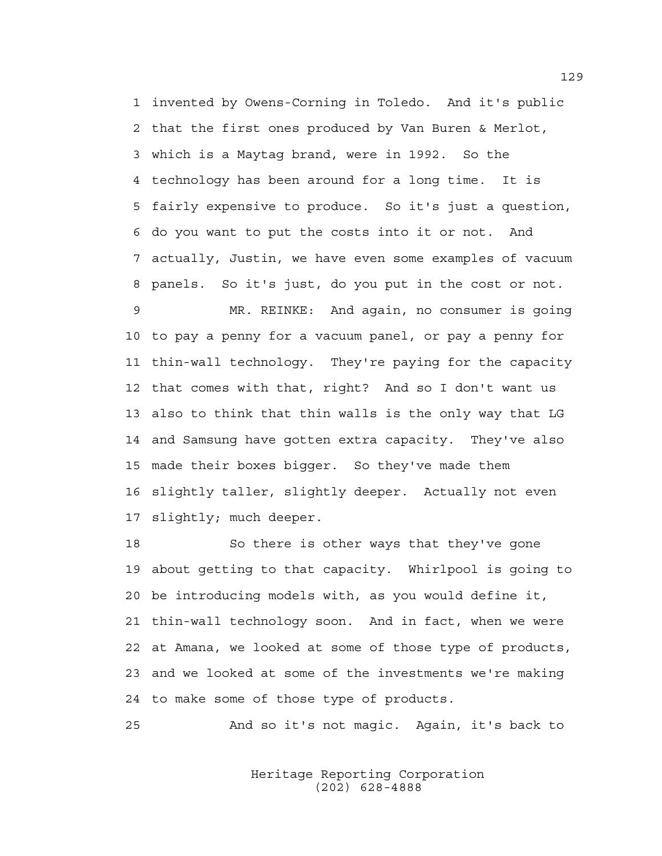1 invented by Owens-Corning in Toledo. And it's public 2 that the first ones produced by Van Buren & Merlot, 3 which is a Maytag brand, were in 1992. So the 4 technology has been around for a long time. It is 5 fairly expensive to produce. So it's just a question, 6 do you want to put the costs into it or not. And 7 actually, Justin, we have even some examples of vacuum 8 panels. So it's just, do you put in the cost or not.

9 MR. REINKE: And again, no consumer is going 10 to pay a penny for a vacuum panel, or pay a penny for 11 thin-wall technology. They're paying for the capacity 12 that comes with that, right? And so I don't want us 13 also to think that thin walls is the only way that LG 14 and Samsung have gotten extra capacity. They've also 15 made their boxes bigger. So they've made them 16 slightly taller, slightly deeper. Actually not even 17 slightly; much deeper.

18 So there is other ways that they've gone 19 about getting to that capacity. Whirlpool is going to 20 be introducing models with, as you would define it, 21 thin-wall technology soon. And in fact, when we were 22 at Amana, we looked at some of those type of products, 23 and we looked at some of the investments we're making 24 to make some of those type of products.

25 And so it's not magic. Again, it's back to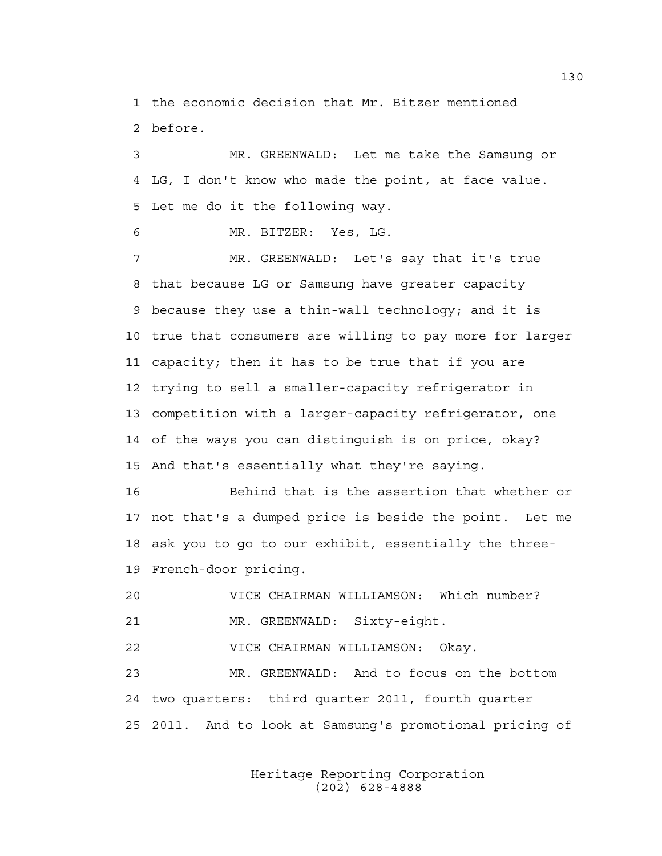1 the economic decision that Mr. Bitzer mentioned 2 before.

3 MR. GREENWALD: Let me take the Samsung or 4 LG, I don't know who made the point, at face value. 5 Let me do it the following way.

6 MR. BITZER: Yes, LG.

7 MR. GREENWALD: Let's say that it's true 8 that because LG or Samsung have greater capacity 9 because they use a thin-wall technology; and it is 10 true that consumers are willing to pay more for larger 11 capacity; then it has to be true that if you are 12 trying to sell a smaller-capacity refrigerator in 13 competition with a larger-capacity refrigerator, one 14 of the ways you can distinguish is on price, okay? 15 And that's essentially what they're saying.

16 Behind that is the assertion that whether or 17 not that's a dumped price is beside the point. Let me 18 ask you to go to our exhibit, essentially the three-19 French-door pricing.

20 VICE CHAIRMAN WILLIAMSON: Which number? 21 MR. GREENWALD: Sixty-eight.

22 VICE CHAIRMAN WILLIAMSON: Okay.

23 MR. GREENWALD: And to focus on the bottom 24 two quarters: third quarter 2011, fourth quarter 25 2011. And to look at Samsung's promotional pricing of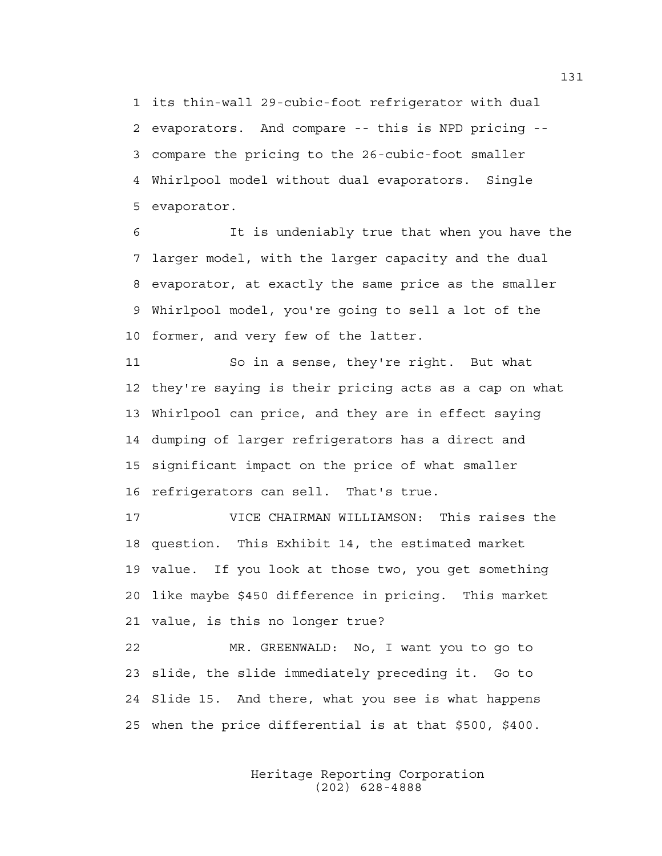1 its thin-wall 29-cubic-foot refrigerator with dual 2 evaporators. And compare -- this is NPD pricing -- 3 compare the pricing to the 26-cubic-foot smaller 4 Whirlpool model without dual evaporators. Single 5 evaporator.

6 It is undeniably true that when you have the 7 larger model, with the larger capacity and the dual 8 evaporator, at exactly the same price as the smaller 9 Whirlpool model, you're going to sell a lot of the 10 former, and very few of the latter.

11 So in a sense, they're right. But what 12 they're saying is their pricing acts as a cap on what 13 Whirlpool can price, and they are in effect saying 14 dumping of larger refrigerators has a direct and 15 significant impact on the price of what smaller 16 refrigerators can sell. That's true.

17 VICE CHAIRMAN WILLIAMSON: This raises the 18 question. This Exhibit 14, the estimated market 19 value. If you look at those two, you get something 20 like maybe \$450 difference in pricing. This market 21 value, is this no longer true?

22 MR. GREENWALD: No, I want you to go to 23 slide, the slide immediately preceding it. Go to 24 Slide 15. And there, what you see is what happens 25 when the price differential is at that \$500, \$400.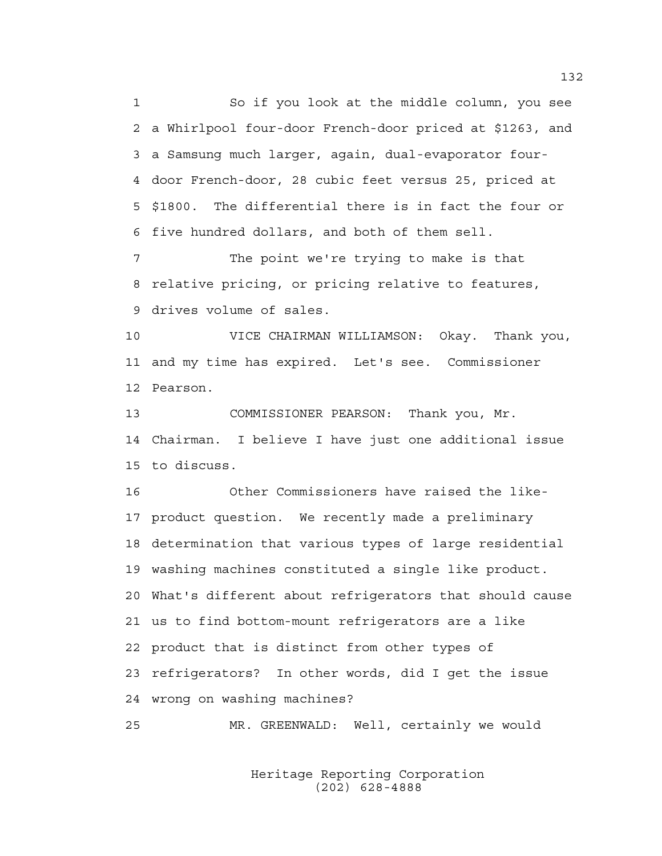1 So if you look at the middle column, you see 2 a Whirlpool four-door French-door priced at \$1263, and 3 a Samsung much larger, again, dual-evaporator four-4 door French-door, 28 cubic feet versus 25, priced at 5 \$1800. The differential there is in fact the four or 6 five hundred dollars, and both of them sell.

7 The point we're trying to make is that 8 relative pricing, or pricing relative to features, 9 drives volume of sales.

10 VICE CHAIRMAN WILLIAMSON: Okay. Thank you, 11 and my time has expired. Let's see. Commissioner 12 Pearson.

13 COMMISSIONER PEARSON: Thank you, Mr. 14 Chairman. I believe I have just one additional issue 15 to discuss.

16 Other Commissioners have raised the like-17 product question. We recently made a preliminary 18 determination that various types of large residential 19 washing machines constituted a single like product. 20 What's different about refrigerators that should cause 21 us to find bottom-mount refrigerators are a like 22 product that is distinct from other types of 23 refrigerators? In other words, did I get the issue 24 wrong on washing machines?

25 MR. GREENWALD: Well, certainly we would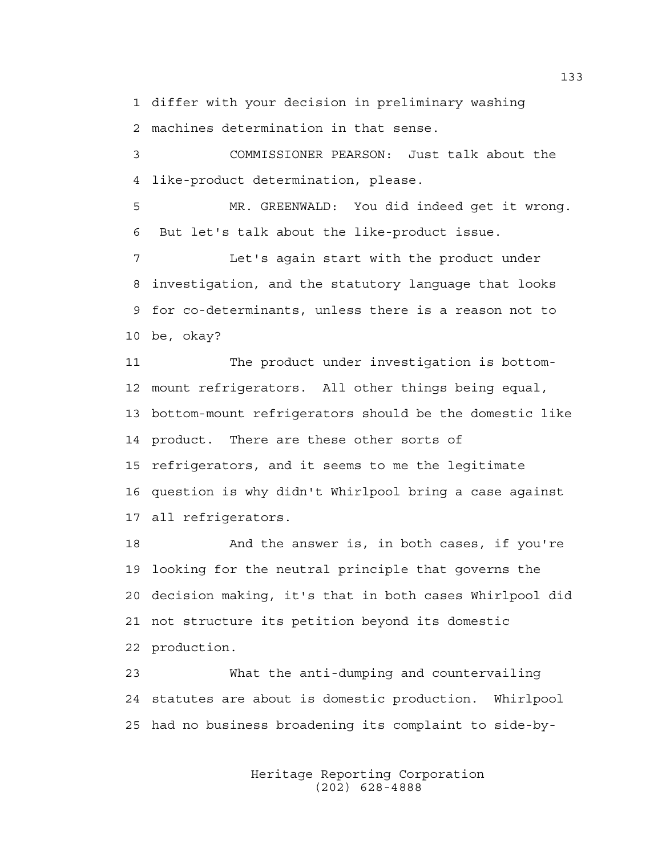1 differ with your decision in preliminary washing 2 machines determination in that sense.

3 COMMISSIONER PEARSON: Just talk about the 4 like-product determination, please.

5 MR. GREENWALD: You did indeed get it wrong. 6 But let's talk about the like-product issue.

7 Let's again start with the product under 8 investigation, and the statutory language that looks 9 for co-determinants, unless there is a reason not to 10 be, okay?

11 The product under investigation is bottom-12 mount refrigerators. All other things being equal, 13 bottom-mount refrigerators should be the domestic like 14 product. There are these other sorts of 15 refrigerators, and it seems to me the legitimate 16 question is why didn't Whirlpool bring a case against 17 all refrigerators.

18 And the answer is, in both cases, if you're 19 looking for the neutral principle that governs the 20 decision making, it's that in both cases Whirlpool did 21 not structure its petition beyond its domestic 22 production.

23 What the anti-dumping and countervailing 24 statutes are about is domestic production. Whirlpool 25 had no business broadening its complaint to side-by-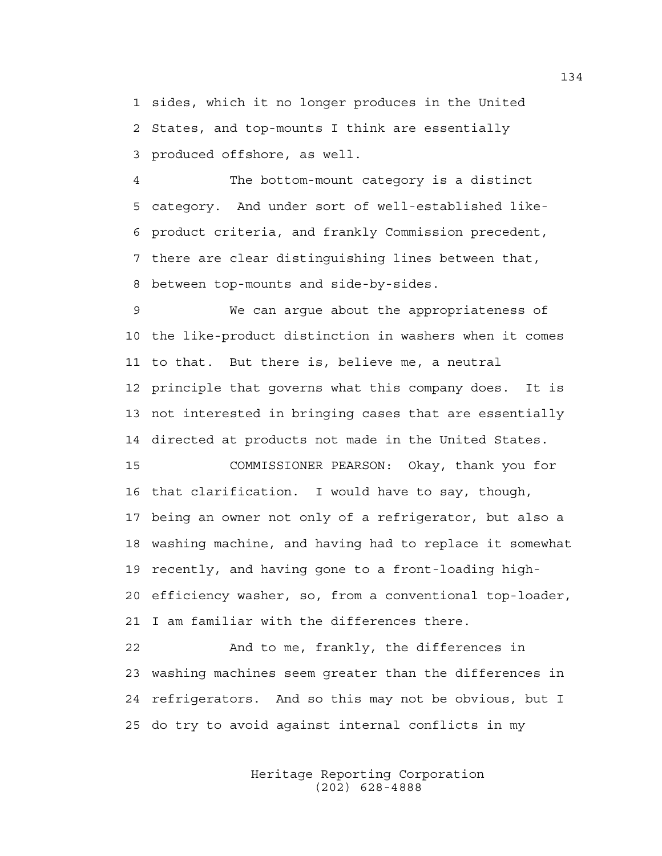1 sides, which it no longer produces in the United 2 States, and top-mounts I think are essentially 3 produced offshore, as well.

4 The bottom-mount category is a distinct 5 category. And under sort of well-established like-6 product criteria, and frankly Commission precedent, 7 there are clear distinguishing lines between that, 8 between top-mounts and side-by-sides.

9 We can argue about the appropriateness of 10 the like-product distinction in washers when it comes 11 to that. But there is, believe me, a neutral 12 principle that governs what this company does. It is 13 not interested in bringing cases that are essentially 14 directed at products not made in the United States.

15 COMMISSIONER PEARSON: Okay, thank you for 16 that clarification. I would have to say, though, 17 being an owner not only of a refrigerator, but also a 18 washing machine, and having had to replace it somewhat 19 recently, and having gone to a front-loading high-20 efficiency washer, so, from a conventional top-loader, 21 I am familiar with the differences there.

22 And to me, frankly, the differences in 23 washing machines seem greater than the differences in 24 refrigerators. And so this may not be obvious, but I 25 do try to avoid against internal conflicts in my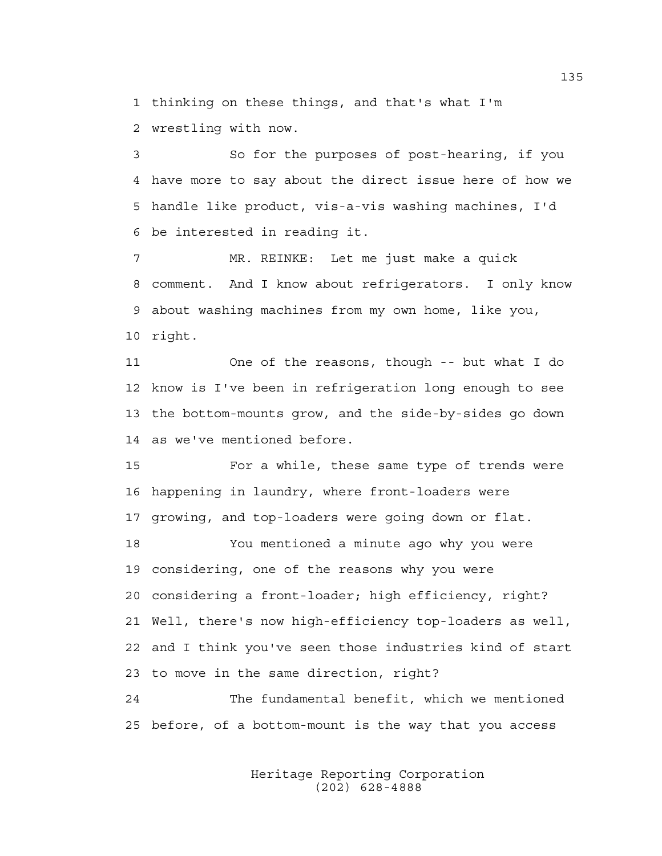1 thinking on these things, and that's what I'm 2 wrestling with now.

3 So for the purposes of post-hearing, if you 4 have more to say about the direct issue here of how we 5 handle like product, vis-a-vis washing machines, I'd 6 be interested in reading it.

7 MR. REINKE: Let me just make a quick 8 comment. And I know about refrigerators. I only know 9 about washing machines from my own home, like you, 10 right.

11 One of the reasons, though -- but what I do 12 know is I've been in refrigeration long enough to see 13 the bottom-mounts grow, and the side-by-sides go down 14 as we've mentioned before.

15 For a while, these same type of trends were 16 happening in laundry, where front-loaders were 17 growing, and top-loaders were going down or flat.

18 You mentioned a minute ago why you were 19 considering, one of the reasons why you were 20 considering a front-loader; high efficiency, right? 21 Well, there's now high-efficiency top-loaders as well, 22 and I think you've seen those industries kind of start 23 to move in the same direction, right?

24 The fundamental benefit, which we mentioned 25 before, of a bottom-mount is the way that you access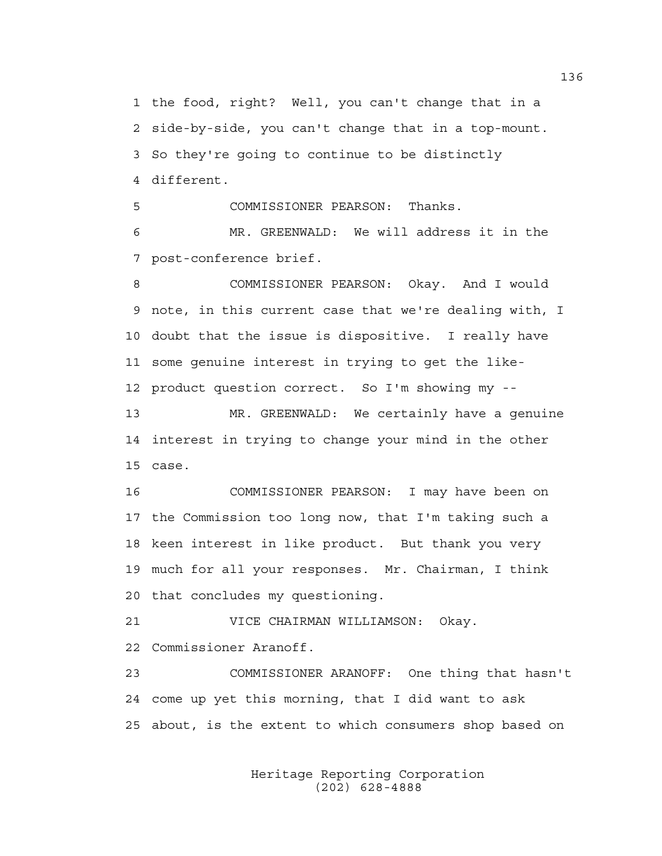1 the food, right? Well, you can't change that in a 2 side-by-side, you can't change that in a top-mount. 3 So they're going to continue to be distinctly 4 different.

5 COMMISSIONER PEARSON: Thanks.

6 MR. GREENWALD: We will address it in the 7 post-conference brief.

8 COMMISSIONER PEARSON: Okay. And I would 9 note, in this current case that we're dealing with, I 10 doubt that the issue is dispositive. I really have 11 some genuine interest in trying to get the like-12 product question correct. So I'm showing my --

13 MR. GREENWALD: We certainly have a genuine 14 interest in trying to change your mind in the other 15 case.

16 COMMISSIONER PEARSON: I may have been on 17 the Commission too long now, that I'm taking such a 18 keen interest in like product. But thank you very 19 much for all your responses. Mr. Chairman, I think 20 that concludes my questioning.

21 VICE CHAIRMAN WILLIAMSON: Okay. 22 Commissioner Aranoff.

23 COMMISSIONER ARANOFF: One thing that hasn't 24 come up yet this morning, that I did want to ask 25 about, is the extent to which consumers shop based on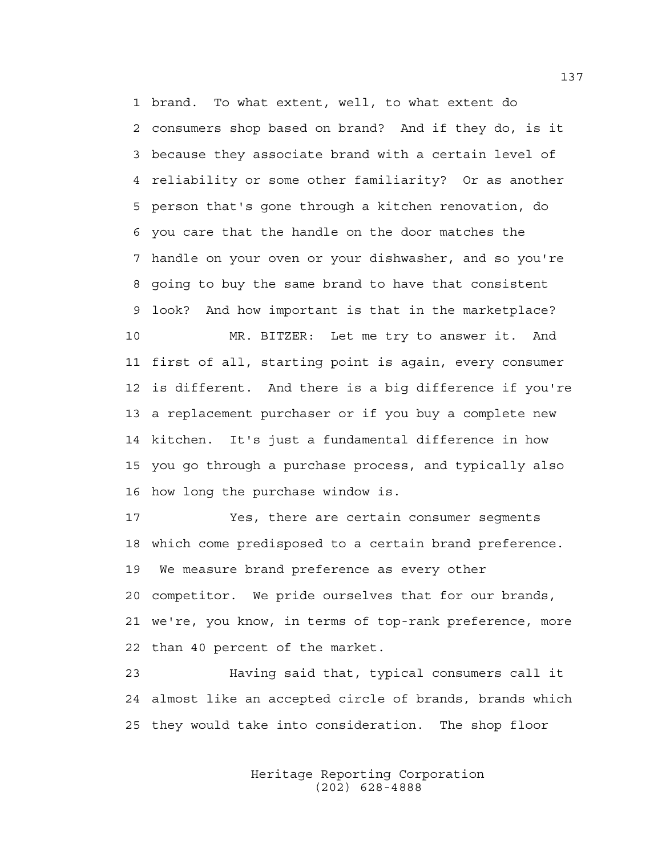1 brand. To what extent, well, to what extent do 2 consumers shop based on brand? And if they do, is it 3 because they associate brand with a certain level of 4 reliability or some other familiarity? Or as another 5 person that's gone through a kitchen renovation, do 6 you care that the handle on the door matches the 7 handle on your oven or your dishwasher, and so you're 8 going to buy the same brand to have that consistent 9 look? And how important is that in the marketplace? 10 MR. BITZER: Let me try to answer it. And 11 first of all, starting point is again, every consumer 12 is different. And there is a big difference if you're 13 a replacement purchaser or if you buy a complete new 14 kitchen. It's just a fundamental difference in how 15 you go through a purchase process, and typically also 16 how long the purchase window is.

17 Yes, there are certain consumer segments 18 which come predisposed to a certain brand preference. 19 We measure brand preference as every other 20 competitor. We pride ourselves that for our brands, 21 we're, you know, in terms of top-rank preference, more 22 than 40 percent of the market.

23 Having said that, typical consumers call it 24 almost like an accepted circle of brands, brands which 25 they would take into consideration. The shop floor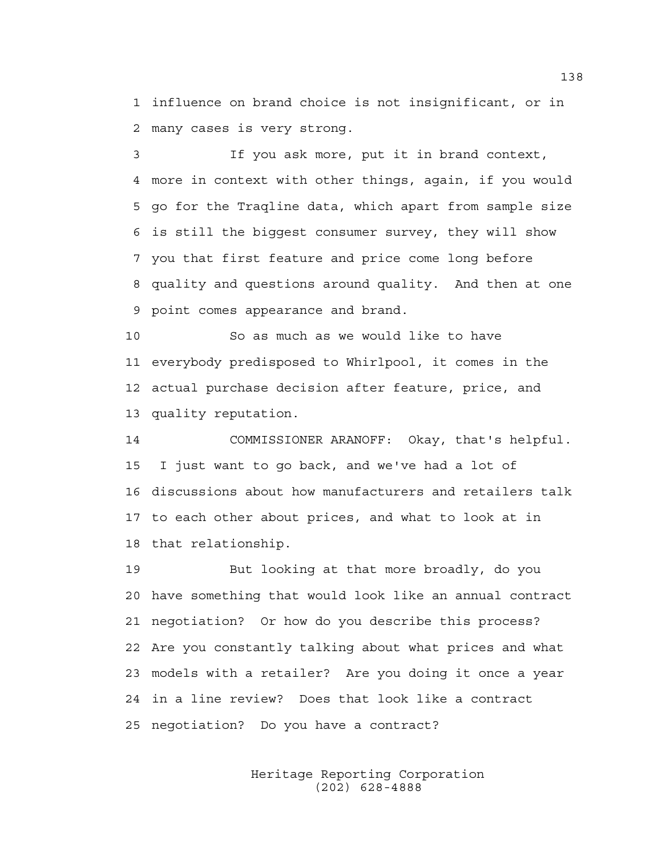1 influence on brand choice is not insignificant, or in 2 many cases is very strong.

3 If you ask more, put it in brand context, 4 more in context with other things, again, if you would 5 go for the Traqline data, which apart from sample size 6 is still the biggest consumer survey, they will show 7 you that first feature and price come long before 8 quality and questions around quality. And then at one 9 point comes appearance and brand.

10 So as much as we would like to have 11 everybody predisposed to Whirlpool, it comes in the 12 actual purchase decision after feature, price, and 13 quality reputation.

14 COMMISSIONER ARANOFF: Okay, that's helpful. 15 I just want to go back, and we've had a lot of 16 discussions about how manufacturers and retailers talk 17 to each other about prices, and what to look at in 18 that relationship.

19 But looking at that more broadly, do you 20 have something that would look like an annual contract 21 negotiation? Or how do you describe this process? 22 Are you constantly talking about what prices and what 23 models with a retailer? Are you doing it once a year 24 in a line review? Does that look like a contract 25 negotiation? Do you have a contract?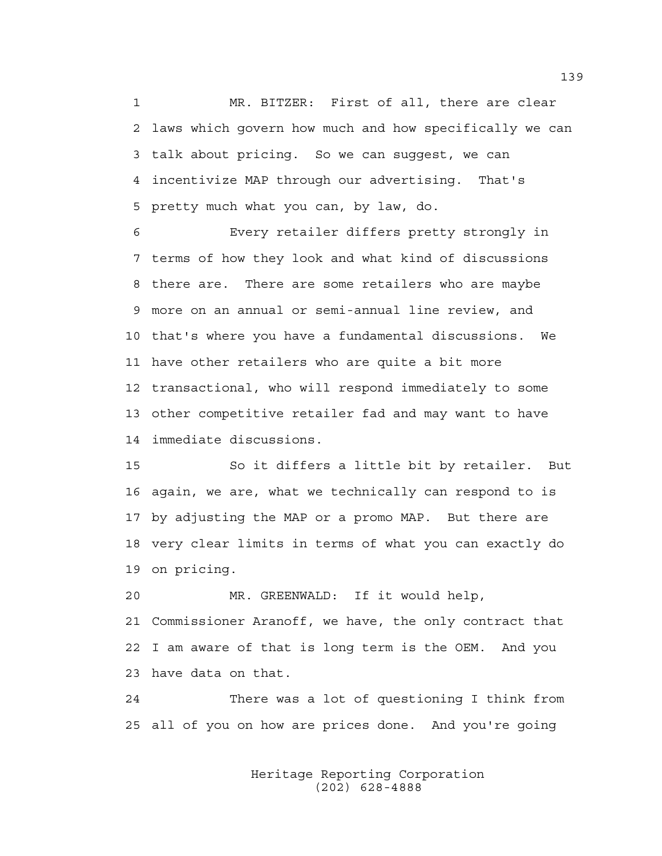1 MR. BITZER: First of all, there are clear 2 laws which govern how much and how specifically we can 3 talk about pricing. So we can suggest, we can 4 incentivize MAP through our advertising. That's 5 pretty much what you can, by law, do.

6 Every retailer differs pretty strongly in 7 terms of how they look and what kind of discussions 8 there are. There are some retailers who are maybe 9 more on an annual or semi-annual line review, and 10 that's where you have a fundamental discussions. We 11 have other retailers who are quite a bit more 12 transactional, who will respond immediately to some 13 other competitive retailer fad and may want to have 14 immediate discussions.

15 So it differs a little bit by retailer. But 16 again, we are, what we technically can respond to is 17 by adjusting the MAP or a promo MAP. But there are 18 very clear limits in terms of what you can exactly do 19 on pricing.

20 MR. GREENWALD: If it would help, 21 Commissioner Aranoff, we have, the only contract that 22 I am aware of that is long term is the OEM. And you 23 have data on that.

24 There was a lot of questioning I think from 25 all of you on how are prices done. And you're going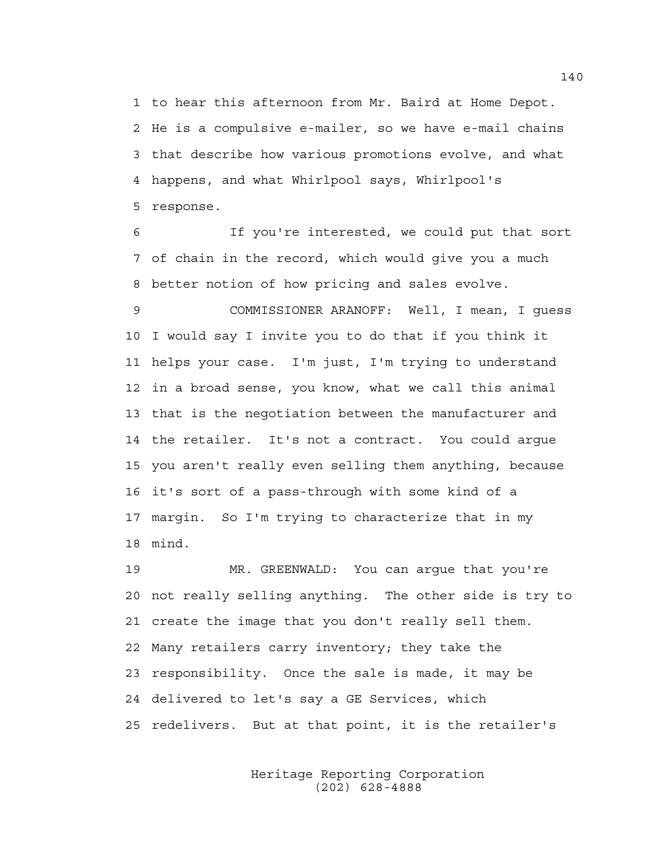1 to hear this afternoon from Mr. Baird at Home Depot. 2 He is a compulsive e-mailer, so we have e-mail chains 3 that describe how various promotions evolve, and what 4 happens, and what Whirlpool says, Whirlpool's 5 response.

6 If you're interested, we could put that sort 7 of chain in the record, which would give you a much 8 better notion of how pricing and sales evolve.

9 COMMISSIONER ARANOFF: Well, I mean, I guess 10 I would say I invite you to do that if you think it 11 helps your case. I'm just, I'm trying to understand 12 in a broad sense, you know, what we call this animal 13 that is the negotiation between the manufacturer and 14 the retailer. It's not a contract. You could argue 15 you aren't really even selling them anything, because 16 it's sort of a pass-through with some kind of a 17 margin. So I'm trying to characterize that in my 18 mind.

19 MR. GREENWALD: You can argue that you're 20 not really selling anything. The other side is try to 21 create the image that you don't really sell them. 22 Many retailers carry inventory; they take the 23 responsibility. Once the sale is made, it may be 24 delivered to let's say a GE Services, which 25 redelivers. But at that point, it is the retailer's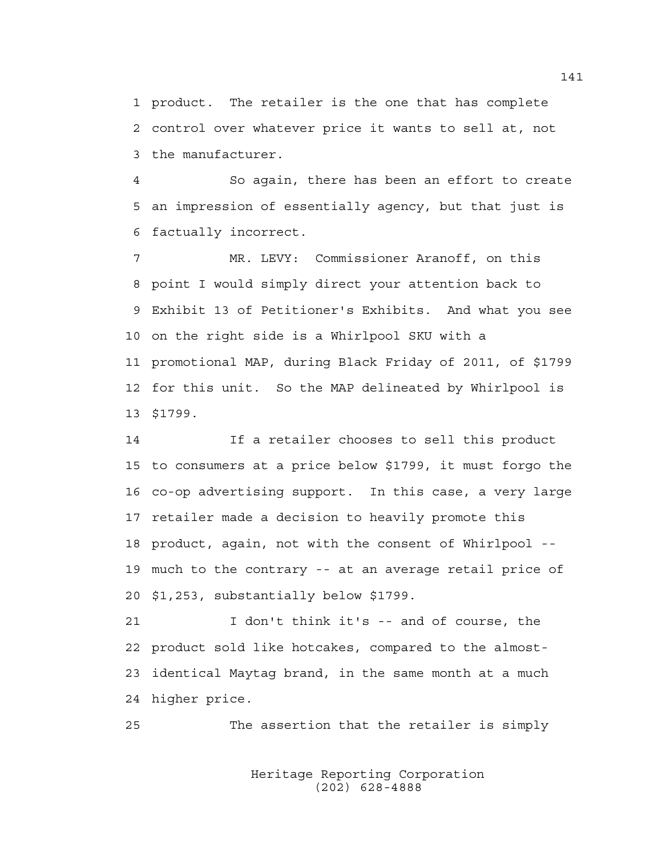1 product. The retailer is the one that has complete 2 control over whatever price it wants to sell at, not 3 the manufacturer.

4 So again, there has been an effort to create 5 an impression of essentially agency, but that just is 6 factually incorrect.

7 MR. LEVY: Commissioner Aranoff, on this 8 point I would simply direct your attention back to 9 Exhibit 13 of Petitioner's Exhibits. And what you see 10 on the right side is a Whirlpool SKU with a 11 promotional MAP, during Black Friday of 2011, of \$1799 12 for this unit. So the MAP delineated by Whirlpool is 13 \$1799.

14 If a retailer chooses to sell this product 15 to consumers at a price below \$1799, it must forgo the 16 co-op advertising support. In this case, a very large 17 retailer made a decision to heavily promote this 18 product, again, not with the consent of Whirlpool -- 19 much to the contrary -- at an average retail price of 20 \$1,253, substantially below \$1799.

21 I don't think it's -- and of course, the 22 product sold like hotcakes, compared to the almost-23 identical Maytag brand, in the same month at a much 24 higher price.

25 The assertion that the retailer is simply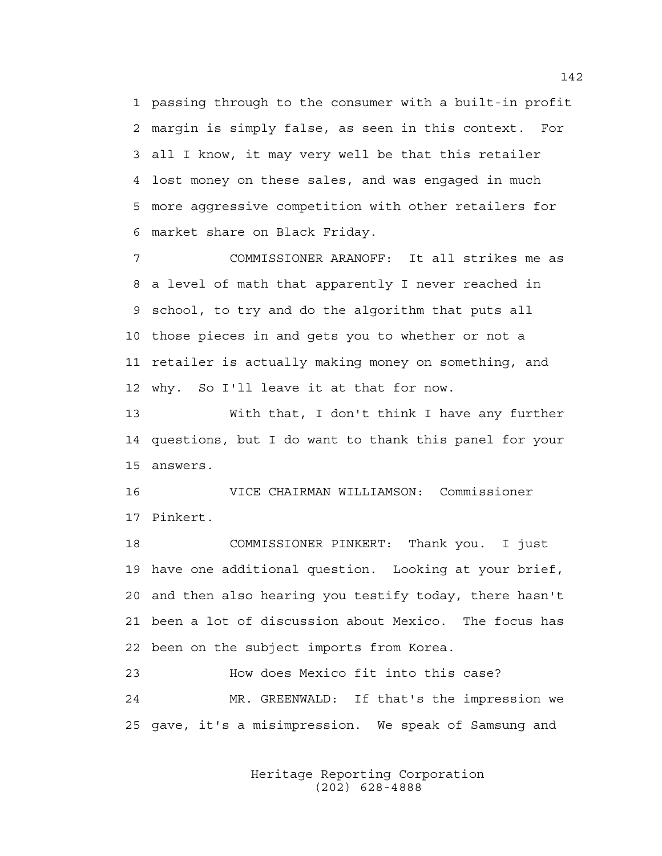1 passing through to the consumer with a built-in profit 2 margin is simply false, as seen in this context. For 3 all I know, it may very well be that this retailer 4 lost money on these sales, and was engaged in much 5 more aggressive competition with other retailers for 6 market share on Black Friday.

7 COMMISSIONER ARANOFF: It all strikes me as 8 a level of math that apparently I never reached in 9 school, to try and do the algorithm that puts all 10 those pieces in and gets you to whether or not a 11 retailer is actually making money on something, and 12 why. So I'll leave it at that for now.

13 With that, I don't think I have any further 14 questions, but I do want to thank this panel for your 15 answers.

16 VICE CHAIRMAN WILLIAMSON: Commissioner 17 Pinkert.

18 COMMISSIONER PINKERT: Thank you. I just 19 have one additional question. Looking at your brief, 20 and then also hearing you testify today, there hasn't 21 been a lot of discussion about Mexico. The focus has 22 been on the subject imports from Korea.

23 How does Mexico fit into this case? 24 MR. GREENWALD: If that's the impression we 25 gave, it's a misimpression. We speak of Samsung and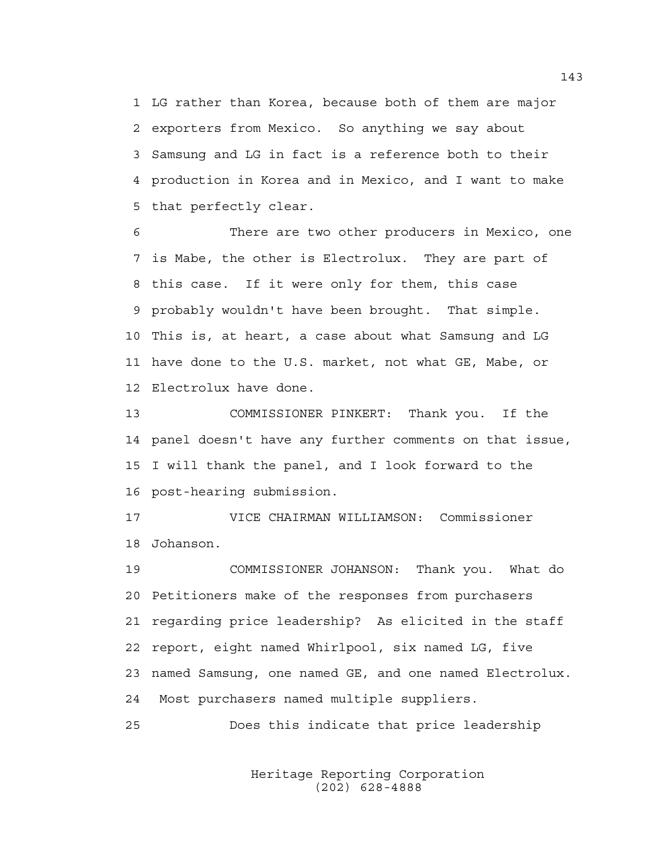1 LG rather than Korea, because both of them are major 2 exporters from Mexico. So anything we say about 3 Samsung and LG in fact is a reference both to their 4 production in Korea and in Mexico, and I want to make 5 that perfectly clear.

6 There are two other producers in Mexico, one 7 is Mabe, the other is Electrolux. They are part of 8 this case. If it were only for them, this case 9 probably wouldn't have been brought. That simple. 10 This is, at heart, a case about what Samsung and LG 11 have done to the U.S. market, not what GE, Mabe, or 12 Electrolux have done.

13 COMMISSIONER PINKERT: Thank you. If the 14 panel doesn't have any further comments on that issue, 15 I will thank the panel, and I look forward to the 16 post-hearing submission.

17 VICE CHAIRMAN WILLIAMSON: Commissioner 18 Johanson.

19 COMMISSIONER JOHANSON: Thank you. What do 20 Petitioners make of the responses from purchasers 21 regarding price leadership? As elicited in the staff 22 report, eight named Whirlpool, six named LG, five 23 named Samsung, one named GE, and one named Electrolux. 24 Most purchasers named multiple suppliers.

25 Does this indicate that price leadership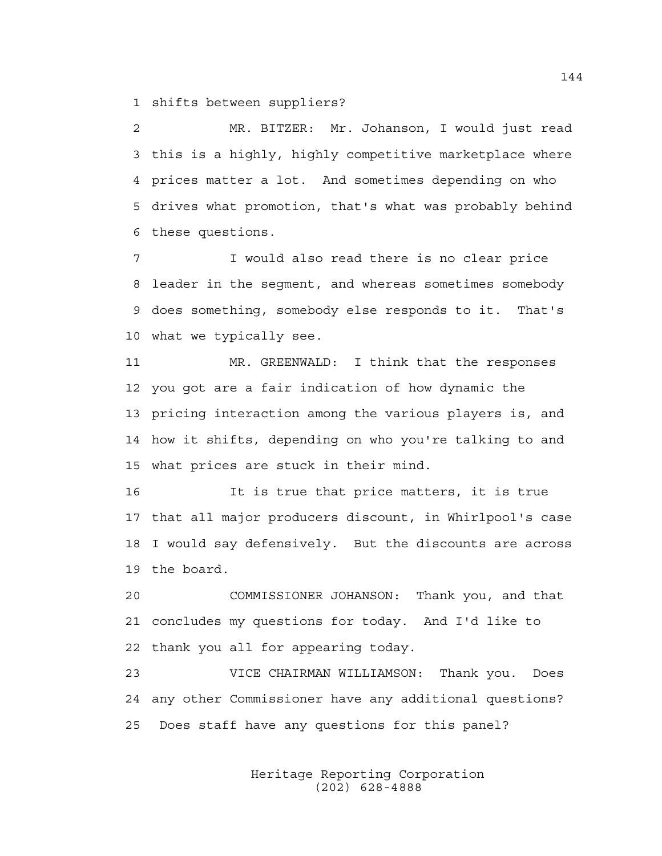1 shifts between suppliers?

2 MR. BITZER: Mr. Johanson, I would just read 3 this is a highly, highly competitive marketplace where 4 prices matter a lot. And sometimes depending on who 5 drives what promotion, that's what was probably behind 6 these questions.

7 I would also read there is no clear price 8 leader in the segment, and whereas sometimes somebody 9 does something, somebody else responds to it. That's 10 what we typically see.

11 MR. GREENWALD: I think that the responses 12 you got are a fair indication of how dynamic the 13 pricing interaction among the various players is, and 14 how it shifts, depending on who you're talking to and 15 what prices are stuck in their mind.

16 It is true that price matters, it is true 17 that all major producers discount, in Whirlpool's case 18 I would say defensively. But the discounts are across 19 the board.

20 COMMISSIONER JOHANSON: Thank you, and that 21 concludes my questions for today. And I'd like to 22 thank you all for appearing today.

23 VICE CHAIRMAN WILLIAMSON: Thank you. Does 24 any other Commissioner have any additional questions? 25 Does staff have any questions for this panel?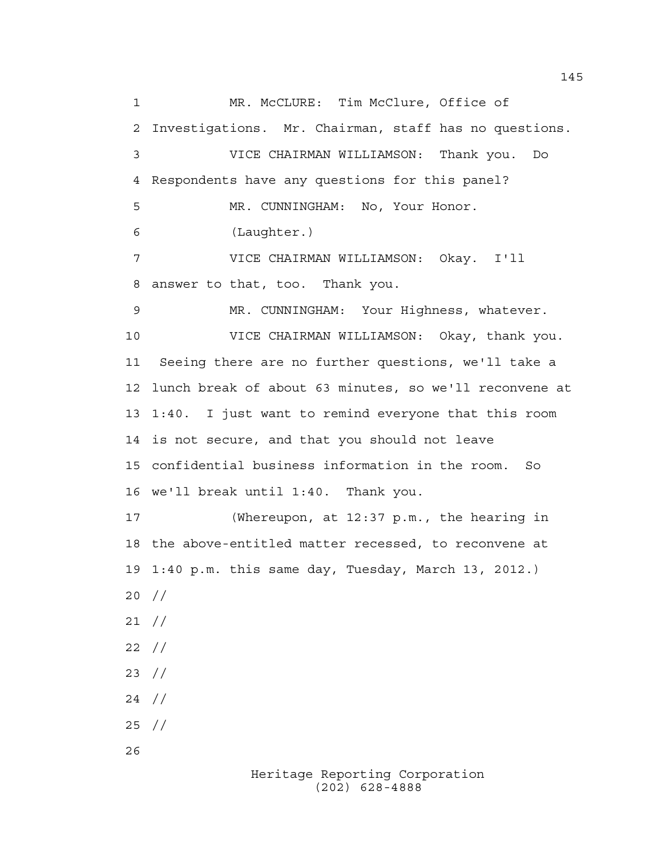1 MR. McCLURE: Tim McClure, Office of 2 Investigations. Mr. Chairman, staff has no questions. 3 VICE CHAIRMAN WILLIAMSON: Thank you. Do 4 Respondents have any questions for this panel? 5 MR. CUNNINGHAM: No, Your Honor. 6 (Laughter.) 7 VICE CHAIRMAN WILLIAMSON: Okay. I'll 8 answer to that, too. Thank you. 9 MR. CUNNINGHAM: Your Highness, whatever. 10 VICE CHAIRMAN WILLIAMSON: Okay, thank you. 11 Seeing there are no further questions, we'll take a 12 lunch break of about 63 minutes, so we'll reconvene at 13 1:40. I just want to remind everyone that this room 14 is not secure, and that you should not leave 15 confidential business information in the room. So 16 we'll break until 1:40. Thank you. 17 (Whereupon, at 12:37 p.m., the hearing in 18 the above-entitled matter recessed, to reconvene at 19 1:40 p.m. this same day, Tuesday, March 13, 2012.) 20 // 21 // 22 // 23 // 24 // 25 // 26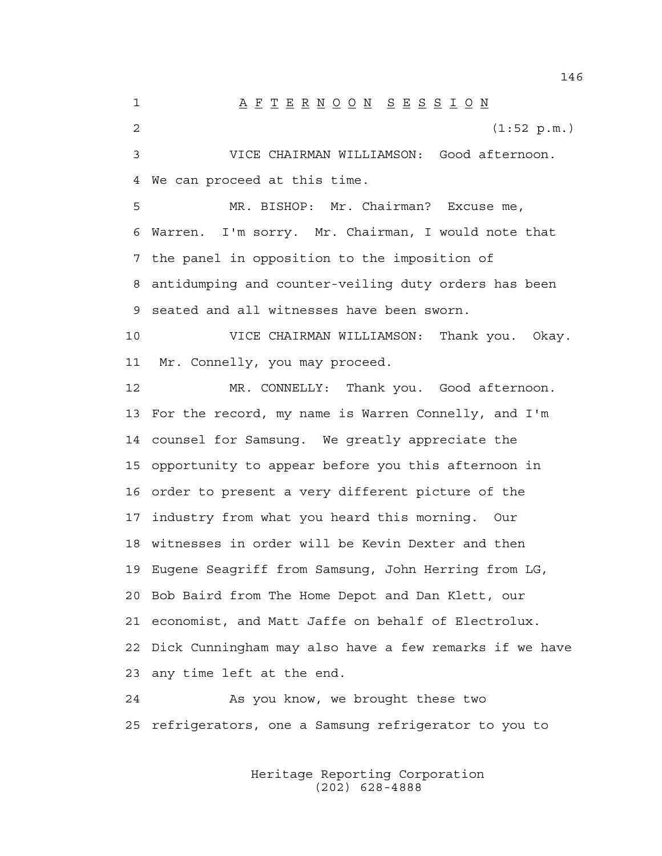1 A F T E R N O O N S E S S I O N 2 (1:52 p.m.) 3 VICE CHAIRMAN WILLIAMSON: Good afternoon. 4 We can proceed at this time. 5 MR. BISHOP: Mr. Chairman? Excuse me, 6 Warren. I'm sorry. Mr. Chairman, I would note that 7 the panel in opposition to the imposition of 8 antidumping and counter-veiling duty orders has been 9 seated and all witnesses have been sworn. 10 VICE CHAIRMAN WILLIAMSON: Thank you. Okay. 11 Mr. Connelly, you may proceed. 12 MR. CONNELLY: Thank you. Good afternoon. 13 For the record, my name is Warren Connelly, and I'm 14 counsel for Samsung. We greatly appreciate the 15 opportunity to appear before you this afternoon in 16 order to present a very different picture of the 17 industry from what you heard this morning. Our 18 witnesses in order will be Kevin Dexter and then 19 Eugene Seagriff from Samsung, John Herring from LG, 20 Bob Baird from The Home Depot and Dan Klett, our 21 economist, and Matt Jaffe on behalf of Electrolux. 22 Dick Cunningham may also have a few remarks if we have 23 any time left at the end. 24 As you know, we brought these two

> Heritage Reporting Corporation (202) 628-4888

25 refrigerators, one a Samsung refrigerator to you to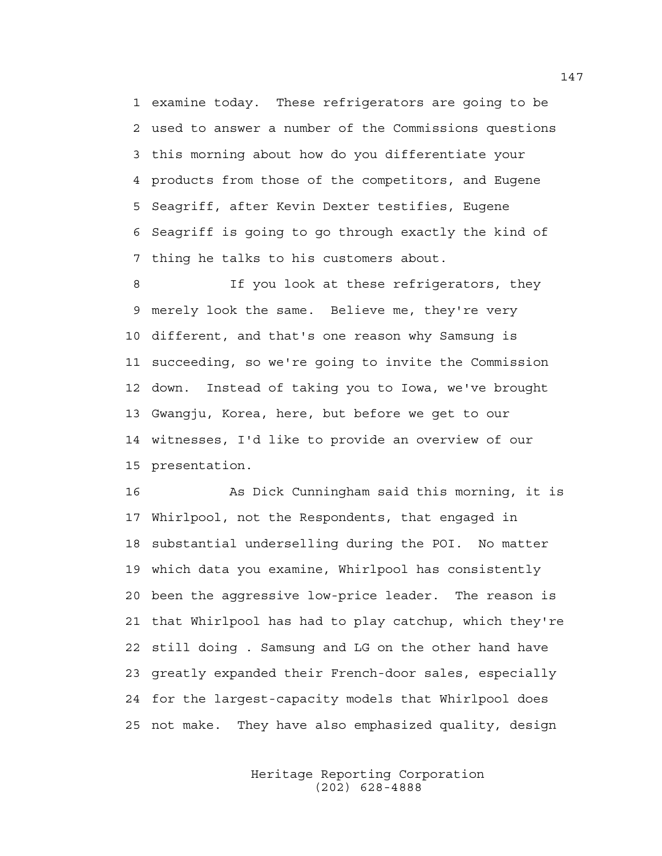1 examine today. These refrigerators are going to be 2 used to answer a number of the Commissions questions 3 this morning about how do you differentiate your 4 products from those of the competitors, and Eugene 5 Seagriff, after Kevin Dexter testifies, Eugene 6 Seagriff is going to go through exactly the kind of 7 thing he talks to his customers about.

8 If you look at these refrigerators, they 9 merely look the same. Believe me, they're very 10 different, and that's one reason why Samsung is 11 succeeding, so we're going to invite the Commission 12 down. Instead of taking you to Iowa, we've brought 13 Gwangju, Korea, here, but before we get to our 14 witnesses, I'd like to provide an overview of our 15 presentation.

16 As Dick Cunningham said this morning, it is 17 Whirlpool, not the Respondents, that engaged in 18 substantial underselling during the POI. No matter 19 which data you examine, Whirlpool has consistently 20 been the aggressive low-price leader. The reason is 21 that Whirlpool has had to play catchup, which they're 22 still doing . Samsung and LG on the other hand have 23 greatly expanded their French-door sales, especially 24 for the largest-capacity models that Whirlpool does 25 not make. They have also emphasized quality, design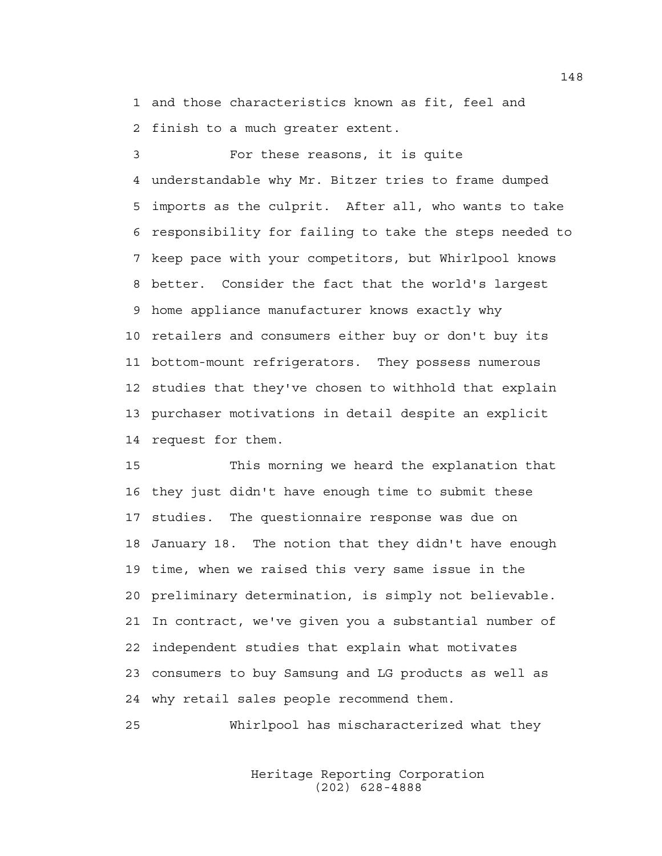1 and those characteristics known as fit, feel and 2 finish to a much greater extent.

3 For these reasons, it is quite 4 understandable why Mr. Bitzer tries to frame dumped 5 imports as the culprit. After all, who wants to take 6 responsibility for failing to take the steps needed to 7 keep pace with your competitors, but Whirlpool knows 8 better. Consider the fact that the world's largest 9 home appliance manufacturer knows exactly why 10 retailers and consumers either buy or don't buy its 11 bottom-mount refrigerators. They possess numerous 12 studies that they've chosen to withhold that explain 13 purchaser motivations in detail despite an explicit 14 request for them.

15 This morning we heard the explanation that 16 they just didn't have enough time to submit these 17 studies. The questionnaire response was due on 18 January 18. The notion that they didn't have enough 19 time, when we raised this very same issue in the 20 preliminary determination, is simply not believable. 21 In contract, we've given you a substantial number of 22 independent studies that explain what motivates 23 consumers to buy Samsung and LG products as well as 24 why retail sales people recommend them.

25 Whirlpool has mischaracterized what they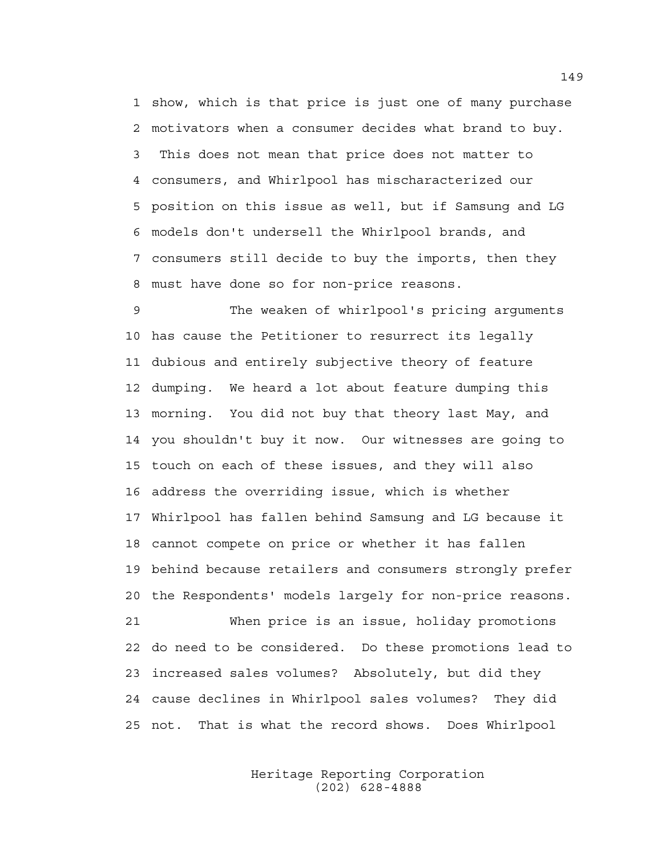1 show, which is that price is just one of many purchase 2 motivators when a consumer decides what brand to buy. 3 This does not mean that price does not matter to 4 consumers, and Whirlpool has mischaracterized our 5 position on this issue as well, but if Samsung and LG 6 models don't undersell the Whirlpool brands, and 7 consumers still decide to buy the imports, then they 8 must have done so for non-price reasons.

9 The weaken of whirlpool's pricing arguments 10 has cause the Petitioner to resurrect its legally 11 dubious and entirely subjective theory of feature 12 dumping. We heard a lot about feature dumping this 13 morning. You did not buy that theory last May, and 14 you shouldn't buy it now. Our witnesses are going to 15 touch on each of these issues, and they will also 16 address the overriding issue, which is whether 17 Whirlpool has fallen behind Samsung and LG because it 18 cannot compete on price or whether it has fallen 19 behind because retailers and consumers strongly prefer 20 the Respondents' models largely for non-price reasons. 21 When price is an issue, holiday promotions 22 do need to be considered. Do these promotions lead to 23 increased sales volumes? Absolutely, but did they 24 cause declines in Whirlpool sales volumes? They did

> Heritage Reporting Corporation (202) 628-4888

25 not. That is what the record shows. Does Whirlpool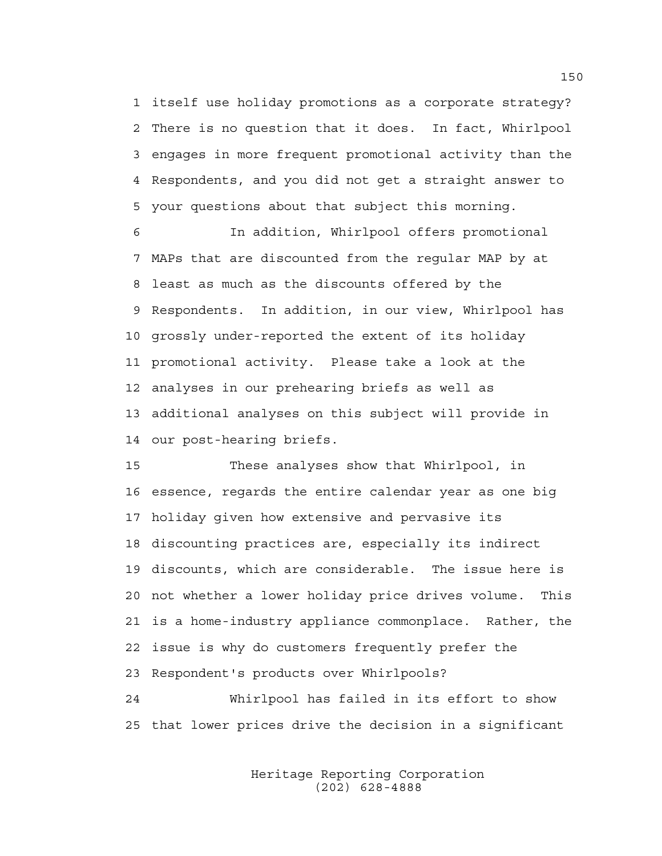1 itself use holiday promotions as a corporate strategy? 2 There is no question that it does. In fact, Whirlpool 3 engages in more frequent promotional activity than the 4 Respondents, and you did not get a straight answer to 5 your questions about that subject this morning.

6 In addition, Whirlpool offers promotional 7 MAPs that are discounted from the regular MAP by at 8 least as much as the discounts offered by the 9 Respondents. In addition, in our view, Whirlpool has 10 grossly under-reported the extent of its holiday 11 promotional activity. Please take a look at the 12 analyses in our prehearing briefs as well as 13 additional analyses on this subject will provide in 14 our post-hearing briefs.

15 These analyses show that Whirlpool, in 16 essence, regards the entire calendar year as one big 17 holiday given how extensive and pervasive its 18 discounting practices are, especially its indirect 19 discounts, which are considerable. The issue here is 20 not whether a lower holiday price drives volume. This 21 is a home-industry appliance commonplace. Rather, the 22 issue is why do customers frequently prefer the 23 Respondent's products over Whirlpools?

24 Whirlpool has failed in its effort to show 25 that lower prices drive the decision in a significant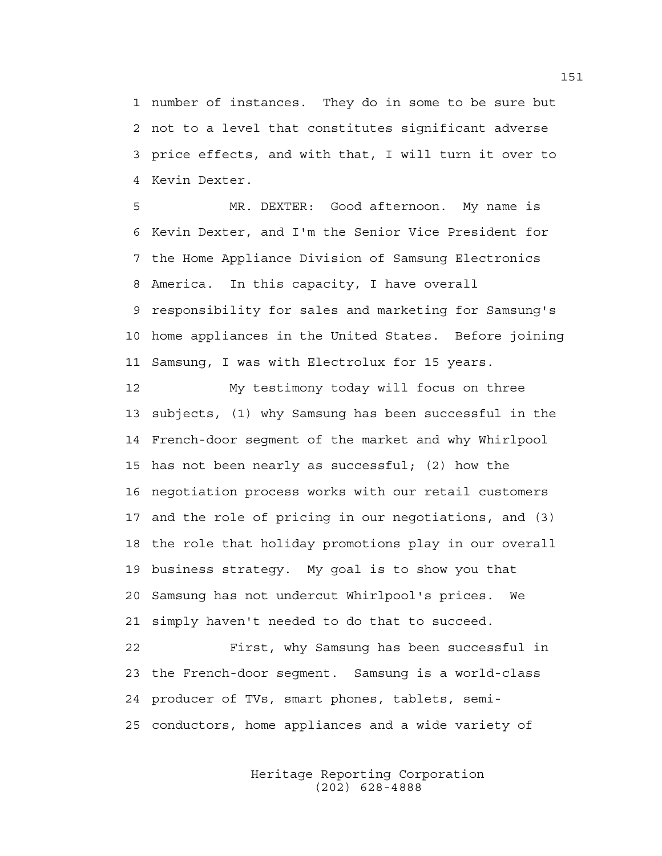1 number of instances. They do in some to be sure but 2 not to a level that constitutes significant adverse 3 price effects, and with that, I will turn it over to 4 Kevin Dexter.

5 MR. DEXTER: Good afternoon. My name is 6 Kevin Dexter, and I'm the Senior Vice President for 7 the Home Appliance Division of Samsung Electronics 8 America. In this capacity, I have overall 9 responsibility for sales and marketing for Samsung's 10 home appliances in the United States. Before joining 11 Samsung, I was with Electrolux for 15 years.

12 My testimony today will focus on three 13 subjects, (1) why Samsung has been successful in the 14 French-door segment of the market and why Whirlpool 15 has not been nearly as successful; (2) how the 16 negotiation process works with our retail customers 17 and the role of pricing in our negotiations, and (3) 18 the role that holiday promotions play in our overall 19 business strategy. My goal is to show you that 20 Samsung has not undercut Whirlpool's prices. We 21 simply haven't needed to do that to succeed.

22 First, why Samsung has been successful in 23 the French-door segment. Samsung is a world-class 24 producer of TVs, smart phones, tablets, semi-25 conductors, home appliances and a wide variety of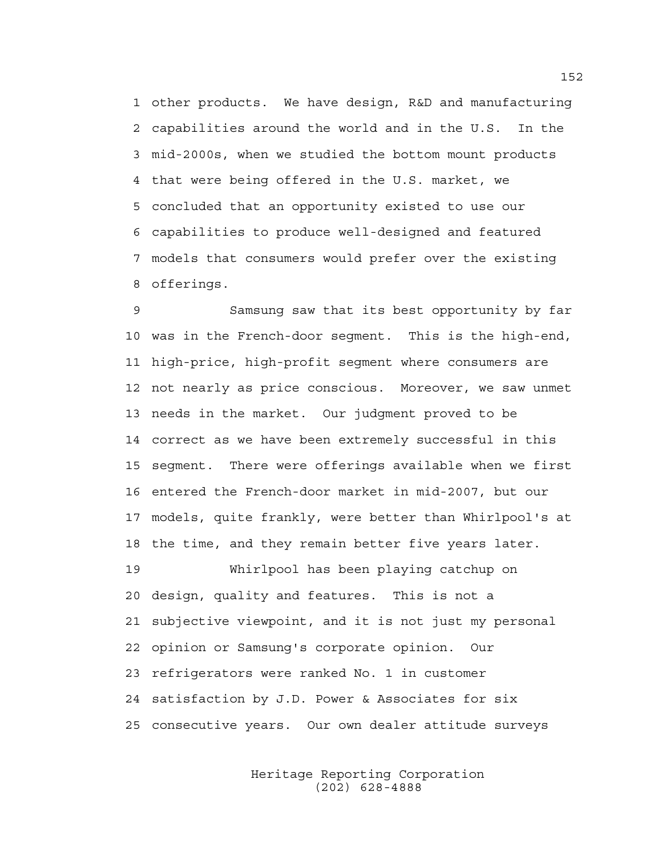1 other products. We have design, R&D and manufacturing 2 capabilities around the world and in the U.S. In the 3 mid-2000s, when we studied the bottom mount products 4 that were being offered in the U.S. market, we 5 concluded that an opportunity existed to use our 6 capabilities to produce well-designed and featured 7 models that consumers would prefer over the existing 8 offerings.

9 Samsung saw that its best opportunity by far 10 was in the French-door segment. This is the high-end, 11 high-price, high-profit segment where consumers are 12 not nearly as price conscious. Moreover, we saw unmet 13 needs in the market. Our judgment proved to be 14 correct as we have been extremely successful in this 15 segment. There were offerings available when we first 16 entered the French-door market in mid-2007, but our 17 models, quite frankly, were better than Whirlpool's at 18 the time, and they remain better five years later. 19 Whirlpool has been playing catchup on

20 design, quality and features. This is not a 21 subjective viewpoint, and it is not just my personal 22 opinion or Samsung's corporate opinion. Our 23 refrigerators were ranked No. 1 in customer 24 satisfaction by J.D. Power & Associates for six 25 consecutive years. Our own dealer attitude surveys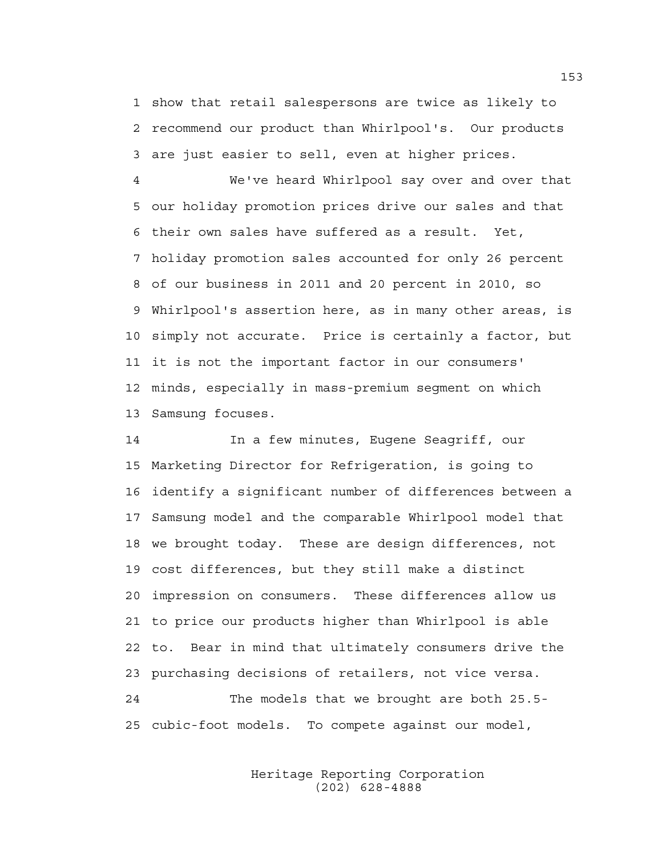1 show that retail salespersons are twice as likely to 2 recommend our product than Whirlpool's. Our products 3 are just easier to sell, even at higher prices.

4 We've heard Whirlpool say over and over that 5 our holiday promotion prices drive our sales and that 6 their own sales have suffered as a result. Yet, 7 holiday promotion sales accounted for only 26 percent 8 of our business in 2011 and 20 percent in 2010, so 9 Whirlpool's assertion here, as in many other areas, is 10 simply not accurate. Price is certainly a factor, but 11 it is not the important factor in our consumers' 12 minds, especially in mass-premium segment on which 13 Samsung focuses.

14 In a few minutes, Eugene Seagriff, our 15 Marketing Director for Refrigeration, is going to 16 identify a significant number of differences between a 17 Samsung model and the comparable Whirlpool model that 18 we brought today. These are design differences, not 19 cost differences, but they still make a distinct 20 impression on consumers. These differences allow us 21 to price our products higher than Whirlpool is able 22 to. Bear in mind that ultimately consumers drive the 23 purchasing decisions of retailers, not vice versa. 24 The models that we brought are both 25.5- 25 cubic-foot models. To compete against our model,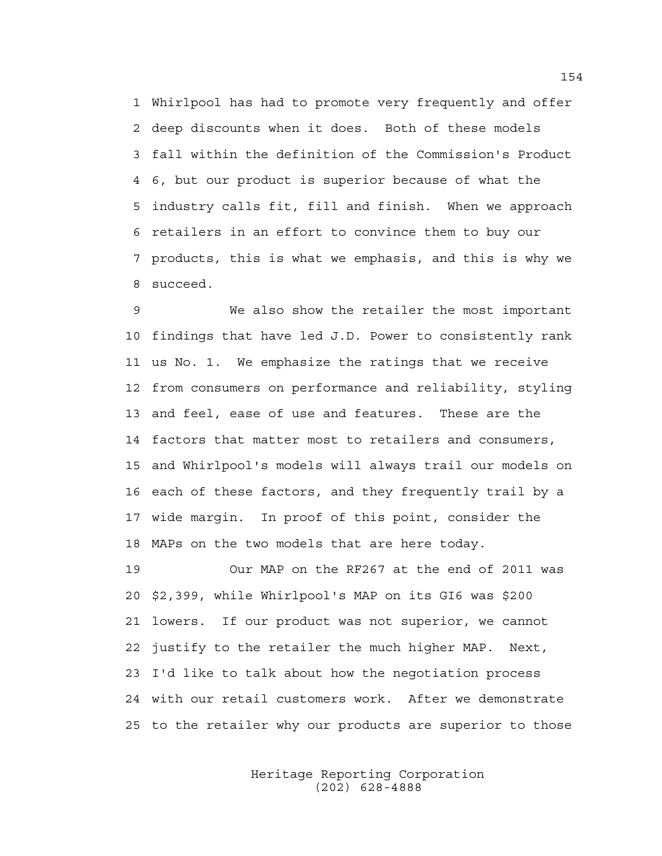1 Whirlpool has had to promote very frequently and offer 2 deep discounts when it does. Both of these models 3 fall within the definition of the Commission's Product 4 6, but our product is superior because of what the 5 industry calls fit, fill and finish. When we approach 6 retailers in an effort to convince them to buy our 7 products, this is what we emphasis, and this is why we 8 succeed.

9 We also show the retailer the most important 10 findings that have led J.D. Power to consistently rank 11 us No. 1. We emphasize the ratings that we receive 12 from consumers on performance and reliability, styling 13 and feel, ease of use and features. These are the 14 factors that matter most to retailers and consumers, 15 and Whirlpool's models will always trail our models on 16 each of these factors, and they frequently trail by a 17 wide margin. In proof of this point, consider the 18 MAPs on the two models that are here today.

19 Our MAP on the RF267 at the end of 2011 was 20 \$2,399, while Whirlpool's MAP on its GI6 was \$200 21 lowers. If our product was not superior, we cannot 22 justify to the retailer the much higher MAP. Next, 23 I'd like to talk about how the negotiation process 24 with our retail customers work. After we demonstrate 25 to the retailer why our products are superior to those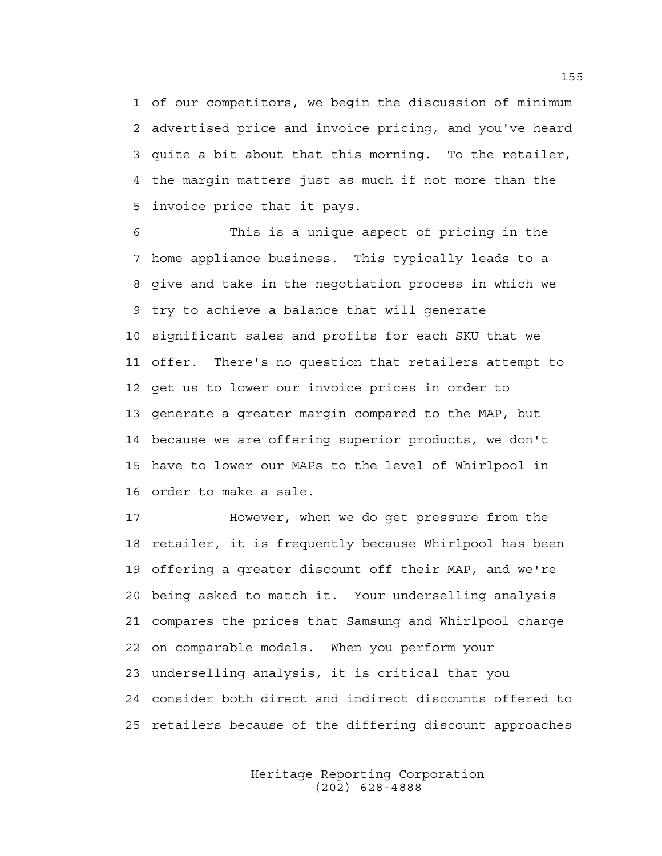1 of our competitors, we begin the discussion of minimum 2 advertised price and invoice pricing, and you've heard 3 quite a bit about that this morning. To the retailer, 4 the margin matters just as much if not more than the 5 invoice price that it pays.

6 This is a unique aspect of pricing in the 7 home appliance business. This typically leads to a 8 give and take in the negotiation process in which we 9 try to achieve a balance that will generate 10 significant sales and profits for each SKU that we 11 offer. There's no question that retailers attempt to 12 get us to lower our invoice prices in order to 13 generate a greater margin compared to the MAP, but 14 because we are offering superior products, we don't 15 have to lower our MAPs to the level of Whirlpool in 16 order to make a sale.

17 However, when we do get pressure from the 18 retailer, it is frequently because Whirlpool has been 19 offering a greater discount off their MAP, and we're 20 being asked to match it. Your underselling analysis 21 compares the prices that Samsung and Whirlpool charge 22 on comparable models. When you perform your 23 underselling analysis, it is critical that you 24 consider both direct and indirect discounts offered to 25 retailers because of the differing discount approaches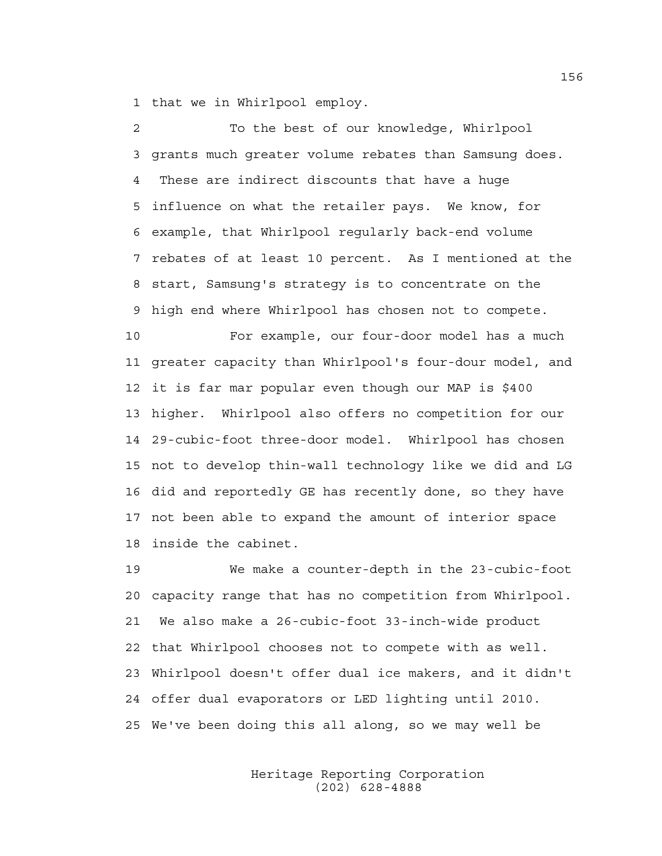1 that we in Whirlpool employ.

2 To the best of our knowledge, Whirlpool 3 grants much greater volume rebates than Samsung does. 4 These are indirect discounts that have a huge 5 influence on what the retailer pays. We know, for 6 example, that Whirlpool regularly back-end volume 7 rebates of at least 10 percent. As I mentioned at the 8 start, Samsung's strategy is to concentrate on the 9 high end where Whirlpool has chosen not to compete.

10 For example, our four-door model has a much 11 greater capacity than Whirlpool's four-dour model, and 12 it is far mar popular even though our MAP is \$400 13 higher. Whirlpool also offers no competition for our 14 29-cubic-foot three-door model. Whirlpool has chosen 15 not to develop thin-wall technology like we did and LG 16 did and reportedly GE has recently done, so they have 17 not been able to expand the amount of interior space 18 inside the cabinet.

19 We make a counter-depth in the 23-cubic-foot 20 capacity range that has no competition from Whirlpool. 21 We also make a 26-cubic-foot 33-inch-wide product 22 that Whirlpool chooses not to compete with as well. 23 Whirlpool doesn't offer dual ice makers, and it didn't 24 offer dual evaporators or LED lighting until 2010. 25 We've been doing this all along, so we may well be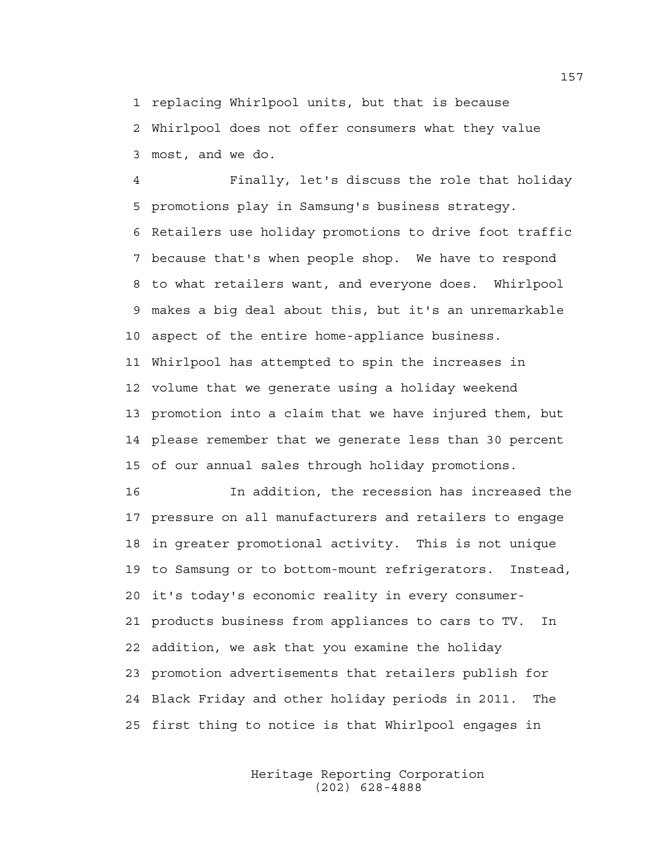1 replacing Whirlpool units, but that is because 2 Whirlpool does not offer consumers what they value 3 most, and we do.

4 Finally, let's discuss the role that holiday 5 promotions play in Samsung's business strategy. 6 Retailers use holiday promotions to drive foot traffic 7 because that's when people shop. We have to respond 8 to what retailers want, and everyone does. Whirlpool 9 makes a big deal about this, but it's an unremarkable 10 aspect of the entire home-appliance business. 11 Whirlpool has attempted to spin the increases in 12 volume that we generate using a holiday weekend 13 promotion into a claim that we have injured them, but 14 please remember that we generate less than 30 percent 15 of our annual sales through holiday promotions.

16 In addition, the recession has increased the 17 pressure on all manufacturers and retailers to engage 18 in greater promotional activity. This is not unique 19 to Samsung or to bottom-mount refrigerators. Instead, 20 it's today's economic reality in every consumer-21 products business from appliances to cars to TV. In 22 addition, we ask that you examine the holiday 23 promotion advertisements that retailers publish for 24 Black Friday and other holiday periods in 2011. The 25 first thing to notice is that Whirlpool engages in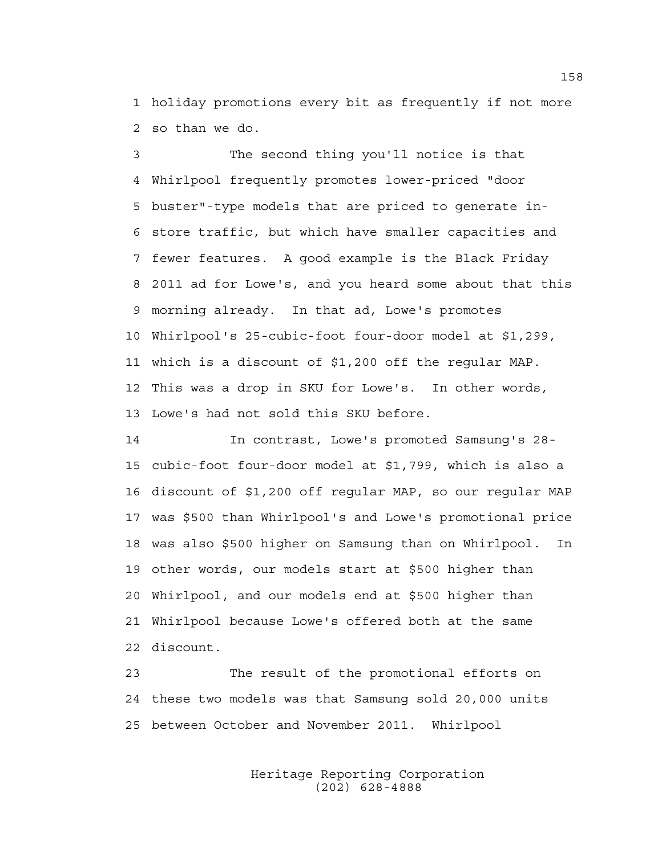1 holiday promotions every bit as frequently if not more 2 so than we do.

3 The second thing you'll notice is that 4 Whirlpool frequently promotes lower-priced "door 5 buster"-type models that are priced to generate in-6 store traffic, but which have smaller capacities and 7 fewer features. A good example is the Black Friday 8 2011 ad for Lowe's, and you heard some about that this 9 morning already. In that ad, Lowe's promotes 10 Whirlpool's 25-cubic-foot four-door model at \$1,299, 11 which is a discount of \$1,200 off the regular MAP. 12 This was a drop in SKU for Lowe's. In other words, 13 Lowe's had not sold this SKU before.

14 In contrast, Lowe's promoted Samsung's 28- 15 cubic-foot four-door model at \$1,799, which is also a 16 discount of \$1,200 off regular MAP, so our regular MAP 17 was \$500 than Whirlpool's and Lowe's promotional price 18 was also \$500 higher on Samsung than on Whirlpool. In 19 other words, our models start at \$500 higher than 20 Whirlpool, and our models end at \$500 higher than 21 Whirlpool because Lowe's offered both at the same 22 discount.

23 The result of the promotional efforts on 24 these two models was that Samsung sold 20,000 units 25 between October and November 2011. Whirlpool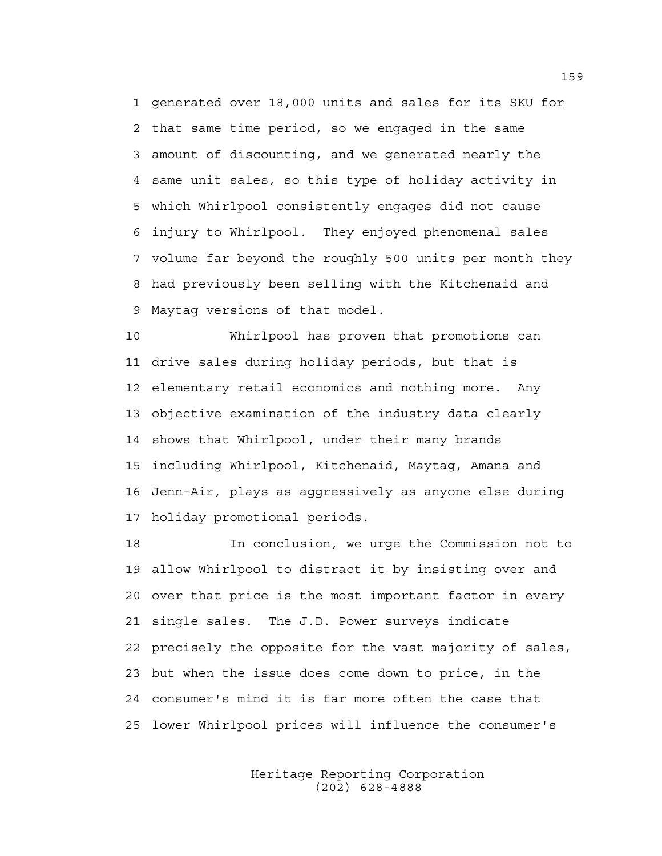1 generated over 18,000 units and sales for its SKU for 2 that same time period, so we engaged in the same 3 amount of discounting, and we generated nearly the 4 same unit sales, so this type of holiday activity in 5 which Whirlpool consistently engages did not cause 6 injury to Whirlpool. They enjoyed phenomenal sales 7 volume far beyond the roughly 500 units per month they 8 had previously been selling with the Kitchenaid and 9 Maytag versions of that model.

10 Whirlpool has proven that promotions can 11 drive sales during holiday periods, but that is 12 elementary retail economics and nothing more. Any 13 objective examination of the industry data clearly 14 shows that Whirlpool, under their many brands 15 including Whirlpool, Kitchenaid, Maytag, Amana and 16 Jenn-Air, plays as aggressively as anyone else during 17 holiday promotional periods.

18 In conclusion, we urge the Commission not to 19 allow Whirlpool to distract it by insisting over and 20 over that price is the most important factor in every 21 single sales. The J.D. Power surveys indicate 22 precisely the opposite for the vast majority of sales, 23 but when the issue does come down to price, in the 24 consumer's mind it is far more often the case that 25 lower Whirlpool prices will influence the consumer's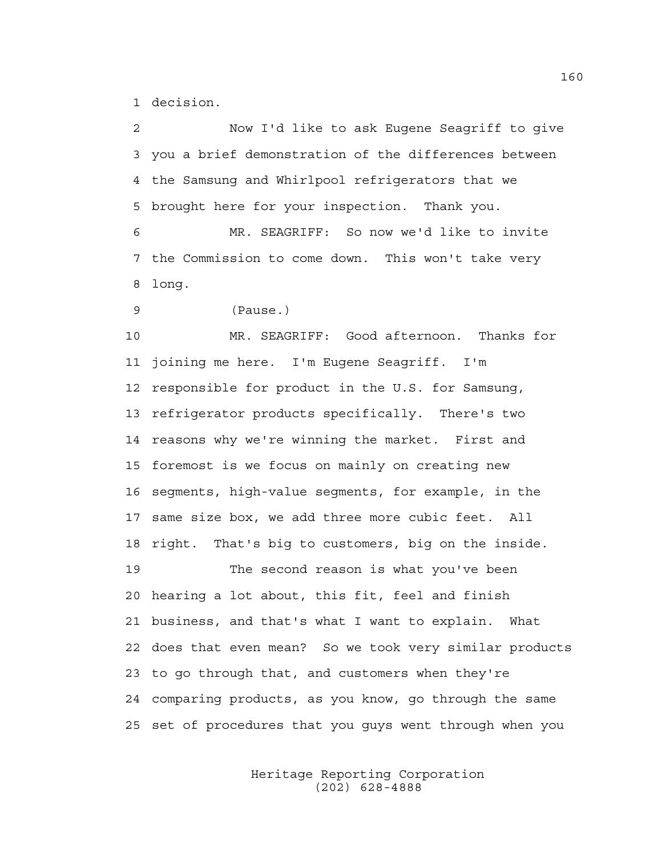1 decision.

2 Now I'd like to ask Eugene Seagriff to give 3 you a brief demonstration of the differences between 4 the Samsung and Whirlpool refrigerators that we 5 brought here for your inspection. Thank you.

6 MR. SEAGRIFF: So now we'd like to invite 7 the Commission to come down. This won't take very 8 long.

9 (Pause.)

10 MR. SEAGRIFF: Good afternoon. Thanks for 11 joining me here. I'm Eugene Seagriff. I'm 12 responsible for product in the U.S. for Samsung, 13 refrigerator products specifically. There's two 14 reasons why we're winning the market. First and 15 foremost is we focus on mainly on creating new 16 segments, high-value segments, for example, in the 17 same size box, we add three more cubic feet. All 18 right. That's big to customers, big on the inside. 19 The second reason is what you've been 20 hearing a lot about, this fit, feel and finish 21 business, and that's what I want to explain. What 22 does that even mean? So we took very similar products 23 to go through that, and customers when they're 24 comparing products, as you know, go through the same 25 set of procedures that you guys went through when you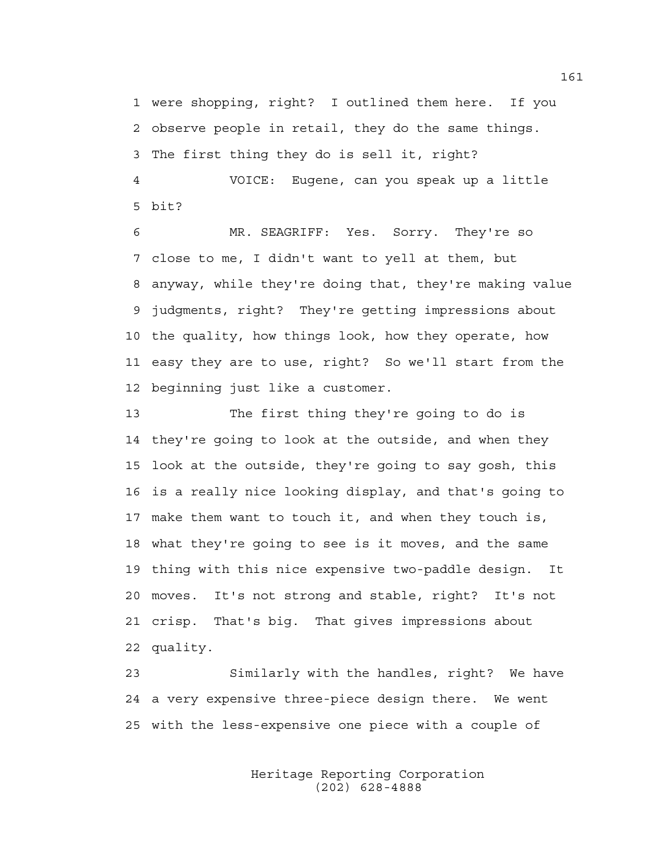1 were shopping, right? I outlined them here. If you 2 observe people in retail, they do the same things. 3 The first thing they do is sell it, right? 4 VOICE: Eugene, can you speak up a little 5 bit?

6 MR. SEAGRIFF: Yes. Sorry. They're so 7 close to me, I didn't want to yell at them, but 8 anyway, while they're doing that, they're making value 9 judgments, right? They're getting impressions about 10 the quality, how things look, how they operate, how 11 easy they are to use, right? So we'll start from the 12 beginning just like a customer.

13 The first thing they're going to do is 14 they're going to look at the outside, and when they 15 look at the outside, they're going to say gosh, this 16 is a really nice looking display, and that's going to 17 make them want to touch it, and when they touch is, 18 what they're going to see is it moves, and the same 19 thing with this nice expensive two-paddle design. It 20 moves. It's not strong and stable, right? It's not 21 crisp. That's big. That gives impressions about 22 quality.

23 Similarly with the handles, right? We have 24 a very expensive three-piece design there. We went 25 with the less-expensive one piece with a couple of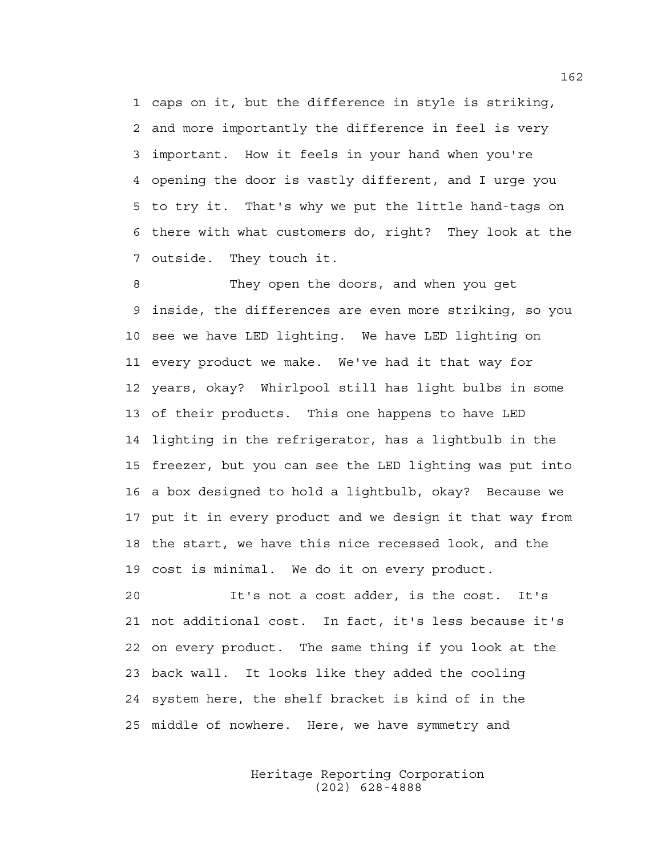1 caps on it, but the difference in style is striking, 2 and more importantly the difference in feel is very 3 important. How it feels in your hand when you're 4 opening the door is vastly different, and I urge you 5 to try it. That's why we put the little hand-tags on 6 there with what customers do, right? They look at the 7 outside. They touch it.

8 They open the doors, and when you get 9 inside, the differences are even more striking, so you 10 see we have LED lighting. We have LED lighting on 11 every product we make. We've had it that way for 12 years, okay? Whirlpool still has light bulbs in some 13 of their products. This one happens to have LED 14 lighting in the refrigerator, has a lightbulb in the 15 freezer, but you can see the LED lighting was put into 16 a box designed to hold a lightbulb, okay? Because we 17 put it in every product and we design it that way from 18 the start, we have this nice recessed look, and the 19 cost is minimal. We do it on every product.

20 It's not a cost adder, is the cost. It's 21 not additional cost. In fact, it's less because it's 22 on every product. The same thing if you look at the 23 back wall. It looks like they added the cooling 24 system here, the shelf bracket is kind of in the 25 middle of nowhere. Here, we have symmetry and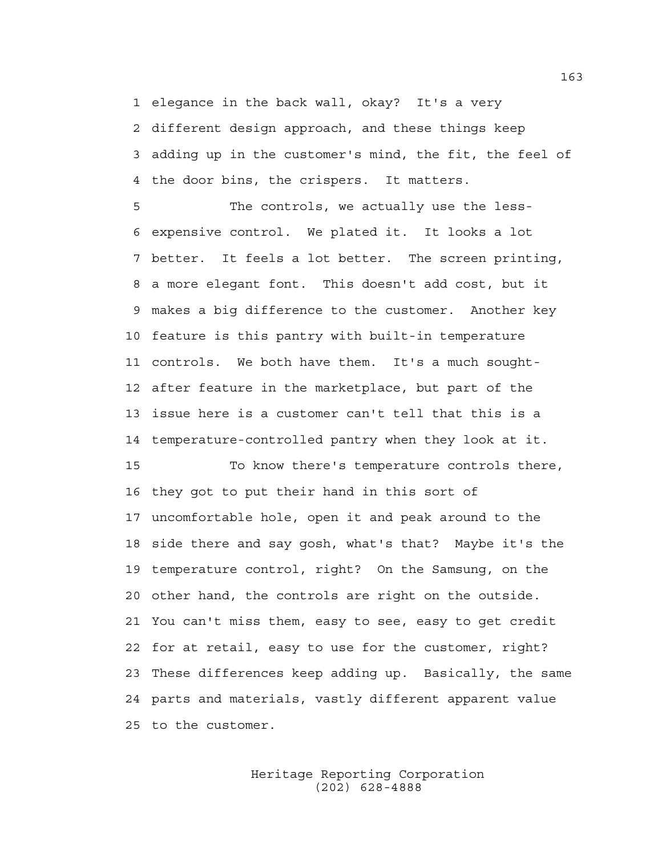1 elegance in the back wall, okay? It's a very 2 different design approach, and these things keep 3 adding up in the customer's mind, the fit, the feel of 4 the door bins, the crispers. It matters.

5 The controls, we actually use the less-6 expensive control. We plated it. It looks a lot 7 better. It feels a lot better. The screen printing, 8 a more elegant font. This doesn't add cost, but it 9 makes a big difference to the customer. Another key 10 feature is this pantry with built-in temperature 11 controls. We both have them. It's a much sought-12 after feature in the marketplace, but part of the 13 issue here is a customer can't tell that this is a 14 temperature-controlled pantry when they look at it.

15 To know there's temperature controls there, 16 they got to put their hand in this sort of 17 uncomfortable hole, open it and peak around to the 18 side there and say gosh, what's that? Maybe it's the 19 temperature control, right? On the Samsung, on the 20 other hand, the controls are right on the outside. 21 You can't miss them, easy to see, easy to get credit 22 for at retail, easy to use for the customer, right? 23 These differences keep adding up. Basically, the same 24 parts and materials, vastly different apparent value 25 to the customer.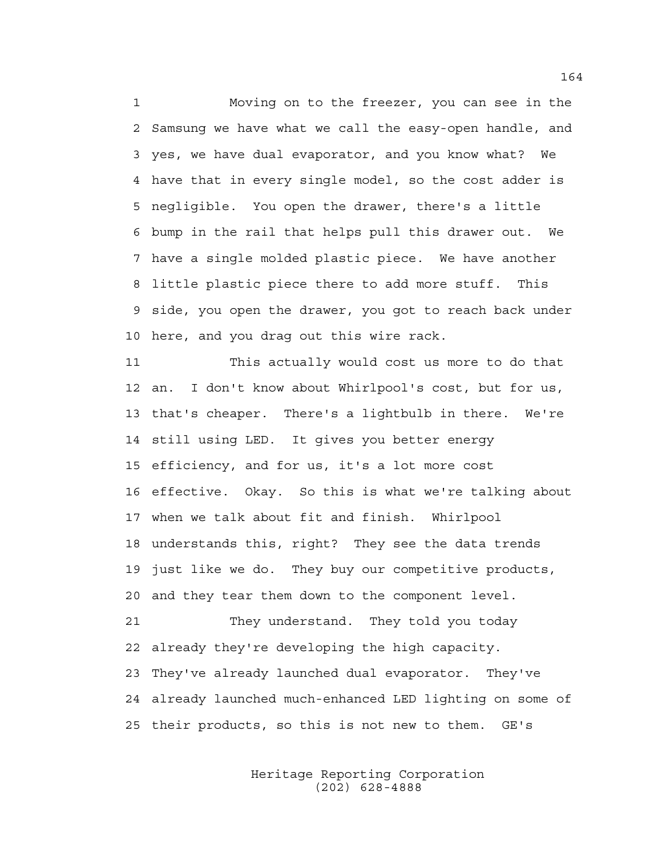1 Moving on to the freezer, you can see in the 2 Samsung we have what we call the easy-open handle, and 3 yes, we have dual evaporator, and you know what? We 4 have that in every single model, so the cost adder is 5 negligible. You open the drawer, there's a little 6 bump in the rail that helps pull this drawer out. We 7 have a single molded plastic piece. We have another 8 little plastic piece there to add more stuff. This 9 side, you open the drawer, you got to reach back under 10 here, and you drag out this wire rack.

11 This actually would cost us more to do that 12 an. I don't know about Whirlpool's cost, but for us, 13 that's cheaper. There's a lightbulb in there. We're 14 still using LED. It gives you better energy 15 efficiency, and for us, it's a lot more cost 16 effective. Okay. So this is what we're talking about 17 when we talk about fit and finish. Whirlpool 18 understands this, right? They see the data trends 19 just like we do. They buy our competitive products, 20 and they tear them down to the component level. 21 They understand. They told you today 22 already they're developing the high capacity. 23 They've already launched dual evaporator. They've 24 already launched much-enhanced LED lighting on some of 25 their products, so this is not new to them. GE's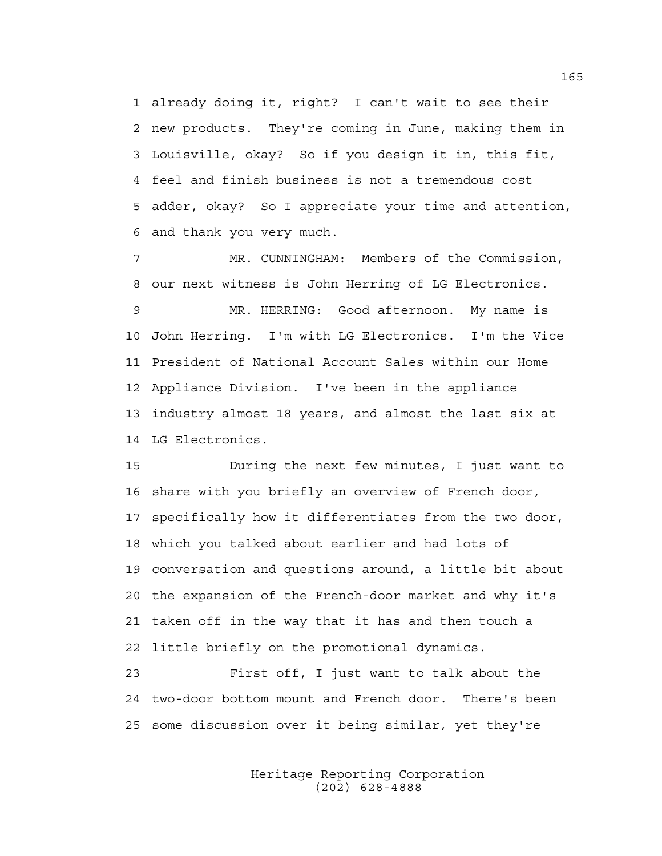1 already doing it, right? I can't wait to see their 2 new products. They're coming in June, making them in 3 Louisville, okay? So if you design it in, this fit, 4 feel and finish business is not a tremendous cost 5 adder, okay? So I appreciate your time and attention, 6 and thank you very much.

7 MR. CUNNINGHAM: Members of the Commission, 8 our next witness is John Herring of LG Electronics. 9 MR. HERRING: Good afternoon. My name is 10 John Herring. I'm with LG Electronics. I'm the Vice 11 President of National Account Sales within our Home 12 Appliance Division. I've been in the appliance 13 industry almost 18 years, and almost the last six at 14 LG Electronics.

15 During the next few minutes, I just want to 16 share with you briefly an overview of French door, 17 specifically how it differentiates from the two door, 18 which you talked about earlier and had lots of 19 conversation and questions around, a little bit about 20 the expansion of the French-door market and why it's 21 taken off in the way that it has and then touch a 22 little briefly on the promotional dynamics.

23 First off, I just want to talk about the 24 two-door bottom mount and French door. There's been 25 some discussion over it being similar, yet they're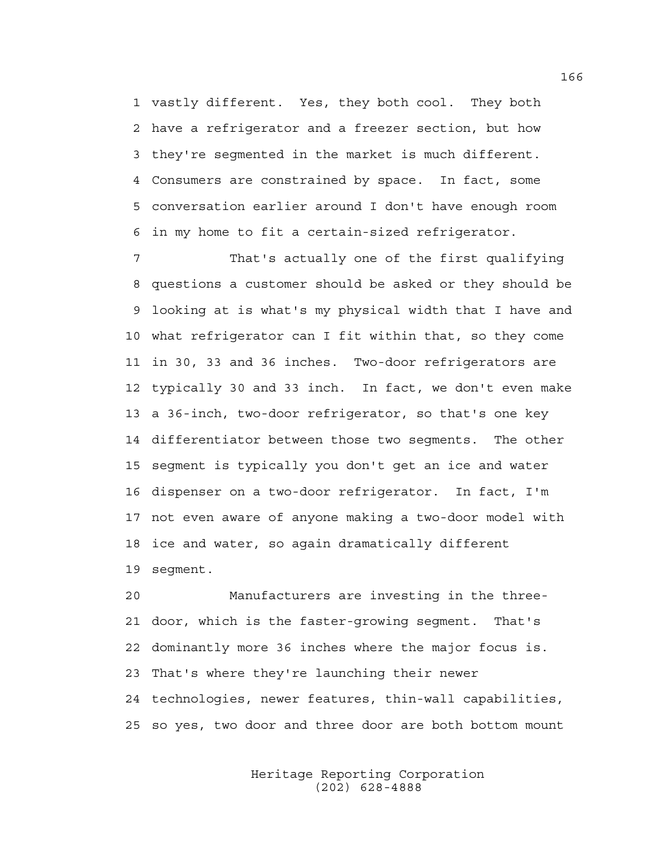1 vastly different. Yes, they both cool. They both 2 have a refrigerator and a freezer section, but how 3 they're segmented in the market is much different. 4 Consumers are constrained by space. In fact, some 5 conversation earlier around I don't have enough room 6 in my home to fit a certain-sized refrigerator.

7 That's actually one of the first qualifying 8 questions a customer should be asked or they should be 9 looking at is what's my physical width that I have and 10 what refrigerator can I fit within that, so they come 11 in 30, 33 and 36 inches. Two-door refrigerators are 12 typically 30 and 33 inch. In fact, we don't even make 13 a 36-inch, two-door refrigerator, so that's one key 14 differentiator between those two segments. The other 15 segment is typically you don't get an ice and water 16 dispenser on a two-door refrigerator. In fact, I'm 17 not even aware of anyone making a two-door model with 18 ice and water, so again dramatically different 19 segment.

20 Manufacturers are investing in the three-21 door, which is the faster-growing segment. That's 22 dominantly more 36 inches where the major focus is. 23 That's where they're launching their newer 24 technologies, newer features, thin-wall capabilities, 25 so yes, two door and three door are both bottom mount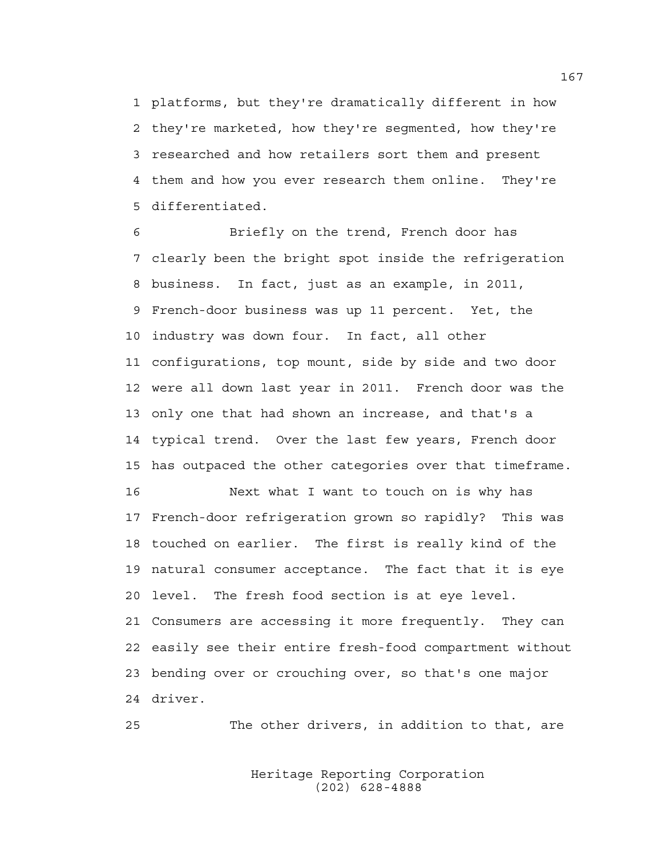1 platforms, but they're dramatically different in how 2 they're marketed, how they're segmented, how they're 3 researched and how retailers sort them and present 4 them and how you ever research them online. They're 5 differentiated.

6 Briefly on the trend, French door has 7 clearly been the bright spot inside the refrigeration 8 business. In fact, just as an example, in 2011, 9 French-door business was up 11 percent. Yet, the 10 industry was down four. In fact, all other 11 configurations, top mount, side by side and two door 12 were all down last year in 2011. French door was the 13 only one that had shown an increase, and that's a 14 typical trend. Over the last few years, French door 15 has outpaced the other categories over that timeframe. 16 Next what I want to touch on is why has

17 French-door refrigeration grown so rapidly? This was 18 touched on earlier. The first is really kind of the 19 natural consumer acceptance. The fact that it is eye 20 level. The fresh food section is at eye level. 21 Consumers are accessing it more frequently. They can 22 easily see their entire fresh-food compartment without 23 bending over or crouching over, so that's one major 24 driver.

25 The other drivers, in addition to that, are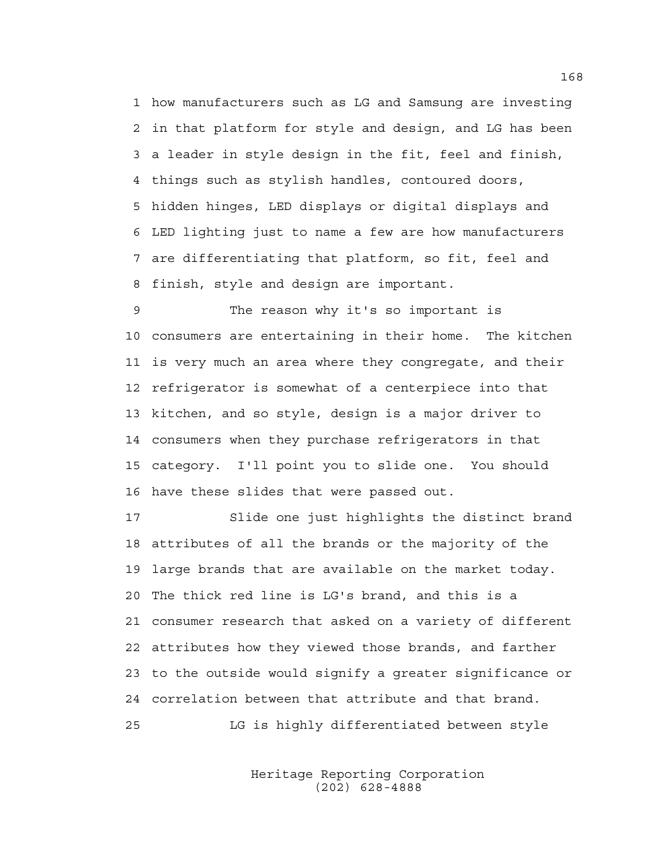1 how manufacturers such as LG and Samsung are investing 2 in that platform for style and design, and LG has been 3 a leader in style design in the fit, feel and finish, 4 things such as stylish handles, contoured doors, 5 hidden hinges, LED displays or digital displays and 6 LED lighting just to name a few are how manufacturers 7 are differentiating that platform, so fit, feel and 8 finish, style and design are important.

9 The reason why it's so important is 10 consumers are entertaining in their home. The kitchen 11 is very much an area where they congregate, and their 12 refrigerator is somewhat of a centerpiece into that 13 kitchen, and so style, design is a major driver to 14 consumers when they purchase refrigerators in that 15 category. I'll point you to slide one. You should 16 have these slides that were passed out.

17 Slide one just highlights the distinct brand 18 attributes of all the brands or the majority of the 19 large brands that are available on the market today. 20 The thick red line is LG's brand, and this is a 21 consumer research that asked on a variety of different 22 attributes how they viewed those brands, and farther 23 to the outside would signify a greater significance or 24 correlation between that attribute and that brand. 25 LG is highly differentiated between style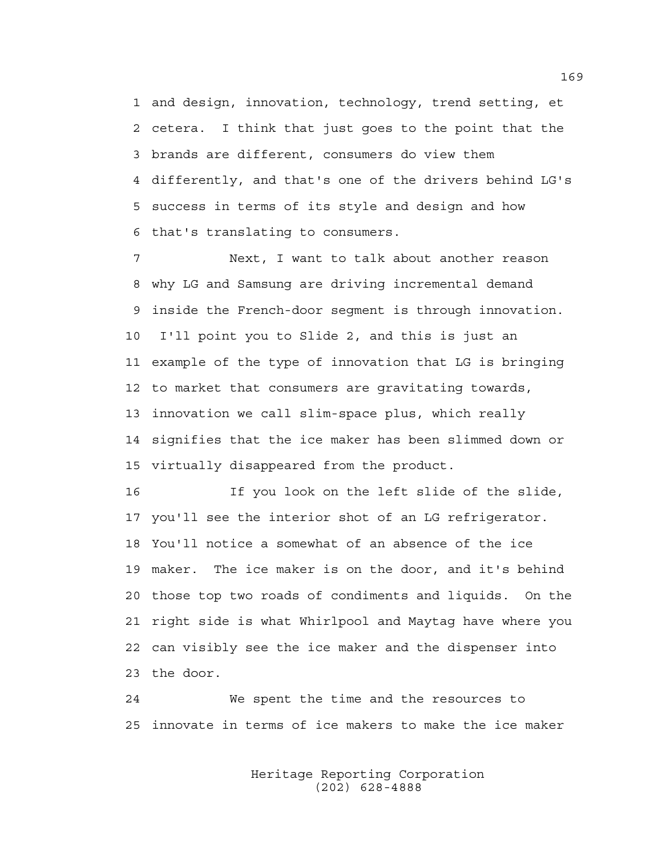1 and design, innovation, technology, trend setting, et 2 cetera. I think that just goes to the point that the 3 brands are different, consumers do view them 4 differently, and that's one of the drivers behind LG's 5 success in terms of its style and design and how 6 that's translating to consumers.

7 Next, I want to talk about another reason 8 why LG and Samsung are driving incremental demand 9 inside the French-door segment is through innovation. 10 I'll point you to Slide 2, and this is just an 11 example of the type of innovation that LG is bringing 12 to market that consumers are gravitating towards, 13 innovation we call slim-space plus, which really 14 signifies that the ice maker has been slimmed down or 15 virtually disappeared from the product.

16 If you look on the left slide of the slide, 17 you'll see the interior shot of an LG refrigerator. 18 You'll notice a somewhat of an absence of the ice 19 maker. The ice maker is on the door, and it's behind 20 those top two roads of condiments and liquids. On the 21 right side is what Whirlpool and Maytag have where you 22 can visibly see the ice maker and the dispenser into 23 the door.

24 We spent the time and the resources to 25 innovate in terms of ice makers to make the ice maker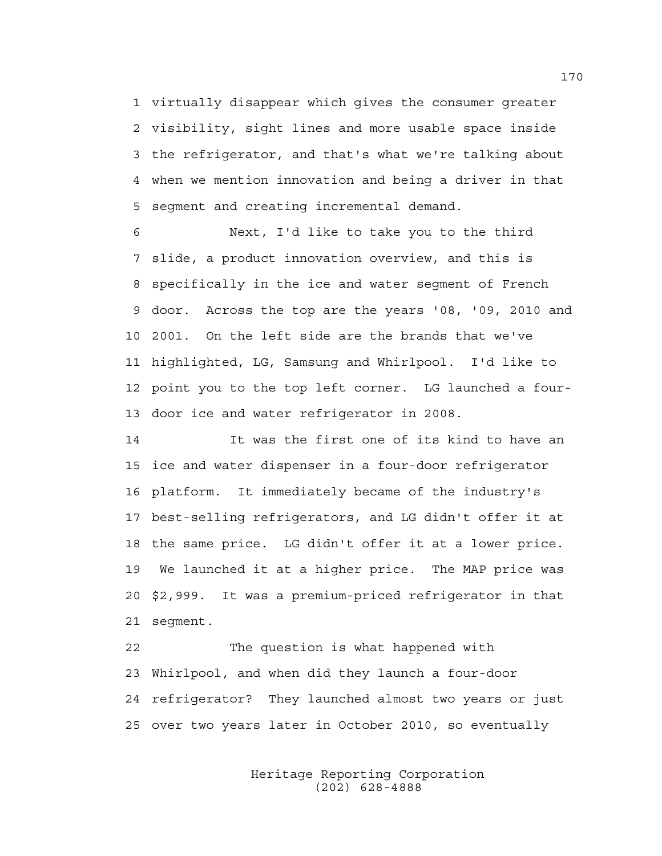1 virtually disappear which gives the consumer greater 2 visibility, sight lines and more usable space inside 3 the refrigerator, and that's what we're talking about 4 when we mention innovation and being a driver in that 5 segment and creating incremental demand.

6 Next, I'd like to take you to the third 7 slide, a product innovation overview, and this is 8 specifically in the ice and water segment of French 9 door. Across the top are the years '08, '09, 2010 and 10 2001. On the left side are the brands that we've 11 highlighted, LG, Samsung and Whirlpool. I'd like to 12 point you to the top left corner. LG launched a four-13 door ice and water refrigerator in 2008.

14 It was the first one of its kind to have an 15 ice and water dispenser in a four-door refrigerator 16 platform. It immediately became of the industry's 17 best-selling refrigerators, and LG didn't offer it at 18 the same price. LG didn't offer it at a lower price. 19 We launched it at a higher price. The MAP price was 20 \$2,999. It was a premium-priced refrigerator in that 21 segment.

22 The question is what happened with 23 Whirlpool, and when did they launch a four-door 24 refrigerator? They launched almost two years or just 25 over two years later in October 2010, so eventually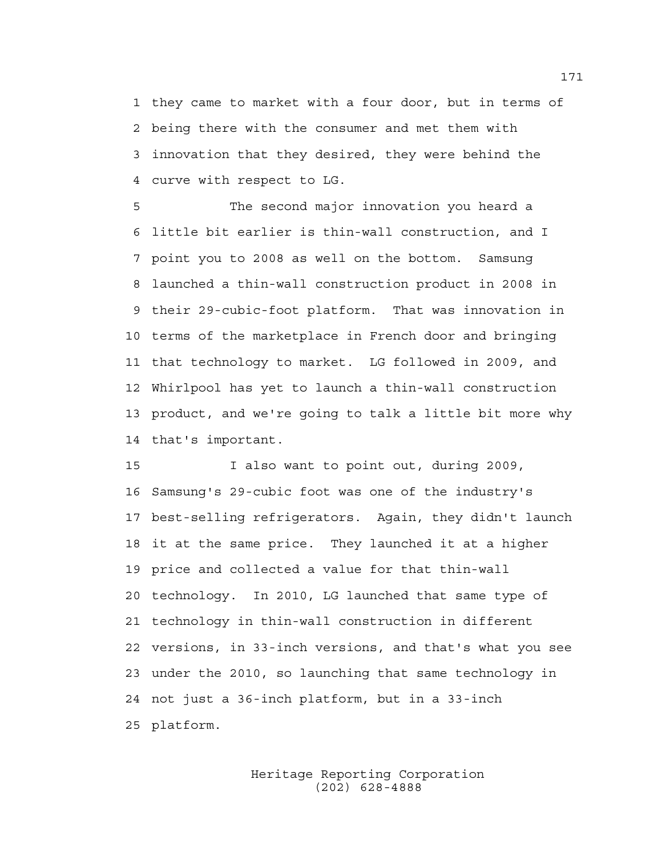1 they came to market with a four door, but in terms of 2 being there with the consumer and met them with 3 innovation that they desired, they were behind the 4 curve with respect to LG.

5 The second major innovation you heard a 6 little bit earlier is thin-wall construction, and I 7 point you to 2008 as well on the bottom. Samsung 8 launched a thin-wall construction product in 2008 in 9 their 29-cubic-foot platform. That was innovation in 10 terms of the marketplace in French door and bringing 11 that technology to market. LG followed in 2009, and 12 Whirlpool has yet to launch a thin-wall construction 13 product, and we're going to talk a little bit more why 14 that's important.

15 I also want to point out, during 2009, 16 Samsung's 29-cubic foot was one of the industry's 17 best-selling refrigerators. Again, they didn't launch 18 it at the same price. They launched it at a higher 19 price and collected a value for that thin-wall 20 technology. In 2010, LG launched that same type of 21 technology in thin-wall construction in different 22 versions, in 33-inch versions, and that's what you see 23 under the 2010, so launching that same technology in 24 not just a 36-inch platform, but in a 33-inch 25 platform.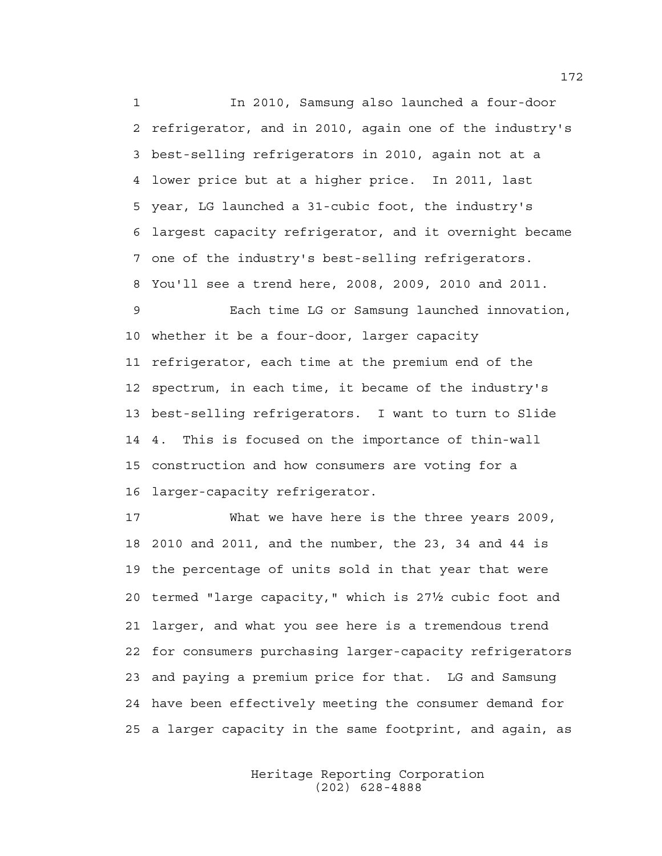1 In 2010, Samsung also launched a four-door 2 refrigerator, and in 2010, again one of the industry's 3 best-selling refrigerators in 2010, again not at a 4 lower price but at a higher price. In 2011, last 5 year, LG launched a 31-cubic foot, the industry's 6 largest capacity refrigerator, and it overnight became 7 one of the industry's best-selling refrigerators. 8 You'll see a trend here, 2008, 2009, 2010 and 2011.

9 Each time LG or Samsung launched innovation, 10 whether it be a four-door, larger capacity 11 refrigerator, each time at the premium end of the 12 spectrum, in each time, it became of the industry's 13 best-selling refrigerators. I want to turn to Slide 14 4. This is focused on the importance of thin-wall 15 construction and how consumers are voting for a 16 larger-capacity refrigerator.

17 What we have here is the three years 2009, 18 2010 and 2011, and the number, the 23, 34 and 44 is 19 the percentage of units sold in that year that were 20 termed "large capacity," which is 271/2 cubic foot and 21 larger, and what you see here is a tremendous trend 22 for consumers purchasing larger-capacity refrigerators 23 and paying a premium price for that. LG and Samsung 24 have been effectively meeting the consumer demand for 25 a larger capacity in the same footprint, and again, as

> Heritage Reporting Corporation (202) 628-4888

172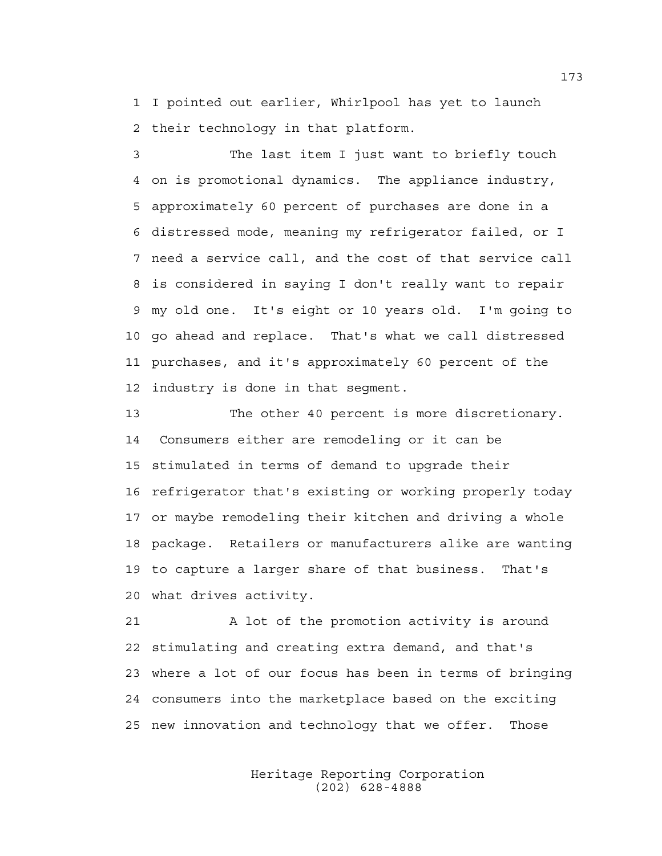1 I pointed out earlier, Whirlpool has yet to launch 2 their technology in that platform.

3 The last item I just want to briefly touch 4 on is promotional dynamics. The appliance industry, 5 approximately 60 percent of purchases are done in a 6 distressed mode, meaning my refrigerator failed, or I 7 need a service call, and the cost of that service call 8 is considered in saying I don't really want to repair 9 my old one. It's eight or 10 years old. I'm going to 10 go ahead and replace. That's what we call distressed 11 purchases, and it's approximately 60 percent of the 12 industry is done in that segment.

13 The other 40 percent is more discretionary. 14 Consumers either are remodeling or it can be 15 stimulated in terms of demand to upgrade their 16 refrigerator that's existing or working properly today 17 or maybe remodeling their kitchen and driving a whole 18 package. Retailers or manufacturers alike are wanting 19 to capture a larger share of that business. That's 20 what drives activity.

21 A lot of the promotion activity is around 22 stimulating and creating extra demand, and that's 23 where a lot of our focus has been in terms of bringing 24 consumers into the marketplace based on the exciting 25 new innovation and technology that we offer. Those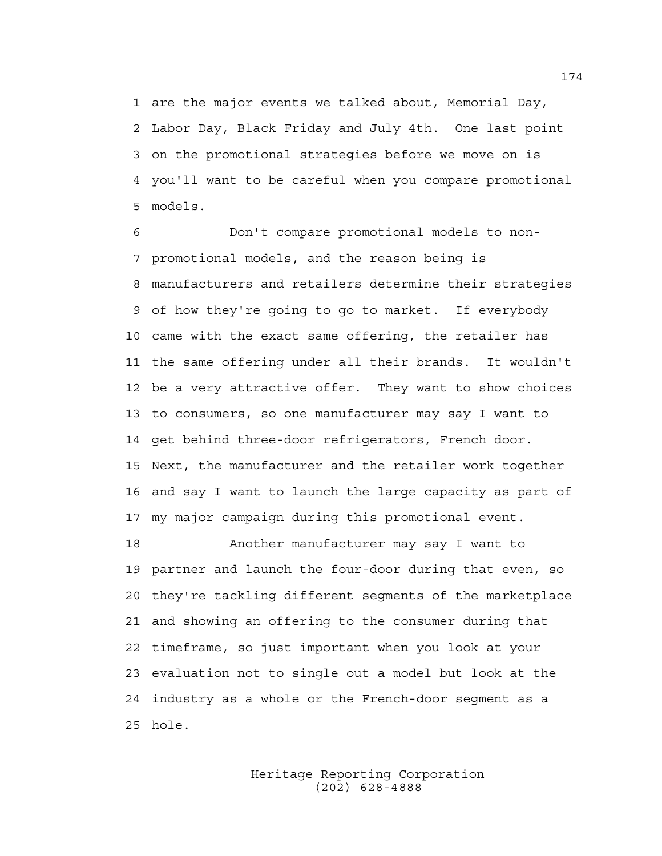1 are the major events we talked about, Memorial Day, 2 Labor Day, Black Friday and July 4th. One last point 3 on the promotional strategies before we move on is 4 you'll want to be careful when you compare promotional 5 models.

6 Don't compare promotional models to non-7 promotional models, and the reason being is 8 manufacturers and retailers determine their strategies 9 of how they're going to go to market. If everybody 10 came with the exact same offering, the retailer has 11 the same offering under all their brands. It wouldn't 12 be a very attractive offer. They want to show choices 13 to consumers, so one manufacturer may say I want to 14 get behind three-door refrigerators, French door. 15 Next, the manufacturer and the retailer work together 16 and say I want to launch the large capacity as part of 17 my major campaign during this promotional event.

18 Another manufacturer may say I want to 19 partner and launch the four-door during that even, so 20 they're tackling different segments of the marketplace 21 and showing an offering to the consumer during that 22 timeframe, so just important when you look at your 23 evaluation not to single out a model but look at the 24 industry as a whole or the French-door segment as a 25 hole.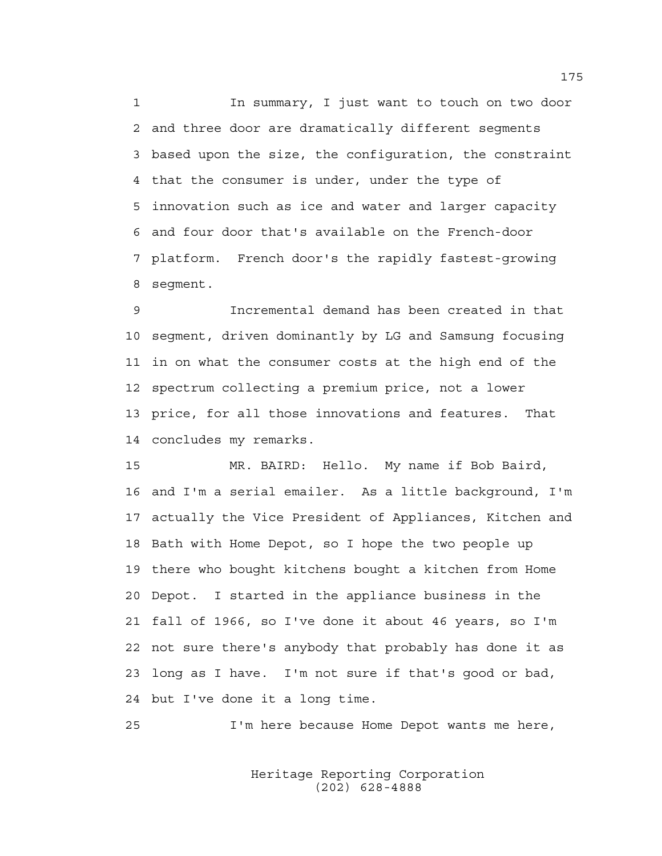1 In summary, I just want to touch on two door 2 and three door are dramatically different segments 3 based upon the size, the configuration, the constraint 4 that the consumer is under, under the type of 5 innovation such as ice and water and larger capacity 6 and four door that's available on the French-door 7 platform. French door's the rapidly fastest-growing 8 segment.

9 Incremental demand has been created in that 10 segment, driven dominantly by LG and Samsung focusing 11 in on what the consumer costs at the high end of the 12 spectrum collecting a premium price, not a lower 13 price, for all those innovations and features. That 14 concludes my remarks.

15 MR. BAIRD: Hello. My name if Bob Baird, 16 and I'm a serial emailer. As a little background, I'm 17 actually the Vice President of Appliances, Kitchen and 18 Bath with Home Depot, so I hope the two people up 19 there who bought kitchens bought a kitchen from Home 20 Depot. I started in the appliance business in the 21 fall of 1966, so I've done it about 46 years, so I'm 22 not sure there's anybody that probably has done it as 23 long as I have. I'm not sure if that's good or bad, 24 but I've done it a long time.

25 I'm here because Home Depot wants me here,

 Heritage Reporting Corporation (202) 628-4888

175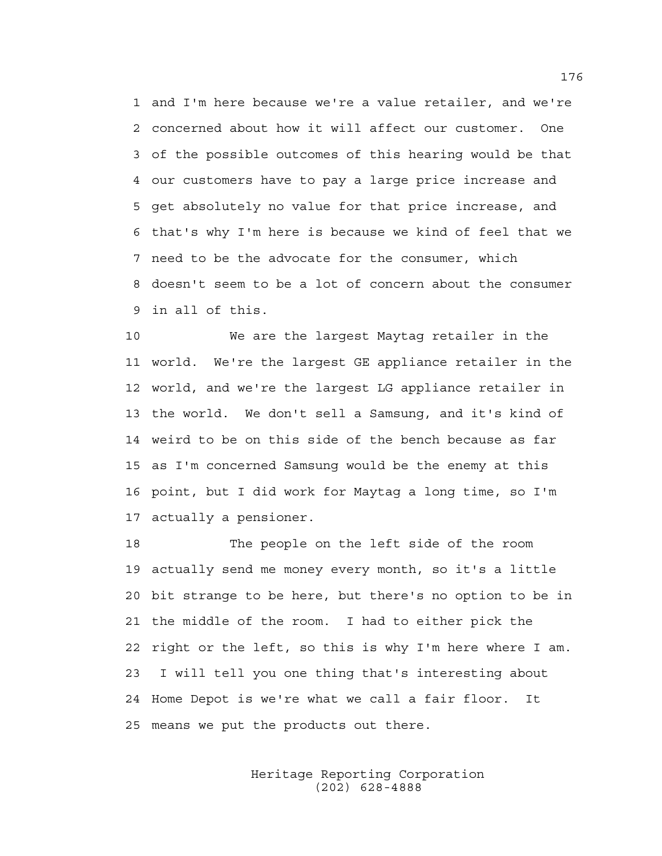1 and I'm here because we're a value retailer, and we're 2 concerned about how it will affect our customer. One 3 of the possible outcomes of this hearing would be that 4 our customers have to pay a large price increase and 5 get absolutely no value for that price increase, and 6 that's why I'm here is because we kind of feel that we 7 need to be the advocate for the consumer, which 8 doesn't seem to be a lot of concern about the consumer 9 in all of this.

10 We are the largest Maytag retailer in the 11 world. We're the largest GE appliance retailer in the 12 world, and we're the largest LG appliance retailer in 13 the world. We don't sell a Samsung, and it's kind of 14 weird to be on this side of the bench because as far 15 as I'm concerned Samsung would be the enemy at this 16 point, but I did work for Maytag a long time, so I'm 17 actually a pensioner.

18 The people on the left side of the room 19 actually send me money every month, so it's a little 20 bit strange to be here, but there's no option to be in 21 the middle of the room. I had to either pick the 22 right or the left, so this is why I'm here where I am. 23 I will tell you one thing that's interesting about 24 Home Depot is we're what we call a fair floor. It 25 means we put the products out there.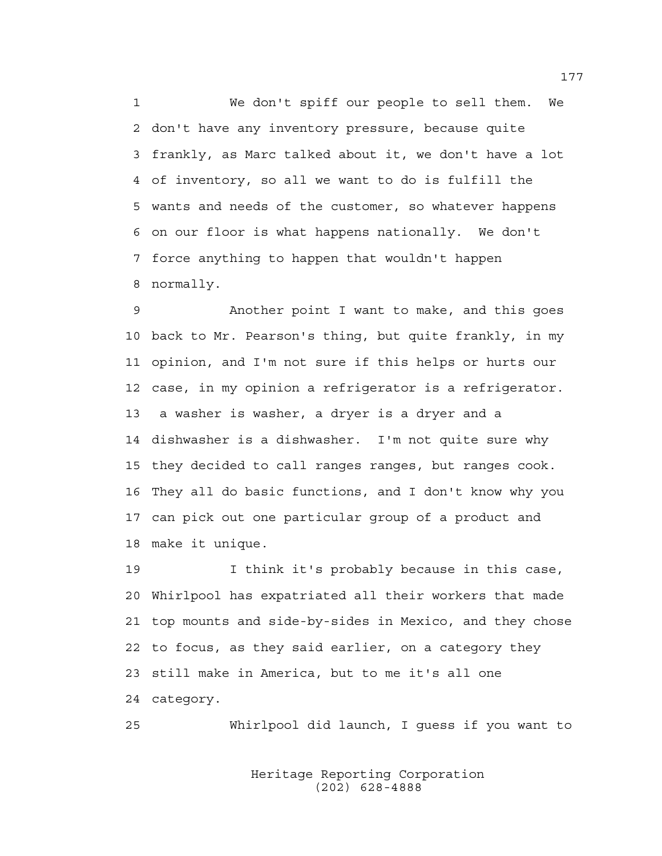1 We don't spiff our people to sell them. We 2 don't have any inventory pressure, because quite 3 frankly, as Marc talked about it, we don't have a lot 4 of inventory, so all we want to do is fulfill the 5 wants and needs of the customer, so whatever happens 6 on our floor is what happens nationally. We don't 7 force anything to happen that wouldn't happen 8 normally.

9 Another point I want to make, and this goes 10 back to Mr. Pearson's thing, but quite frankly, in my 11 opinion, and I'm not sure if this helps or hurts our 12 case, in my opinion a refrigerator is a refrigerator. 13 a washer is washer, a dryer is a dryer and a 14 dishwasher is a dishwasher. I'm not quite sure why 15 they decided to call ranges ranges, but ranges cook. 16 They all do basic functions, and I don't know why you 17 can pick out one particular group of a product and 18 make it unique.

19 I think it's probably because in this case, 20 Whirlpool has expatriated all their workers that made 21 top mounts and side-by-sides in Mexico, and they chose 22 to focus, as they said earlier, on a category they 23 still make in America, but to me it's all one 24 category.

25 Whirlpool did launch, I guess if you want to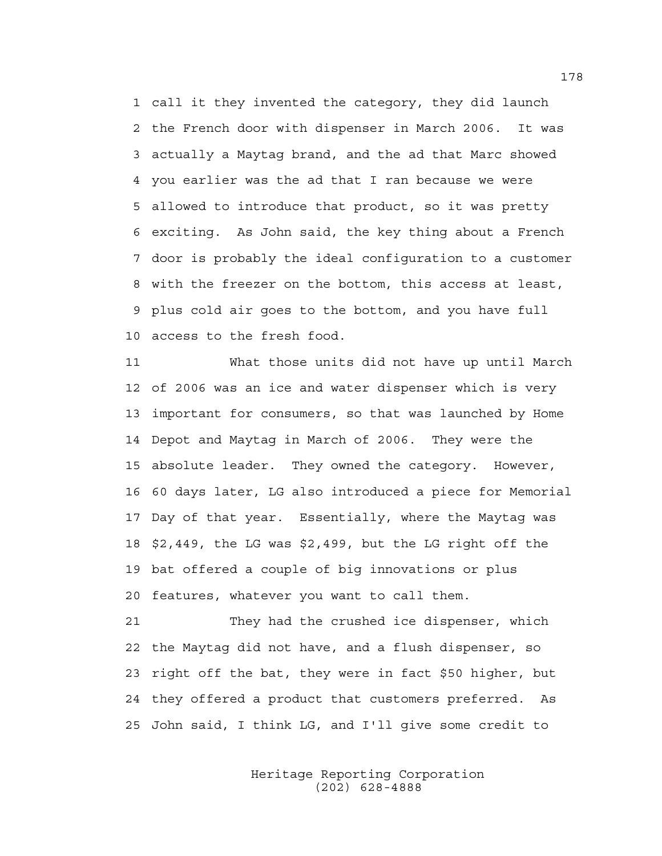1 call it they invented the category, they did launch 2 the French door with dispenser in March 2006. It was 3 actually a Maytag brand, and the ad that Marc showed 4 you earlier was the ad that I ran because we were 5 allowed to introduce that product, so it was pretty 6 exciting. As John said, the key thing about a French 7 door is probably the ideal configuration to a customer 8 with the freezer on the bottom, this access at least, 9 plus cold air goes to the bottom, and you have full 10 access to the fresh food.

11 What those units did not have up until March 12 of 2006 was an ice and water dispenser which is very 13 important for consumers, so that was launched by Home 14 Depot and Maytag in March of 2006. They were the 15 absolute leader. They owned the category. However, 16 60 days later, LG also introduced a piece for Memorial 17 Day of that year. Essentially, where the Maytag was 18 \$2,449, the LG was \$2,499, but the LG right off the 19 bat offered a couple of big innovations or plus 20 features, whatever you want to call them.

21 They had the crushed ice dispenser, which 22 the Maytag did not have, and a flush dispenser, so 23 right off the bat, they were in fact \$50 higher, but 24 they offered a product that customers preferred. As 25 John said, I think LG, and I'll give some credit to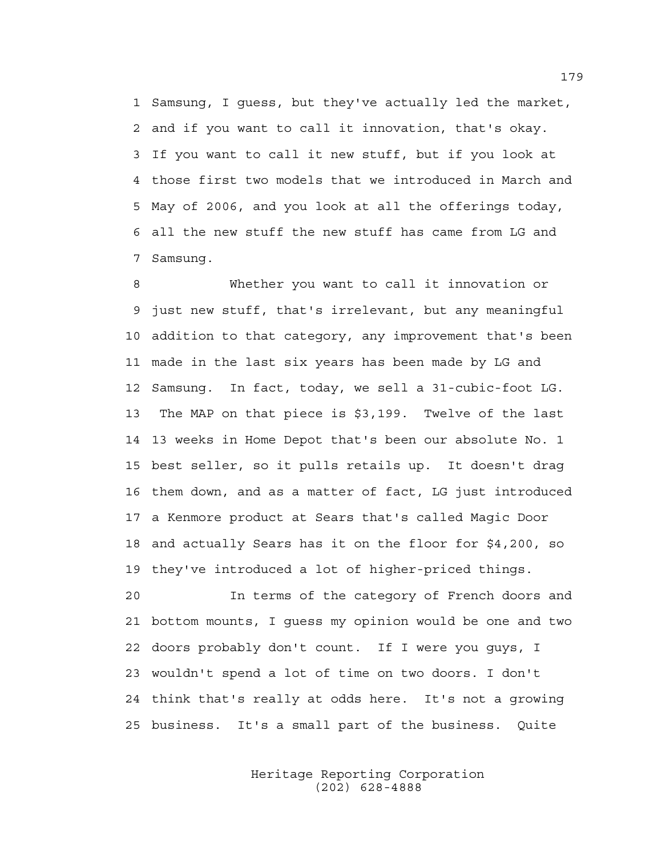1 Samsung, I guess, but they've actually led the market, 2 and if you want to call it innovation, that's okay. 3 If you want to call it new stuff, but if you look at 4 those first two models that we introduced in March and 5 May of 2006, and you look at all the offerings today, 6 all the new stuff the new stuff has came from LG and 7 Samsung.

8 Whether you want to call it innovation or 9 just new stuff, that's irrelevant, but any meaningful 10 addition to that category, any improvement that's been 11 made in the last six years has been made by LG and 12 Samsung. In fact, today, we sell a 31-cubic-foot LG. 13 The MAP on that piece is \$3,199. Twelve of the last 14 13 weeks in Home Depot that's been our absolute No. 1 15 best seller, so it pulls retails up. It doesn't drag 16 them down, and as a matter of fact, LG just introduced 17 a Kenmore product at Sears that's called Magic Door 18 and actually Sears has it on the floor for \$4,200, so 19 they've introduced a lot of higher-priced things.

20 In terms of the category of French doors and 21 bottom mounts, I guess my opinion would be one and two 22 doors probably don't count. If I were you guys, I 23 wouldn't spend a lot of time on two doors. I don't 24 think that's really at odds here. It's not a growing 25 business. It's a small part of the business. Quite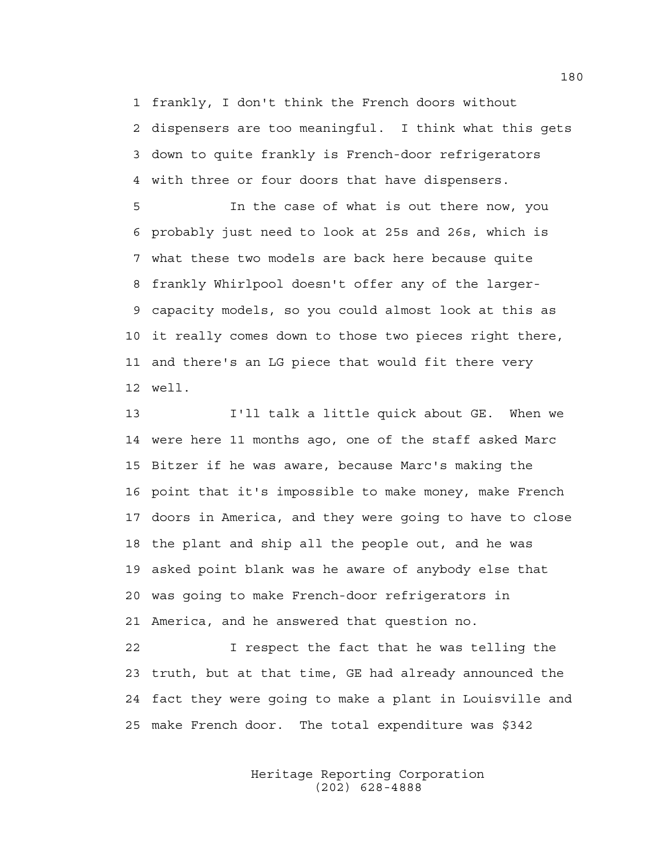1 frankly, I don't think the French doors without 2 dispensers are too meaningful. I think what this gets 3 down to quite frankly is French-door refrigerators 4 with three or four doors that have dispensers.

5 In the case of what is out there now, you 6 probably just need to look at 25s and 26s, which is 7 what these two models are back here because quite 8 frankly Whirlpool doesn't offer any of the larger-9 capacity models, so you could almost look at this as 10 it really comes down to those two pieces right there, 11 and there's an LG piece that would fit there very 12 well.

13 I'll talk a little quick about GE. When we 14 were here 11 months ago, one of the staff asked Marc 15 Bitzer if he was aware, because Marc's making the 16 point that it's impossible to make money, make French 17 doors in America, and they were going to have to close 18 the plant and ship all the people out, and he was 19 asked point blank was he aware of anybody else that 20 was going to make French-door refrigerators in 21 America, and he answered that question no.

22 I respect the fact that he was telling the 23 truth, but at that time, GE had already announced the 24 fact they were going to make a plant in Louisville and 25 make French door. The total expenditure was \$342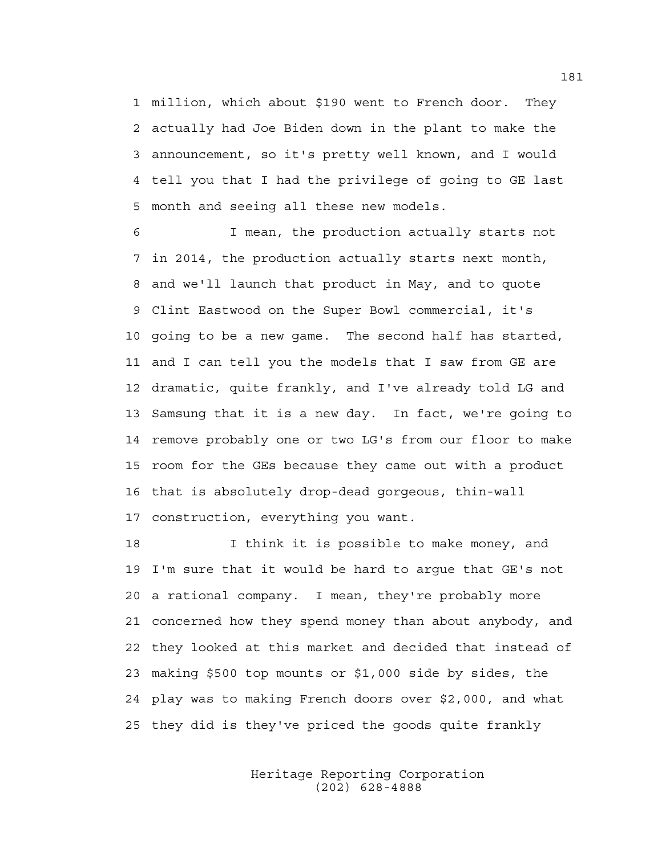1 million, which about \$190 went to French door. They 2 actually had Joe Biden down in the plant to make the 3 announcement, so it's pretty well known, and I would 4 tell you that I had the privilege of going to GE last 5 month and seeing all these new models.

6 I mean, the production actually starts not 7 in 2014, the production actually starts next month, 8 and we'll launch that product in May, and to quote 9 Clint Eastwood on the Super Bowl commercial, it's 10 going to be a new game. The second half has started, 11 and I can tell you the models that I saw from GE are 12 dramatic, quite frankly, and I've already told LG and 13 Samsung that it is a new day. In fact, we're going to 14 remove probably one or two LG's from our floor to make 15 room for the GEs because they came out with a product 16 that is absolutely drop-dead gorgeous, thin-wall 17 construction, everything you want.

18 I think it is possible to make money, and 19 I'm sure that it would be hard to argue that GE's not 20 a rational company. I mean, they're probably more 21 concerned how they spend money than about anybody, and 22 they looked at this market and decided that instead of 23 making \$500 top mounts or \$1,000 side by sides, the 24 play was to making French doors over \$2,000, and what 25 they did is they've priced the goods quite frankly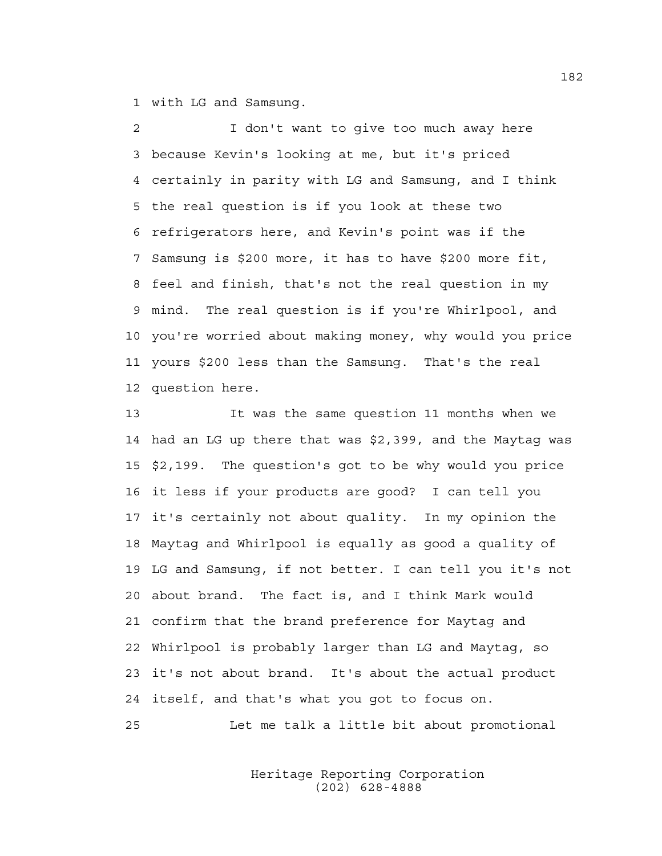1 with LG and Samsung.

2 I don't want to give too much away here 3 because Kevin's looking at me, but it's priced 4 certainly in parity with LG and Samsung, and I think 5 the real question is if you look at these two 6 refrigerators here, and Kevin's point was if the 7 Samsung is \$200 more, it has to have \$200 more fit, 8 feel and finish, that's not the real question in my 9 mind. The real question is if you're Whirlpool, and 10 you're worried about making money, why would you price 11 yours \$200 less than the Samsung. That's the real 12 question here.

13 It was the same question 11 months when we 14 had an LG up there that was \$2,399, and the Maytag was 15 \$2,199. The question's got to be why would you price 16 it less if your products are good? I can tell you 17 it's certainly not about quality. In my opinion the 18 Maytag and Whirlpool is equally as good a quality of 19 LG and Samsung, if not better. I can tell you it's not 20 about brand. The fact is, and I think Mark would 21 confirm that the brand preference for Maytag and 22 Whirlpool is probably larger than LG and Maytag, so 23 it's not about brand. It's about the actual product 24 itself, and that's what you got to focus on.

25 Let me talk a little bit about promotional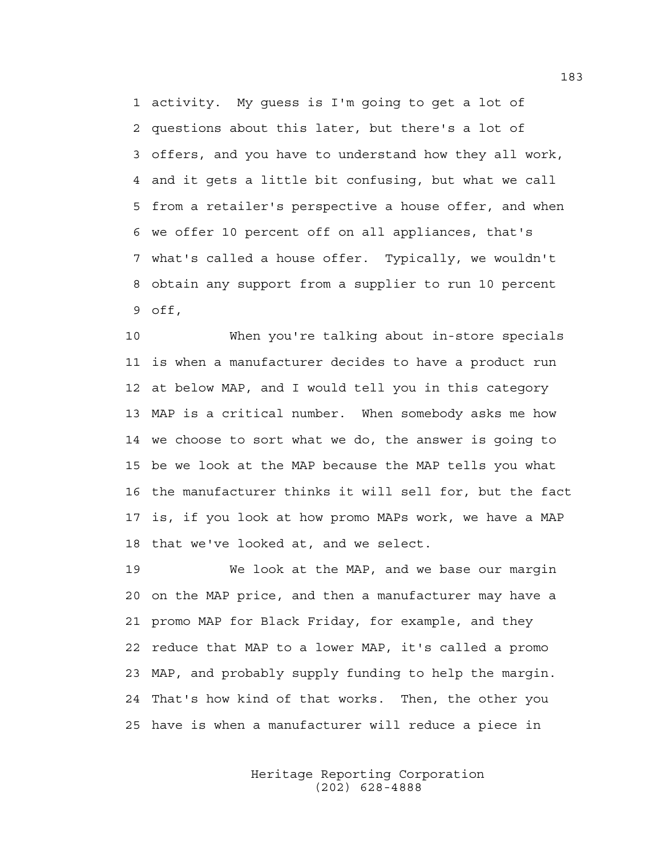1 activity. My guess is I'm going to get a lot of 2 questions about this later, but there's a lot of 3 offers, and you have to understand how they all work, 4 and it gets a little bit confusing, but what we call 5 from a retailer's perspective a house offer, and when 6 we offer 10 percent off on all appliances, that's 7 what's called a house offer. Typically, we wouldn't 8 obtain any support from a supplier to run 10 percent 9 off,

10 When you're talking about in-store specials 11 is when a manufacturer decides to have a product run 12 at below MAP, and I would tell you in this category 13 MAP is a critical number. When somebody asks me how 14 we choose to sort what we do, the answer is going to 15 be we look at the MAP because the MAP tells you what 16 the manufacturer thinks it will sell for, but the fact 17 is, if you look at how promo MAPs work, we have a MAP 18 that we've looked at, and we select.

19 We look at the MAP, and we base our margin 20 on the MAP price, and then a manufacturer may have a 21 promo MAP for Black Friday, for example, and they 22 reduce that MAP to a lower MAP, it's called a promo 23 MAP, and probably supply funding to help the margin. 24 That's how kind of that works. Then, the other you 25 have is when a manufacturer will reduce a piece in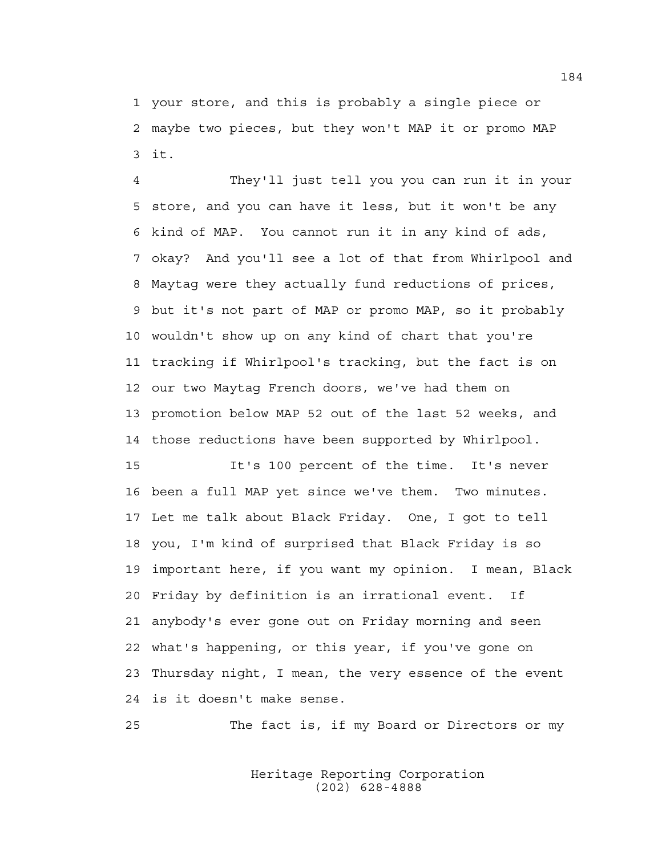1 your store, and this is probably a single piece or 2 maybe two pieces, but they won't MAP it or promo MAP 3 it.

4 They'll just tell you you can run it in your 5 store, and you can have it less, but it won't be any 6 kind of MAP. You cannot run it in any kind of ads, 7 okay? And you'll see a lot of that from Whirlpool and 8 Maytag were they actually fund reductions of prices, 9 but it's not part of MAP or promo MAP, so it probably 10 wouldn't show up on any kind of chart that you're 11 tracking if Whirlpool's tracking, but the fact is on 12 our two Maytag French doors, we've had them on 13 promotion below MAP 52 out of the last 52 weeks, and 14 those reductions have been supported by Whirlpool.

15 It's 100 percent of the time. It's never 16 been a full MAP yet since we've them. Two minutes. 17 Let me talk about Black Friday. One, I got to tell 18 you, I'm kind of surprised that Black Friday is so 19 important here, if you want my opinion. I mean, Black 20 Friday by definition is an irrational event. If 21 anybody's ever gone out on Friday morning and seen 22 what's happening, or this year, if you've gone on 23 Thursday night, I mean, the very essence of the event 24 is it doesn't make sense.

25 The fact is, if my Board or Directors or my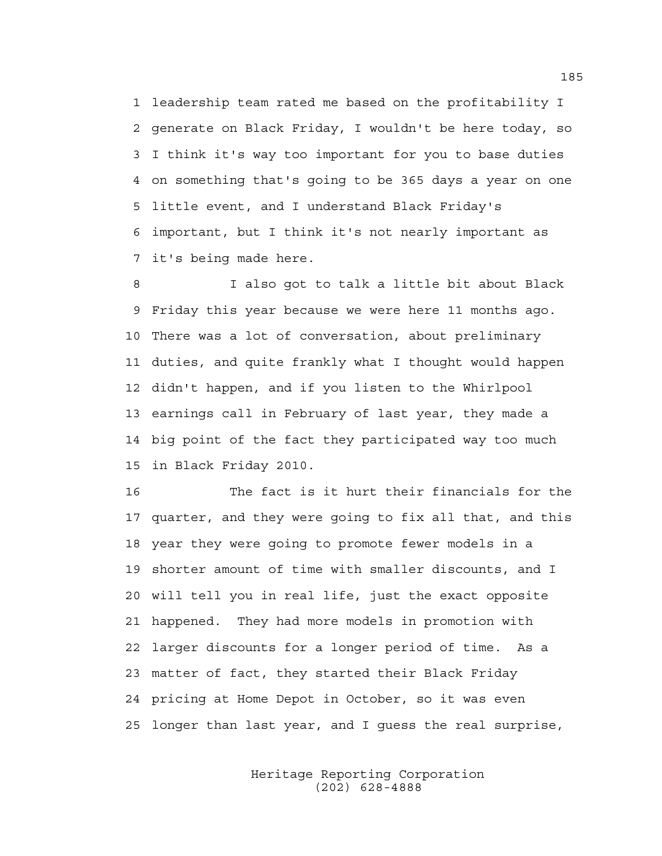1 leadership team rated me based on the profitability I 2 generate on Black Friday, I wouldn't be here today, so 3 I think it's way too important for you to base duties 4 on something that's going to be 365 days a year on one 5 little event, and I understand Black Friday's 6 important, but I think it's not nearly important as 7 it's being made here.

8 I also got to talk a little bit about Black 9 Friday this year because we were here 11 months ago. 10 There was a lot of conversation, about preliminary 11 duties, and quite frankly what I thought would happen 12 didn't happen, and if you listen to the Whirlpool 13 earnings call in February of last year, they made a 14 big point of the fact they participated way too much 15 in Black Friday 2010.

16 The fact is it hurt their financials for the 17 quarter, and they were going to fix all that, and this 18 year they were going to promote fewer models in a 19 shorter amount of time with smaller discounts, and I 20 will tell you in real life, just the exact opposite 21 happened. They had more models in promotion with 22 larger discounts for a longer period of time. As a 23 matter of fact, they started their Black Friday 24 pricing at Home Depot in October, so it was even 25 longer than last year, and I guess the real surprise,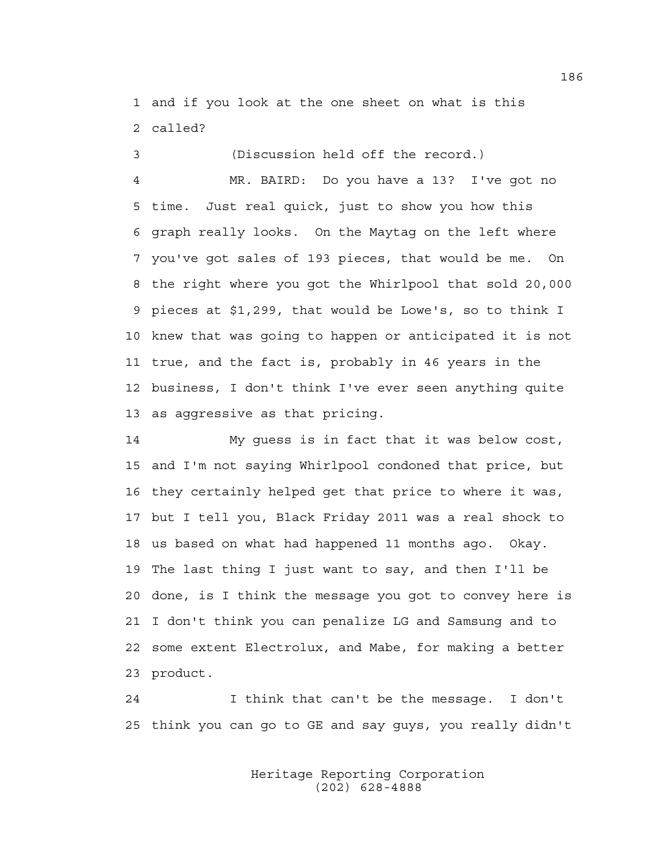1 and if you look at the one sheet on what is this 2 called?

3 (Discussion held off the record.)

4 MR. BAIRD: Do you have a 13? I've got no 5 time. Just real quick, just to show you how this 6 graph really looks. On the Maytag on the left where 7 you've got sales of 193 pieces, that would be me. On 8 the right where you got the Whirlpool that sold 20,000 9 pieces at \$1,299, that would be Lowe's, so to think I 10 knew that was going to happen or anticipated it is not 11 true, and the fact is, probably in 46 years in the 12 business, I don't think I've ever seen anything quite 13 as aggressive as that pricing.

14 My guess is in fact that it was below cost, 15 and I'm not saying Whirlpool condoned that price, but 16 they certainly helped get that price to where it was, 17 but I tell you, Black Friday 2011 was a real shock to 18 us based on what had happened 11 months ago. Okay. 19 The last thing I just want to say, and then I'll be 20 done, is I think the message you got to convey here is 21 I don't think you can penalize LG and Samsung and to 22 some extent Electrolux, and Mabe, for making a better 23 product.

24 I think that can't be the message. I don't 25 think you can go to GE and say guys, you really didn't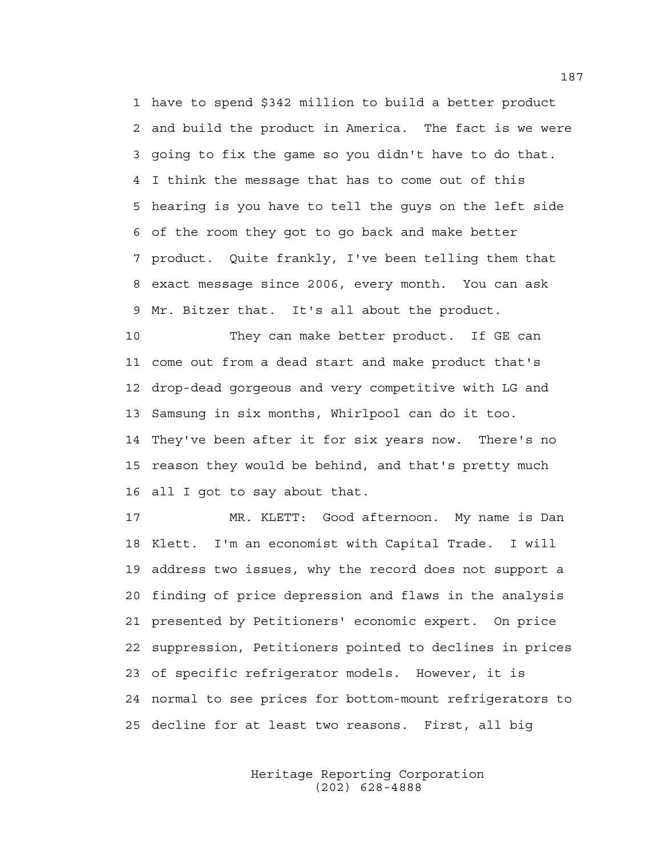1 have to spend \$342 million to build a better product 2 and build the product in America. The fact is we were 3 going to fix the game so you didn't have to do that. 4 I think the message that has to come out of this 5 hearing is you have to tell the guys on the left side 6 of the room they got to go back and make better 7 product. Quite frankly, I've been telling them that 8 exact message since 2006, every month. You can ask 9 Mr. Bitzer that. It's all about the product.

10 They can make better product. If GE can 11 come out from a dead start and make product that's 12 drop-dead gorgeous and very competitive with LG and 13 Samsung in six months, Whirlpool can do it too. 14 They've been after it for six years now. There's no 15 reason they would be behind, and that's pretty much 16 all I got to say about that.

17 MR. KLETT: Good afternoon. My name is Dan 18 Klett. I'm an economist with Capital Trade. I will 19 address two issues, why the record does not support a 20 finding of price depression and flaws in the analysis 21 presented by Petitioners' economic expert. On price 22 suppression, Petitioners pointed to declines in prices 23 of specific refrigerator models. However, it is 24 normal to see prices for bottom-mount refrigerators to 25 decline for at least two reasons. First, all big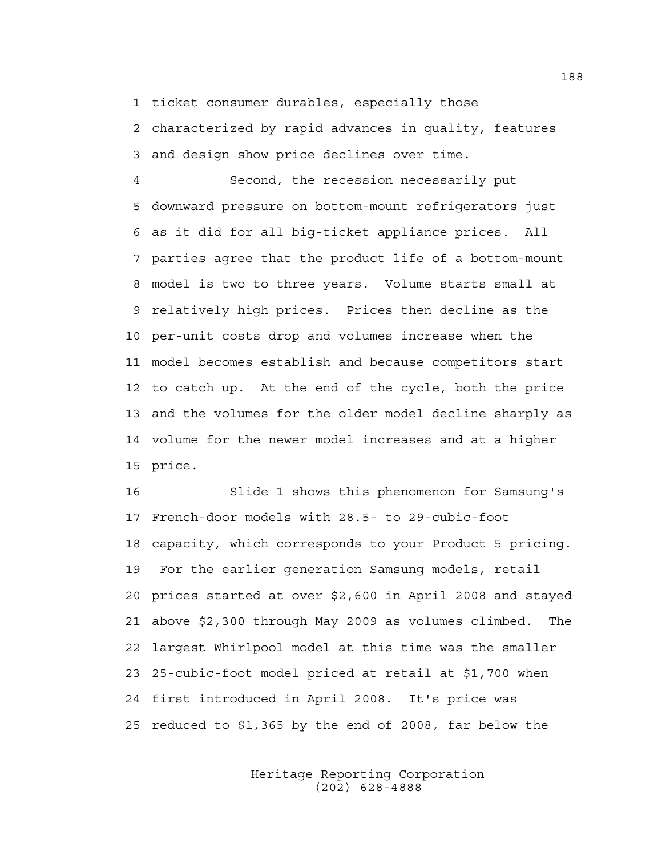1 ticket consumer durables, especially those

2 characterized by rapid advances in quality, features 3 and design show price declines over time.

4 Second, the recession necessarily put 5 downward pressure on bottom-mount refrigerators just 6 as it did for all big-ticket appliance prices. All 7 parties agree that the product life of a bottom-mount 8 model is two to three years. Volume starts small at 9 relatively high prices. Prices then decline as the 10 per-unit costs drop and volumes increase when the 11 model becomes establish and because competitors start 12 to catch up. At the end of the cycle, both the price 13 and the volumes for the older model decline sharply as 14 volume for the newer model increases and at a higher 15 price.

16 Slide 1 shows this phenomenon for Samsung's 17 French-door models with 28.5- to 29-cubic-foot 18 capacity, which corresponds to your Product 5 pricing. 19 For the earlier generation Samsung models, retail 20 prices started at over \$2,600 in April 2008 and stayed 21 above \$2,300 through May 2009 as volumes climbed. The 22 largest Whirlpool model at this time was the smaller 23 25-cubic-foot model priced at retail at \$1,700 when 24 first introduced in April 2008. It's price was 25 reduced to \$1,365 by the end of 2008, far below the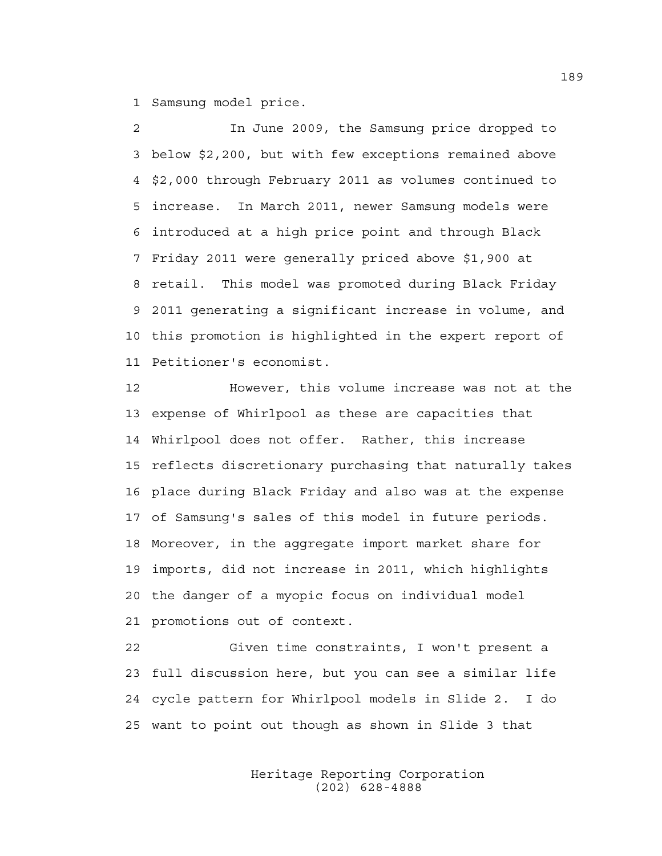1 Samsung model price.

2 In June 2009, the Samsung price dropped to 3 below \$2,200, but with few exceptions remained above 4 \$2,000 through February 2011 as volumes continued to 5 increase. In March 2011, newer Samsung models were 6 introduced at a high price point and through Black 7 Friday 2011 were generally priced above \$1,900 at 8 retail. This model was promoted during Black Friday 9 2011 generating a significant increase in volume, and 10 this promotion is highlighted in the expert report of 11 Petitioner's economist.

12 However, this volume increase was not at the 13 expense of Whirlpool as these are capacities that 14 Whirlpool does not offer. Rather, this increase 15 reflects discretionary purchasing that naturally takes 16 place during Black Friday and also was at the expense 17 of Samsung's sales of this model in future periods. 18 Moreover, in the aggregate import market share for 19 imports, did not increase in 2011, which highlights 20 the danger of a myopic focus on individual model 21 promotions out of context.

22 Given time constraints, I won't present a 23 full discussion here, but you can see a similar life 24 cycle pattern for Whirlpool models in Slide 2. I do 25 want to point out though as shown in Slide 3 that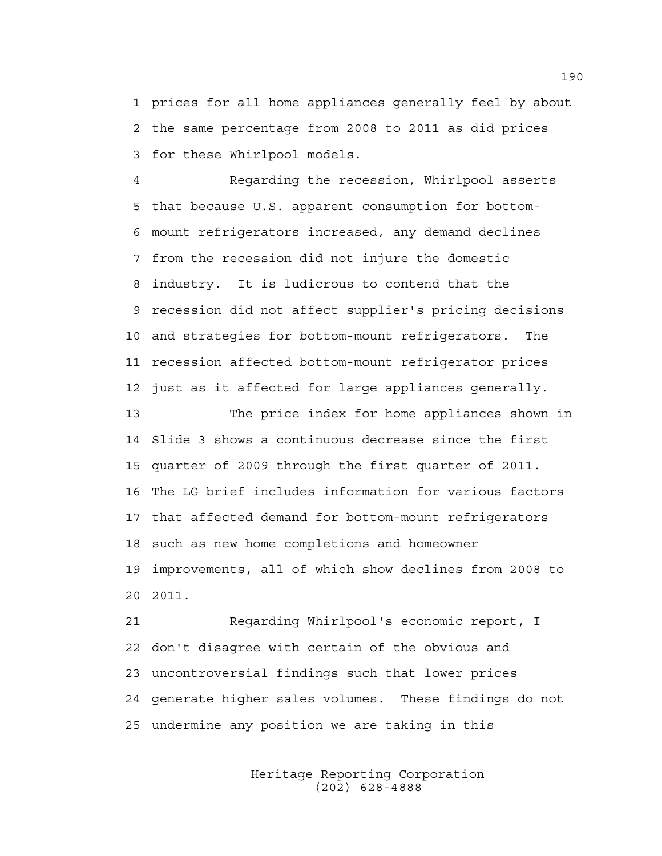1 prices for all home appliances generally feel by about 2 the same percentage from 2008 to 2011 as did prices 3 for these Whirlpool models.

4 Regarding the recession, Whirlpool asserts 5 that because U.S. apparent consumption for bottom-6 mount refrigerators increased, any demand declines 7 from the recession did not injure the domestic 8 industry. It is ludicrous to contend that the 9 recession did not affect supplier's pricing decisions 10 and strategies for bottom-mount refrigerators. The 11 recession affected bottom-mount refrigerator prices 12 just as it affected for large appliances generally.

13 The price index for home appliances shown in 14 Slide 3 shows a continuous decrease since the first 15 quarter of 2009 through the first quarter of 2011. 16 The LG brief includes information for various factors 17 that affected demand for bottom-mount refrigerators 18 such as new home completions and homeowner 19 improvements, all of which show declines from 2008 to 20 2011.

21 Regarding Whirlpool's economic report, I 22 don't disagree with certain of the obvious and 23 uncontroversial findings such that lower prices 24 generate higher sales volumes. These findings do not 25 undermine any position we are taking in this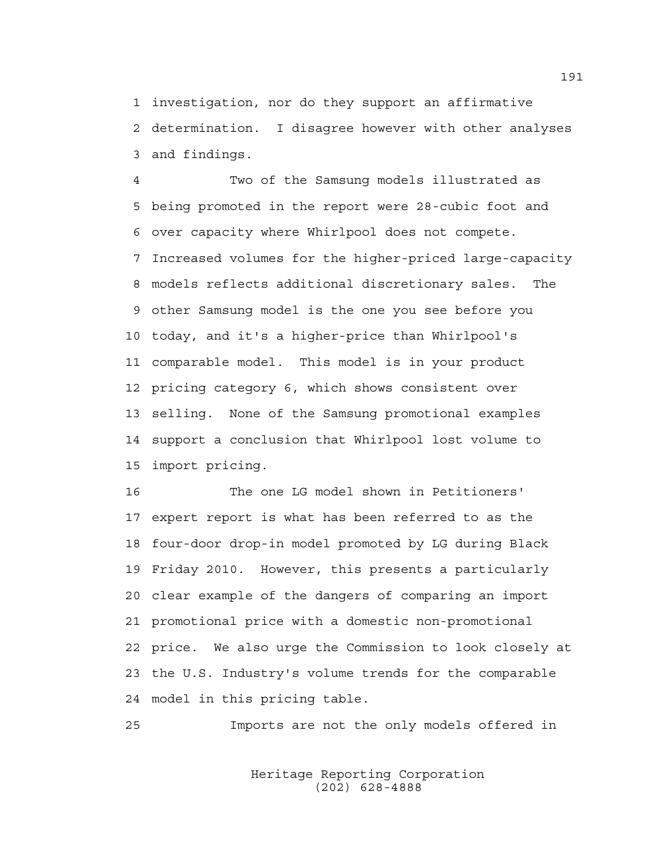1 investigation, nor do they support an affirmative 2 determination. I disagree however with other analyses 3 and findings.

4 Two of the Samsung models illustrated as 5 being promoted in the report were 28-cubic foot and 6 over capacity where Whirlpool does not compete. 7 Increased volumes for the higher-priced large-capacity 8 models reflects additional discretionary sales. The 9 other Samsung model is the one you see before you 10 today, and it's a higher-price than Whirlpool's 11 comparable model. This model is in your product 12 pricing category 6, which shows consistent over 13 selling. None of the Samsung promotional examples 14 support a conclusion that Whirlpool lost volume to 15 import pricing.

16 The one LG model shown in Petitioners' 17 expert report is what has been referred to as the 18 four-door drop-in model promoted by LG during Black 19 Friday 2010. However, this presents a particularly 20 clear example of the dangers of comparing an import 21 promotional price with a domestic non-promotional 22 price. We also urge the Commission to look closely at 23 the U.S. Industry's volume trends for the comparable 24 model in this pricing table.

25 Imports are not the only models offered in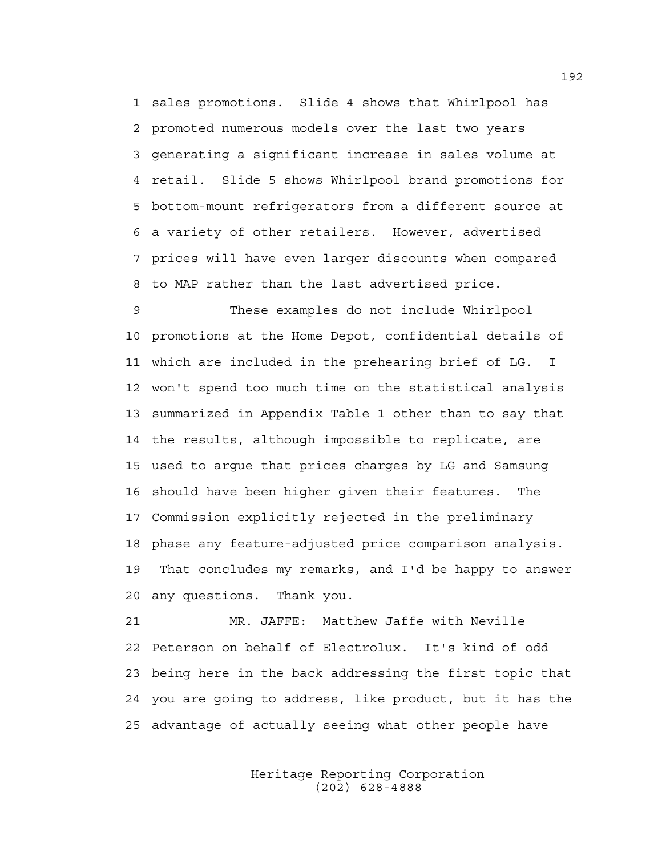1 sales promotions. Slide 4 shows that Whirlpool has 2 promoted numerous models over the last two years 3 generating a significant increase in sales volume at 4 retail. Slide 5 shows Whirlpool brand promotions for 5 bottom-mount refrigerators from a different source at 6 a variety of other retailers. However, advertised 7 prices will have even larger discounts when compared 8 to MAP rather than the last advertised price.

9 These examples do not include Whirlpool 10 promotions at the Home Depot, confidential details of 11 which are included in the prehearing brief of LG. I 12 won't spend too much time on the statistical analysis 13 summarized in Appendix Table 1 other than to say that 14 the results, although impossible to replicate, are 15 used to argue that prices charges by LG and Samsung 16 should have been higher given their features. The 17 Commission explicitly rejected in the preliminary 18 phase any feature-adjusted price comparison analysis. 19 That concludes my remarks, and I'd be happy to answer 20 any questions. Thank you.

21 MR. JAFFE: Matthew Jaffe with Neville 22 Peterson on behalf of Electrolux. It's kind of odd 23 being here in the back addressing the first topic that 24 you are going to address, like product, but it has the 25 advantage of actually seeing what other people have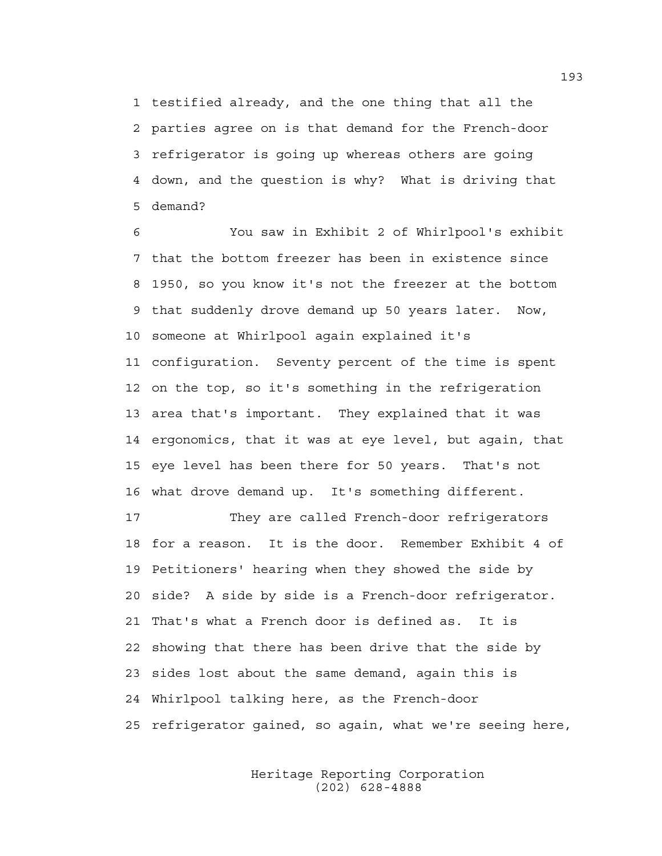1 testified already, and the one thing that all the 2 parties agree on is that demand for the French-door 3 refrigerator is going up whereas others are going 4 down, and the question is why? What is driving that 5 demand?

6 You saw in Exhibit 2 of Whirlpool's exhibit 7 that the bottom freezer has been in existence since 8 1950, so you know it's not the freezer at the bottom 9 that suddenly drove demand up 50 years later. Now, 10 someone at Whirlpool again explained it's 11 configuration. Seventy percent of the time is spent 12 on the top, so it's something in the refrigeration 13 area that's important. They explained that it was 14 ergonomics, that it was at eye level, but again, that 15 eye level has been there for 50 years. That's not 16 what drove demand up. It's something different.

17 They are called French-door refrigerators 18 for a reason. It is the door. Remember Exhibit 4 of 19 Petitioners' hearing when they showed the side by 20 side? A side by side is a French-door refrigerator. 21 That's what a French door is defined as. It is 22 showing that there has been drive that the side by 23 sides lost about the same demand, again this is 24 Whirlpool talking here, as the French-door 25 refrigerator gained, so again, what we're seeing here,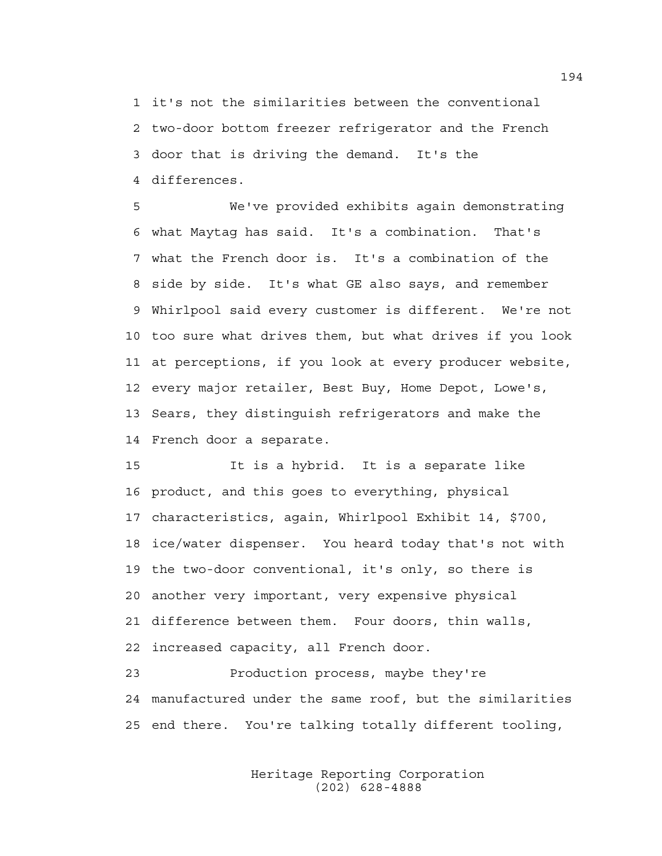1 it's not the similarities between the conventional 2 two-door bottom freezer refrigerator and the French 3 door that is driving the demand. It's the 4 differences.

5 We've provided exhibits again demonstrating 6 what Maytag has said. It's a combination. That's 7 what the French door is. It's a combination of the 8 side by side. It's what GE also says, and remember 9 Whirlpool said every customer is different. We're not 10 too sure what drives them, but what drives if you look 11 at perceptions, if you look at every producer website, 12 every major retailer, Best Buy, Home Depot, Lowe's, 13 Sears, they distinguish refrigerators and make the 14 French door a separate.

15 It is a hybrid. It is a separate like 16 product, and this goes to everything, physical 17 characteristics, again, Whirlpool Exhibit 14, \$700, 18 ice/water dispenser. You heard today that's not with 19 the two-door conventional, it's only, so there is 20 another very important, very expensive physical 21 difference between them. Four doors, thin walls, 22 increased capacity, all French door.

23 Production process, maybe they're 24 manufactured under the same roof, but the similarities 25 end there. You're talking totally different tooling,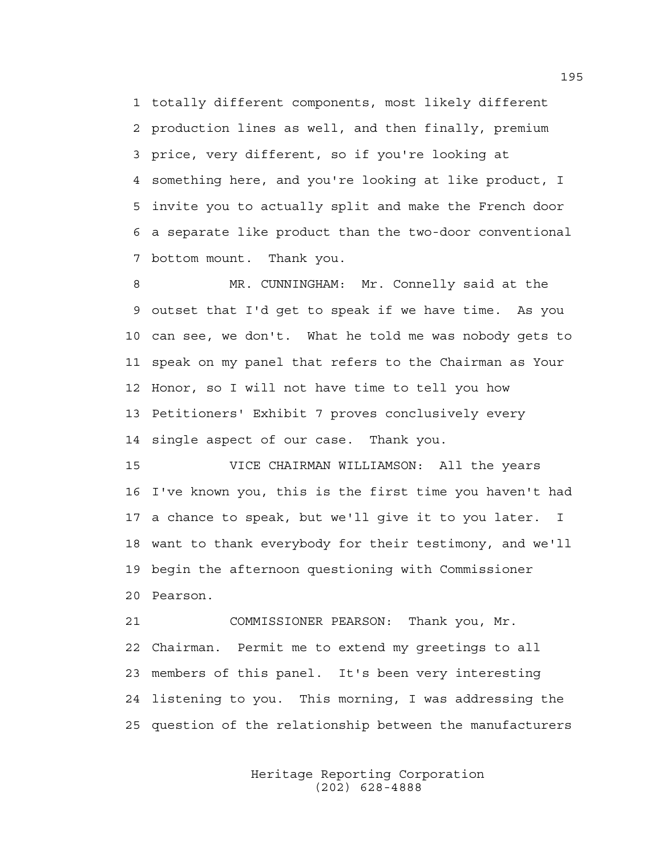1 totally different components, most likely different 2 production lines as well, and then finally, premium 3 price, very different, so if you're looking at 4 something here, and you're looking at like product, I 5 invite you to actually split and make the French door 6 a separate like product than the two-door conventional 7 bottom mount. Thank you.

8 MR. CUNNINGHAM: Mr. Connelly said at the 9 outset that I'd get to speak if we have time. As you 10 can see, we don't. What he told me was nobody gets to 11 speak on my panel that refers to the Chairman as Your 12 Honor, so I will not have time to tell you how 13 Petitioners' Exhibit 7 proves conclusively every 14 single aspect of our case. Thank you.

15 VICE CHAIRMAN WILLIAMSON: All the years 16 I've known you, this is the first time you haven't had 17 a chance to speak, but we'll give it to you later. I 18 want to thank everybody for their testimony, and we'll 19 begin the afternoon questioning with Commissioner 20 Pearson.

21 COMMISSIONER PEARSON: Thank you, Mr. 22 Chairman. Permit me to extend my greetings to all 23 members of this panel. It's been very interesting 24 listening to you. This morning, I was addressing the 25 question of the relationship between the manufacturers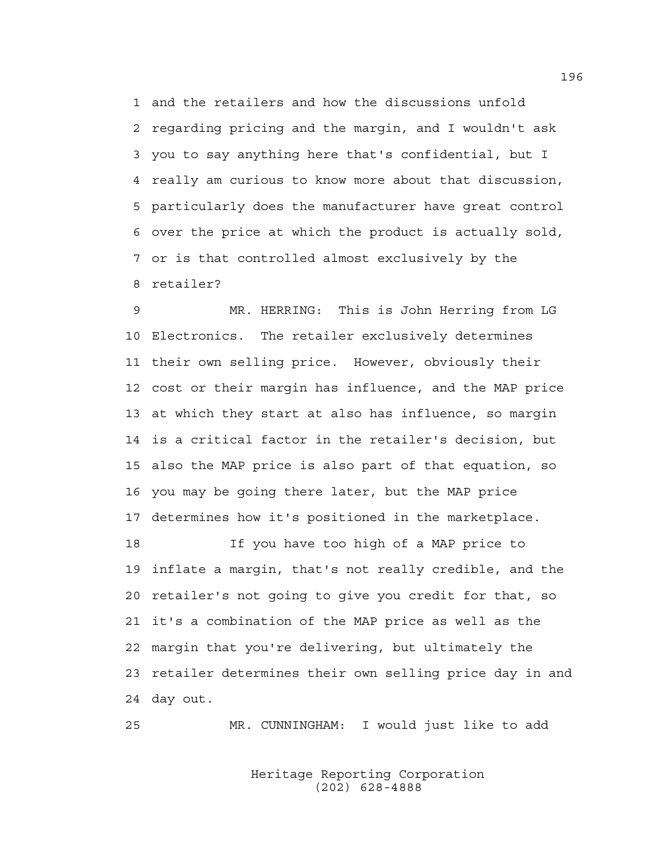1 and the retailers and how the discussions unfold 2 regarding pricing and the margin, and I wouldn't ask 3 you to say anything here that's confidential, but I 4 really am curious to know more about that discussion, 5 particularly does the manufacturer have great control 6 over the price at which the product is actually sold, 7 or is that controlled almost exclusively by the 8 retailer?

9 MR. HERRING: This is John Herring from LG 10 Electronics. The retailer exclusively determines 11 their own selling price. However, obviously their 12 cost or their margin has influence, and the MAP price 13 at which they start at also has influence, so margin 14 is a critical factor in the retailer's decision, but 15 also the MAP price is also part of that equation, so 16 you may be going there later, but the MAP price 17 determines how it's positioned in the marketplace.

18 If you have too high of a MAP price to 19 inflate a margin, that's not really credible, and the 20 retailer's not going to give you credit for that, so 21 it's a combination of the MAP price as well as the 22 margin that you're delivering, but ultimately the 23 retailer determines their own selling price day in and 24 day out.

25 MR. CUNNINGHAM: I would just like to add

 Heritage Reporting Corporation (202) 628-4888

196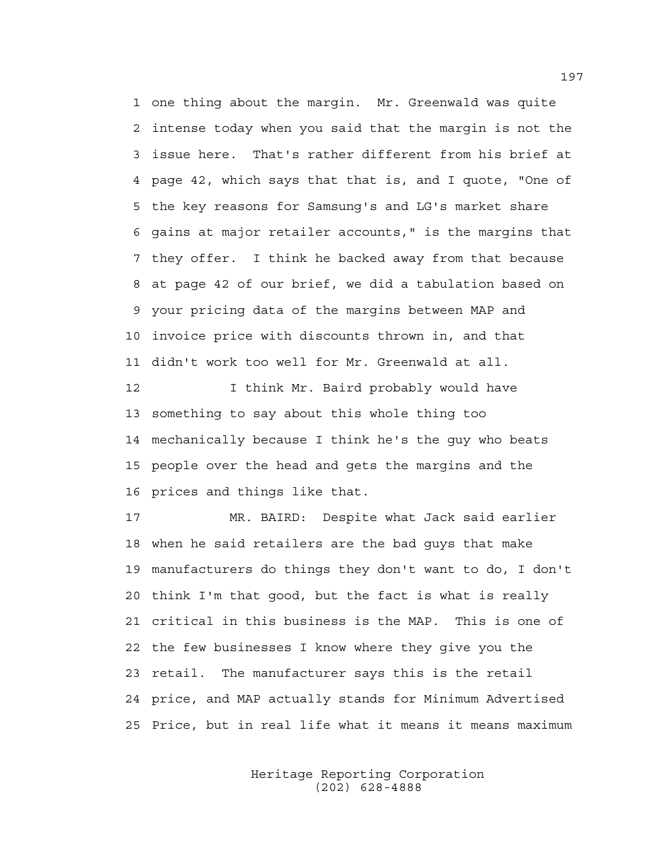1 one thing about the margin. Mr. Greenwald was quite 2 intense today when you said that the margin is not the 3 issue here. That's rather different from his brief at 4 page 42, which says that that is, and I quote, "One of 5 the key reasons for Samsung's and LG's market share 6 gains at major retailer accounts," is the margins that 7 they offer. I think he backed away from that because 8 at page 42 of our brief, we did a tabulation based on 9 your pricing data of the margins between MAP and 10 invoice price with discounts thrown in, and that 11 didn't work too well for Mr. Greenwald at all.

12 I think Mr. Baird probably would have 13 something to say about this whole thing too 14 mechanically because I think he's the guy who beats 15 people over the head and gets the margins and the 16 prices and things like that.

17 MR. BAIRD: Despite what Jack said earlier 18 when he said retailers are the bad guys that make 19 manufacturers do things they don't want to do, I don't 20 think I'm that good, but the fact is what is really 21 critical in this business is the MAP. This is one of 22 the few businesses I know where they give you the 23 retail. The manufacturer says this is the retail 24 price, and MAP actually stands for Minimum Advertised 25 Price, but in real life what it means it means maximum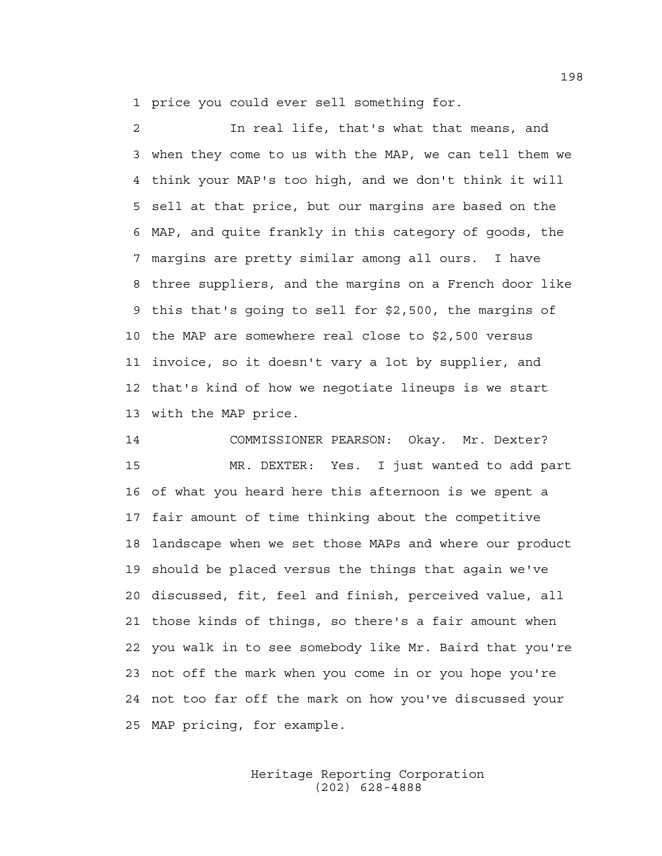1 price you could ever sell something for.

2 In real life, that's what that means, and 3 when they come to us with the MAP, we can tell them we 4 think your MAP's too high, and we don't think it will 5 sell at that price, but our margins are based on the 6 MAP, and quite frankly in this category of goods, the 7 margins are pretty similar among all ours. I have 8 three suppliers, and the margins on a French door like 9 this that's going to sell for \$2,500, the margins of 10 the MAP are somewhere real close to \$2,500 versus 11 invoice, so it doesn't vary a lot by supplier, and 12 that's kind of how we negotiate lineups is we start 13 with the MAP price.

14 COMMISSIONER PEARSON: Okay. Mr. Dexter? 15 MR. DEXTER: Yes. I just wanted to add part 16 of what you heard here this afternoon is we spent a 17 fair amount of time thinking about the competitive 18 landscape when we set those MAPs and where our product 19 should be placed versus the things that again we've 20 discussed, fit, feel and finish, perceived value, all 21 those kinds of things, so there's a fair amount when 22 you walk in to see somebody like Mr. Baird that you're 23 not off the mark when you come in or you hope you're 24 not too far off the mark on how you've discussed your 25 MAP pricing, for example.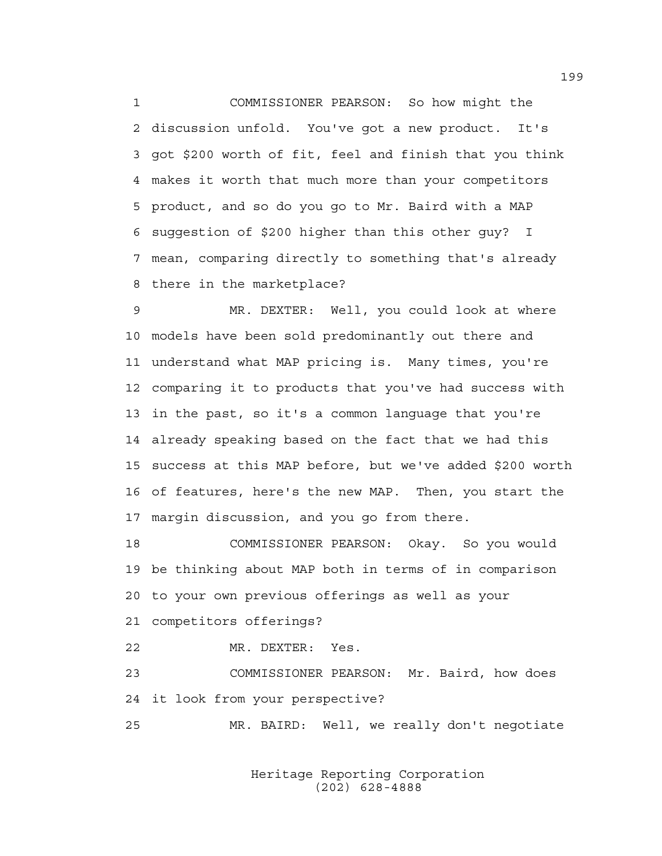1 COMMISSIONER PEARSON: So how might the 2 discussion unfold. You've got a new product. It's 3 got \$200 worth of fit, feel and finish that you think 4 makes it worth that much more than your competitors 5 product, and so do you go to Mr. Baird with a MAP 6 suggestion of \$200 higher than this other guy? I 7 mean, comparing directly to something that's already 8 there in the marketplace?

9 MR. DEXTER: Well, you could look at where 10 models have been sold predominantly out there and 11 understand what MAP pricing is. Many times, you're 12 comparing it to products that you've had success with 13 in the past, so it's a common language that you're 14 already speaking based on the fact that we had this 15 success at this MAP before, but we've added \$200 worth 16 of features, here's the new MAP. Then, you start the 17 margin discussion, and you go from there.

18 COMMISSIONER PEARSON: Okay. So you would 19 be thinking about MAP both in terms of in comparison 20 to your own previous offerings as well as your 21 competitors offerings?

22 MR. DEXTER: Yes.

23 COMMISSIONER PEARSON: Mr. Baird, how does 24 it look from your perspective?

25 MR. BAIRD: Well, we really don't negotiate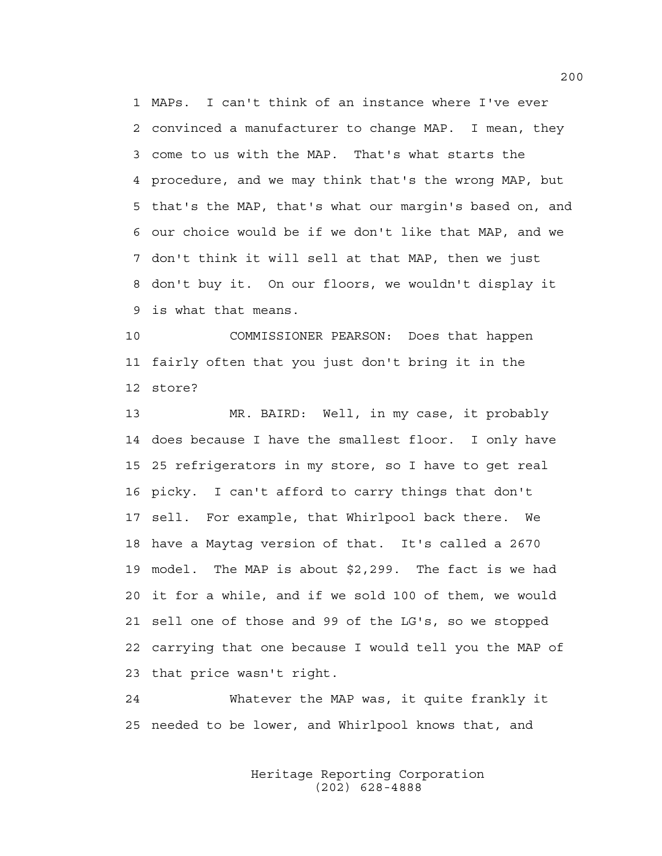1 MAPs. I can't think of an instance where I've ever 2 convinced a manufacturer to change MAP. I mean, they 3 come to us with the MAP. That's what starts the 4 procedure, and we may think that's the wrong MAP, but 5 that's the MAP, that's what our margin's based on, and 6 our choice would be if we don't like that MAP, and we 7 don't think it will sell at that MAP, then we just 8 don't buy it. On our floors, we wouldn't display it 9 is what that means.

10 COMMISSIONER PEARSON: Does that happen 11 fairly often that you just don't bring it in the 12 store?

13 MR. BAIRD: Well, in my case, it probably 14 does because I have the smallest floor. I only have 15 25 refrigerators in my store, so I have to get real 16 picky. I can't afford to carry things that don't 17 sell. For example, that Whirlpool back there. We 18 have a Maytag version of that. It's called a 2670 19 model. The MAP is about \$2,299. The fact is we had 20 it for a while, and if we sold 100 of them, we would 21 sell one of those and 99 of the LG's, so we stopped 22 carrying that one because I would tell you the MAP of 23 that price wasn't right.

24 Whatever the MAP was, it quite frankly it 25 needed to be lower, and Whirlpool knows that, and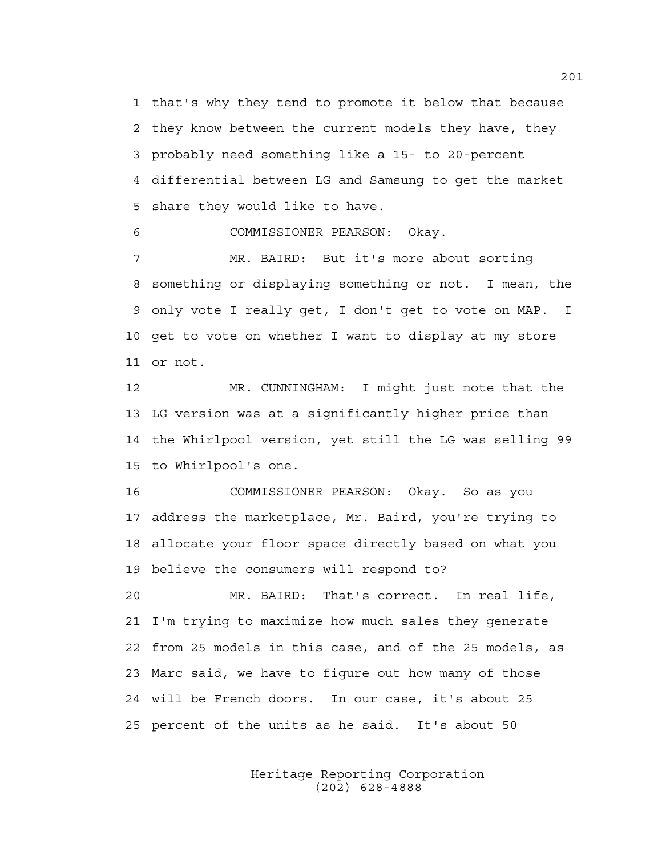1 that's why they tend to promote it below that because 2 they know between the current models they have, they 3 probably need something like a 15- to 20-percent 4 differential between LG and Samsung to get the market 5 share they would like to have.

6 COMMISSIONER PEARSON: Okay.

7 MR. BAIRD: But it's more about sorting 8 something or displaying something or not. I mean, the 9 only vote I really get, I don't get to vote on MAP. I 10 get to vote on whether I want to display at my store 11 or not.

12 MR. CUNNINGHAM: I might just note that the 13 LG version was at a significantly higher price than 14 the Whirlpool version, yet still the LG was selling 99 15 to Whirlpool's one.

16 COMMISSIONER PEARSON: Okay. So as you 17 address the marketplace, Mr. Baird, you're trying to 18 allocate your floor space directly based on what you 19 believe the consumers will respond to?

20 MR. BAIRD: That's correct. In real life, 21 I'm trying to maximize how much sales they generate 22 from 25 models in this case, and of the 25 models, as 23 Marc said, we have to figure out how many of those 24 will be French doors. In our case, it's about 25 25 percent of the units as he said. It's about 50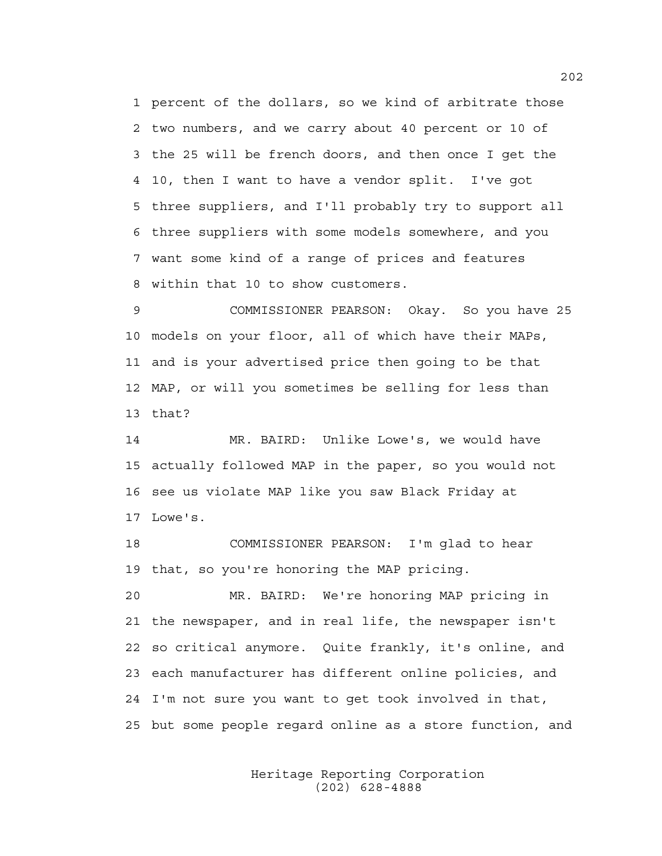1 percent of the dollars, so we kind of arbitrate those 2 two numbers, and we carry about 40 percent or 10 of 3 the 25 will be french doors, and then once I get the 4 10, then I want to have a vendor split. I've got 5 three suppliers, and I'll probably try to support all 6 three suppliers with some models somewhere, and you 7 want some kind of a range of prices and features 8 within that 10 to show customers.

9 COMMISSIONER PEARSON: Okay. So you have 25 10 models on your floor, all of which have their MAPs, 11 and is your advertised price then going to be that 12 MAP, or will you sometimes be selling for less than 13 that?

14 MR. BAIRD: Unlike Lowe's, we would have 15 actually followed MAP in the paper, so you would not 16 see us violate MAP like you saw Black Friday at 17 Lowe's.

18 COMMISSIONER PEARSON: I'm glad to hear 19 that, so you're honoring the MAP pricing.

20 MR. BAIRD: We're honoring MAP pricing in 21 the newspaper, and in real life, the newspaper isn't 22 so critical anymore. Quite frankly, it's online, and 23 each manufacturer has different online policies, and 24 I'm not sure you want to get took involved in that, 25 but some people regard online as a store function, and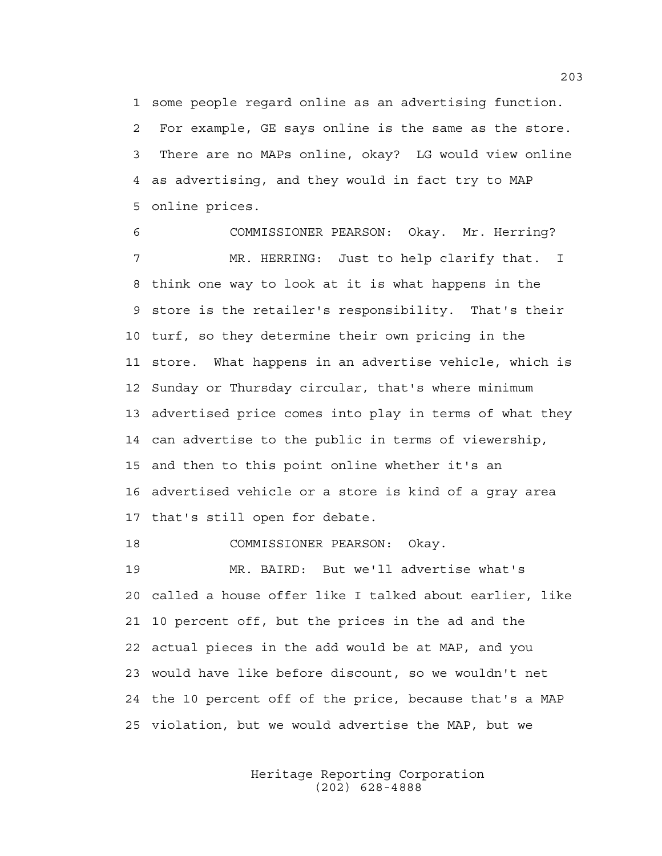1 some people regard online as an advertising function. 2 For example, GE says online is the same as the store. 3 There are no MAPs online, okay? LG would view online 4 as advertising, and they would in fact try to MAP 5 online prices.

6 COMMISSIONER PEARSON: Okay. Mr. Herring? 7 MR. HERRING: Just to help clarify that. I 8 think one way to look at it is what happens in the 9 store is the retailer's responsibility. That's their 10 turf, so they determine their own pricing in the 11 store. What happens in an advertise vehicle, which is 12 Sunday or Thursday circular, that's where minimum 13 advertised price comes into play in terms of what they 14 can advertise to the public in terms of viewership, 15 and then to this point online whether it's an 16 advertised vehicle or a store is kind of a gray area 17 that's still open for debate.

18 COMMISSIONER PEARSON: Okay.

19 MR. BAIRD: But we'll advertise what's 20 called a house offer like I talked about earlier, like 21 10 percent off, but the prices in the ad and the 22 actual pieces in the add would be at MAP, and you 23 would have like before discount, so we wouldn't net 24 the 10 percent off of the price, because that's a MAP 25 violation, but we would advertise the MAP, but we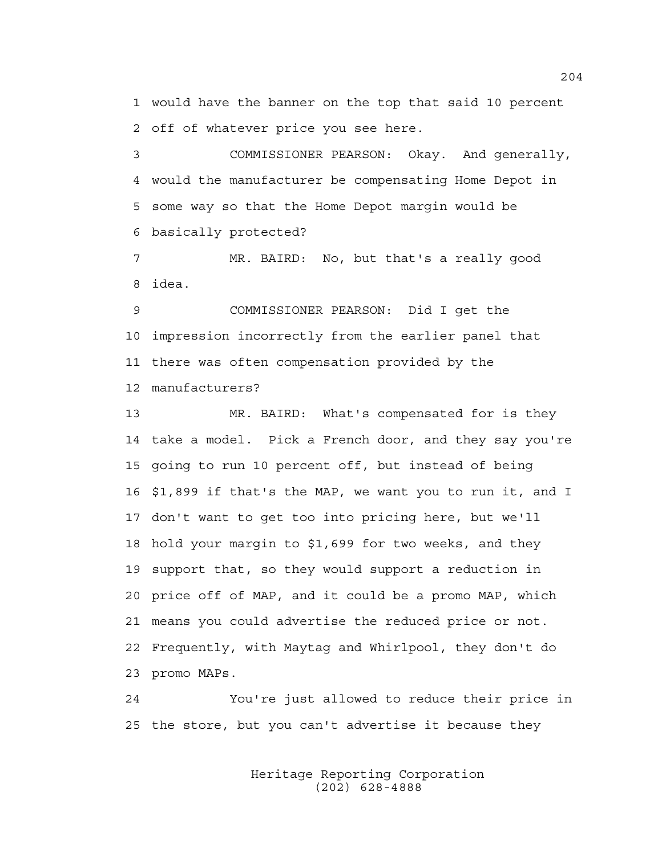1 would have the banner on the top that said 10 percent 2 off of whatever price you see here.

3 COMMISSIONER PEARSON: Okay. And generally, 4 would the manufacturer be compensating Home Depot in 5 some way so that the Home Depot margin would be 6 basically protected?

7 MR. BAIRD: No, but that's a really good 8 idea.

9 COMMISSIONER PEARSON: Did I get the 10 impression incorrectly from the earlier panel that 11 there was often compensation provided by the 12 manufacturers?

13 MR. BAIRD: What's compensated for is they 14 take a model. Pick a French door, and they say you're 15 going to run 10 percent off, but instead of being 16 \$1,899 if that's the MAP, we want you to run it, and I 17 don't want to get too into pricing here, but we'll 18 hold your margin to \$1,699 for two weeks, and they 19 support that, so they would support a reduction in 20 price off of MAP, and it could be a promo MAP, which 21 means you could advertise the reduced price or not. 22 Frequently, with Maytag and Whirlpool, they don't do 23 promo MAPs.

24 You're just allowed to reduce their price in 25 the store, but you can't advertise it because they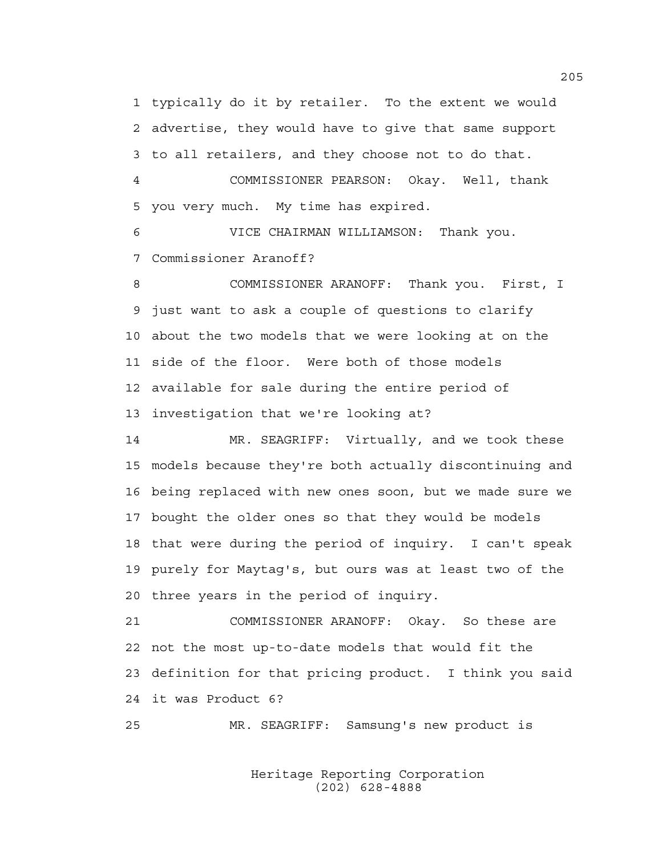1 typically do it by retailer. To the extent we would 2 advertise, they would have to give that same support 3 to all retailers, and they choose not to do that.

4 COMMISSIONER PEARSON: Okay. Well, thank 5 you very much. My time has expired.

6 VICE CHAIRMAN WILLIAMSON: Thank you. 7 Commissioner Aranoff?

8 COMMISSIONER ARANOFF: Thank you. First, I 9 just want to ask a couple of questions to clarify 10 about the two models that we were looking at on the 11 side of the floor. Were both of those models 12 available for sale during the entire period of 13 investigation that we're looking at?

14 MR. SEAGRIFF: Virtually, and we took these 15 models because they're both actually discontinuing and 16 being replaced with new ones soon, but we made sure we 17 bought the older ones so that they would be models 18 that were during the period of inquiry. I can't speak 19 purely for Maytag's, but ours was at least two of the 20 three years in the period of inquiry.

21 COMMISSIONER ARANOFF: Okay. So these are 22 not the most up-to-date models that would fit the 23 definition for that pricing product. I think you said 24 it was Product 6?

25 MR. SEAGRIFF: Samsung's new product is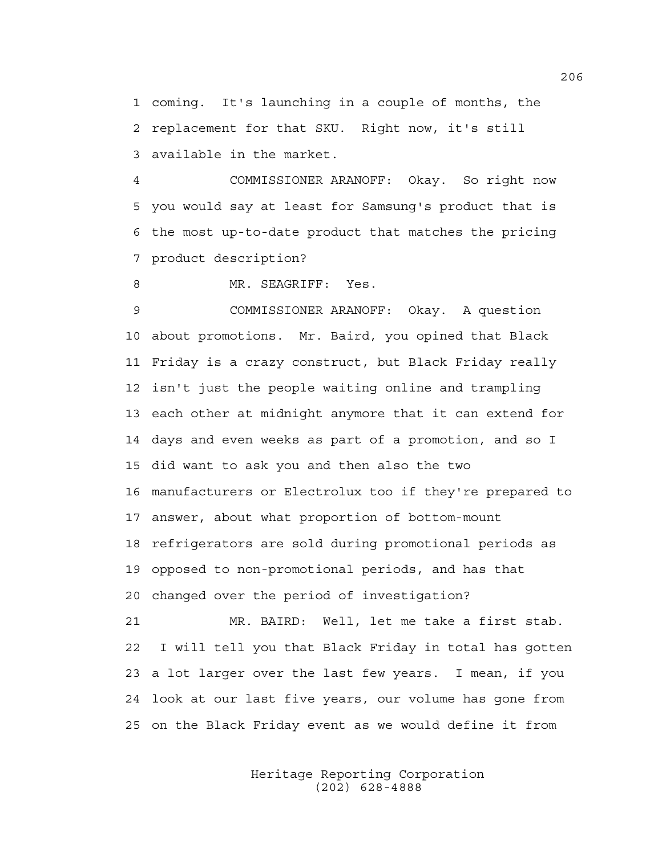1 coming. It's launching in a couple of months, the 2 replacement for that SKU. Right now, it's still 3 available in the market.

4 COMMISSIONER ARANOFF: Okay. So right now 5 you would say at least for Samsung's product that is 6 the most up-to-date product that matches the pricing 7 product description?

8 MR. SEAGRIFF: Yes.

9 COMMISSIONER ARANOFF: Okay. A question 10 about promotions. Mr. Baird, you opined that Black 11 Friday is a crazy construct, but Black Friday really 12 isn't just the people waiting online and trampling 13 each other at midnight anymore that it can extend for 14 days and even weeks as part of a promotion, and so I 15 did want to ask you and then also the two 16 manufacturers or Electrolux too if they're prepared to 17 answer, about what proportion of bottom-mount 18 refrigerators are sold during promotional periods as 19 opposed to non-promotional periods, and has that 20 changed over the period of investigation? 21 MR. BAIRD: Well, let me take a first stab. 22 I will tell you that Black Friday in total has gotten 23 a lot larger over the last few years. I mean, if you 24 look at our last five years, our volume has gone from

25 on the Black Friday event as we would define it from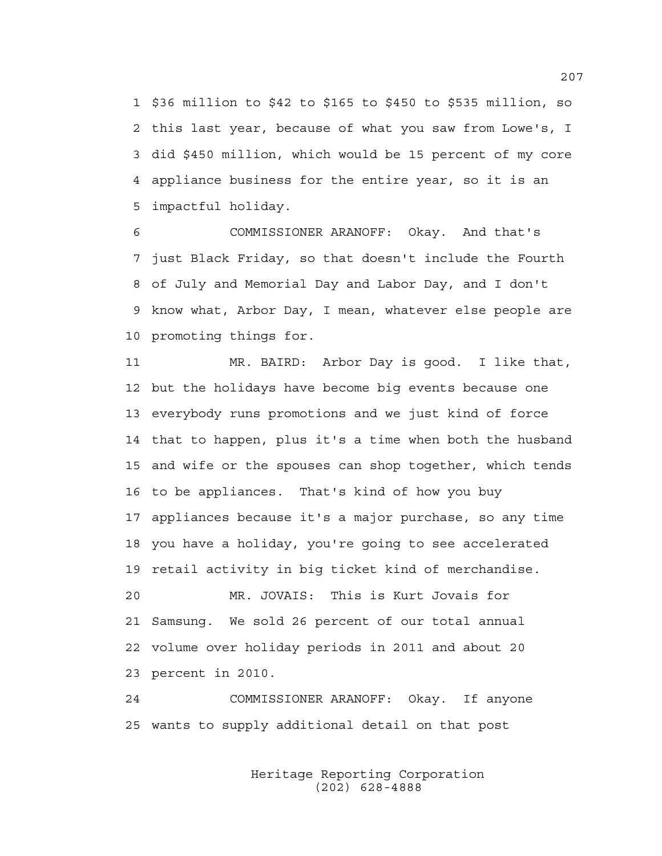1 \$36 million to \$42 to \$165 to \$450 to \$535 million, so 2 this last year, because of what you saw from Lowe's, I 3 did \$450 million, which would be 15 percent of my core 4 appliance business for the entire year, so it is an 5 impactful holiday.

6 COMMISSIONER ARANOFF: Okay. And that's 7 just Black Friday, so that doesn't include the Fourth 8 of July and Memorial Day and Labor Day, and I don't 9 know what, Arbor Day, I mean, whatever else people are 10 promoting things for.

11 MR. BAIRD: Arbor Day is good. I like that, 12 but the holidays have become big events because one 13 everybody runs promotions and we just kind of force 14 that to happen, plus it's a time when both the husband 15 and wife or the spouses can shop together, which tends 16 to be appliances. That's kind of how you buy 17 appliances because it's a major purchase, so any time 18 you have a holiday, you're going to see accelerated 19 retail activity in big ticket kind of merchandise.

20 MR. JOVAIS: This is Kurt Jovais for 21 Samsung. We sold 26 percent of our total annual 22 volume over holiday periods in 2011 and about 20 23 percent in 2010.

24 COMMISSIONER ARANOFF: Okay. If anyone 25 wants to supply additional detail on that post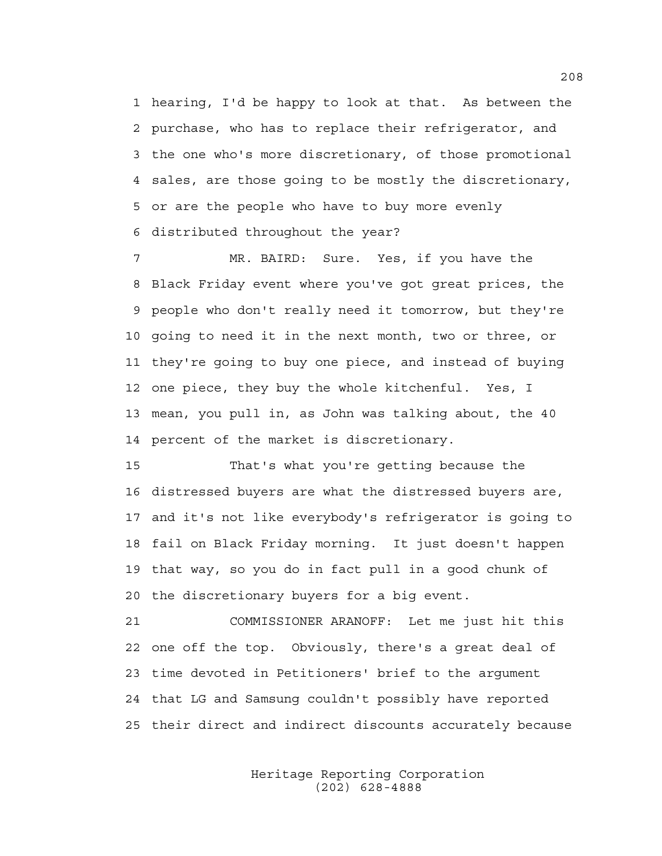1 hearing, I'd be happy to look at that. As between the 2 purchase, who has to replace their refrigerator, and 3 the one who's more discretionary, of those promotional 4 sales, are those going to be mostly the discretionary, 5 or are the people who have to buy more evenly 6 distributed throughout the year?

7 MR. BAIRD: Sure. Yes, if you have the 8 Black Friday event where you've got great prices, the 9 people who don't really need it tomorrow, but they're 10 going to need it in the next month, two or three, or 11 they're going to buy one piece, and instead of buying 12 one piece, they buy the whole kitchenful. Yes, I 13 mean, you pull in, as John was talking about, the 40 14 percent of the market is discretionary.

15 That's what you're getting because the 16 distressed buyers are what the distressed buyers are, 17 and it's not like everybody's refrigerator is going to 18 fail on Black Friday morning. It just doesn't happen 19 that way, so you do in fact pull in a good chunk of 20 the discretionary buyers for a big event.

21 COMMISSIONER ARANOFF: Let me just hit this 22 one off the top. Obviously, there's a great deal of 23 time devoted in Petitioners' brief to the argument 24 that LG and Samsung couldn't possibly have reported 25 their direct and indirect discounts accurately because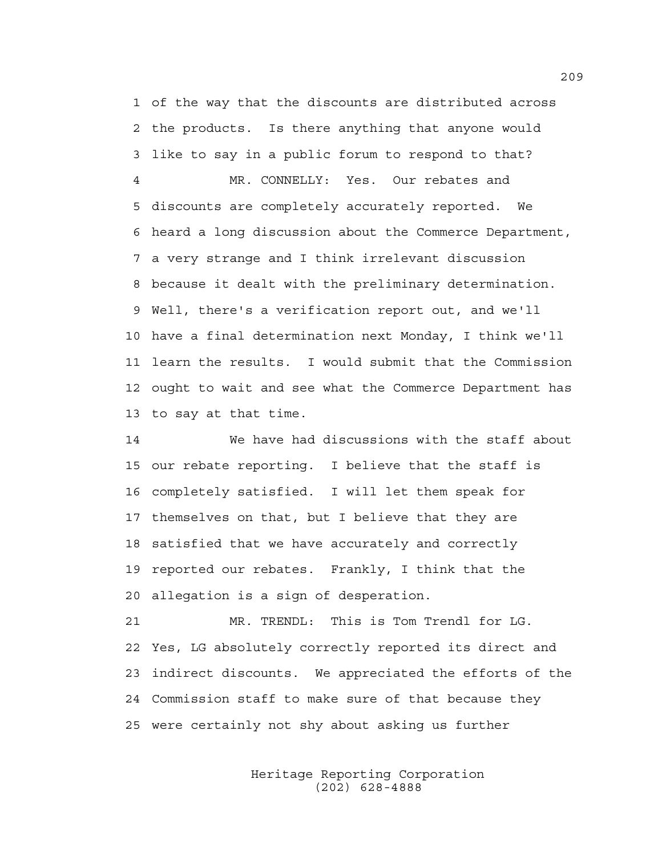1 of the way that the discounts are distributed across 2 the products. Is there anything that anyone would 3 like to say in a public forum to respond to that? 4 MR. CONNELLY: Yes. Our rebates and 5 discounts are completely accurately reported. We 6 heard a long discussion about the Commerce Department, 7 a very strange and I think irrelevant discussion 8 because it dealt with the preliminary determination. 9 Well, there's a verification report out, and we'll 10 have a final determination next Monday, I think we'll 11 learn the results. I would submit that the Commission 12 ought to wait and see what the Commerce Department has 13 to say at that time.

14 We have had discussions with the staff about 15 our rebate reporting. I believe that the staff is 16 completely satisfied. I will let them speak for 17 themselves on that, but I believe that they are 18 satisfied that we have accurately and correctly 19 reported our rebates. Frankly, I think that the 20 allegation is a sign of desperation.

21 MR. TRENDL: This is Tom Trendl for LG. 22 Yes, LG absolutely correctly reported its direct and 23 indirect discounts. We appreciated the efforts of the 24 Commission staff to make sure of that because they 25 were certainly not shy about asking us further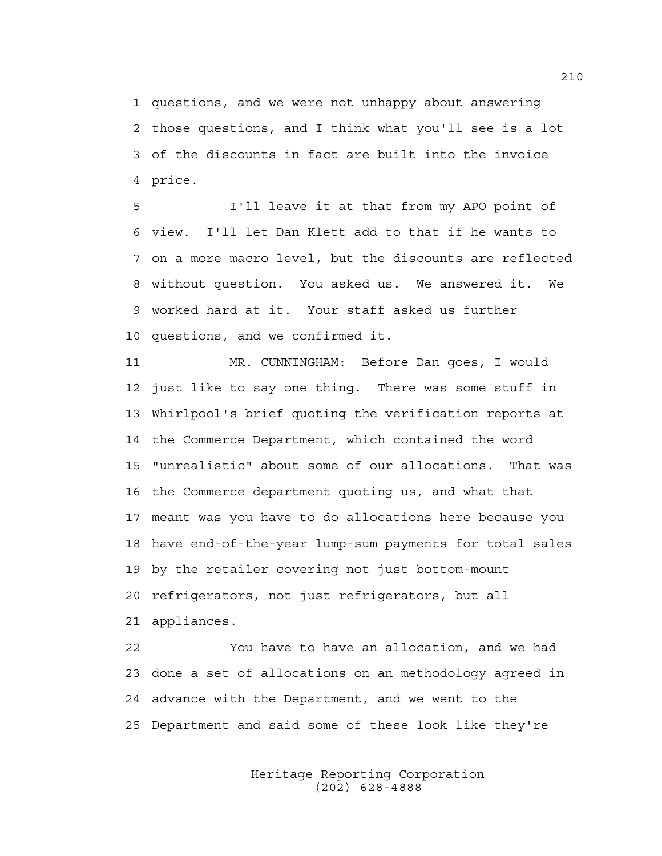1 questions, and we were not unhappy about answering 2 those questions, and I think what you'll see is a lot 3 of the discounts in fact are built into the invoice 4 price.

5 I'll leave it at that from my APO point of 6 view. I'll let Dan Klett add to that if he wants to 7 on a more macro level, but the discounts are reflected 8 without question. You asked us. We answered it. We 9 worked hard at it. Your staff asked us further 10 questions, and we confirmed it.

11 MR. CUNNINGHAM: Before Dan goes, I would 12 just like to say one thing. There was some stuff in 13 Whirlpool's brief quoting the verification reports at 14 the Commerce Department, which contained the word 15 "unrealistic" about some of our allocations. That was 16 the Commerce department quoting us, and what that 17 meant was you have to do allocations here because you 18 have end-of-the-year lump-sum payments for total sales 19 by the retailer covering not just bottom-mount 20 refrigerators, not just refrigerators, but all 21 appliances.

22 You have to have an allocation, and we had 23 done a set of allocations on an methodology agreed in 24 advance with the Department, and we went to the 25 Department and said some of these look like they're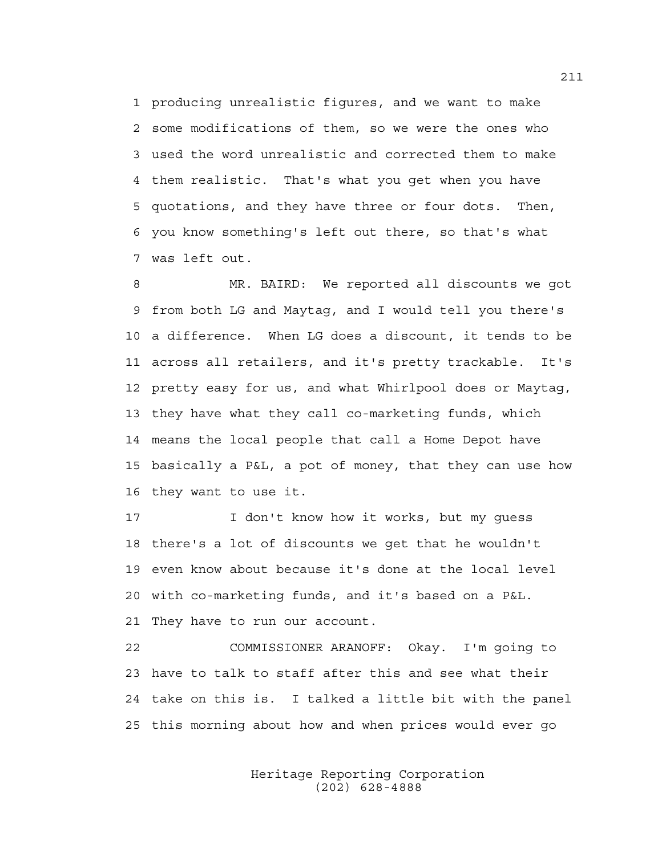1 producing unrealistic figures, and we want to make 2 some modifications of them, so we were the ones who 3 used the word unrealistic and corrected them to make 4 them realistic. That's what you get when you have 5 quotations, and they have three or four dots. Then, 6 you know something's left out there, so that's what 7 was left out.

8 MR. BAIRD: We reported all discounts we got 9 from both LG and Maytag, and I would tell you there's 10 a difference. When LG does a discount, it tends to be 11 across all retailers, and it's pretty trackable. It's 12 pretty easy for us, and what Whirlpool does or Maytag, 13 they have what they call co-marketing funds, which 14 means the local people that call a Home Depot have 15 basically a P&L, a pot of money, that they can use how 16 they want to use it.

17 I don't know how it works, but my quess 18 there's a lot of discounts we get that he wouldn't 19 even know about because it's done at the local level 20 with co-marketing funds, and it's based on a P&L. 21 They have to run our account.

22 COMMISSIONER ARANOFF: Okay. I'm going to 23 have to talk to staff after this and see what their 24 take on this is. I talked a little bit with the panel 25 this morning about how and when prices would ever go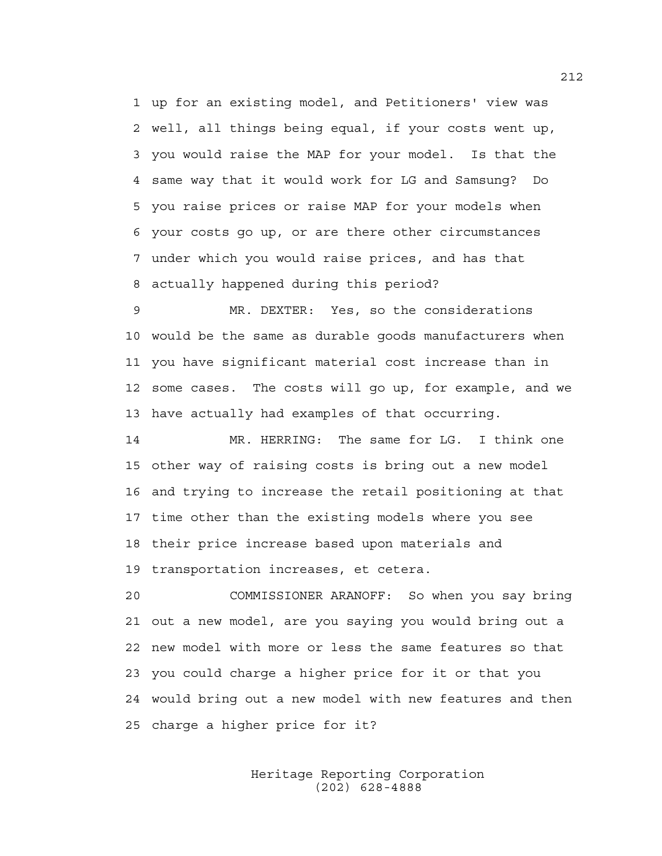1 up for an existing model, and Petitioners' view was 2 well, all things being equal, if your costs went up, 3 you would raise the MAP for your model. Is that the 4 same way that it would work for LG and Samsung? Do 5 you raise prices or raise MAP for your models when 6 your costs go up, or are there other circumstances 7 under which you would raise prices, and has that 8 actually happened during this period?

9 MR. DEXTER: Yes, so the considerations 10 would be the same as durable goods manufacturers when 11 you have significant material cost increase than in 12 some cases. The costs will go up, for example, and we 13 have actually had examples of that occurring.

14 MR. HERRING: The same for LG. I think one 15 other way of raising costs is bring out a new model 16 and trying to increase the retail positioning at that 17 time other than the existing models where you see 18 their price increase based upon materials and 19 transportation increases, et cetera.

20 COMMISSIONER ARANOFF: So when you say bring 21 out a new model, are you saying you would bring out a 22 new model with more or less the same features so that 23 you could charge a higher price for it or that you 24 would bring out a new model with new features and then 25 charge a higher price for it?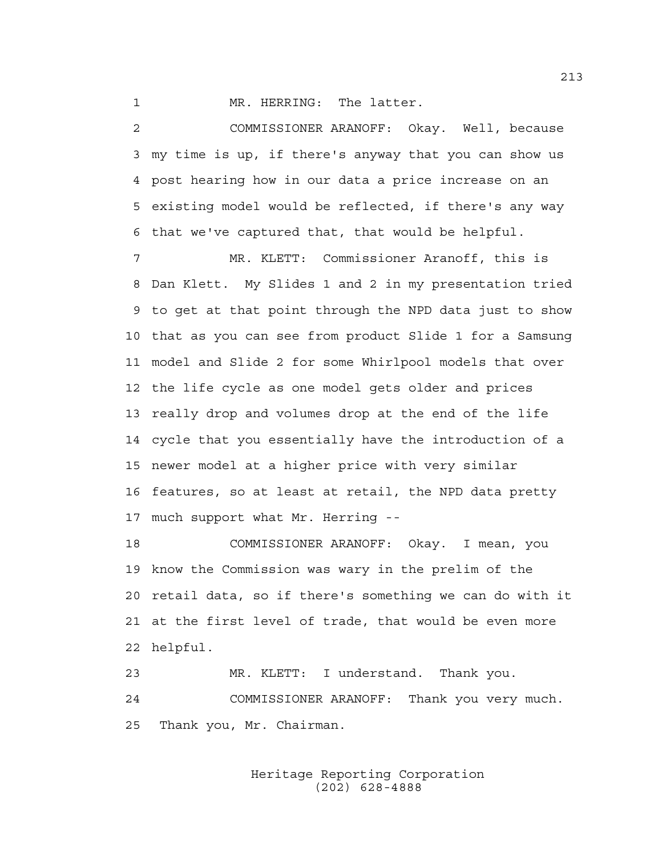1 MR. HERRING: The latter.

2 COMMISSIONER ARANOFF: Okay. Well, because 3 my time is up, if there's anyway that you can show us 4 post hearing how in our data a price increase on an 5 existing model would be reflected, if there's any way 6 that we've captured that, that would be helpful.

7 MR. KLETT: Commissioner Aranoff, this is 8 Dan Klett. My Slides 1 and 2 in my presentation tried 9 to get at that point through the NPD data just to show 10 that as you can see from product Slide 1 for a Samsung 11 model and Slide 2 for some Whirlpool models that over 12 the life cycle as one model gets older and prices 13 really drop and volumes drop at the end of the life 14 cycle that you essentially have the introduction of a 15 newer model at a higher price with very similar 16 features, so at least at retail, the NPD data pretty 17 much support what Mr. Herring --

18 COMMISSIONER ARANOFF: Okay. I mean, you 19 know the Commission was wary in the prelim of the 20 retail data, so if there's something we can do with it 21 at the first level of trade, that would be even more 22 helpful.

23 MR. KLETT: I understand. Thank you. 24 COMMISSIONER ARANOFF: Thank you very much. 25 Thank you, Mr. Chairman.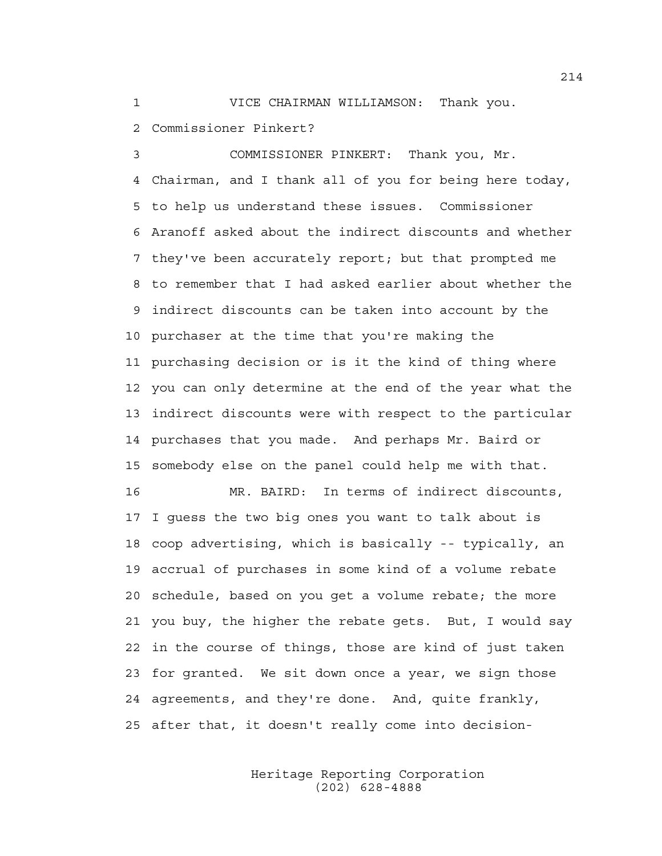1 VICE CHAIRMAN WILLIAMSON: Thank you.

2 Commissioner Pinkert?

3 COMMISSIONER PINKERT: Thank you, Mr. 4 Chairman, and I thank all of you for being here today, 5 to help us understand these issues. Commissioner 6 Aranoff asked about the indirect discounts and whether 7 they've been accurately report; but that prompted me 8 to remember that I had asked earlier about whether the 9 indirect discounts can be taken into account by the 10 purchaser at the time that you're making the 11 purchasing decision or is it the kind of thing where 12 you can only determine at the end of the year what the 13 indirect discounts were with respect to the particular 14 purchases that you made. And perhaps Mr. Baird or 15 somebody else on the panel could help me with that.

16 MR. BAIRD: In terms of indirect discounts, 17 I guess the two big ones you want to talk about is 18 coop advertising, which is basically -- typically, an 19 accrual of purchases in some kind of a volume rebate 20 schedule, based on you get a volume rebate; the more 21 you buy, the higher the rebate gets. But, I would say 22 in the course of things, those are kind of just taken 23 for granted. We sit down once a year, we sign those 24 agreements, and they're done. And, quite frankly, 25 after that, it doesn't really come into decision-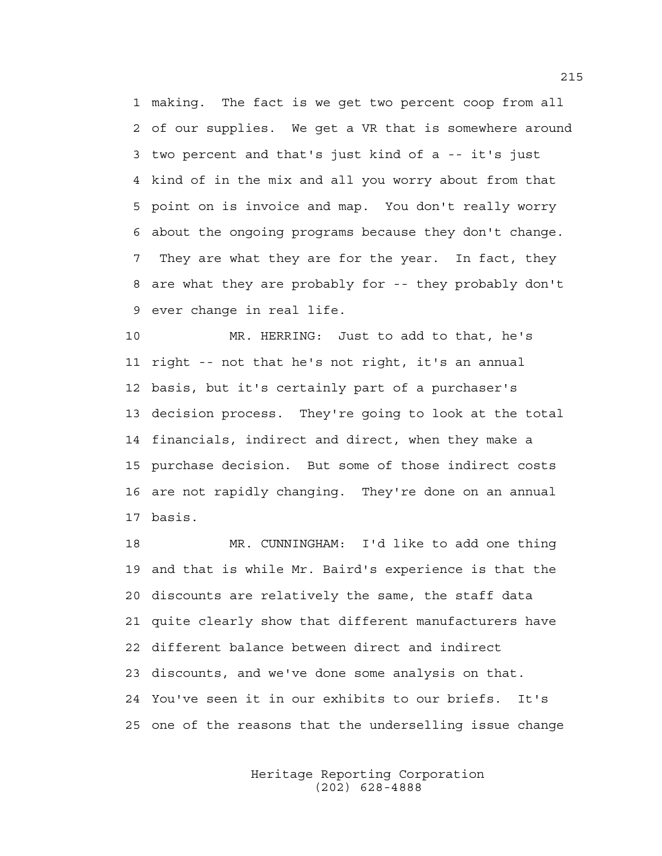1 making. The fact is we get two percent coop from all 2 of our supplies. We get a VR that is somewhere around 3 two percent and that's just kind of a -- it's just 4 kind of in the mix and all you worry about from that 5 point on is invoice and map. You don't really worry 6 about the ongoing programs because they don't change. 7 They are what they are for the year. In fact, they 8 are what they are probably for -- they probably don't 9 ever change in real life.

10 MR. HERRING: Just to add to that, he's 11 right -- not that he's not right, it's an annual 12 basis, but it's certainly part of a purchaser's 13 decision process. They're going to look at the total 14 financials, indirect and direct, when they make a 15 purchase decision. But some of those indirect costs 16 are not rapidly changing. They're done on an annual 17 basis.

18 MR. CUNNINGHAM: I'd like to add one thing 19 and that is while Mr. Baird's experience is that the 20 discounts are relatively the same, the staff data 21 quite clearly show that different manufacturers have 22 different balance between direct and indirect 23 discounts, and we've done some analysis on that. 24 You've seen it in our exhibits to our briefs. It's 25 one of the reasons that the underselling issue change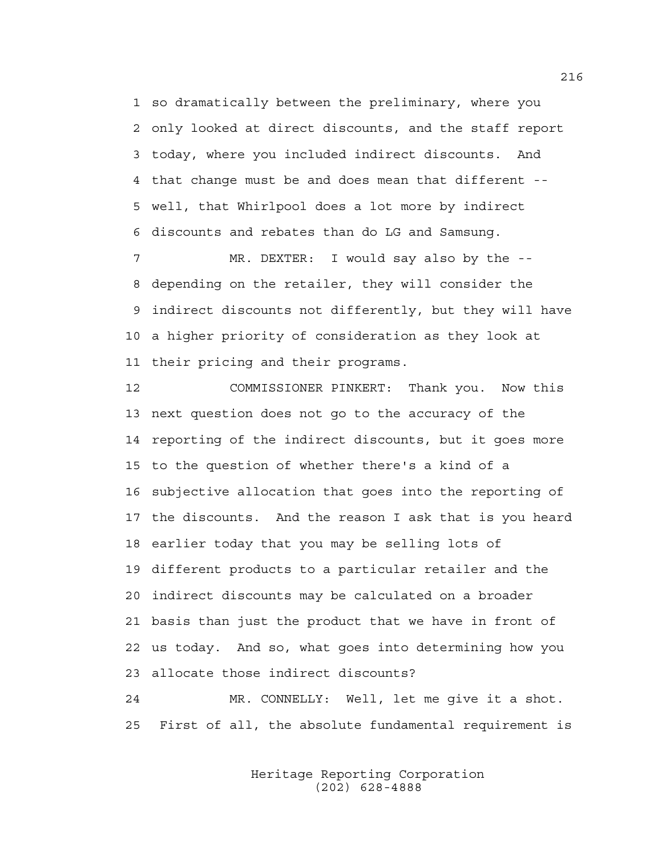1 so dramatically between the preliminary, where you 2 only looked at direct discounts, and the staff report 3 today, where you included indirect discounts. And 4 that change must be and does mean that different -- 5 well, that Whirlpool does a lot more by indirect 6 discounts and rebates than do LG and Samsung.

7 MR. DEXTER: I would say also by the -- 8 depending on the retailer, they will consider the 9 indirect discounts not differently, but they will have 10 a higher priority of consideration as they look at 11 their pricing and their programs.

12 COMMISSIONER PINKERT: Thank you. Now this 13 next question does not go to the accuracy of the 14 reporting of the indirect discounts, but it goes more 15 to the question of whether there's a kind of a 16 subjective allocation that goes into the reporting of 17 the discounts. And the reason I ask that is you heard 18 earlier today that you may be selling lots of 19 different products to a particular retailer and the 20 indirect discounts may be calculated on a broader 21 basis than just the product that we have in front of 22 us today. And so, what goes into determining how you 23 allocate those indirect discounts?

24 MR. CONNELLY: Well, let me give it a shot. 25 First of all, the absolute fundamental requirement is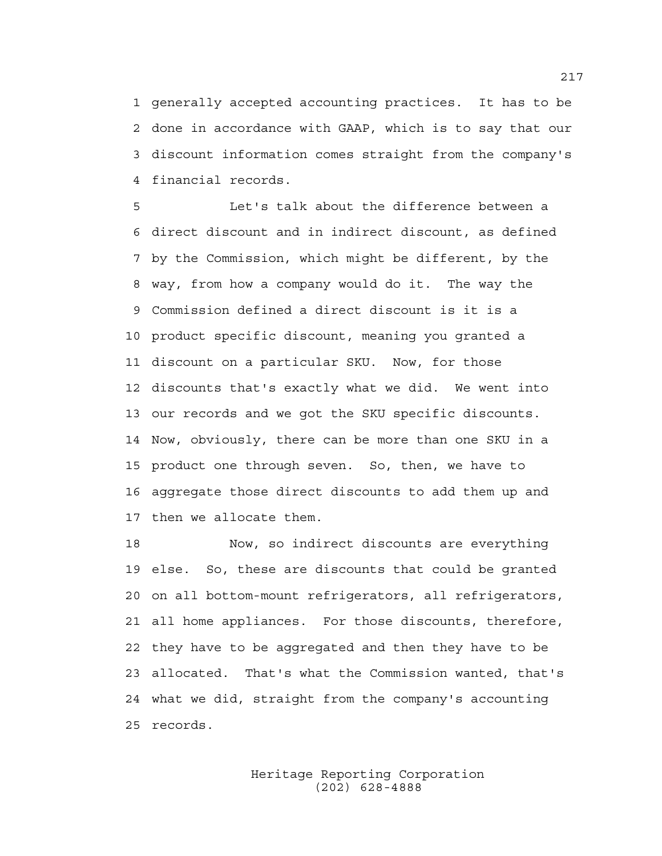1 generally accepted accounting practices. It has to be 2 done in accordance with GAAP, which is to say that our 3 discount information comes straight from the company's 4 financial records.

5 Let's talk about the difference between a 6 direct discount and in indirect discount, as defined 7 by the Commission, which might be different, by the 8 way, from how a company would do it. The way the 9 Commission defined a direct discount is it is a 10 product specific discount, meaning you granted a 11 discount on a particular SKU. Now, for those 12 discounts that's exactly what we did. We went into 13 our records and we got the SKU specific discounts. 14 Now, obviously, there can be more than one SKU in a 15 product one through seven. So, then, we have to 16 aggregate those direct discounts to add them up and 17 then we allocate them.

18 Now, so indirect discounts are everything 19 else. So, these are discounts that could be granted 20 on all bottom-mount refrigerators, all refrigerators, 21 all home appliances. For those discounts, therefore, 22 they have to be aggregated and then they have to be 23 allocated. That's what the Commission wanted, that's 24 what we did, straight from the company's accounting 25 records.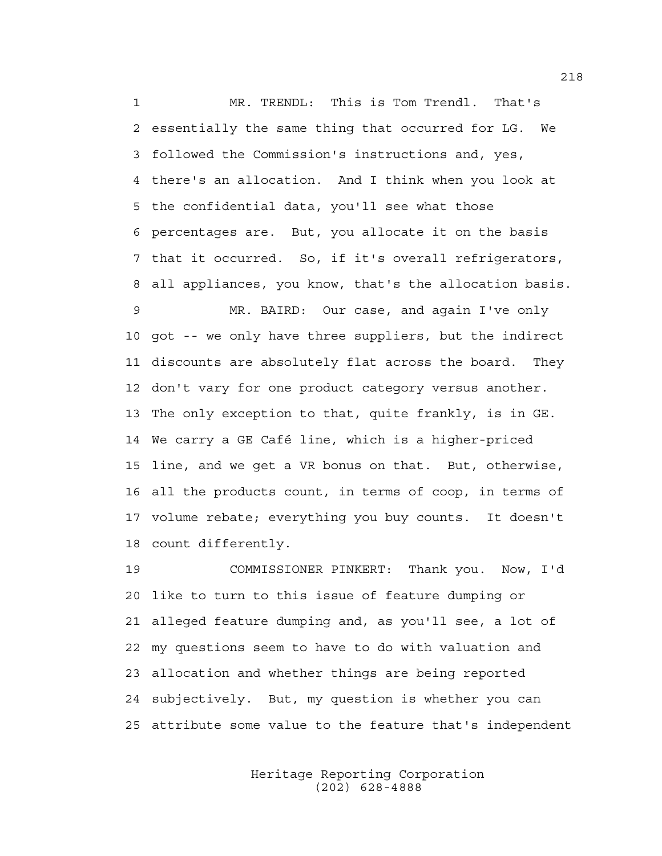1 MR. TRENDL: This is Tom Trendl. That's 2 essentially the same thing that occurred for LG. We 3 followed the Commission's instructions and, yes, 4 there's an allocation. And I think when you look at 5 the confidential data, you'll see what those 6 percentages are. But, you allocate it on the basis 7 that it occurred. So, if it's overall refrigerators, 8 all appliances, you know, that's the allocation basis.

9 MR. BAIRD: Our case, and again I've only 10 got -- we only have three suppliers, but the indirect 11 discounts are absolutely flat across the board. They 12 don't vary for one product category versus another. 13 The only exception to that, quite frankly, is in GE. 14 We carry a GE Café line, which is a higher-priced 15 line, and we get a VR bonus on that. But, otherwise, 16 all the products count, in terms of coop, in terms of 17 volume rebate; everything you buy counts. It doesn't 18 count differently.

19 COMMISSIONER PINKERT: Thank you. Now, I'd 20 like to turn to this issue of feature dumping or 21 alleged feature dumping and, as you'll see, a lot of 22 my questions seem to have to do with valuation and 23 allocation and whether things are being reported 24 subjectively. But, my question is whether you can 25 attribute some value to the feature that's independent

> Heritage Reporting Corporation (202) 628-4888

218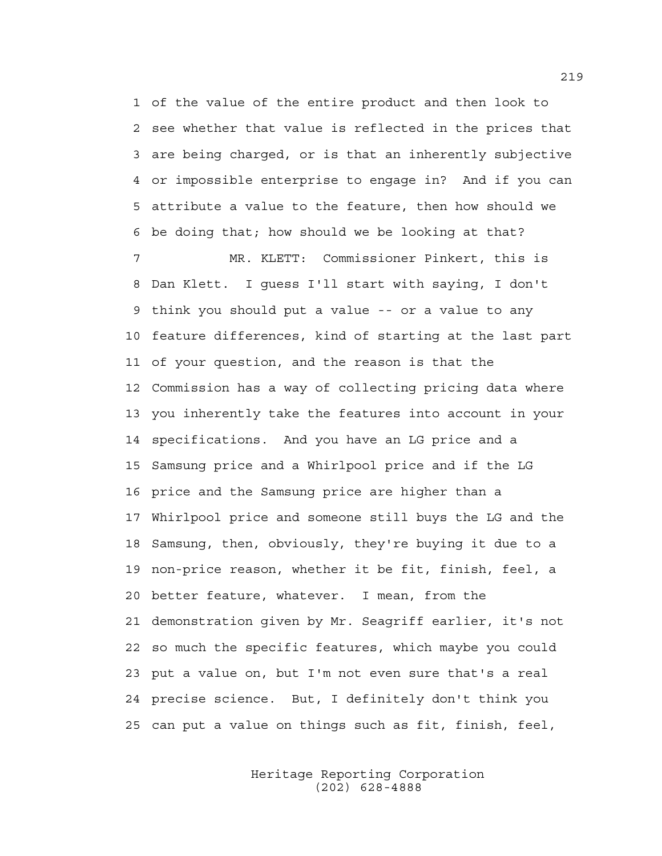1 of the value of the entire product and then look to 2 see whether that value is reflected in the prices that 3 are being charged, or is that an inherently subjective 4 or impossible enterprise to engage in? And if you can 5 attribute a value to the feature, then how should we 6 be doing that; how should we be looking at that?

7 MR. KLETT: Commissioner Pinkert, this is 8 Dan Klett. I guess I'll start with saying, I don't 9 think you should put a value -- or a value to any 10 feature differences, kind of starting at the last part 11 of your question, and the reason is that the 12 Commission has a way of collecting pricing data where 13 you inherently take the features into account in your 14 specifications. And you have an LG price and a 15 Samsung price and a Whirlpool price and if the LG 16 price and the Samsung price are higher than a 17 Whirlpool price and someone still buys the LG and the 18 Samsung, then, obviously, they're buying it due to a 19 non-price reason, whether it be fit, finish, feel, a 20 better feature, whatever. I mean, from the 21 demonstration given by Mr. Seagriff earlier, it's not 22 so much the specific features, which maybe you could 23 put a value on, but I'm not even sure that's a real 24 precise science. But, I definitely don't think you 25 can put a value on things such as fit, finish, feel,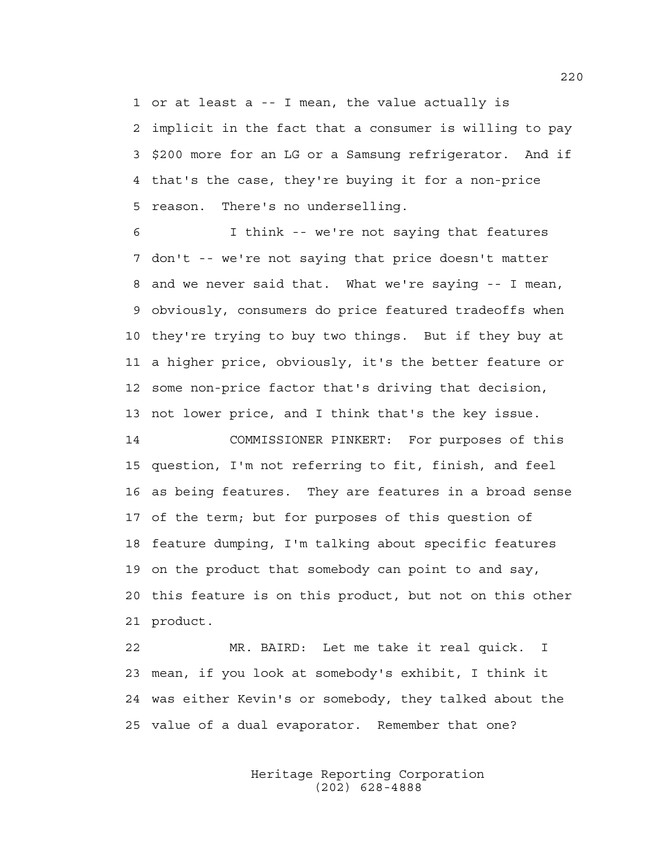1 or at least a -- I mean, the value actually is 2 implicit in the fact that a consumer is willing to pay 3 \$200 more for an LG or a Samsung refrigerator. And if 4 that's the case, they're buying it for a non-price 5 reason. There's no underselling.

6 I think -- we're not saying that features 7 don't -- we're not saying that price doesn't matter 8 and we never said that. What we're saying -- I mean, 9 obviously, consumers do price featured tradeoffs when 10 they're trying to buy two things. But if they buy at 11 a higher price, obviously, it's the better feature or 12 some non-price factor that's driving that decision, 13 not lower price, and I think that's the key issue.

14 COMMISSIONER PINKERT: For purposes of this 15 question, I'm not referring to fit, finish, and feel 16 as being features. They are features in a broad sense 17 of the term; but for purposes of this question of 18 feature dumping, I'm talking about specific features 19 on the product that somebody can point to and say, 20 this feature is on this product, but not on this other 21 product.

22 MR. BAIRD: Let me take it real quick. I 23 mean, if you look at somebody's exhibit, I think it 24 was either Kevin's or somebody, they talked about the 25 value of a dual evaporator. Remember that one?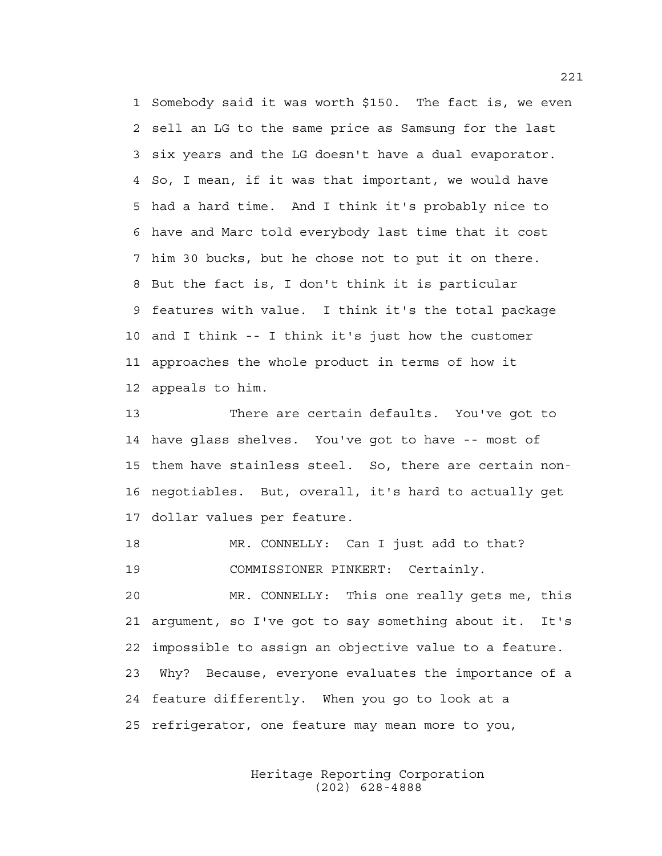1 Somebody said it was worth \$150. The fact is, we even 2 sell an LG to the same price as Samsung for the last 3 six years and the LG doesn't have a dual evaporator. 4 So, I mean, if it was that important, we would have 5 had a hard time. And I think it's probably nice to 6 have and Marc told everybody last time that it cost 7 him 30 bucks, but he chose not to put it on there. 8 But the fact is, I don't think it is particular 9 features with value. I think it's the total package 10 and I think -- I think it's just how the customer 11 approaches the whole product in terms of how it 12 appeals to him.

13 There are certain defaults. You've got to 14 have glass shelves. You've got to have -- most of 15 them have stainless steel. So, there are certain non-16 negotiables. But, overall, it's hard to actually get 17 dollar values per feature.

18 MR. CONNELLY: Can I just add to that? 19 COMMISSIONER PINKERT: Certainly.

20 MR. CONNELLY: This one really gets me, this 21 argument, so I've got to say something about it. It's 22 impossible to assign an objective value to a feature. 23 Why? Because, everyone evaluates the importance of a 24 feature differently. When you go to look at a 25 refrigerator, one feature may mean more to you,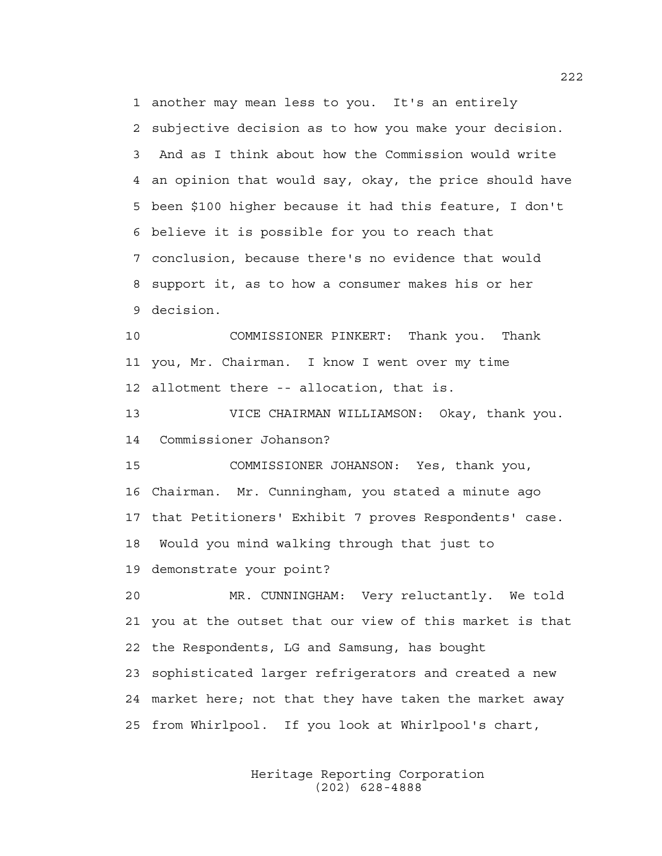1 another may mean less to you. It's an entirely 2 subjective decision as to how you make your decision. 3 And as I think about how the Commission would write 4 an opinion that would say, okay, the price should have 5 been \$100 higher because it had this feature, I don't 6 believe it is possible for you to reach that 7 conclusion, because there's no evidence that would 8 support it, as to how a consumer makes his or her 9 decision.

10 COMMISSIONER PINKERT: Thank you. Thank 11 you, Mr. Chairman. I know I went over my time 12 allotment there -- allocation, that is.

13 VICE CHAIRMAN WILLIAMSON: Okay, thank you. 14 Commissioner Johanson?

15 COMMISSIONER JOHANSON: Yes, thank you, 16 Chairman. Mr. Cunningham, you stated a minute ago 17 that Petitioners' Exhibit 7 proves Respondents' case. 18 Would you mind walking through that just to 19 demonstrate your point?

20 MR. CUNNINGHAM: Very reluctantly. We told 21 you at the outset that our view of this market is that 22 the Respondents, LG and Samsung, has bought 23 sophisticated larger refrigerators and created a new 24 market here; not that they have taken the market away 25 from Whirlpool. If you look at Whirlpool's chart,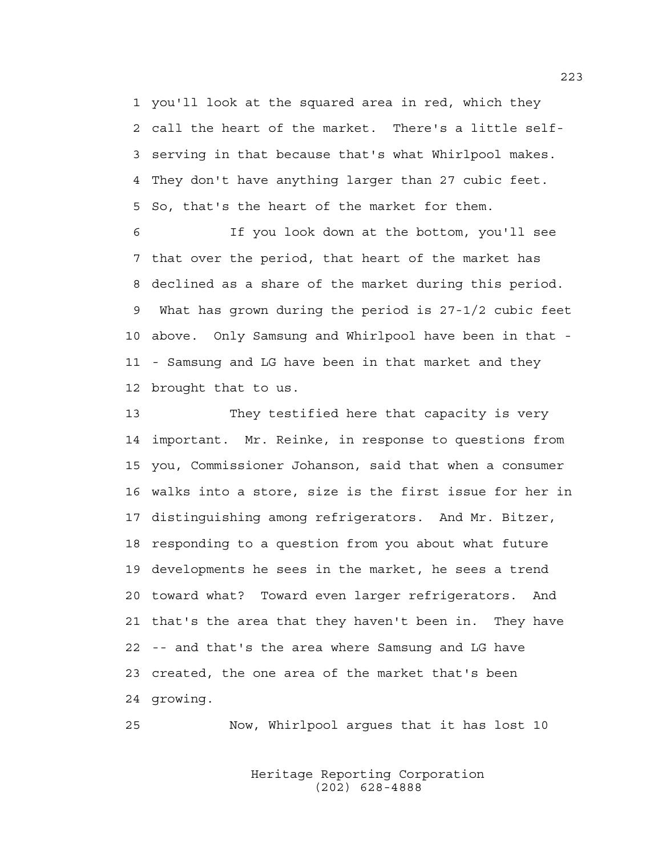1 you'll look at the squared area in red, which they 2 call the heart of the market. There's a little self-3 serving in that because that's what Whirlpool makes. 4 They don't have anything larger than 27 cubic feet. 5 So, that's the heart of the market for them.

6 If you look down at the bottom, you'll see 7 that over the period, that heart of the market has 8 declined as a share of the market during this period. 9 What has grown during the period is 27-1/2 cubic feet 10 above. Only Samsung and Whirlpool have been in that - 11 - Samsung and LG have been in that market and they 12 brought that to us.

13 They testified here that capacity is very 14 important. Mr. Reinke, in response to questions from 15 you, Commissioner Johanson, said that when a consumer 16 walks into a store, size is the first issue for her in 17 distinguishing among refrigerators. And Mr. Bitzer, 18 responding to a question from you about what future 19 developments he sees in the market, he sees a trend 20 toward what? Toward even larger refrigerators. And 21 that's the area that they haven't been in. They have 22 -- and that's the area where Samsung and LG have 23 created, the one area of the market that's been 24 growing.

25 Now, Whirlpool argues that it has lost 10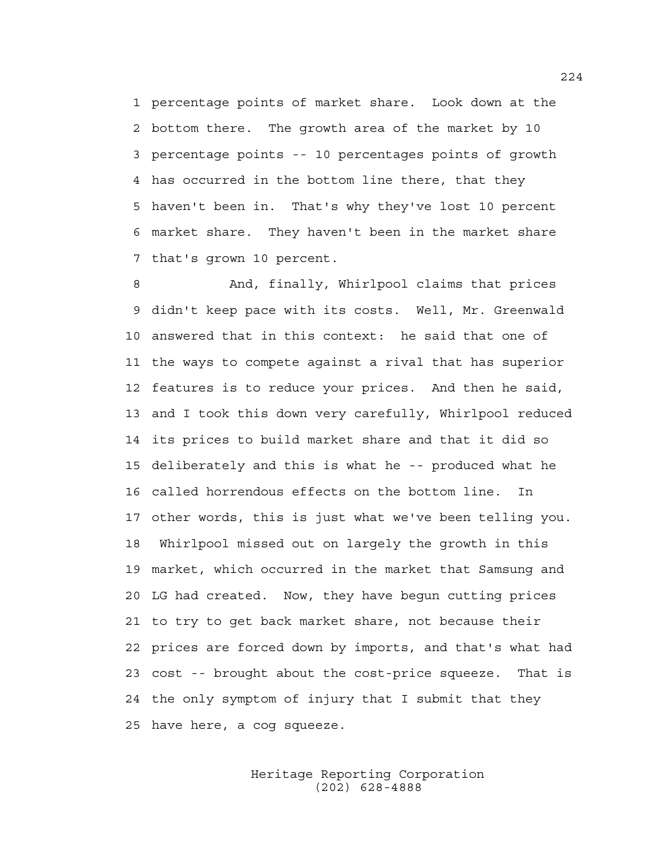1 percentage points of market share. Look down at the 2 bottom there. The growth area of the market by 10 3 percentage points -- 10 percentages points of growth 4 has occurred in the bottom line there, that they 5 haven't been in. That's why they've lost 10 percent 6 market share. They haven't been in the market share 7 that's grown 10 percent.

8 And, finally, Whirlpool claims that prices 9 didn't keep pace with its costs. Well, Mr. Greenwald 10 answered that in this context: he said that one of 11 the ways to compete against a rival that has superior 12 features is to reduce your prices. And then he said, 13 and I took this down very carefully, Whirlpool reduced 14 its prices to build market share and that it did so 15 deliberately and this is what he -- produced what he 16 called horrendous effects on the bottom line. In 17 other words, this is just what we've been telling you. 18 Whirlpool missed out on largely the growth in this 19 market, which occurred in the market that Samsung and 20 LG had created. Now, they have begun cutting prices 21 to try to get back market share, not because their 22 prices are forced down by imports, and that's what had 23 cost -- brought about the cost-price squeeze. That is 24 the only symptom of injury that I submit that they 25 have here, a cog squeeze.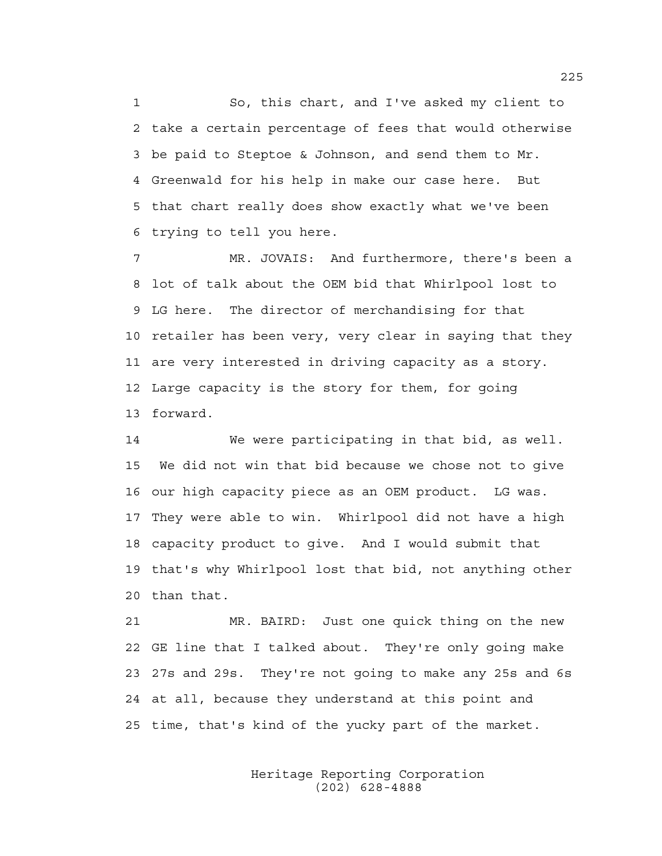1 So, this chart, and I've asked my client to 2 take a certain percentage of fees that would otherwise 3 be paid to Steptoe & Johnson, and send them to Mr. 4 Greenwald for his help in make our case here. But 5 that chart really does show exactly what we've been 6 trying to tell you here.

7 MR. JOVAIS: And furthermore, there's been a 8 lot of talk about the OEM bid that Whirlpool lost to 9 LG here. The director of merchandising for that 10 retailer has been very, very clear in saying that they 11 are very interested in driving capacity as a story. 12 Large capacity is the story for them, for going 13 forward.

14 We were participating in that bid, as well. 15 We did not win that bid because we chose not to give 16 our high capacity piece as an OEM product. LG was. 17 They were able to win. Whirlpool did not have a high 18 capacity product to give. And I would submit that 19 that's why Whirlpool lost that bid, not anything other 20 than that.

21 MR. BAIRD: Just one quick thing on the new 22 GE line that I talked about. They're only going make 23 27s and 29s. They're not going to make any 25s and 6s 24 at all, because they understand at this point and 25 time, that's kind of the yucky part of the market.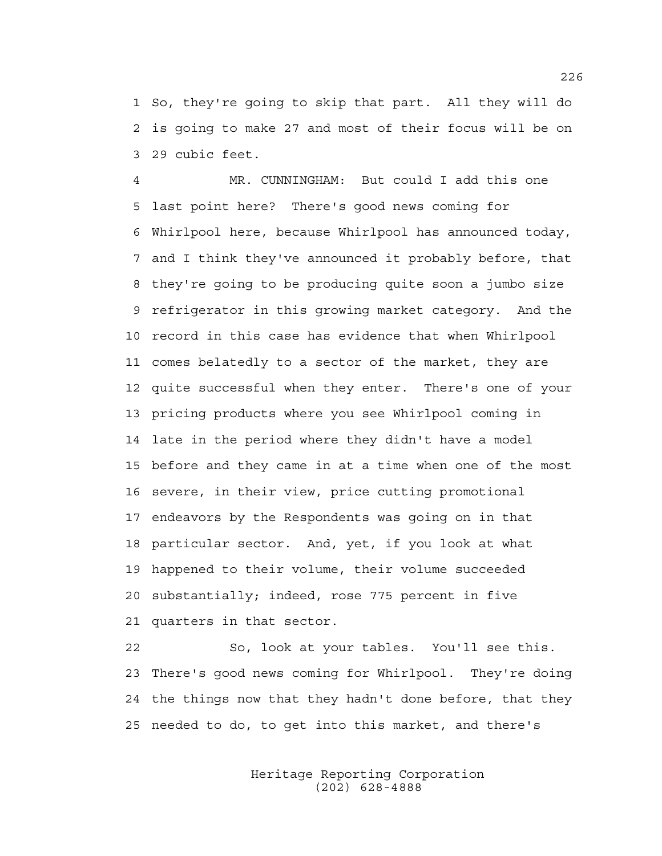1 So, they're going to skip that part. All they will do 2 is going to make 27 and most of their focus will be on 3 29 cubic feet.

4 MR. CUNNINGHAM: But could I add this one 5 last point here? There's good news coming for 6 Whirlpool here, because Whirlpool has announced today, 7 and I think they've announced it probably before, that 8 they're going to be producing quite soon a jumbo size 9 refrigerator in this growing market category. And the 10 record in this case has evidence that when Whirlpool 11 comes belatedly to a sector of the market, they are 12 quite successful when they enter. There's one of your 13 pricing products where you see Whirlpool coming in 14 late in the period where they didn't have a model 15 before and they came in at a time when one of the most 16 severe, in their view, price cutting promotional 17 endeavors by the Respondents was going on in that 18 particular sector. And, yet, if you look at what 19 happened to their volume, their volume succeeded 20 substantially; indeed, rose 775 percent in five 21 quarters in that sector.

22 So, look at your tables. You'll see this. 23 There's good news coming for Whirlpool. They're doing 24 the things now that they hadn't done before, that they 25 needed to do, to get into this market, and there's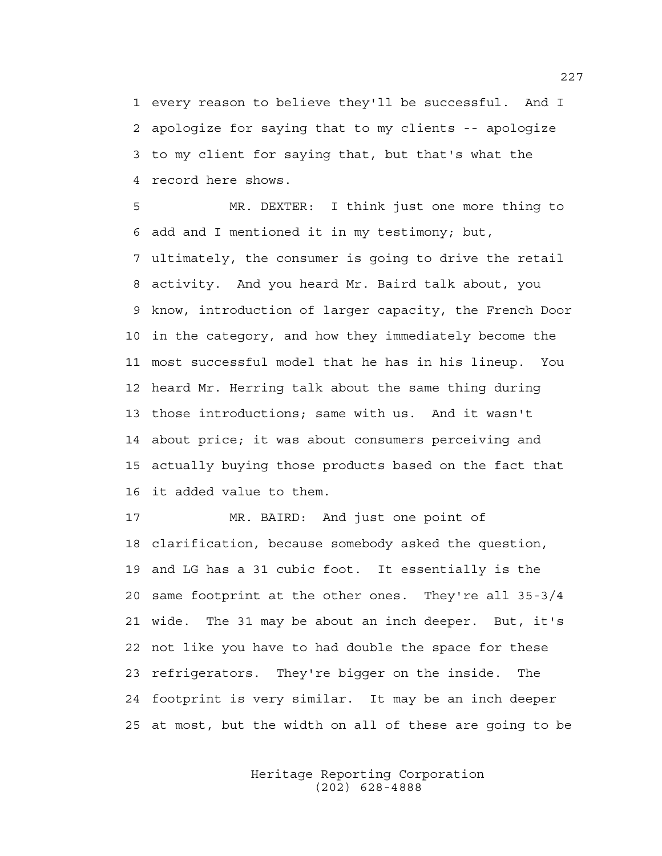1 every reason to believe they'll be successful. And I 2 apologize for saying that to my clients -- apologize 3 to my client for saying that, but that's what the 4 record here shows.

5 MR. DEXTER: I think just one more thing to 6 add and I mentioned it in my testimony; but, 7 ultimately, the consumer is going to drive the retail 8 activity. And you heard Mr. Baird talk about, you 9 know, introduction of larger capacity, the French Door 10 in the category, and how they immediately become the 11 most successful model that he has in his lineup. You 12 heard Mr. Herring talk about the same thing during 13 those introductions; same with us. And it wasn't 14 about price; it was about consumers perceiving and 15 actually buying those products based on the fact that 16 it added value to them.

17 MR. BAIRD: And just one point of 18 clarification, because somebody asked the question, 19 and LG has a 31 cubic foot. It essentially is the 20 same footprint at the other ones. They're all 35-3/4 21 wide. The 31 may be about an inch deeper. But, it's 22 not like you have to had double the space for these 23 refrigerators. They're bigger on the inside. The 24 footprint is very similar. It may be an inch deeper 25 at most, but the width on all of these are going to be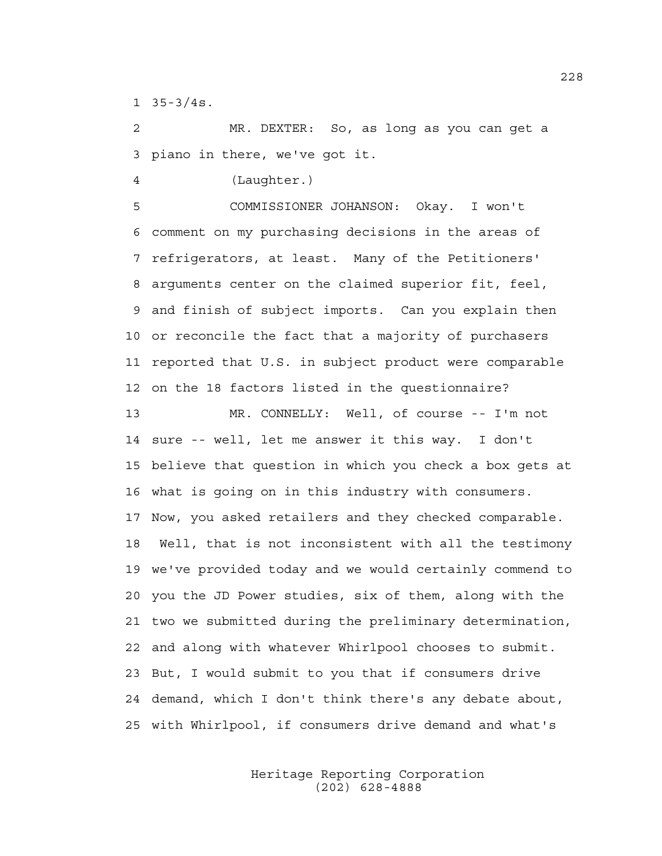1 35-3/4s.

2 MR. DEXTER: So, as long as you can get a 3 piano in there, we've got it.

4 (Laughter.)

5 COMMISSIONER JOHANSON: Okay. I won't 6 comment on my purchasing decisions in the areas of 7 refrigerators, at least. Many of the Petitioners' 8 arguments center on the claimed superior fit, feel, 9 and finish of subject imports. Can you explain then 10 or reconcile the fact that a majority of purchasers 11 reported that U.S. in subject product were comparable 12 on the 18 factors listed in the questionnaire?

13 MR. CONNELLY: Well, of course -- I'm not 14 sure -- well, let me answer it this way. I don't 15 believe that question in which you check a box gets at 16 what is going on in this industry with consumers. 17 Now, you asked retailers and they checked comparable. 18 Well, that is not inconsistent with all the testimony 19 we've provided today and we would certainly commend to 20 you the JD Power studies, six of them, along with the 21 two we submitted during the preliminary determination, 22 and along with whatever Whirlpool chooses to submit. 23 But, I would submit to you that if consumers drive 24 demand, which I don't think there's any debate about, 25 with Whirlpool, if consumers drive demand and what's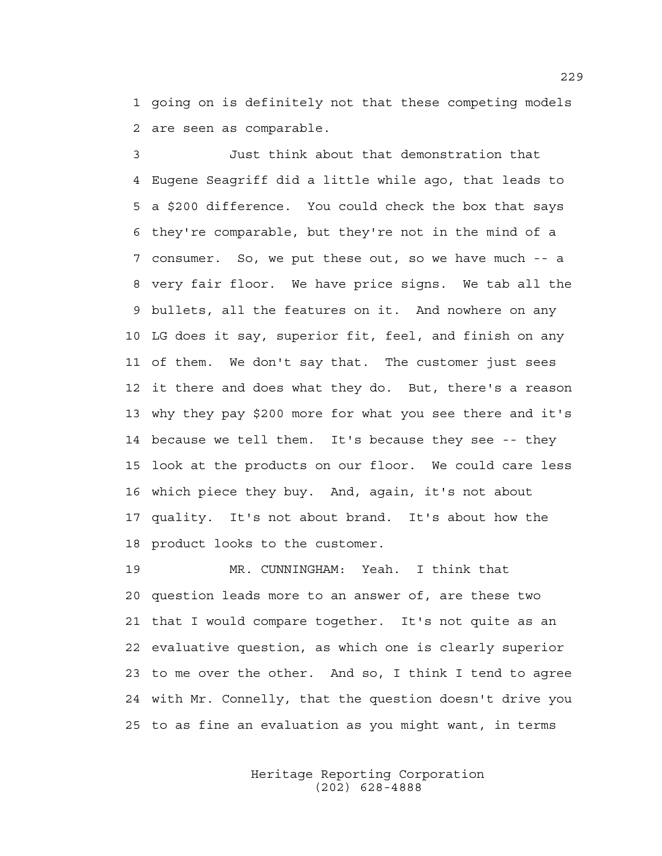1 going on is definitely not that these competing models 2 are seen as comparable.

3 Just think about that demonstration that 4 Eugene Seagriff did a little while ago, that leads to 5 a \$200 difference. You could check the box that says 6 they're comparable, but they're not in the mind of a 7 consumer. So, we put these out, so we have much -- a 8 very fair floor. We have price signs. We tab all the 9 bullets, all the features on it. And nowhere on any 10 LG does it say, superior fit, feel, and finish on any 11 of them. We don't say that. The customer just sees 12 it there and does what they do. But, there's a reason 13 why they pay \$200 more for what you see there and it's 14 because we tell them. It's because they see -- they 15 look at the products on our floor. We could care less 16 which piece they buy. And, again, it's not about 17 quality. It's not about brand. It's about how the 18 product looks to the customer.

19 MR. CUNNINGHAM: Yeah. I think that 20 question leads more to an answer of, are these two 21 that I would compare together. It's not quite as an 22 evaluative question, as which one is clearly superior 23 to me over the other. And so, I think I tend to agree 24 with Mr. Connelly, that the question doesn't drive you 25 to as fine an evaluation as you might want, in terms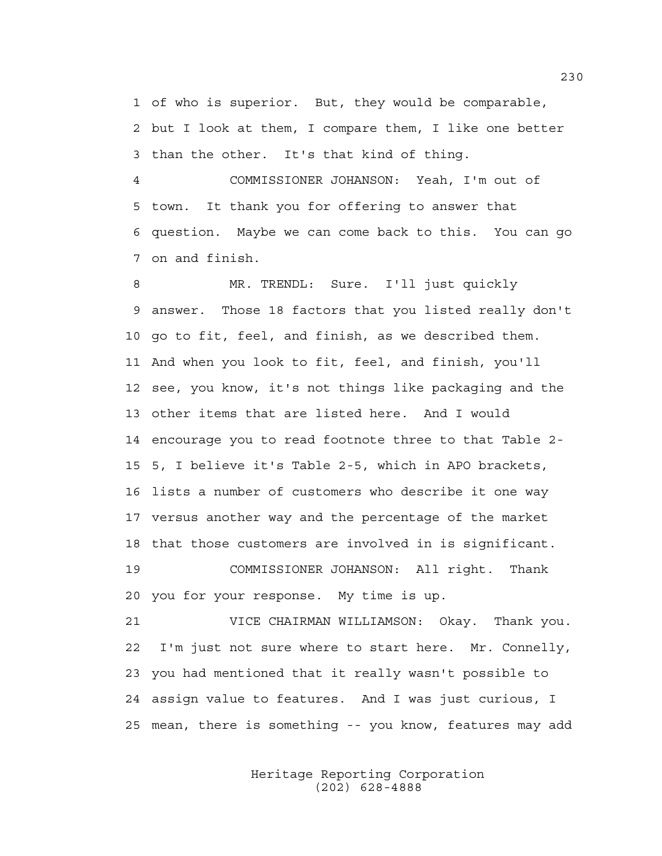1 of who is superior. But, they would be comparable, 2 but I look at them, I compare them, I like one better 3 than the other. It's that kind of thing.

4 COMMISSIONER JOHANSON: Yeah, I'm out of 5 town. It thank you for offering to answer that 6 question. Maybe we can come back to this. You can go 7 on and finish.

8 MR. TRENDL: Sure. I'll just quickly 9 answer. Those 18 factors that you listed really don't 10 go to fit, feel, and finish, as we described them. 11 And when you look to fit, feel, and finish, you'll 12 see, you know, it's not things like packaging and the 13 other items that are listed here. And I would 14 encourage you to read footnote three to that Table 2- 15 5, I believe it's Table 2-5, which in APO brackets, 16 lists a number of customers who describe it one way 17 versus another way and the percentage of the market 18 that those customers are involved in is significant. 19 COMMISSIONER JOHANSON: All right. Thank 20 you for your response. My time is up.

21 VICE CHAIRMAN WILLIAMSON: Okay. Thank you. 22 I'm just not sure where to start here. Mr. Connelly, 23 you had mentioned that it really wasn't possible to 24 assign value to features. And I was just curious, I 25 mean, there is something -- you know, features may add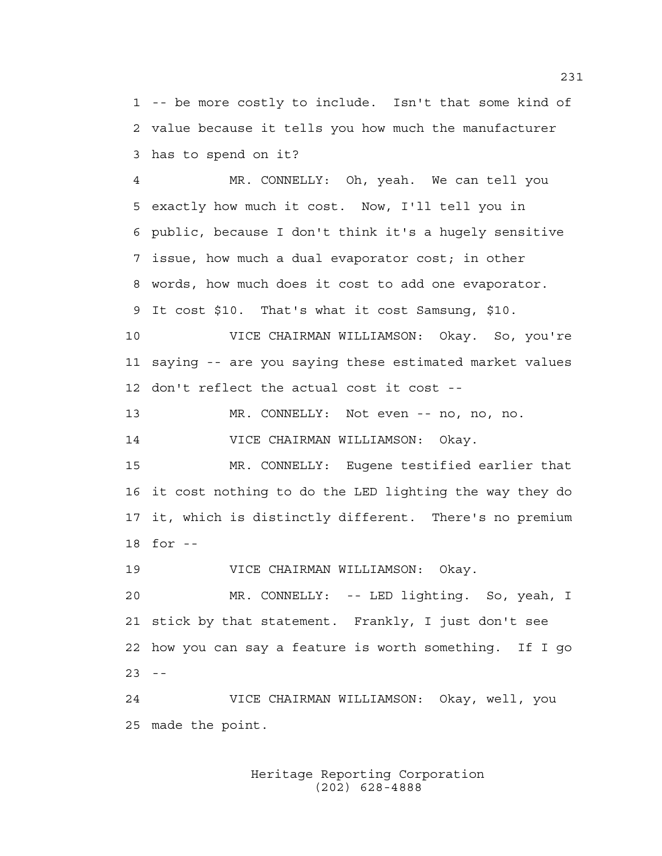1 -- be more costly to include. Isn't that some kind of 2 value because it tells you how much the manufacturer 3 has to spend on it?

4 MR. CONNELLY: Oh, yeah. We can tell you 5 exactly how much it cost. Now, I'll tell you in 6 public, because I don't think it's a hugely sensitive 7 issue, how much a dual evaporator cost; in other 8 words, how much does it cost to add one evaporator. 9 It cost \$10. That's what it cost Samsung, \$10.

10 VICE CHAIRMAN WILLIAMSON: Okay. So, you're 11 saying -- are you saying these estimated market values 12 don't reflect the actual cost it cost --

13 MR. CONNELLY: Not even -- no, no, no.

14 VICE CHAIRMAN WILLIAMSON: Okay.

15 MR. CONNELLY: Eugene testified earlier that 16 it cost nothing to do the LED lighting the way they do 17 it, which is distinctly different. There's no premium 18 for --

19 VICE CHAIRMAN WILLIAMSON: Okay.

20 MR. CONNELLY: -- LED lighting. So, yeah, I 21 stick by that statement. Frankly, I just don't see 22 how you can say a feature is worth something. If I go  $23 - -$ 

24 VICE CHAIRMAN WILLIAMSON: Okay, well, you 25 made the point.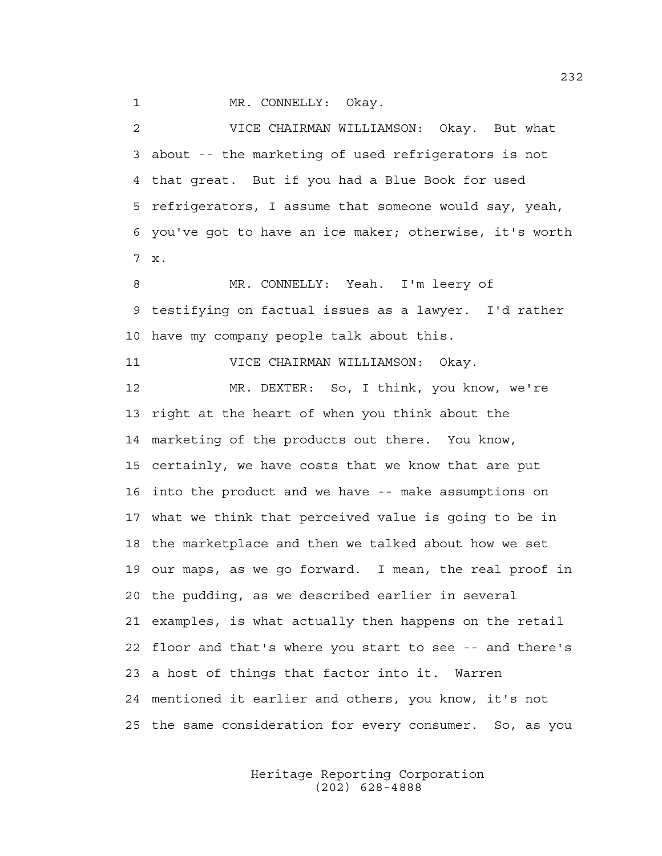1 MR. CONNELLY: Okay.

2 VICE CHAIRMAN WILLIAMSON: Okay. But what 3 about -- the marketing of used refrigerators is not 4 that great. But if you had a Blue Book for used 5 refrigerators, I assume that someone would say, yeah, 6 you've got to have an ice maker; otherwise, it's worth 7 x.

8 MR. CONNELLY: Yeah. I'm leery of 9 testifying on factual issues as a lawyer. I'd rather 10 have my company people talk about this.

11 VICE CHAIRMAN WILLIAMSON: Okay.

12 MR. DEXTER: So, I think, you know, we're 13 right at the heart of when you think about the 14 marketing of the products out there. You know, 15 certainly, we have costs that we know that are put 16 into the product and we have -- make assumptions on 17 what we think that perceived value is going to be in 18 the marketplace and then we talked about how we set 19 our maps, as we go forward. I mean, the real proof in 20 the pudding, as we described earlier in several 21 examples, is what actually then happens on the retail 22 floor and that's where you start to see -- and there's 23 a host of things that factor into it. Warren 24 mentioned it earlier and others, you know, it's not 25 the same consideration for every consumer. So, as you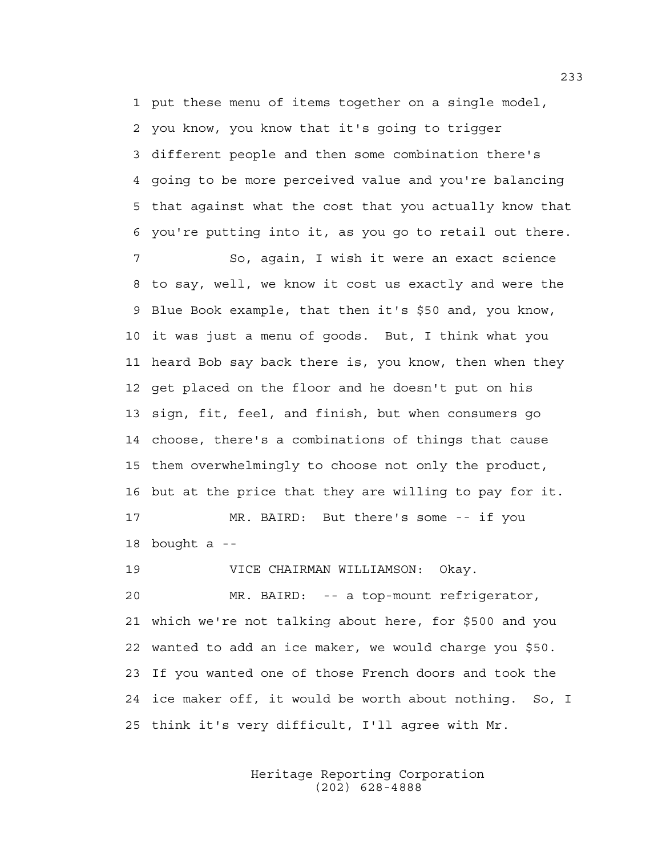1 put these menu of items together on a single model, 2 you know, you know that it's going to trigger 3 different people and then some combination there's 4 going to be more perceived value and you're balancing 5 that against what the cost that you actually know that 6 you're putting into it, as you go to retail out there. 7 So, again, I wish it were an exact science

8 to say, well, we know it cost us exactly and were the 9 Blue Book example, that then it's \$50 and, you know, 10 it was just a menu of goods. But, I think what you 11 heard Bob say back there is, you know, then when they 12 get placed on the floor and he doesn't put on his 13 sign, fit, feel, and finish, but when consumers go 14 choose, there's a combinations of things that cause 15 them overwhelmingly to choose not only the product, 16 but at the price that they are willing to pay for it.

17 MR. BAIRD: But there's some -- if you 18 bought a --

19 VICE CHAIRMAN WILLIAMSON: Okay.

20 MR. BAIRD: -- a top-mount refrigerator, 21 which we're not talking about here, for \$500 and you 22 wanted to add an ice maker, we would charge you \$50. 23 If you wanted one of those French doors and took the 24 ice maker off, it would be worth about nothing. So, I 25 think it's very difficult, I'll agree with Mr.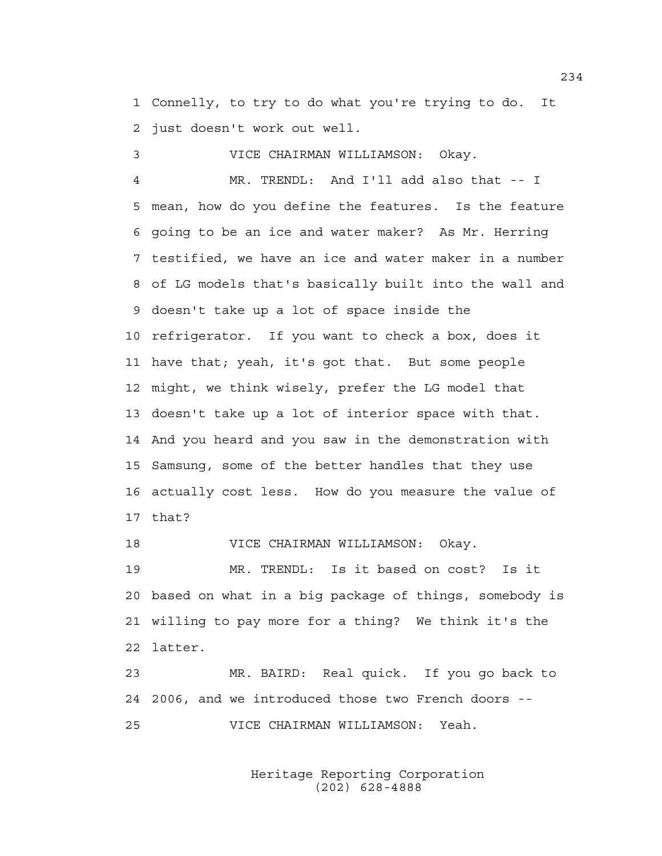1 Connelly, to try to do what you're trying to do. It 2 just doesn't work out well.

3 VICE CHAIRMAN WILLIAMSON: Okay.

4 MR. TRENDL: And I'll add also that -- I 5 mean, how do you define the features. Is the feature 6 going to be an ice and water maker? As Mr. Herring 7 testified, we have an ice and water maker in a number 8 of LG models that's basically built into the wall and 9 doesn't take up a lot of space inside the 10 refrigerator. If you want to check a box, does it 11 have that; yeah, it's got that. But some people 12 might, we think wisely, prefer the LG model that 13 doesn't take up a lot of interior space with that. 14 And you heard and you saw in the demonstration with 15 Samsung, some of the better handles that they use 16 actually cost less. How do you measure the value of 17 that?

18 VICE CHAIRMAN WILLIAMSON: Okay.

19 MR. TRENDL: Is it based on cost? Is it 20 based on what in a big package of things, somebody is 21 willing to pay more for a thing? We think it's the 22 latter.

23 MR. BAIRD: Real quick. If you go back to 24 2006, and we introduced those two French doors -- 25 VICE CHAIRMAN WILLIAMSON: Yeah.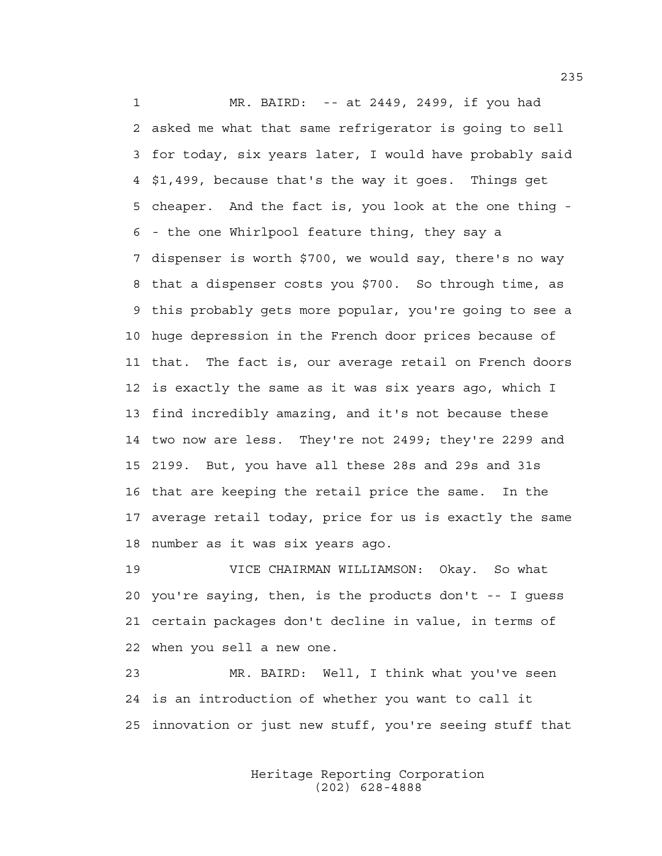1 MR. BAIRD: -- at 2449, 2499, if you had 2 asked me what that same refrigerator is going to sell 3 for today, six years later, I would have probably said 4 \$1,499, because that's the way it goes. Things get 5 cheaper. And the fact is, you look at the one thing - 6 - the one Whirlpool feature thing, they say a 7 dispenser is worth \$700, we would say, there's no way 8 that a dispenser costs you \$700. So through time, as 9 this probably gets more popular, you're going to see a 10 huge depression in the French door prices because of 11 that. The fact is, our average retail on French doors 12 is exactly the same as it was six years ago, which I 13 find incredibly amazing, and it's not because these 14 two now are less. They're not 2499; they're 2299 and 15 2199. But, you have all these 28s and 29s and 31s 16 that are keeping the retail price the same. In the 17 average retail today, price for us is exactly the same 18 number as it was six years ago.

19 VICE CHAIRMAN WILLIAMSON: Okay. So what 20 you're saying, then, is the products don't -- I guess 21 certain packages don't decline in value, in terms of 22 when you sell a new one.

23 MR. BAIRD: Well, I think what you've seen 24 is an introduction of whether you want to call it 25 innovation or just new stuff, you're seeing stuff that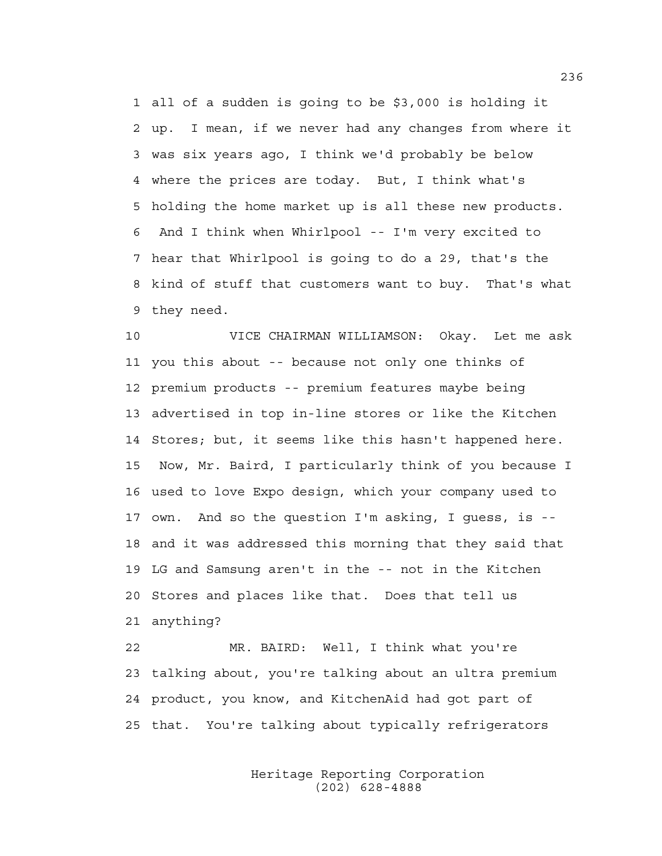1 all of a sudden is going to be \$3,000 is holding it 2 up. I mean, if we never had any changes from where it 3 was six years ago, I think we'd probably be below 4 where the prices are today. But, I think what's 5 holding the home market up is all these new products. 6 And I think when Whirlpool -- I'm very excited to 7 hear that Whirlpool is going to do a 29, that's the 8 kind of stuff that customers want to buy. That's what 9 they need.

10 VICE CHAIRMAN WILLIAMSON: Okay. Let me ask 11 you this about -- because not only one thinks of 12 premium products -- premium features maybe being 13 advertised in top in-line stores or like the Kitchen 14 Stores; but, it seems like this hasn't happened here. 15 Now, Mr. Baird, I particularly think of you because I 16 used to love Expo design, which your company used to 17 own. And so the question I'm asking, I guess, is -- 18 and it was addressed this morning that they said that 19 LG and Samsung aren't in the -- not in the Kitchen 20 Stores and places like that. Does that tell us 21 anything?

22 MR. BAIRD: Well, I think what you're 23 talking about, you're talking about an ultra premium 24 product, you know, and KitchenAid had got part of 25 that. You're talking about typically refrigerators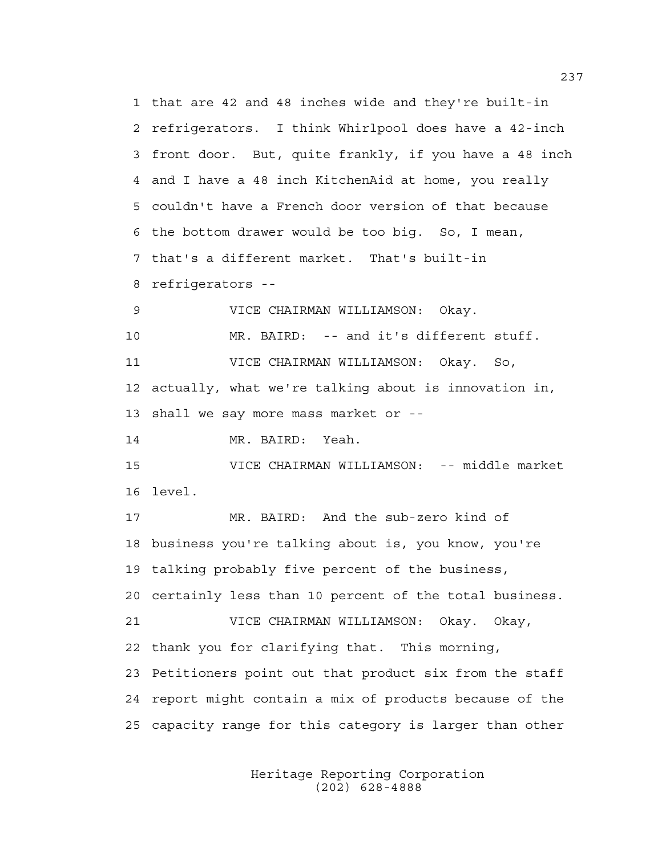1 that are 42 and 48 inches wide and they're built-in 2 refrigerators. I think Whirlpool does have a 42-inch 3 front door. But, quite frankly, if you have a 48 inch 4 and I have a 48 inch KitchenAid at home, you really 5 couldn't have a French door version of that because 6 the bottom drawer would be too big. So, I mean, 7 that's a different market. That's built-in 8 refrigerators -- 9 VICE CHAIRMAN WILLIAMSON: Okay. 10 MR. BAIRD: -- and it's different stuff. 11 VICE CHAIRMAN WILLIAMSON: Okay. So, 12 actually, what we're talking about is innovation in, 13 shall we say more mass market or -- 14 MR. BAIRD: Yeah. 15 VICE CHAIRMAN WILLIAMSON: -- middle market 16 level. 17 MR. BAIRD: And the sub-zero kind of 18 business you're talking about is, you know, you're 19 talking probably five percent of the business, 20 certainly less than 10 percent of the total business. 21 VICE CHAIRMAN WILLIAMSON: Okay. Okay, 22 thank you for clarifying that. This morning, 23 Petitioners point out that product six from the staff 24 report might contain a mix of products because of the 25 capacity range for this category is larger than other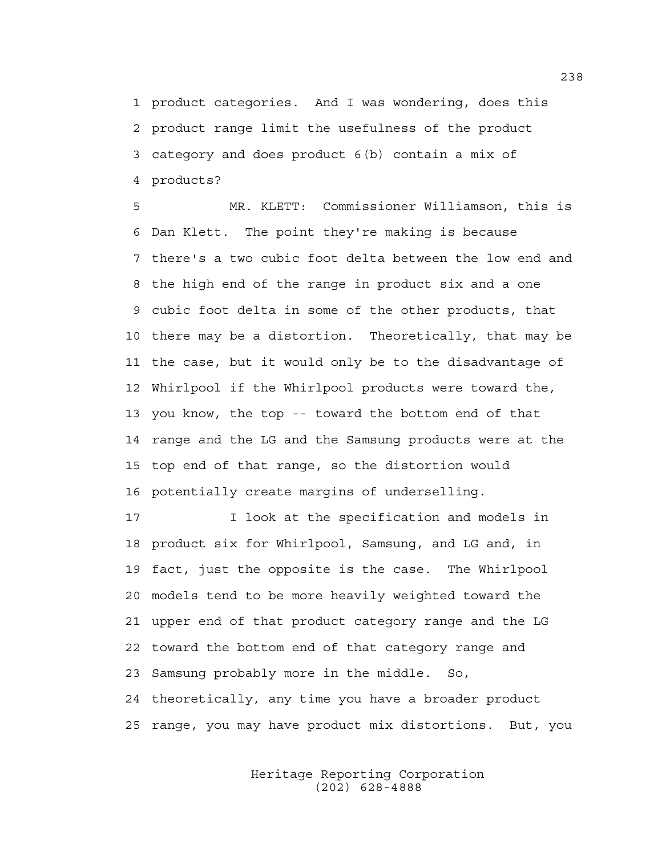1 product categories. And I was wondering, does this 2 product range limit the usefulness of the product 3 category and does product 6(b) contain a mix of 4 products?

5 MR. KLETT: Commissioner Williamson, this is 6 Dan Klett. The point they're making is because 7 there's a two cubic foot delta between the low end and 8 the high end of the range in product six and a one 9 cubic foot delta in some of the other products, that 10 there may be a distortion. Theoretically, that may be 11 the case, but it would only be to the disadvantage of 12 Whirlpool if the Whirlpool products were toward the, 13 you know, the top -- toward the bottom end of that 14 range and the LG and the Samsung products were at the 15 top end of that range, so the distortion would 16 potentially create margins of underselling.

17 I look at the specification and models in 18 product six for Whirlpool, Samsung, and LG and, in 19 fact, just the opposite is the case. The Whirlpool 20 models tend to be more heavily weighted toward the 21 upper end of that product category range and the LG 22 toward the bottom end of that category range and 23 Samsung probably more in the middle. So, 24 theoretically, any time you have a broader product 25 range, you may have product mix distortions. But, you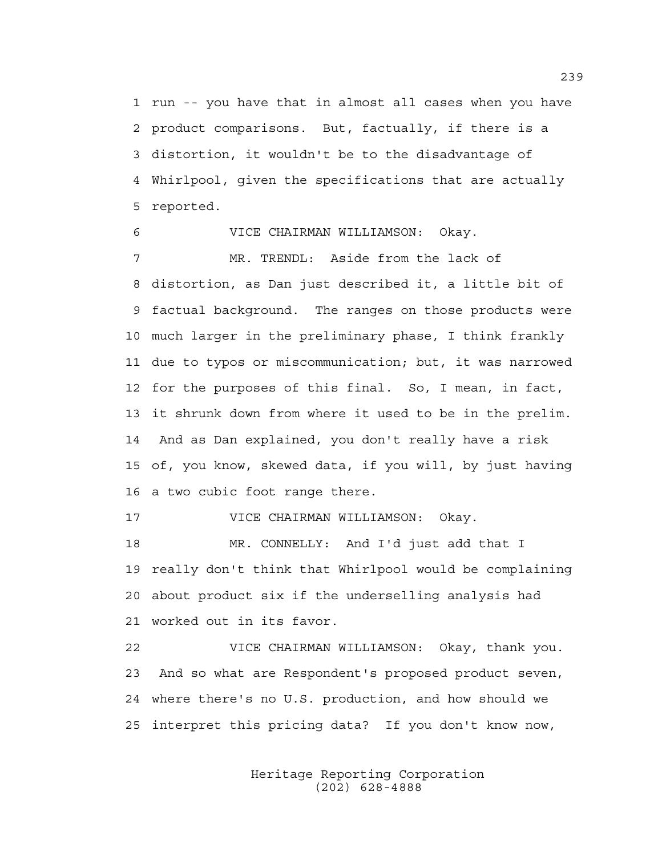1 run -- you have that in almost all cases when you have 2 product comparisons. But, factually, if there is a 3 distortion, it wouldn't be to the disadvantage of 4 Whirlpool, given the specifications that are actually 5 reported.

6 VICE CHAIRMAN WILLIAMSON: Okay. 7 MR. TRENDL: Aside from the lack of 8 distortion, as Dan just described it, a little bit of 9 factual background. The ranges on those products were 10 much larger in the preliminary phase, I think frankly 11 due to typos or miscommunication; but, it was narrowed 12 for the purposes of this final. So, I mean, in fact, 13 it shrunk down from where it used to be in the prelim. 14 And as Dan explained, you don't really have a risk 15 of, you know, skewed data, if you will, by just having 16 a two cubic foot range there.

17 VICE CHAIRMAN WILLIAMSON: Okay.

18 MR. CONNELLY: And I'd just add that I 19 really don't think that Whirlpool would be complaining 20 about product six if the underselling analysis had 21 worked out in its favor.

22 VICE CHAIRMAN WILLIAMSON: Okay, thank you. 23 And so what are Respondent's proposed product seven, 24 where there's no U.S. production, and how should we 25 interpret this pricing data? If you don't know now,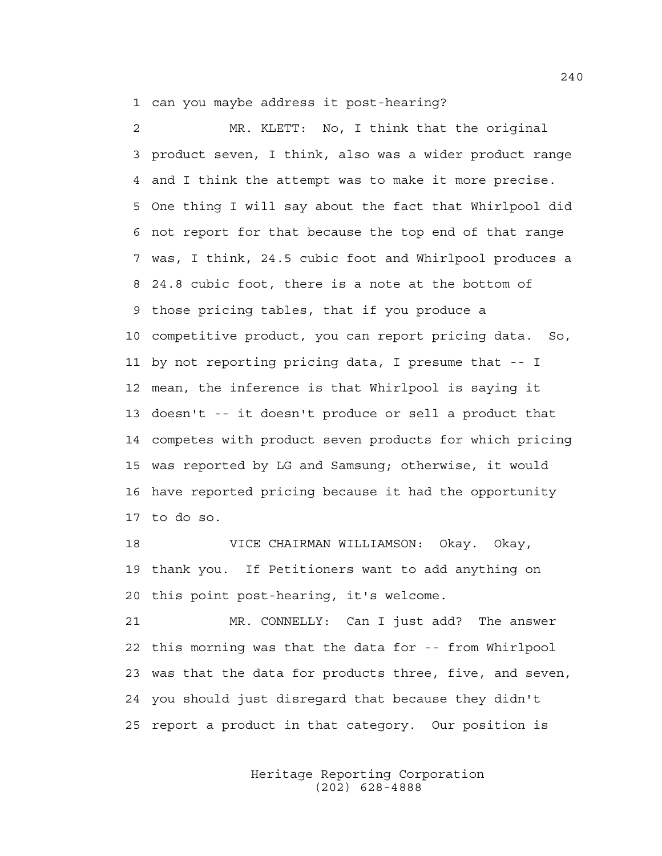1 can you maybe address it post-hearing?

2 MR. KLETT: No, I think that the original 3 product seven, I think, also was a wider product range 4 and I think the attempt was to make it more precise. 5 One thing I will say about the fact that Whirlpool did 6 not report for that because the top end of that range 7 was, I think, 24.5 cubic foot and Whirlpool produces a 8 24.8 cubic foot, there is a note at the bottom of 9 those pricing tables, that if you produce a 10 competitive product, you can report pricing data. So, 11 by not reporting pricing data, I presume that -- I 12 mean, the inference is that Whirlpool is saying it 13 doesn't -- it doesn't produce or sell a product that 14 competes with product seven products for which pricing 15 was reported by LG and Samsung; otherwise, it would 16 have reported pricing because it had the opportunity 17 to do so.

18 VICE CHAIRMAN WILLIAMSON: Okay. Okay, 19 thank you. If Petitioners want to add anything on 20 this point post-hearing, it's welcome.

21 MR. CONNELLY: Can I just add? The answer 22 this morning was that the data for -- from Whirlpool 23 was that the data for products three, five, and seven, 24 you should just disregard that because they didn't 25 report a product in that category. Our position is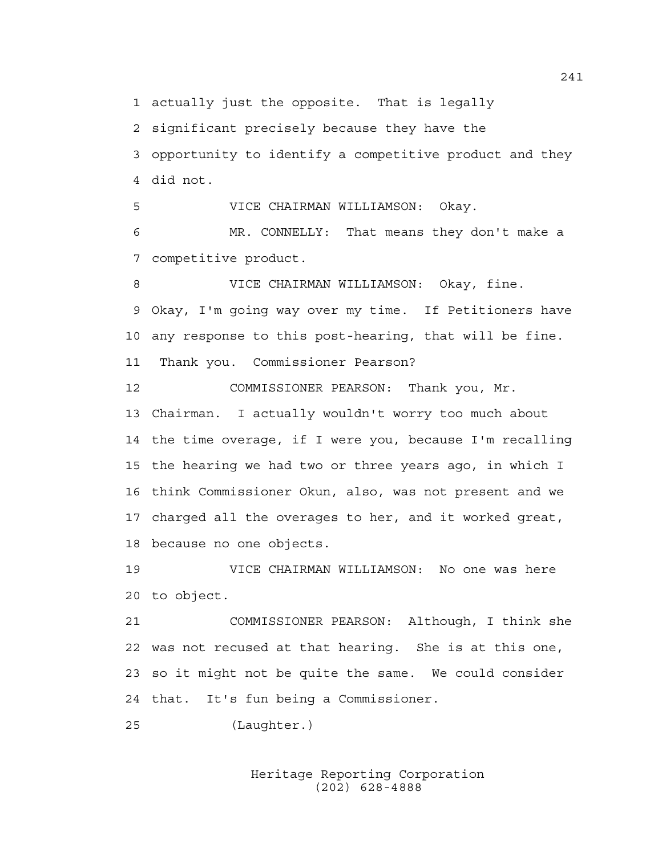1 actually just the opposite. That is legally

2 significant precisely because they have the

3 opportunity to identify a competitive product and they 4 did not.

5 VICE CHAIRMAN WILLIAMSON: Okay.

6 MR. CONNELLY: That means they don't make a 7 competitive product.

8 VICE CHAIRMAN WILLIAMSON: Okay, fine. 9 Okay, I'm going way over my time. If Petitioners have 10 any response to this post-hearing, that will be fine. 11 Thank you. Commissioner Pearson?

12 COMMISSIONER PEARSON: Thank you, Mr. 13 Chairman. I actually wouldn't worry too much about 14 the time overage, if I were you, because I'm recalling 15 the hearing we had two or three years ago, in which I 16 think Commissioner Okun, also, was not present and we 17 charged all the overages to her, and it worked great, 18 because no one objects.

19 VICE CHAIRMAN WILLIAMSON: No one was here 20 to object.

21 COMMISSIONER PEARSON: Although, I think she 22 was not recused at that hearing. She is at this one, 23 so it might not be quite the same. We could consider 24 that. It's fun being a Commissioner.

25 (Laughter.)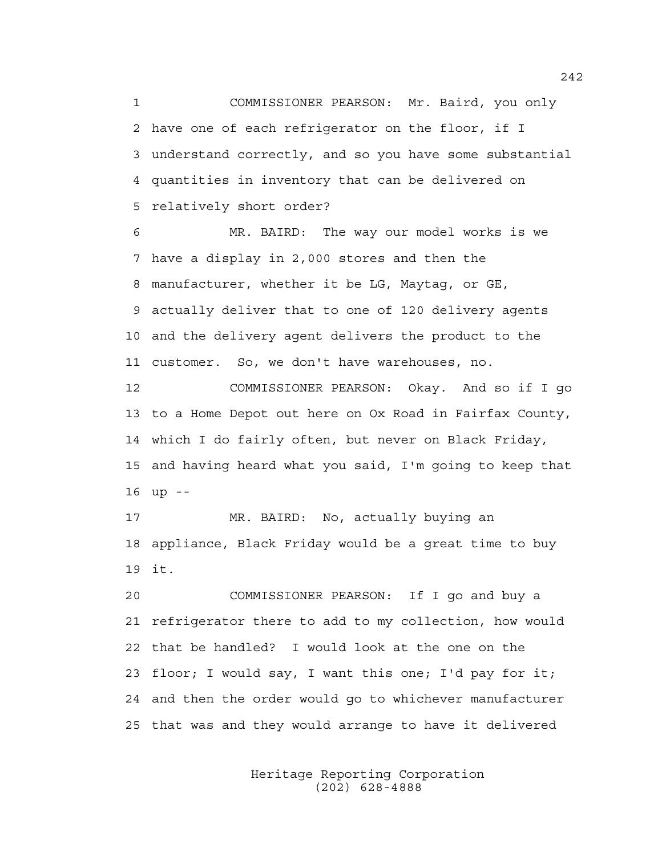1 COMMISSIONER PEARSON: Mr. Baird, you only 2 have one of each refrigerator on the floor, if I 3 understand correctly, and so you have some substantial 4 quantities in inventory that can be delivered on 5 relatively short order?

6 MR. BAIRD: The way our model works is we 7 have a display in 2,000 stores and then the 8 manufacturer, whether it be LG, Maytag, or GE, 9 actually deliver that to one of 120 delivery agents 10 and the delivery agent delivers the product to the 11 customer. So, we don't have warehouses, no.

12 COMMISSIONER PEARSON: Okay. And so if I go 13 to a Home Depot out here on Ox Road in Fairfax County, 14 which I do fairly often, but never on Black Friday, 15 and having heard what you said, I'm going to keep that 16 up --

17 MR. BAIRD: No, actually buying an 18 appliance, Black Friday would be a great time to buy 19 it.

20 COMMISSIONER PEARSON: If I go and buy a 21 refrigerator there to add to my collection, how would 22 that be handled? I would look at the one on the 23 floor; I would say, I want this one; I'd pay for it; 24 and then the order would go to whichever manufacturer 25 that was and they would arrange to have it delivered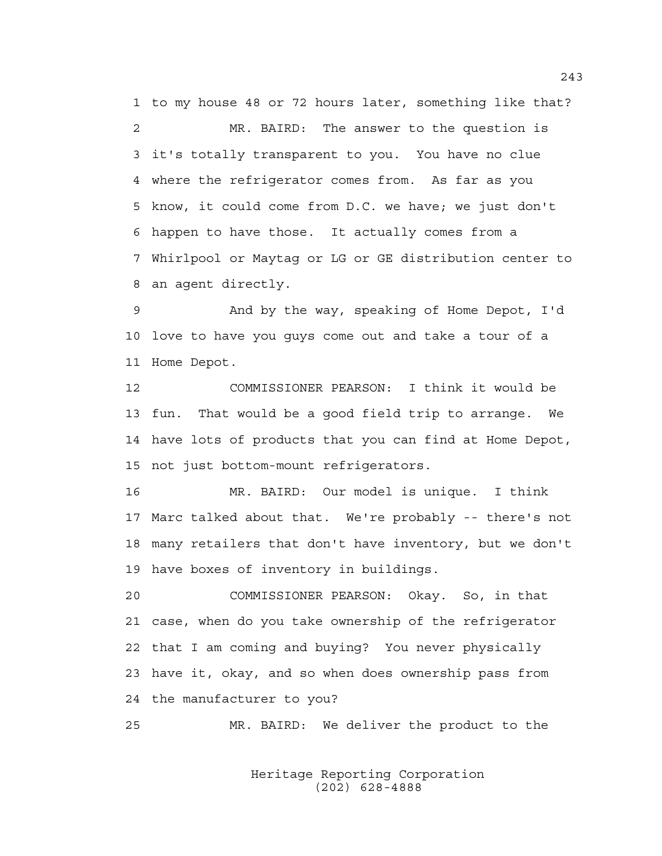1 to my house 48 or 72 hours later, something like that? 2 MR. BAIRD: The answer to the question is 3 it's totally transparent to you. You have no clue 4 where the refrigerator comes from. As far as you 5 know, it could come from D.C. we have; we just don't 6 happen to have those. It actually comes from a 7 Whirlpool or Maytag or LG or GE distribution center to 8 an agent directly.

9 And by the way, speaking of Home Depot, I'd 10 love to have you guys come out and take a tour of a 11 Home Depot.

12 COMMISSIONER PEARSON: I think it would be 13 fun. That would be a good field trip to arrange. We 14 have lots of products that you can find at Home Depot, 15 not just bottom-mount refrigerators.

16 MR. BAIRD: Our model is unique. I think 17 Marc talked about that. We're probably -- there's not 18 many retailers that don't have inventory, but we don't 19 have boxes of inventory in buildings.

20 COMMISSIONER PEARSON: Okay. So, in that 21 case, when do you take ownership of the refrigerator 22 that I am coming and buying? You never physically 23 have it, okay, and so when does ownership pass from 24 the manufacturer to you?

25 MR. BAIRD: We deliver the product to the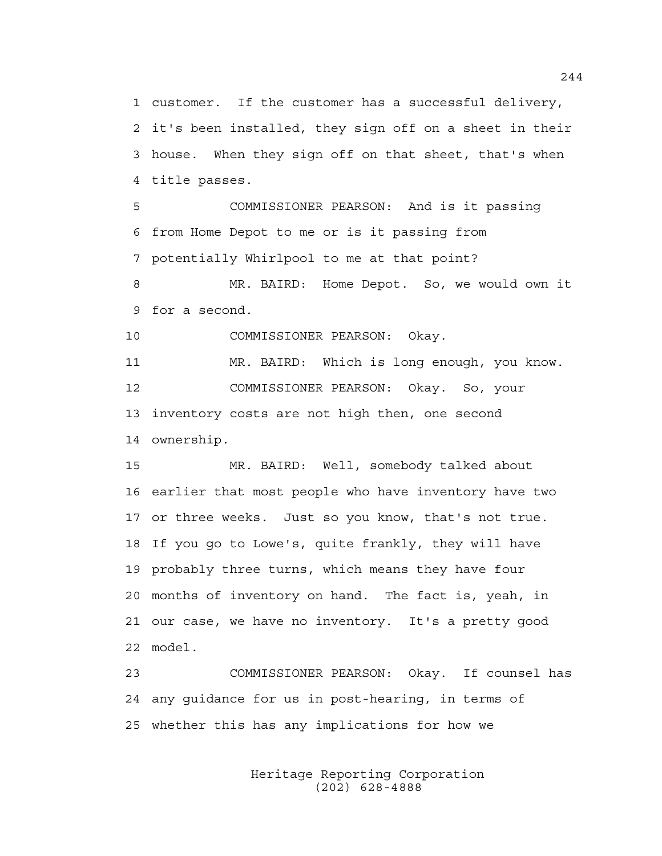1 customer. If the customer has a successful delivery, 2 it's been installed, they sign off on a sheet in their 3 house. When they sign off on that sheet, that's when 4 title passes.

5 COMMISSIONER PEARSON: And is it passing 6 from Home Depot to me or is it passing from 7 potentially Whirlpool to me at that point?

8 MR. BAIRD: Home Depot. So, we would own it 9 for a second.

10 COMMISSIONER PEARSON: Okay.

11 MR. BAIRD: Which is long enough, you know. 12 COMMISSIONER PEARSON: Okay. So, your 13 inventory costs are not high then, one second 14 ownership.

15 MR. BAIRD: Well, somebody talked about 16 earlier that most people who have inventory have two 17 or three weeks. Just so you know, that's not true. 18 If you go to Lowe's, quite frankly, they will have 19 probably three turns, which means they have four 20 months of inventory on hand. The fact is, yeah, in 21 our case, we have no inventory. It's a pretty good 22 model.

23 COMMISSIONER PEARSON: Okay. If counsel has 24 any guidance for us in post-hearing, in terms of 25 whether this has any implications for how we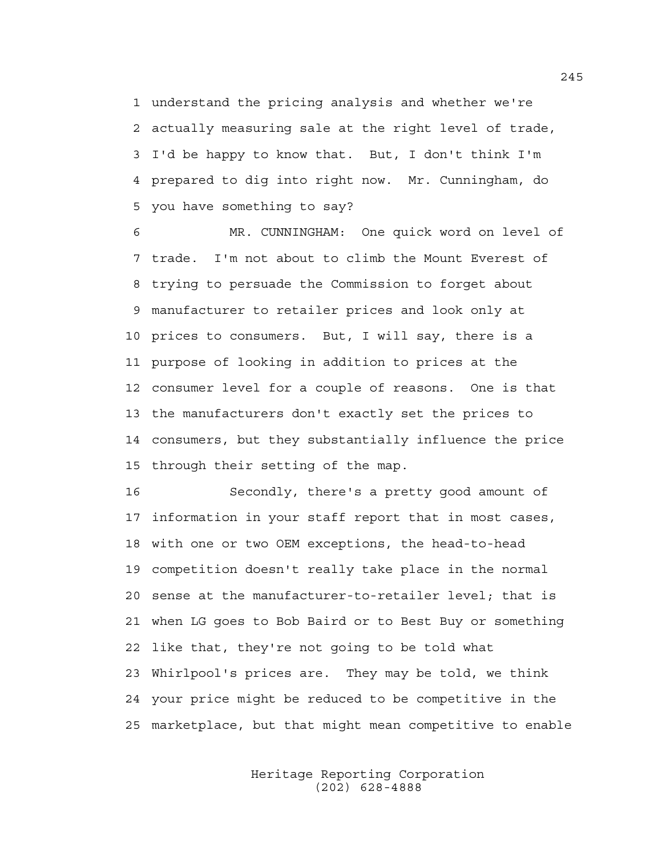1 understand the pricing analysis and whether we're 2 actually measuring sale at the right level of trade, 3 I'd be happy to know that. But, I don't think I'm 4 prepared to dig into right now. Mr. Cunningham, do 5 you have something to say?

6 MR. CUNNINGHAM: One quick word on level of 7 trade. I'm not about to climb the Mount Everest of 8 trying to persuade the Commission to forget about 9 manufacturer to retailer prices and look only at 10 prices to consumers. But, I will say, there is a 11 purpose of looking in addition to prices at the 12 consumer level for a couple of reasons. One is that 13 the manufacturers don't exactly set the prices to 14 consumers, but they substantially influence the price 15 through their setting of the map.

16 Secondly, there's a pretty good amount of 17 information in your staff report that in most cases, 18 with one or two OEM exceptions, the head-to-head 19 competition doesn't really take place in the normal 20 sense at the manufacturer-to-retailer level; that is 21 when LG goes to Bob Baird or to Best Buy or something 22 like that, they're not going to be told what 23 Whirlpool's prices are. They may be told, we think 24 your price might be reduced to be competitive in the 25 marketplace, but that might mean competitive to enable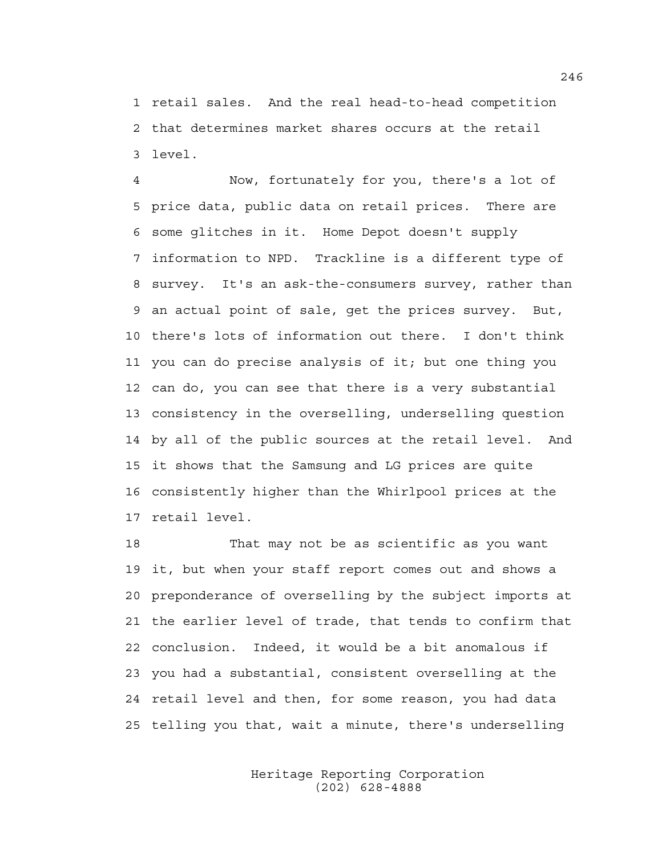1 retail sales. And the real head-to-head competition 2 that determines market shares occurs at the retail 3 level.

4 Now, fortunately for you, there's a lot of 5 price data, public data on retail prices. There are 6 some glitches in it. Home Depot doesn't supply 7 information to NPD. Trackline is a different type of 8 survey. It's an ask-the-consumers survey, rather than 9 an actual point of sale, get the prices survey. But, 10 there's lots of information out there. I don't think 11 you can do precise analysis of it; but one thing you 12 can do, you can see that there is a very substantial 13 consistency in the overselling, underselling question 14 by all of the public sources at the retail level. And 15 it shows that the Samsung and LG prices are quite 16 consistently higher than the Whirlpool prices at the 17 retail level.

18 That may not be as scientific as you want 19 it, but when your staff report comes out and shows a 20 preponderance of overselling by the subject imports at 21 the earlier level of trade, that tends to confirm that 22 conclusion. Indeed, it would be a bit anomalous if 23 you had a substantial, consistent overselling at the 24 retail level and then, for some reason, you had data 25 telling you that, wait a minute, there's underselling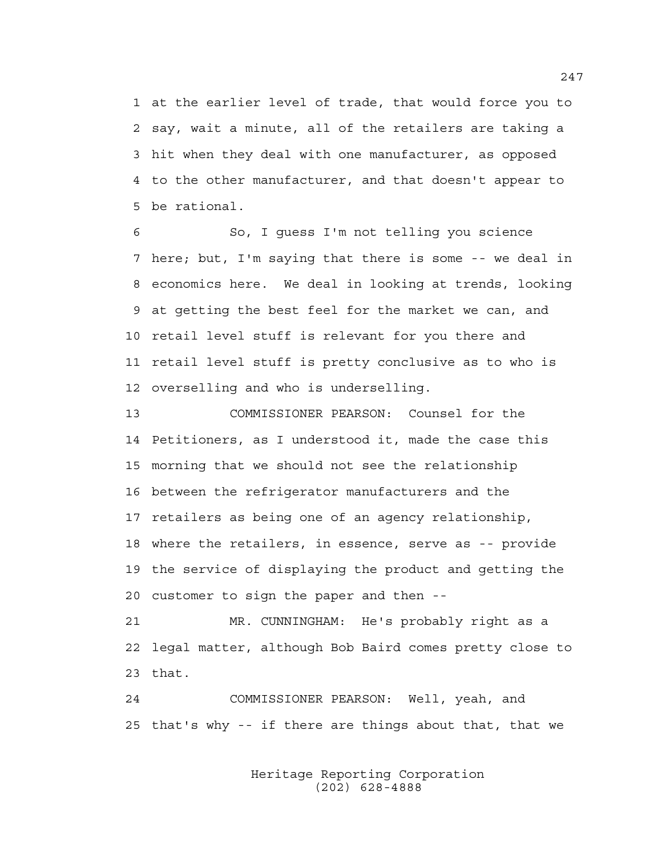1 at the earlier level of trade, that would force you to 2 say, wait a minute, all of the retailers are taking a 3 hit when they deal with one manufacturer, as opposed 4 to the other manufacturer, and that doesn't appear to 5 be rational.

6 So, I guess I'm not telling you science 7 here; but, I'm saying that there is some -- we deal in 8 economics here. We deal in looking at trends, looking 9 at getting the best feel for the market we can, and 10 retail level stuff is relevant for you there and 11 retail level stuff is pretty conclusive as to who is 12 overselling and who is underselling.

13 COMMISSIONER PEARSON: Counsel for the 14 Petitioners, as I understood it, made the case this 15 morning that we should not see the relationship 16 between the refrigerator manufacturers and the 17 retailers as being one of an agency relationship, 18 where the retailers, in essence, serve as -- provide 19 the service of displaying the product and getting the 20 customer to sign the paper and then --

21 MR. CUNNINGHAM: He's probably right as a 22 legal matter, although Bob Baird comes pretty close to 23 that.

24 COMMISSIONER PEARSON: Well, yeah, and 25 that's why -- if there are things about that, that we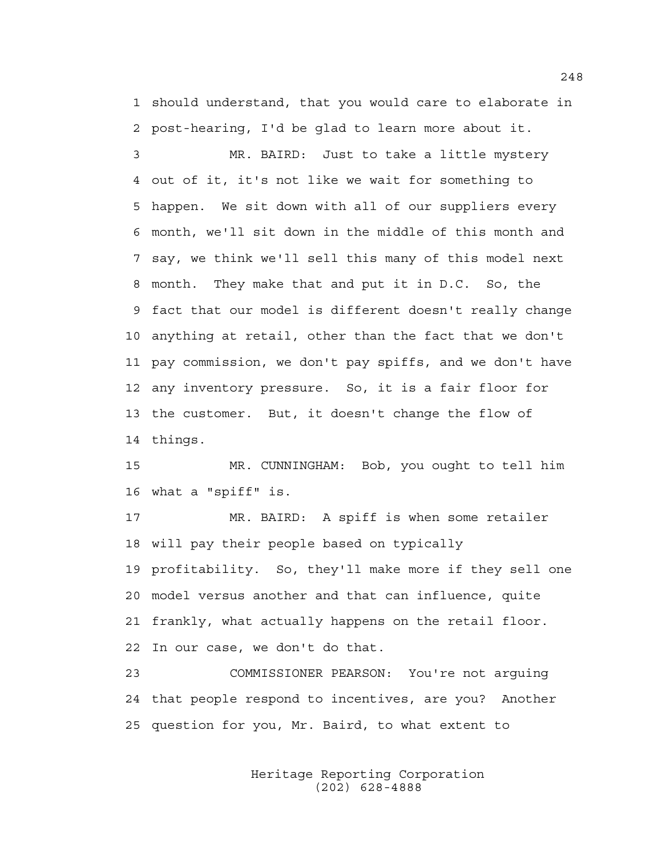1 should understand, that you would care to elaborate in 2 post-hearing, I'd be glad to learn more about it.

3 MR. BAIRD: Just to take a little mystery 4 out of it, it's not like we wait for something to 5 happen. We sit down with all of our suppliers every 6 month, we'll sit down in the middle of this month and 7 say, we think we'll sell this many of this model next 8 month. They make that and put it in D.C. So, the 9 fact that our model is different doesn't really change 10 anything at retail, other than the fact that we don't 11 pay commission, we don't pay spiffs, and we don't have 12 any inventory pressure. So, it is a fair floor for 13 the customer. But, it doesn't change the flow of 14 things.

15 MR. CUNNINGHAM: Bob, you ought to tell him 16 what a "spiff" is.

17 MR. BAIRD: A spiff is when some retailer 18 will pay their people based on typically 19 profitability. So, they'll make more if they sell one 20 model versus another and that can influence, quite 21 frankly, what actually happens on the retail floor. 22 In our case, we don't do that.

23 COMMISSIONER PEARSON: You're not arguing 24 that people respond to incentives, are you? Another 25 question for you, Mr. Baird, to what extent to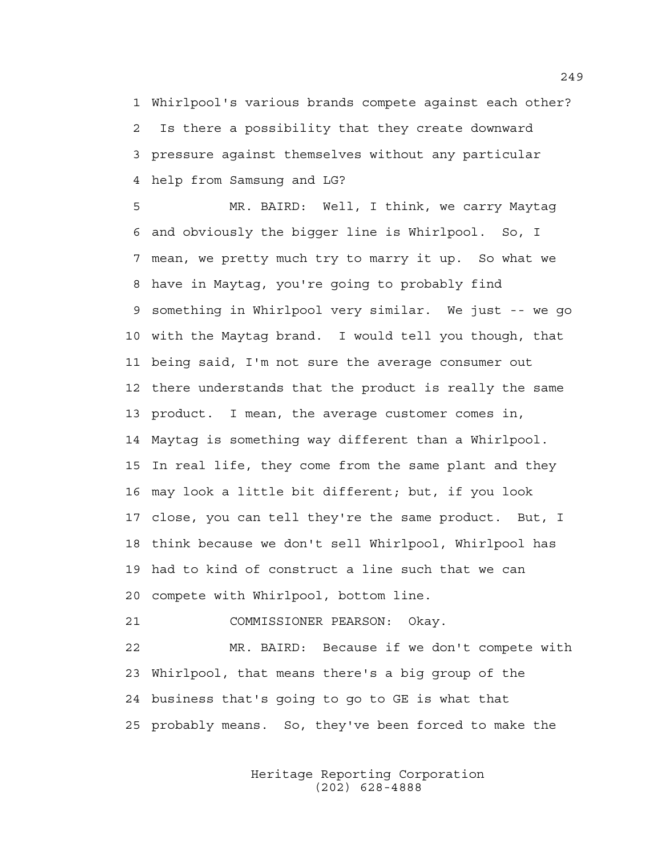1 Whirlpool's various brands compete against each other? 2 Is there a possibility that they create downward 3 pressure against themselves without any particular 4 help from Samsung and LG?

5 MR. BAIRD: Well, I think, we carry Maytag 6 and obviously the bigger line is Whirlpool. So, I 7 mean, we pretty much try to marry it up. So what we 8 have in Maytag, you're going to probably find 9 something in Whirlpool very similar. We just -- we go 10 with the Maytag brand. I would tell you though, that 11 being said, I'm not sure the average consumer out 12 there understands that the product is really the same 13 product. I mean, the average customer comes in, 14 Maytag is something way different than a Whirlpool. 15 In real life, they come from the same plant and they 16 may look a little bit different; but, if you look 17 close, you can tell they're the same product. But, I 18 think because we don't sell Whirlpool, Whirlpool has 19 had to kind of construct a line such that we can 20 compete with Whirlpool, bottom line.

21 COMMISSIONER PEARSON: Okay.

22 MR. BAIRD: Because if we don't compete with 23 Whirlpool, that means there's a big group of the 24 business that's going to go to GE is what that 25 probably means. So, they've been forced to make the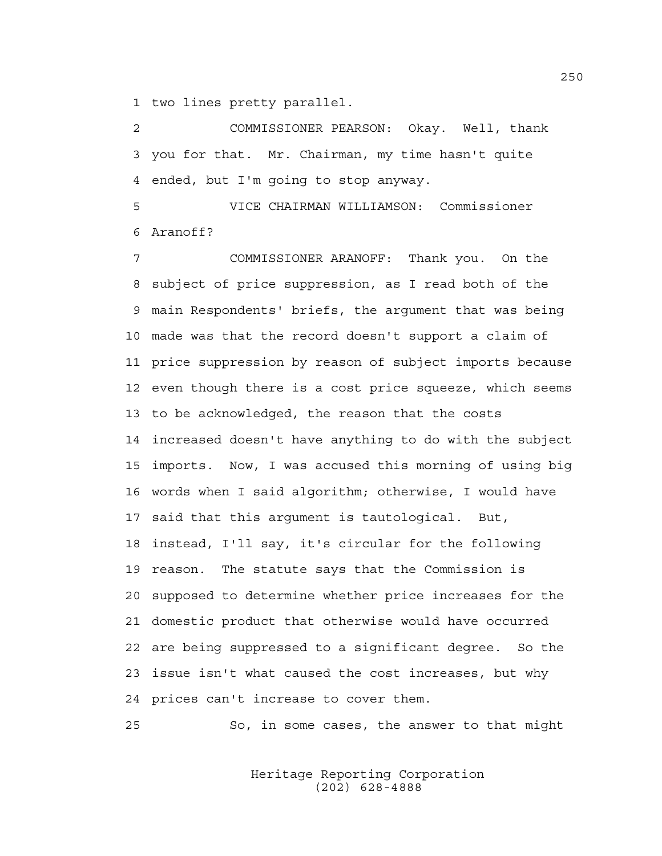1 two lines pretty parallel.

2 COMMISSIONER PEARSON: Okay. Well, thank 3 you for that. Mr. Chairman, my time hasn't quite 4 ended, but I'm going to stop anyway.

5 VICE CHAIRMAN WILLIAMSON: Commissioner 6 Aranoff?

7 COMMISSIONER ARANOFF: Thank you. On the 8 subject of price suppression, as I read both of the 9 main Respondents' briefs, the argument that was being 10 made was that the record doesn't support a claim of 11 price suppression by reason of subject imports because 12 even though there is a cost price squeeze, which seems 13 to be acknowledged, the reason that the costs 14 increased doesn't have anything to do with the subject 15 imports. Now, I was accused this morning of using big 16 words when I said algorithm; otherwise, I would have 17 said that this argument is tautological. But, 18 instead, I'll say, it's circular for the following 19 reason. The statute says that the Commission is 20 supposed to determine whether price increases for the 21 domestic product that otherwise would have occurred 22 are being suppressed to a significant degree. So the 23 issue isn't what caused the cost increases, but why 24 prices can't increase to cover them.

25 So, in some cases, the answer to that might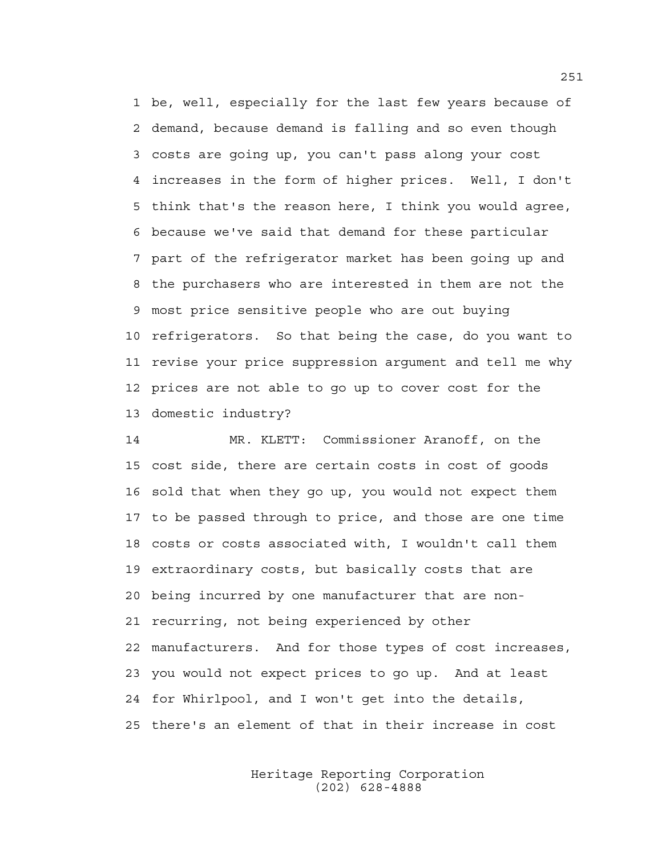1 be, well, especially for the last few years because of 2 demand, because demand is falling and so even though 3 costs are going up, you can't pass along your cost 4 increases in the form of higher prices. Well, I don't 5 think that's the reason here, I think you would agree, 6 because we've said that demand for these particular 7 part of the refrigerator market has been going up and 8 the purchasers who are interested in them are not the 9 most price sensitive people who are out buying 10 refrigerators. So that being the case, do you want to 11 revise your price suppression argument and tell me why 12 prices are not able to go up to cover cost for the 13 domestic industry?

14 MR. KLETT: Commissioner Aranoff, on the 15 cost side, there are certain costs in cost of goods 16 sold that when they go up, you would not expect them 17 to be passed through to price, and those are one time 18 costs or costs associated with, I wouldn't call them 19 extraordinary costs, but basically costs that are 20 being incurred by one manufacturer that are non-21 recurring, not being experienced by other 22 manufacturers. And for those types of cost increases, 23 you would not expect prices to go up. And at least 24 for Whirlpool, and I won't get into the details, 25 there's an element of that in their increase in cost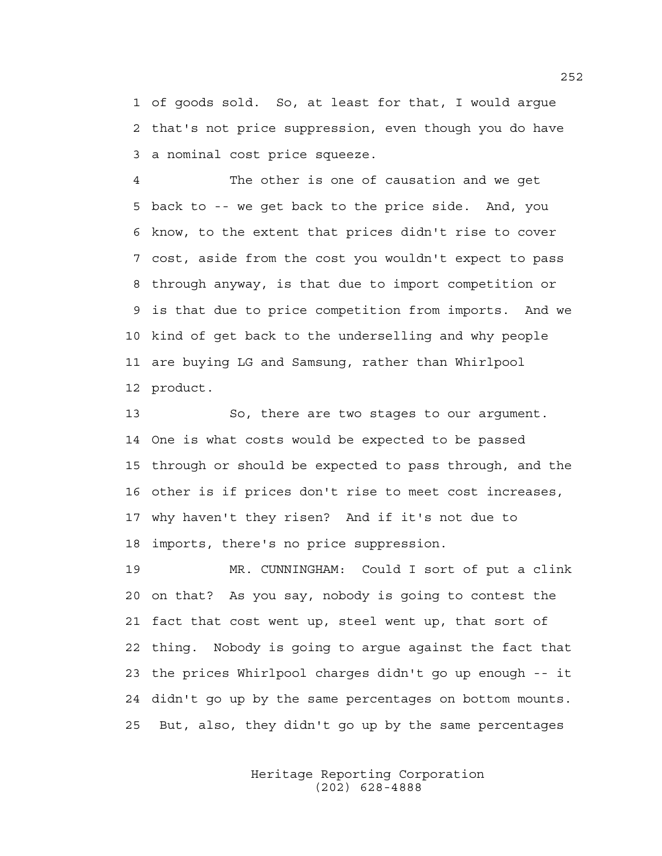1 of goods sold. So, at least for that, I would argue 2 that's not price suppression, even though you do have 3 a nominal cost price squeeze.

4 The other is one of causation and we get 5 back to -- we get back to the price side. And, you 6 know, to the extent that prices didn't rise to cover 7 cost, aside from the cost you wouldn't expect to pass 8 through anyway, is that due to import competition or 9 is that due to price competition from imports. And we 10 kind of get back to the underselling and why people 11 are buying LG and Samsung, rather than Whirlpool 12 product.

13 So, there are two stages to our argument. 14 One is what costs would be expected to be passed 15 through or should be expected to pass through, and the 16 other is if prices don't rise to meet cost increases, 17 why haven't they risen? And if it's not due to 18 imports, there's no price suppression.

19 MR. CUNNINGHAM: Could I sort of put a clink 20 on that? As you say, nobody is going to contest the 21 fact that cost went up, steel went up, that sort of 22 thing. Nobody is going to argue against the fact that 23 the prices Whirlpool charges didn't go up enough -- it 24 didn't go up by the same percentages on bottom mounts. 25 But, also, they didn't go up by the same percentages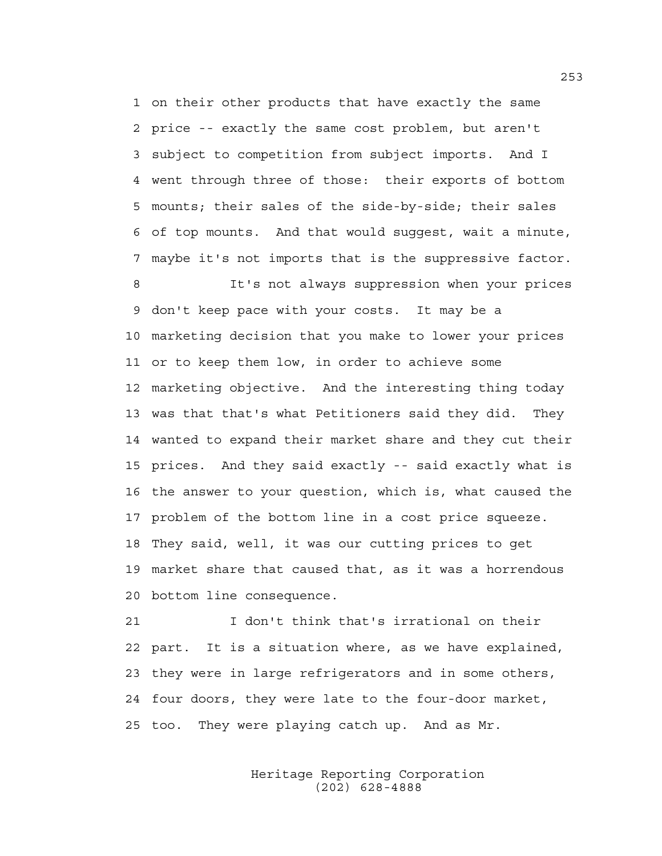1 on their other products that have exactly the same 2 price -- exactly the same cost problem, but aren't 3 subject to competition from subject imports. And I 4 went through three of those: their exports of bottom 5 mounts; their sales of the side-by-side; their sales 6 of top mounts. And that would suggest, wait a minute, 7 maybe it's not imports that is the suppressive factor.

8 It's not always suppression when your prices 9 don't keep pace with your costs. It may be a 10 marketing decision that you make to lower your prices 11 or to keep them low, in order to achieve some 12 marketing objective. And the interesting thing today 13 was that that's what Petitioners said they did. They 14 wanted to expand their market share and they cut their 15 prices. And they said exactly -- said exactly what is 16 the answer to your question, which is, what caused the 17 problem of the bottom line in a cost price squeeze. 18 They said, well, it was our cutting prices to get 19 market share that caused that, as it was a horrendous 20 bottom line consequence.

21 I don't think that's irrational on their 22 part. It is a situation where, as we have explained, 23 they were in large refrigerators and in some others, 24 four doors, they were late to the four-door market, 25 too. They were playing catch up. And as Mr.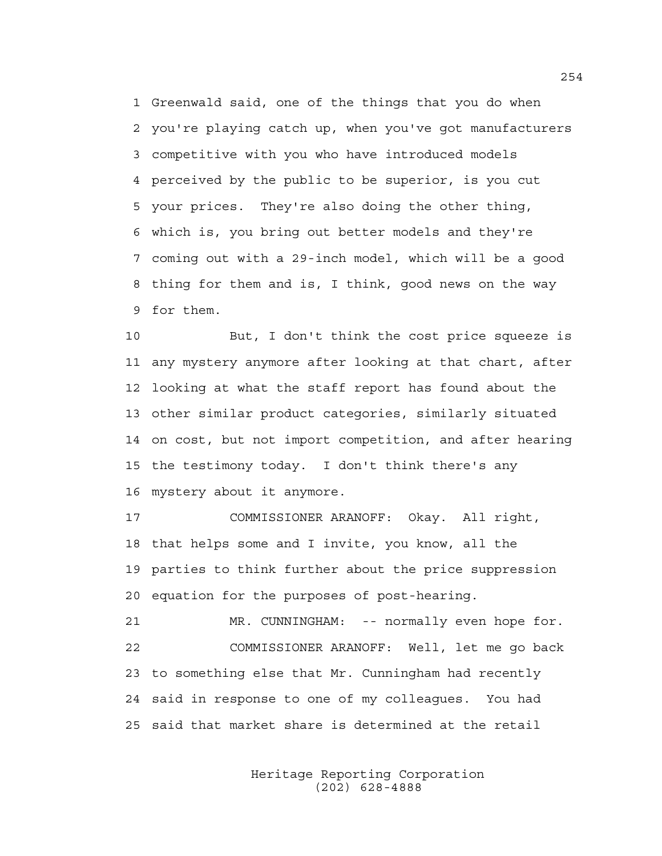1 Greenwald said, one of the things that you do when 2 you're playing catch up, when you've got manufacturers 3 competitive with you who have introduced models 4 perceived by the public to be superior, is you cut 5 your prices. They're also doing the other thing, 6 which is, you bring out better models and they're 7 coming out with a 29-inch model, which will be a good 8 thing for them and is, I think, good news on the way 9 for them.

10 But, I don't think the cost price squeeze is 11 any mystery anymore after looking at that chart, after 12 looking at what the staff report has found about the 13 other similar product categories, similarly situated 14 on cost, but not import competition, and after hearing 15 the testimony today. I don't think there's any 16 mystery about it anymore.

17 COMMISSIONER ARANOFF: Okay. All right, 18 that helps some and I invite, you know, all the 19 parties to think further about the price suppression 20 equation for the purposes of post-hearing.

21 MR. CUNNINGHAM: -- normally even hope for. 22 COMMISSIONER ARANOFF: Well, let me go back 23 to something else that Mr. Cunningham had recently 24 said in response to one of my colleagues. You had 25 said that market share is determined at the retail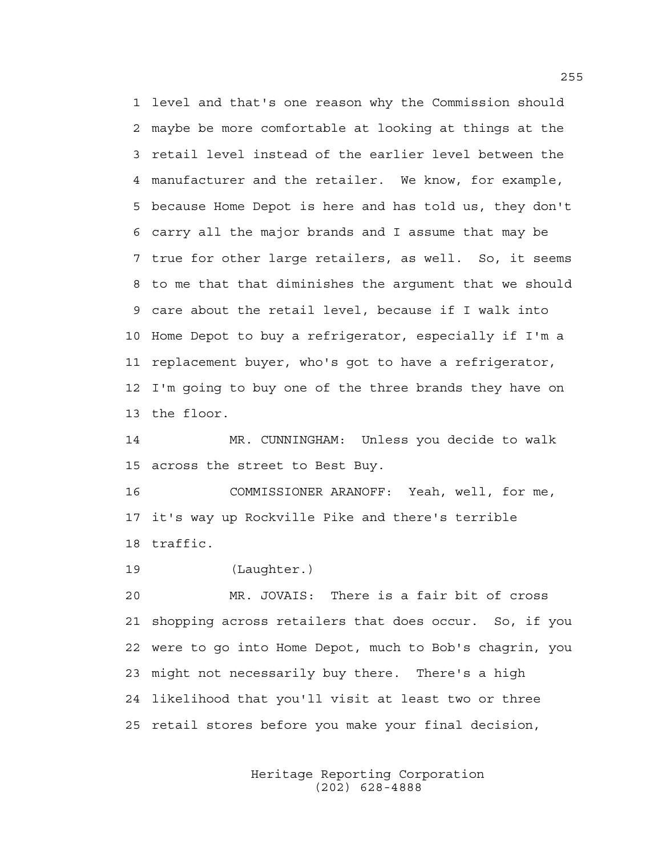1 level and that's one reason why the Commission should 2 maybe be more comfortable at looking at things at the 3 retail level instead of the earlier level between the 4 manufacturer and the retailer. We know, for example, 5 because Home Depot is here and has told us, they don't 6 carry all the major brands and I assume that may be 7 true for other large retailers, as well. So, it seems 8 to me that that diminishes the argument that we should 9 care about the retail level, because if I walk into 10 Home Depot to buy a refrigerator, especially if I'm a 11 replacement buyer, who's got to have a refrigerator, 12 I'm going to buy one of the three brands they have on 13 the floor.

14 MR. CUNNINGHAM: Unless you decide to walk 15 across the street to Best Buy.

16 COMMISSIONER ARANOFF: Yeah, well, for me, 17 it's way up Rockville Pike and there's terrible 18 traffic.

19 (Laughter.)

20 MR. JOVAIS: There is a fair bit of cross 21 shopping across retailers that does occur. So, if you 22 were to go into Home Depot, much to Bob's chagrin, you 23 might not necessarily buy there. There's a high 24 likelihood that you'll visit at least two or three 25 retail stores before you make your final decision,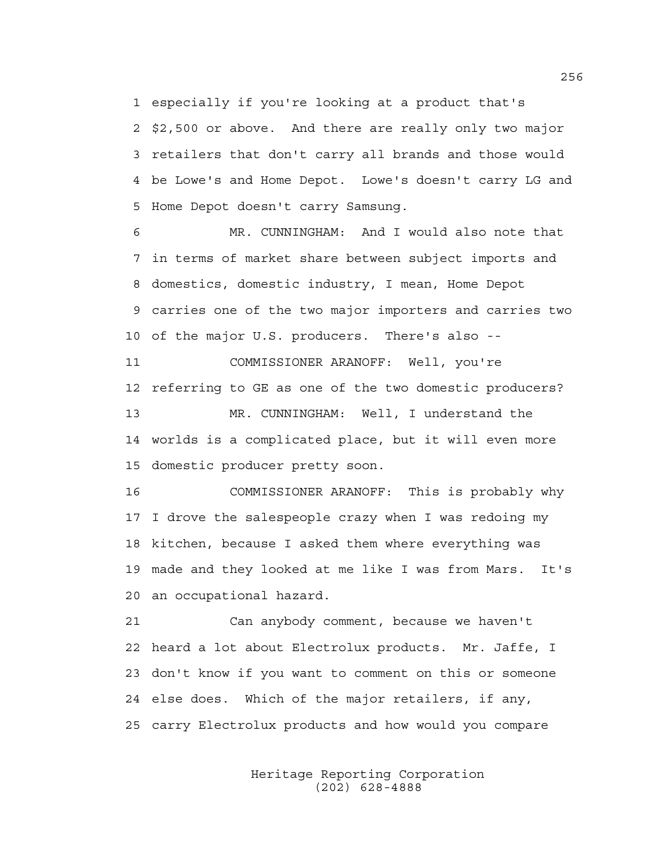1 especially if you're looking at a product that's

2 \$2,500 or above. And there are really only two major 3 retailers that don't carry all brands and those would 4 be Lowe's and Home Depot. Lowe's doesn't carry LG and 5 Home Depot doesn't carry Samsung.

6 MR. CUNNINGHAM: And I would also note that 7 in terms of market share between subject imports and 8 domestics, domestic industry, I mean, Home Depot 9 carries one of the two major importers and carries two 10 of the major U.S. producers. There's also --

11 COMMISSIONER ARANOFF: Well, you're 12 referring to GE as one of the two domestic producers? 13 MR. CUNNINGHAM: Well, I understand the 14 worlds is a complicated place, but it will even more 15 domestic producer pretty soon.

16 COMMISSIONER ARANOFF: This is probably why 17 I drove the salespeople crazy when I was redoing my 18 kitchen, because I asked them where everything was 19 made and they looked at me like I was from Mars. It's 20 an occupational hazard.

21 Can anybody comment, because we haven't 22 heard a lot about Electrolux products. Mr. Jaffe, I 23 don't know if you want to comment on this or someone 24 else does. Which of the major retailers, if any, 25 carry Electrolux products and how would you compare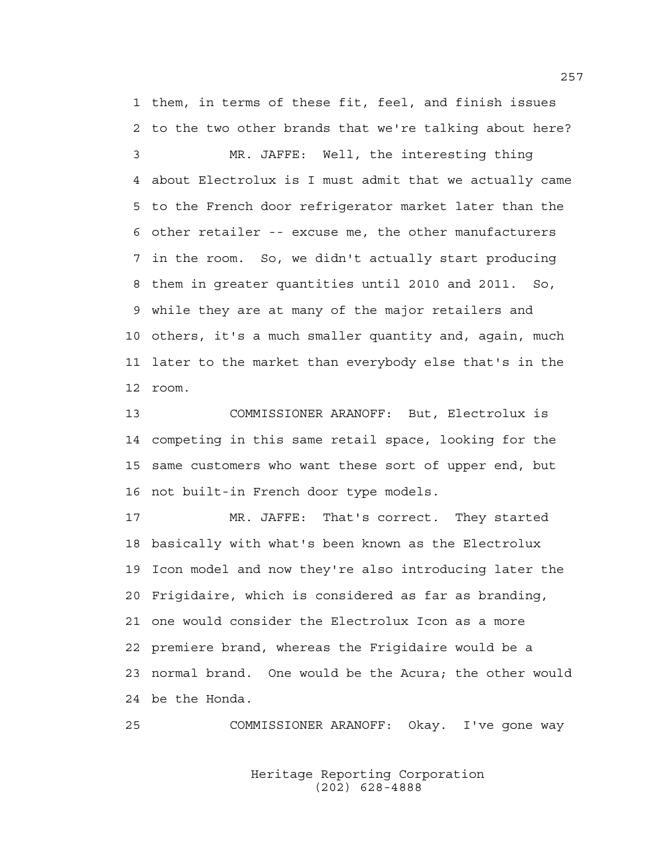1 them, in terms of these fit, feel, and finish issues 2 to the two other brands that we're talking about here?

3 MR. JAFFE: Well, the interesting thing 4 about Electrolux is I must admit that we actually came 5 to the French door refrigerator market later than the 6 other retailer -- excuse me, the other manufacturers 7 in the room. So, we didn't actually start producing 8 them in greater quantities until 2010 and 2011. So, 9 while they are at many of the major retailers and 10 others, it's a much smaller quantity and, again, much 11 later to the market than everybody else that's in the 12 room.

13 COMMISSIONER ARANOFF: But, Electrolux is 14 competing in this same retail space, looking for the 15 same customers who want these sort of upper end, but 16 not built-in French door type models.

17 MR. JAFFE: That's correct. They started 18 basically with what's been known as the Electrolux 19 Icon model and now they're also introducing later the 20 Frigidaire, which is considered as far as branding, 21 one would consider the Electrolux Icon as a more 22 premiere brand, whereas the Frigidaire would be a 23 normal brand. One would be the Acura; the other would 24 be the Honda.

25 COMMISSIONER ARANOFF: Okay. I've gone way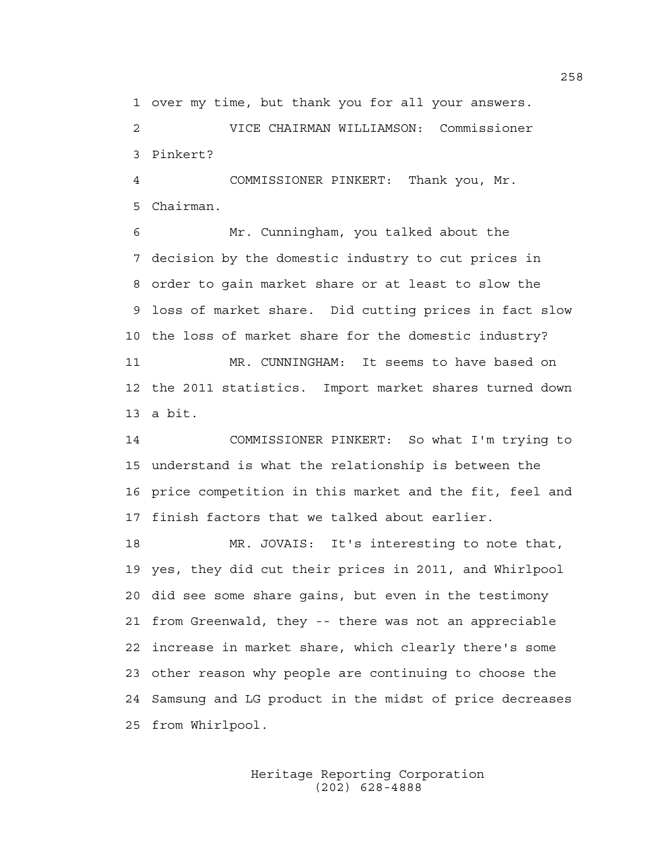1 over my time, but thank you for all your answers.

2 VICE CHAIRMAN WILLIAMSON: Commissioner 3 Pinkert?

4 COMMISSIONER PINKERT: Thank you, Mr. 5 Chairman.

6 Mr. Cunningham, you talked about the 7 decision by the domestic industry to cut prices in 8 order to gain market share or at least to slow the 9 loss of market share. Did cutting prices in fact slow 10 the loss of market share for the domestic industry? 11 MR. CUNNINGHAM: It seems to have based on 12 the 2011 statistics. Import market shares turned down 13 a bit.

14 COMMISSIONER PINKERT: So what I'm trying to 15 understand is what the relationship is between the 16 price competition in this market and the fit, feel and 17 finish factors that we talked about earlier.

18 MR. JOVAIS: It's interesting to note that, 19 yes, they did cut their prices in 2011, and Whirlpool 20 did see some share gains, but even in the testimony 21 from Greenwald, they -- there was not an appreciable 22 increase in market share, which clearly there's some 23 other reason why people are continuing to choose the 24 Samsung and LG product in the midst of price decreases 25 from Whirlpool.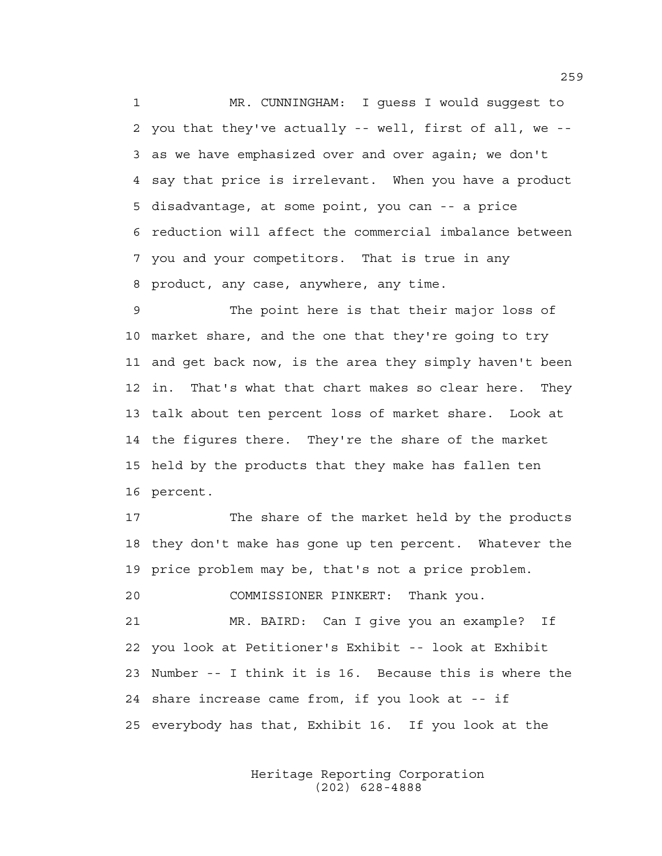1 MR. CUNNINGHAM: I guess I would suggest to 2 you that they've actually -- well, first of all, we -- 3 as we have emphasized over and over again; we don't 4 say that price is irrelevant. When you have a product 5 disadvantage, at some point, you can -- a price 6 reduction will affect the commercial imbalance between 7 you and your competitors. That is true in any 8 product, any case, anywhere, any time.

9 The point here is that their major loss of 10 market share, and the one that they're going to try 11 and get back now, is the area they simply haven't been 12 in. That's what that chart makes so clear here. They 13 talk about ten percent loss of market share. Look at 14 the figures there. They're the share of the market 15 held by the products that they make has fallen ten 16 percent.

17 The share of the market held by the products 18 they don't make has gone up ten percent. Whatever the 19 price problem may be, that's not a price problem. 20 COMMISSIONER PINKERT: Thank you. 21 MR. BAIRD: Can I give you an example? If 22 you look at Petitioner's Exhibit -- look at Exhibit 23 Number -- I think it is 16. Because this is where the 24 share increase came from, if you look at -- if 25 everybody has that, Exhibit 16. If you look at the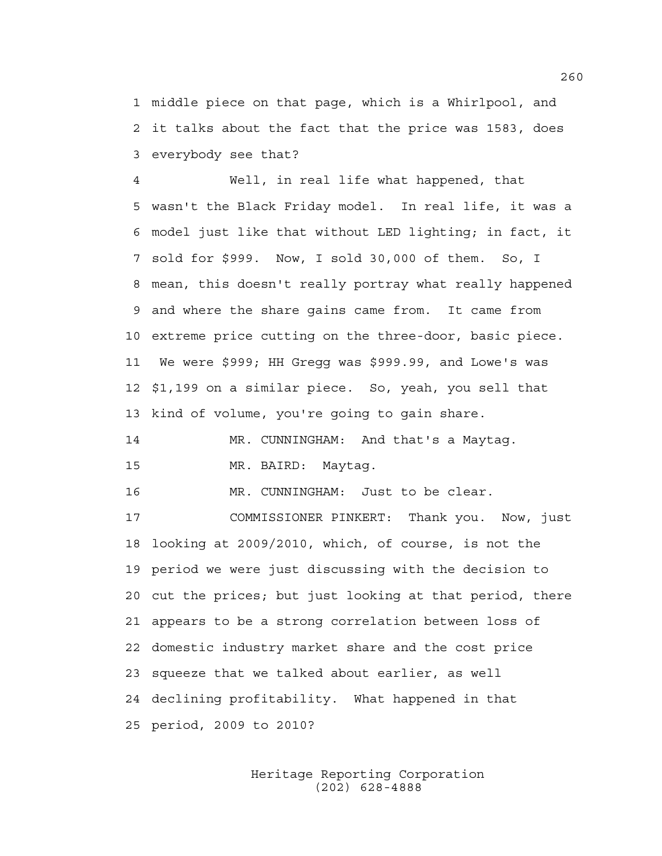1 middle piece on that page, which is a Whirlpool, and 2 it talks about the fact that the price was 1583, does 3 everybody see that?

4 Well, in real life what happened, that 5 wasn't the Black Friday model. In real life, it was a 6 model just like that without LED lighting; in fact, it 7 sold for \$999. Now, I sold 30,000 of them. So, I 8 mean, this doesn't really portray what really happened 9 and where the share gains came from. It came from 10 extreme price cutting on the three-door, basic piece. 11 We were \$999; HH Gregg was \$999.99, and Lowe's was 12 \$1,199 on a similar piece. So, yeah, you sell that 13 kind of volume, you're going to gain share.

14 MR. CUNNINGHAM: And that's a Maytag. 15 MR. BAIRD: Maytag.

16 MR. CUNNINGHAM: Just to be clear.

17 COMMISSIONER PINKERT: Thank you. Now, just 18 looking at 2009/2010, which, of course, is not the 19 period we were just discussing with the decision to 20 cut the prices; but just looking at that period, there 21 appears to be a strong correlation between loss of 22 domestic industry market share and the cost price 23 squeeze that we talked about earlier, as well 24 declining profitability. What happened in that 25 period, 2009 to 2010?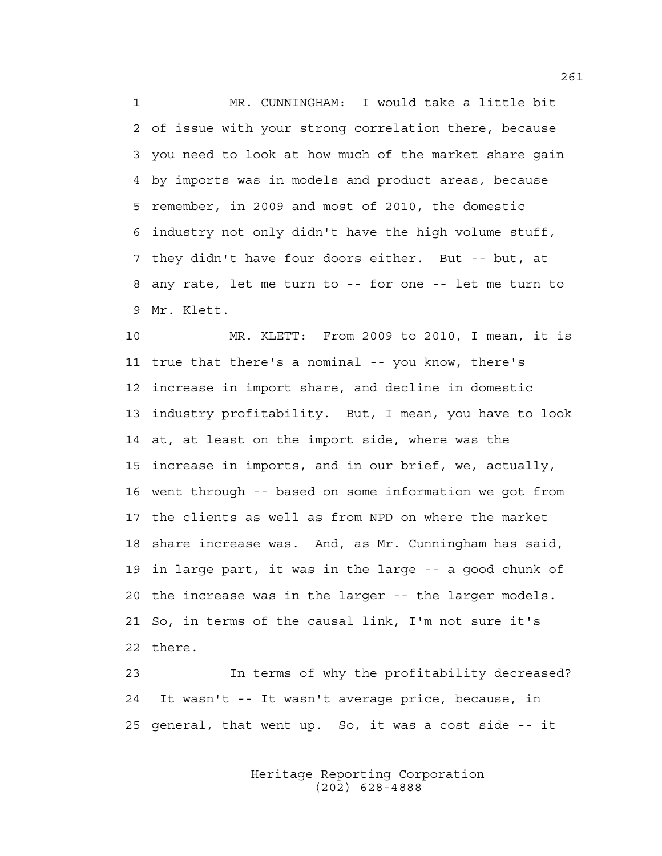1 MR. CUNNINGHAM: I would take a little bit 2 of issue with your strong correlation there, because 3 you need to look at how much of the market share gain 4 by imports was in models and product areas, because 5 remember, in 2009 and most of 2010, the domestic 6 industry not only didn't have the high volume stuff, 7 they didn't have four doors either. But -- but, at 8 any rate, let me turn to -- for one -- let me turn to 9 Mr. Klett.

10 MR. KLETT: From 2009 to 2010, I mean, it is 11 true that there's a nominal -- you know, there's 12 increase in import share, and decline in domestic 13 industry profitability. But, I mean, you have to look 14 at, at least on the import side, where was the 15 increase in imports, and in our brief, we, actually, 16 went through -- based on some information we got from 17 the clients as well as from NPD on where the market 18 share increase was. And, as Mr. Cunningham has said, 19 in large part, it was in the large -- a good chunk of 20 the increase was in the larger -- the larger models. 21 So, in terms of the causal link, I'm not sure it's 22 there.

23 In terms of why the profitability decreased? 24 It wasn't -- It wasn't average price, because, in 25 general, that went up. So, it was a cost side -- it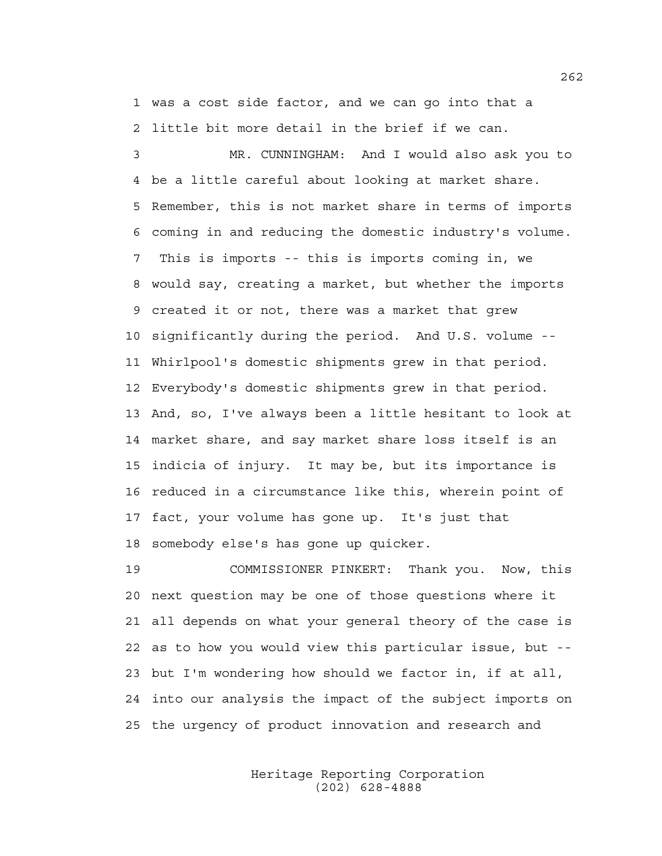1 was a cost side factor, and we can go into that a 2 little bit more detail in the brief if we can.

3 MR. CUNNINGHAM: And I would also ask you to 4 be a little careful about looking at market share. 5 Remember, this is not market share in terms of imports 6 coming in and reducing the domestic industry's volume. 7 This is imports -- this is imports coming in, we 8 would say, creating a market, but whether the imports 9 created it or not, there was a market that grew 10 significantly during the period. And U.S. volume -- 11 Whirlpool's domestic shipments grew in that period. 12 Everybody's domestic shipments grew in that period. 13 And, so, I've always been a little hesitant to look at 14 market share, and say market share loss itself is an 15 indicia of injury. It may be, but its importance is 16 reduced in a circumstance like this, wherein point of 17 fact, your volume has gone up. It's just that 18 somebody else's has gone up quicker.

19 COMMISSIONER PINKERT: Thank you. Now, this 20 next question may be one of those questions where it 21 all depends on what your general theory of the case is 22 as to how you would view this particular issue, but -- 23 but I'm wondering how should we factor in, if at all, 24 into our analysis the impact of the subject imports on 25 the urgency of product innovation and research and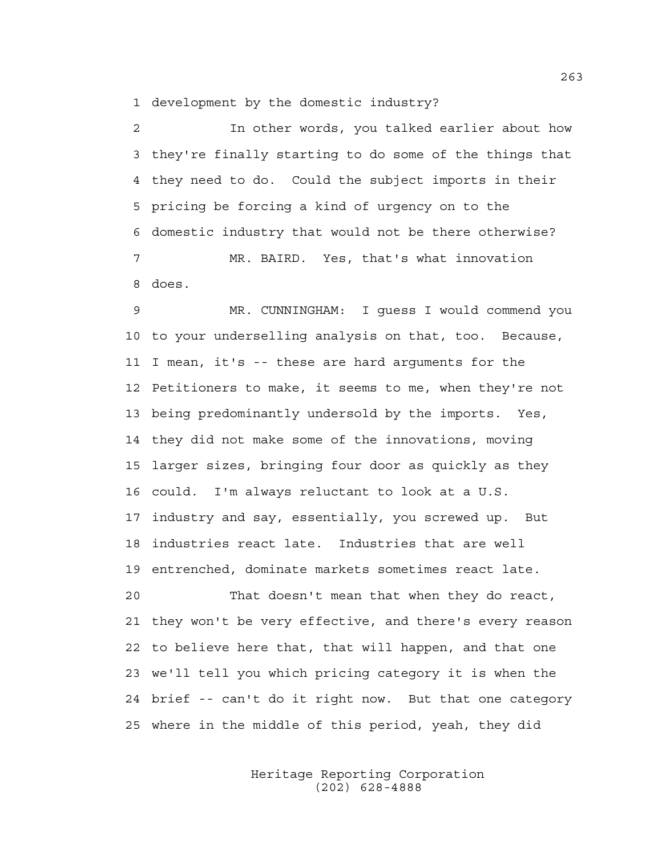1 development by the domestic industry?

2 In other words, you talked earlier about how 3 they're finally starting to do some of the things that 4 they need to do. Could the subject imports in their 5 pricing be forcing a kind of urgency on to the 6 domestic industry that would not be there otherwise? 7 MR. BAIRD. Yes, that's what innovation 8 does.

9 MR. CUNNINGHAM: I guess I would commend you 10 to your underselling analysis on that, too. Because, 11 I mean, it's -- these are hard arguments for the 12 Petitioners to make, it seems to me, when they're not 13 being predominantly undersold by the imports. Yes, 14 they did not make some of the innovations, moving 15 larger sizes, bringing four door as quickly as they 16 could. I'm always reluctant to look at a U.S. 17 industry and say, essentially, you screwed up. But 18 industries react late. Industries that are well 19 entrenched, dominate markets sometimes react late. 20 That doesn't mean that when they do react,

21 they won't be very effective, and there's every reason 22 to believe here that, that will happen, and that one 23 we'll tell you which pricing category it is when the 24 brief -- can't do it right now. But that one category 25 where in the middle of this period, yeah, they did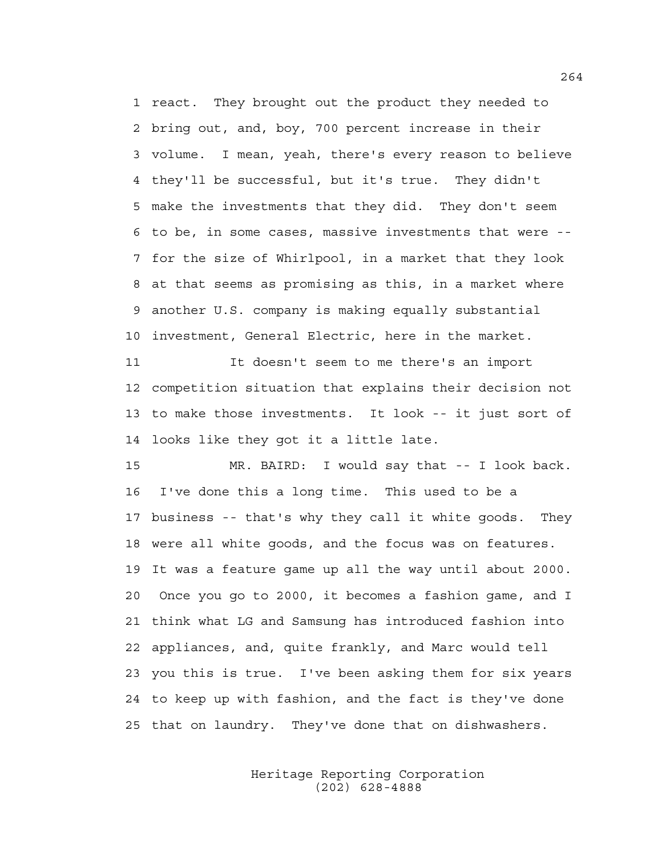1 react. They brought out the product they needed to 2 bring out, and, boy, 700 percent increase in their 3 volume. I mean, yeah, there's every reason to believe 4 they'll be successful, but it's true. They didn't 5 make the investments that they did. They don't seem 6 to be, in some cases, massive investments that were -- 7 for the size of Whirlpool, in a market that they look 8 at that seems as promising as this, in a market where 9 another U.S. company is making equally substantial 10 investment, General Electric, here in the market.

11 It doesn't seem to me there's an import 12 competition situation that explains their decision not 13 to make those investments. It look -- it just sort of 14 looks like they got it a little late.

15 MR. BAIRD: I would say that -- I look back. 16 I've done this a long time. This used to be a 17 business -- that's why they call it white goods. They 18 were all white goods, and the focus was on features. 19 It was a feature game up all the way until about 2000. 20 Once you go to 2000, it becomes a fashion game, and I 21 think what LG and Samsung has introduced fashion into 22 appliances, and, quite frankly, and Marc would tell 23 you this is true. I've been asking them for six years 24 to keep up with fashion, and the fact is they've done 25 that on laundry. They've done that on dishwashers.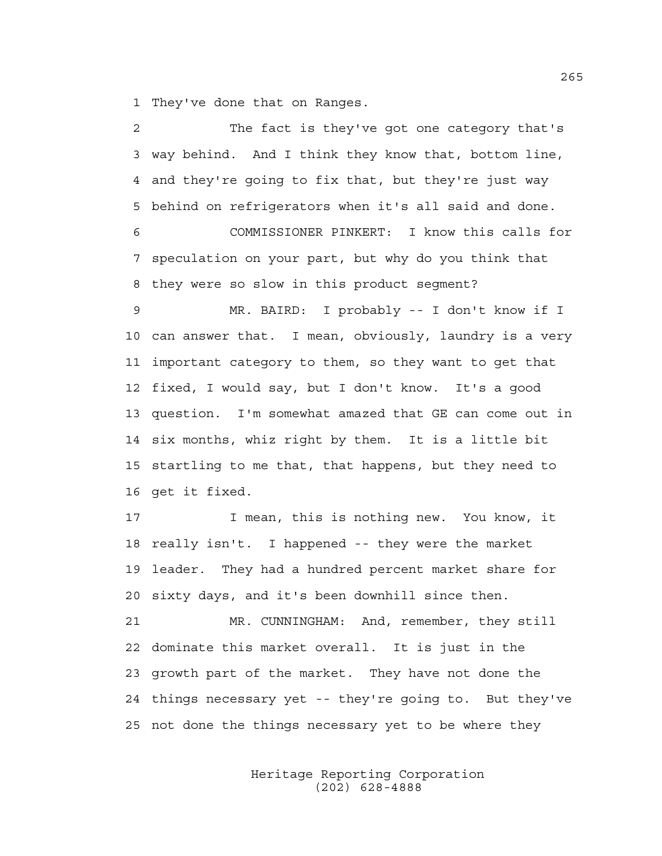1 They've done that on Ranges.

| 2  | The fact is they've got one category that's           |
|----|-------------------------------------------------------|
| 3  | way behind. And I think they know that, bottom line,  |
| 4  | and they're going to fix that, but they're just way   |
| 5  | behind on refrigerators when it's all said and done.  |
| 6  | COMMISSIONER PINKERT: I know this calls for           |
| 7  | speculation on your part, but why do you think that   |
| 8  | they were so slow in this product segment?            |
| 9  | MR. BAIRD: I probably -- I don't know if I            |
| 10 | can answer that. I mean, obviously, laundry is a very |
| 11 | important category to them, so they want to get that  |
| 12 | fixed, I would say, but I don't know. It's a good     |
| 13 | question. I'm somewhat amazed that GE can come out in |
| 14 | six months, whiz right by them. It is a little bit    |
| 15 | startling to me that, that happens, but they need to  |
| 16 | get it fixed.                                         |
| 17 | I mean, this is nothing new. You know, it             |
| 18 | really isn't. I happened -- they were the market      |
| 19 | leader. They had a hundred percent market share for   |
| 20 | sixty days, and it's been downhill since then.        |
| 21 | MR. CUNNINGHAM: And, remember, they still             |
| 22 | dominate this market overall. It is just in the       |
| 23 | growth part of the market. They have not done the     |
| 24 | things necessary yet -- they're going to. But they've |
| 25 | not done the things necessary yet to be where they    |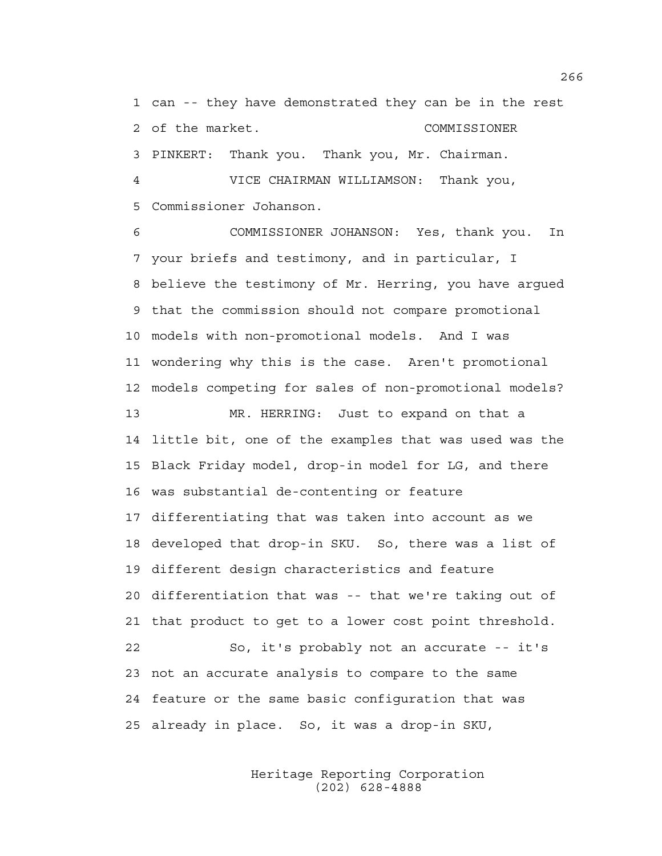1 can -- they have demonstrated they can be in the rest 2 of the market. COMMISSIONER 3 PINKERT: Thank you. Thank you, Mr. Chairman. 4 VICE CHAIRMAN WILLIAMSON: Thank you, 5 Commissioner Johanson.

6 COMMISSIONER JOHANSON: Yes, thank you. In 7 your briefs and testimony, and in particular, I 8 believe the testimony of Mr. Herring, you have argued 9 that the commission should not compare promotional 10 models with non-promotional models. And I was 11 wondering why this is the case. Aren't promotional 12 models competing for sales of non-promotional models?

13 MR. HERRING: Just to expand on that a 14 little bit, one of the examples that was used was the 15 Black Friday model, drop-in model for LG, and there 16 was substantial de-contenting or feature 17 differentiating that was taken into account as we 18 developed that drop-in SKU. So, there was a list of 19 different design characteristics and feature 20 differentiation that was -- that we're taking out of 21 that product to get to a lower cost point threshold. 22 So, it's probably not an accurate -- it's 23 not an accurate analysis to compare to the same 24 feature or the same basic configuration that was 25 already in place. So, it was a drop-in SKU,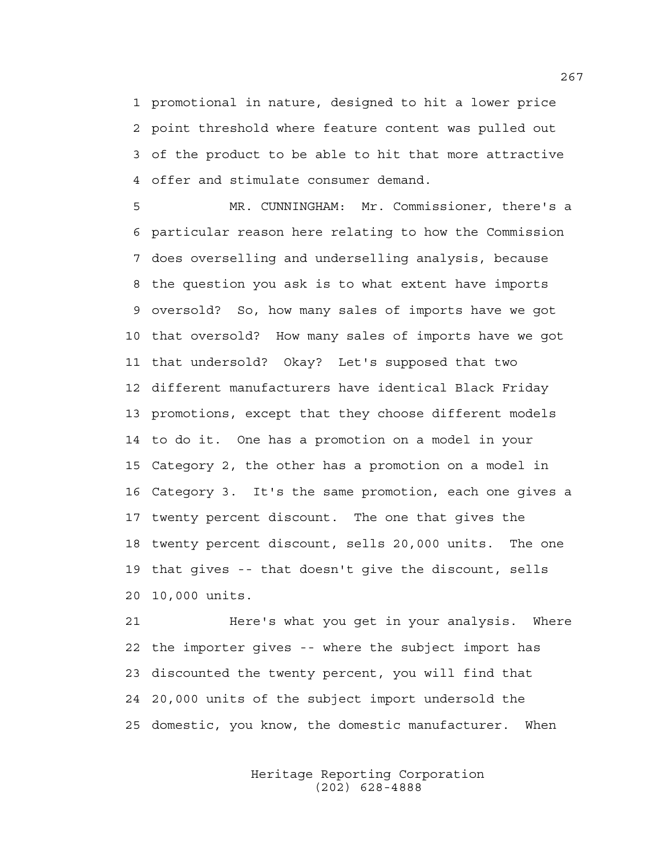1 promotional in nature, designed to hit a lower price 2 point threshold where feature content was pulled out 3 of the product to be able to hit that more attractive 4 offer and stimulate consumer demand.

5 MR. CUNNINGHAM: Mr. Commissioner, there's a 6 particular reason here relating to how the Commission 7 does overselling and underselling analysis, because 8 the question you ask is to what extent have imports 9 oversold? So, how many sales of imports have we got 10 that oversold? How many sales of imports have we got 11 that undersold? Okay? Let's supposed that two 12 different manufacturers have identical Black Friday 13 promotions, except that they choose different models 14 to do it. One has a promotion on a model in your 15 Category 2, the other has a promotion on a model in 16 Category 3. It's the same promotion, each one gives a 17 twenty percent discount. The one that gives the 18 twenty percent discount, sells 20,000 units. The one 19 that gives -- that doesn't give the discount, sells 20 10,000 units.

21 Here's what you get in your analysis. Where 22 the importer gives -- where the subject import has 23 discounted the twenty percent, you will find that 24 20,000 units of the subject import undersold the 25 domestic, you know, the domestic manufacturer. When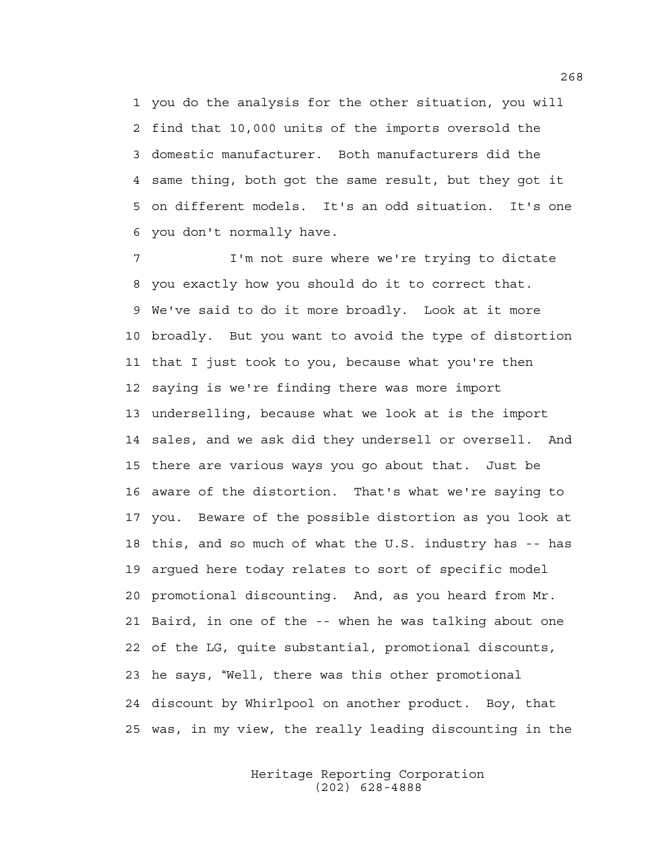1 you do the analysis for the other situation, you will 2 find that 10,000 units of the imports oversold the 3 domestic manufacturer. Both manufacturers did the 4 same thing, both got the same result, but they got it 5 on different models. It's an odd situation. It's one 6 you don't normally have.

7 I'm not sure where we're trying to dictate 8 you exactly how you should do it to correct that. 9 We've said to do it more broadly. Look at it more 10 broadly. But you want to avoid the type of distortion 11 that I just took to you, because what you're then 12 saying is we're finding there was more import 13 underselling, because what we look at is the import 14 sales, and we ask did they undersell or oversell. And 15 there are various ways you go about that. Just be 16 aware of the distortion. That's what we're saying to 17 you. Beware of the possible distortion as you look at 18 this, and so much of what the U.S. industry has -- has 19 argued here today relates to sort of specific model 20 promotional discounting. And, as you heard from Mr. 21 Baird, in one of the -- when he was talking about one 22 of the LG, quite substantial, promotional discounts, 23 he says, "Well, there was this other promotional 24 discount by Whirlpool on another product. Boy, that 25 was, in my view, the really leading discounting in the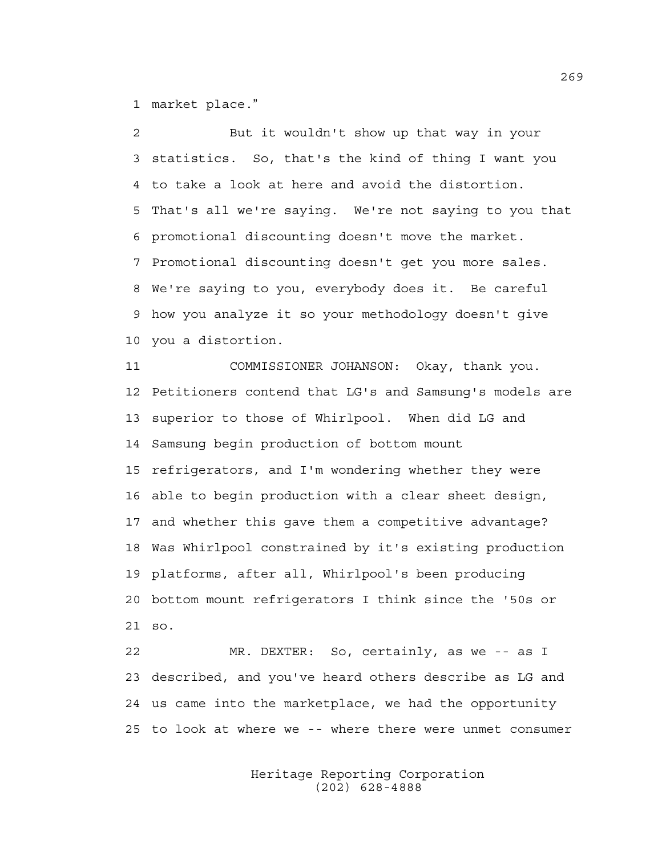1 market place."

2 But it wouldn't show up that way in your 3 statistics. So, that's the kind of thing I want you 4 to take a look at here and avoid the distortion. 5 That's all we're saying. We're not saying to you that 6 promotional discounting doesn't move the market. 7 Promotional discounting doesn't get you more sales. 8 We're saying to you, everybody does it. Be careful 9 how you analyze it so your methodology doesn't give 10 you a distortion. 11 COMMISSIONER JOHANSON: Okay, thank you. 12 Petitioners contend that LG's and Samsung's models are 13 superior to those of Whirlpool. When did LG and 14 Samsung begin production of bottom mount 15 refrigerators, and I'm wondering whether they were 16 able to begin production with a clear sheet design, 17 and whether this gave them a competitive advantage? 18 Was Whirlpool constrained by it's existing production 19 platforms, after all, Whirlpool's been producing 20 bottom mount refrigerators I think since the '50s or 21 so.

22 MR. DEXTER: So, certainly, as we -- as I 23 described, and you've heard others describe as LG and 24 us came into the marketplace, we had the opportunity 25 to look at where we -- where there were unmet consumer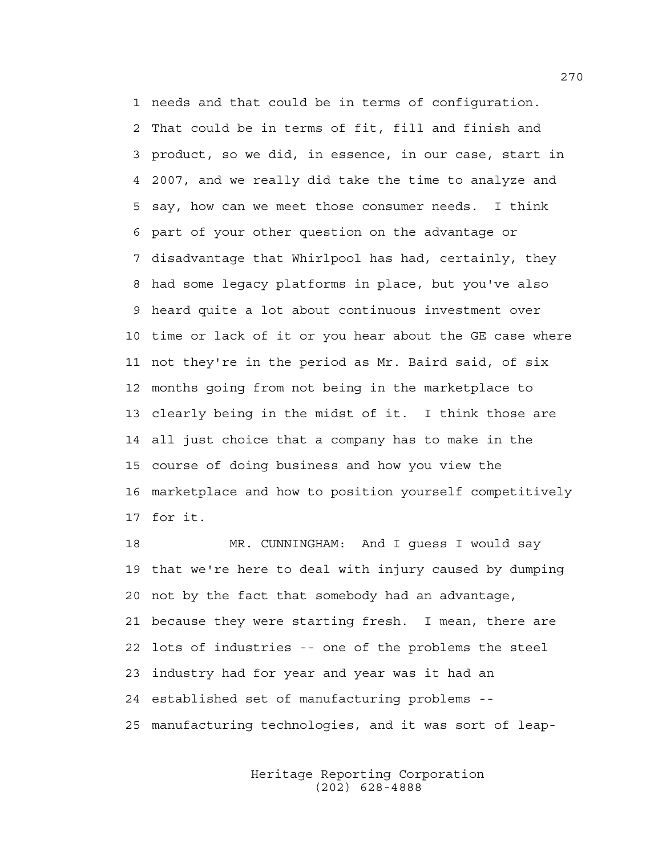1 needs and that could be in terms of configuration. 2 That could be in terms of fit, fill and finish and 3 product, so we did, in essence, in our case, start in 4 2007, and we really did take the time to analyze and 5 say, how can we meet those consumer needs. I think 6 part of your other question on the advantage or 7 disadvantage that Whirlpool has had, certainly, they 8 had some legacy platforms in place, but you've also 9 heard quite a lot about continuous investment over 10 time or lack of it or you hear about the GE case where 11 not they're in the period as Mr. Baird said, of six 12 months going from not being in the marketplace to 13 clearly being in the midst of it. I think those are 14 all just choice that a company has to make in the 15 course of doing business and how you view the 16 marketplace and how to position yourself competitively 17 for it.

18 MR. CUNNINGHAM: And I guess I would say 19 that we're here to deal with injury caused by dumping 20 not by the fact that somebody had an advantage, 21 because they were starting fresh. I mean, there are 22 lots of industries -- one of the problems the steel 23 industry had for year and year was it had an 24 established set of manufacturing problems -- 25 manufacturing technologies, and it was sort of leap-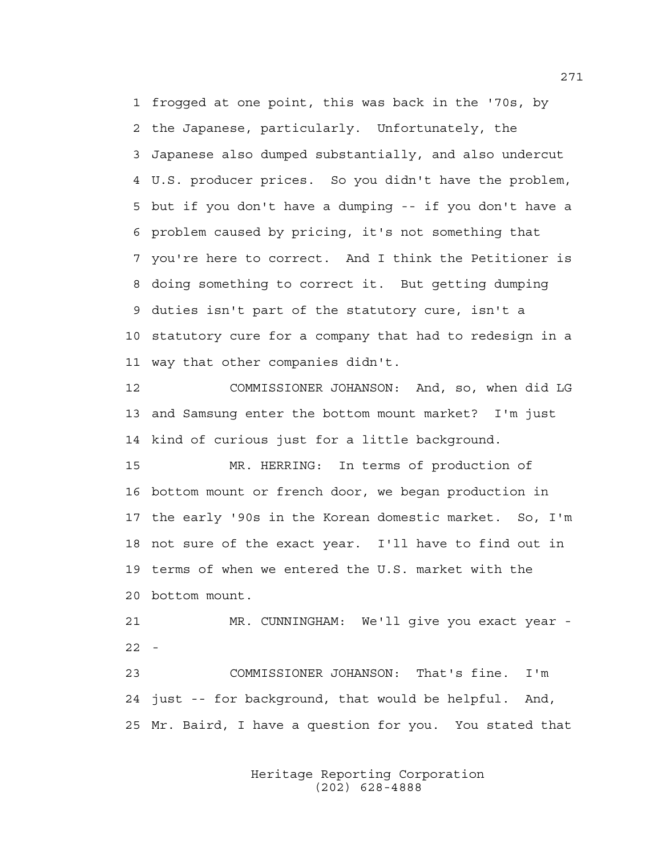1 frogged at one point, this was back in the '70s, by 2 the Japanese, particularly. Unfortunately, the 3 Japanese also dumped substantially, and also undercut 4 U.S. producer prices. So you didn't have the problem, 5 but if you don't have a dumping -- if you don't have a 6 problem caused by pricing, it's not something that 7 you're here to correct. And I think the Petitioner is 8 doing something to correct it. But getting dumping 9 duties isn't part of the statutory cure, isn't a 10 statutory cure for a company that had to redesign in a 11 way that other companies didn't.

12 COMMISSIONER JOHANSON: And, so, when did LG 13 and Samsung enter the bottom mount market? I'm just 14 kind of curious just for a little background.

15 MR. HERRING: In terms of production of 16 bottom mount or french door, we began production in 17 the early '90s in the Korean domestic market. So, I'm 18 not sure of the exact year. I'll have to find out in 19 terms of when we entered the U.S. market with the 20 bottom mount.

21 MR. CUNNINGHAM: We'll give you exact year - 22 -

23 COMMISSIONER JOHANSON: That's fine. I'm 24 just -- for background, that would be helpful. And, 25 Mr. Baird, I have a question for you. You stated that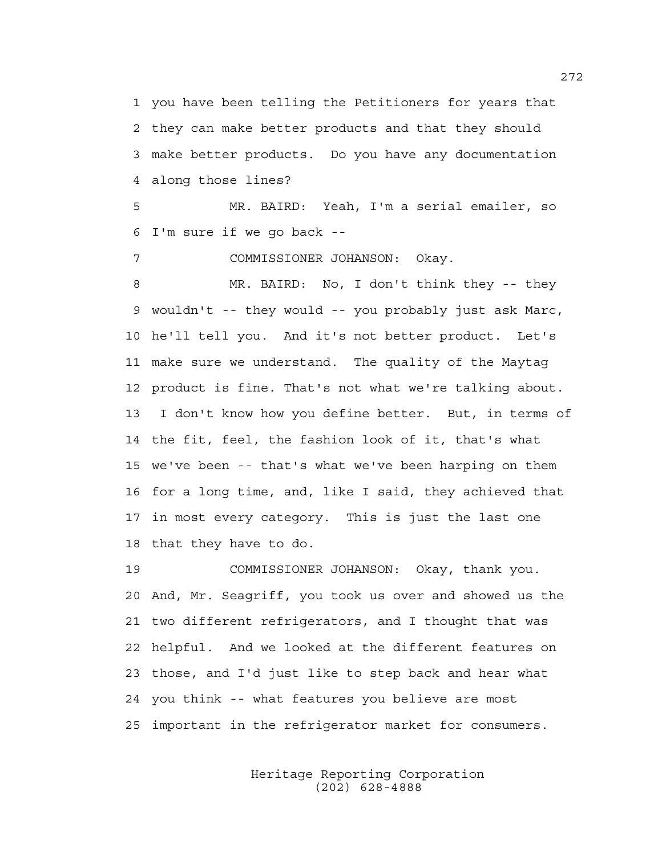1 you have been telling the Petitioners for years that 2 they can make better products and that they should 3 make better products. Do you have any documentation 4 along those lines?

5 MR. BAIRD: Yeah, I'm a serial emailer, so 6 I'm sure if we go back --

7 COMMISSIONER JOHANSON: Okay.

8 MR. BAIRD: No, I don't think they -- they 9 wouldn't -- they would -- you probably just ask Marc, 10 he'll tell you. And it's not better product. Let's 11 make sure we understand. The quality of the Maytag 12 product is fine. That's not what we're talking about. 13 I don't know how you define better. But, in terms of 14 the fit, feel, the fashion look of it, that's what 15 we've been -- that's what we've been harping on them 16 for a long time, and, like I said, they achieved that 17 in most every category. This is just the last one 18 that they have to do.

19 COMMISSIONER JOHANSON: Okay, thank you. 20 And, Mr. Seagriff, you took us over and showed us the 21 two different refrigerators, and I thought that was 22 helpful. And we looked at the different features on 23 those, and I'd just like to step back and hear what 24 you think -- what features you believe are most 25 important in the refrigerator market for consumers.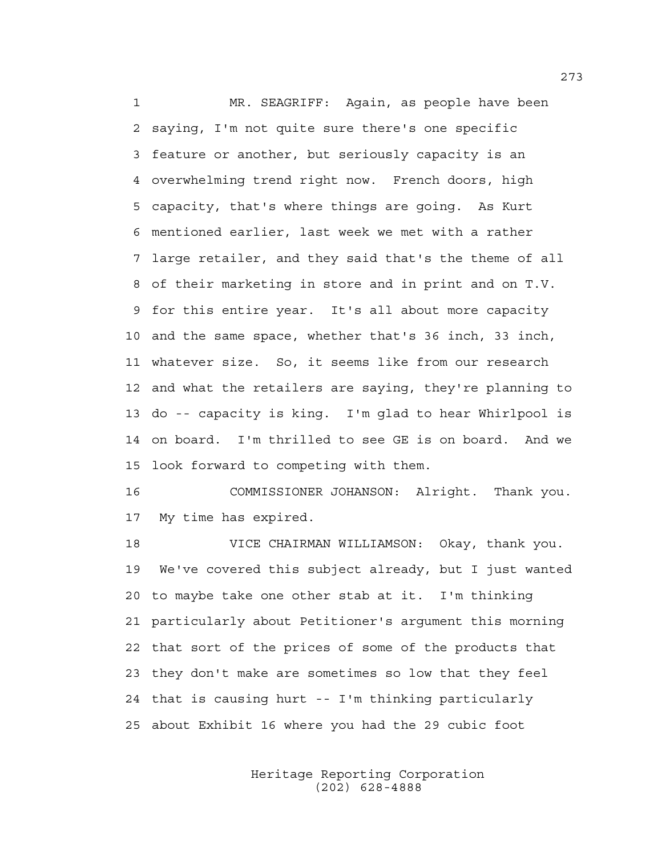1 MR. SEAGRIFF: Again, as people have been 2 saying, I'm not quite sure there's one specific 3 feature or another, but seriously capacity is an 4 overwhelming trend right now. French doors, high 5 capacity, that's where things are going. As Kurt 6 mentioned earlier, last week we met with a rather 7 large retailer, and they said that's the theme of all 8 of their marketing in store and in print and on T.V. 9 for this entire year. It's all about more capacity 10 and the same space, whether that's 36 inch, 33 inch, 11 whatever size. So, it seems like from our research 12 and what the retailers are saying, they're planning to 13 do -- capacity is king. I'm glad to hear Whirlpool is 14 on board. I'm thrilled to see GE is on board. And we 15 look forward to competing with them.

16 COMMISSIONER JOHANSON: Alright. Thank you. 17 My time has expired.

18 VICE CHAIRMAN WILLIAMSON: Okay, thank you. 19 We've covered this subject already, but I just wanted 20 to maybe take one other stab at it. I'm thinking 21 particularly about Petitioner's argument this morning 22 that sort of the prices of some of the products that 23 they don't make are sometimes so low that they feel 24 that is causing hurt -- I'm thinking particularly 25 about Exhibit 16 where you had the 29 cubic foot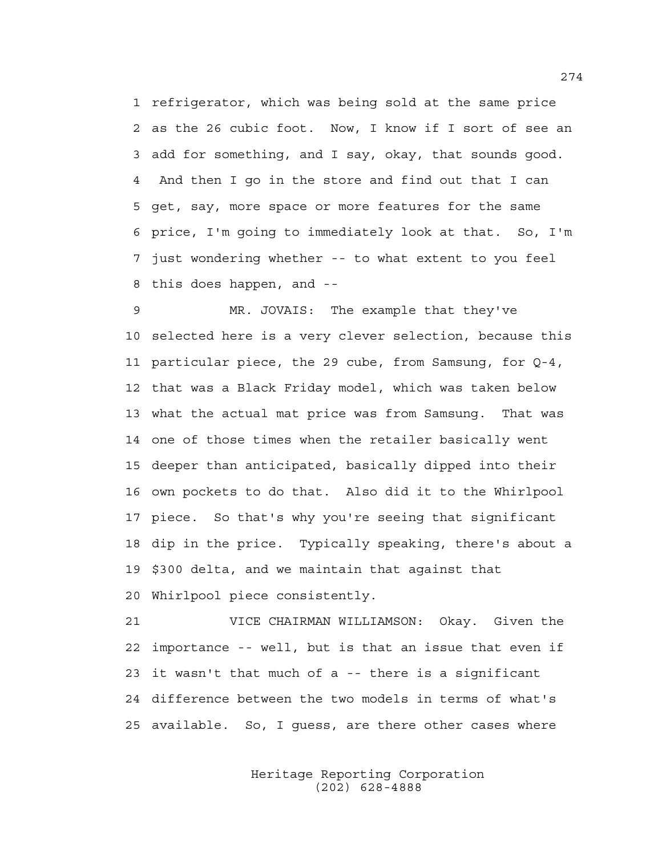1 refrigerator, which was being sold at the same price 2 as the 26 cubic foot. Now, I know if I sort of see an 3 add for something, and I say, okay, that sounds good. 4 And then I go in the store and find out that I can 5 get, say, more space or more features for the same 6 price, I'm going to immediately look at that. So, I'm 7 just wondering whether -- to what extent to you feel 8 this does happen, and --

9 MR. JOVAIS: The example that they've 10 selected here is a very clever selection, because this 11 particular piece, the 29 cube, from Samsung, for Q-4, 12 that was a Black Friday model, which was taken below 13 what the actual mat price was from Samsung. That was 14 one of those times when the retailer basically went 15 deeper than anticipated, basically dipped into their 16 own pockets to do that. Also did it to the Whirlpool 17 piece. So that's why you're seeing that significant 18 dip in the price. Typically speaking, there's about a 19 \$300 delta, and we maintain that against that 20 Whirlpool piece consistently.

21 VICE CHAIRMAN WILLIAMSON: Okay. Given the 22 importance -- well, but is that an issue that even if 23 it wasn't that much of a -- there is a significant 24 difference between the two models in terms of what's 25 available. So, I guess, are there other cases where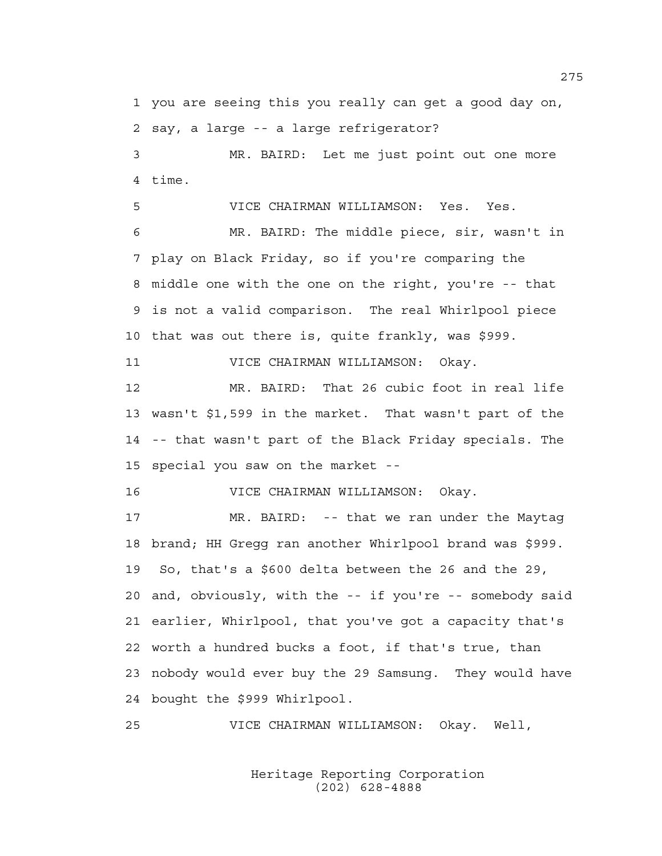1 you are seeing this you really can get a good day on, 2 say, a large -- a large refrigerator?

3 MR. BAIRD: Let me just point out one more 4 time.

5 VICE CHAIRMAN WILLIAMSON: Yes. Yes.

6 MR. BAIRD: The middle piece, sir, wasn't in 7 play on Black Friday, so if you're comparing the 8 middle one with the one on the right, you're -- that 9 is not a valid comparison. The real Whirlpool piece 10 that was out there is, quite frankly, was \$999.

11 VICE CHAIRMAN WILLIAMSON: Okay.

12 MR. BAIRD: That 26 cubic foot in real life 13 wasn't \$1,599 in the market. That wasn't part of the 14 -- that wasn't part of the Black Friday specials. The 15 special you saw on the market --

16 VICE CHAIRMAN WILLIAMSON: Okay.

17 MR. BAIRD: -- that we ran under the Maytag 18 brand; HH Gregg ran another Whirlpool brand was \$999. 19 So, that's a \$600 delta between the 26 and the 29, 20 and, obviously, with the -- if you're -- somebody said 21 earlier, Whirlpool, that you've got a capacity that's 22 worth a hundred bucks a foot, if that's true, than 23 nobody would ever buy the 29 Samsung. They would have 24 bought the \$999 Whirlpool.

25 VICE CHAIRMAN WILLIAMSON: Okay. Well,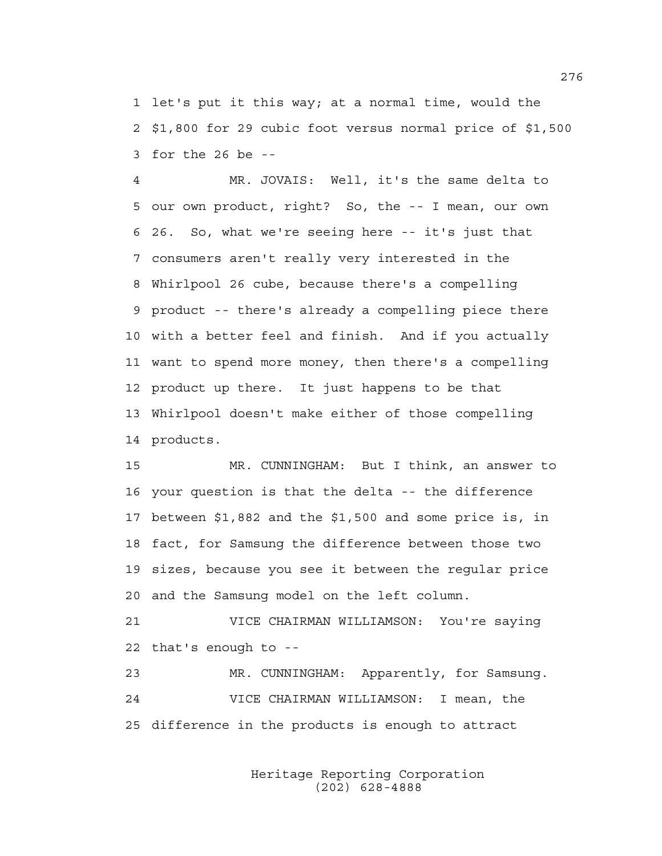1 let's put it this way; at a normal time, would the 2 \$1,800 for 29 cubic foot versus normal price of \$1,500 3 for the 26 be --

4 MR. JOVAIS: Well, it's the same delta to 5 our own product, right? So, the -- I mean, our own 6 26. So, what we're seeing here -- it's just that 7 consumers aren't really very interested in the 8 Whirlpool 26 cube, because there's a compelling 9 product -- there's already a compelling piece there 10 with a better feel and finish. And if you actually 11 want to spend more money, then there's a compelling 12 product up there. It just happens to be that 13 Whirlpool doesn't make either of those compelling 14 products.

15 MR. CUNNINGHAM: But I think, an answer to 16 your question is that the delta -- the difference 17 between \$1,882 and the \$1,500 and some price is, in 18 fact, for Samsung the difference between those two 19 sizes, because you see it between the regular price 20 and the Samsung model on the left column.

21 VICE CHAIRMAN WILLIAMSON: You're saying 22 that's enough to --

23 MR. CUNNINGHAM: Apparently, for Samsung. 24 VICE CHAIRMAN WILLIAMSON: I mean, the 25 difference in the products is enough to attract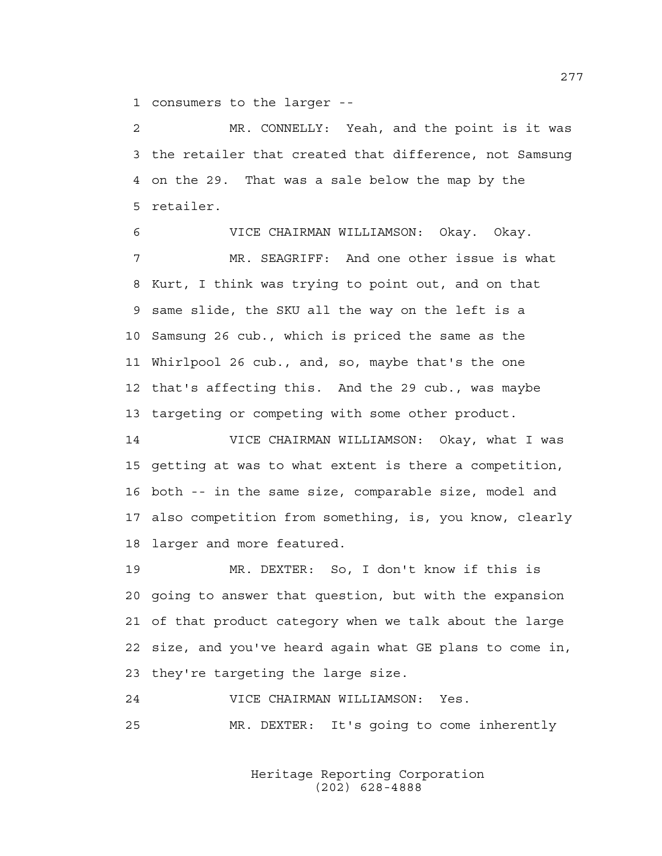1 consumers to the larger --

2 MR. CONNELLY: Yeah, and the point is it was 3 the retailer that created that difference, not Samsung 4 on the 29. That was a sale below the map by the 5 retailer.

6 VICE CHAIRMAN WILLIAMSON: Okay. Okay. 7 MR. SEAGRIFF: And one other issue is what 8 Kurt, I think was trying to point out, and on that 9 same slide, the SKU all the way on the left is a 10 Samsung 26 cub., which is priced the same as the 11 Whirlpool 26 cub., and, so, maybe that's the one 12 that's affecting this. And the 29 cub., was maybe 13 targeting or competing with some other product.

14 VICE CHAIRMAN WILLIAMSON: Okay, what I was 15 getting at was to what extent is there a competition, 16 both -- in the same size, comparable size, model and 17 also competition from something, is, you know, clearly 18 larger and more featured.

19 MR. DEXTER: So, I don't know if this is 20 going to answer that question, but with the expansion 21 of that product category when we talk about the large 22 size, and you've heard again what GE plans to come in, 23 they're targeting the large size.

24 VICE CHAIRMAN WILLIAMSON: Yes.

25 MR. DEXTER: It's going to come inherently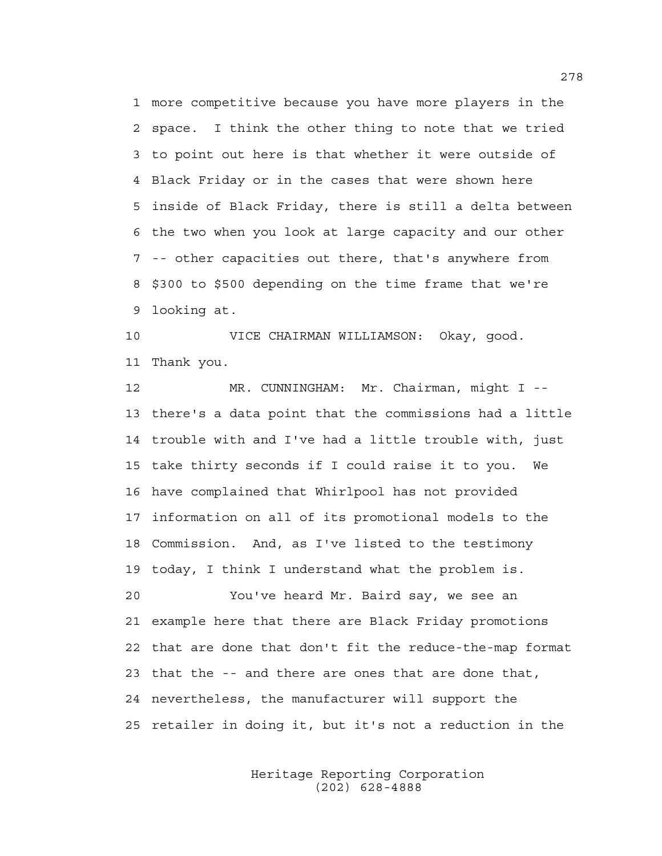1 more competitive because you have more players in the 2 space. I think the other thing to note that we tried 3 to point out here is that whether it were outside of 4 Black Friday or in the cases that were shown here 5 inside of Black Friday, there is still a delta between 6 the two when you look at large capacity and our other 7 -- other capacities out there, that's anywhere from 8 \$300 to \$500 depending on the time frame that we're 9 looking at.

10 VICE CHAIRMAN WILLIAMSON: Okay, good. 11 Thank you.

12 MR. CUNNINGHAM: Mr. Chairman, might I -- 13 there's a data point that the commissions had a little 14 trouble with and I've had a little trouble with, just 15 take thirty seconds if I could raise it to you. We 16 have complained that Whirlpool has not provided 17 information on all of its promotional models to the 18 Commission. And, as I've listed to the testimony 19 today, I think I understand what the problem is. 20 You've heard Mr. Baird say, we see an 21 example here that there are Black Friday promotions 22 that are done that don't fit the reduce-the-map format 23 that the -- and there are ones that are done that, 24 nevertheless, the manufacturer will support the 25 retailer in doing it, but it's not a reduction in the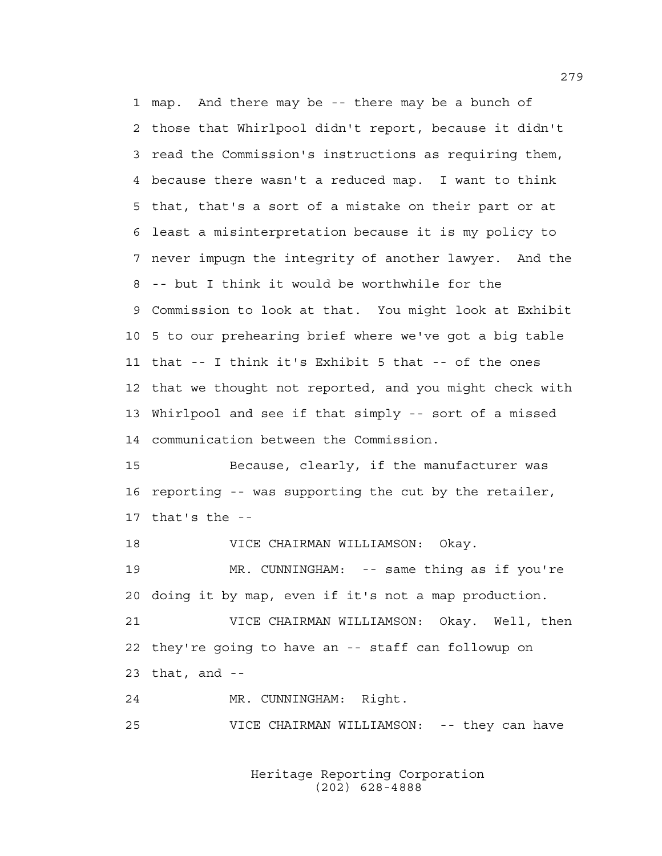1 map. And there may be -- there may be a bunch of 2 those that Whirlpool didn't report, because it didn't 3 read the Commission's instructions as requiring them, 4 because there wasn't a reduced map. I want to think 5 that, that's a sort of a mistake on their part or at 6 least a misinterpretation because it is my policy to 7 never impugn the integrity of another lawyer. And the 8 -- but I think it would be worthwhile for the 9 Commission to look at that. You might look at Exhibit 10 5 to our prehearing brief where we've got a big table 11 that -- I think it's Exhibit 5 that -- of the ones 12 that we thought not reported, and you might check with 13 Whirlpool and see if that simply -- sort of a missed 14 communication between the Commission.

15 Because, clearly, if the manufacturer was 16 reporting -- was supporting the cut by the retailer, 17 that's the --

18 VICE CHAIRMAN WILLIAMSON: Okay.

19 MR. CUNNINGHAM: -- same thing as if you're 20 doing it by map, even if it's not a map production.

21 VICE CHAIRMAN WILLIAMSON: Okay. Well, then 22 they're going to have an -- staff can followup on 23 that, and --

24 MR. CUNNINGHAM: Right.

25 VICE CHAIRMAN WILLIAMSON: -- they can have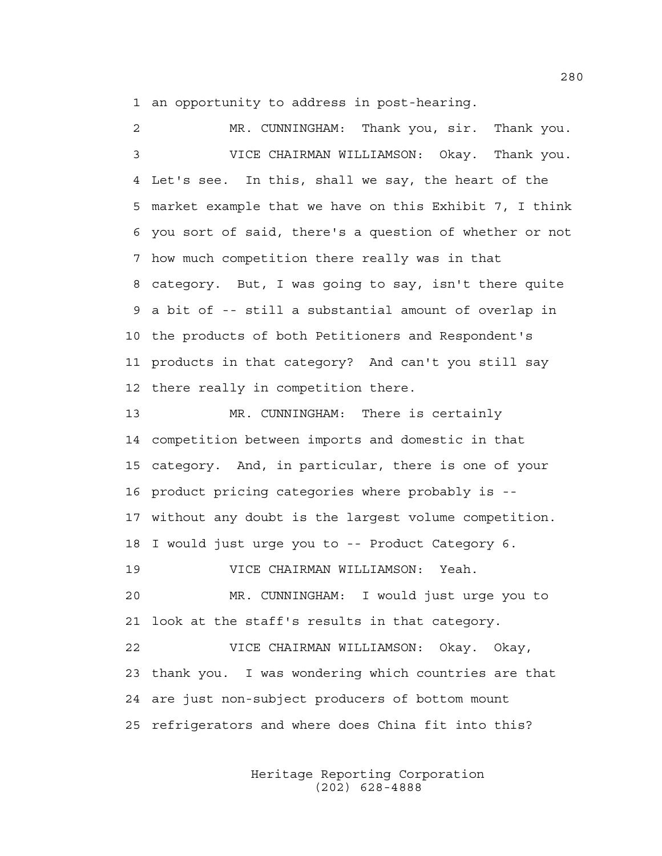1 an opportunity to address in post-hearing.

2 MR. CUNNINGHAM: Thank you, sir. Thank you. 3 VICE CHAIRMAN WILLIAMSON: Okay. Thank you. 4 Let's see. In this, shall we say, the heart of the 5 market example that we have on this Exhibit 7, I think 6 you sort of said, there's a question of whether or not 7 how much competition there really was in that 8 category. But, I was going to say, isn't there quite 9 a bit of -- still a substantial amount of overlap in 10 the products of both Petitioners and Respondent's 11 products in that category? And can't you still say 12 there really in competition there. 13 MR. CUNNINGHAM: There is certainly 14 competition between imports and domestic in that 15 category. And, in particular, there is one of your 16 product pricing categories where probably is -- 17 without any doubt is the largest volume competition. 18 I would just urge you to -- Product Category 6. 19 VICE CHAIRMAN WILLIAMSON: Yeah. 20 MR. CUNNINGHAM: I would just urge you to 21 look at the staff's results in that category. 22 VICE CHAIRMAN WILLIAMSON: Okay. Okay, 23 thank you. I was wondering which countries are that

25 refrigerators and where does China fit into this?

24 are just non-subject producers of bottom mount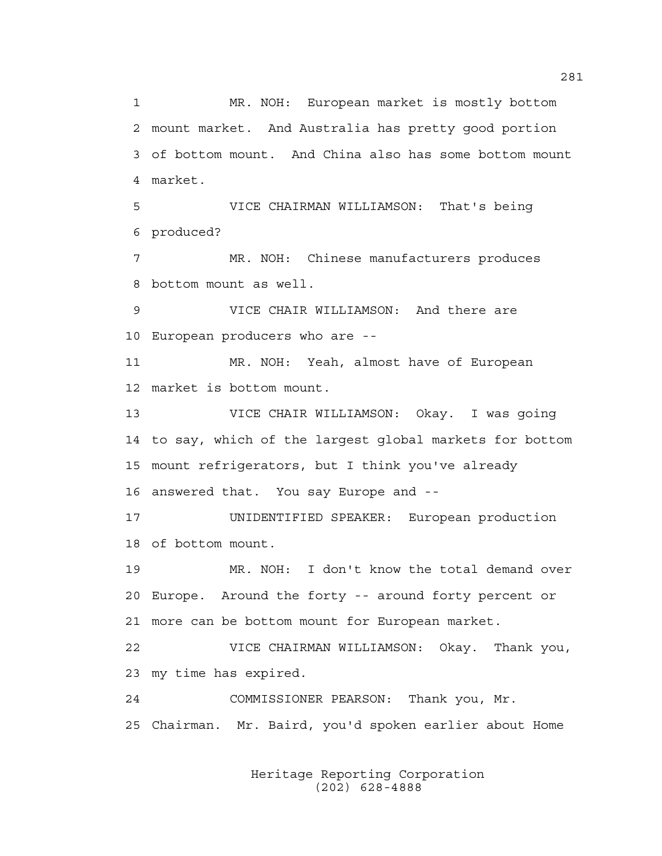1 MR. NOH: European market is mostly bottom 2 mount market. And Australia has pretty good portion 3 of bottom mount. And China also has some bottom mount 4 market. 5 VICE CHAIRMAN WILLIAMSON: That's being 6 produced? 7 MR. NOH: Chinese manufacturers produces 8 bottom mount as well. 9 VICE CHAIR WILLIAMSON: And there are 10 European producers who are -- 11 MR. NOH: Yeah, almost have of European 12 market is bottom mount. 13 VICE CHAIR WILLIAMSON: Okay. I was going 14 to say, which of the largest global markets for bottom 15 mount refrigerators, but I think you've already 16 answered that. You say Europe and -- 17 UNIDENTIFIED SPEAKER: European production 18 of bottom mount. 19 MR. NOH: I don't know the total demand over 20 Europe. Around the forty -- around forty percent or 21 more can be bottom mount for European market. 22 VICE CHAIRMAN WILLIAMSON: Okay. Thank you, 23 my time has expired. 24 COMMISSIONER PEARSON: Thank you, Mr. 25 Chairman. Mr. Baird, you'd spoken earlier about Home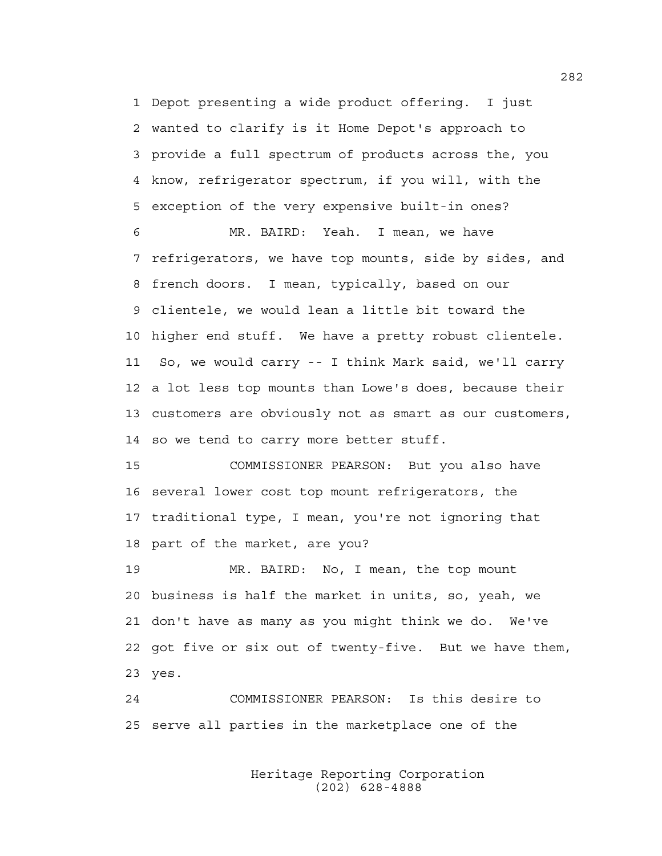1 Depot presenting a wide product offering. I just 2 wanted to clarify is it Home Depot's approach to 3 provide a full spectrum of products across the, you 4 know, refrigerator spectrum, if you will, with the 5 exception of the very expensive built-in ones?

6 MR. BAIRD: Yeah. I mean, we have 7 refrigerators, we have top mounts, side by sides, and 8 french doors. I mean, typically, based on our 9 clientele, we would lean a little bit toward the 10 higher end stuff. We have a pretty robust clientele. 11 So, we would carry -- I think Mark said, we'll carry 12 a lot less top mounts than Lowe's does, because their 13 customers are obviously not as smart as our customers, 14 so we tend to carry more better stuff.

15 COMMISSIONER PEARSON: But you also have 16 several lower cost top mount refrigerators, the 17 traditional type, I mean, you're not ignoring that 18 part of the market, are you?

19 MR. BAIRD: No, I mean, the top mount 20 business is half the market in units, so, yeah, we 21 don't have as many as you might think we do. We've 22 got five or six out of twenty-five. But we have them, 23 yes.

24 COMMISSIONER PEARSON: Is this desire to 25 serve all parties in the marketplace one of the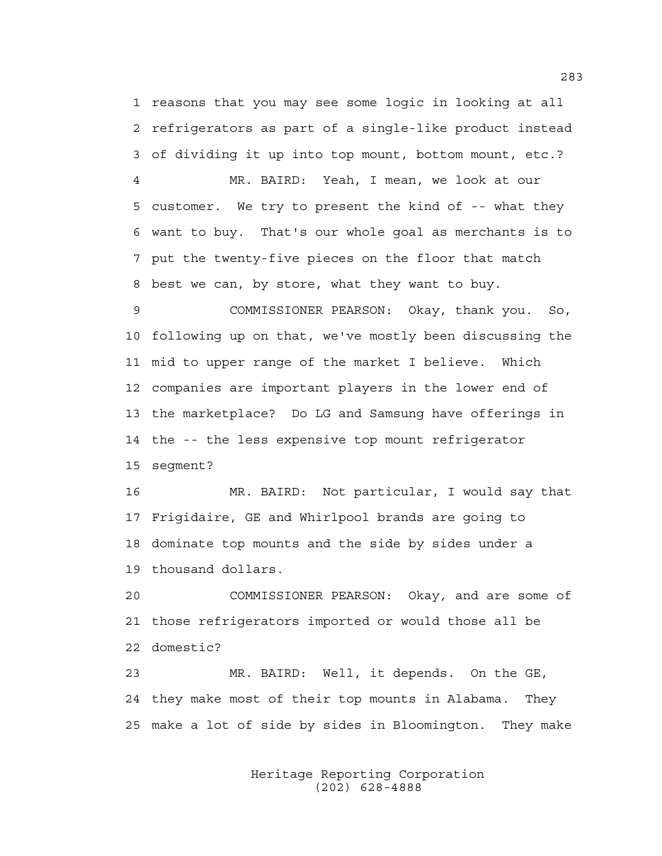1 reasons that you may see some logic in looking at all 2 refrigerators as part of a single-like product instead 3 of dividing it up into top mount, bottom mount, etc.?

4 MR. BAIRD: Yeah, I mean, we look at our 5 customer. We try to present the kind of -- what they 6 want to buy. That's our whole goal as merchants is to 7 put the twenty-five pieces on the floor that match 8 best we can, by store, what they want to buy.

9 COMMISSIONER PEARSON: Okay, thank you. So, 10 following up on that, we've mostly been discussing the 11 mid to upper range of the market I believe. Which 12 companies are important players in the lower end of 13 the marketplace? Do LG and Samsung have offerings in 14 the -- the less expensive top mount refrigerator 15 segment?

16 MR. BAIRD: Not particular, I would say that 17 Frigidaire, GE and Whirlpool brands are going to 18 dominate top mounts and the side by sides under a 19 thousand dollars.

20 COMMISSIONER PEARSON: Okay, and are some of 21 those refrigerators imported or would those all be 22 domestic?

23 MR. BAIRD: Well, it depends. On the GE, 24 they make most of their top mounts in Alabama. They 25 make a lot of side by sides in Bloomington. They make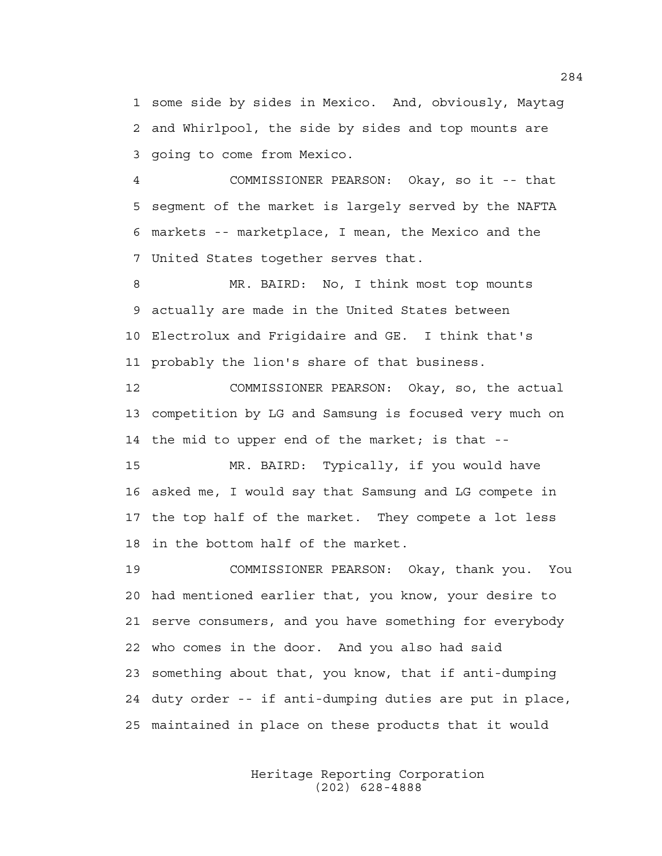1 some side by sides in Mexico. And, obviously, Maytag 2 and Whirlpool, the side by sides and top mounts are 3 going to come from Mexico.

4 COMMISSIONER PEARSON: Okay, so it -- that 5 segment of the market is largely served by the NAFTA 6 markets -- marketplace, I mean, the Mexico and the 7 United States together serves that.

8 MR. BAIRD: No, I think most top mounts 9 actually are made in the United States between 10 Electrolux and Frigidaire and GE. I think that's 11 probably the lion's share of that business.

12 COMMISSIONER PEARSON: Okay, so, the actual 13 competition by LG and Samsung is focused very much on 14 the mid to upper end of the market; is that --

15 MR. BAIRD: Typically, if you would have 16 asked me, I would say that Samsung and LG compete in 17 the top half of the market. They compete a lot less 18 in the bottom half of the market.

19 COMMISSIONER PEARSON: Okay, thank you. You 20 had mentioned earlier that, you know, your desire to 21 serve consumers, and you have something for everybody 22 who comes in the door. And you also had said 23 something about that, you know, that if anti-dumping 24 duty order -- if anti-dumping duties are put in place, 25 maintained in place on these products that it would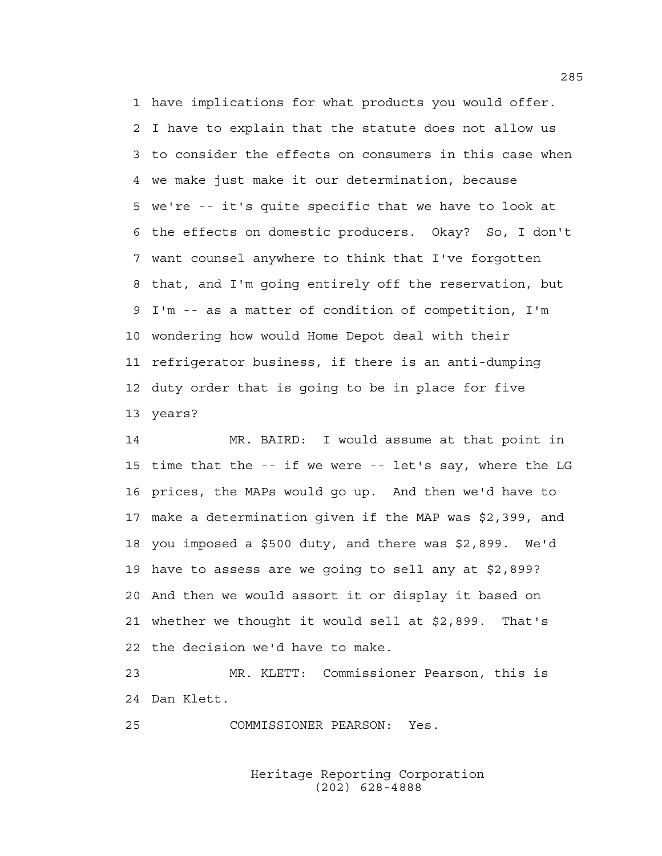1 have implications for what products you would offer. 2 I have to explain that the statute does not allow us 3 to consider the effects on consumers in this case when 4 we make just make it our determination, because 5 we're -- it's quite specific that we have to look at 6 the effects on domestic producers. Okay? So, I don't 7 want counsel anywhere to think that I've forgotten 8 that, and I'm going entirely off the reservation, but 9 I'm -- as a matter of condition of competition, I'm 10 wondering how would Home Depot deal with their 11 refrigerator business, if there is an anti-dumping 12 duty order that is going to be in place for five 13 years?

14 MR. BAIRD: I would assume at that point in 15 time that the -- if we were -- let's say, where the LG 16 prices, the MAPs would go up. And then we'd have to 17 make a determination given if the MAP was \$2,399, and 18 you imposed a \$500 duty, and there was \$2,899. We'd 19 have to assess are we going to sell any at \$2,899? 20 And then we would assort it or display it based on 21 whether we thought it would sell at \$2,899. That's 22 the decision we'd have to make.

23 MR. KLETT: Commissioner Pearson, this is 24 Dan Klett.

25 COMMISSIONER PEARSON: Yes.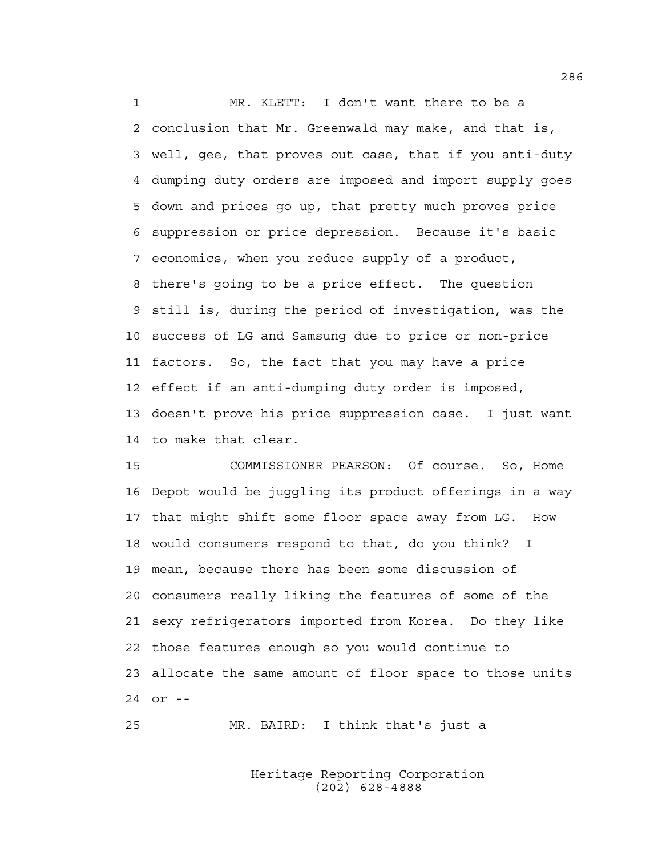1 MR. KLETT: I don't want there to be a 2 conclusion that Mr. Greenwald may make, and that is, 3 well, gee, that proves out case, that if you anti-duty 4 dumping duty orders are imposed and import supply goes 5 down and prices go up, that pretty much proves price 6 suppression or price depression. Because it's basic 7 economics, when you reduce supply of a product, 8 there's going to be a price effect. The question 9 still is, during the period of investigation, was the 10 success of LG and Samsung due to price or non-price 11 factors. So, the fact that you may have a price 12 effect if an anti-dumping duty order is imposed, 13 doesn't prove his price suppression case. I just want 14 to make that clear.

15 COMMISSIONER PEARSON: Of course. So, Home 16 Depot would be juggling its product offerings in a way 17 that might shift some floor space away from LG. How 18 would consumers respond to that, do you think? I 19 mean, because there has been some discussion of 20 consumers really liking the features of some of the 21 sexy refrigerators imported from Korea. Do they like 22 those features enough so you would continue to 23 allocate the same amount of floor space to those units 24 or --

25 MR. BAIRD: I think that's just a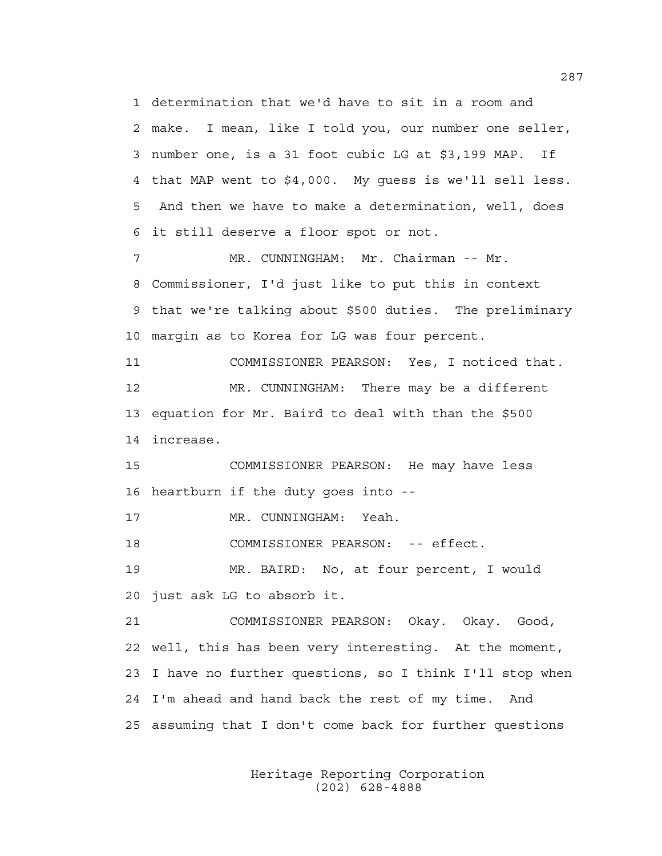1 determination that we'd have to sit in a room and 2 make. I mean, like I told you, our number one seller, 3 number one, is a 31 foot cubic LG at \$3,199 MAP. If 4 that MAP went to \$4,000. My guess is we'll sell less. 5 And then we have to make a determination, well, does 6 it still deserve a floor spot or not.

7 MR. CUNNINGHAM: Mr. Chairman -- Mr. 8 Commissioner, I'd just like to put this in context 9 that we're talking about \$500 duties. The preliminary 10 margin as to Korea for LG was four percent.

11 COMMISSIONER PEARSON: Yes, I noticed that. 12 MR. CUNNINGHAM: There may be a different 13 equation for Mr. Baird to deal with than the \$500 14 increase.

15 COMMISSIONER PEARSON: He may have less 16 heartburn if the duty goes into --

17 MR. CUNNINGHAM: Yeah.

18 COMMISSIONER PEARSON: -- effect.

19 MR. BAIRD: No, at four percent, I would 20 just ask LG to absorb it.

21 COMMISSIONER PEARSON: Okay. Okay. Good, 22 well, this has been very interesting. At the moment, 23 I have no further questions, so I think I'll stop when 24 I'm ahead and hand back the rest of my time. And 25 assuming that I don't come back for further questions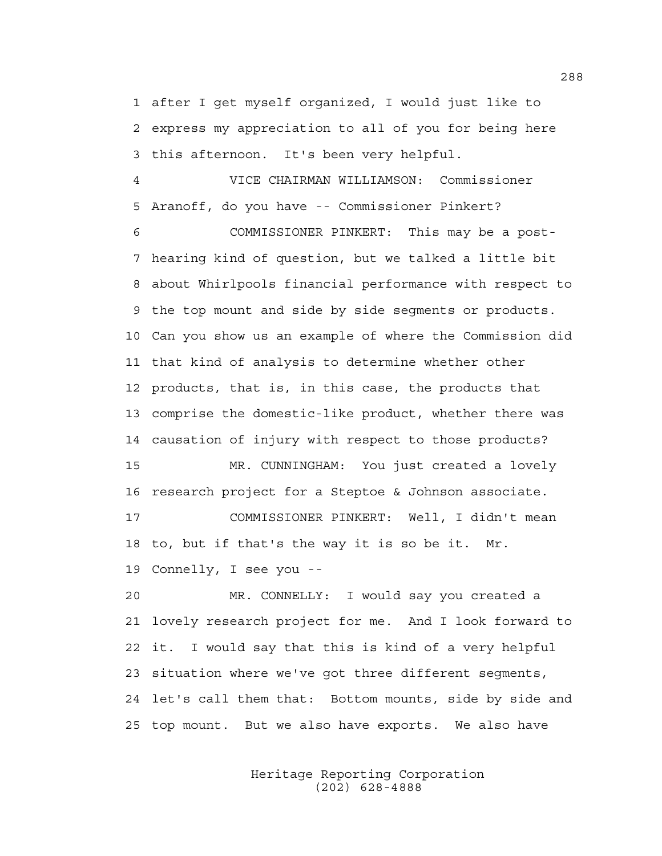1 after I get myself organized, I would just like to 2 express my appreciation to all of you for being here 3 this afternoon. It's been very helpful.

4 VICE CHAIRMAN WILLIAMSON: Commissioner 5 Aranoff, do you have -- Commissioner Pinkert?

6 COMMISSIONER PINKERT: This may be a post-7 hearing kind of question, but we talked a little bit 8 about Whirlpools financial performance with respect to 9 the top mount and side by side segments or products. 10 Can you show us an example of where the Commission did 11 that kind of analysis to determine whether other 12 products, that is, in this case, the products that 13 comprise the domestic-like product, whether there was 14 causation of injury with respect to those products? 15 MR. CUNNINGHAM: You just created a lovely 16 research project for a Steptoe & Johnson associate.

17 COMMISSIONER PINKERT: Well, I didn't mean 18 to, but if that's the way it is so be it. Mr. 19 Connelly, I see you --

20 MR. CONNELLY: I would say you created a 21 lovely research project for me. And I look forward to 22 it. I would say that this is kind of a very helpful 23 situation where we've got three different segments, 24 let's call them that: Bottom mounts, side by side and 25 top mount. But we also have exports. We also have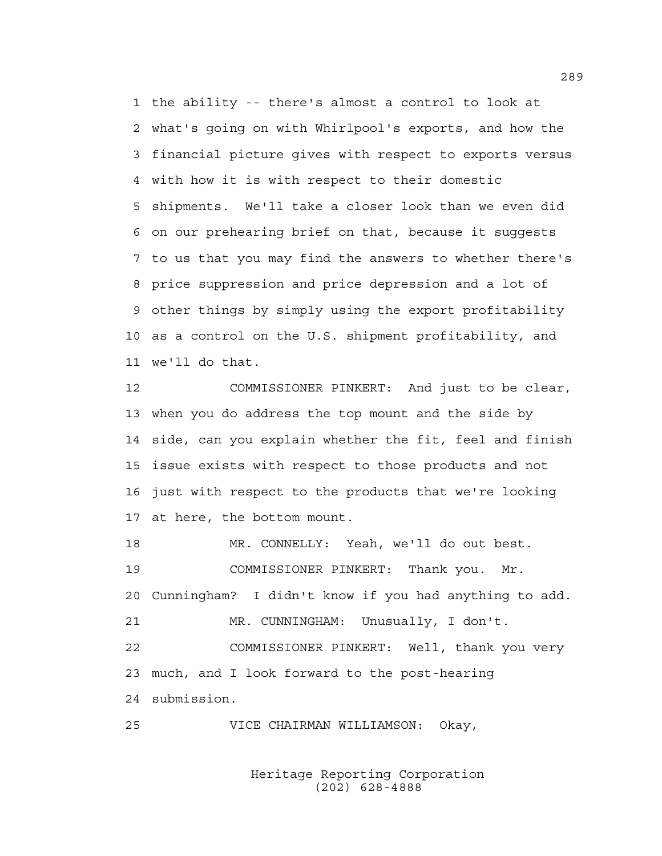1 the ability -- there's almost a control to look at 2 what's going on with Whirlpool's exports, and how the 3 financial picture gives with respect to exports versus 4 with how it is with respect to their domestic 5 shipments. We'll take a closer look than we even did 6 on our prehearing brief on that, because it suggests 7 to us that you may find the answers to whether there's 8 price suppression and price depression and a lot of 9 other things by simply using the export profitability 10 as a control on the U.S. shipment profitability, and 11 we'll do that.

12 COMMISSIONER PINKERT: And just to be clear, 13 when you do address the top mount and the side by 14 side, can you explain whether the fit, feel and finish 15 issue exists with respect to those products and not 16 just with respect to the products that we're looking 17 at here, the bottom mount.

18 MR. CONNELLY: Yeah, we'll do out best. 19 COMMISSIONER PINKERT: Thank you. Mr. 20 Cunningham? I didn't know if you had anything to add. 21 MR. CUNNINGHAM: Unusually, I don't. 22 COMMISSIONER PINKERT: Well, thank you very 23 much, and I look forward to the post-hearing 24 submission.

25 VICE CHAIRMAN WILLIAMSON: Okay,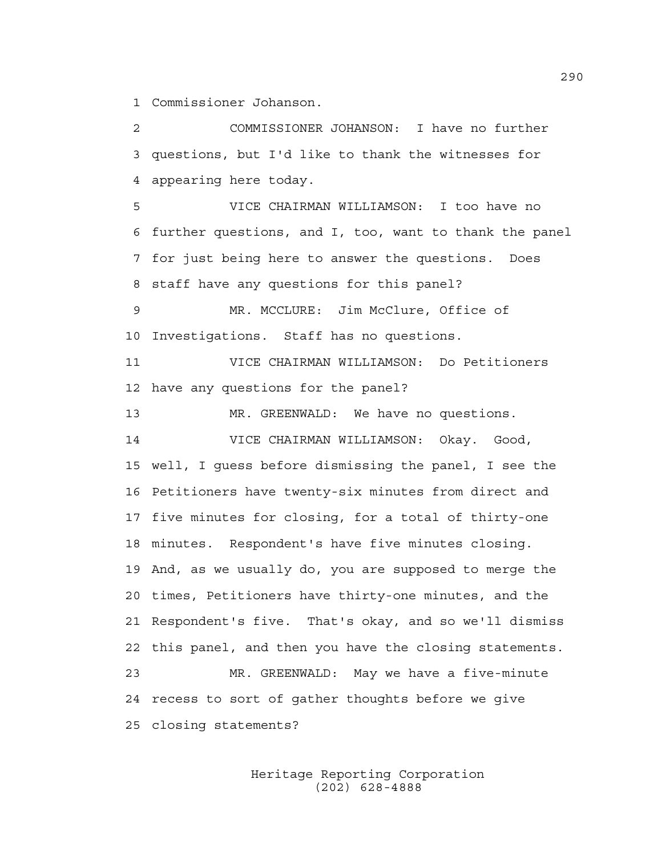1 Commissioner Johanson.

2 COMMISSIONER JOHANSON: I have no further 3 questions, but I'd like to thank the witnesses for 4 appearing here today. 5 VICE CHAIRMAN WILLIAMSON: I too have no 6 further questions, and I, too, want to thank the panel 7 for just being here to answer the questions. Does 8 staff have any questions for this panel? 9 MR. MCCLURE: Jim McClure, Office of 10 Investigations. Staff has no questions. 11 VICE CHAIRMAN WILLIAMSON: Do Petitioners 12 have any questions for the panel? 13 MR. GREENWALD: We have no questions. 14 VICE CHAIRMAN WILLIAMSON: Okay. Good, 15 well, I guess before dismissing the panel, I see the 16 Petitioners have twenty-six minutes from direct and 17 five minutes for closing, for a total of thirty-one 18 minutes. Respondent's have five minutes closing. 19 And, as we usually do, you are supposed to merge the 20 times, Petitioners have thirty-one minutes, and the 21 Respondent's five. That's okay, and so we'll dismiss 22 this panel, and then you have the closing statements. 23 MR. GREENWALD: May we have a five-minute 24 recess to sort of gather thoughts before we give

25 closing statements?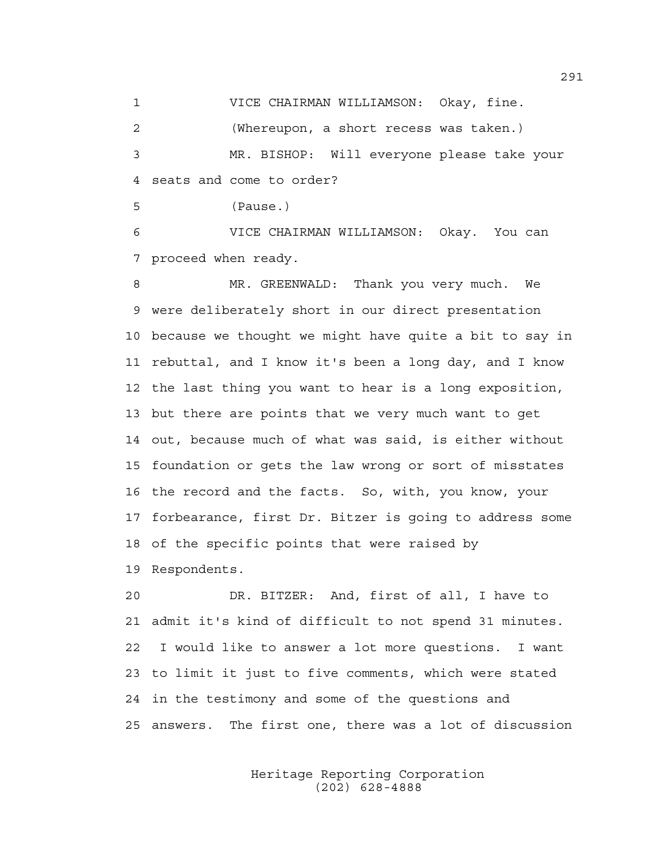1 VICE CHAIRMAN WILLIAMSON: Okay, fine.

2 (Whereupon, a short recess was taken.)

3 MR. BISHOP: Will everyone please take your 4 seats and come to order?

5 (Pause.)

6 VICE CHAIRMAN WILLIAMSON: Okay. You can 7 proceed when ready.

8 MR. GREENWALD: Thank you very much. We 9 were deliberately short in our direct presentation 10 because we thought we might have quite a bit to say in 11 rebuttal, and I know it's been a long day, and I know 12 the last thing you want to hear is a long exposition, 13 but there are points that we very much want to get 14 out, because much of what was said, is either without 15 foundation or gets the law wrong or sort of misstates 16 the record and the facts. So, with, you know, your 17 forbearance, first Dr. Bitzer is going to address some 18 of the specific points that were raised by

19 Respondents.

20 DR. BITZER: And, first of all, I have to 21 admit it's kind of difficult to not spend 31 minutes. 22 I would like to answer a lot more questions. I want 23 to limit it just to five comments, which were stated 24 in the testimony and some of the questions and 25 answers. The first one, there was a lot of discussion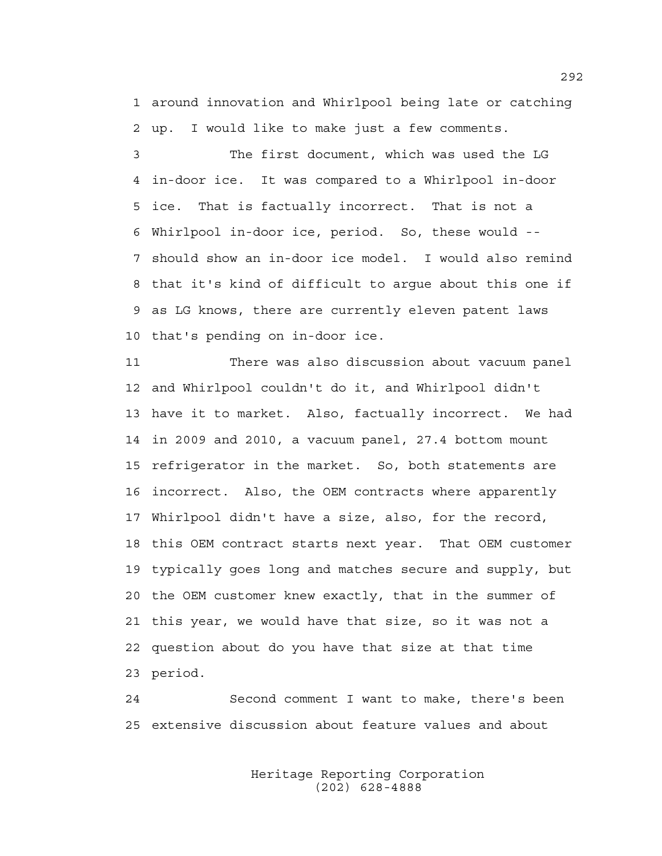1 around innovation and Whirlpool being late or catching 2 up. I would like to make just a few comments.

3 The first document, which was used the LG 4 in-door ice. It was compared to a Whirlpool in-door 5 ice. That is factually incorrect. That is not a 6 Whirlpool in-door ice, period. So, these would -- 7 should show an in-door ice model. I would also remind 8 that it's kind of difficult to argue about this one if 9 as LG knows, there are currently eleven patent laws 10 that's pending on in-door ice.

11 There was also discussion about vacuum panel 12 and Whirlpool couldn't do it, and Whirlpool didn't 13 have it to market. Also, factually incorrect. We had 14 in 2009 and 2010, a vacuum panel, 27.4 bottom mount 15 refrigerator in the market. So, both statements are 16 incorrect. Also, the OEM contracts where apparently 17 Whirlpool didn't have a size, also, for the record, 18 this OEM contract starts next year. That OEM customer 19 typically goes long and matches secure and supply, but 20 the OEM customer knew exactly, that in the summer of 21 this year, we would have that size, so it was not a 22 question about do you have that size at that time 23 period.

24 Second comment I want to make, there's been 25 extensive discussion about feature values and about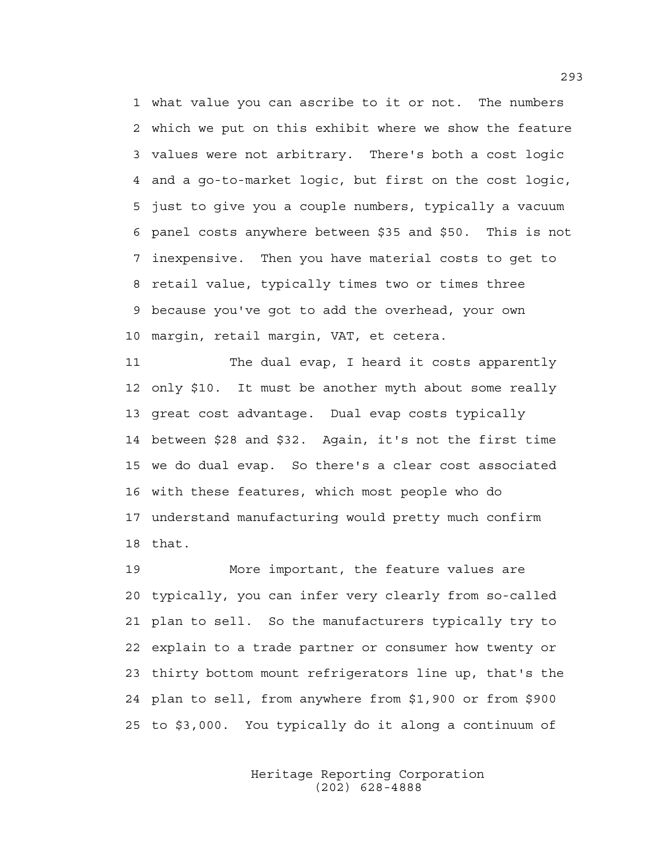1 what value you can ascribe to it or not. The numbers 2 which we put on this exhibit where we show the feature 3 values were not arbitrary. There's both a cost logic 4 and a go-to-market logic, but first on the cost logic, 5 just to give you a couple numbers, typically a vacuum 6 panel costs anywhere between \$35 and \$50. This is not 7 inexpensive. Then you have material costs to get to 8 retail value, typically times two or times three 9 because you've got to add the overhead, your own 10 margin, retail margin, VAT, et cetera.

11 The dual evap, I heard it costs apparently 12 only \$10. It must be another myth about some really 13 great cost advantage. Dual evap costs typically 14 between \$28 and \$32. Again, it's not the first time 15 we do dual evap. So there's a clear cost associated 16 with these features, which most people who do 17 understand manufacturing would pretty much confirm 18 that.

19 More important, the feature values are 20 typically, you can infer very clearly from so-called 21 plan to sell. So the manufacturers typically try to 22 explain to a trade partner or consumer how twenty or 23 thirty bottom mount refrigerators line up, that's the 24 plan to sell, from anywhere from \$1,900 or from \$900 25 to \$3,000. You typically do it along a continuum of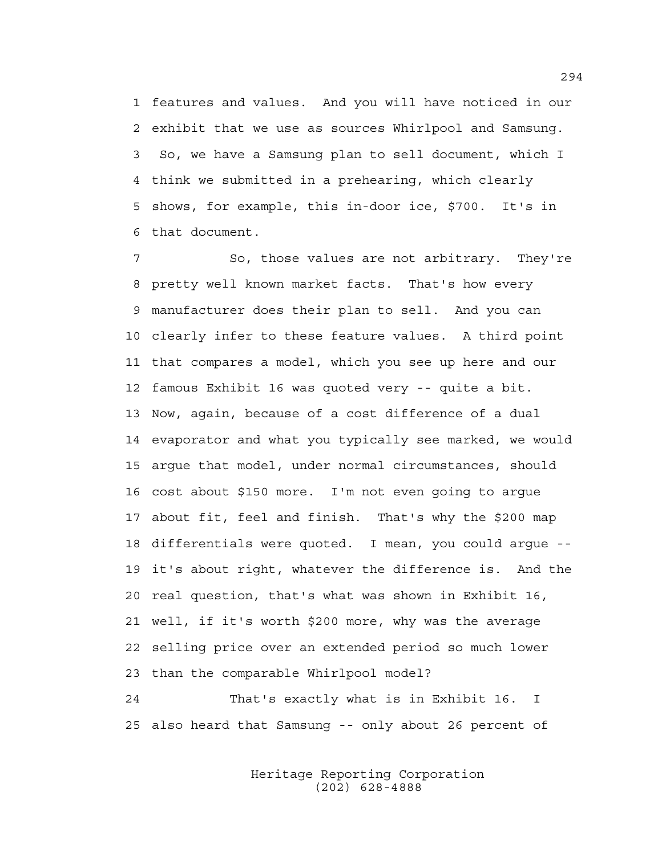1 features and values. And you will have noticed in our 2 exhibit that we use as sources Whirlpool and Samsung. 3 So, we have a Samsung plan to sell document, which I 4 think we submitted in a prehearing, which clearly 5 shows, for example, this in-door ice, \$700. It's in 6 that document.

7 So, those values are not arbitrary. They're 8 pretty well known market facts. That's how every 9 manufacturer does their plan to sell. And you can 10 clearly infer to these feature values. A third point 11 that compares a model, which you see up here and our 12 famous Exhibit 16 was quoted very -- quite a bit. 13 Now, again, because of a cost difference of a dual 14 evaporator and what you typically see marked, we would 15 argue that model, under normal circumstances, should 16 cost about \$150 more. I'm not even going to argue 17 about fit, feel and finish. That's why the \$200 map 18 differentials were quoted. I mean, you could argue -- 19 it's about right, whatever the difference is. And the 20 real question, that's what was shown in Exhibit 16, 21 well, if it's worth \$200 more, why was the average 22 selling price over an extended period so much lower 23 than the comparable Whirlpool model?

24 That's exactly what is in Exhibit 16. I 25 also heard that Samsung -- only about 26 percent of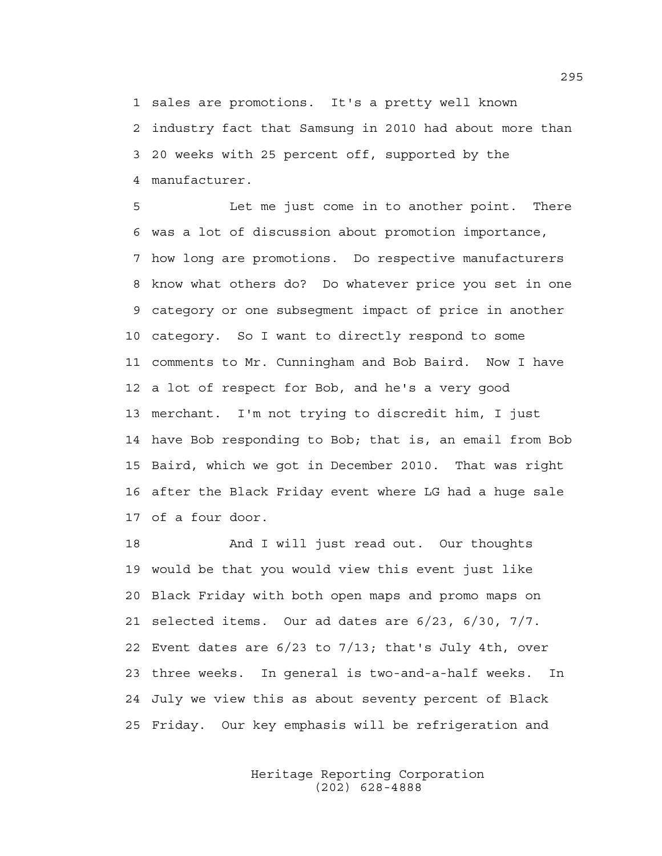1 sales are promotions. It's a pretty well known 2 industry fact that Samsung in 2010 had about more than 3 20 weeks with 25 percent off, supported by the 4 manufacturer.

5 Let me just come in to another point. There 6 was a lot of discussion about promotion importance, 7 how long are promotions. Do respective manufacturers 8 know what others do? Do whatever price you set in one 9 category or one subsegment impact of price in another 10 category. So I want to directly respond to some 11 comments to Mr. Cunningham and Bob Baird. Now I have 12 a lot of respect for Bob, and he's a very good 13 merchant. I'm not trying to discredit him, I just 14 have Bob responding to Bob; that is, an email from Bob 15 Baird, which we got in December 2010. That was right 16 after the Black Friday event where LG had a huge sale 17 of a four door.

18 And I will just read out. Our thoughts 19 would be that you would view this event just like 20 Black Friday with both open maps and promo maps on 21 selected items. Our ad dates are 6/23, 6/30, 7/7. 22 Event dates are 6/23 to 7/13; that's July 4th, over 23 three weeks. In general is two-and-a-half weeks. In 24 July we view this as about seventy percent of Black 25 Friday. Our key emphasis will be refrigeration and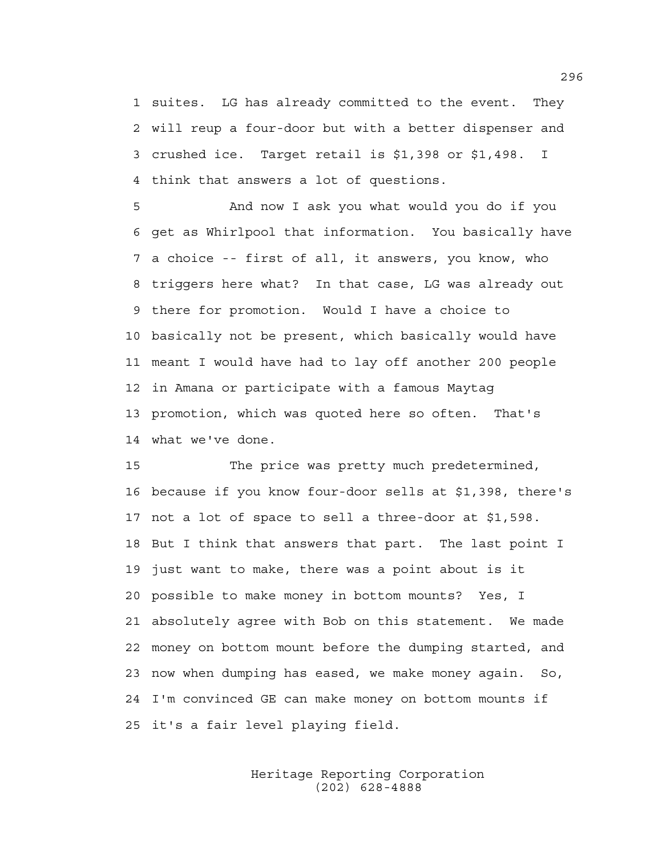1 suites. LG has already committed to the event. They 2 will reup a four-door but with a better dispenser and 3 crushed ice. Target retail is \$1,398 or \$1,498. I 4 think that answers a lot of questions.

5 And now I ask you what would you do if you 6 get as Whirlpool that information. You basically have 7 a choice -- first of all, it answers, you know, who 8 triggers here what? In that case, LG was already out 9 there for promotion. Would I have a choice to 10 basically not be present, which basically would have 11 meant I would have had to lay off another 200 people 12 in Amana or participate with a famous Maytag 13 promotion, which was quoted here so often. That's 14 what we've done.

15 The price was pretty much predetermined, 16 because if you know four-door sells at \$1,398, there's 17 not a lot of space to sell a three-door at \$1,598. 18 But I think that answers that part. The last point I 19 just want to make, there was a point about is it 20 possible to make money in bottom mounts? Yes, I 21 absolutely agree with Bob on this statement. We made 22 money on bottom mount before the dumping started, and 23 now when dumping has eased, we make money again. So, 24 I'm convinced GE can make money on bottom mounts if 25 it's a fair level playing field.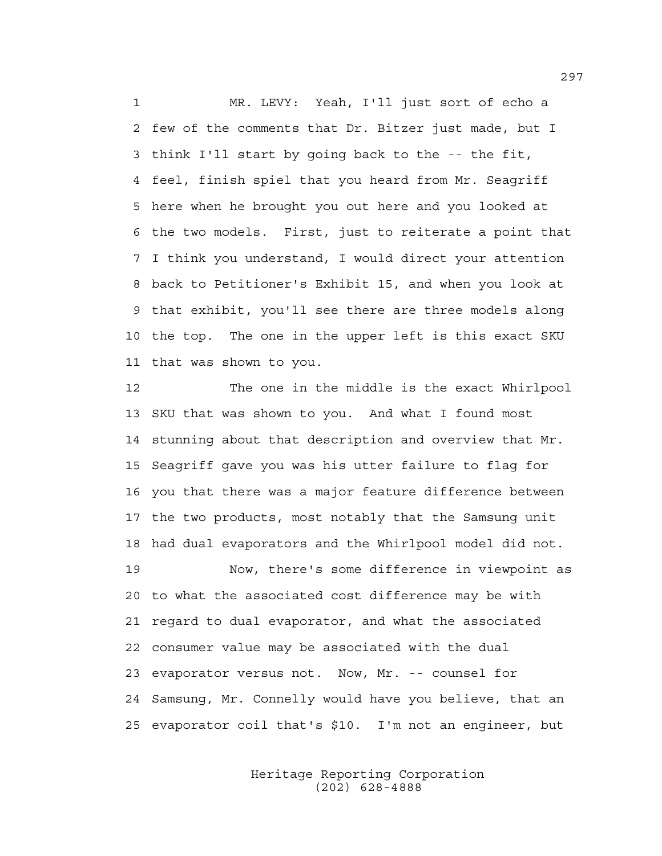1 MR. LEVY: Yeah, I'll just sort of echo a 2 few of the comments that Dr. Bitzer just made, but I 3 think I'll start by going back to the -- the fit, 4 feel, finish spiel that you heard from Mr. Seagriff 5 here when he brought you out here and you looked at 6 the two models. First, just to reiterate a point that 7 I think you understand, I would direct your attention 8 back to Petitioner's Exhibit 15, and when you look at 9 that exhibit, you'll see there are three models along 10 the top. The one in the upper left is this exact SKU 11 that was shown to you.

12 The one in the middle is the exact Whirlpool 13 SKU that was shown to you. And what I found most 14 stunning about that description and overview that Mr. 15 Seagriff gave you was his utter failure to flag for 16 you that there was a major feature difference between 17 the two products, most notably that the Samsung unit 18 had dual evaporators and the Whirlpool model did not.

19 Now, there's some difference in viewpoint as 20 to what the associated cost difference may be with 21 regard to dual evaporator, and what the associated 22 consumer value may be associated with the dual 23 evaporator versus not. Now, Mr. -- counsel for 24 Samsung, Mr. Connelly would have you believe, that an 25 evaporator coil that's \$10. I'm not an engineer, but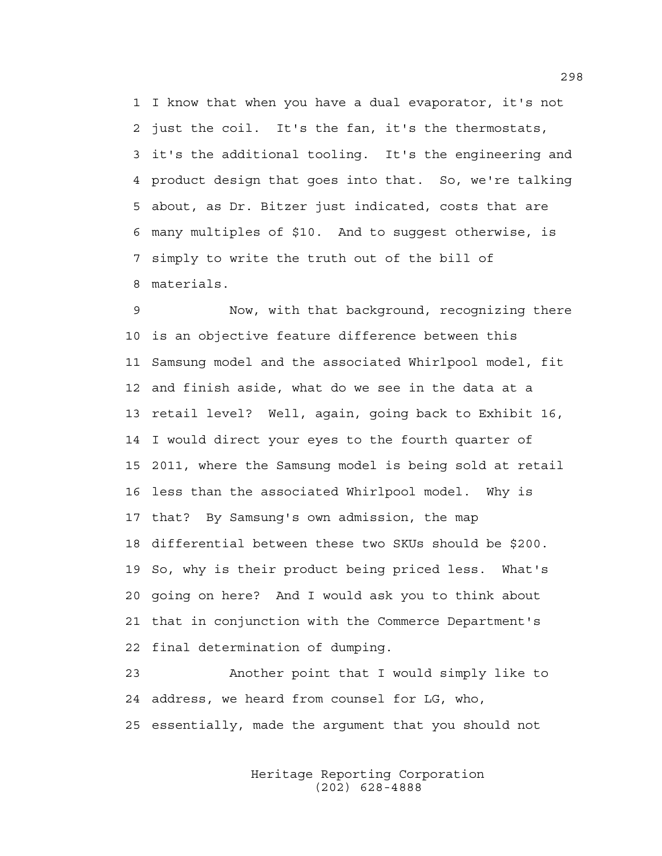1 I know that when you have a dual evaporator, it's not 2 just the coil. It's the fan, it's the thermostats, 3 it's the additional tooling. It's the engineering and 4 product design that goes into that. So, we're talking 5 about, as Dr. Bitzer just indicated, costs that are 6 many multiples of \$10. And to suggest otherwise, is 7 simply to write the truth out of the bill of 8 materials.

9 Now, with that background, recognizing there 10 is an objective feature difference between this 11 Samsung model and the associated Whirlpool model, fit 12 and finish aside, what do we see in the data at a 13 retail level? Well, again, going back to Exhibit 16, 14 I would direct your eyes to the fourth quarter of 15 2011, where the Samsung model is being sold at retail 16 less than the associated Whirlpool model. Why is 17 that? By Samsung's own admission, the map 18 differential between these two SKUs should be \$200. 19 So, why is their product being priced less. What's 20 going on here? And I would ask you to think about 21 that in conjunction with the Commerce Department's 22 final determination of dumping.

23 Another point that I would simply like to 24 address, we heard from counsel for LG, who, 25 essentially, made the argument that you should not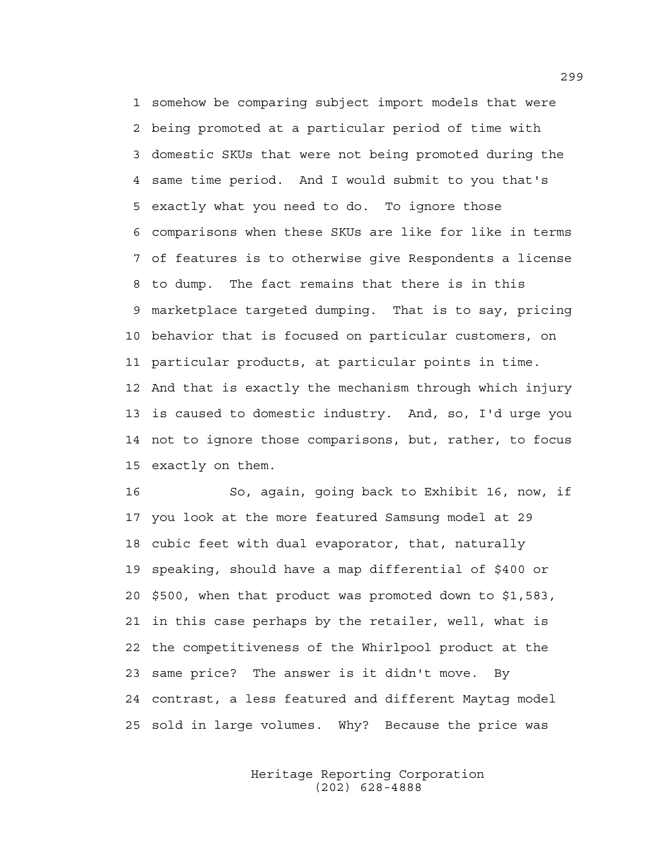1 somehow be comparing subject import models that were 2 being promoted at a particular period of time with 3 domestic SKUs that were not being promoted during the 4 same time period. And I would submit to you that's 5 exactly what you need to do. To ignore those 6 comparisons when these SKUs are like for like in terms 7 of features is to otherwise give Respondents a license 8 to dump. The fact remains that there is in this 9 marketplace targeted dumping. That is to say, pricing 10 behavior that is focused on particular customers, on 11 particular products, at particular points in time. 12 And that is exactly the mechanism through which injury 13 is caused to domestic industry. And, so, I'd urge you 14 not to ignore those comparisons, but, rather, to focus 15 exactly on them.

16 So, again, going back to Exhibit 16, now, if 17 you look at the more featured Samsung model at 29 18 cubic feet with dual evaporator, that, naturally 19 speaking, should have a map differential of \$400 or 20 \$500, when that product was promoted down to \$1,583, 21 in this case perhaps by the retailer, well, what is 22 the competitiveness of the Whirlpool product at the 23 same price? The answer is it didn't move. By 24 contrast, a less featured and different Maytag model 25 sold in large volumes. Why? Because the price was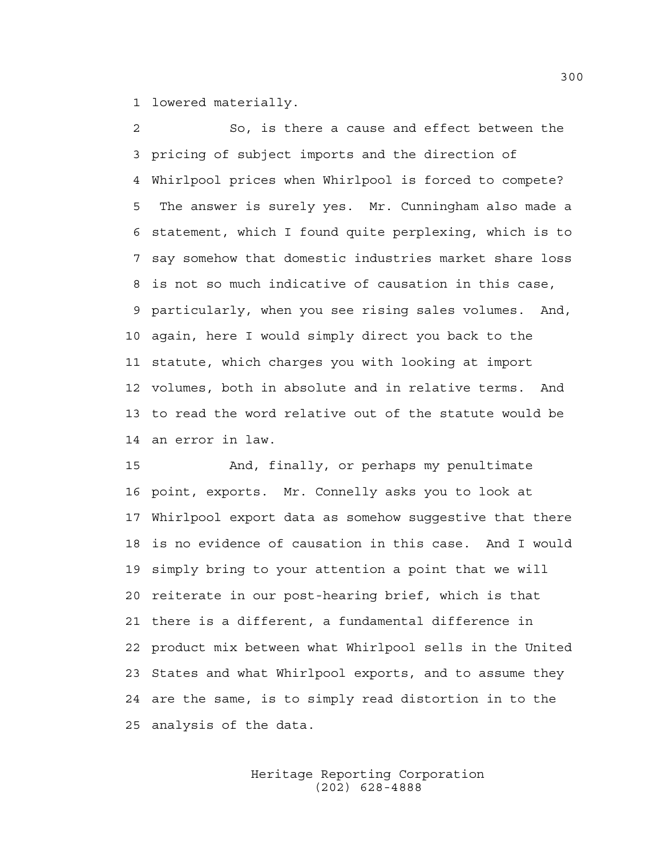1 lowered materially.

2 So, is there a cause and effect between the 3 pricing of subject imports and the direction of 4 Whirlpool prices when Whirlpool is forced to compete? 5 The answer is surely yes. Mr. Cunningham also made a 6 statement, which I found quite perplexing, which is to 7 say somehow that domestic industries market share loss 8 is not so much indicative of causation in this case, 9 particularly, when you see rising sales volumes. And, 10 again, here I would simply direct you back to the 11 statute, which charges you with looking at import 12 volumes, both in absolute and in relative terms. And 13 to read the word relative out of the statute would be 14 an error in law.

15 And, finally, or perhaps my penultimate 16 point, exports. Mr. Connelly asks you to look at 17 Whirlpool export data as somehow suggestive that there 18 is no evidence of causation in this case. And I would 19 simply bring to your attention a point that we will 20 reiterate in our post-hearing brief, which is that 21 there is a different, a fundamental difference in 22 product mix between what Whirlpool sells in the United 23 States and what Whirlpool exports, and to assume they 24 are the same, is to simply read distortion in to the 25 analysis of the data.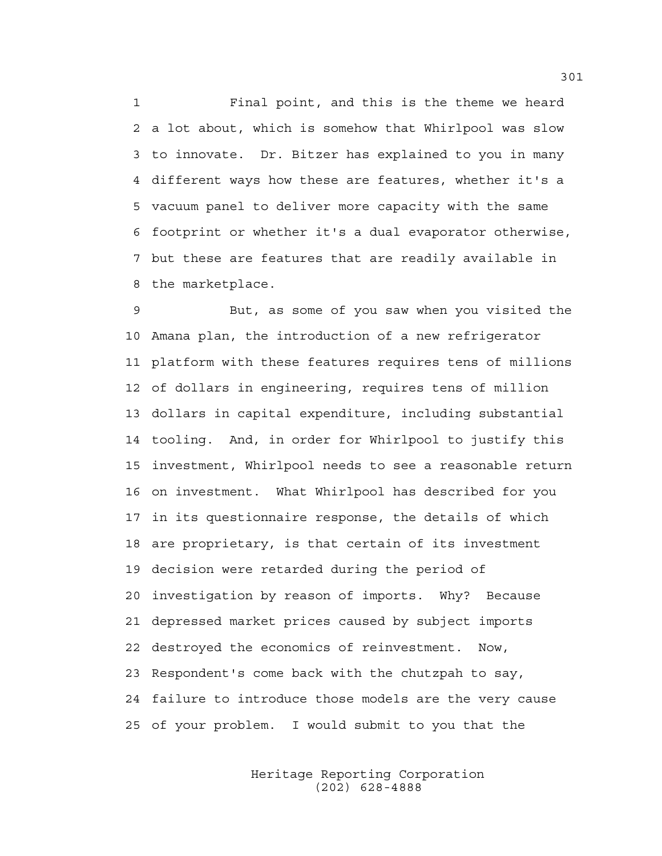1 Final point, and this is the theme we heard 2 a lot about, which is somehow that Whirlpool was slow 3 to innovate. Dr. Bitzer has explained to you in many 4 different ways how these are features, whether it's a 5 vacuum panel to deliver more capacity with the same 6 footprint or whether it's a dual evaporator otherwise, 7 but these are features that are readily available in 8 the marketplace.

9 But, as some of you saw when you visited the 10 Amana plan, the introduction of a new refrigerator 11 platform with these features requires tens of millions 12 of dollars in engineering, requires tens of million 13 dollars in capital expenditure, including substantial 14 tooling. And, in order for Whirlpool to justify this 15 investment, Whirlpool needs to see a reasonable return 16 on investment. What Whirlpool has described for you 17 in its questionnaire response, the details of which 18 are proprietary, is that certain of its investment 19 decision were retarded during the period of 20 investigation by reason of imports. Why? Because 21 depressed market prices caused by subject imports 22 destroyed the economics of reinvestment. Now, 23 Respondent's come back with the chutzpah to say, 24 failure to introduce those models are the very cause 25 of your problem. I would submit to you that the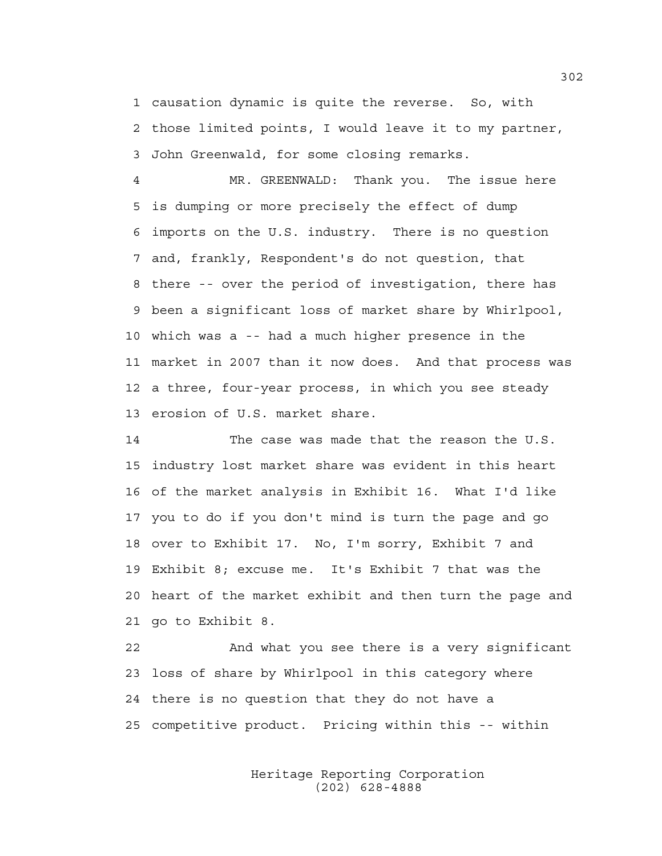1 causation dynamic is quite the reverse. So, with 2 those limited points, I would leave it to my partner, 3 John Greenwald, for some closing remarks.

4 MR. GREENWALD: Thank you. The issue here 5 is dumping or more precisely the effect of dump 6 imports on the U.S. industry. There is no question 7 and, frankly, Respondent's do not question, that 8 there -- over the period of investigation, there has 9 been a significant loss of market share by Whirlpool, 10 which was a -- had a much higher presence in the 11 market in 2007 than it now does. And that process was 12 a three, four-year process, in which you see steady 13 erosion of U.S. market share.

14 The case was made that the reason the U.S. 15 industry lost market share was evident in this heart 16 of the market analysis in Exhibit 16. What I'd like 17 you to do if you don't mind is turn the page and go 18 over to Exhibit 17. No, I'm sorry, Exhibit 7 and 19 Exhibit 8; excuse me. It's Exhibit 7 that was the 20 heart of the market exhibit and then turn the page and 21 go to Exhibit 8.

22 And what you see there is a very significant 23 loss of share by Whirlpool in this category where 24 there is no question that they do not have a 25 competitive product. Pricing within this -- within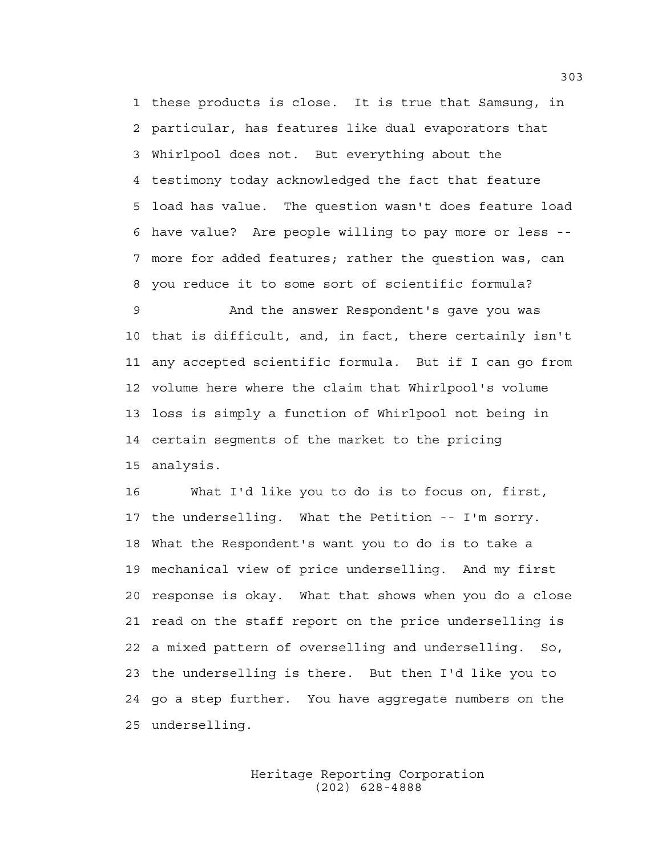1 these products is close. It is true that Samsung, in 2 particular, has features like dual evaporators that 3 Whirlpool does not. But everything about the 4 testimony today acknowledged the fact that feature 5 load has value. The question wasn't does feature load 6 have value? Are people willing to pay more or less -- 7 more for added features; rather the question was, can 8 you reduce it to some sort of scientific formula?

9 And the answer Respondent's gave you was 10 that is difficult, and, in fact, there certainly isn't 11 any accepted scientific formula. But if I can go from 12 volume here where the claim that Whirlpool's volume 13 loss is simply a function of Whirlpool not being in 14 certain segments of the market to the pricing 15 analysis.

16 What I'd like you to do is to focus on, first, 17 the underselling. What the Petition -- I'm sorry. 18 What the Respondent's want you to do is to take a 19 mechanical view of price underselling. And my first 20 response is okay. What that shows when you do a close 21 read on the staff report on the price underselling is 22 a mixed pattern of overselling and underselling. So, 23 the underselling is there. But then I'd like you to 24 go a step further. You have aggregate numbers on the 25 underselling.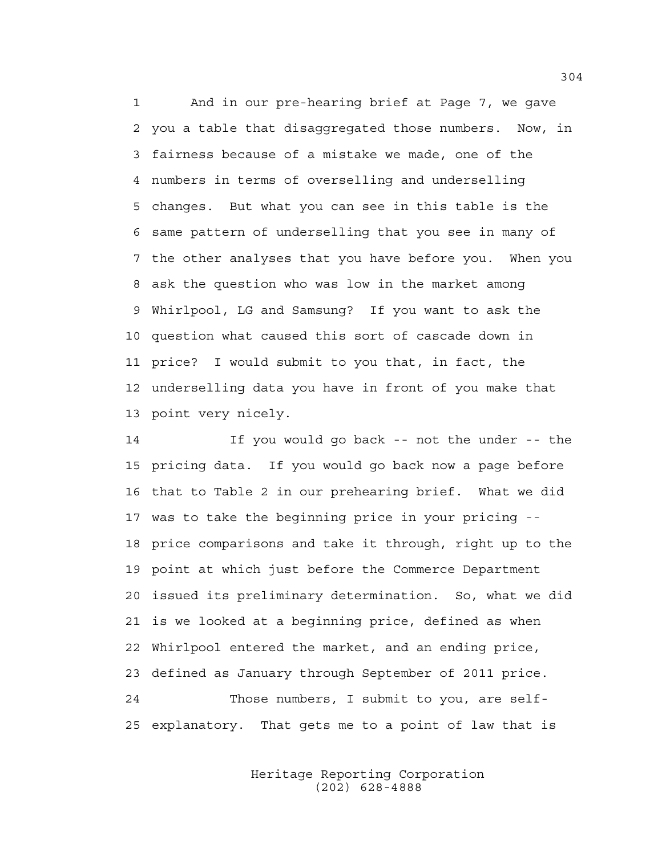1 And in our pre-hearing brief at Page 7, we gave 2 you a table that disaggregated those numbers. Now, in 3 fairness because of a mistake we made, one of the 4 numbers in terms of overselling and underselling 5 changes. But what you can see in this table is the 6 same pattern of underselling that you see in many of 7 the other analyses that you have before you. When you 8 ask the question who was low in the market among 9 Whirlpool, LG and Samsung? If you want to ask the 10 question what caused this sort of cascade down in 11 price? I would submit to you that, in fact, the 12 underselling data you have in front of you make that 13 point very nicely.

14 If you would go back -- not the under -- the 15 pricing data. If you would go back now a page before 16 that to Table 2 in our prehearing brief. What we did 17 was to take the beginning price in your pricing -- 18 price comparisons and take it through, right up to the 19 point at which just before the Commerce Department 20 issued its preliminary determination. So, what we did 21 is we looked at a beginning price, defined as when 22 Whirlpool entered the market, and an ending price, 23 defined as January through September of 2011 price. 24 Those numbers, I submit to you, are self-25 explanatory. That gets me to a point of law that is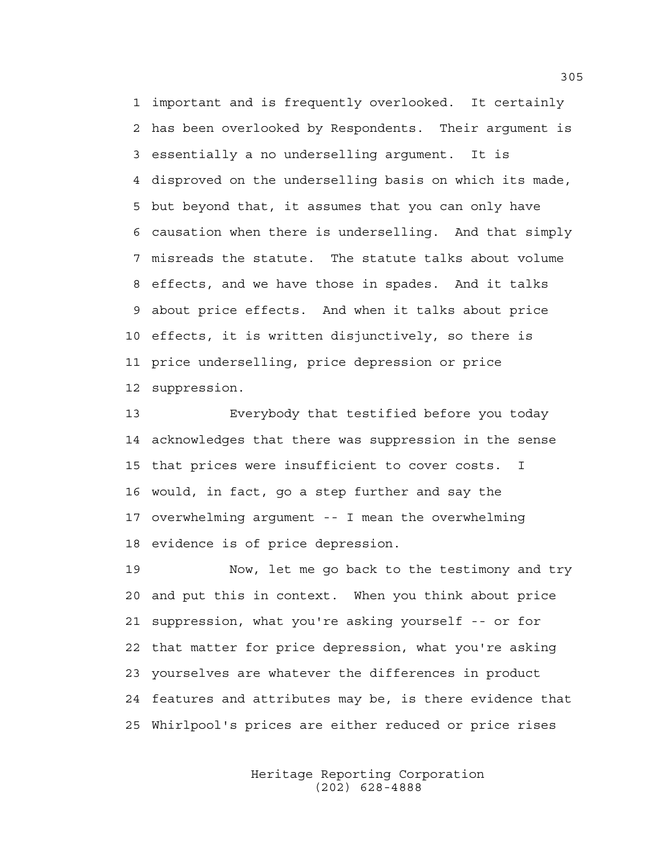1 important and is frequently overlooked. It certainly 2 has been overlooked by Respondents. Their argument is 3 essentially a no underselling argument. It is 4 disproved on the underselling basis on which its made, 5 but beyond that, it assumes that you can only have 6 causation when there is underselling. And that simply 7 misreads the statute. The statute talks about volume 8 effects, and we have those in spades. And it talks 9 about price effects. And when it talks about price 10 effects, it is written disjunctively, so there is 11 price underselling, price depression or price 12 suppression.

13 Everybody that testified before you today 14 acknowledges that there was suppression in the sense 15 that prices were insufficient to cover costs. I 16 would, in fact, go a step further and say the 17 overwhelming argument -- I mean the overwhelming 18 evidence is of price depression.

19 Now, let me go back to the testimony and try 20 and put this in context. When you think about price 21 suppression, what you're asking yourself -- or for 22 that matter for price depression, what you're asking 23 yourselves are whatever the differences in product 24 features and attributes may be, is there evidence that 25 Whirlpool's prices are either reduced or price rises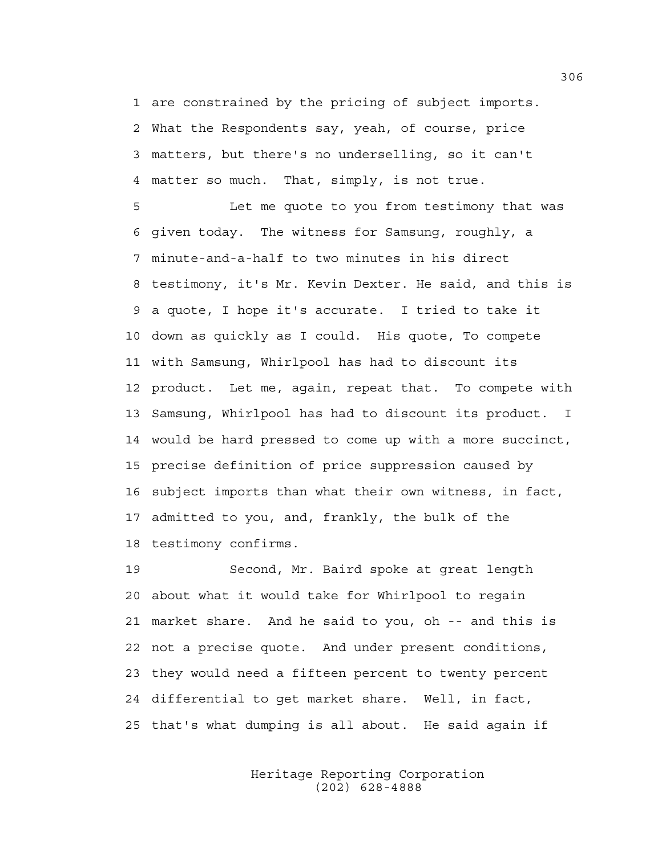1 are constrained by the pricing of subject imports. 2 What the Respondents say, yeah, of course, price 3 matters, but there's no underselling, so it can't 4 matter so much. That, simply, is not true.

5 Let me quote to you from testimony that was 6 given today. The witness for Samsung, roughly, a 7 minute-and-a-half to two minutes in his direct 8 testimony, it's Mr. Kevin Dexter. He said, and this is 9 a quote, I hope it's accurate. I tried to take it 10 down as quickly as I could. His quote, To compete 11 with Samsung, Whirlpool has had to discount its 12 product. Let me, again, repeat that. To compete with 13 Samsung, Whirlpool has had to discount its product. I 14 would be hard pressed to come up with a more succinct, 15 precise definition of price suppression caused by 16 subject imports than what their own witness, in fact, 17 admitted to you, and, frankly, the bulk of the 18 testimony confirms.

19 Second, Mr. Baird spoke at great length 20 about what it would take for Whirlpool to regain 21 market share. And he said to you, oh -- and this is 22 not a precise quote. And under present conditions, 23 they would need a fifteen percent to twenty percent 24 differential to get market share. Well, in fact, 25 that's what dumping is all about. He said again if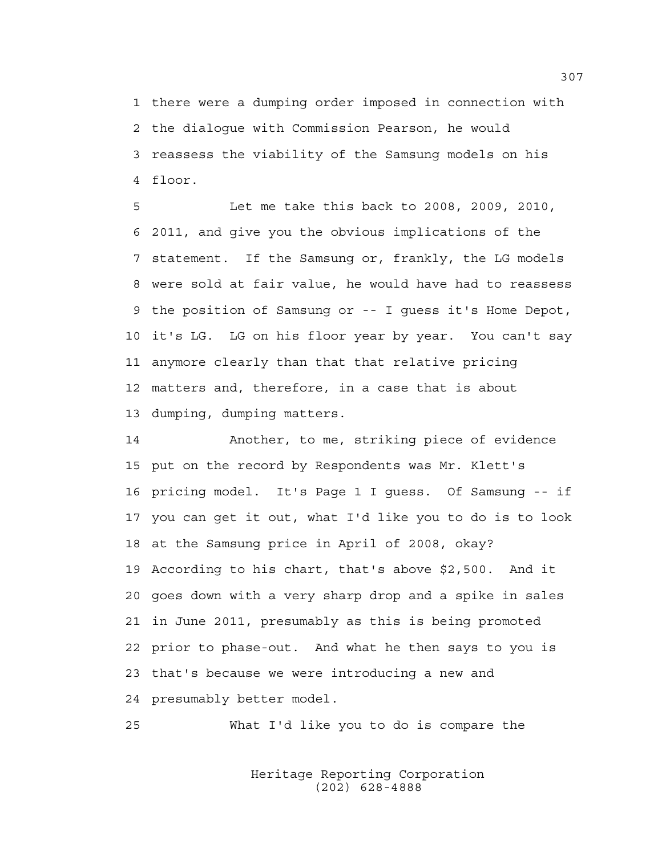1 there were a dumping order imposed in connection with 2 the dialogue with Commission Pearson, he would 3 reassess the viability of the Samsung models on his 4 floor.

5 Let me take this back to 2008, 2009, 2010, 6 2011, and give you the obvious implications of the 7 statement. If the Samsung or, frankly, the LG models 8 were sold at fair value, he would have had to reassess 9 the position of Samsung or -- I guess it's Home Depot, 10 it's LG. LG on his floor year by year. You can't say 11 anymore clearly than that that relative pricing 12 matters and, therefore, in a case that is about 13 dumping, dumping matters.

14 Another, to me, striking piece of evidence 15 put on the record by Respondents was Mr. Klett's 16 pricing model. It's Page 1 I guess. Of Samsung -- if 17 you can get it out, what I'd like you to do is to look 18 at the Samsung price in April of 2008, okay? 19 According to his chart, that's above \$2,500. And it 20 goes down with a very sharp drop and a spike in sales 21 in June 2011, presumably as this is being promoted 22 prior to phase-out. And what he then says to you is 23 that's because we were introducing a new and 24 presumably better model.

25 What I'd like you to do is compare the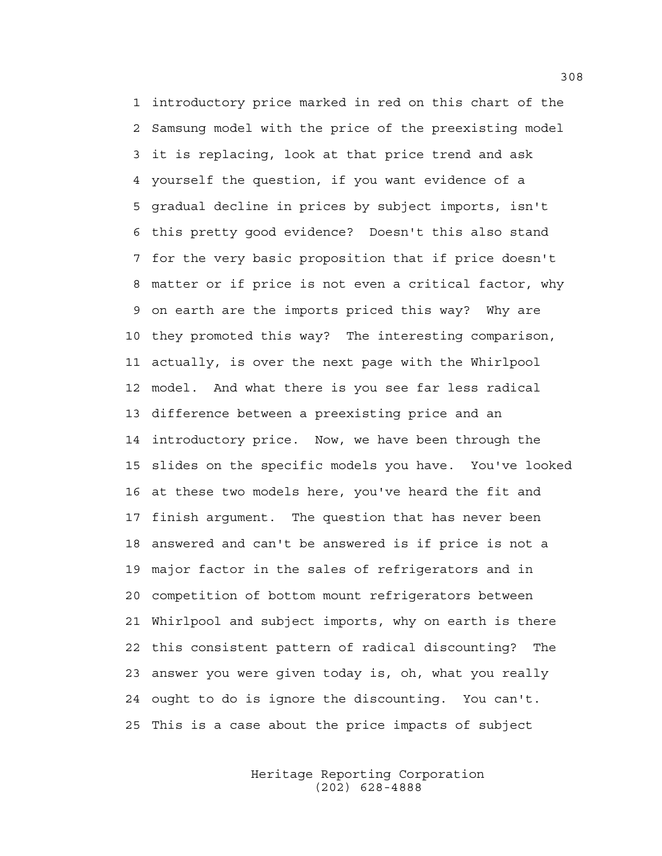1 introductory price marked in red on this chart of the 2 Samsung model with the price of the preexisting model 3 it is replacing, look at that price trend and ask 4 yourself the question, if you want evidence of a 5 gradual decline in prices by subject imports, isn't 6 this pretty good evidence? Doesn't this also stand 7 for the very basic proposition that if price doesn't 8 matter or if price is not even a critical factor, why 9 on earth are the imports priced this way? Why are 10 they promoted this way? The interesting comparison, 11 actually, is over the next page with the Whirlpool 12 model. And what there is you see far less radical 13 difference between a preexisting price and an 14 introductory price. Now, we have been through the 15 slides on the specific models you have. You've looked 16 at these two models here, you've heard the fit and 17 finish argument. The question that has never been 18 answered and can't be answered is if price is not a 19 major factor in the sales of refrigerators and in 20 competition of bottom mount refrigerators between 21 Whirlpool and subject imports, why on earth is there 22 this consistent pattern of radical discounting? The 23 answer you were given today is, oh, what you really 24 ought to do is ignore the discounting. You can't. 25 This is a case about the price impacts of subject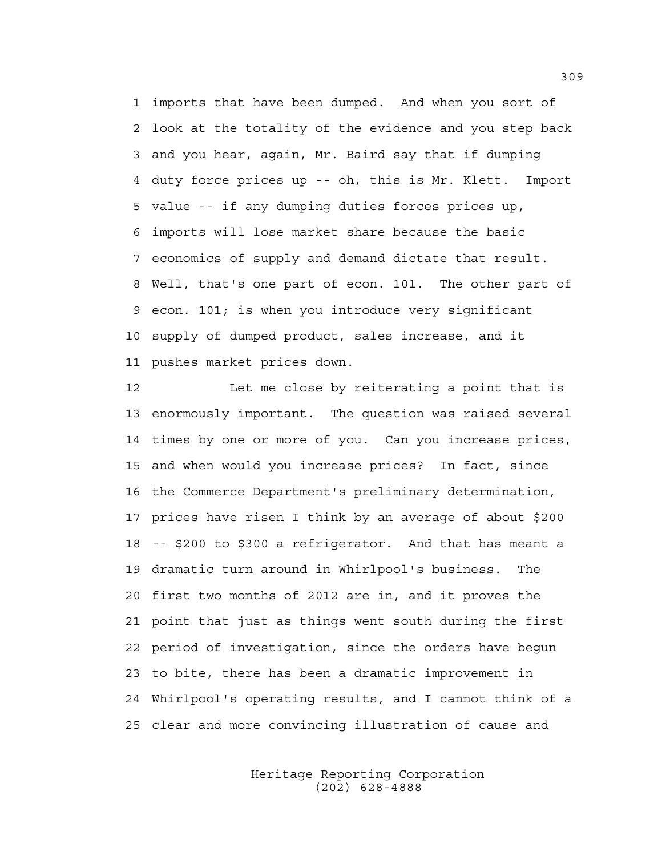1 imports that have been dumped. And when you sort of 2 look at the totality of the evidence and you step back 3 and you hear, again, Mr. Baird say that if dumping 4 duty force prices up -- oh, this is Mr. Klett. Import 5 value -- if any dumping duties forces prices up, 6 imports will lose market share because the basic 7 economics of supply and demand dictate that result. 8 Well, that's one part of econ. 101. The other part of 9 econ. 101; is when you introduce very significant 10 supply of dumped product, sales increase, and it 11 pushes market prices down.

12 Let me close by reiterating a point that is 13 enormously important. The question was raised several 14 times by one or more of you. Can you increase prices, 15 and when would you increase prices? In fact, since 16 the Commerce Department's preliminary determination, 17 prices have risen I think by an average of about \$200 18 -- \$200 to \$300 a refrigerator. And that has meant a 19 dramatic turn around in Whirlpool's business. The 20 first two months of 2012 are in, and it proves the 21 point that just as things went south during the first 22 period of investigation, since the orders have begun 23 to bite, there has been a dramatic improvement in 24 Whirlpool's operating results, and I cannot think of a 25 clear and more convincing illustration of cause and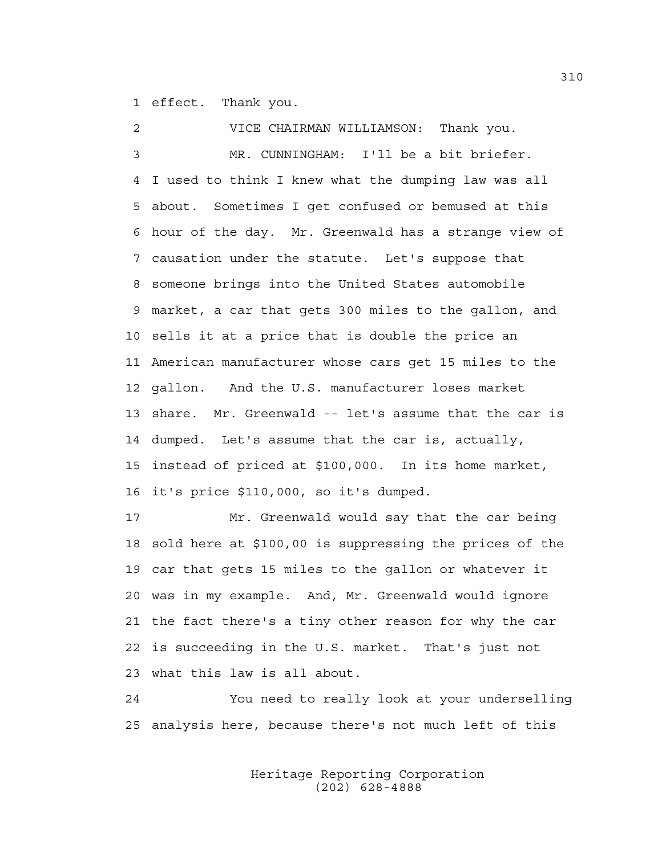1 effect. Thank you.

2 VICE CHAIRMAN WILLIAMSON: Thank you. 3 MR. CUNNINGHAM: I'll be a bit briefer. 4 I used to think I knew what the dumping law was all 5 about. Sometimes I get confused or bemused at this 6 hour of the day. Mr. Greenwald has a strange view of 7 causation under the statute. Let's suppose that 8 someone brings into the United States automobile 9 market, a car that gets 300 miles to the gallon, and 10 sells it at a price that is double the price an 11 American manufacturer whose cars get 15 miles to the 12 gallon. And the U.S. manufacturer loses market 13 share. Mr. Greenwald -- let's assume that the car is 14 dumped. Let's assume that the car is, actually, 15 instead of priced at \$100,000. In its home market, 16 it's price \$110,000, so it's dumped. 17 Mr. Greenwald would say that the car being 18 sold here at \$100,00 is suppressing the prices of the 19 car that gets 15 miles to the gallon or whatever it 20 was in my example. And, Mr. Greenwald would ignore 21 the fact there's a tiny other reason for why the car 22 is succeeding in the U.S. market. That's just not

23 what this law is all about.

24 You need to really look at your underselling 25 analysis here, because there's not much left of this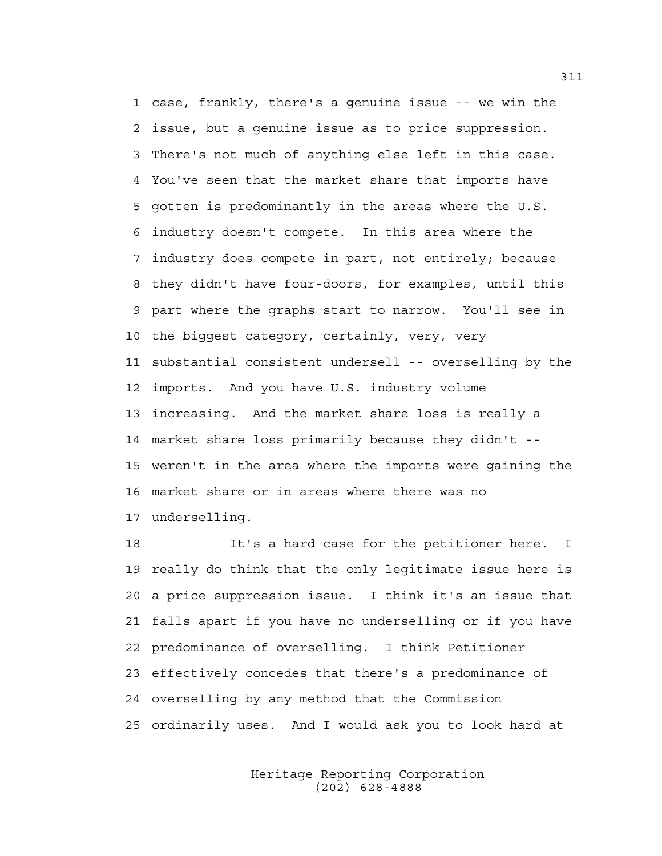1 case, frankly, there's a genuine issue -- we win the 2 issue, but a genuine issue as to price suppression. 3 There's not much of anything else left in this case. 4 You've seen that the market share that imports have 5 gotten is predominantly in the areas where the U.S. 6 industry doesn't compete. In this area where the 7 industry does compete in part, not entirely; because 8 they didn't have four-doors, for examples, until this 9 part where the graphs start to narrow. You'll see in 10 the biggest category, certainly, very, very 11 substantial consistent undersell -- overselling by the 12 imports. And you have U.S. industry volume 13 increasing. And the market share loss is really a 14 market share loss primarily because they didn't -- 15 weren't in the area where the imports were gaining the 16 market share or in areas where there was no 17 underselling.

18 It's a hard case for the petitioner here. I 19 really do think that the only legitimate issue here is 20 a price suppression issue. I think it's an issue that 21 falls apart if you have no underselling or if you have 22 predominance of overselling. I think Petitioner 23 effectively concedes that there's a predominance of 24 overselling by any method that the Commission 25 ordinarily uses. And I would ask you to look hard at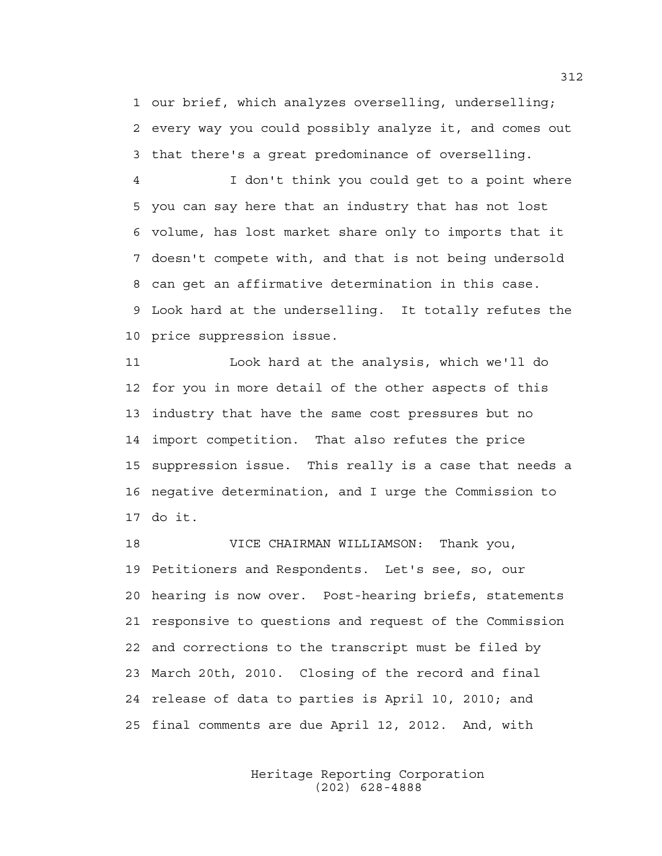1 our brief, which analyzes overselling, underselling; 2 every way you could possibly analyze it, and comes out 3 that there's a great predominance of overselling.

4 I don't think you could get to a point where 5 you can say here that an industry that has not lost 6 volume, has lost market share only to imports that it 7 doesn't compete with, and that is not being undersold 8 can get an affirmative determination in this case. 9 Look hard at the underselling. It totally refutes the 10 price suppression issue.

11 Look hard at the analysis, which we'll do 12 for you in more detail of the other aspects of this 13 industry that have the same cost pressures but no 14 import competition. That also refutes the price 15 suppression issue. This really is a case that needs a 16 negative determination, and I urge the Commission to 17 do it.

18 VICE CHAIRMAN WILLIAMSON: Thank you, 19 Petitioners and Respondents. Let's see, so, our 20 hearing is now over. Post-hearing briefs, statements 21 responsive to questions and request of the Commission 22 and corrections to the transcript must be filed by 23 March 20th, 2010. Closing of the record and final 24 release of data to parties is April 10, 2010; and 25 final comments are due April 12, 2012. And, with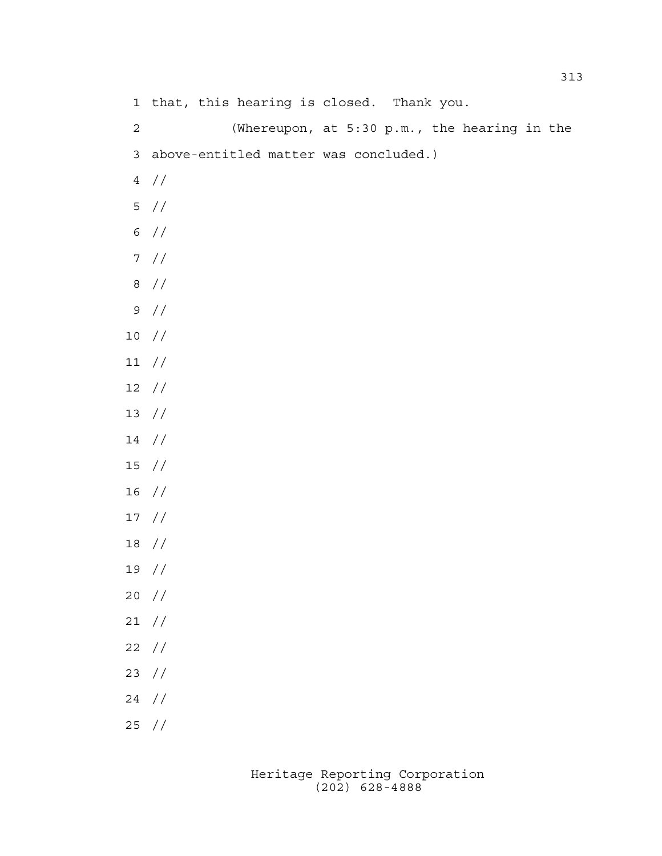1 that, this hearing is closed. Thank you. 2 (Whereupon, at 5:30 p.m., the hearing in the 3 above-entitled matter was concluded.)

- 4 //
- 5 //
- 6 //
- 7 //
- 8 //
- 9 //
- 10 //
- 11 //
- 12 //
- 13 //
- 14 //
- 15 //
- 16 //
- 17 //
- 18 //
- 19 //
- 20 //
- 21 //
- 22 //
- 23 //
- 24 //
- 25 //